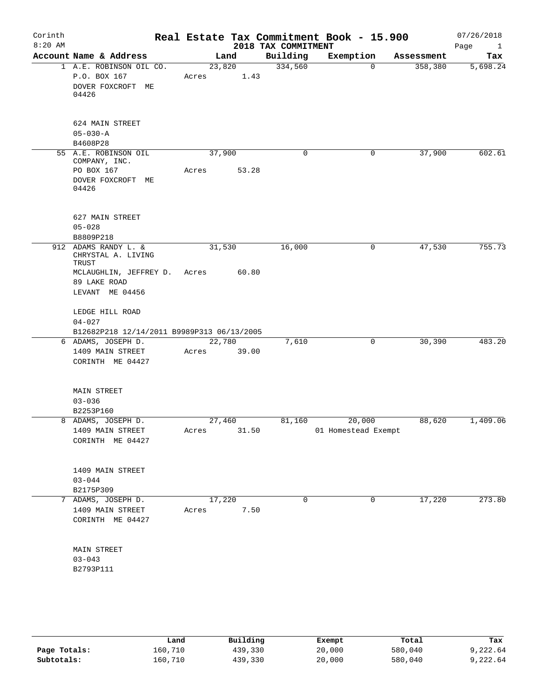| Corinth<br>$8:20$ AM |                                                                                                              |                 |       | 2018 TAX COMMITMENT | Real Estate Tax Commitment Book - 15.900 |            | 07/26/2018<br>Page<br>$\mathbf{1}$ |
|----------------------|--------------------------------------------------------------------------------------------------------------|-----------------|-------|---------------------|------------------------------------------|------------|------------------------------------|
|                      | Account Name & Address                                                                                       |                 | Land  | Building            | Exemption                                | Assessment | Tax                                |
|                      | 1 A.E. ROBINSON OIL CO.<br>P.O. BOX 167<br>DOVER FOXCROFT ME<br>04426                                        | 23,820<br>Acres | 1.43  | 334,560             | $\mathbf 0$                              | 358,380    | 5,698.24                           |
|                      | 624 MAIN STREET<br>$05 - 030 - A$<br>B4608P28                                                                |                 |       |                     |                                          |            |                                    |
|                      | 55 A.E. ROBINSON OIL<br>COMPANY, INC.<br>PO BOX 167<br>DOVER FOXCROFT ME<br>04426                            | 37,900<br>Acres | 53.28 | $\mathbf 0$         | 0                                        | 37,900     | 602.61                             |
|                      | 627 MAIN STREET<br>$05 - 028$<br>B8809P218                                                                   |                 |       |                     |                                          |            |                                    |
| 912                  | ADAMS RANDY L. &<br>CHRYSTAL A. LIVING<br>TRUST<br>MCLAUGHLIN, JEFFREY D.<br>89 LAKE ROAD<br>LEVANT ME 04456 | 31,530<br>Acres | 60.80 | 16,000              | 0                                        | 47,530     | 755.73                             |
|                      | LEDGE HILL ROAD<br>$04 - 027$<br>B12682P218 12/14/2011 B9989P313 06/13/2005                                  |                 |       |                     |                                          |            |                                    |
|                      | 6 ADAMS, JOSEPH D.<br>1409 MAIN STREET<br>CORINTH ME 04427                                                   | 22,780<br>Acres | 39.00 | 7,610               | 0                                        | 30,390     | 483.20                             |
|                      | MAIN STREET<br>$03 - 036$<br>B2253P160                                                                       |                 |       |                     |                                          |            |                                    |
|                      | 8 ADAMS, JOSEPH D.<br>1409 MAIN STREET<br>CORINTH ME 04427                                                   | 27,460<br>Acres | 31.50 | 81,160              | 20,000<br>01 Homestead Exempt            | 88,620     | 1,409.06                           |
|                      | 1409 MAIN STREET<br>$03 - 044$<br>B2175P309                                                                  |                 |       |                     |                                          |            |                                    |
|                      | 7 ADAMS, JOSEPH D.<br>1409 MAIN STREET<br>CORINTH ME 04427                                                   | 17,220<br>Acres | 7.50  | 0                   | 0                                        | 17,220     | 273.80                             |
|                      | MAIN STREET<br>$03 - 043$<br>B2793P111                                                                       |                 |       |                     |                                          |            |                                    |
|                      |                                                                                                              |                 |       |                     |                                          |            |                                    |

|              | Land    | Building | Exempt | Total   | Tax      |
|--------------|---------|----------|--------|---------|----------|
| Page Totals: | 160,710 | 439,330  | 20,000 | 580,040 | 9,222.64 |
| Subtotals:   | 160,710 | 439,330  | 20,000 | 580,040 | 9,222.64 |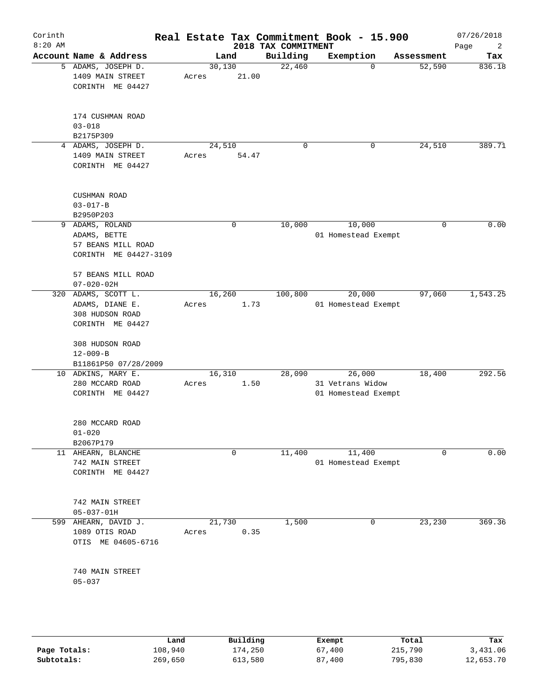|                                                                                   |                                                                                                                                                                                                          |                                                                            |                                                            |                                         | 07/26/2018<br>Page<br>2                                                                                                                                            |
|-----------------------------------------------------------------------------------|----------------------------------------------------------------------------------------------------------------------------------------------------------------------------------------------------------|----------------------------------------------------------------------------|------------------------------------------------------------|-----------------------------------------|--------------------------------------------------------------------------------------------------------------------------------------------------------------------|
|                                                                                   |                                                                                                                                                                                                          | Building                                                                   | Exemption                                                  | Assessment                              | Tax                                                                                                                                                                |
| 1409 MAIN STREET<br>CORINTH ME 04427                                              | Acres                                                                                                                                                                                                    | 22,460                                                                     | $\Omega$                                                   | 52,590                                  | 836.18                                                                                                                                                             |
| 174 CUSHMAN ROAD<br>$03 - 018$<br>B2175P309                                       |                                                                                                                                                                                                          |                                                                            |                                                            |                                         |                                                                                                                                                                    |
| 1409 MAIN STREET<br>CORINTH ME 04427                                              | Acres                                                                                                                                                                                                    | $\mathbf 0$                                                                | 0                                                          | 24,510                                  | 389.71                                                                                                                                                             |
| CUSHMAN ROAD<br>$03 - 017 - B$                                                    |                                                                                                                                                                                                          |                                                                            |                                                            |                                         |                                                                                                                                                                    |
|                                                                                   |                                                                                                                                                                                                          |                                                                            |                                                            | 0                                       | 0.00                                                                                                                                                               |
| ADAMS, BETTE<br>57 BEANS MILL ROAD<br>CORINTH ME 04427-3109<br>57 BEANS MILL ROAD |                                                                                                                                                                                                          |                                                                            |                                                            |                                         |                                                                                                                                                                    |
| $07 - 020 - 02H$                                                                  |                                                                                                                                                                                                          |                                                                            |                                                            |                                         |                                                                                                                                                                    |
| ADAMS, SCOTT L.<br>ADAMS, DIANE E.<br>308 HUDSON ROAD<br>CORINTH ME 04427         | Acres                                                                                                                                                                                                    | 100,800                                                                    | 20,000                                                     | 97,060                                  | 1,543.25                                                                                                                                                           |
| 308 HUDSON ROAD<br>$12 - 009 - B$                                                 |                                                                                                                                                                                                          |                                                                            |                                                            |                                         |                                                                                                                                                                    |
|                                                                                   |                                                                                                                                                                                                          |                                                                            |                                                            |                                         | 292.56                                                                                                                                                             |
| 280 MCCARD ROAD<br>CORINTH ME 04427                                               | Acres                                                                                                                                                                                                    |                                                                            |                                                            |                                         |                                                                                                                                                                    |
| 280 MCCARD ROAD<br>$01 - 020$<br>B2067P179                                        |                                                                                                                                                                                                          |                                                                            |                                                            |                                         |                                                                                                                                                                    |
| 742 MAIN STREET<br>CORINTH ME 04427                                               |                                                                                                                                                                                                          | 11,400                                                                     | 11,400                                                     | 0                                       | 0.00                                                                                                                                                               |
| 742 MAIN STREET<br>$05 - 037 - 01H$                                               |                                                                                                                                                                                                          |                                                                            |                                                            |                                         |                                                                                                                                                                    |
| 1089 OTIS ROAD<br>OTIS ME 04605-6716                                              | Acres                                                                                                                                                                                                    | 1,500                                                                      | 0                                                          | 23,230                                  | 369.36                                                                                                                                                             |
| 740 MAIN STREET                                                                   |                                                                                                                                                                                                          |                                                                            |                                                            |                                         |                                                                                                                                                                    |
|                                                                                   | Account Name & Address<br>5 ADAMS, JOSEPH D.<br>4 ADAMS, JOSEPH D.<br>B2950P203<br>ADAMS, ROLAND<br>9<br>320<br>B11861P50 07/28/2009<br>10 ADKINS, MARY E.<br>11 AHEARN, BLANCHE<br>599 AHEARN, DAVID J. | Land<br>30,130<br>24,510<br>0<br>16,260<br>16,310<br>$\mathbf 0$<br>21,730 | 21.00<br>54.47<br>10,000<br>1.73<br>28,090<br>1.50<br>0.35 | 2018 TAX COMMITMENT<br>10,000<br>26,000 | Real Estate Tax Commitment Book - 15.900<br>01 Homestead Exempt<br>01 Homestead Exempt<br>18,400<br>31 Vetrans Widow<br>01 Homestead Exempt<br>01 Homestead Exempt |

|              | Land    | Building | Exempt | Total   | Tax       |
|--------------|---------|----------|--------|---------|-----------|
| Page Totals: | 108,940 | 174,250  | 67,400 | 215,790 | 3,431.06  |
| Subtotals:   | 269,650 | 613,580  | 87,400 | 795,830 | 12,653.70 |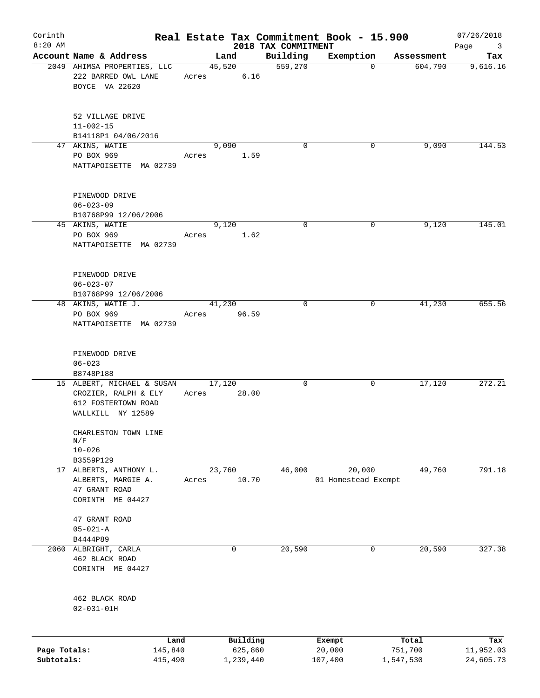| Corinth                    |                                                                                                |       |                      |                                 | Real Estate Tax Commitment Book - 15.900 |                      | 07/26/2018                             |
|----------------------------|------------------------------------------------------------------------------------------------|-------|----------------------|---------------------------------|------------------------------------------|----------------------|----------------------------------------|
| $8:20$ AM                  | Account Name & Address                                                                         |       | Land                 | 2018 TAX COMMITMENT<br>Building | Exemption                                | Assessment           | Page<br>$\overline{\mathbf{3}}$<br>Tax |
|                            | 2049 AHIMSA PROPERTIES, LLC                                                                    |       | 45,520               | 559,270                         | $\mathbf 0$                              | 604,790              | 9,616.16                               |
|                            | 222 BARRED OWL LANE<br>BOYCE VA 22620                                                          | Acres | 6.16                 |                                 |                                          |                      |                                        |
|                            | 52 VILLAGE DRIVE<br>$11 - 002 - 15$                                                            |       |                      |                                 |                                          |                      |                                        |
|                            | B14118P1 04/06/2016                                                                            |       |                      |                                 |                                          |                      |                                        |
|                            | 47 AKINS, WATIE<br>PO BOX 969<br>MATTAPOISETTE MA 02739                                        | Acres | 9,090<br>1.59        | $\mathbf 0$                     | 0                                        | 9,090                | 144.53                                 |
|                            | PINEWOOD DRIVE<br>$06 - 023 - 09$<br>B10768P99 12/06/2006                                      |       |                      |                                 |                                          |                      |                                        |
|                            | 45 AKINS, WATIE<br>PO BOX 969<br>MATTAPOISETTE MA 02739                                        | Acres | 9,120<br>1.62        | 0                               | 0                                        | 9,120                | 145.01                                 |
|                            | PINEWOOD DRIVE<br>$06 - 023 - 07$<br>B10768P99 12/06/2006                                      |       |                      |                                 |                                          |                      |                                        |
|                            | 48 AKINS, WATIE J.<br>PO BOX 969<br>MATTAPOISETTE MA 02739                                     | Acres | 41,230<br>96.59      | $\mathbf 0$                     | 0                                        | 41,230               | 655.56                                 |
|                            | PINEWOOD DRIVE<br>$06 - 023$<br>B8748P188                                                      |       |                      |                                 |                                          |                      |                                        |
|                            | 15 ALBERT, MICHAEL & SUSAN<br>CROZIER, RALPH & ELY<br>612 FOSTERTOWN ROAD<br>WALLKILL NY 12589 | Acres | 17,120<br>28.00      | 0                               | 0                                        | 17,120               | 272.21                                 |
|                            | CHARLESTON TOWN LINE<br>N/F<br>$10 - 026$<br>B3559P129                                         |       |                      |                                 |                                          |                      |                                        |
|                            | 17 ALBERTS, ANTHONY L.<br>ALBERTS, MARGIE A.<br>47 GRANT ROAD<br>CORINTH ME 04427              | Acres | 23,760<br>10.70      | 46,000                          | 20,000<br>01 Homestead Exempt            | 49,760               | 791.18                                 |
|                            | 47 GRANT ROAD<br>$05 - 021 - A$<br>B4444P89                                                    |       |                      |                                 |                                          |                      |                                        |
|                            | 2060 ALBRIGHT, CARLA<br>462 BLACK ROAD<br>CORINTH ME 04427                                     |       | 0                    | 20,590                          | 0                                        | 20,590               | 327.38                                 |
|                            | 462 BLACK ROAD<br>$02 - 031 - 01H$                                                             |       |                      |                                 |                                          |                      |                                        |
|                            |                                                                                                |       | Building             |                                 |                                          | Total                | Tax                                    |
| Page Totals:<br>Subtotals: | Land<br>145,840<br>415,490                                                                     |       | 625,860<br>1,239,440 |                                 | Exempt<br>20,000<br>107,400              | 751,700<br>1,547,530 | 11,952.03<br>24,605.73                 |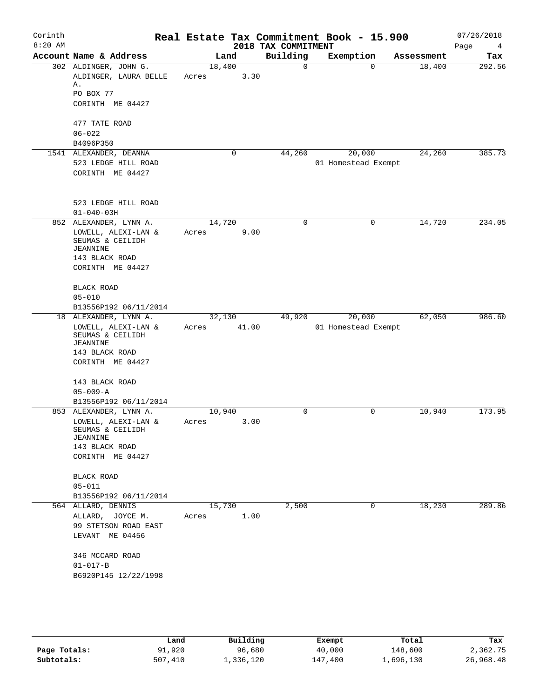|                                                                                                                          |                                                                                                                                                                                                                                |   |                                                        |                                       |                     | 07/26/2018<br>Page<br>4                                                                |
|--------------------------------------------------------------------------------------------------------------------------|--------------------------------------------------------------------------------------------------------------------------------------------------------------------------------------------------------------------------------|---|--------------------------------------------------------|---------------------------------------|---------------------|----------------------------------------------------------------------------------------|
|                                                                                                                          |                                                                                                                                                                                                                                |   | Building                                               | Exemption                             | Assessment          | Tax                                                                                    |
| ALDINGER, LAURA BELLE<br>Α.<br>PO BOX 77<br>CORINTH ME 04427                                                             | Acres                                                                                                                                                                                                                          |   | $\Omega$                                               | $\Omega$                              | 18,400              | 292.56                                                                                 |
| 477 TATE ROAD<br>$06 - 022$<br>B4096P350                                                                                 |                                                                                                                                                                                                                                |   |                                                        |                                       |                     |                                                                                        |
| 523 LEDGE HILL ROAD<br>CORINTH ME 04427                                                                                  |                                                                                                                                                                                                                                | 0 | 44,260                                                 | 20,000                                | 24,260              | 385.73                                                                                 |
| 523 LEDGE HILL ROAD<br>$01 - 040 - 03H$                                                                                  |                                                                                                                                                                                                                                |   |                                                        |                                       |                     |                                                                                        |
| LOWELL, ALEXI-LAN &<br>SEUMAS & CEILIDH<br>JEANNINE<br>143 BLACK ROAD<br>CORINTH ME 04427                                | Acres                                                                                                                                                                                                                          |   | $\mathbf 0$                                            | 0                                     | 14,720              | 234.05                                                                                 |
| <b>BLACK ROAD</b><br>$05 - 010$                                                                                          |                                                                                                                                                                                                                                |   |                                                        |                                       |                     |                                                                                        |
| LOWELL, ALEXI-LAN &<br>SEUMAS & CEILIDH<br>JEANNINE<br>143 BLACK ROAD<br>CORINTH ME 04427<br>143 BLACK ROAD              | Acres                                                                                                                                                                                                                          |   | 49,920                                                 | 20,000                                | 62,050              | 986.60                                                                                 |
| $05 - 009 - A$<br>B13556P192 06/11/2014                                                                                  |                                                                                                                                                                                                                                |   |                                                        |                                       |                     |                                                                                        |
| LOWELL, ALEXI-LAN &<br>SEUMAS & CEILIDH<br><b>JEANNINE</b><br>143 BLACK ROAD<br>CORINTH ME 04427                         | Acres                                                                                                                                                                                                                          |   | 0                                                      | 0                                     | 10,940              | 173.95                                                                                 |
| BLACK ROAD<br>$05 - 011$                                                                                                 |                                                                                                                                                                                                                                |   |                                                        |                                       |                     |                                                                                        |
| ALLARD, JOYCE M.<br>99 STETSON ROAD EAST<br>LEVANT ME 04456<br>346 MCCARD ROAD<br>$01 - 017 - B$<br>B6920P145 12/22/1998 | Acres                                                                                                                                                                                                                          |   | 2,500                                                  | $\overline{0}$                        | 18,230              | 289.86                                                                                 |
|                                                                                                                          | Account Name & Address<br>302 ALDINGER, JOHN G.<br>1541 ALEXANDER, DEANNA<br>852 ALEXANDER, LYNN A.<br>B13556P192 06/11/2014<br>18 ALEXANDER, LYNN A.<br>853 ALEXANDER, LYNN A.<br>B13556P192 06/11/2014<br>564 ALLARD, DENNIS |   | Land<br>18,400<br>14,720<br>32,130<br>10,940<br>15,730 | 3.30<br>9.00<br>41.00<br>3.00<br>1.00 | 2018 TAX COMMITMENT | Real Estate Tax Commitment Book - 15.900<br>01 Homestead Exempt<br>01 Homestead Exempt |

|              | Land    | Building  | Exempt  | Total     | Tax       |
|--------------|---------|-----------|---------|-----------|-----------|
| Page Totals: | 91,920  | 96,680    | 40,000  | 148,600   | 2,362.75  |
| Subtotals:   | 507,410 | 1,336,120 | 147,400 | l,696,130 | 26,968.48 |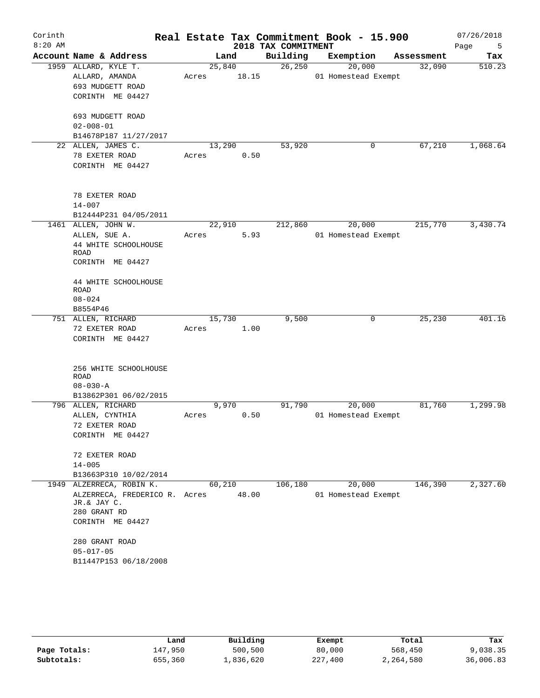| Corinth<br>$8:20$ AM |                                                  |                 |       | 2018 TAX COMMITMENT | Real Estate Tax Commitment Book - 15.900 |            | 07/26/2018<br>Page<br>5 |
|----------------------|--------------------------------------------------|-----------------|-------|---------------------|------------------------------------------|------------|-------------------------|
|                      | Account Name & Address                           |                 | Land  | Building            | Exemption                                | Assessment | Tax                     |
|                      | 1959 ALLARD, KYLE T.<br>ALLARD, AMANDA           | 25,840<br>Acres | 18.15 | 26, 250             | 20,000<br>01 Homestead Exempt            | 32,090     | 510.23                  |
|                      | 693 MUDGETT ROAD<br>CORINTH ME 04427             |                 |       |                     |                                          |            |                         |
|                      | 693 MUDGETT ROAD<br>$02 - 008 - 01$              |                 |       |                     |                                          |            |                         |
|                      | B14678P187 11/27/2017                            |                 |       |                     |                                          |            |                         |
|                      | 22 ALLEN, JAMES C.                               | 13,290          |       | 53,920              | 0                                        | 67,210     | 1,068.64                |
|                      | 78 EXETER ROAD<br>CORINTH ME 04427               | Acres           | 0.50  |                     |                                          |            |                         |
|                      | 78 EXETER ROAD<br>$14 - 007$                     |                 |       |                     |                                          |            |                         |
|                      | B12444P231 04/05/2011                            |                 |       |                     |                                          |            |                         |
|                      | 1461 ALLEN, JOHN W.                              | 22,910          |       | 212,860             | 20,000                                   | 215,770    | 3,430.74                |
|                      | ALLEN, SUE A.                                    | Acres           | 5.93  |                     | 01 Homestead Exempt                      |            |                         |
|                      | 44 WHITE SCHOOLHOUSE<br>ROAD<br>CORINTH ME 04427 |                 |       |                     |                                          |            |                         |
|                      | 44 WHITE SCHOOLHOUSE<br><b>ROAD</b>              |                 |       |                     |                                          |            |                         |
|                      | $08 - 024$                                       |                 |       |                     |                                          |            |                         |
|                      | B8554P46                                         |                 |       |                     |                                          |            |                         |
|                      | 751 ALLEN, RICHARD                               | 15,730          |       | 9,500               | 0                                        | 25,230     | 401.16                  |
|                      | 72 EXETER ROAD<br>CORINTH ME 04427               | Acres           | 1.00  |                     |                                          |            |                         |
|                      | 256 WHITE SCHOOLHOUSE<br><b>ROAD</b>             |                 |       |                     |                                          |            |                         |
|                      | $08 - 030 - A$<br>B13862P301 06/02/2015          |                 |       |                     |                                          |            |                         |
|                      | 796 ALLEN, RICHARD                               | 9,970           |       | 91,790              | 20,000                                   | 81,760     | 1,299.98                |
|                      | ALLEN, CYNTHIA                                   | Acres           | 0.50  |                     | 01 Homestead Exempt                      |            |                         |
|                      | 72 EXETER ROAD                                   |                 |       |                     |                                          |            |                         |
|                      | CORINTH ME 04427                                 |                 |       |                     |                                          |            |                         |
|                      | 72 EXETER ROAD                                   |                 |       |                     |                                          |            |                         |
|                      | $14 - 005$                                       |                 |       |                     |                                          |            |                         |
|                      | B13663P310 10/02/2014                            |                 |       |                     |                                          |            |                         |
|                      | 1949 ALZERRECA, ROBIN K.                         | 60,210          |       | 106,180             | 20,000                                   | 146,390    | 2,327.60                |
|                      | ALZERRECA, FREDERICO R. Acres<br>JR.& JAY C.     |                 | 48.00 |                     | 01 Homestead Exempt                      |            |                         |
|                      | 280 GRANT RD                                     |                 |       |                     |                                          |            |                         |
|                      | CORINTH ME 04427                                 |                 |       |                     |                                          |            |                         |
|                      | 280 GRANT ROAD                                   |                 |       |                     |                                          |            |                         |
|                      | $05 - 017 - 05$                                  |                 |       |                     |                                          |            |                         |
|                      | B11447P153 06/18/2008                            |                 |       |                     |                                          |            |                         |

|              | Land    | Building  | Exempt  | Total     | Tax       |
|--------------|---------|-----------|---------|-----------|-----------|
| Page Totals: | 147,950 | 500,500   | 80,000  | 568,450   | 9,038.35  |
| Subtotals:   | 655,360 | 1,836,620 | 227,400 | 2,264,580 | 36,006.83 |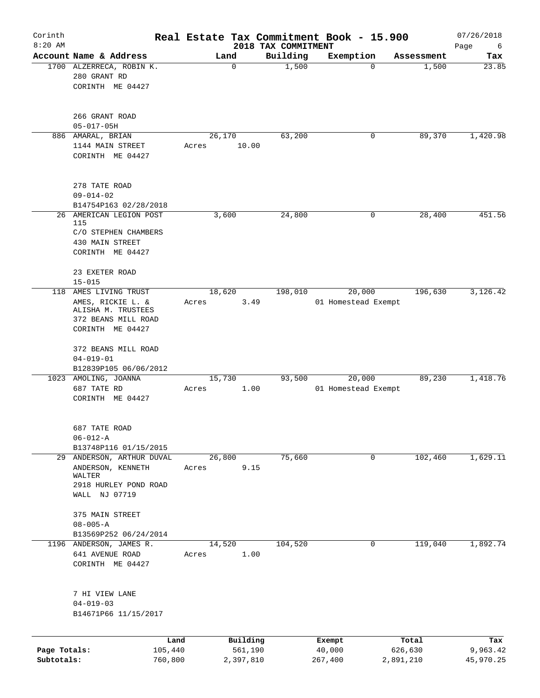| Corinth<br>$8:20$ AM       |                                                                                    |                    |        |                      | 2018 TAX COMMITMENT | Real Estate Tax Commitment Book - 15.900 |   |                      | 07/26/2018<br>Page<br>6 |
|----------------------------|------------------------------------------------------------------------------------|--------------------|--------|----------------------|---------------------|------------------------------------------|---|----------------------|-------------------------|
|                            | Account Name & Address                                                             |                    |        | Land                 | Building            | Exemption                                |   | Assessment           | Tax                     |
|                            | 1700 ALZERRECA, ROBIN K.<br>280 GRANT RD<br>CORINTH ME 04427                       |                    |        | $\mathbf 0$          | 1,500               |                                          | 0 | 1,500                | 23.85                   |
|                            | 266 GRANT ROAD<br>$05 - 017 - 05H$                                                 |                    |        |                      |                     |                                          |   |                      |                         |
|                            | 886 AMARAL, BRIAN                                                                  |                    | 26,170 |                      | 63,200              |                                          | 0 | 89,370               | 1,420.98                |
|                            | 1144 MAIN STREET<br>CORINTH ME 04427                                               |                    | Acres  | 10.00                |                     |                                          |   |                      |                         |
|                            | 278 TATE ROAD<br>$09 - 014 - 02$                                                   |                    |        |                      |                     |                                          |   |                      |                         |
|                            | B14754P163 02/28/2018<br>26 AMERICAN LEGION POST                                   |                    |        |                      | 24,800              |                                          | 0 |                      | 451.56                  |
|                            | 115<br>C/O STEPHEN CHAMBERS<br>430 MAIN STREET                                     |                    | 3,600  |                      |                     |                                          |   | 28,400               |                         |
|                            | CORINTH ME 04427<br>23 EXETER ROAD                                                 |                    |        |                      |                     |                                          |   |                      |                         |
|                            | $15 - 015$<br>118 AMES LIVING TRUST                                                |                    | 18,620 |                      | 198,010             | 20,000                                   |   | 196,630              | 3,126.42                |
|                            | AMES, RICKIE L. &<br>ALISHA M. TRUSTEES<br>372 BEANS MILL ROAD<br>CORINTH ME 04427 |                    | Acres  | 3.49                 |                     | 01 Homestead Exempt                      |   |                      |                         |
|                            | 372 BEANS MILL ROAD<br>$04 - 019 - 01$<br>B12839P105 06/06/2012                    |                    |        |                      |                     |                                          |   |                      |                         |
|                            | 1023 AMOLING, JOANNA                                                               |                    | 15,730 |                      | 93,500              | 20,000                                   |   | 89,230               | 1,418.76                |
|                            | 687 TATE RD<br>CORINTH ME 04427                                                    |                    | Acres  | 1.00                 |                     | 01 Homestead Exempt                      |   |                      |                         |
|                            | 687 TATE ROAD<br>$06 - 012 - A$                                                    |                    |        |                      |                     |                                          |   |                      |                         |
| 29                         | B13748P116 01/15/2015<br>ANDERSON, ARTHUR DUVAL                                    |                    | 26,800 |                      | 75,660              |                                          | 0 | 102,460              | 1,629.11                |
|                            | ANDERSON, KENNETH<br>WALTER<br>2918 HURLEY POND ROAD<br>WALL NJ 07719              |                    | Acres  | 9.15                 |                     |                                          |   |                      |                         |
|                            | 375 MAIN STREET                                                                    |                    |        |                      |                     |                                          |   |                      |                         |
|                            | $08 - 005 - A$                                                                     |                    |        |                      |                     |                                          |   |                      |                         |
|                            | B13569P252 06/24/2014<br>1196 ANDERSON, JAMES R.                                   |                    | 14,520 |                      | 104,520             |                                          | 0 | 119,040              | 1,892.74                |
|                            | 641 AVENUE ROAD<br>CORINTH ME 04427                                                |                    | Acres  | 1.00                 |                     |                                          |   |                      |                         |
|                            | 7 HI VIEW LANE<br>$04 - 019 - 03$<br>B14671P66 11/15/2017                          |                    |        |                      |                     |                                          |   |                      |                         |
|                            |                                                                                    | Land               |        | Building             |                     | Exempt                                   |   | Total                | Tax                     |
| Page Totals:<br>Subtotals: |                                                                                    | 105,440<br>760,800 |        | 561,190<br>2,397,810 |                     | 40,000<br>267,400                        |   | 626,630<br>2,891,210 | 9,963.42<br>45,970.25   |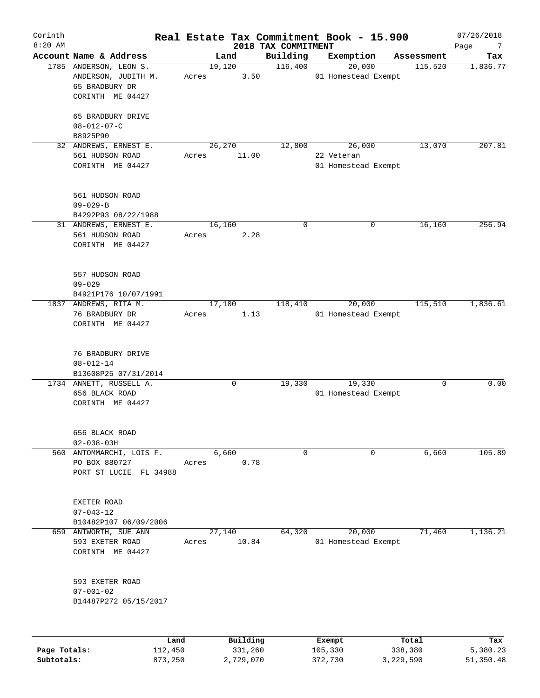| Corinth<br>$8:20$ AM |                                                                                                          |                 |                     | 2018 TAX COMMITMENT | Real Estate Tax Commitment Book - 15.900 |                  | 07/26/2018<br>Page<br>7 |
|----------------------|----------------------------------------------------------------------------------------------------------|-----------------|---------------------|---------------------|------------------------------------------|------------------|-------------------------|
|                      | Account Name & Address                                                                                   |                 | Land                | Building            | Exemption                                | Assessment       | Tax                     |
|                      | 1785 ANDERSON, LEON S.<br>ANDERSON, JUDITH M.<br>65 BRADBURY DR<br>CORINTH ME 04427<br>65 BRADBURY DRIVE | Acres           | 19,120<br>3.50      | 116,400             | 20,000<br>01 Homestead Exempt            | 115,520          | 1,836.77                |
|                      | $08 - 012 - 07 - C$<br>B8925P90                                                                          |                 |                     |                     |                                          |                  |                         |
|                      | 32 ANDREWS, ERNEST E.                                                                                    |                 | 26,270              | 12,800              | 26,000                                   | 13,070           | 207.81                  |
|                      | 561 HUDSON ROAD<br>CORINTH ME 04427                                                                      | Acres           | 11.00               |                     | 22 Veteran<br>01 Homestead Exempt        |                  |                         |
|                      | 561 HUDSON ROAD<br>$09 - 029 - B$<br>B4292P93 08/22/1988                                                 |                 |                     |                     |                                          |                  |                         |
|                      | 31 ANDREWS, ERNEST E.                                                                                    |                 | 16,160              | 0                   | $\mathbf 0$                              | 16,160           | 256.94                  |
|                      | 561 HUDSON ROAD<br>CORINTH ME 04427                                                                      | Acres           | 2.28                |                     |                                          |                  |                         |
|                      | 557 HUDSON ROAD<br>$09 - 029$<br>B4921P176 10/07/1991                                                    |                 |                     |                     |                                          |                  |                         |
|                      | 1837 ANDREWS, RITA M.<br>76 BRADBURY DR<br>CORINTH ME 04427                                              | Acres           | 17,100<br>1.13      | 118,410             | 20,000<br>01 Homestead Exempt            | 115,510          | 1,836.61                |
|                      | 76 BRADBURY DRIVE<br>$08 - 012 - 14$<br>B13608P25 07/31/2014                                             |                 |                     |                     |                                          |                  |                         |
|                      | 1734 ANNETT, RUSSELL A.<br>656 BLACK ROAD<br>CORINTH ME 04427                                            |                 | 0                   | 19,330              | 19,330<br>01 Homestead Exempt            | 0                | 0.00                    |
|                      | 656 BLACK ROAD<br>$02 - 038 - 03H$                                                                       |                 |                     |                     |                                          |                  |                         |
|                      | 560 ANTOMMARCHI, LOIS F.<br>PO BOX 880727<br>PORT ST LUCIE FL 34988                                      | Acres           | 6,660<br>0.78       | 0                   | $\mathbf 0$                              | 6,660            | 105.89                  |
|                      | EXETER ROAD<br>$07 - 043 - 12$<br>B10482P107 06/09/2006                                                  |                 |                     |                     |                                          |                  |                         |
|                      | 659 ANTWORTH, SUE ANN<br>593 EXETER ROAD<br>CORINTH ME 04427                                             | Acres           | 27,140<br>10.84     | 64,320              | 20,000<br>01 Homestead Exempt            | 71,460           | 1,136.21                |
|                      | 593 EXETER ROAD<br>$07 - 001 - 02$<br>B14487P272 05/15/2017                                              |                 |                     |                     |                                          |                  |                         |
| Page Totals:         |                                                                                                          | Land<br>112,450 | Building<br>331,260 |                     | Exempt<br>105,330                        | Total<br>338,380 | Tax<br>5,380.23         |
| Subtotals:           |                                                                                                          | 873,250         | 2,729,070           |                     | 372,730                                  | 3,229,590        | 51,350.48               |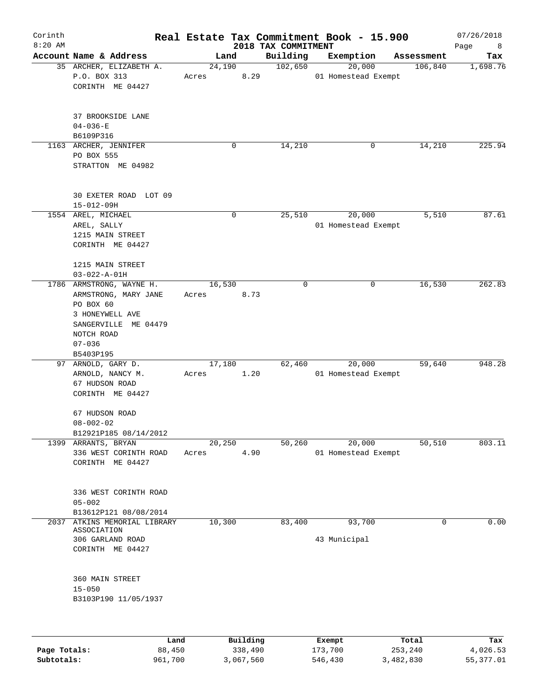| Corinth<br>$8:20$ AM |                                                                                                                        |                 |      | 2018 TAX COMMITMENT | Real Estate Tax Commitment Book - 15.900 |            | 07/26/2018<br>Page<br>8 |
|----------------------|------------------------------------------------------------------------------------------------------------------------|-----------------|------|---------------------|------------------------------------------|------------|-------------------------|
|                      | Account Name & Address                                                                                                 | Land            |      | Building            | Exemption                                | Assessment | Tax                     |
|                      | 35 ARCHER, ELIZABETH A.<br>P.O. BOX 313<br>CORINTH ME 04427                                                            | 24,190<br>Acres | 8.29 | 102,650             | 20,000<br>01 Homestead Exempt            | 106,840    | 1,698.76                |
|                      | 37 BROOKSIDE LANE<br>$04 - 036 - E$<br>B6109P316                                                                       |                 |      |                     |                                          |            |                         |
|                      | 1163 ARCHER, JENNIFER<br>PO BOX 555<br>STRATTON ME 04982                                                               |                 | 0    | 14,210              | 0                                        | 14,210     | 225.94                  |
|                      | 30 EXETER ROAD LOT 09<br>$15 - 012 - 09H$                                                                              |                 |      |                     |                                          |            |                         |
|                      | 1554 AREL, MICHAEL<br>AREL, SALLY<br>1215 MAIN STREET<br>CORINTH ME 04427                                              |                 | 0    | 25,510              | 20,000<br>01 Homestead Exempt            | 5,510      | 87.61                   |
|                      | 1215 MAIN STREET<br>$03 - 022 - A - 01H$                                                                               |                 |      |                     |                                          |            |                         |
|                      | 1786 ARMSTRONG, WAYNE H.<br>ARMSTRONG, MARY JANE<br>PO BOX 60<br>3 HONEYWELL AVE<br>SANGERVILLE ME 04479<br>NOTCH ROAD | 16,530<br>Acres | 8.73 | 0                   | 0                                        | 16,530     | 262.83                  |
|                      | $07 - 036$<br>B5403P195                                                                                                |                 |      |                     |                                          |            |                         |
|                      | 97 ARNOLD, GARY D.<br>ARNOLD, NANCY M.<br>67 HUDSON ROAD<br>CORINTH ME 04427                                           | 17,180<br>Acres | 1.20 | 62,460              | 20,000<br>01 Homestead Exempt            | 59,640     | 948.28                  |
|                      | 67 HUDSON ROAD<br>$08 - 002 - 02$<br>B12921P185 08/14/2012                                                             |                 |      |                     |                                          |            |                         |
|                      | 1399 ARRANTS, BRYAN<br>336 WEST CORINTH ROAD<br>CORINTH ME 04427                                                       | 20,250<br>Acres | 4.90 | 50, 260             | 20,000<br>01 Homestead Exempt            | 50,510     | 803.11                  |
|                      | 336 WEST CORINTH ROAD<br>$05 - 002$<br>B13612P121 08/08/2014                                                           |                 |      |                     |                                          |            |                         |
| 2037                 | ATKINS MEMORIAL LIBRARY<br>ASSOCIATION<br>306 GARLAND ROAD<br>CORINTH ME 04427                                         | 10,300          |      | 83,400              | 93,700<br>43 Municipal                   | 0          | 0.00                    |
|                      | 360 MAIN STREET<br>$15 - 050$<br>B3103P190 11/05/1937                                                                  |                 |      |                     |                                          |            |                         |
|                      |                                                                                                                        |                 |      |                     |                                          |            |                         |

|              | Land    | Building  | Exempt  | Total     | Tax       |
|--------------|---------|-----------|---------|-----------|-----------|
| Page Totals: | 88,450  | 338,490   | 173,700 | 253,240   | 4,026.53  |
| Subtotals:   | 961,700 | 3,067,560 | 546,430 | 3,482,830 | 55,377.01 |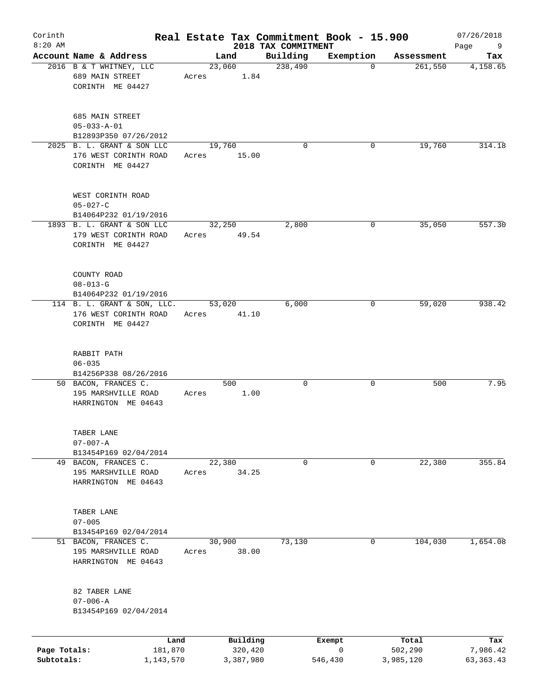| Corinth<br>$8:20$ AM       |                                                                          |                 |                      | 2018 TAX COMMITMENT | Real Estate Tax Commitment Book - 15.900 |                      | 07/26/2018<br>Page<br>9 |
|----------------------------|--------------------------------------------------------------------------|-----------------|----------------------|---------------------|------------------------------------------|----------------------|-------------------------|
|                            | Account Name & Address                                                   |                 | Land                 | Building            | Exemption                                | Assessment           | Tax                     |
|                            | 2016 B & T WHITNEY, LLC<br>689 MAIN STREET<br>CORINTH ME 04427           | 23,060<br>Acres | 1.84                 | 238,490             | $\mathbf 0$                              | 261,550              | 4,158.65                |
|                            | 685 MAIN STREET<br>$05 - 033 - A - 01$<br>B12893P350 07/26/2012          |                 |                      |                     |                                          |                      |                         |
|                            | 2025 B. L. GRANT & SON LLC<br>176 WEST CORINTH ROAD<br>CORINTH ME 04427  | 19,760<br>Acres | 15.00                | $\Omega$            | 0                                        | 19,760               | 314.18                  |
|                            | WEST CORINTH ROAD<br>$05 - 027 - C$<br>B14064P232 01/19/2016             |                 |                      |                     |                                          |                      |                         |
|                            | 1893 B. L. GRANT & SON LLC<br>179 WEST CORINTH ROAD<br>CORINTH ME 04427  | 32,250<br>Acres | 49.54                | 2,800               | 0                                        | 35,050               | 557.30                  |
|                            | COUNTY ROAD<br>$08 - 013 - G$<br>B14064P232 01/19/2016                   |                 |                      |                     |                                          |                      |                         |
|                            | 114 B. L. GRANT & SON, LLC.<br>176 WEST CORINTH ROAD<br>CORINTH ME 04427 | 53,020<br>Acres | 41.10                | 6,000               | 0                                        | 59,020               | 938.42                  |
|                            | RABBIT PATH<br>$06 - 035$<br>B14256P338 08/26/2016                       |                 |                      |                     |                                          |                      |                         |
|                            | 50 BACON, FRANCES C.<br>195 MARSHVILLE ROAD<br>HARRINGTON ME 04643       | Acres           | 500<br>1.00          | 0                   | 0                                        | 500                  | 7.95                    |
|                            | TABER LANE<br>$07 - 007 - A$<br>B13454P169 02/04/2014                    |                 |                      |                     |                                          |                      |                         |
|                            | 49 BACON, FRANCES C.<br>195 MARSHVILLE ROAD<br>HARRINGTON ME 04643       | 22,380<br>Acres | 34.25                | 0                   | 0                                        | 22,380               | 355.84                  |
|                            | TABER LANE<br>$07 - 005$<br>B13454P169 02/04/2014                        |                 |                      |                     |                                          |                      |                         |
|                            | 51 BACON, FRANCES C.<br>195 MARSHVILLE ROAD<br>HARRINGTON ME 04643       | 30,900<br>Acres | 38.00                | 73,130              | 0                                        | 104,030              | 1,654.08                |
|                            | 82 TABER LANE<br>$07 - 006 - A$<br>B13454P169 02/04/2014                 |                 |                      |                     |                                          |                      |                         |
|                            | Land                                                                     |                 | Building             |                     | Exempt                                   | Total                | Tax                     |
| Page Totals:<br>Subtotals: | 181,870<br>1,143,570                                                     |                 | 320,420<br>3,387,980 |                     | 0<br>546,430                             | 502,290<br>3,985,120 | 7,986.42<br>63, 363. 43 |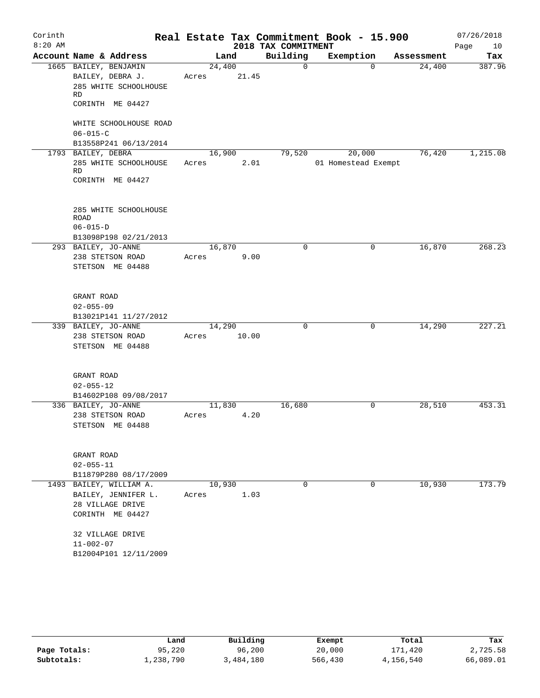| Corinth   |                               |        |       |                     | Real Estate Tax Commitment Book - 15.900 |             |            | 07/26/2018 |
|-----------|-------------------------------|--------|-------|---------------------|------------------------------------------|-------------|------------|------------|
| $8:20$ AM |                               |        |       | 2018 TAX COMMITMENT |                                          |             |            | Page<br>10 |
|           | Account Name & Address        |        | Land  | Building            | Exemption                                |             | Assessment | Tax        |
|           | 1665 BAILEY, BENJAMIN         | 24,400 |       | 0                   |                                          | $\Omega$    | 24,400     | 387.96     |
|           | BAILEY, DEBRA J.              | Acres  | 21.45 |                     |                                          |             |            |            |
|           | 285 WHITE SCHOOLHOUSE         |        |       |                     |                                          |             |            |            |
|           | RD                            |        |       |                     |                                          |             |            |            |
|           | CORINTH ME 04427              |        |       |                     |                                          |             |            |            |
|           | WHITE SCHOOLHOUSE ROAD        |        |       |                     |                                          |             |            |            |
|           | $06 - 015 - C$                |        |       |                     |                                          |             |            |            |
|           | B13558P241 06/13/2014         |        |       |                     |                                          |             |            |            |
|           | 1793 BAILEY, DEBRA            | 16,900 |       | 79,520              | 20,000                                   |             | 76,420     | 1,215.08   |
|           | 285 WHITE SCHOOLHOUSE         | Acres  | 2.01  |                     | 01 Homestead Exempt                      |             |            |            |
|           | <b>RD</b>                     |        |       |                     |                                          |             |            |            |
|           | CORINTH ME 04427              |        |       |                     |                                          |             |            |            |
|           |                               |        |       |                     |                                          |             |            |            |
|           |                               |        |       |                     |                                          |             |            |            |
|           | 285 WHITE SCHOOLHOUSE<br>ROAD |        |       |                     |                                          |             |            |            |
|           | $06 - 015 - D$                |        |       |                     |                                          |             |            |            |
|           | B13098P198 02/21/2013         |        |       |                     |                                          |             |            |            |
|           | 293 BAILEY, JO-ANNE           | 16,870 |       | 0                   |                                          | 0           | 16,870     | 268.23     |
|           | 238 STETSON ROAD              | Acres  | 9.00  |                     |                                          |             |            |            |
|           | STETSON ME 04488              |        |       |                     |                                          |             |            |            |
|           |                               |        |       |                     |                                          |             |            |            |
|           |                               |        |       |                     |                                          |             |            |            |
|           | GRANT ROAD                    |        |       |                     |                                          |             |            |            |
|           | $02 - 055 - 09$               |        |       |                     |                                          |             |            |            |
|           | B13021P141 11/27/2012         |        |       |                     |                                          |             |            |            |
|           | 339 BAILEY, JO-ANNE           | 14,290 |       | 0                   |                                          | 0           | 14,290     | 227.21     |
|           | 238 STETSON ROAD              | Acres  | 10.00 |                     |                                          |             |            |            |
|           | STETSON ME 04488              |        |       |                     |                                          |             |            |            |
|           |                               |        |       |                     |                                          |             |            |            |
|           |                               |        |       |                     |                                          |             |            |            |
|           | GRANT ROAD                    |        |       |                     |                                          |             |            |            |
|           | $02 - 055 - 12$               |        |       |                     |                                          |             |            |            |
|           | B14602P108 09/08/2017         |        |       |                     |                                          |             |            |            |
|           | 336 BAILEY, JO-ANNE           | 11,830 |       | 16,680              |                                          | $\mathbf 0$ | 28,510     | 453.31     |
|           | 238 STETSON ROAD              | Acres  | 4.20  |                     |                                          |             |            |            |
|           | STETSON ME 04488              |        |       |                     |                                          |             |            |            |
|           |                               |        |       |                     |                                          |             |            |            |
|           | GRANT ROAD                    |        |       |                     |                                          |             |            |            |
|           | $02 - 055 - 11$               |        |       |                     |                                          |             |            |            |
|           | B11879P280 08/17/2009         |        |       |                     |                                          |             |            |            |
|           | 1493 BAILEY, WILLIAM A.       | 10,930 |       | $\Omega$            |                                          | $\mathbf 0$ | 10,930     | 173.79     |
|           | BAILEY, JENNIFER L.           | Acres  | 1.03  |                     |                                          |             |            |            |
|           | 28 VILLAGE DRIVE              |        |       |                     |                                          |             |            |            |
|           | CORINTH ME 04427              |        |       |                     |                                          |             |            |            |
|           |                               |        |       |                     |                                          |             |            |            |
|           | 32 VILLAGE DRIVE              |        |       |                     |                                          |             |            |            |
|           | $11 - 002 - 07$               |        |       |                     |                                          |             |            |            |
|           | B12004P101 12/11/2009         |        |       |                     |                                          |             |            |            |
|           |                               |        |       |                     |                                          |             |            |            |

|              | Land      | Building  | Exempt  | Total     | Tax       |
|--------------|-----------|-----------|---------|-----------|-----------|
| Page Totals: | 95,220    | 96,200    | 20,000  | 171,420   | 2,725.58  |
| Subtotals:   | 1,238,790 | 3,484,180 | 566,430 | 4,156,540 | 66,089.01 |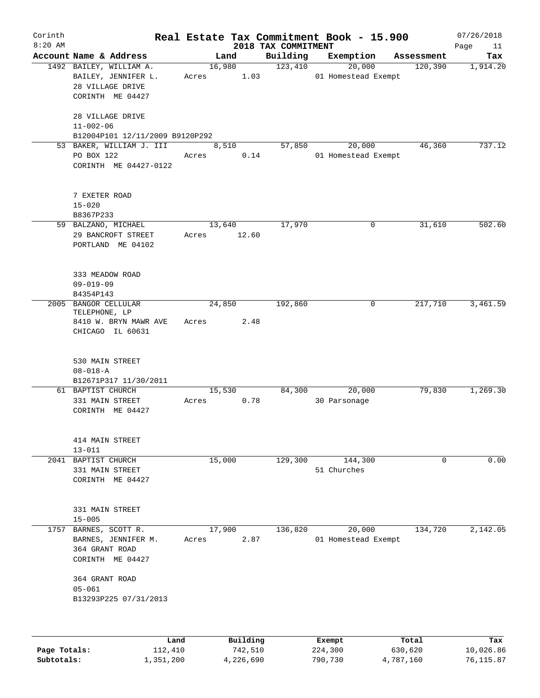| Corinth<br>$8:20$ AM |                                 |        |           | 2018 TAX COMMITMENT | Real Estate Tax Commitment Book - 15.900 |            | 07/26/2018<br>Page<br>11 |
|----------------------|---------------------------------|--------|-----------|---------------------|------------------------------------------|------------|--------------------------|
|                      | Account Name & Address          |        | Land      | Building            | Exemption                                | Assessment | Tax                      |
|                      | 1492 BAILEY, WILLIAM A.         |        | 16,980    | 123,410             | 20,000                                   | 120,390    | 1,914.20                 |
|                      | BAILEY, JENNIFER L.             | Acres  | 1.03      |                     | 01 Homestead Exempt                      |            |                          |
|                      | 28 VILLAGE DRIVE                |        |           |                     |                                          |            |                          |
|                      | CORINTH ME 04427                |        |           |                     |                                          |            |                          |
|                      |                                 |        |           |                     |                                          |            |                          |
|                      | 28 VILLAGE DRIVE                |        |           |                     |                                          |            |                          |
|                      | $11 - 002 - 06$                 |        |           |                     |                                          |            |                          |
|                      | B12004P101 12/11/2009 B9120P292 |        |           |                     |                                          |            |                          |
|                      | 53 BAKER, WILLIAM J. III        |        | 8,510     | 57,850              | 20,000                                   | 46,360     | 737.12                   |
|                      | PO BOX 122                      | Acres  | 0.14      |                     | 01 Homestead Exempt                      |            |                          |
|                      | CORINTH ME 04427-0122           |        |           |                     |                                          |            |                          |
|                      |                                 |        |           |                     |                                          |            |                          |
|                      |                                 |        |           |                     |                                          |            |                          |
|                      | 7 EXETER ROAD                   |        |           |                     |                                          |            |                          |
|                      |                                 |        |           |                     |                                          |            |                          |
|                      | $15 - 020$                      |        |           |                     |                                          |            |                          |
|                      | B8367P233                       |        |           |                     |                                          |            |                          |
|                      | 59 BALZANO, MICHAEL             |        | 13,640    | 17,970              | 0                                        | 31,610     | 502.60                   |
|                      | 29 BANCROFT STREET              | Acres  | 12.60     |                     |                                          |            |                          |
|                      | PORTLAND ME 04102               |        |           |                     |                                          |            |                          |
|                      |                                 |        |           |                     |                                          |            |                          |
|                      |                                 |        |           |                     |                                          |            |                          |
|                      | 333 MEADOW ROAD                 |        |           |                     |                                          |            |                          |
|                      | $09 - 019 - 09$                 |        |           |                     |                                          |            |                          |
|                      | B4354P143                       |        |           |                     |                                          |            |                          |
|                      | 2005 BANGOR CELLULAR            |        | 24,850    | 192,860             | $\mathbf 0$                              | 217,710    | 3,461.59                 |
|                      | TELEPHONE, LP                   |        |           |                     |                                          |            |                          |
|                      | 8410 W. BRYN MAWR AVE           | Acres  | 2.48      |                     |                                          |            |                          |
|                      | CHICAGO IL 60631                |        |           |                     |                                          |            |                          |
|                      |                                 |        |           |                     |                                          |            |                          |
|                      |                                 |        |           |                     |                                          |            |                          |
|                      | 530 MAIN STREET                 |        |           |                     |                                          |            |                          |
|                      | $08 - 018 - A$                  |        |           |                     |                                          |            |                          |
|                      | B12671P317 11/30/2011           |        |           |                     |                                          |            |                          |
|                      | 61 BAPTIST CHURCH               |        | 15,530    | 84,300              | 20,000                                   | 79,830     | 1,269.30                 |
|                      | 331 MAIN STREET                 | Acres  | 0.78      |                     | 30 Parsonage                             |            |                          |
|                      | CORINTH ME 04427                |        |           |                     |                                          |            |                          |
|                      |                                 |        |           |                     |                                          |            |                          |
|                      |                                 |        |           |                     |                                          |            |                          |
|                      | 414 MAIN STREET                 |        |           |                     |                                          |            |                          |
|                      | $13 - 011$                      |        |           |                     |                                          |            |                          |
|                      | 2041 BAPTIST CHURCH             | 15,000 |           | 129,300             | 144,300                                  | 0          | 0.00                     |
|                      | 331 MAIN STREET                 |        |           |                     | 51 Churches                              |            |                          |
|                      | CORINTH ME 04427                |        |           |                     |                                          |            |                          |
|                      |                                 |        |           |                     |                                          |            |                          |
|                      |                                 |        |           |                     |                                          |            |                          |
|                      | 331 MAIN STREET                 |        |           |                     |                                          |            |                          |
|                      | $15 - 005$                      |        |           |                     |                                          |            |                          |
|                      | 1757 BARNES, SCOTT R.           |        | 17,900    | 136,820             | 20,000                                   | 134,720    | 2,142.05                 |
|                      | BARNES, JENNIFER M.             | Acres  | 2.87      |                     | 01 Homestead Exempt                      |            |                          |
|                      | 364 GRANT ROAD                  |        |           |                     |                                          |            |                          |
|                      | CORINTH ME 04427                |        |           |                     |                                          |            |                          |
|                      |                                 |        |           |                     |                                          |            |                          |
|                      | 364 GRANT ROAD                  |        |           |                     |                                          |            |                          |
|                      | $05 - 061$                      |        |           |                     |                                          |            |                          |
|                      | B13293P225 07/31/2013           |        |           |                     |                                          |            |                          |
|                      |                                 |        |           |                     |                                          |            |                          |
|                      |                                 |        |           |                     |                                          |            |                          |
|                      |                                 |        |           |                     |                                          |            |                          |
|                      | Land                            |        | Building  |                     | Exempt                                   | Total      | Tax                      |
| Page Totals:         | 112,410                         |        | 742,510   |                     | 224,300                                  | 630,620    | 10,026.86                |
| Subtotals:           | 1,351,200                       |        | 4,226,690 |                     | 790,730                                  | 4,787,160  | 76,115.87                |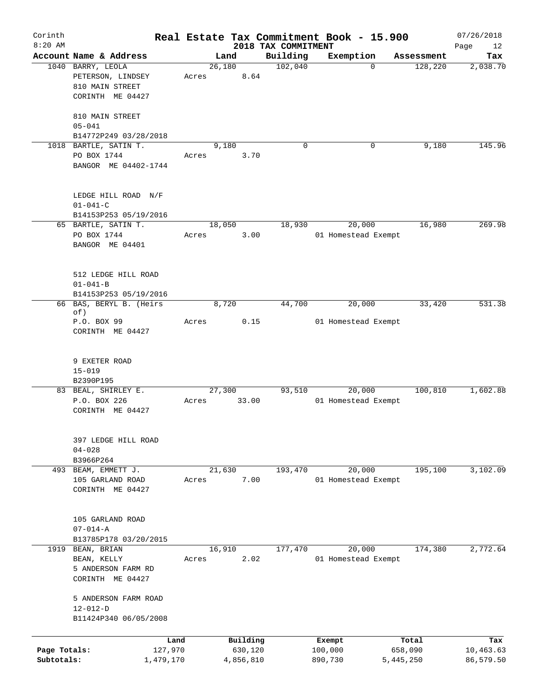| Corinth      |                                              |       |                |           | Real Estate Tax Commitment Book - 15.900 |                     |             |                       | 07/26/2018      |
|--------------|----------------------------------------------|-------|----------------|-----------|------------------------------------------|---------------------|-------------|-----------------------|-----------------|
| $8:20$ AM    | Account Name & Address                       |       |                |           | 2018 TAX COMMITMENT                      |                     |             |                       | Page<br>12      |
|              | 1040 BARRY, LEOLA                            |       | Land<br>26,180 |           | Building<br>102,040                      | Exemption           | $\mathbf 0$ | Assessment<br>128,220 | Tax<br>2,038.70 |
|              | PETERSON, LINDSEY                            | Acres |                | 8.64      |                                          |                     |             |                       |                 |
|              | 810 MAIN STREET                              |       |                |           |                                          |                     |             |                       |                 |
|              | CORINTH ME 04427                             |       |                |           |                                          |                     |             |                       |                 |
|              |                                              |       |                |           |                                          |                     |             |                       |                 |
|              | 810 MAIN STREET                              |       |                |           |                                          |                     |             |                       |                 |
|              | $05 - 041$                                   |       |                |           |                                          |                     |             |                       |                 |
|              | B14772P249 03/28/2018                        |       |                |           |                                          |                     |             |                       |                 |
|              | 1018 BARTLE, SATIN T.                        |       | 9,180          |           | $\Omega$                                 |                     | 0           | 9,180                 | 145.96          |
|              | PO BOX 1744                                  | Acres |                | 3.70      |                                          |                     |             |                       |                 |
|              | BANGOR ME 04402-1744                         |       |                |           |                                          |                     |             |                       |                 |
|              |                                              |       |                |           |                                          |                     |             |                       |                 |
|              |                                              |       |                |           |                                          |                     |             |                       |                 |
|              | LEDGE HILL ROAD N/F                          |       |                |           |                                          |                     |             |                       |                 |
|              | $01 - 041 - C$                               |       |                |           |                                          |                     |             |                       |                 |
|              | B14153P253 05/19/2016<br>65 BARTLE, SATIN T. |       | 18,050         |           | 18,930                                   |                     | 20,000      | 16,980                | 269.98          |
|              | PO BOX 1744                                  | Acres |                | 3.00      |                                          | 01 Homestead Exempt |             |                       |                 |
|              | BANGOR ME 04401                              |       |                |           |                                          |                     |             |                       |                 |
|              |                                              |       |                |           |                                          |                     |             |                       |                 |
|              |                                              |       |                |           |                                          |                     |             |                       |                 |
|              | 512 LEDGE HILL ROAD                          |       |                |           |                                          |                     |             |                       |                 |
|              | $01 - 041 - B$                               |       |                |           |                                          |                     |             |                       |                 |
|              | B14153P253 05/19/2016                        |       |                |           |                                          |                     |             |                       |                 |
|              | 66 BAS, BERYL B. (Heirs                      |       | 8,720          |           | 44,700                                   |                     | 20,000      | 33,420                | 531.38          |
|              | of)                                          |       |                |           |                                          |                     |             |                       |                 |
|              | P.O. BOX 99                                  | Acres |                | 0.15      |                                          | 01 Homestead Exempt |             |                       |                 |
|              | CORINTH ME 04427                             |       |                |           |                                          |                     |             |                       |                 |
|              |                                              |       |                |           |                                          |                     |             |                       |                 |
|              | 9 EXETER ROAD                                |       |                |           |                                          |                     |             |                       |                 |
|              | $15 - 019$                                   |       |                |           |                                          |                     |             |                       |                 |
|              | B2390P195                                    |       |                |           |                                          |                     |             |                       |                 |
|              | 83 BEAL, SHIRLEY E.                          |       | 27,300         |           | 93,510                                   |                     | 20,000      | 100,810               | 1,602.88        |
|              | P.O. BOX 226                                 | Acres |                | 33.00     |                                          | 01 Homestead Exempt |             |                       |                 |
|              | CORINTH ME 04427                             |       |                |           |                                          |                     |             |                       |                 |
|              |                                              |       |                |           |                                          |                     |             |                       |                 |
|              |                                              |       |                |           |                                          |                     |             |                       |                 |
|              | 397 LEDGE HILL ROAD                          |       |                |           |                                          |                     |             |                       |                 |
|              | $04 - 028$                                   |       |                |           |                                          |                     |             |                       |                 |
|              | B3966P264                                    |       |                |           |                                          |                     |             |                       |                 |
| 493          | BEAM, EMMETT J.                              |       | 21,630         |           | 193,470                                  |                     | 20,000      | 195,100               | 3,102.09        |
|              | 105 GARLAND ROAD                             | Acres |                | 7.00      |                                          | 01 Homestead Exempt |             |                       |                 |
|              | CORINTH ME 04427                             |       |                |           |                                          |                     |             |                       |                 |
|              |                                              |       |                |           |                                          |                     |             |                       |                 |
|              |                                              |       |                |           |                                          |                     |             |                       |                 |
|              | 105 GARLAND ROAD<br>$07 - 014 - A$           |       |                |           |                                          |                     |             |                       |                 |
|              | B13785P178 03/20/2015                        |       |                |           |                                          |                     |             |                       |                 |
|              | 1919 BEAN, BRIAN                             |       | 16,910         |           | 177,470                                  |                     | 20,000      | 174,380               | 2,772.64        |
|              | BEAN, KELLY                                  | Acres |                | 2.02      |                                          | 01 Homestead Exempt |             |                       |                 |
|              | 5 ANDERSON FARM RD                           |       |                |           |                                          |                     |             |                       |                 |
|              | CORINTH ME 04427                             |       |                |           |                                          |                     |             |                       |                 |
|              |                                              |       |                |           |                                          |                     |             |                       |                 |
|              | 5 ANDERSON FARM ROAD                         |       |                |           |                                          |                     |             |                       |                 |
|              | $12 - 012 - D$                               |       |                |           |                                          |                     |             |                       |                 |
|              | B11424P340 06/05/2008                        |       |                |           |                                          |                     |             |                       |                 |
|              |                                              |       |                |           |                                          |                     |             |                       |                 |
|              | Land                                         |       |                | Building  |                                          | Exempt              |             | Total                 | Tax             |
| Page Totals: | 127,970                                      |       |                | 630,120   |                                          | 100,000             |             | 658,090               | 10,463.63       |
| Subtotals:   | 1,479,170                                    |       |                | 4,856,810 |                                          | 890,730             |             | 5,445,250             | 86,579.50       |
|              |                                              |       |                |           |                                          |                     |             |                       |                 |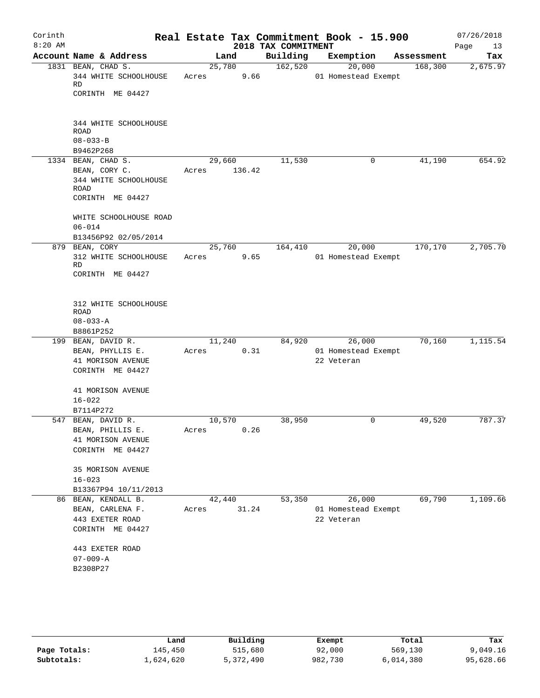| Corinth<br>$8:20$ AM |                                                                                 |                 | 2018 TAX COMMITMENT | Real Estate Tax Commitment Book - 15.900 |            | 07/26/2018<br>Page<br>13 |
|----------------------|---------------------------------------------------------------------------------|-----------------|---------------------|------------------------------------------|------------|--------------------------|
|                      | Account Name & Address                                                          | Land            | Building            | Exemption                                | Assessment | Tax                      |
|                      | 1831 BEAN, CHAD S.<br>344 WHITE SCHOOLHOUSE<br>RD<br>CORINTH ME 04427           | 25,780<br>Acres | 162,520<br>9.66     | 20,000<br>01 Homestead Exempt            | 168,300    | 2,675.97                 |
|                      | 344 WHITE SCHOOLHOUSE<br><b>ROAD</b><br>$08 - 033 - B$<br>B9462P268             |                 |                     |                                          |            |                          |
|                      | 1334 BEAN, CHAD S.                                                              | 29,660          | 11,530              | 0                                        | 41,190     | 654.92                   |
|                      | BEAN, CORY C.<br>344 WHITE SCHOOLHOUSE<br>ROAD<br>CORINTH ME 04427              | Acres           | 136.42              |                                          |            |                          |
|                      | WHITE SCHOOLHOUSE ROAD<br>$06 - 014$<br>B13456P92 02/05/2014                    |                 |                     |                                          |            |                          |
|                      | 879 BEAN, CORY                                                                  | 25,760          | 164,410             | 20,000                                   | 170,170    | 2,705.70                 |
|                      | 312 WHITE SCHOOLHOUSE<br>RD                                                     | Acres           | 9.65                | 01 Homestead Exempt                      |            |                          |
|                      | CORINTH ME 04427                                                                |                 |                     |                                          |            |                          |
|                      | 312 WHITE SCHOOLHOUSE<br>ROAD<br>$08 - 033 - A$                                 |                 |                     |                                          |            |                          |
|                      | B8861P252                                                                       |                 |                     |                                          |            |                          |
|                      | 199 BEAN, DAVID R.                                                              | 11,240          | 84,920              | 26,000                                   | 70,160     | 1,115.54                 |
|                      | BEAN, PHYLLIS E.                                                                | Acres           | 0.31                | 01 Homestead Exempt                      |            |                          |
|                      | 41 MORISON AVENUE<br>CORINTH ME 04427                                           |                 |                     | 22 Veteran                               |            |                          |
|                      | 41 MORISON AVENUE                                                               |                 |                     |                                          |            |                          |
|                      | $16 - 022$                                                                      |                 |                     |                                          |            |                          |
|                      | B7114P272                                                                       |                 |                     |                                          |            |                          |
|                      | 547 BEAN, DAVID R.<br>BEAN, PHILLIS E.<br>41 MORISON AVENUE<br>CORINTH ME 04427 | 10,570<br>Acres | 38,950<br>0.26      | 0                                        | 49,520     | 787.37                   |
|                      | 35 MORISON AVENUE<br>$16 - 023$<br>B13367P94 10/11/2013                         |                 |                     |                                          |            |                          |
|                      | 86 BEAN, KENDALL B.                                                             | 42,440          | 53,350              | 26,000                                   | 69,790     | 1,109.66                 |
|                      | BEAN, CARLENA F.                                                                | Acres           | 31.24               | 01 Homestead Exempt                      |            |                          |
|                      | 443 EXETER ROAD                                                                 |                 |                     | 22 Veteran                               |            |                          |
|                      | CORINTH ME 04427                                                                |                 |                     |                                          |            |                          |
|                      | 443 EXETER ROAD                                                                 |                 |                     |                                          |            |                          |
|                      | $07 - 009 - A$                                                                  |                 |                     |                                          |            |                          |
|                      | B2308P27                                                                        |                 |                     |                                          |            |                          |
|                      |                                                                                 |                 |                     |                                          |            |                          |

|              | Land      | Building  | Exempt  | Total     | Tax       |
|--------------|-----------|-----------|---------|-----------|-----------|
| Page Totals: | 145,450   | 515,680   | 92,000  | 569,130   | 9,049.16  |
| Subtotals:   | 1,624,620 | 5,372,490 | 982,730 | 6,014,380 | 95,628.66 |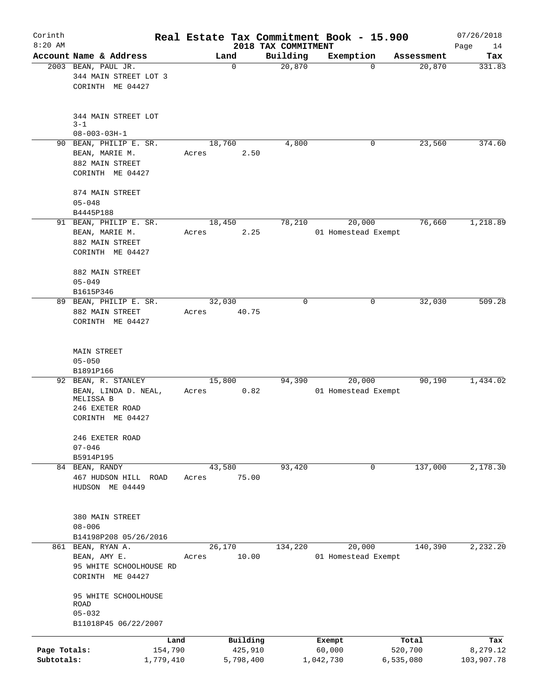| Corinth<br>$8:20$ AM       |                                                                                                 |                      |                      | 2018 TAX COMMITMENT | Real Estate Tax Commitment Book - 15.900 |                      | 07/26/2018<br>Page<br>14 |
|----------------------------|-------------------------------------------------------------------------------------------------|----------------------|----------------------|---------------------|------------------------------------------|----------------------|--------------------------|
|                            | Account Name & Address                                                                          |                      | Land                 | Building            | Exemption                                | Assessment           | Tax                      |
|                            | 2003 BEAN, PAUL JR.<br>344 MAIN STREET LOT 3<br>CORINTH ME 04427                                |                      | $\mathbf 0$          | 20,870              | 0                                        | 20,870               | 331.83                   |
|                            | 344 MAIN STREET LOT<br>$3 - 1$                                                                  |                      |                      |                     |                                          |                      |                          |
|                            | $08 - 003 - 03H - 1$                                                                            |                      |                      |                     |                                          |                      |                          |
|                            | 90 BEAN, PHILIP E. SR.<br>BEAN, MARIE M.<br>882 MAIN STREET<br>CORINTH ME 04427                 | Acres                | 18,760<br>2.50       | 4,800               | 0                                        | 23,560               | 374.60                   |
|                            | 874 MAIN STREET<br>$05 - 048$<br>B4445P188                                                      |                      |                      |                     |                                          |                      |                          |
|                            | 91 BEAN, PHILIP E. SR.<br>BEAN, MARIE M.<br>882 MAIN STREET<br>CORINTH ME 04427                 | Acres                | 18,450<br>2.25       | 78,210              | 20,000<br>01 Homestead Exempt            | 76,660               | 1,218.89                 |
|                            | 882 MAIN STREET<br>$05 - 049$<br>B1615P346                                                      |                      |                      |                     |                                          |                      |                          |
|                            | 89 BEAN, PHILIP E. SR.<br>882 MAIN STREET<br>CORINTH ME 04427                                   | Acres                | 32,030<br>40.75      | $\Omega$            | 0                                        | 32,030               | 509.28                   |
|                            | MAIN STREET<br>$05 - 050$<br>B1891P166                                                          |                      |                      |                     |                                          |                      |                          |
|                            | 92 BEAN, R. STANLEY<br>BEAN, LINDA D. NEAL,<br>MELISSA B<br>246 EXETER ROAD<br>CORINTH ME 04427 | 15,800<br>Acres      | 0.82                 | 94,390              | 20,000<br>01 Homestead Exempt            | 90,190               | 1,434.02                 |
|                            | 246 EXETER ROAD<br>$07 - 046$<br>B5914P195                                                      |                      |                      |                     |                                          |                      |                          |
|                            | 84 BEAN, RANDY<br>467 HUDSON HILL ROAD<br>HUDSON ME 04449                                       | Acres                | 43,580<br>75.00      | 93,420              | 0                                        | 137,000              | 2,178.30                 |
|                            | 380 MAIN STREET<br>$08 - 006$<br>B14198P208 05/26/2016                                          |                      |                      |                     |                                          |                      |                          |
|                            | 861 BEAN, RYAN A.<br>BEAN, AMY E.<br>95 WHITE SCHOOLHOUSE RD<br>CORINTH ME 04427                | Acres                | 26,170<br>10.00      | 134,220             | 20,000<br>01 Homestead Exempt            | 140,390              | 2,232.20                 |
|                            | 95 WHITE SCHOOLHOUSE<br>ROAD<br>$05 - 032$<br>B11018P45 06/22/2007                              |                      |                      |                     |                                          |                      |                          |
|                            |                                                                                                 | Land                 | Building             |                     | Exempt                                   | Total                | Tax                      |
| Page Totals:<br>Subtotals: |                                                                                                 | 154,790<br>1,779,410 | 425,910<br>5,798,400 |                     | 60,000<br>1,042,730                      | 520,700<br>6,535,080 | 8,279.12<br>103,907.78   |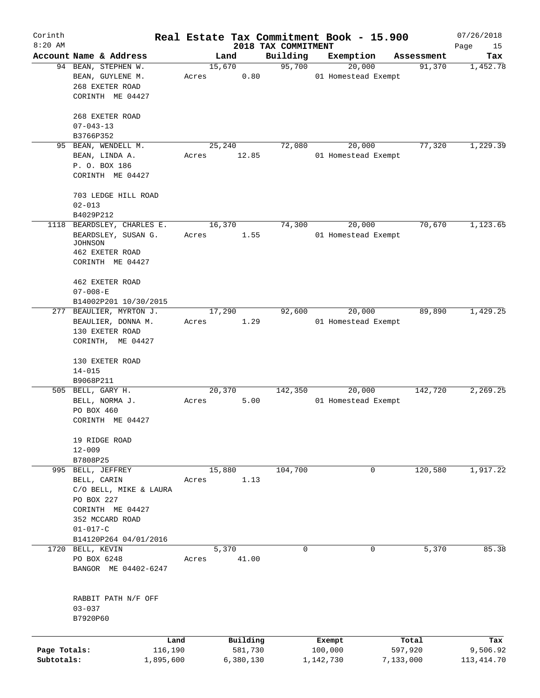| Corinth<br>$8:20$ AM       |                                                                                                                                                            |                          | 2018 TAX COMMITMENT | Real Estate Tax Commitment Book - 15.900 |                      | 07/26/2018<br>Page<br>15 |
|----------------------------|------------------------------------------------------------------------------------------------------------------------------------------------------------|--------------------------|---------------------|------------------------------------------|----------------------|--------------------------|
|                            | Account Name & Address                                                                                                                                     | Land                     | Building            | Exemption                                | Assessment           | Tax                      |
|                            | 94 BEAN, STEPHEN W.<br>BEAN, GUYLENE M.<br>268 EXETER ROAD                                                                                                 | 15,670<br>0.80<br>Acres  | 95,700              | 20,000<br>01 Homestead Exempt            | 91,370               | 1,452.78                 |
|                            | CORINTH ME 04427<br>268 EXETER ROAD<br>$07 - 043 - 13$<br>B3766P352                                                                                        |                          |                     |                                          |                      |                          |
| 95                         | BEAN, WENDELL M.<br>BEAN, LINDA A.<br>P. O. BOX 186<br>CORINTH ME 04427<br>703 LEDGE HILL ROAD<br>$02 - 013$                                               | 25,240<br>12.85<br>Acres | 72,080              | 20,000<br>01 Homestead Exempt            | 77,320               | 1,229.39                 |
|                            | B4029P212                                                                                                                                                  |                          |                     |                                          |                      |                          |
|                            | 1118 BEARDSLEY, CHARLES E.<br>BEARDSLEY, SUSAN G.<br><b>JOHNSON</b><br>462 EXETER ROAD<br>CORINTH ME 04427                                                 | 16,370<br>1.55<br>Acres  | 74,300              | 20,000<br>01 Homestead Exempt            | 70,670               | 1,123.65                 |
|                            | 462 EXETER ROAD<br>$07 - 008 - E$<br>B14002P201 10/30/2015                                                                                                 |                          |                     |                                          |                      |                          |
|                            | 277 BEAULIER, MYRTON J.<br>BEAULIER, DONNA M.<br>130 EXETER ROAD<br>CORINTH, ME 04427                                                                      | 17,290<br>1.29<br>Acres  | 92,600              | 20,000<br>01 Homestead Exempt            | 89,890               | 1,429.25                 |
|                            | 130 EXETER ROAD<br>$14 - 015$<br>B9068P211                                                                                                                 |                          |                     |                                          |                      |                          |
|                            | 505 BELL, GARY H.<br>BELL, NORMA J.<br>PO BOX 460<br>CORINTH ME 04427                                                                                      | 20,370<br>5.00<br>Acres  | 142,350             | 20,000<br>01 Homestead Exempt            | 142,720              | 2,269.25                 |
|                            | 19 RIDGE ROAD<br>$12 - 009$<br>B7808P25                                                                                                                    |                          |                     |                                          |                      |                          |
|                            | 995 BELL, JEFFREY<br>BELL, CARIN<br>C/O BELL, MIKE & LAURA<br>PO BOX 227<br>CORINTH ME 04427<br>352 MCCARD ROAD<br>$01 - 017 - C$<br>B14120P264 04/01/2016 | 15,880<br>1.13<br>Acres  | 104,700             | 0                                        | 120,580              | 1,917.22                 |
|                            | 1720 BELL, KEVIN<br>PO BOX 6248<br>BANGOR ME 04402-6247                                                                                                    | 5,370<br>41.00<br>Acres  | $\mathbf 0$         | 0                                        | 5,370                | 85.38                    |
|                            | RABBIT PATH N/F OFF<br>$03 - 037$<br>B7920P60                                                                                                              |                          |                     |                                          |                      |                          |
|                            | Land                                                                                                                                                       | Building                 |                     | Exempt                                   | Total                | Tax                      |
| Page Totals:<br>Subtotals: | 116,190<br>1,895,600                                                                                                                                       | 581,730<br>6,380,130     |                     | 100,000<br>1,142,730                     | 597,920<br>7,133,000 | 9,506.92<br>113, 414.70  |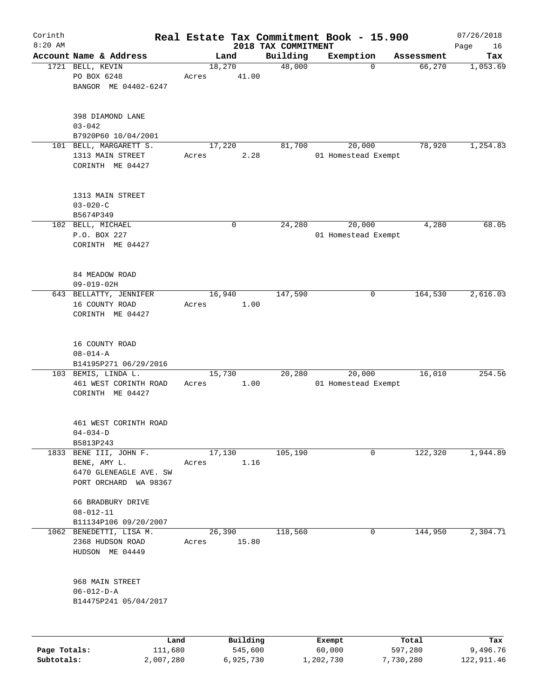| Corinth      |                                                                                         |         |                 |                                 | Real Estate Tax Commitment Book - 15.900 |            | 07/26/2018        |
|--------------|-----------------------------------------------------------------------------------------|---------|-----------------|---------------------------------|------------------------------------------|------------|-------------------|
| $8:20$ AM    | Account Name & Address                                                                  |         | Land            | 2018 TAX COMMITMENT<br>Building | Exemption                                | Assessment | Page<br>16<br>Tax |
|              | 1721 BELL, KEVIN<br>PO BOX 6248<br>BANGOR ME 04402-6247                                 | Acres   | 18,270<br>41.00 | 48,000                          | $\mathbf 0$                              | 66,270     | 1,053.69          |
|              | 398 DIAMOND LANE<br>$03 - 042$<br>B7920P60 10/04/2001                                   |         |                 |                                 |                                          |            |                   |
|              | 101 BELL, MARGARETT S.<br>1313 MAIN STREET<br>CORINTH ME 04427                          | Acres   | 17,220<br>2.28  | 81,700                          | 20,000<br>01 Homestead Exempt            | 78,920     | 1,254.83          |
|              | 1313 MAIN STREET<br>$03 - 020 - C$<br>B5674P349                                         |         |                 |                                 |                                          |            |                   |
|              | 102 BELL, MICHAEL<br>P.O. BOX 227<br>CORINTH ME 04427                                   |         | 0               | 24,280                          | 20,000<br>01 Homestead Exempt            | 4,280      | 68.05             |
|              | 84 MEADOW ROAD<br>$09 - 019 - 02H$                                                      |         |                 |                                 |                                          |            |                   |
|              | 643 BELLATTY, JENNIFER<br>16 COUNTY ROAD<br>CORINTH ME 04427                            | Acres   | 16,940<br>1.00  | 147,590                         | 0                                        | 164,530    | 2,616.03          |
|              | 16 COUNTY ROAD<br>$08 - 014 - A$<br>B14195P271 06/29/2016                               |         |                 |                                 |                                          |            |                   |
|              | 103 BEMIS, LINDA L.<br>461 WEST CORINTH ROAD<br>CORINTH ME 04427                        | Acres   | 15,730<br>1.00  | 20,280                          | 20,000<br>01 Homestead Exempt            | 16,010     | 254.56            |
|              | 461 WEST CORINTH ROAD<br>$04 - 034 - D$<br>B5813P243                                    |         |                 |                                 |                                          |            |                   |
| 1833         | BENE III, JOHN F.<br>BENE, AMY L.<br>6470 GLENEAGLE AVE. SW<br>PORT ORCHARD<br>WA 98367 | Acres   | 17,130<br>1.16  | 105,190                         | 0                                        | 122,320    | 1,944.89          |
|              | 66 BRADBURY DRIVE<br>$08 - 012 - 11$                                                    |         |                 |                                 |                                          |            |                   |
|              | B11134P106 09/20/2007<br>1062 BENEDETTI, LISA M.                                        |         | 26,390          | 118,560                         | 0                                        | 144,950    | 2,304.71          |
|              | 2368 HUDSON ROAD<br>HUDSON ME 04449                                                     | Acres   | 15.80           |                                 |                                          |            |                   |
|              | 968 MAIN STREET<br>$06 - 012 - D - A$<br>B14475P241 05/04/2017                          |         |                 |                                 |                                          |            |                   |
|              |                                                                                         | Land    | Building        |                                 | Exempt                                   | Total      | Tax               |
| Page Totals: |                                                                                         | 111,680 | 545,600         |                                 | 60,000                                   | 597,280    | 9,496.76          |

**Subtotals:** 2,007,280 6,925,730 1,202,730 7,730,280 122,911.46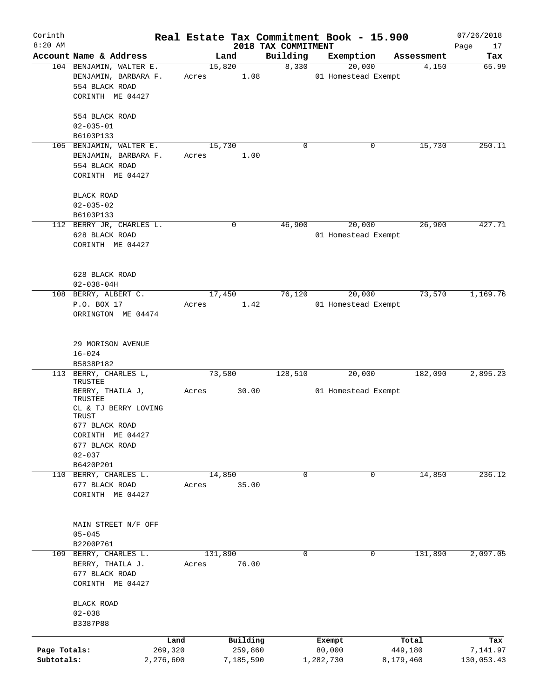| Corinth<br>$8:20$ AM |                                 |           |       |         |             |                                 |           | Real Estate Tax Commitment Book - 15.900 |            | 07/26/2018        |
|----------------------|---------------------------------|-----------|-------|---------|-------------|---------------------------------|-----------|------------------------------------------|------------|-------------------|
|                      | Account Name & Address          |           |       | Land    |             | 2018 TAX COMMITMENT<br>Building |           | Exemption                                | Assessment | Page<br>17<br>Tax |
|                      | 104 BENJAMIN, WALTER E.         |           |       | 15,820  |             | 8,330                           |           | 20,000                                   | 4,150      | 65.99             |
|                      | BENJAMIN, BARBARA F.            |           | Acres |         | 1.08        |                                 |           | 01 Homestead Exempt                      |            |                   |
|                      | 554 BLACK ROAD                  |           |       |         |             |                                 |           |                                          |            |                   |
|                      | CORINTH ME 04427                |           |       |         |             |                                 |           |                                          |            |                   |
|                      |                                 |           |       |         |             |                                 |           |                                          |            |                   |
|                      | 554 BLACK ROAD                  |           |       |         |             |                                 |           |                                          |            |                   |
|                      | $02 - 035 - 01$                 |           |       |         |             |                                 |           |                                          |            |                   |
|                      | B6103P133                       |           |       |         |             |                                 |           |                                          |            |                   |
|                      | 105 BENJAMIN, WALTER E.         |           |       | 15,730  |             | 0                               |           | 0                                        | 15,730     | 250.11            |
|                      | BENJAMIN, BARBARA F.            |           | Acres |         | 1.00        |                                 |           |                                          |            |                   |
|                      | 554 BLACK ROAD                  |           |       |         |             |                                 |           |                                          |            |                   |
|                      | CORINTH ME 04427                |           |       |         |             |                                 |           |                                          |            |                   |
|                      |                                 |           |       |         |             |                                 |           |                                          |            |                   |
|                      | <b>BLACK ROAD</b>               |           |       |         |             |                                 |           |                                          |            |                   |
|                      | $02 - 035 - 02$                 |           |       |         |             |                                 |           |                                          |            |                   |
|                      | B6103P133                       |           |       |         |             |                                 |           |                                          |            |                   |
|                      | 112 BERRY JR, CHARLES L.        |           |       |         | $\mathbf 0$ | 46,900                          |           | 20,000                                   | 26,900     | 427.71            |
|                      | 628 BLACK ROAD                  |           |       |         |             |                                 |           | 01 Homestead Exempt                      |            |                   |
|                      | CORINTH ME 04427                |           |       |         |             |                                 |           |                                          |            |                   |
|                      |                                 |           |       |         |             |                                 |           |                                          |            |                   |
|                      |                                 |           |       |         |             |                                 |           |                                          |            |                   |
|                      | 628 BLACK ROAD                  |           |       |         |             |                                 |           |                                          |            |                   |
|                      | $02 - 038 - 04H$                |           |       |         |             |                                 |           |                                          |            |                   |
|                      | 108 BERRY, ALBERT C.            |           |       | 17,450  |             | 76,120                          |           | 20,000                                   | 73,570     | 1,169.76          |
|                      | P.O. BOX 17                     |           | Acres |         | 1.42        |                                 |           | 01 Homestead Exempt                      |            |                   |
|                      | ORRINGTON ME 04474              |           |       |         |             |                                 |           |                                          |            |                   |
|                      |                                 |           |       |         |             |                                 |           |                                          |            |                   |
|                      |                                 |           |       |         |             |                                 |           |                                          |            |                   |
|                      | 29 MORISON AVENUE               |           |       |         |             |                                 |           |                                          |            |                   |
|                      | $16 - 024$                      |           |       |         |             |                                 |           |                                          |            |                   |
|                      | B5838P182                       |           |       |         |             |                                 |           |                                          |            |                   |
|                      | 113 BERRY, CHARLES L,           |           |       | 73,580  |             | 128,510                         |           | 20,000                                   | 182,090    | 2,895.23          |
|                      | TRUSTEE                         |           |       |         |             |                                 |           |                                          |            |                   |
|                      | BERRY, THAILA J,                |           | Acres |         | 30.00       |                                 |           | 01 Homestead Exempt                      |            |                   |
|                      | TRUSTEE<br>CL & TJ BERRY LOVING |           |       |         |             |                                 |           |                                          |            |                   |
|                      | TRUST                           |           |       |         |             |                                 |           |                                          |            |                   |
|                      | 677 BLACK ROAD                  |           |       |         |             |                                 |           |                                          |            |                   |
|                      | CORINTH ME 04427                |           |       |         |             |                                 |           |                                          |            |                   |
|                      | 677 BLACK ROAD                  |           |       |         |             |                                 |           |                                          |            |                   |
|                      | $02 - 037$                      |           |       |         |             |                                 |           |                                          |            |                   |
|                      | B6420P201                       |           |       |         |             |                                 |           |                                          |            |                   |
|                      | 110 BERRY, CHARLES L.           |           |       | 14,850  |             | $\mathbf 0$                     |           | $\mathbf 0$                              | 14,850     | 236.12            |
|                      | 677 BLACK ROAD                  |           | Acres |         | 35.00       |                                 |           |                                          |            |                   |
|                      | CORINTH ME 04427                |           |       |         |             |                                 |           |                                          |            |                   |
|                      |                                 |           |       |         |             |                                 |           |                                          |            |                   |
|                      |                                 |           |       |         |             |                                 |           |                                          |            |                   |
|                      | MAIN STREET N/F OFF             |           |       |         |             |                                 |           |                                          |            |                   |
|                      | $05 - 045$                      |           |       |         |             |                                 |           |                                          |            |                   |
|                      | B2200P761                       |           |       |         |             |                                 |           |                                          |            |                   |
|                      | 109 BERRY, CHARLES L.           |           |       | 131,890 |             | 0                               |           | 0                                        | 131,890    | 2,097.05          |
|                      | BERRY, THAILA J.                |           | Acres |         | 76.00       |                                 |           |                                          |            |                   |
|                      | 677 BLACK ROAD                  |           |       |         |             |                                 |           |                                          |            |                   |
|                      | CORINTH ME 04427                |           |       |         |             |                                 |           |                                          |            |                   |
|                      |                                 |           |       |         |             |                                 |           |                                          |            |                   |
|                      | <b>BLACK ROAD</b>               |           |       |         |             |                                 |           |                                          |            |                   |
|                      | $02 - 038$                      |           |       |         |             |                                 |           |                                          |            |                   |
|                      | B3387P88                        |           |       |         |             |                                 |           |                                          |            |                   |
|                      |                                 |           |       |         |             |                                 |           |                                          |            |                   |
|                      |                                 | Land      |       |         | Building    |                                 | Exempt    |                                          | Total      | Tax               |
| Page Totals:         |                                 | 269,320   |       |         | 259,860     |                                 | 80,000    |                                          | 449,180    | 7,141.97          |
| Subtotals:           |                                 | 2,276,600 |       |         | 7,185,590   |                                 | 1,282,730 |                                          | 8,179,460  | 130,053.43        |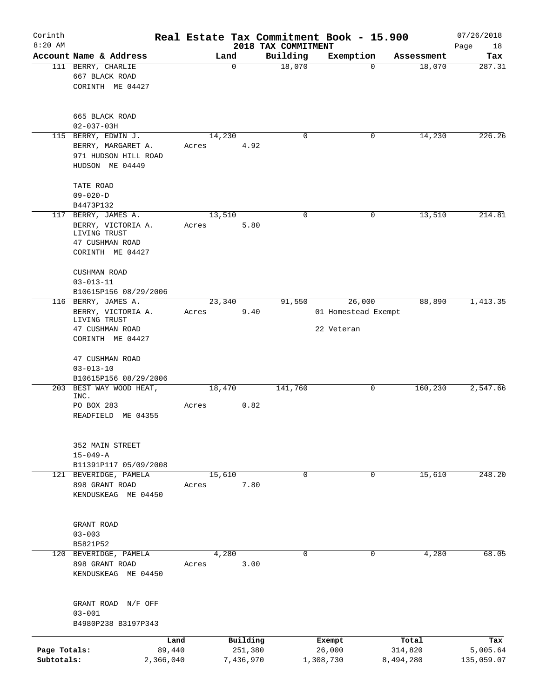| Corinth                    |                                                                                                  |                 |                      |                                 | Real Estate Tax Commitment Book - 15.900    |                      | 07/26/2018             |
|----------------------------|--------------------------------------------------------------------------------------------------|-----------------|----------------------|---------------------------------|---------------------------------------------|----------------------|------------------------|
| $8:20$ AM                  | Account Name & Address                                                                           |                 | Land                 | 2018 TAX COMMITMENT<br>Building | Exemption                                   | Assessment           | Page<br>18<br>Tax      |
|                            | 111 BERRY, CHARLIE<br>667 BLACK ROAD<br>CORINTH ME 04427                                         |                 | $\mathbf 0$          | 18,070                          | $\Omega$                                    | 18,070               | 287.31                 |
|                            | 665 BLACK ROAD<br>$02 - 037 - 03H$                                                               |                 |                      |                                 |                                             |                      |                        |
|                            | 115 BERRY, EDWIN J.<br>BERRY, MARGARET A.<br>971 HUDSON HILL ROAD<br>HUDSON ME 04449             | 14,230<br>Acres | 4.92                 | $\mathbf 0$                     | 0                                           | 14,230               | 226.26                 |
|                            | TATE ROAD<br>$09 - 020 - D$<br>B4473P132                                                         |                 |                      |                                 |                                             |                      |                        |
|                            | 117 BERRY, JAMES A.<br>BERRY, VICTORIA A.<br>LIVING TRUST<br>47 CUSHMAN ROAD<br>CORINTH ME 04427 | 13,510<br>Acres | 5.80                 | $\mathbf 0$                     | $\mathbf 0$                                 | 13,510               | 214.81                 |
|                            | <b>CUSHMAN ROAD</b><br>$03 - 013 - 11$<br>B10615P156 08/29/2006                                  |                 |                      |                                 |                                             |                      |                        |
|                            | 116 BERRY, JAMES A.<br>BERRY, VICTORIA A.<br>LIVING TRUST<br>47 CUSHMAN ROAD<br>CORINTH ME 04427 | 23,340<br>Acres | 9.40                 | 91,550                          | 26,000<br>01 Homestead Exempt<br>22 Veteran | 88,890               | 1,413.35               |
|                            | 47 CUSHMAN ROAD<br>$03 - 013 - 10$<br>B10615P156 08/29/2006                                      |                 |                      |                                 |                                             |                      |                        |
|                            | 203 BEST WAY WOOD HEAT,<br>INC.<br>PO BOX 283<br>READFIELD ME 04355                              | 18,470<br>Acres | 0.82                 | 141,760                         | 0                                           | 160,230              | 2,547.66               |
|                            | 352 MAIN STREET<br>$15 - 049 - A$<br>B11391P117 05/09/2008                                       |                 |                      |                                 |                                             |                      |                        |
|                            | 121 BEVERIDGE, PAMELA<br>898 GRANT ROAD<br>KENDUSKEAG ME 04450                                   | 15,610<br>Acres | 7.80                 | $\mathbf 0$                     | $\mathbf 0$                                 | 15,610               | 248.20                 |
|                            | GRANT ROAD<br>$03 - 003$<br>B5821P52                                                             |                 |                      |                                 |                                             |                      |                        |
|                            | 120 BEVERIDGE, PAMELA<br>898 GRANT ROAD<br>KENDUSKEAG ME 04450                                   | 4,280<br>Acres  | 3.00                 | 0                               | 0                                           | 4,280                | 68.05                  |
|                            | GRANT ROAD N/F OFF<br>$03 - 001$<br>B4980P238 B3197P343                                          |                 |                      |                                 |                                             |                      |                        |
|                            | Land                                                                                             |                 | Building             |                                 | Exempt                                      | Total                | Tax                    |
| Page Totals:<br>Subtotals: | 89,440<br>2,366,040                                                                              |                 | 251,380<br>7,436,970 |                                 | 26,000<br>1,308,730                         | 314,820<br>8,494,280 | 5,005.64<br>135,059.07 |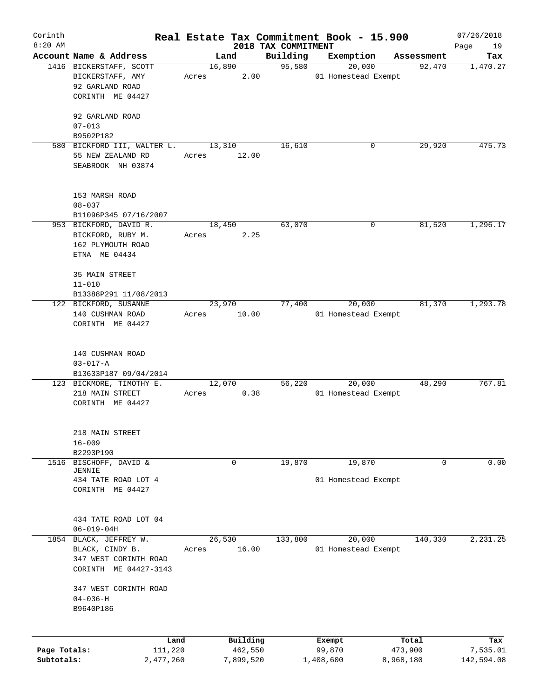| Corinth<br>$8:20$ AM |                                                  |       |                 |                                 | Real Estate Tax Commitment Book - 15.900 |            | 07/26/2018        |
|----------------------|--------------------------------------------------|-------|-----------------|---------------------------------|------------------------------------------|------------|-------------------|
|                      | Account Name & Address                           |       | Land            | 2018 TAX COMMITMENT<br>Building | Exemption                                | Assessment | Page<br>19<br>Tax |
|                      | 1416 BICKERSTAFF, SCOTT                          |       | 16,890          | 95,580                          | 20,000                                   | 92,470     | 1,470.27          |
|                      | BICKERSTAFF, AMY                                 | Acres | 2.00            |                                 | 01 Homestead Exempt                      |            |                   |
|                      | 92 GARLAND ROAD                                  |       |                 |                                 |                                          |            |                   |
|                      | CORINTH ME 04427                                 |       |                 |                                 |                                          |            |                   |
|                      |                                                  |       |                 |                                 |                                          |            |                   |
|                      | 92 GARLAND ROAD                                  |       |                 |                                 |                                          |            |                   |
|                      | $07 - 013$                                       |       |                 |                                 |                                          |            |                   |
|                      | B9502P182                                        |       |                 | 16,610                          |                                          | 29,920     | 475.73            |
|                      | 580 BICKFORD III, WALTER L.<br>55 NEW ZEALAND RD |       | 13,310<br>12.00 |                                 | 0                                        |            |                   |
|                      | SEABROOK NH 03874                                | Acres |                 |                                 |                                          |            |                   |
|                      |                                                  |       |                 |                                 |                                          |            |                   |
|                      |                                                  |       |                 |                                 |                                          |            |                   |
|                      | 153 MARSH ROAD                                   |       |                 |                                 |                                          |            |                   |
|                      | $08 - 037$                                       |       |                 |                                 |                                          |            |                   |
|                      | B11096P345 07/16/2007<br>953 BICKFORD, DAVID R.  |       | 18,450          | 63,070                          | 0                                        | 81,520     | 1,296.17          |
|                      |                                                  |       |                 |                                 |                                          |            |                   |
|                      | BICKFORD, RUBY M.<br>162 PLYMOUTH ROAD           | Acres | 2.25            |                                 |                                          |            |                   |
|                      | ETNA ME 04434                                    |       |                 |                                 |                                          |            |                   |
|                      |                                                  |       |                 |                                 |                                          |            |                   |
|                      | 35 MAIN STREET                                   |       |                 |                                 |                                          |            |                   |
|                      | $11 - 010$                                       |       |                 |                                 |                                          |            |                   |
|                      | B13388P291 11/08/2013                            |       |                 |                                 |                                          |            |                   |
|                      | 122 BICKFORD, SUSANNE                            |       | 23,970          | 77,400                          | 20,000                                   | 81,370     | 1,293.78          |
|                      | 140 CUSHMAN ROAD                                 | Acres | 10.00           |                                 | 01 Homestead Exempt                      |            |                   |
|                      | CORINTH ME 04427                                 |       |                 |                                 |                                          |            |                   |
|                      |                                                  |       |                 |                                 |                                          |            |                   |
|                      | 140 CUSHMAN ROAD                                 |       |                 |                                 |                                          |            |                   |
|                      | $03 - 017 - A$                                   |       |                 |                                 |                                          |            |                   |
|                      | B13633P187 09/04/2014                            |       |                 |                                 |                                          |            |                   |
|                      | 123 BICKMORE, TIMOTHY E.                         |       | 12,070          | 56,220                          | 20,000                                   | 48,290     | 767.81            |
|                      | 218 MAIN STREET                                  | Acres | 0.38            |                                 | 01 Homestead Exempt                      |            |                   |
|                      | CORINTH ME 04427                                 |       |                 |                                 |                                          |            |                   |
|                      |                                                  |       |                 |                                 |                                          |            |                   |
|                      |                                                  |       |                 |                                 |                                          |            |                   |
|                      | 218 MAIN STREET                                  |       |                 |                                 |                                          |            |                   |
|                      | $16 - 009$                                       |       |                 |                                 |                                          |            |                   |
| 1516                 | B2293P190<br>BISCHOFF, DAVID &                   |       | $\mathbf 0$     |                                 |                                          | 0          | 0.00              |
|                      | JENNIE                                           |       |                 | 19,870                          | 19,870                                   |            |                   |
|                      | 434 TATE ROAD LOT 4                              |       |                 |                                 | 01 Homestead Exempt                      |            |                   |
|                      | CORINTH ME 04427                                 |       |                 |                                 |                                          |            |                   |
|                      |                                                  |       |                 |                                 |                                          |            |                   |
|                      | 434 TATE ROAD LOT 04                             |       |                 |                                 |                                          |            |                   |
|                      | $06 - 019 - 04H$                                 |       |                 |                                 |                                          |            |                   |
|                      | 1854 BLACK, JEFFREY W.                           |       | 26,530          | 133,800                         | 20,000                                   | 140,330    | 2,231.25          |
|                      | BLACK, CINDY B.                                  | Acres | 16.00           |                                 | 01 Homestead Exempt                      |            |                   |
|                      | 347 WEST CORINTH ROAD                            |       |                 |                                 |                                          |            |                   |
|                      | CORINTH ME 04427-3143                            |       |                 |                                 |                                          |            |                   |
|                      |                                                  |       |                 |                                 |                                          |            |                   |
|                      | 347 WEST CORINTH ROAD                            |       |                 |                                 |                                          |            |                   |
|                      | $04 - 036 - H$                                   |       |                 |                                 |                                          |            |                   |
|                      | B9640P186                                        |       |                 |                                 |                                          |            |                   |
|                      |                                                  |       |                 |                                 |                                          |            |                   |
|                      | Land                                             |       | Building        |                                 | Exempt                                   | Total      | Tax               |
| Page Totals:         | 111,220                                          |       | 462,550         |                                 | 99,870                                   | 473,900    | 7,535.01          |
| Subtotals:           | 2,477,260                                        |       | 7,899,520       |                                 | 1,408,600                                | 8,968,180  | 142,594.08        |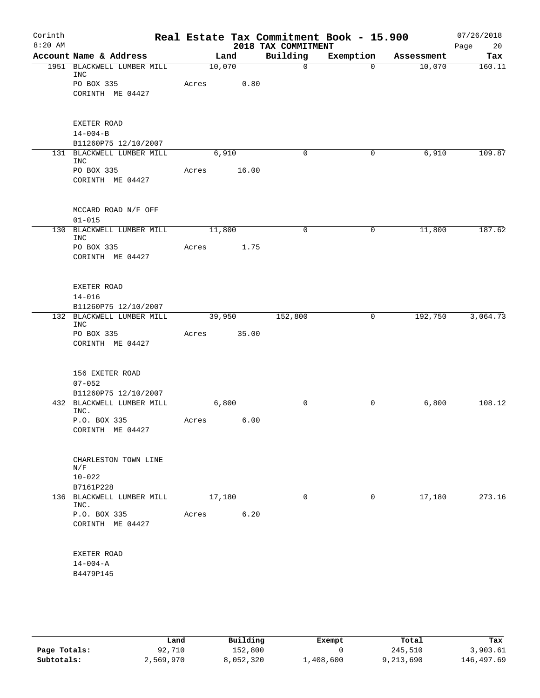| Corinth<br>$8:20$ AM |                                                   |       |        |      | Real Estate Tax Commitment Book - 15.900<br>2018 TAX COMMITMENT |                |            | 07/26/2018<br>Page<br>20 |
|----------------------|---------------------------------------------------|-------|--------|------|-----------------------------------------------------------------|----------------|------------|--------------------------|
|                      | Account Name & Address                            |       | Land   |      | Building                                                        | Exemption      | Assessment | Tax                      |
|                      | 1951 BLACKWELL LUMBER MILL<br><b>INC</b>          |       | 10,070 |      | $\mathbf 0$                                                     | $\overline{0}$ | 10,070     | 160.11                   |
|                      | PO BOX 335                                        | Acres |        | 0.80 |                                                                 |                |            |                          |
|                      | CORINTH ME 04427                                  |       |        |      |                                                                 |                |            |                          |
|                      | EXETER ROAD                                       |       |        |      |                                                                 |                |            |                          |
|                      | $14 - 004 - B$                                    |       |        |      |                                                                 |                |            |                          |
|                      | B11260P75 12/10/2007                              |       |        |      | 0                                                               | 0              |            |                          |
|                      | 131 BLACKWELL LUMBER MILL<br><b>INC</b>           |       | 6,910  |      |                                                                 |                | 6,910      | 109.87                   |
|                      | PO BOX 335<br>CORINTH ME 04427                    | Acres | 16.00  |      |                                                                 |                |            |                          |
|                      | MCCARD ROAD N/F OFF                               |       |        |      |                                                                 |                |            |                          |
|                      | $01 - 015$                                        |       |        |      |                                                                 |                |            |                          |
|                      | 130 BLACKWELL LUMBER MILL                         |       | 11,800 |      | 0                                                               | 0              | 11,800     | 187.62                   |
|                      | <b>INC</b><br>PO BOX 335                          | Acres |        | 1.75 |                                                                 |                |            |                          |
|                      | CORINTH ME 04427                                  |       |        |      |                                                                 |                |            |                          |
|                      |                                                   |       |        |      |                                                                 |                |            |                          |
|                      | EXETER ROAD                                       |       |        |      |                                                                 |                |            |                          |
|                      | $14 - 016$                                        |       |        |      |                                                                 |                |            |                          |
|                      | B11260P75 12/10/2007<br>132 BLACKWELL LUMBER MILL |       | 39,950 |      | 152,800                                                         | 0              | 192,750    | 3,064.73                 |
|                      | <b>INC</b>                                        |       |        |      |                                                                 |                |            |                          |
|                      | PO BOX 335                                        | Acres | 35.00  |      |                                                                 |                |            |                          |
|                      | CORINTH ME 04427                                  |       |        |      |                                                                 |                |            |                          |
|                      | 156 EXETER ROAD                                   |       |        |      |                                                                 |                |            |                          |
|                      | $07 - 052$                                        |       |        |      |                                                                 |                |            |                          |
|                      | B11260P75 12/10/2007                              |       |        |      |                                                                 |                |            |                          |
|                      | 432 BLACKWELL LUMBER MILL<br>INC.                 |       | 6,800  |      | 0                                                               | 0              | 6,800      | 108.12                   |
|                      | P.O. BOX 335<br>CORINTH ME 04427                  | Acres |        | 6.00 |                                                                 |                |            |                          |
|                      |                                                   |       |        |      |                                                                 |                |            |                          |
|                      | CHARLESTON TOWN LINE                              |       |        |      |                                                                 |                |            |                          |
|                      | N/F<br>$10 - 022$                                 |       |        |      |                                                                 |                |            |                          |
|                      | B7161P228                                         |       |        |      |                                                                 |                |            |                          |
|                      | 136 BLACKWELL LUMBER MILL                         |       | 17,180 |      | $\Omega$                                                        | $\Omega$       | 17,180     | 273.16                   |
|                      | INC.                                              |       |        | 6.20 |                                                                 |                |            |                          |
|                      | P.O. BOX 335<br>CORINTH ME 04427                  | Acres |        |      |                                                                 |                |            |                          |
|                      |                                                   |       |        |      |                                                                 |                |            |                          |
|                      | EXETER ROAD                                       |       |        |      |                                                                 |                |            |                          |
|                      | $14 - 004 - A$                                    |       |        |      |                                                                 |                |            |                          |
|                      | B4479P145                                         |       |        |      |                                                                 |                |            |                          |
|                      |                                                   |       |        |      |                                                                 |                |            |                          |
|                      |                                                   |       |        |      |                                                                 |                |            |                          |

|              | Land      | Building  | Exempt    | Total     | Tax        |
|--------------|-----------|-----------|-----------|-----------|------------|
| Page Totals: | 92,710    | 152,800   |           | 245,510   | 3,903.61   |
| Subtotals:   | 2,569,970 | 8,052,320 | ⊥,408,600 | 9,213,690 | 146,497.69 |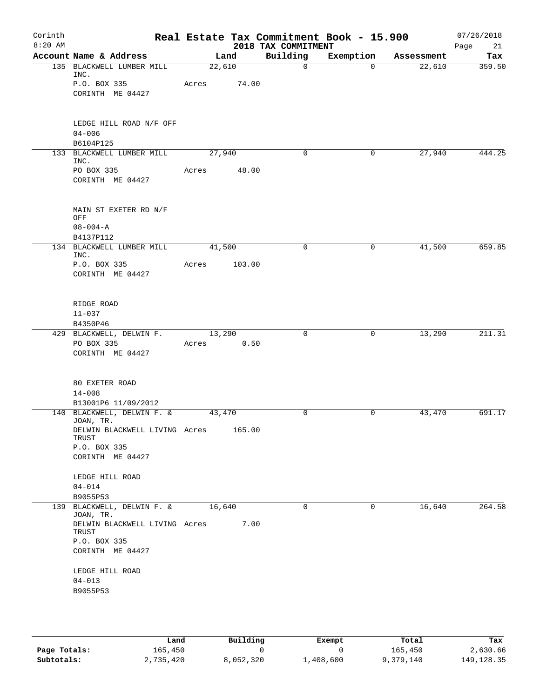| Corinth<br>$8:20$ AM |                                                                                         |                 |        | 2018 TAX COMMITMENT | Real Estate Tax Commitment Book - 15.900 |            | 07/26/2018<br>21<br>Page |
|----------------------|-----------------------------------------------------------------------------------------|-----------------|--------|---------------------|------------------------------------------|------------|--------------------------|
|                      | Account Name & Address                                                                  | Land            |        | Building            | Exemption                                | Assessment | Tax                      |
|                      | 135 BLACKWELL LUMBER MILL<br>INC.                                                       | 22,610          |        | $\mathbf 0$         | $\Omega$                                 | 22,610     | 359.50                   |
|                      | P.O. BOX 335<br>CORINTH ME 04427                                                        | Acres           | 74.00  |                     |                                          |            |                          |
|                      | LEDGE HILL ROAD N/F OFF<br>$04 - 006$<br>B6104P125                                      |                 |        |                     |                                          |            |                          |
|                      | 133 BLACKWELL LUMBER MILL                                                               | 27,940          |        | 0                   | 0                                        | 27,940     | 444.25                   |
|                      | INC.<br>PO BOX 335<br>CORINTH ME 04427                                                  | Acres           | 48.00  |                     |                                          |            |                          |
|                      | MAIN ST EXETER RD N/F<br>OFF<br>$08 - 004 - A$                                          |                 |        |                     |                                          |            |                          |
|                      | B4137P112<br>134 BLACKWELL LUMBER MILL                                                  | 41,500          |        | 0                   | 0                                        | 41,500     | 659.85                   |
|                      | INC.<br>P.O. BOX 335<br>CORINTH ME 04427                                                | Acres           | 103.00 |                     |                                          |            |                          |
|                      | RIDGE ROAD<br>$11 - 037$<br>B4350P46                                                    |                 |        |                     |                                          |            |                          |
|                      | 429 BLACKWELL, DELWIN F.<br>PO BOX 335<br>CORINTH ME 04427                              | 13,290<br>Acres | 0.50   | $\Omega$            | 0                                        | 13,290     | 211.31                   |
|                      | 80 EXETER ROAD<br>$14 - 008$<br>B13001P6 11/09/2012                                     |                 |        |                     |                                          |            |                          |
|                      | 140 BLACKWELL, DELWIN F. &                                                              | 43,470          |        | $\mathbf 0$         | 0                                        | 43,470     | 691.17                   |
|                      | JOAN, TR.<br>DELWIN BLACKWELL LIVING Acres<br>TRUST<br>P.O. BOX 335<br>CORINTH ME 04427 |                 | 165.00 |                     |                                          |            |                          |
|                      | LEDGE HILL ROAD<br>$04 - 014$                                                           |                 |        |                     |                                          |            |                          |
|                      | B9055P53<br>139 BLACKWELL, DELWIN F. &                                                  | 16,640          |        | $\Omega$            | 0                                        | 16,640     | 264.58                   |
|                      | JOAN, TR.<br>DELWIN BLACKWELL LIVING Acres<br>TRUST<br>P.O. BOX 335<br>CORINTH ME 04427 |                 | 7.00   |                     |                                          |            |                          |
|                      | LEDGE HILL ROAD<br>$04 - 013$<br>B9055P53                                               |                 |        |                     |                                          |            |                          |

|              | Land      | Building  | Exempt    | Total     | Tax          |
|--------------|-----------|-----------|-----------|-----------|--------------|
| Page Totals: | 165,450   |           |           | 165,450   | 2,630.66     |
| Subtotals:   | 2,735,420 | 8,052,320 | ⊥,408,600 | 9,379,140 | 149, 128. 35 |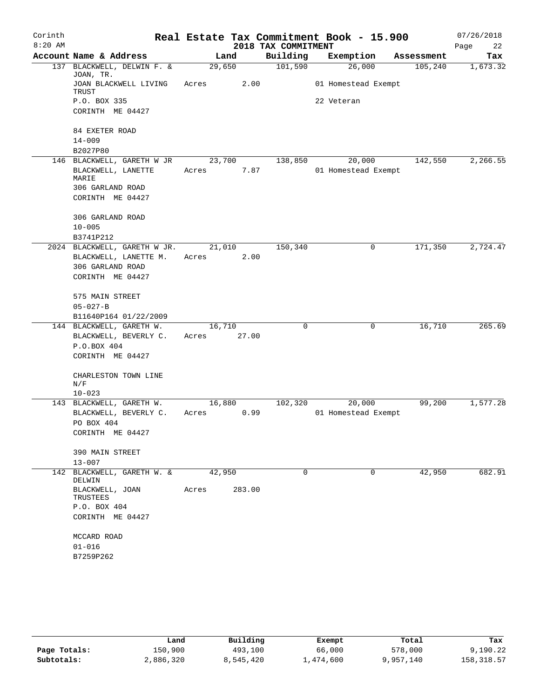| Corinth   |                                           |        |        |                      | Real Estate Tax Commitment Book - 15.900 |            | 07/26/2018 |
|-----------|-------------------------------------------|--------|--------|----------------------|------------------------------------------|------------|------------|
| $8:20$ AM |                                           |        |        | 2018 TAX COMMITMENT  |                                          |            | 22<br>Page |
|           | Account Name & Address                    |        | Land   | Building             | Exemption                                | Assessment | Tax        |
|           | 137 BLACKWELL, DELWIN F. &<br>JOAN, TR.   | 29,650 |        | 101,590              | 26,000                                   | 105,240    | 1,673.32   |
|           | JOAN BLACKWELL LIVING<br>TRUST            | Acres  | 2.00   |                      | 01 Homestead Exempt                      |            |            |
|           | P.O. BOX 335                              |        |        |                      | 22 Veteran                               |            |            |
|           | CORINTH ME 04427                          |        |        |                      |                                          |            |            |
|           | 84 EXETER ROAD                            |        |        |                      |                                          |            |            |
|           | $14 - 009$                                |        |        |                      |                                          |            |            |
|           | B2027P80<br>146 BLACKWELL, GARETH W JR    | 23,700 |        | 138,850              | 20,000                                   | 142,550    | 2,266.55   |
|           | BLACKWELL, LANETTE                        | Acres  | 7.87   |                      | 01 Homestead Exempt                      |            |            |
|           | MARIE                                     |        |        |                      |                                          |            |            |
|           | 306 GARLAND ROAD                          |        |        |                      |                                          |            |            |
|           | CORINTH ME 04427                          |        |        |                      |                                          |            |            |
|           | 306 GARLAND ROAD                          |        |        |                      |                                          |            |            |
|           | $10 - 005$                                |        |        |                      |                                          |            |            |
|           | B3741P212                                 |        |        |                      |                                          |            |            |
|           | 2024 BLACKWELL, GARETH W JR.              | 21,010 |        | $1\overline{50,340}$ | 0                                        | 171,350    | 2,724.47   |
|           | BLACKWELL, LANETTE M.<br>306 GARLAND ROAD | Acres  | 2.00   |                      |                                          |            |            |
|           | CORINTH ME 04427                          |        |        |                      |                                          |            |            |
|           |                                           |        |        |                      |                                          |            |            |
|           | 575 MAIN STREET                           |        |        |                      |                                          |            |            |
|           | $05 - 027 - B$                            |        |        |                      |                                          |            |            |
|           | B11640P164 01/22/2009                     |        |        |                      |                                          |            |            |
|           | 144 BLACKWELL, GARETH W.                  | 16,710 |        | $\mathbf 0$          | $\mathbf 0$                              | 16,710     | 265.69     |
|           | BLACKWELL, BEVERLY C.                     | Acres  | 27.00  |                      |                                          |            |            |
|           | P.O.BOX 404                               |        |        |                      |                                          |            |            |
|           | CORINTH ME 04427                          |        |        |                      |                                          |            |            |
|           | CHARLESTON TOWN LINE<br>N/F               |        |        |                      |                                          |            |            |
|           | $10 - 023$                                |        |        |                      |                                          |            |            |
|           | 143 BLACKWELL, GARETH W.                  | 16,880 |        | 102,320              | 20,000                                   | 99,200     | 1,577.28   |
|           | BLACKWELL, BEVERLY C.                     | Acres  | 0.99   |                      | 01 Homestead Exempt                      |            |            |
|           | PO BOX 404                                |        |        |                      |                                          |            |            |
|           | CORINTH ME 04427                          |        |        |                      |                                          |            |            |
|           | 390 MAIN STREET                           |        |        |                      |                                          |            |            |
|           | $13 - 007$                                |        |        |                      |                                          |            |            |
| 142       | BLACKWELL, GARETH W. &<br>DELWIN          | 42,950 |        | 0                    | 0                                        | 42,950     | 682.91     |
|           | BLACKWELL, JOAN<br>TRUSTEES               | Acres  | 283.00 |                      |                                          |            |            |
|           | P.O. BOX 404                              |        |        |                      |                                          |            |            |
|           | CORINTH ME 04427                          |        |        |                      |                                          |            |            |
|           | MCCARD ROAD                               |        |        |                      |                                          |            |            |
|           | $01 - 016$                                |        |        |                      |                                          |            |            |
|           | B7259P262                                 |        |        |                      |                                          |            |            |
|           |                                           |        |        |                      |                                          |            |            |

|              | Land      | Building  | Exempt    | Total     | Tax         |
|--------------|-----------|-----------|-----------|-----------|-------------|
| Page Totals: | 150,900   | 493,100   | 66,000    | 578,000   | 9,190.22    |
| Subtotals:   | 2,886,320 | 8,545,420 | 474,600 ـ | 9,957,140 | 158, 318.57 |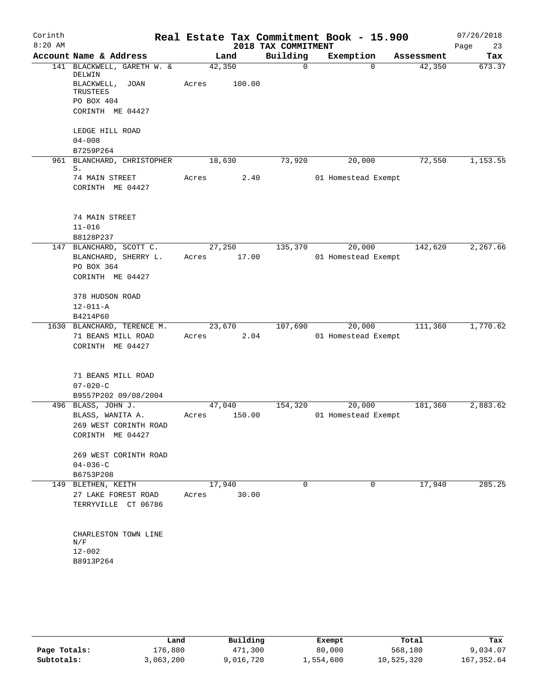| Corinth   |                                                      |                 |        |                      | Real Estate Tax Commitment Book - 15.900 |                      | 07/26/2018    |
|-----------|------------------------------------------------------|-----------------|--------|----------------------|------------------------------------------|----------------------|---------------|
| $8:20$ AM |                                                      |                 |        | 2018 TAX COMMITMENT  |                                          |                      | Page<br>23    |
|           | Account Name & Address<br>141 BLACKWELL, GARETH W. & | Land<br>42,350  |        | Building<br>$\Omega$ | Exemption<br>$\Omega$                    | Assessment<br>42,350 | Tax<br>673.37 |
|           | DELWIN                                               |                 |        |                      |                                          |                      |               |
|           | BLACKWELL, JOAN                                      | Acres           | 100.00 |                      |                                          |                      |               |
|           | TRUSTEES<br>PO BOX 404                               |                 |        |                      |                                          |                      |               |
|           | CORINTH ME 04427                                     |                 |        |                      |                                          |                      |               |
|           |                                                      |                 |        |                      |                                          |                      |               |
|           | LEDGE HILL ROAD                                      |                 |        |                      |                                          |                      |               |
|           | $04 - 008$                                           |                 |        |                      |                                          |                      |               |
|           | B7259P264                                            |                 |        |                      |                                          |                      |               |
| 961       | BLANCHARD, CHRISTOPHER<br>S.                         | 18,630          |        | 73,920               | 20,000                                   | 72,550               | 1,153.55      |
|           | 74 MAIN STREET                                       | Acres           | 2.40   |                      | 01 Homestead Exempt                      |                      |               |
|           | CORINTH ME 04427                                     |                 |        |                      |                                          |                      |               |
|           |                                                      |                 |        |                      |                                          |                      |               |
|           |                                                      |                 |        |                      |                                          |                      |               |
|           | 74 MAIN STREET                                       |                 |        |                      |                                          |                      |               |
|           | $11 - 016$                                           |                 |        |                      |                                          |                      |               |
|           | B8128P237<br>147 BLANCHARD, SCOTT C.                 | 27,250          |        | 135,370              | 20,000                                   | 142,620              | 2,267.66      |
|           | BLANCHARD, SHERRY L.                                 | Acres           | 17.00  |                      | 01 Homestead Exempt                      |                      |               |
|           | PO BOX 364                                           |                 |        |                      |                                          |                      |               |
|           | CORINTH ME 04427                                     |                 |        |                      |                                          |                      |               |
|           |                                                      |                 |        |                      |                                          |                      |               |
|           | 378 HUDSON ROAD                                      |                 |        |                      |                                          |                      |               |
|           | $12 - 011 - A$                                       |                 |        |                      |                                          |                      |               |
|           | B4214P60                                             | 23,670          |        | 107,690              | 20,000                                   | 111,360              | 1,770.62      |
|           | 1630 BLANCHARD, TERENCE M.<br>71 BEANS MILL ROAD     | Acres           | 2.04   |                      | 01 Homestead Exempt                      |                      |               |
|           | CORINTH ME 04427                                     |                 |        |                      |                                          |                      |               |
|           |                                                      |                 |        |                      |                                          |                      |               |
|           |                                                      |                 |        |                      |                                          |                      |               |
|           | 71 BEANS MILL ROAD                                   |                 |        |                      |                                          |                      |               |
|           | $07 - 020 - C$                                       |                 |        |                      |                                          |                      |               |
|           | B9557P202 09/08/2004                                 |                 |        |                      | 20,000                                   |                      |               |
|           | 496 BLASS, JOHN J.<br>BLASS, WANITA A.               | 47,040<br>Acres | 150.00 | 154,320              | 01 Homestead Exempt                      | 181,360              | 2,883.62      |
|           | 269 WEST CORINTH ROAD                                |                 |        |                      |                                          |                      |               |
|           | CORINTH ME 04427                                     |                 |        |                      |                                          |                      |               |
|           |                                                      |                 |        |                      |                                          |                      |               |
|           | 269 WEST CORINTH ROAD                                |                 |        |                      |                                          |                      |               |
|           | $04 - 036 - C$                                       |                 |        |                      |                                          |                      |               |
|           | B6753P208                                            |                 |        |                      |                                          |                      |               |
|           | 149 BLETHEN, KEITH<br>27 LAKE FOREST ROAD            | 17,940<br>Acres | 30.00  | $\Omega$             | $\mathbf 0$                              | 17,940               | 285.25        |
|           | TERRYVILLE CT 06786                                  |                 |        |                      |                                          |                      |               |
|           |                                                      |                 |        |                      |                                          |                      |               |
|           |                                                      |                 |        |                      |                                          |                      |               |
|           | CHARLESTON TOWN LINE                                 |                 |        |                      |                                          |                      |               |
|           | N/F<br>$12 - 002$                                    |                 |        |                      |                                          |                      |               |
|           | B8913P264                                            |                 |        |                      |                                          |                      |               |
|           |                                                      |                 |        |                      |                                          |                      |               |
|           |                                                      |                 |        |                      |                                          |                      |               |
|           |                                                      |                 |        |                      |                                          |                      |               |

|              | Land      | Building  | Exempt    | Total      | Tax         |
|--------------|-----------|-----------|-----------|------------|-------------|
| Page Totals: | L76,880   | 471,300   | 80,000    | 568,180    | 9,034.07    |
| Subtotals:   | 3,063,200 | 9,016,720 | 1,554,600 | 10,525,320 | 167, 352.64 |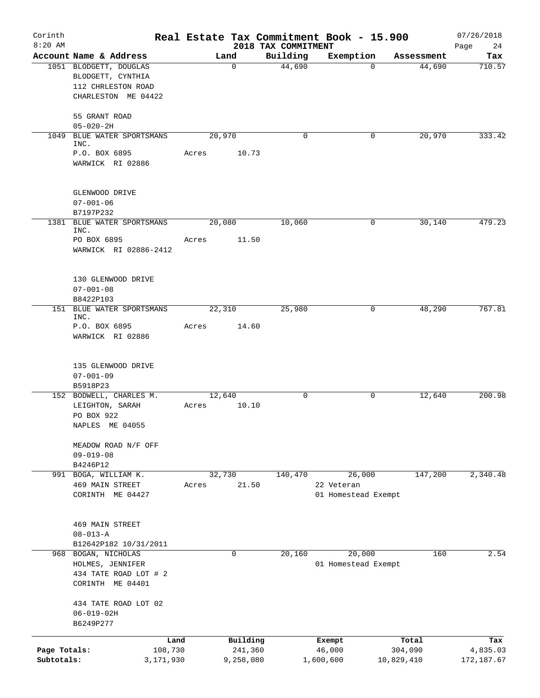| Corinth<br>$8:20$ AM       |                                                                                          |       |                      | 2018 TAX COMMITMENT | Real Estate Tax Commitment Book - 15.900    |                       | 07/26/2018<br>24<br>Page |
|----------------------------|------------------------------------------------------------------------------------------|-------|----------------------|---------------------|---------------------------------------------|-----------------------|--------------------------|
|                            | Account Name & Address                                                                   |       | Land                 | Building            | Exemption                                   | Assessment            | Tax                      |
|                            | 1051 BLODGETT, DOUGLAS<br>BLODGETT, CYNTHIA<br>112 CHRLESTON ROAD<br>CHARLESTON ME 04422 |       | $\mathbf 0$          | 44,690              | $\Omega$                                    | 44,690                | 710.57                   |
|                            | 55 GRANT ROAD<br>$05 - 020 - 2H$                                                         |       |                      |                     |                                             |                       |                          |
| 1049                       | BLUE WATER SPORTSMANS<br>INC.                                                            |       | 20,970               | $\mathbf 0$         | 0                                           | 20,970                | 333.42                   |
|                            | P.O. BOX 6895<br>WARWICK RI 02886                                                        | Acres | 10.73                |                     |                                             |                       |                          |
|                            | GLENWOOD DRIVE<br>$07 - 001 - 06$<br>B7197P232                                           |       |                      |                     |                                             |                       |                          |
| 1381                       | BLUE WATER SPORTSMANS                                                                    |       | 20,080               | 10,060              | 0                                           | 30,140                | 479.23                   |
|                            | INC.<br>PO BOX 6895<br>WARWICK RI 02886-2412                                             | Acres | 11.50                |                     |                                             |                       |                          |
|                            | 130 GLENWOOD DRIVE<br>$07 - 001 - 08$<br>B8422P103                                       |       |                      |                     |                                             |                       |                          |
|                            | 151 BLUE WATER SPORTSMANS                                                                |       | 22,310               | 25,980              | 0                                           | 48,290                | 767.81                   |
|                            | INC.<br>P.O. BOX 6895<br>WARWICK RI 02886                                                | Acres | 14.60                |                     |                                             |                       |                          |
|                            | 135 GLENWOOD DRIVE<br>$07 - 001 - 09$                                                    |       |                      |                     |                                             |                       |                          |
|                            | B5918P23<br>152 BODWELL, CHARLES M.                                                      |       | 12,640               | 0                   | 0                                           | 12,640                | 200.98                   |
|                            | LEIGHTON, SARAH<br>PO BOX 922<br>NAPLES ME 04055                                         | Acres | 10.10                |                     |                                             |                       |                          |
|                            | MEADOW ROAD N/F OFF<br>$09 - 019 - 08$                                                   |       |                      |                     |                                             |                       |                          |
|                            | B4246P12                                                                                 |       |                      | 140,470             |                                             |                       |                          |
|                            | 991 BOGA, WILLIAM K.<br>469 MAIN STREET<br>CORINTH ME 04427                              | Acres | 32,730<br>21.50      |                     | 26,000<br>22 Veteran<br>01 Homestead Exempt | 147,200               | 2,340.48                 |
|                            | <b>469 MAIN STREET</b><br>$08 - 013 - A$                                                 |       |                      |                     |                                             |                       |                          |
|                            | B12642P182 10/31/2011                                                                    |       |                      |                     |                                             |                       |                          |
|                            | 968 BOGAN, NICHOLAS<br>HOLMES, JENNIFER<br>434 TATE ROAD LOT # 2<br>CORINTH ME 04401     |       | 0                    | 20,160              | 20,000<br>01 Homestead Exempt               | 160                   | 2.54                     |
|                            | 434 TATE ROAD LOT 02<br>$06 - 019 - 02H$<br>B6249P277                                    |       |                      |                     |                                             |                       |                          |
|                            | Land                                                                                     |       | Building             |                     | Exempt                                      | Total                 | Tax                      |
| Page Totals:<br>Subtotals: | 108,730<br>3,171,930                                                                     |       | 241,360<br>9,258,080 |                     | 46,000<br>1,600,600                         | 304,090<br>10,829,410 | 4,835.03<br>172,187.67   |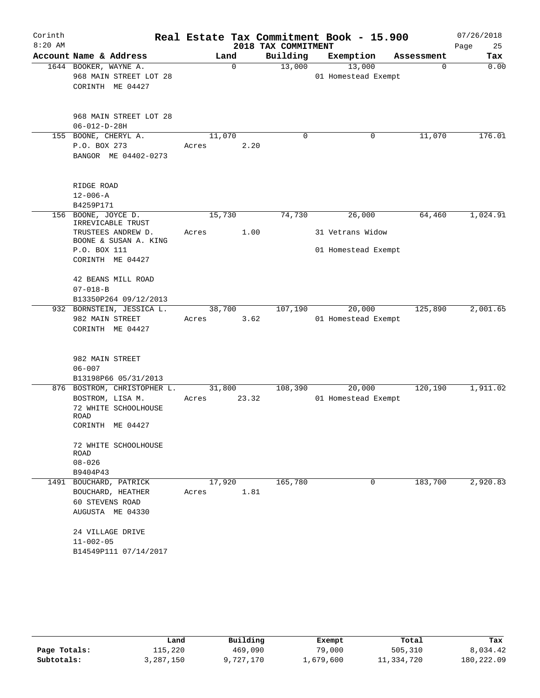| Corinth   |                                             |        |          | Real Estate Tax Commitment Book - 15.900 |                     |        |             | 07/26/2018 |
|-----------|---------------------------------------------|--------|----------|------------------------------------------|---------------------|--------|-------------|------------|
| $8:20$ AM |                                             |        |          | 2018 TAX COMMITMENT                      |                     |        |             | 25<br>Page |
|           | Account Name & Address                      |        | Land     | Building                                 | Exemption           |        | Assessment  | Tax        |
|           | 1644 BOOKER, WAYNE A.                       |        | $\Omega$ | 13,000                                   |                     | 13,000 | $\mathbf 0$ | 0.00       |
|           | 968 MAIN STREET LOT 28                      |        |          |                                          | 01 Homestead Exempt |        |             |            |
|           | CORINTH ME 04427                            |        |          |                                          |                     |        |             |            |
|           | 968 MAIN STREET LOT 28                      |        |          |                                          |                     |        |             |            |
|           | $06 - 012 - D - 28H$                        |        |          |                                          |                     |        |             |            |
|           | 155 BOONE, CHERYL A.                        | 11,070 |          | 0                                        |                     | 0      | 11,070      | 176.01     |
|           | P.O. BOX 273                                | Acres  | 2.20     |                                          |                     |        |             |            |
|           | BANGOR ME 04402-0273                        |        |          |                                          |                     |        |             |            |
|           | RIDGE ROAD                                  |        |          |                                          |                     |        |             |            |
|           | $12 - 006 - A$                              |        |          |                                          |                     |        |             |            |
|           | B4259P171                                   |        |          |                                          |                     |        |             |            |
|           | 156 BOONE, JOYCE D.<br>IRREVICABLE TRUST    | 15,730 |          | 74,730                                   |                     | 26,000 | 64,460      | 1,024.91   |
|           | TRUSTEES ANDREW D.<br>BOONE & SUSAN A. KING | Acres  | 1.00     |                                          | 31 Vetrans Widow    |        |             |            |
|           | P.O. BOX 111                                |        |          |                                          | 01 Homestead Exempt |        |             |            |
|           | CORINTH ME 04427                            |        |          |                                          |                     |        |             |            |
|           | 42 BEANS MILL ROAD                          |        |          |                                          |                     |        |             |            |
|           | $07 - 018 - B$                              |        |          |                                          |                     |        |             |            |
|           | B13350P264 09/12/2013                       |        |          |                                          |                     |        |             |            |
|           | 932 BORNSTEIN, JESSICA L.                   | 38,700 |          | 107,190                                  |                     | 20,000 | 125,890     | 2,001.65   |
|           | 982 MAIN STREET                             | Acres  | 3.62     |                                          | 01 Homestead Exempt |        |             |            |
|           | CORINTH ME 04427                            |        |          |                                          |                     |        |             |            |
|           | 982 MAIN STREET                             |        |          |                                          |                     |        |             |            |
|           | $06 - 007$                                  |        |          |                                          |                     |        |             |            |
|           | B13198P66 05/31/2013                        |        |          |                                          |                     |        |             |            |
|           | 876 BOSTROM, CHRISTOPHER L.                 | 31,800 |          | 108,390                                  |                     | 20,000 | 120,190     | 1,911.02   |
|           | BOSTROM, LISA M.                            | Acres  | 23.32    |                                          | 01 Homestead Exempt |        |             |            |
|           | 72 WHITE SCHOOLHOUSE                        |        |          |                                          |                     |        |             |            |
|           | ROAD                                        |        |          |                                          |                     |        |             |            |
|           | CORINTH ME 04427                            |        |          |                                          |                     |        |             |            |
|           | 72 WHITE SCHOOLHOUSE<br>ROAD                |        |          |                                          |                     |        |             |            |
|           | $08 - 026$                                  |        |          |                                          |                     |        |             |            |
|           | B9404P43                                    |        |          |                                          |                     |        |             |            |
|           | 1491 BOUCHARD, PATRICK                      | 17,920 |          | 165,780                                  |                     | 0      | 183,700     | 2,920.83   |
|           | BOUCHARD, HEATHER                           | Acres  | 1.81     |                                          |                     |        |             |            |
|           | 60 STEVENS ROAD                             |        |          |                                          |                     |        |             |            |
|           | AUGUSTA ME 04330                            |        |          |                                          |                     |        |             |            |
|           | 24 VILLAGE DRIVE                            |        |          |                                          |                     |        |             |            |
|           | $11 - 002 - 05$                             |        |          |                                          |                     |        |             |            |
|           | B14549P111 07/14/2017                       |        |          |                                          |                     |        |             |            |

|              | Land      | Building  | Exempt    | Total      | Tax        |
|--------------|-----------|-----------|-----------|------------|------------|
| Page Totals: | 115,220   | 469,090   | 79,000    | 505,310    | 8,034.42   |
| Subtotals:   | 3,287,150 | 9,727,170 | 1,679,600 | 11,334,720 | 180,222.09 |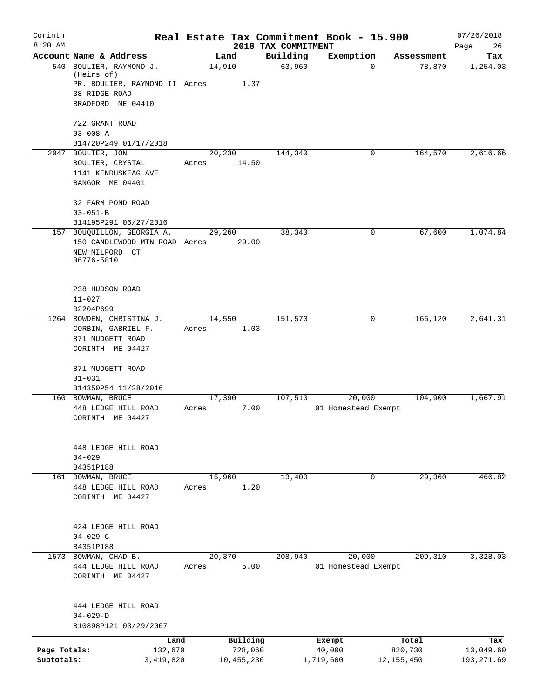| Corinth      |                                          |                 |          |                     | Real Estate Tax Commitment Book - 15.900 |                      | 07/26/2018      |
|--------------|------------------------------------------|-----------------|----------|---------------------|------------------------------------------|----------------------|-----------------|
| $8:20$ AM    | Account Name & Address                   |                 |          | 2018 TAX COMMITMENT |                                          |                      | Page<br>26      |
|              | 540 BOULIER, RAYMOND J.                  | Land<br>14,910  |          | Building<br>63,960  | Exemption<br>$\mathbf 0$                 | Assessment<br>78,870 | Tax<br>1,254.03 |
|              | (Heirs of)                               |                 |          |                     |                                          |                      |                 |
|              | PR. BOULIER, RAYMOND II Acres            |                 | 1.37     |                     |                                          |                      |                 |
|              | 38 RIDGE ROAD                            |                 |          |                     |                                          |                      |                 |
|              | BRADFORD ME 04410                        |                 |          |                     |                                          |                      |                 |
|              | 722 GRANT ROAD                           |                 |          |                     |                                          |                      |                 |
|              | $03 - 008 - A$                           |                 |          |                     |                                          |                      |                 |
|              | B14720P249 01/17/2018                    |                 |          |                     |                                          |                      |                 |
|              | 2047 BOULTER, JON                        | 20,230          |          | 144,340             | 0                                        | 164,570              | 2,616.66        |
|              | BOULTER, CRYSTAL                         | Acres           | 14.50    |                     |                                          |                      |                 |
|              | 1141 KENDUSKEAG AVE                      |                 |          |                     |                                          |                      |                 |
|              | BANGOR ME 04401                          |                 |          |                     |                                          |                      |                 |
|              | 32 FARM POND ROAD                        |                 |          |                     |                                          |                      |                 |
|              | $03 - 051 - B$                           |                 |          |                     |                                          |                      |                 |
|              | B14195P291 06/27/2016                    |                 |          |                     |                                          |                      |                 |
|              | 157 BOUQUILLON, GEORGIA A.               | 29,260          |          | 38,340              | 0                                        | 67,600               | 1,074.84        |
|              | 150 CANDLEWOOD MTN ROAD Acres            |                 | 29.00    |                     |                                          |                      |                 |
|              | NEW MILFORD CT                           |                 |          |                     |                                          |                      |                 |
|              | 06776-5810                               |                 |          |                     |                                          |                      |                 |
|              |                                          |                 |          |                     |                                          |                      |                 |
|              | 238 HUDSON ROAD                          |                 |          |                     |                                          |                      |                 |
|              | $11 - 027$                               |                 |          |                     |                                          |                      |                 |
|              | B2204P699                                |                 |          |                     |                                          |                      |                 |
|              | 1264 BOWDEN, CHRISTINA J.                | 14,550          |          | 151,570             | 0                                        | 166,120              | 2,641.31        |
|              | CORBIN, GABRIEL F.                       | Acres           | 1.03     |                     |                                          |                      |                 |
|              | 871 MUDGETT ROAD<br>CORINTH ME 04427     |                 |          |                     |                                          |                      |                 |
|              |                                          |                 |          |                     |                                          |                      |                 |
|              | 871 MUDGETT ROAD                         |                 |          |                     |                                          |                      |                 |
|              | $01 - 031$                               |                 |          |                     |                                          |                      |                 |
|              | B14350P54 11/28/2016                     |                 |          |                     |                                          |                      |                 |
|              | 160 BOWMAN, BRUCE                        | 17,390          |          | 107,510             | 20,000                                   | 104,900              | 1,667.91        |
|              | 448 LEDGE HILL ROAD<br>CORINTH ME 04427  | Acres           | 7.00     |                     | 01 Homestead Exempt                      |                      |                 |
|              |                                          |                 |          |                     |                                          |                      |                 |
|              |                                          |                 |          |                     |                                          |                      |                 |
|              | 448 LEDGE HILL ROAD                      |                 |          |                     |                                          |                      |                 |
|              | $04 - 029$                               |                 |          |                     |                                          |                      |                 |
|              | B4351P188                                |                 |          |                     | 0                                        | 29,360               | 466.82          |
|              | 161 BOWMAN, BRUCE<br>448 LEDGE HILL ROAD | 15,960<br>Acres | 1.20     | 13,400              |                                          |                      |                 |
|              | CORINTH ME 04427                         |                 |          |                     |                                          |                      |                 |
|              |                                          |                 |          |                     |                                          |                      |                 |
|              |                                          |                 |          |                     |                                          |                      |                 |
|              | 424 LEDGE HILL ROAD                      |                 |          |                     |                                          |                      |                 |
|              | $04 - 029 - C$<br>B4351P188              |                 |          |                     |                                          |                      |                 |
|              | 1573 BOWMAN, CHAD B.                     | 20,370          |          | 208,940             | 20,000                                   | 209, 310             | 3,328.03        |
|              | 444 LEDGE HILL ROAD                      | Acres           | 5.00     |                     | 01 Homestead Exempt                      |                      |                 |
|              | CORINTH ME 04427                         |                 |          |                     |                                          |                      |                 |
|              |                                          |                 |          |                     |                                          |                      |                 |
|              | 444 LEDGE HILL ROAD                      |                 |          |                     |                                          |                      |                 |
|              | $04 - 029 - D$                           |                 |          |                     |                                          |                      |                 |
|              | B10898P121 03/29/2007                    |                 |          |                     |                                          |                      |                 |
|              | Land                                     |                 | Building |                     | Exempt                                   | Total                | Tax             |
| Page Totals: | 132,670                                  |                 | 728,060  |                     | 40,000                                   | 820,730              | 13,049.60       |
| Subtotals:   | 3,419,820                                | 10,455,230      |          |                     | 1,719,600                                | 12, 155, 450         | 193, 271.69     |
|              |                                          |                 |          |                     |                                          |                      |                 |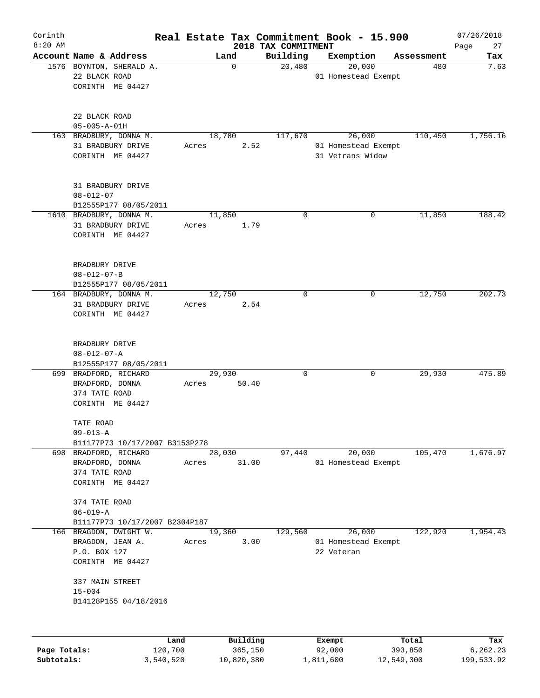| Corinth<br>$8:20$ AM |                                                                                |                 |                     | 2018 TAX COMMITMENT | Real Estate Tax Commitment Book - 15.900          |                  | 07/26/2018<br>27<br>Page |
|----------------------|--------------------------------------------------------------------------------|-----------------|---------------------|---------------------|---------------------------------------------------|------------------|--------------------------|
|                      | Account Name & Address                                                         | Land            |                     | Building            | Exemption                                         | Assessment       | Tax                      |
|                      | 1576 BOYNTON, SHERALD A.<br>22 BLACK ROAD<br>CORINTH ME 04427                  |                 | $\Omega$            | 20,480              | 20,000<br>01 Homestead Exempt                     | 480              | 7.63                     |
|                      | 22 BLACK ROAD<br>$05 - 005 - A - 01H$                                          |                 |                     |                     |                                                   |                  |                          |
|                      | 163 BRADBURY, DONNA M.<br>31 BRADBURY DRIVE<br>CORINTH ME 04427                | 18,780<br>Acres | 2.52                | 117,670             | 26,000<br>01 Homestead Exempt<br>31 Vetrans Widow | 110,450          | 1,756.16                 |
|                      | 31 BRADBURY DRIVE<br>$08 - 012 - 07$<br>B12555P177 08/05/2011                  |                 |                     |                     |                                                   |                  |                          |
|                      | 1610 BRADBURY, DONNA M.<br>31 BRADBURY DRIVE<br>CORINTH ME 04427               | 11,850<br>Acres | 1.79                | $\Omega$            | 0                                                 | 11,850           | 188.42                   |
|                      | BRADBURY DRIVE<br>$08 - 012 - 07 - B$<br>B12555P177 08/05/2011                 |                 |                     |                     |                                                   |                  |                          |
|                      | 164 BRADBURY, DONNA M.<br>31 BRADBURY DRIVE<br>CORINTH ME 04427                | 12,750<br>Acres | 2.54                | 0                   | 0                                                 | 12,750           | 202.73                   |
|                      | BRADBURY DRIVE<br>$08 - 012 - 07 - A$<br>B12555P177 08/05/2011                 |                 |                     |                     |                                                   |                  |                          |
|                      | 699 BRADFORD, RICHARD<br>BRADFORD, DONNA<br>374 TATE ROAD<br>CORINTH ME 04427  | 29,930<br>Acres | 50.40               | $\Omega$            | 0                                                 | 29,930           | 475.89                   |
|                      | TATE ROAD<br>$09 - 013 - A$<br>B11177P73 10/17/2007 B3153P278                  |                 |                     |                     |                                                   |                  |                          |
|                      | 698 BRADFORD, RICHARD<br>BRADFORD, DONNA<br>374 TATE ROAD<br>CORINTH ME 04427  | 28,030<br>Acres | 31.00               | 97,440              | 20,000<br>01 Homestead Exempt                     | 105,470          | 1,676.97                 |
|                      | 374 TATE ROAD<br>$06 - 019 - A$<br>B11177P73 10/17/2007 B2304P187              |                 |                     |                     |                                                   |                  |                          |
|                      | 166 BRAGDON, DWIGHT W.<br>BRAGDON, JEAN A.<br>P.O. BOX 127<br>CORINTH ME 04427 | 19,360<br>Acres | 3.00                | 129,560             | 26,000<br>01 Homestead Exempt<br>22 Veteran       | 122,920          | 1,954.43                 |
|                      | 337 MAIN STREET<br>$15 - 004$<br>B14128P155 04/18/2016                         |                 |                     |                     |                                                   |                  |                          |
| Page Totals:         |                                                                                | Land<br>120,700 | Building<br>365,150 |                     | Exempt<br>92,000                                  | Total<br>393,850 | Tax<br>6,262.23          |
| Subtotals:           | 3,540,520                                                                      |                 | 10,820,380          |                     | 1,811,600                                         | 12,549,300       | 199,533.92               |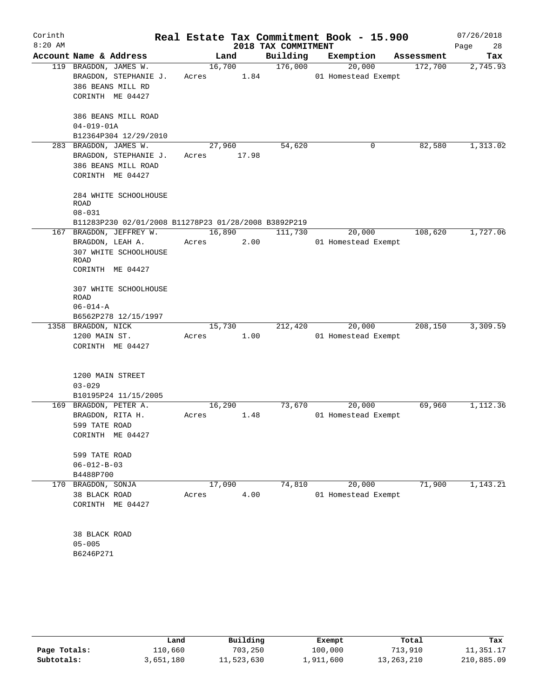| Corinth   |                                                      |        |        |                     | Real Estate Tax Commitment Book - 15.900 |            | 07/26/2018 |
|-----------|------------------------------------------------------|--------|--------|---------------------|------------------------------------------|------------|------------|
| $8:20$ AM |                                                      |        |        | 2018 TAX COMMITMENT |                                          |            | 28<br>Page |
|           | Account Name & Address                               | Land   |        | Building            | Exemption                                | Assessment | Tax        |
|           | 119 BRAGDON, JAMES W.                                | 16,700 |        | 176,000             | 20,000                                   | 172,700    | 2,745.93   |
|           | BRAGDON, STEPHANIE J.                                | Acres  | 1.84   |                     | 01 Homestead Exempt                      |            |            |
|           | 386 BEANS MILL RD                                    |        |        |                     |                                          |            |            |
|           | CORINTH ME 04427                                     |        |        |                     |                                          |            |            |
|           | 386 BEANS MILL ROAD                                  |        |        |                     |                                          |            |            |
|           | $04 - 019 - 01A$                                     |        |        |                     |                                          |            |            |
|           | B12364P304 12/29/2010                                |        |        |                     |                                          |            |            |
|           | 283 BRAGDON, JAMES W.                                | 27,960 |        | 54,620              | 0                                        | 82,580     | 1,313.02   |
|           | BRAGDON, STEPHANIE J.                                | Acres  | 17.98  |                     |                                          |            |            |
|           | 386 BEANS MILL ROAD                                  |        |        |                     |                                          |            |            |
|           | CORINTH ME 04427                                     |        |        |                     |                                          |            |            |
|           | 284 WHITE SCHOOLHOUSE                                |        |        |                     |                                          |            |            |
|           | <b>ROAD</b>                                          |        |        |                     |                                          |            |            |
|           | $08 - 031$                                           |        |        |                     |                                          |            |            |
|           | B11283P230 02/01/2008 B11278P23 01/28/2008 B3892P219 |        |        |                     |                                          |            |            |
|           | 167 BRAGDON, JEFFREY W.                              |        | 16,890 | 111,730             | 20,000                                   | 108,620    | 1,727.06   |
|           | BRAGDON, LEAH A.                                     | Acres  | 2.00   |                     | 01 Homestead Exempt                      |            |            |
|           | 307 WHITE SCHOOLHOUSE<br>ROAD                        |        |        |                     |                                          |            |            |
|           | CORINTH ME 04427                                     |        |        |                     |                                          |            |            |
|           |                                                      |        |        |                     |                                          |            |            |
|           | 307 WHITE SCHOOLHOUSE<br>ROAD                        |        |        |                     |                                          |            |            |
|           | $06 - 014 - A$                                       |        |        |                     |                                          |            |            |
|           | B6562P278 12/15/1997                                 |        |        |                     |                                          |            |            |
|           | 1358 BRAGDON, NICK                                   | 15,730 |        | 212,420             | 20,000                                   | 208,150    | 3,309.59   |
|           | 1200 MAIN ST.                                        | Acres  | 1.00   |                     | 01 Homestead Exempt                      |            |            |
|           | CORINTH ME 04427                                     |        |        |                     |                                          |            |            |
|           |                                                      |        |        |                     |                                          |            |            |
|           | 1200 MAIN STREET                                     |        |        |                     |                                          |            |            |
|           | $03 - 029$                                           |        |        |                     |                                          |            |            |
|           | B10195P24 11/15/2005                                 |        |        |                     |                                          |            |            |
|           | 169 BRAGDON, PETER A.                                | 16,290 |        | 73,670              | 20,000                                   | 69,960     | 1,112.36   |
|           | BRAGDON, RITA H.                                     | Acres  | 1.48   |                     | 01 Homestead Exempt                      |            |            |
|           | 599 TATE ROAD                                        |        |        |                     |                                          |            |            |
|           | CORINTH ME 04427                                     |        |        |                     |                                          |            |            |
|           | 599 TATE ROAD                                        |        |        |                     |                                          |            |            |
|           | $06 - 012 - B - 03$                                  |        |        |                     |                                          |            |            |
|           | B4488P700                                            |        |        |                     |                                          |            |            |
| 170       | BRAGDON, SONJA                                       | 17,090 |        | 74,810              | 20,000                                   | 71,900     | 1,143.21   |
|           | 38 BLACK ROAD                                        | Acres  | 4.00   |                     | 01 Homestead Exempt                      |            |            |
|           | CORINTH ME 04427                                     |        |        |                     |                                          |            |            |
|           |                                                      |        |        |                     |                                          |            |            |
|           | 38 BLACK ROAD                                        |        |        |                     |                                          |            |            |
|           | $05 - 005$                                           |        |        |                     |                                          |            |            |
|           | B6246P271                                            |        |        |                     |                                          |            |            |
|           |                                                      |        |        |                     |                                          |            |            |

|              | Land           | Building   | Exempt    | Total      | Tax        |
|--------------|----------------|------------|-----------|------------|------------|
| Page Totals: | <b>110,660</b> | 703,250    | 100,000   | 713,910    | 11,351.17  |
| Subtotals:   | 3,651,180      | 11,523,630 | 1,911,600 | 13,263,210 | 210,885.09 |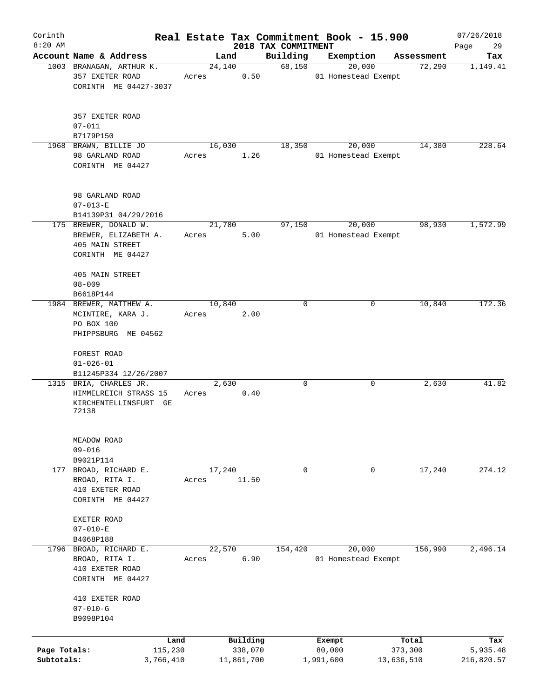| Corinth                    |                                                                                      |       |                       |                                 | Real Estate Tax Commitment Book - 15.900 |                       | 07/26/2018             |
|----------------------------|--------------------------------------------------------------------------------------|-------|-----------------------|---------------------------------|------------------------------------------|-----------------------|------------------------|
| $8:20$ AM                  | Account Name & Address                                                               |       | Land                  | 2018 TAX COMMITMENT<br>Building | Exemption                                | Assessment            | 29<br>Page<br>Tax      |
|                            | 1003 BRANAGAN, ARTHUR K.                                                             |       | 24,140                | 68,150                          | 20,000                                   | 72,290                | 1,149.41               |
|                            | 357 EXETER ROAD<br>CORINTH ME 04427-3037                                             | Acres | 0.50                  |                                 | 01 Homestead Exempt                      |                       |                        |
|                            | 357 EXETER ROAD<br>$07 - 011$                                                        |       |                       |                                 |                                          |                       |                        |
|                            | B7179P150<br>1968 BRAWN, BILLIE JO                                                   |       | 16,030                | 18,350                          | 20,000                                   | 14,380                | 228.64                 |
|                            | 98 GARLAND ROAD<br>CORINTH ME 04427                                                  | Acres | 1.26                  |                                 | 01 Homestead Exempt                      |                       |                        |
|                            | 98 GARLAND ROAD<br>$07 - 013 - E$                                                    |       |                       |                                 |                                          |                       |                        |
|                            | B14139P31 04/29/2016                                                                 |       |                       |                                 |                                          |                       |                        |
|                            | 175 BREWER, DONALD W.<br>BREWER, ELIZABETH A.<br>405 MAIN STREET<br>CORINTH ME 04427 | Acres | 21,780<br>5.00        | 97,150                          | 20,000<br>01 Homestead Exempt            | 98,930                | 1,572.99               |
|                            | 405 MAIN STREET                                                                      |       |                       |                                 |                                          |                       |                        |
|                            | $08 - 009$<br>B6618P144                                                              |       |                       |                                 |                                          |                       |                        |
|                            | 1984 BREWER, MATTHEW A.                                                              |       | 10,840                | 0                               | 0                                        | 10,840                | 172.36                 |
|                            | MCINTIRE, KARA J.<br>PO BOX 100                                                      | Acres | 2.00                  |                                 |                                          |                       |                        |
|                            | PHIPPSBURG ME 04562                                                                  |       |                       |                                 |                                          |                       |                        |
|                            | FOREST ROAD<br>$01 - 026 - 01$                                                       |       |                       |                                 |                                          |                       |                        |
|                            | B11245P334 12/26/2007                                                                |       |                       |                                 |                                          |                       |                        |
|                            | 1315 BRIA, CHARLES JR.<br>HIMMELREICH STRASS 15<br>KIRCHENTELLINSFURT GE<br>72138    | Acres | 2,630<br>0.40         | 0                               | 0                                        | 2,630                 | 41.82                  |
|                            | MEADOW ROAD<br>$09 - 016$                                                            |       |                       |                                 |                                          |                       |                        |
|                            | B9021P114<br>BROAD, RICHARD E.                                                       |       | 17,240                | $\mathbf 0$                     | 0                                        | 17,240                | 274.12                 |
| 177                        | BROAD, RITA I.<br>410 EXETER ROAD<br>CORINTH ME 04427                                | Acres | 11.50                 |                                 |                                          |                       |                        |
|                            | EXETER ROAD<br>$07 - 010 - E$                                                        |       |                       |                                 |                                          |                       |                        |
|                            | B4068P188<br>1796 BROAD, RICHARD E.                                                  |       | 22,570                | 154,420                         | 20,000                                   | 156,990               | 2,496.14               |
|                            | BROAD, RITA I.<br>410 EXETER ROAD<br>CORINTH ME 04427                                | Acres | 6.90                  |                                 | 01 Homestead Exempt                      |                       |                        |
|                            | 410 EXETER ROAD<br>$07 - 010 - G$<br>B9098P104                                       |       |                       |                                 |                                          |                       |                        |
|                            | Land                                                                                 |       | Building              |                                 | Exempt                                   | Total                 | Tax                    |
| Page Totals:<br>Subtotals: | 115,230<br>3,766,410                                                                 |       | 338,070<br>11,861,700 |                                 | 80,000<br>1,991,600                      | 373,300<br>13,636,510 | 5,935.48<br>216,820.57 |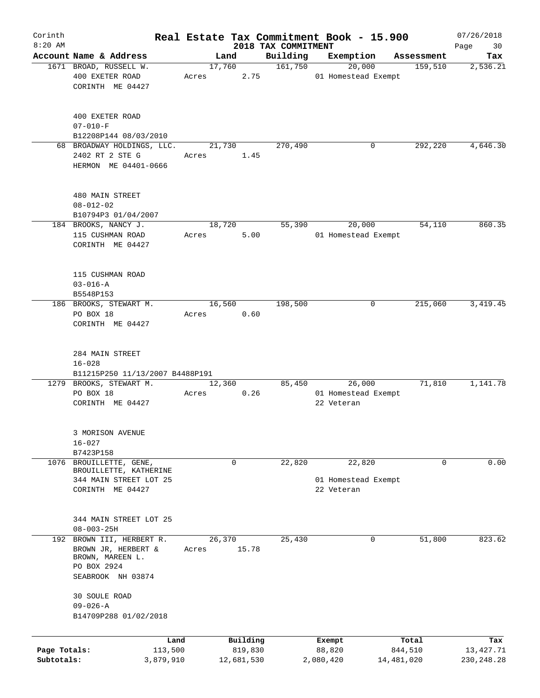| Corinth      |                                                            |                 |                |                     |                     | Real Estate Tax Commitment Book - 15.900 |                       | 07/26/2018       |
|--------------|------------------------------------------------------------|-----------------|----------------|---------------------|---------------------|------------------------------------------|-----------------------|------------------|
| $8:20$ AM    | Account Name & Address                                     |                 |                |                     | 2018 TAX COMMITMENT |                                          |                       | 30<br>Page       |
|              | 1671 BROAD, RUSSELL W.                                     |                 | Land<br>17,760 |                     | Building<br>161,750 | Exemption<br>20,000                      | Assessment<br>159,510 | Tax<br>2,536.21  |
|              | 400 EXETER ROAD                                            | Acres           |                | 2.75                |                     | 01 Homestead Exempt                      |                       |                  |
|              | CORINTH ME 04427                                           |                 |                |                     |                     |                                          |                       |                  |
|              |                                                            |                 |                |                     |                     |                                          |                       |                  |
|              |                                                            |                 |                |                     |                     |                                          |                       |                  |
|              | 400 EXETER ROAD                                            |                 |                |                     |                     |                                          |                       |                  |
|              | $07 - 010 - F$<br>B12208P144 08/03/2010                    |                 |                |                     |                     |                                          |                       |                  |
|              | 68 BROADWAY HOLDINGS, LLC.                                 |                 | 21,730         |                     | 270,490             | 0                                        | 292,220               | 4,646.30         |
|              | 2402 RT 2 STE G                                            | Acres           |                | 1.45                |                     |                                          |                       |                  |
|              | HERMON ME 04401-0666                                       |                 |                |                     |                     |                                          |                       |                  |
|              |                                                            |                 |                |                     |                     |                                          |                       |                  |
|              | 480 MAIN STREET                                            |                 |                |                     |                     |                                          |                       |                  |
|              | $08 - 012 - 02$                                            |                 |                |                     |                     |                                          |                       |                  |
|              | B10794P3 01/04/2007                                        |                 |                |                     |                     |                                          |                       |                  |
|              | 184 BROOKS, NANCY J.                                       |                 | 18,720         |                     | 55,390              | 20,000                                   | 54,110                | 860.35           |
|              | 115 CUSHMAN ROAD                                           | Acres           |                | 5.00                |                     | 01 Homestead Exempt                      |                       |                  |
|              | CORINTH ME 04427                                           |                 |                |                     |                     |                                          |                       |                  |
|              |                                                            |                 |                |                     |                     |                                          |                       |                  |
|              | 115 CUSHMAN ROAD                                           |                 |                |                     |                     |                                          |                       |                  |
|              | $03 - 016 - A$                                             |                 |                |                     |                     |                                          |                       |                  |
|              | B5548P153                                                  |                 |                |                     |                     |                                          |                       |                  |
|              | 186 BROOKS, STEWART M.                                     |                 | 16,560         |                     | 198,500             | 0                                        | 215,060               | 3, 419.45        |
|              | PO BOX 18                                                  | Acres           |                | 0.60                |                     |                                          |                       |                  |
|              | CORINTH ME 04427                                           |                 |                |                     |                     |                                          |                       |                  |
|              |                                                            |                 |                |                     |                     |                                          |                       |                  |
|              |                                                            |                 |                |                     |                     |                                          |                       |                  |
|              | 284 MAIN STREET                                            |                 |                |                     |                     |                                          |                       |                  |
|              | $16 - 028$                                                 |                 |                |                     |                     |                                          |                       |                  |
|              | B11215P250 11/13/2007 B4488P191<br>1279 BROOKS, STEWART M. |                 | 12,360         |                     | 85,450              | 26,000                                   | 71,810                | 1,141.78         |
|              | PO BOX 18                                                  | Acres           |                | 0.26                |                     | 01 Homestead Exempt                      |                       |                  |
|              | CORINTH ME 04427                                           |                 |                |                     |                     | 22 Veteran                               |                       |                  |
|              |                                                            |                 |                |                     |                     |                                          |                       |                  |
|              |                                                            |                 |                |                     |                     |                                          |                       |                  |
|              | 3 MORISON AVENUE                                           |                 |                |                     |                     |                                          |                       |                  |
|              | $16 - 027$                                                 |                 |                |                     |                     |                                          |                       |                  |
|              | B7423P158                                                  |                 |                |                     |                     |                                          |                       |                  |
|              | 1076 BROUILLETTE, GENE,<br>BROUILLETTE, KATHERINE          |                 | 0              |                     | 22,820              | 22,820                                   | 0                     | 0.00             |
|              | 344 MAIN STREET LOT 25                                     |                 |                |                     |                     | 01 Homestead Exempt                      |                       |                  |
|              | CORINTH ME 04427                                           |                 |                |                     |                     | 22 Veteran                               |                       |                  |
|              |                                                            |                 |                |                     |                     |                                          |                       |                  |
|              |                                                            |                 |                |                     |                     |                                          |                       |                  |
|              | 344 MAIN STREET LOT 25<br>$08 - 003 - 25H$                 |                 |                |                     |                     |                                          |                       |                  |
|              | 192 BROWN III, HERBERT R.                                  |                 | 26,370         |                     | 25,430              | 0                                        | 51,800                | 823.62           |
|              | BROWN JR, HERBERT &                                        | Acres           |                | 15.78               |                     |                                          |                       |                  |
|              | BROWN, MAREEN L.                                           |                 |                |                     |                     |                                          |                       |                  |
|              | PO BOX 2924                                                |                 |                |                     |                     |                                          |                       |                  |
|              | SEABROOK NH 03874                                          |                 |                |                     |                     |                                          |                       |                  |
|              |                                                            |                 |                |                     |                     |                                          |                       |                  |
|              | 30 SOULE ROAD                                              |                 |                |                     |                     |                                          |                       |                  |
|              | $09 - 026 - A$                                             |                 |                |                     |                     |                                          |                       |                  |
|              | B14709P288 01/02/2018                                      |                 |                |                     |                     |                                          |                       |                  |
|              |                                                            |                 |                |                     |                     |                                          |                       |                  |
| Page Totals: |                                                            | Land<br>113,500 |                | Building<br>819,830 |                     | Exempt<br>88,820                         | Total<br>844,510      | Tax<br>13,427.71 |
| Subtotals:   | 3,879,910                                                  |                 |                | 12,681,530          |                     | 2,080,420                                | 14,481,020            | 230,248.28       |
|              |                                                            |                 |                |                     |                     |                                          |                       |                  |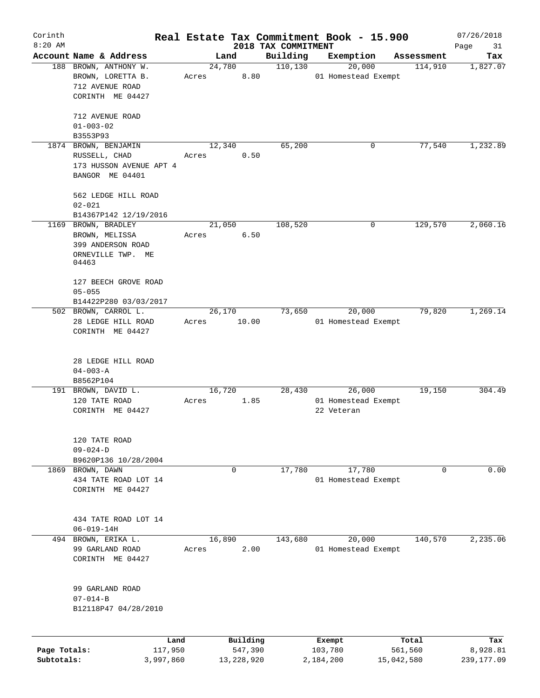| Corinth                    |                                   |       |                         |                      | Real Estate Tax Commitment Book - 15.900 |                       | 07/26/2018             |
|----------------------------|-----------------------------------|-------|-------------------------|----------------------|------------------------------------------|-----------------------|------------------------|
| $8:20$ AM                  | Account Name & Address            |       |                         | 2018 TAX COMMITMENT  |                                          |                       | Page<br>31             |
|                            | 188 BROWN, ANTHONY W.             |       | Land<br>24,780          | Building<br>110, 130 | Exemption<br>20,000                      | Assessment<br>114,910 | Tax<br>1,827.07        |
|                            | BROWN, LORETTA B.                 | Acres | 8.80                    |                      | 01 Homestead Exempt                      |                       |                        |
|                            | 712 AVENUE ROAD                   |       |                         |                      |                                          |                       |                        |
|                            | CORINTH ME 04427                  |       |                         |                      |                                          |                       |                        |
|                            |                                   |       |                         |                      |                                          |                       |                        |
|                            | 712 AVENUE ROAD                   |       |                         |                      |                                          |                       |                        |
|                            | $01 - 003 - 02$                   |       |                         |                      |                                          |                       |                        |
|                            | B3553P93                          |       |                         |                      |                                          |                       |                        |
|                            | 1874 BROWN, BENJAMIN              |       | 12,340                  | 65,200               | 0                                        | 77,540                | 1,232.89               |
|                            | RUSSELL, CHAD                     | Acres | 0.50                    |                      |                                          |                       |                        |
|                            | 173 HUSSON AVENUE APT 4           |       |                         |                      |                                          |                       |                        |
|                            | BANGOR ME 04401                   |       |                         |                      |                                          |                       |                        |
|                            |                                   |       |                         |                      |                                          |                       |                        |
|                            | 562 LEDGE HILL ROAD               |       |                         |                      |                                          |                       |                        |
|                            | $02 - 021$                        |       |                         |                      |                                          |                       |                        |
|                            | B14367P142 12/19/2016             |       |                         |                      |                                          |                       |                        |
|                            | 1169 BROWN, BRADLEY               |       | 21,050                  | 108,520              | 0                                        | 129,570               | 2,060.16               |
|                            | BROWN, MELISSA                    | Acres | 6.50                    |                      |                                          |                       |                        |
|                            | 399 ANDERSON ROAD                 |       |                         |                      |                                          |                       |                        |
|                            | ORNEVILLE TWP. ME<br>04463        |       |                         |                      |                                          |                       |                        |
|                            |                                   |       |                         |                      |                                          |                       |                        |
|                            | 127 BEECH GROVE ROAD              |       |                         |                      |                                          |                       |                        |
|                            | $05 - 055$                        |       |                         |                      |                                          |                       |                        |
|                            | B14422P280 03/03/2017             |       |                         |                      |                                          |                       |                        |
|                            | 502 BROWN, CARROL L.              |       | 26,170                  | 73,650               | 20,000                                   | 79,820                | 1,269.14               |
|                            | 28 LEDGE HILL ROAD                | Acres | 10.00                   |                      | 01 Homestead Exempt                      |                       |                        |
|                            | CORINTH ME 04427                  |       |                         |                      |                                          |                       |                        |
|                            |                                   |       |                         |                      |                                          |                       |                        |
|                            | 28 LEDGE HILL ROAD                |       |                         |                      |                                          |                       |                        |
|                            | $04 - 003 - A$                    |       |                         |                      |                                          |                       |                        |
|                            | B8562P104                         |       |                         |                      |                                          |                       |                        |
|                            | 191 BROWN, DAVID L.               |       | 16,720                  | 28,430               | 26,000                                   | 19,150                | 304.49                 |
|                            | 120 TATE ROAD                     | Acres | 1.85                    |                      | 01 Homestead Exempt                      |                       |                        |
|                            | CORINTH ME 04427                  |       |                         |                      | 22 Veteran                               |                       |                        |
|                            |                                   |       |                         |                      |                                          |                       |                        |
|                            | 120 TATE ROAD                     |       |                         |                      |                                          |                       |                        |
|                            | $09 - 024 - D$                    |       |                         |                      |                                          |                       |                        |
|                            | B9620P136 10/28/2004              |       |                         |                      |                                          |                       |                        |
|                            | 1869 BROWN, DAWN                  |       | 0                       | 17,780               | 17,780                                   | 0                     | 0.00                   |
|                            | 434 TATE ROAD LOT 14              |       |                         |                      | 01 Homestead Exempt                      |                       |                        |
|                            | CORINTH ME 04427                  |       |                         |                      |                                          |                       |                        |
|                            |                                   |       |                         |                      |                                          |                       |                        |
|                            | 434 TATE ROAD LOT 14              |       |                         |                      |                                          |                       |                        |
|                            | $06 - 019 - 14H$                  |       |                         |                      |                                          |                       |                        |
|                            | 494 BROWN, ERIKA L.               |       | 16,890                  | 143,680              | 20,000                                   | 140,570               | 2,235.06               |
|                            | 99 GARLAND ROAD                   | Acres | 2.00                    |                      | 01 Homestead Exempt                      |                       |                        |
|                            | CORINTH ME 04427                  |       |                         |                      |                                          |                       |                        |
|                            |                                   |       |                         |                      |                                          |                       |                        |
|                            |                                   |       |                         |                      |                                          |                       |                        |
|                            | 99 GARLAND ROAD<br>$07 - 014 - B$ |       |                         |                      |                                          |                       |                        |
|                            | B12118P47 04/28/2010              |       |                         |                      |                                          |                       |                        |
|                            |                                   |       |                         |                      |                                          |                       |                        |
|                            |                                   |       |                         |                      |                                          |                       |                        |
|                            | Land                              |       | Building                |                      | Exempt                                   | Total                 | Tax                    |
| Page Totals:<br>Subtotals: | 117,950<br>3,997,860              |       | 547,390<br>13, 228, 920 |                      | 103,780<br>2,184,200                     | 561,560<br>15,042,580 | 8,928.81<br>239,177.09 |
|                            |                                   |       |                         |                      |                                          |                       |                        |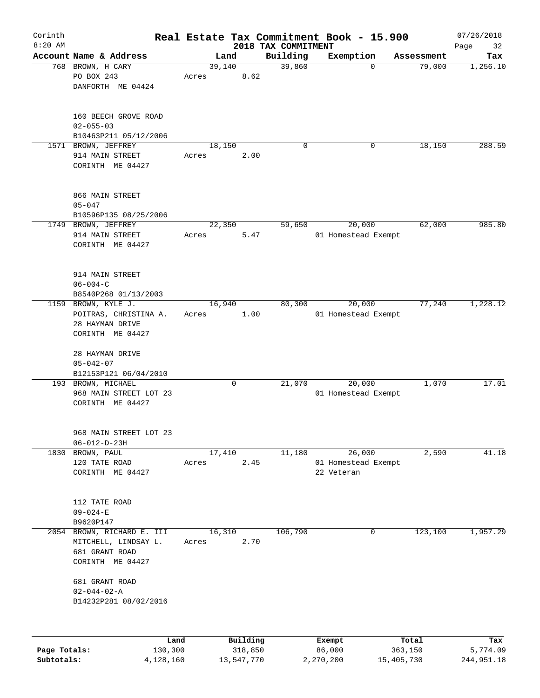| Corinth      |                                              |       |        |            |                     | Real Estate Tax Commitment Book - 15.900 |                        | 07/26/2018 |
|--------------|----------------------------------------------|-------|--------|------------|---------------------|------------------------------------------|------------------------|------------|
| $8:20$ AM    |                                              |       |        |            | 2018 TAX COMMITMENT |                                          |                        | Page<br>32 |
|              | Account Name & Address                       |       | Land   |            | Building            | Exemption                                | Assessment             | Tax        |
|              | 768 BROWN, H CARY<br>PO BOX 243              |       | 39,140 | 8.62       | 39,860              |                                          | 79,000<br>$\Omega$     | 1,256.10   |
|              | DANFORTH ME 04424                            | Acres |        |            |                     |                                          |                        |            |
|              |                                              |       |        |            |                     |                                          |                        |            |
|              |                                              |       |        |            |                     |                                          |                        |            |
|              | 160 BEECH GROVE ROAD                         |       |        |            |                     |                                          |                        |            |
|              | $02 - 055 - 03$                              |       |        |            |                     |                                          |                        |            |
|              | B10463P211 05/12/2006                        |       |        |            |                     |                                          |                        |            |
|              | 1571 BROWN, JEFFREY                          |       | 18,150 |            | $\Omega$            |                                          | 0<br>18,150            | 288.59     |
|              | 914 MAIN STREET                              | Acres |        | 2.00       |                     |                                          |                        |            |
|              | CORINTH ME 04427                             |       |        |            |                     |                                          |                        |            |
|              |                                              |       |        |            |                     |                                          |                        |            |
|              |                                              |       |        |            |                     |                                          |                        |            |
|              | 866 MAIN STREET                              |       |        |            |                     |                                          |                        |            |
|              | $05 - 047$                                   |       |        |            |                     |                                          |                        |            |
|              | B10596P135 08/25/2006                        |       |        |            | 59,650              |                                          |                        |            |
|              | 1749 BROWN, JEFFREY                          |       | 22,350 |            |                     | 20,000                                   | 62,000                 | 985.80     |
|              | 914 MAIN STREET                              | Acres |        | 5.47       |                     | 01 Homestead Exempt                      |                        |            |
|              | CORINTH ME 04427                             |       |        |            |                     |                                          |                        |            |
|              |                                              |       |        |            |                     |                                          |                        |            |
|              | 914 MAIN STREET                              |       |        |            |                     |                                          |                        |            |
|              | $06 - 004 - C$                               |       |        |            |                     |                                          |                        |            |
|              | B8540P268 01/13/2003                         |       |        |            |                     |                                          |                        |            |
| 1159         | BROWN, KYLE J.                               |       | 16,940 |            | 80,300              | 20,000                                   | 77,240                 | 1,228.12   |
|              | POITRAS, CHRISTINA A.                        | Acres |        | 1.00       |                     | 01 Homestead Exempt                      |                        |            |
|              | 28 HAYMAN DRIVE                              |       |        |            |                     |                                          |                        |            |
|              | CORINTH ME 04427                             |       |        |            |                     |                                          |                        |            |
|              |                                              |       |        |            |                     |                                          |                        |            |
|              | 28 HAYMAN DRIVE                              |       |        |            |                     |                                          |                        |            |
|              | $05 - 042 - 07$                              |       |        |            |                     |                                          |                        |            |
|              | B12153P121 06/04/2010                        |       |        |            |                     | 20,000                                   |                        |            |
|              | 193 BROWN, MICHAEL<br>968 MAIN STREET LOT 23 |       |        | 0          | 21,070              | 01 Homestead Exempt                      | 1,070                  | 17.01      |
|              | CORINTH ME 04427                             |       |        |            |                     |                                          |                        |            |
|              |                                              |       |        |            |                     |                                          |                        |            |
|              |                                              |       |        |            |                     |                                          |                        |            |
|              | 968 MAIN STREET LOT 23                       |       |        |            |                     |                                          |                        |            |
|              | $06 - 012 - D - 23H$                         |       |        |            |                     |                                          |                        |            |
| 1830         | BROWN, PAUL                                  |       | 17,410 |            | 11,180              | 26,000                                   | 2,590                  | 41.18      |
|              | 120 TATE ROAD                                | Acres |        | 2.45       |                     | 01 Homestead Exempt                      |                        |            |
|              | CORINTH ME 04427                             |       |        |            |                     | 22 Veteran                               |                        |            |
|              |                                              |       |        |            |                     |                                          |                        |            |
|              | 112 TATE ROAD                                |       |        |            |                     |                                          |                        |            |
|              | $09 - 024 - E$                               |       |        |            |                     |                                          |                        |            |
|              | B9620P147                                    |       |        |            |                     |                                          |                        |            |
| 2054         | BROWN, RICHARD E. III                        |       | 16,310 |            | 106,790             |                                          | $\mathbf 0$<br>123,100 | 1,957.29   |
|              | MITCHELL, LINDSAY L.                         | Acres |        | 2.70       |                     |                                          |                        |            |
|              | 681 GRANT ROAD                               |       |        |            |                     |                                          |                        |            |
|              | CORINTH ME 04427                             |       |        |            |                     |                                          |                        |            |
|              |                                              |       |        |            |                     |                                          |                        |            |
|              | 681 GRANT ROAD                               |       |        |            |                     |                                          |                        |            |
|              | $02 - 044 - 02 - A$                          |       |        |            |                     |                                          |                        |            |
|              | B14232P281 08/02/2016                        |       |        |            |                     |                                          |                        |            |
|              |                                              |       |        |            |                     |                                          |                        |            |
|              |                                              | Land  |        | Building   |                     | Exempt                                   | Total                  | Tax        |
| Page Totals: | 130,300                                      |       |        | 318,850    |                     | 86,000                                   | 363,150                | 5,774.09   |
| Subtotals:   | 4,128,160                                    |       |        | 13,547,770 |                     | 2,270,200                                | 15,405,730             | 244,951.18 |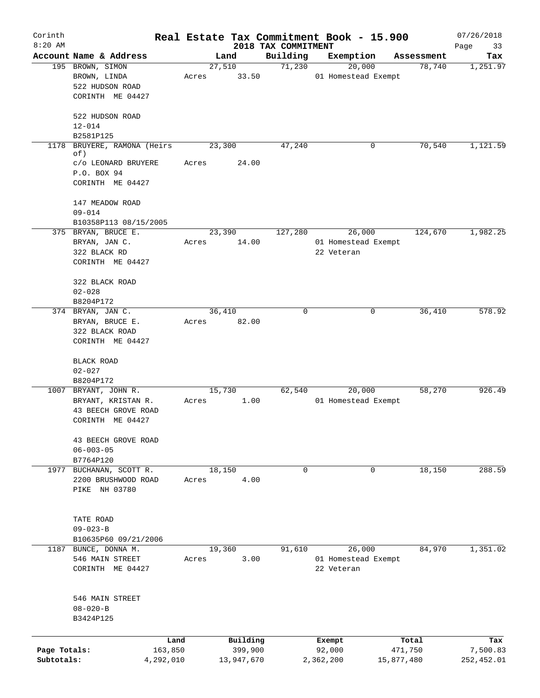| Corinth      |                               |       |            |                                 | Real Estate Tax Commitment Book - 15.900 |            | 07/26/2018        |
|--------------|-------------------------------|-------|------------|---------------------------------|------------------------------------------|------------|-------------------|
| $8:20$ AM    | Account Name & Address        |       | Land       | 2018 TAX COMMITMENT<br>Building | Exemption                                | Assessment | Page<br>33<br>Tax |
|              | 195 BROWN, SIMON              |       | 27,510     | 71,230                          | 20,000                                   | 78,740     | 1,251.97          |
|              | BROWN, LINDA                  | Acres | 33.50      |                                 | 01 Homestead Exempt                      |            |                   |
|              | 522 HUDSON ROAD               |       |            |                                 |                                          |            |                   |
|              | CORINTH ME 04427              |       |            |                                 |                                          |            |                   |
|              |                               |       |            |                                 |                                          |            |                   |
|              | 522 HUDSON ROAD               |       |            |                                 |                                          |            |                   |
|              | $12 - 014$                    |       |            |                                 |                                          |            |                   |
|              | B2581P125                     |       |            |                                 |                                          |            |                   |
| 1178         | BRUYERE, RAMONA (Heirs<br>of) |       | 23,300     | 47,240                          | 0                                        | 70,540     | 1,121.59          |
|              | C/O LEONARD BRUYERE           | Acres | 24.00      |                                 |                                          |            |                   |
|              | P.O. BOX 94                   |       |            |                                 |                                          |            |                   |
|              | CORINTH ME 04427              |       |            |                                 |                                          |            |                   |
|              | 147 MEADOW ROAD               |       |            |                                 |                                          |            |                   |
|              | $09 - 014$                    |       |            |                                 |                                          |            |                   |
|              | B10358P113 08/15/2005         |       |            |                                 |                                          |            |                   |
|              | 375 BRYAN, BRUCE E.           |       | 23,390     | 127,280                         | 26,000                                   | 124,670    | 1,982.25          |
|              | BRYAN, JAN C.                 | Acres | 14.00      |                                 | 01 Homestead Exempt                      |            |                   |
|              | 322 BLACK RD                  |       |            |                                 | 22 Veteran                               |            |                   |
|              | CORINTH ME 04427              |       |            |                                 |                                          |            |                   |
|              | 322 BLACK ROAD                |       |            |                                 |                                          |            |                   |
|              | $02 - 028$                    |       |            |                                 |                                          |            |                   |
|              | B8204P172                     |       |            |                                 |                                          |            |                   |
|              | 374 BRYAN, JAN C.             |       | 36,410     | 0                               | 0                                        | 36,410     | 578.92            |
|              | BRYAN, BRUCE E.               | Acres | 82.00      |                                 |                                          |            |                   |
|              | 322 BLACK ROAD                |       |            |                                 |                                          |            |                   |
|              | CORINTH ME 04427              |       |            |                                 |                                          |            |                   |
|              | <b>BLACK ROAD</b>             |       |            |                                 |                                          |            |                   |
|              | $02 - 027$                    |       |            |                                 |                                          |            |                   |
|              | B8204P172                     |       |            |                                 |                                          |            |                   |
|              | 1007 BRYANT, JOHN R.          |       | 15,730     | 62,540                          | 20,000                                   | 58,270     | 926.49            |
|              | BRYANT, KRISTAN R.            | Acres | 1.00       |                                 | 01 Homestead Exempt                      |            |                   |
|              | 43 BEECH GROVE ROAD           |       |            |                                 |                                          |            |                   |
|              | CORINTH ME 04427              |       |            |                                 |                                          |            |                   |
|              |                               |       |            |                                 |                                          |            |                   |
|              | 43 BEECH GROVE ROAD           |       |            |                                 |                                          |            |                   |
|              | $06 - 003 - 05$<br>B7764P120  |       |            |                                 |                                          |            |                   |
| 1977         | BUCHANAN, SCOTT R.            |       | 18,150     | $\mathbf 0$                     | 0                                        | 18,150     | 288.59            |
|              | 2200 BRUSHWOOD ROAD           | Acres | 4.00       |                                 |                                          |            |                   |
|              | PIKE NH 03780                 |       |            |                                 |                                          |            |                   |
|              |                               |       |            |                                 |                                          |            |                   |
|              | TATE ROAD                     |       |            |                                 |                                          |            |                   |
|              | $09 - 023 - B$                |       |            |                                 |                                          |            |                   |
|              | B10635P60 09/21/2006          |       |            |                                 |                                          |            |                   |
|              | 1187 BUNCE, DONNA M.          |       | 19,360     | 91,610                          | 26,000                                   | 84,970     | 1,351.02          |
|              | 546 MAIN STREET               | Acres | 3.00       |                                 | 01 Homestead Exempt                      |            |                   |
|              | CORINTH ME 04427              |       |            |                                 | 22 Veteran                               |            |                   |
|              |                               |       |            |                                 |                                          |            |                   |
|              | 546 MAIN STREET               |       |            |                                 |                                          |            |                   |
|              | $08 - 020 - B$                |       |            |                                 |                                          |            |                   |
|              | B3424P125                     |       |            |                                 |                                          |            |                   |
|              | Land                          |       | Building   |                                 | Exempt                                   | Total      | Tax               |
| Page Totals: | 163,850                       |       | 399,900    |                                 | 92,000                                   | 471,750    | 7,500.83          |
| Subtotals:   | 4,292,010                     |       | 13,947,670 |                                 | 2,362,200                                | 15,877,480 | 252,452.01        |
|              |                               |       |            |                                 |                                          |            |                   |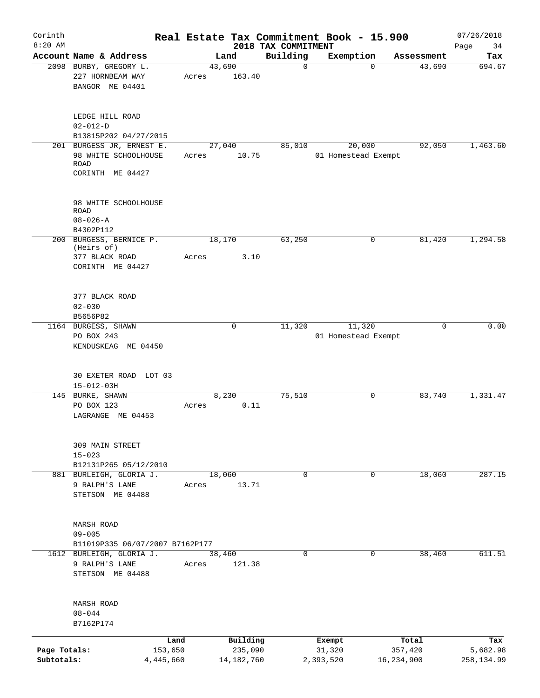| Corinth                    |                                                                             |       |                         |                                 | Real Estate Tax Commitment Book - 15.900 |                       | 07/26/2018             |
|----------------------------|-----------------------------------------------------------------------------|-------|-------------------------|---------------------------------|------------------------------------------|-----------------------|------------------------|
| $8:20$ AM                  | Account Name & Address                                                      |       | Land                    | 2018 TAX COMMITMENT<br>Building | Exemption                                | Assessment            | Page<br>34<br>Tax      |
|                            | 2098 BURBY, GREGORY L.<br>227 HORNBEAM WAY<br>BANGOR ME 04401               | Acres | 43,690<br>163.40        | $\mathbf 0$                     | $\Omega$                                 | 43,690                | 694.67                 |
|                            | LEDGE HILL ROAD<br>$02 - 012 - D$<br>B13815P202 04/27/2015                  |       |                         |                                 |                                          |                       |                        |
|                            | 201 BURGESS JR, ERNEST E.                                                   |       | 27,040                  | 85,010                          | 20,000                                   | 92,050                | 1,463.60               |
|                            | 98 WHITE SCHOOLHOUSE<br><b>ROAD</b><br>CORINTH ME 04427                     | Acres | 10.75                   |                                 | 01 Homestead Exempt                      |                       |                        |
|                            | 98 WHITE SCHOOLHOUSE<br><b>ROAD</b><br>$08 - 026 - A$                       |       |                         |                                 |                                          |                       |                        |
|                            | B4302P112                                                                   |       |                         |                                 |                                          |                       |                        |
|                            | 200 BURGESS, BERNICE P.<br>(Heirs of)<br>377 BLACK ROAD<br>CORINTH ME 04427 | Acres | 18,170<br>3.10          | 63,250                          | 0                                        | 81,420                | 1,294.58               |
|                            | 377 BLACK ROAD<br>$02 - 030$<br>B5656P82                                    |       |                         |                                 |                                          |                       |                        |
|                            | 1164 BURGESS, SHAWN<br>PO BOX 243<br>KENDUSKEAG ME 04450                    |       | 0                       | 11,320                          | 11,320<br>01 Homestead Exempt            | $\mathbf 0$           | 0.00                   |
|                            | 30 EXETER ROAD LOT 03<br>$15 - 012 - 03H$                                   |       |                         |                                 |                                          |                       |                        |
|                            | 145 BURKE, SHAWN<br>PO BOX 123<br>LAGRANGE<br>ME 04453                      | Acres | 8,230<br>0.11           | 75,510                          | 0                                        | 83,740                | 1,331.47               |
|                            | 309 MAIN STREET<br>$15 - 023$                                               |       |                         |                                 |                                          |                       |                        |
|                            | B12131P265 05/12/2010<br>881 BURLEIGH, GLORIA J.                            |       | 18,060                  | $\mathbf 0$                     | $\mathbf 0$                              | 18,060                | 287.15                 |
|                            | 9 RALPH'S LANE<br>STETSON ME 04488                                          | Acres | 13.71                   |                                 |                                          |                       |                        |
|                            | MARSH ROAD<br>$09 - 005$<br>B11019P335 06/07/2007 B7162P177                 |       |                         |                                 |                                          |                       |                        |
|                            | 1612 BURLEIGH, GLORIA J.<br>9 RALPH'S LANE<br>STETSON ME 04488              | Acres | 38,460<br>121.38        | $\mathbf 0$                     | 0                                        | 38,460                | 611.51                 |
|                            | MARSH ROAD<br>$08 - 044$<br>B7162P174                                       |       |                         |                                 |                                          |                       |                        |
|                            | Land                                                                        |       | Building                |                                 | Exempt                                   | Total                 | Tax                    |
| Page Totals:<br>Subtotals: | 153,650<br>4,445,660                                                        |       | 235,090<br>14, 182, 760 |                                 | 31,320<br>2,393,520                      | 357,420<br>16,234,900 | 5,682.98<br>258,134.99 |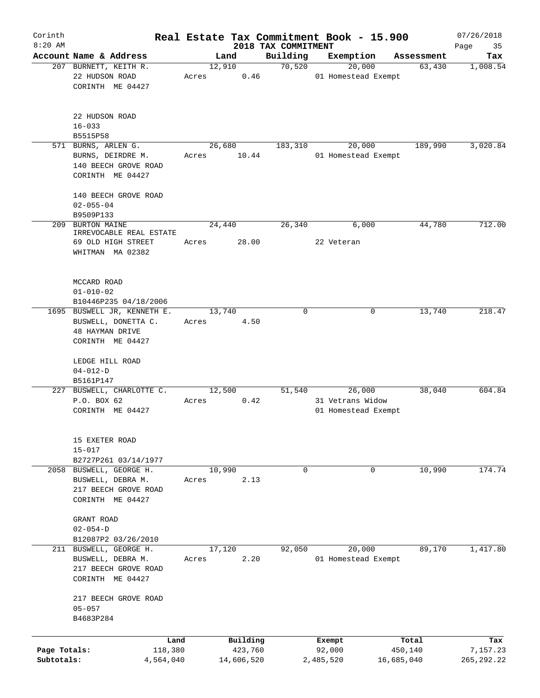| Corinth                    |                                                                                         |                 |                                   |                     | Real Estate Tax Commitment Book - 15.900          |                                | 07/26/2018                     |
|----------------------------|-----------------------------------------------------------------------------------------|-----------------|-----------------------------------|---------------------|---------------------------------------------------|--------------------------------|--------------------------------|
| $8:20$ AM                  | Account Name & Address                                                                  |                 |                                   | 2018 TAX COMMITMENT |                                                   |                                | Page<br>35                     |
|                            | 207 BURNETT, KEITH R.                                                                   | 12,910          | Land                              | Building<br>70,520  | Exemption<br>20,000                               | Assessment<br>63,430           | Tax<br>1,008.54                |
|                            | 22 HUDSON ROAD<br>CORINTH ME 04427                                                      | Acres           | 0.46                              |                     | 01 Homestead Exempt                               |                                |                                |
|                            | 22 HUDSON ROAD<br>$16 - 033$<br>B5515P58                                                |                 |                                   |                     |                                                   |                                |                                |
|                            | 571 BURNS, ARLEN G.                                                                     | 26,680          |                                   | 183,310             | 20,000                                            | 189,990                        | 3,020.84                       |
|                            | BURNS, DEIRDRE M.<br>140 BEECH GROVE ROAD<br>CORINTH ME 04427                           | Acres           | 10.44                             |                     | 01 Homestead Exempt                               |                                |                                |
|                            | 140 BEECH GROVE ROAD<br>$02 - 055 - 04$                                                 |                 |                                   |                     |                                                   |                                |                                |
|                            | B9509P133                                                                               |                 |                                   |                     |                                                   |                                |                                |
| 209                        | BURTON MAINE<br>IRREVOCABLE REAL ESTATE                                                 | 24,440          |                                   | 26,340              | 6,000                                             | 44,780                         | 712.00                         |
|                            | 69 OLD HIGH STREET<br>WHITMAN MA 02382                                                  | Acres           | 28.00                             |                     | 22 Veteran                                        |                                |                                |
|                            | MCCARD ROAD<br>$01 - 010 - 02$<br>B10446P235 04/18/2006                                 |                 |                                   |                     |                                                   |                                |                                |
|                            | 1695 BUSWELL JR, KENNETH E.                                                             | 13,740          |                                   | $\Omega$            | 0                                                 | 13,740                         | 218.47                         |
|                            | BUSWELL, DONETTA C.                                                                     | Acres           | 4.50                              |                     |                                                   |                                |                                |
|                            | <b>48 HAYMAN DRIVE</b><br>CORINTH ME 04427                                              |                 |                                   |                     |                                                   |                                |                                |
|                            | LEDGE HILL ROAD<br>$04 - 012 - D$                                                       |                 |                                   |                     |                                                   |                                |                                |
|                            | B5161P147                                                                               |                 |                                   |                     |                                                   |                                |                                |
|                            | 227 BUSWELL, CHARLOTTE C.<br>P.O. BOX 62<br>CORINTH ME 04427                            | 12,500<br>Acres | 0.42                              | 51,540              | 26,000<br>31 Vetrans Widow<br>01 Homestead Exempt | 38,040                         | 604.84                         |
|                            | 15 EXETER ROAD<br>$15 - 017$                                                            |                 |                                   |                     |                                                   |                                |                                |
|                            | B2727P261 03/14/1977<br>2058 BUSWELL, GEORGE H.                                         | 10,990          |                                   | 0                   | 0                                                 | 10,990                         | 174.74                         |
|                            | BUSWELL, DEBRA M.<br>217 BEECH GROVE ROAD<br>CORINTH ME 04427                           | Acres           | 2.13                              |                     |                                                   |                                |                                |
|                            | GRANT ROAD<br>$02 - 054 - D$                                                            |                 |                                   |                     |                                                   |                                |                                |
|                            | B12087P2 03/26/2010                                                                     |                 |                                   |                     |                                                   |                                |                                |
|                            | 211 BUSWELL, GEORGE H.<br>BUSWELL, DEBRA M.<br>217 BEECH GROVE ROAD<br>CORINTH ME 04427 | 17,120<br>Acres | 2.20                              | 92,050              | 20,000<br>01 Homestead Exempt                     | 89,170                         | 1,417.80                       |
|                            | 217 BEECH GROVE ROAD<br>$05 - 057$<br>B4683P284                                         |                 |                                   |                     |                                                   |                                |                                |
|                            |                                                                                         |                 |                                   |                     |                                                   |                                |                                |
| Page Totals:<br>Subtotals: | Land<br>118,380<br>4,564,040                                                            |                 | Building<br>423,760<br>14,606,520 |                     | Exempt<br>92,000<br>2,485,520                     | Total<br>450,140<br>16,685,040 | Tax<br>7,157.23<br>265, 292.22 |
|                            |                                                                                         |                 |                                   |                     |                                                   |                                |                                |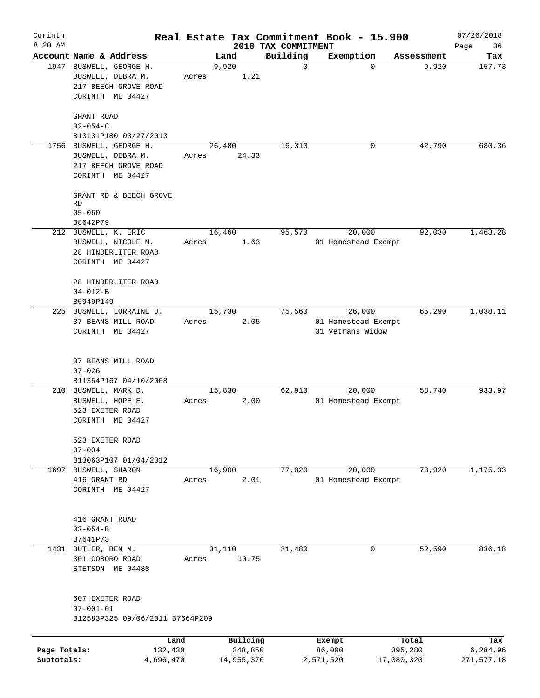| Corinth<br>$8:20$ AM       |                                                                                          |                          |                                 | Real Estate Tax Commitment Book - 15.900          |                       | 07/26/2018             |
|----------------------------|------------------------------------------------------------------------------------------|--------------------------|---------------------------------|---------------------------------------------------|-----------------------|------------------------|
|                            | Account Name & Address                                                                   | Land                     | 2018 TAX COMMITMENT<br>Building | Exemption                                         | Assessment            | Page<br>36<br>Tax      |
|                            | 1947 BUSWELL, GEORGE H.<br>BUSWELL, DEBRA M.<br>217 BEECH GROVE ROAD<br>CORINTH ME 04427 | 9,920<br>1.21<br>Acres   | $\mathbf 0$                     | $\mathbf 0$                                       | 9,920                 | 157.73                 |
|                            | GRANT ROAD<br>$02 - 054 - C$<br>B13131P180 03/27/2013                                    |                          |                                 |                                                   |                       |                        |
|                            | 1756 BUSWELL, GEORGE H.<br>BUSWELL, DEBRA M.<br>217 BEECH GROVE ROAD<br>CORINTH ME 04427 | 26,480<br>24.33<br>Acres | 16,310                          | 0                                                 | 42,790                | 680.36                 |
|                            | GRANT RD & BEECH GROVE<br>RD<br>$05 - 060$<br>B8642P79                                   |                          |                                 |                                                   |                       |                        |
|                            | 212 BUSWELL, K. ERIC<br>BUSWELL, NICOLE M.<br>28 HINDERLITER ROAD<br>CORINTH ME 04427    | 16,460<br>1.63<br>Acres  | 95,570                          | 20,000<br>01 Homestead Exempt                     | 92,030                | 1,463.28               |
|                            | 28 HINDERLITER ROAD<br>$04 - 012 - B$<br>B5949P149                                       |                          |                                 |                                                   |                       |                        |
|                            | 225 BUSWELL, LORRAINE J.<br>37 BEANS MILL ROAD<br>CORINTH ME 04427                       | 15,730<br>2.05<br>Acres  | 75,560                          | 26,000<br>01 Homestead Exempt<br>31 Vetrans Widow | 65,290                | 1,038.11               |
|                            | 37 BEANS MILL ROAD<br>$07 - 026$<br>B11354P167 04/10/2008                                |                          |                                 |                                                   |                       |                        |
|                            | 210 BUSWELL, MARK D.<br>BUSWELL, HOPE E.<br>523 EXETER ROAD<br>CORINTH ME 04427          | 15,830<br>2.00<br>Acres  | 62,910                          | 20,000<br>01 Homestead Exempt                     | 58,740                | 933.97                 |
|                            | 523 EXETER ROAD<br>$07 - 004$<br>B13063P107 01/04/2012                                   |                          |                                 |                                                   |                       |                        |
| 1697                       | BUSWELL, SHARON<br>416 GRANT RD<br>CORINTH ME 04427                                      | 16,900<br>2.01<br>Acres  | 77,020                          | 20,000<br>01 Homestead Exempt                     | 73,920                | 1,175.33               |
|                            | 416 GRANT ROAD<br>$02 - 054 - B$<br>B7641P73                                             |                          |                                 |                                                   |                       |                        |
|                            | 1431 BUTLER, BEN M.<br>301 COBORO ROAD<br>STETSON ME 04488                               | 31,110<br>10.75<br>Acres | 21,480                          | 0                                                 | 52,590                | 836.18                 |
|                            | 607 EXETER ROAD<br>$07 - 001 - 01$<br>B12583P325 09/06/2011 B7664P209                    |                          |                                 |                                                   |                       |                        |
|                            | Land                                                                                     | Building                 |                                 | Exempt                                            | Total                 | Tax                    |
| Page Totals:<br>Subtotals: | 132,430<br>4,696,470                                                                     | 348,850<br>14,955,370    |                                 | 86,000<br>2,571,520                               | 395,280<br>17,080,320 | 6,284.96<br>271,577.18 |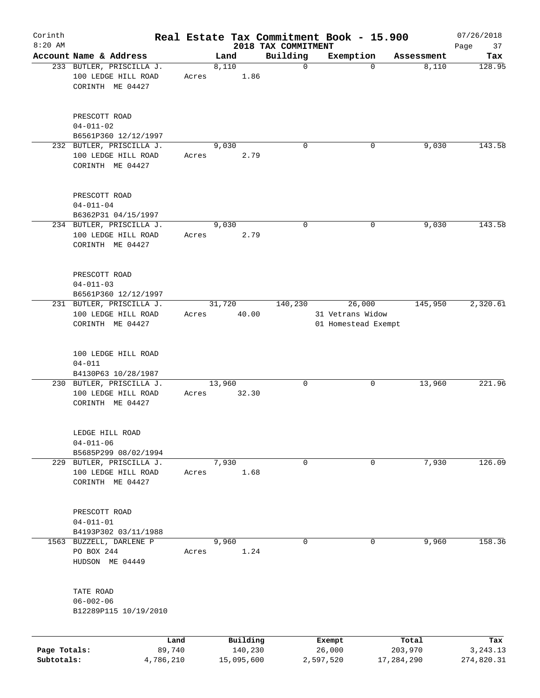| Corinth<br>$8:20$ AM |                                                                     |                |       |        |                     |                                 | Real Estate Tax Commitment Book - 15.900          |                  | 07/26/2018        |
|----------------------|---------------------------------------------------------------------|----------------|-------|--------|---------------------|---------------------------------|---------------------------------------------------|------------------|-------------------|
|                      | Account Name & Address                                              |                |       | Land   |                     | 2018 TAX COMMITMENT<br>Building | Exemption                                         | Assessment       | Page<br>37<br>Tax |
|                      | 233 BUTLER, PRISCILLA J.<br>100 LEDGE HILL ROAD<br>CORINTH ME 04427 |                | Acres | 8,110  | 1.86                | $\mathbf 0$                     | $\mathbf 0$                                       | 8,110            | 128.95            |
|                      | PRESCOTT ROAD<br>$04 - 011 - 02$<br>B6561P360 12/12/1997            |                |       |        |                     |                                 |                                                   |                  |                   |
|                      | 232 BUTLER, PRISCILLA J.<br>100 LEDGE HILL ROAD<br>CORINTH ME 04427 |                | Acres | 9,030  | 2.79                | $\Omega$                        | 0                                                 | 9,030            | 143.58            |
|                      | PRESCOTT ROAD<br>$04 - 011 - 04$<br>B6362P31 04/15/1997             |                |       |        |                     |                                 |                                                   |                  |                   |
|                      | 234 BUTLER, PRISCILLA J.<br>100 LEDGE HILL ROAD<br>CORINTH ME 04427 |                | Acres | 9,030  | 2.79                | 0                               | 0                                                 | 9,030            | 143.58            |
|                      | PRESCOTT ROAD<br>$04 - 011 - 03$<br>B6561P360 12/12/1997            |                |       |        |                     |                                 |                                                   |                  |                   |
|                      | 231 BUTLER, PRISCILLA J.<br>100 LEDGE HILL ROAD<br>CORINTH ME 04427 |                | Acres | 31,720 | 40.00               | 140,230                         | 26,000<br>31 Vetrans Widow<br>01 Homestead Exempt | 145,950          | 2,320.61          |
|                      | 100 LEDGE HILL ROAD<br>$04 - 011$<br>B4130P63 10/28/1987            |                |       |        |                     |                                 |                                                   |                  |                   |
|                      | 230 BUTLER, PRISCILLA J.<br>100 LEDGE HILL ROAD<br>CORINTH ME 04427 |                | Acres | 13,960 | 32.30               | 0                               | 0                                                 | 13,960           | 221.96            |
|                      | LEDGE HILL ROAD<br>$04 - 011 - 06$<br>B5685P299 08/02/1994          |                |       |        |                     |                                 |                                                   |                  |                   |
|                      | 229 BUTLER, PRISCILLA J.<br>100 LEDGE HILL ROAD<br>CORINTH ME 04427 |                | Acres | 7,930  | 1.68                | 0                               | 0                                                 | 7,930            | 126.09            |
|                      | PRESCOTT ROAD<br>$04 - 011 - 01$<br>B4193P302 03/11/1988            |                |       |        |                     |                                 |                                                   |                  |                   |
| 1563                 | BUZZELL, DARLENE P<br>PO BOX 244<br>HUDSON ME 04449                 |                | Acres | 9,960  | 1.24                | 0                               | 0                                                 | 9,960            | 158.36            |
|                      | TATE ROAD<br>$06 - 002 - 06$<br>B12289P115 10/19/2010               |                |       |        |                     |                                 |                                                   |                  |                   |
| Page Totals:         |                                                                     | Land<br>89,740 |       |        | Building<br>140,230 |                                 | Exempt<br>26,000                                  | Total<br>203,970 | Tax<br>3, 243. 13 |
| Subtotals:           |                                                                     | 4,786,210      |       |        | 15,095,600          |                                 | 2,597,520                                         | 17,284,290       | 274,820.31        |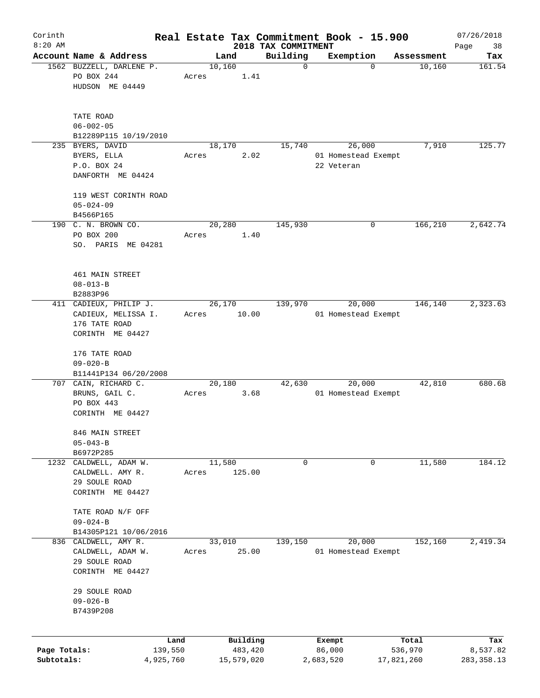| Corinth<br>$8:20$ AM |                                    |                 |       |         |            | 2018 TAX COMMITMENT | Real Estate Tax Commitment Book - 15.900 |                  | 07/26/2018        |
|----------------------|------------------------------------|-----------------|-------|---------|------------|---------------------|------------------------------------------|------------------|-------------------|
|                      | Account Name & Address             |                 |       | Land    |            | Building            | Exemption                                | Assessment       | Page<br>38<br>Tax |
|                      | 1562 BUZZELL, DARLENE P.           |                 |       | 10,160  |            | $\mathbf 0$         | $\mathbf 0$                              | 10,160           | 161.54            |
|                      | PO BOX 244                         |                 | Acres |         | 1.41       |                     |                                          |                  |                   |
|                      | HUDSON ME 04449                    |                 |       |         |            |                     |                                          |                  |                   |
|                      | TATE ROAD                          |                 |       |         |            |                     |                                          |                  |                   |
|                      | $06 - 002 - 05$                    |                 |       |         |            |                     |                                          |                  |                   |
|                      | B12289P115 10/19/2010              |                 |       |         |            |                     |                                          |                  |                   |
|                      | 235 BYERS, DAVID                   |                 |       | 18, 170 |            | 15,740              | 26,000                                   | 7,910            | 125.77            |
|                      | BYERS, ELLA                        |                 | Acres |         | 2.02       |                     | 01 Homestead Exempt                      |                  |                   |
|                      | P.O. BOX 24                        |                 |       |         |            |                     | 22 Veteran                               |                  |                   |
|                      | DANFORTH ME 04424                  |                 |       |         |            |                     |                                          |                  |                   |
|                      | 119 WEST CORINTH ROAD              |                 |       |         |            |                     |                                          |                  |                   |
|                      | $05 - 024 - 09$                    |                 |       |         |            |                     |                                          |                  |                   |
|                      | B4566P165                          |                 |       |         |            |                     |                                          |                  |                   |
|                      | 190 C. N. BROWN CO.                |                 |       | 20,280  |            | 145,930             | 0                                        | 166,210          | 2,642.74          |
|                      | PO BOX 200                         |                 | Acres |         | 1.40       |                     |                                          |                  |                   |
|                      | SO. PARIS ME 04281                 |                 |       |         |            |                     |                                          |                  |                   |
|                      |                                    |                 |       |         |            |                     |                                          |                  |                   |
|                      | 461 MAIN STREET                    |                 |       |         |            |                     |                                          |                  |                   |
|                      | $08 - 013 - B$                     |                 |       |         |            |                     |                                          |                  |                   |
|                      | B2883P96<br>411 CADIEUX, PHILIP J. |                 |       | 26,170  |            | 139,970             | 20,000                                   | 146,140          | 2,323.63          |
|                      | CADIEUX, MELISSA I.                |                 | Acres |         | 10.00      |                     | 01 Homestead Exempt                      |                  |                   |
|                      | 176 TATE ROAD                      |                 |       |         |            |                     |                                          |                  |                   |
|                      | CORINTH ME 04427                   |                 |       |         |            |                     |                                          |                  |                   |
|                      |                                    |                 |       |         |            |                     |                                          |                  |                   |
|                      | 176 TATE ROAD<br>$09 - 020 - B$    |                 |       |         |            |                     |                                          |                  |                   |
|                      | B11441P134 06/20/2008              |                 |       |         |            |                     |                                          |                  |                   |
|                      | 707 CAIN, RICHARD C.               |                 |       | 20,180  |            | 42,630              | 20,000                                   | 42,810           | 680.68            |
|                      | BRUNS, GAIL C.                     |                 | Acres |         | 3.68       |                     | 01 Homestead Exempt                      |                  |                   |
|                      | PO BOX 443                         |                 |       |         |            |                     |                                          |                  |                   |
|                      | CORINTH ME 04427                   |                 |       |         |            |                     |                                          |                  |                   |
|                      | 846 MAIN STREET                    |                 |       |         |            |                     |                                          |                  |                   |
|                      | $05 - 043 - B$                     |                 |       |         |            |                     |                                          |                  |                   |
|                      | B6972P285                          |                 |       |         |            |                     |                                          |                  |                   |
| 1232                 | CALDWELL, ADAM W.                  |                 |       | 11,580  |            | 0                   | 0                                        | 11,580           | 184.12            |
|                      | CALDWELL. AMY R.                   |                 | Acres |         | 125.00     |                     |                                          |                  |                   |
|                      | 29 SOULE ROAD<br>CORINTH ME 04427  |                 |       |         |            |                     |                                          |                  |                   |
|                      |                                    |                 |       |         |            |                     |                                          |                  |                   |
|                      | TATE ROAD N/F OFF                  |                 |       |         |            |                     |                                          |                  |                   |
|                      | $09 - 024 - B$                     |                 |       |         |            |                     |                                          |                  |                   |
|                      | B14305P121 10/06/2016              |                 |       |         |            |                     |                                          |                  |                   |
| 836                  | CALDWELL, AMY R.                   |                 |       | 33,010  |            | 139,150             | 20,000                                   | 152,160          | 2,419.34          |
|                      | CALDWELL, ADAM W.<br>29 SOULE ROAD |                 | Acres |         | 25.00      |                     | 01 Homestead Exempt                      |                  |                   |
|                      | CORINTH ME 04427                   |                 |       |         |            |                     |                                          |                  |                   |
|                      |                                    |                 |       |         |            |                     |                                          |                  |                   |
|                      | 29 SOULE ROAD                      |                 |       |         |            |                     |                                          |                  |                   |
|                      | $09 - 026 - B$                     |                 |       |         |            |                     |                                          |                  |                   |
|                      | B7439P208                          |                 |       |         |            |                     |                                          |                  |                   |
|                      |                                    |                 |       |         | Building   |                     |                                          |                  |                   |
| Page Totals:         |                                    | Land<br>139,550 |       |         | 483,420    |                     | Exempt<br>86,000                         | Total<br>536,970 | Tax<br>8,537.82   |
| Subtotals:           |                                    | 4,925,760       |       |         | 15,579,020 |                     | 2,683,520                                | 17,821,260       | 283, 358.13       |
|                      |                                    |                 |       |         |            |                     |                                          |                  |                   |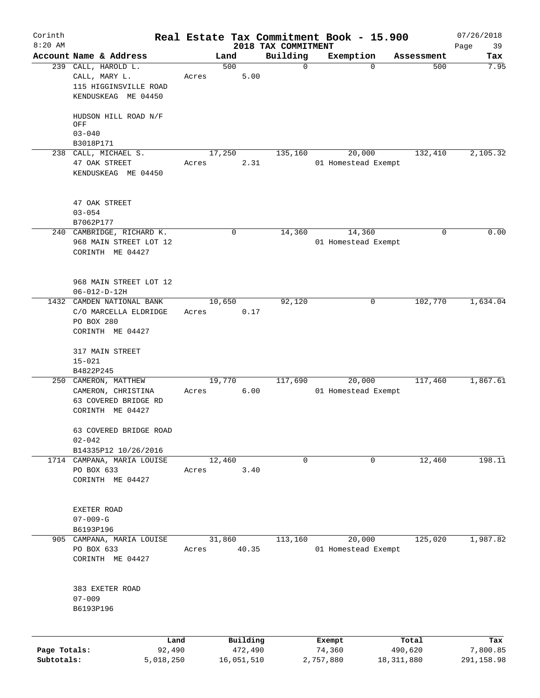| Corinth<br>$8:20$ AM |                                                                                      |                |        |                     | Real Estate Tax Commitment Book - 15.900 |                  |                               |                  | 07/26/2018        |
|----------------------|--------------------------------------------------------------------------------------|----------------|--------|---------------------|------------------------------------------|------------------|-------------------------------|------------------|-------------------|
|                      | Account Name & Address                                                               |                |        | Land                | 2018 TAX COMMITMENT<br>Building          |                  | Exemption                     | Assessment       | Page<br>39<br>Tax |
|                      | 239 CALL, HAROLD L.<br>CALL, MARY L.<br>115 HIGGINSVILLE ROAD<br>KENDUSKEAG ME 04450 |                | Acres  | 500<br>5.00         |                                          | $\mathbf 0$      | $\Omega$                      | 500              | 7.95              |
|                      | HUDSON HILL ROAD N/F<br>OFF                                                          |                |        |                     |                                          |                  |                               |                  |                   |
|                      | $03 - 040$                                                                           |                |        |                     |                                          |                  |                               |                  |                   |
|                      | B3018P171                                                                            |                |        |                     |                                          |                  |                               |                  |                   |
|                      | 238 CALL, MICHAEL S.<br>47 OAK STREET<br>KENDUSKEAG ME 04450                         |                | Acres  | 17,250<br>2.31      | 135,160                                  |                  | 20,000<br>01 Homestead Exempt | 132,410          | 2,105.32          |
|                      | 47 OAK STREET<br>$03 - 054$<br>B7062P177                                             |                |        |                     |                                          |                  |                               |                  |                   |
|                      | 240 CAMBRIDGE, RICHARD K.                                                            |                |        | 0                   | 14,360                                   |                  | 14,360                        | 0                | 0.00              |
|                      | 968 MAIN STREET LOT 12<br>CORINTH ME 04427                                           |                |        |                     |                                          |                  | 01 Homestead Exempt           |                  |                   |
|                      | 968 MAIN STREET LOT 12<br>$06 - 012 - D - 12H$                                       |                |        |                     |                                          |                  |                               |                  |                   |
|                      | 1432 CAMDEN NATIONAL BANK<br>C/O MARCELLA ELDRIDGE<br>PO BOX 280                     |                | Acres  | 10,650<br>0.17      | 92,120                                   |                  | 0                             | 102,770          | 1,634.04          |
|                      | CORINTH ME 04427                                                                     |                |        |                     |                                          |                  |                               |                  |                   |
|                      | 317 MAIN STREET<br>$15 - 021$                                                        |                |        |                     |                                          |                  |                               |                  |                   |
|                      | B4822P245<br>250 CAMERON, MATTHEW                                                    |                |        | 19,770              | 117,690                                  |                  | 20,000                        | 117,460          | 1,867.61          |
|                      | CAMERON, CHRISTINA<br>63 COVERED BRIDGE RD<br>CORINTH ME 04427                       |                | Acres  | 6.00                |                                          |                  | 01 Homestead Exempt           |                  |                   |
|                      | 63 COVERED BRIDGE ROAD<br>$02 - 042$                                                 |                |        |                     |                                          |                  |                               |                  |                   |
|                      | B14335P12 10/26/2016<br>1714 CAMPANA, MARIA LOUISE                                   |                | 12,460 |                     |                                          | 0                | 0                             | 12,460           | 198.11            |
|                      | PO BOX 633<br>CORINTH ME 04427                                                       |                | Acres  | 3.40                |                                          |                  |                               |                  |                   |
|                      | EXETER ROAD<br>$07 - 009 - G$                                                        |                |        |                     |                                          |                  |                               |                  |                   |
|                      | B6193P196<br>905 CAMPANA, MARIA LOUISE                                               |                | 31,860 |                     | 113,160                                  |                  | 20,000                        | 125,020          | 1,987.82          |
|                      | PO BOX 633<br>CORINTH ME 04427                                                       |                | Acres  | 40.35               |                                          |                  | 01 Homestead Exempt           |                  |                   |
|                      | 383 EXETER ROAD<br>$07 - 009$<br>B6193P196                                           |                |        |                     |                                          |                  |                               |                  |                   |
| Page Totals:         |                                                                                      | Land<br>92,490 |        | Building<br>472,490 |                                          | Exempt<br>74,360 |                               | Total<br>490,620 | Tax<br>7,800.85   |
| Subtotals:           |                                                                                      | 5,018,250      |        | 16,051,510          |                                          | 2,757,880        |                               | 18, 311, 880     | 291,158.98        |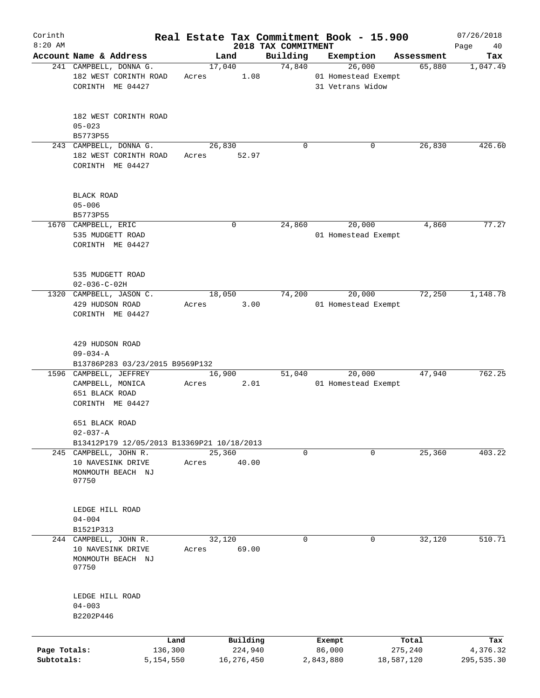| Corinth      |                                            |                 |       |                     |                     | Real Estate Tax Commitment Book - 15.900 |            |                  | 07/26/2018      |
|--------------|--------------------------------------------|-----------------|-------|---------------------|---------------------|------------------------------------------|------------|------------------|-----------------|
| $8:20$ AM    | Account Name & Address                     |                 |       |                     | 2018 TAX COMMITMENT |                                          |            |                  | Page<br>40      |
|              | 241 CAMPBELL, DONNA G.                     |                 |       | Land<br>17,040      | Building<br>74,840  | Exemption<br>26,000                      |            | Assessment       | Tax             |
|              | 182 WEST CORINTH ROAD                      |                 | Acres | 1.08                |                     | 01 Homestead Exempt                      |            | 65,880           | 1,047.49        |
|              |                                            |                 |       |                     |                     |                                          |            |                  |                 |
|              | CORINTH ME 04427                           |                 |       |                     |                     | 31 Vetrans Widow                         |            |                  |                 |
|              |                                            |                 |       |                     |                     |                                          |            |                  |                 |
|              | 182 WEST CORINTH ROAD                      |                 |       |                     |                     |                                          |            |                  |                 |
|              | $05 - 023$                                 |                 |       |                     |                     |                                          |            |                  |                 |
|              | B5773P55                                   |                 |       |                     |                     |                                          |            |                  |                 |
|              | 243 CAMPBELL, DONNA G.                     |                 |       | 26,830              | 0                   |                                          | 0          | 26,830           | 426.60          |
|              | 182 WEST CORINTH ROAD                      |                 | Acres | 52.97               |                     |                                          |            |                  |                 |
|              | CORINTH ME 04427                           |                 |       |                     |                     |                                          |            |                  |                 |
|              |                                            |                 |       |                     |                     |                                          |            |                  |                 |
|              | <b>BLACK ROAD</b>                          |                 |       |                     |                     |                                          |            |                  |                 |
|              | $05 - 006$                                 |                 |       |                     |                     |                                          |            |                  |                 |
|              | B5773P55                                   |                 |       |                     |                     |                                          |            |                  |                 |
|              | 1670 CAMPBELL, ERIC                        |                 |       | 0                   | 24,860              | 20,000                                   |            | 4,860            | 77.27           |
|              | 535 MUDGETT ROAD                           |                 |       |                     |                     | 01 Homestead Exempt                      |            |                  |                 |
|              |                                            |                 |       |                     |                     |                                          |            |                  |                 |
|              | CORINTH ME 04427                           |                 |       |                     |                     |                                          |            |                  |                 |
|              |                                            |                 |       |                     |                     |                                          |            |                  |                 |
|              | 535 MUDGETT ROAD                           |                 |       |                     |                     |                                          |            |                  |                 |
|              | $02 - 036 - C - 02H$                       |                 |       |                     |                     |                                          |            |                  |                 |
|              | 1320 CAMPBELL, JASON C.                    |                 |       | 18,050              | 74,200              | 20,000                                   |            | 72,250           | 1,148.78        |
|              | 429 HUDSON ROAD                            |                 | Acres | 3.00                |                     | 01 Homestead Exempt                      |            |                  |                 |
|              | CORINTH ME 04427                           |                 |       |                     |                     |                                          |            |                  |                 |
|              |                                            |                 |       |                     |                     |                                          |            |                  |                 |
|              | 429 HUDSON ROAD                            |                 |       |                     |                     |                                          |            |                  |                 |
|              | $09 - 034 - A$                             |                 |       |                     |                     |                                          |            |                  |                 |
|              | B13786P283 03/23/2015 B9569P132            |                 |       |                     |                     |                                          |            |                  |                 |
|              | 1596 CAMPBELL, JEFFREY                     |                 |       | 16,900              | 51,040              | 20,000                                   |            | 47,940           | 762.25          |
|              | CAMPBELL, MONICA                           |                 | Acres | 2.01                |                     | 01 Homestead Exempt                      |            |                  |                 |
|              | 651 BLACK ROAD                             |                 |       |                     |                     |                                          |            |                  |                 |
|              | CORINTH ME 04427                           |                 |       |                     |                     |                                          |            |                  |                 |
|              |                                            |                 |       |                     |                     |                                          |            |                  |                 |
|              | 651 BLACK ROAD                             |                 |       |                     |                     |                                          |            |                  |                 |
|              | $02 - 037 - A$                             |                 |       |                     |                     |                                          |            |                  |                 |
|              | B13412P179 12/05/2013 B13369P21 10/18/2013 |                 |       |                     |                     |                                          |            |                  |                 |
|              | 245 CAMPBELL, JOHN R.                      |                 |       | 25,360              | 0                   |                                          | 0          | 25,360           | 403.22          |
|              | 10 NAVESINK DRIVE                          |                 | Acres | 40.00               |                     |                                          |            |                  |                 |
|              | MONMOUTH BEACH NJ                          |                 |       |                     |                     |                                          |            |                  |                 |
|              | 07750                                      |                 |       |                     |                     |                                          |            |                  |                 |
|              |                                            |                 |       |                     |                     |                                          |            |                  |                 |
|              | LEDGE HILL ROAD                            |                 |       |                     |                     |                                          |            |                  |                 |
|              | $04 - 004$                                 |                 |       |                     |                     |                                          |            |                  |                 |
|              |                                            |                 |       |                     |                     |                                          |            |                  |                 |
|              | B1521P313                                  |                 |       |                     |                     |                                          |            |                  |                 |
|              | 244 CAMPBELL, JOHN R.                      |                 |       | 32,120              | 0                   |                                          | 0          | 32,120           | 510.71          |
|              | 10 NAVESINK DRIVE                          |                 | Acres | 69.00               |                     |                                          |            |                  |                 |
|              | MONMOUTH BEACH NJ                          |                 |       |                     |                     |                                          |            |                  |                 |
|              | 07750                                      |                 |       |                     |                     |                                          |            |                  |                 |
|              |                                            |                 |       |                     |                     |                                          |            |                  |                 |
|              | LEDGE HILL ROAD                            |                 |       |                     |                     |                                          |            |                  |                 |
|              | $04 - 003$                                 |                 |       |                     |                     |                                          |            |                  |                 |
|              | B2202P446                                  |                 |       |                     |                     |                                          |            |                  |                 |
|              |                                            |                 |       |                     |                     |                                          |            |                  |                 |
| Page Totals: |                                            | Land<br>136,300 |       | Building<br>224,940 |                     | Exempt<br>86,000                         |            | Total<br>275,240 | Tax<br>4,376.32 |
| Subtotals:   |                                            | 5,154,550       |       | 16,276,450          |                     | 2,843,880                                | 18,587,120 |                  | 295,535.30      |
|              |                                            |                 |       |                     |                     |                                          |            |                  |                 |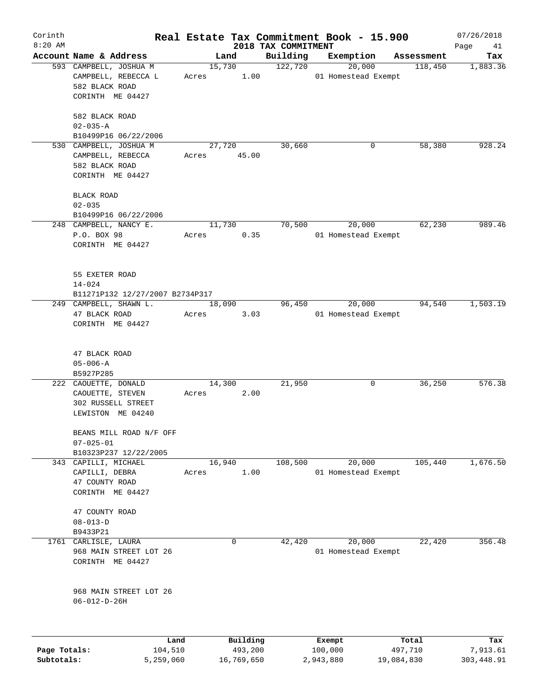| Corinth<br>$8:20$ AM |                                 |        |          |                                 | Real Estate Tax Commitment Book - 15.900 |            | 07/26/2018        |
|----------------------|---------------------------------|--------|----------|---------------------------------|------------------------------------------|------------|-------------------|
|                      | Account Name & Address          |        | Land     | 2018 TAX COMMITMENT<br>Building | Exemption                                | Assessment | Page<br>41<br>Tax |
|                      | 593 CAMPBELL, JOSHUA M          | 15,730 |          | 122,720                         | 20,000                                   | 118,450    | 1,883.36          |
|                      | CAMPBELL, REBECCA L             | Acres  | 1.00     |                                 | 01 Homestead Exempt                      |            |                   |
|                      | 582 BLACK ROAD                  |        |          |                                 |                                          |            |                   |
|                      | CORINTH ME 04427                |        |          |                                 |                                          |            |                   |
|                      |                                 |        |          |                                 |                                          |            |                   |
|                      | 582 BLACK ROAD                  |        |          |                                 |                                          |            |                   |
|                      | $02 - 035 - A$                  |        |          |                                 |                                          |            |                   |
|                      | B10499P16 06/22/2006            |        |          |                                 |                                          |            |                   |
|                      | 530 CAMPBELL, JOSHUA M          |        | 27,720   | 30,660                          | 0                                        | 58,380     | 928.24            |
|                      | CAMPBELL, REBECCA               | Acres  | 45.00    |                                 |                                          |            |                   |
|                      | 582 BLACK ROAD                  |        |          |                                 |                                          |            |                   |
|                      | CORINTH ME 04427                |        |          |                                 |                                          |            |                   |
|                      |                                 |        |          |                                 |                                          |            |                   |
|                      | <b>BLACK ROAD</b>               |        |          |                                 |                                          |            |                   |
|                      | $02 - 035$                      |        |          |                                 |                                          |            |                   |
|                      | B10499P16 06/22/2006            |        |          |                                 |                                          |            |                   |
|                      | 248 CAMPBELL, NANCY E.          | 11,730 |          | 70,500                          | 20,000                                   | 62,230     | 989.46            |
|                      | P.O. BOX 98                     | Acres  | 0.35     |                                 | 01 Homestead Exempt                      |            |                   |
|                      | CORINTH ME 04427                |        |          |                                 |                                          |            |                   |
|                      |                                 |        |          |                                 |                                          |            |                   |
|                      |                                 |        |          |                                 |                                          |            |                   |
|                      | 55 EXETER ROAD                  |        |          |                                 |                                          |            |                   |
|                      | $14 - 024$                      |        |          |                                 |                                          |            |                   |
|                      | B11271P132 12/27/2007 B2734P317 |        |          |                                 |                                          |            |                   |
|                      | 249 CAMPBELL, SHAWN L.          | 18,090 |          | 96,450                          | 20,000                                   | 94,540     | 1,503.19          |
|                      | 47 BLACK ROAD                   | Acres  | 3.03     |                                 | 01 Homestead Exempt                      |            |                   |
|                      | CORINTH ME 04427                |        |          |                                 |                                          |            |                   |
|                      |                                 |        |          |                                 |                                          |            |                   |
|                      |                                 |        |          |                                 |                                          |            |                   |
|                      | 47 BLACK ROAD                   |        |          |                                 |                                          |            |                   |
|                      | $05 - 006 - A$                  |        |          |                                 |                                          |            |                   |
|                      | B5927P285                       |        |          |                                 |                                          |            |                   |
|                      | 222 CAOUETTE, DONALD            | 14,300 |          | 21,950                          | 0                                        | 36,250     | 576.38            |
|                      | CAOUETTE, STEVEN                | Acres  | 2.00     |                                 |                                          |            |                   |
|                      | 302 RUSSELL STREET              |        |          |                                 |                                          |            |                   |
|                      | LEWISTON ME 04240               |        |          |                                 |                                          |            |                   |
|                      |                                 |        |          |                                 |                                          |            |                   |
|                      | BEANS MILL ROAD N/F OFF         |        |          |                                 |                                          |            |                   |
|                      | $07 - 025 - 01$                 |        |          |                                 |                                          |            |                   |
|                      | B10323P237 12/22/2005           |        |          |                                 |                                          |            |                   |
|                      | 343 CAPILLI, MICHAEL            | 16,940 |          | 108,500                         | 20,000                                   | 105,440    | 1,676.50          |
|                      | CAPILLI, DEBRA                  | Acres  | 1.00     |                                 | 01 Homestead Exempt                      |            |                   |
|                      | 47 COUNTY ROAD                  |        |          |                                 |                                          |            |                   |
|                      | CORINTH ME 04427                |        |          |                                 |                                          |            |                   |
|                      |                                 |        |          |                                 |                                          |            |                   |
|                      | 47 COUNTY ROAD                  |        |          |                                 |                                          |            |                   |
|                      | $08 - 013 - D$                  |        |          |                                 |                                          |            |                   |
|                      | B9433P21                        |        |          |                                 |                                          |            |                   |
| 1761                 | CARLISLE, LAURA                 |        | 0        | 42,420                          | 20,000                                   | 22,420     | 356.48            |
|                      | 968 MAIN STREET LOT 26          |        |          |                                 | 01 Homestead Exempt                      |            |                   |
|                      | CORINTH ME 04427                |        |          |                                 |                                          |            |                   |
|                      |                                 |        |          |                                 |                                          |            |                   |
|                      | 968 MAIN STREET LOT 26          |        |          |                                 |                                          |            |                   |
|                      | $06 - 012 - D - 26H$            |        |          |                                 |                                          |            |                   |
|                      |                                 |        |          |                                 |                                          |            |                   |
|                      |                                 |        |          |                                 |                                          |            |                   |
|                      |                                 |        |          |                                 |                                          |            |                   |
|                      | Land                            |        | Building |                                 | Exempt                                   | Total      | Tax               |
| Page Totals:         | 104,510                         |        | 493,200  |                                 | 100,000                                  | 497,710    | 7,913.61          |

**Subtotals:** 5,259,060 16,769,650 2,943,880 19,084,830 303,448.91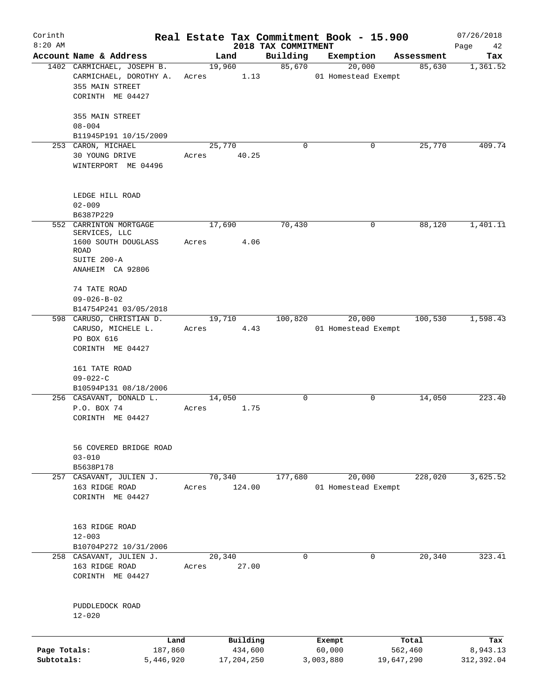| Corinth      |                                             |       |                 |                                 | Real Estate Tax Commitment Book - 15.900 |                      | 07/26/2018      |
|--------------|---------------------------------------------|-------|-----------------|---------------------------------|------------------------------------------|----------------------|-----------------|
| $8:20$ AM    | Account Name & Address                      |       | Land            | 2018 TAX COMMITMENT<br>Building |                                          |                      | Page<br>42      |
|              | 1402 CARMICHAEL, JOSEPH B.                  |       | 19,960          | 85,670                          | Exemption<br>20,000                      | Assessment<br>85,630 | Tax<br>1,361.52 |
|              | CARMICHAEL, DOROTHY A.                      | Acres | 1.13            |                                 | 01 Homestead Exempt                      |                      |                 |
|              | 355 MAIN STREET                             |       |                 |                                 |                                          |                      |                 |
|              | CORINTH ME 04427                            |       |                 |                                 |                                          |                      |                 |
|              |                                             |       |                 |                                 |                                          |                      |                 |
|              | 355 MAIN STREET                             |       |                 |                                 |                                          |                      |                 |
|              | $08 - 004$                                  |       |                 |                                 |                                          |                      |                 |
|              | B11945P191 10/15/2009<br>253 CARON, MICHAEL |       | 25,770          | $\mathbf 0$                     |                                          | 25,770<br>0          | 409.74          |
|              | 30 YOUNG DRIVE                              | Acres | 40.25           |                                 |                                          |                      |                 |
|              | WINTERPORT ME 04496                         |       |                 |                                 |                                          |                      |                 |
|              |                                             |       |                 |                                 |                                          |                      |                 |
|              |                                             |       |                 |                                 |                                          |                      |                 |
|              | LEDGE HILL ROAD                             |       |                 |                                 |                                          |                      |                 |
|              | $02 - 009$<br>B6387P229                     |       |                 |                                 |                                          |                      |                 |
|              | 552 CARRINTON MORTGAGE                      |       | 17,690          | 70,430                          |                                          | 0<br>88,120          | 1,401.11        |
|              | SERVICES, LLC                               |       |                 |                                 |                                          |                      |                 |
|              | 1600 SOUTH DOUGLASS                         | Acres | 4.06            |                                 |                                          |                      |                 |
|              | ROAD<br>SUITE 200-A                         |       |                 |                                 |                                          |                      |                 |
|              | ANAHEIM CA 92806                            |       |                 |                                 |                                          |                      |                 |
|              |                                             |       |                 |                                 |                                          |                      |                 |
|              | 74 TATE ROAD                                |       |                 |                                 |                                          |                      |                 |
|              | $09 - 026 - B - 02$                         |       |                 |                                 |                                          |                      |                 |
|              | B14754P241 03/05/2018                       |       |                 |                                 |                                          |                      |                 |
|              | 598 CARUSO, CHRISTIAN D.                    |       | 19,710          | 100,820                         | 20,000                                   | 100,530              | 1,598.43        |
|              | CARUSO, MICHELE L.                          | Acres | 4.43            |                                 | 01 Homestead Exempt                      |                      |                 |
|              | PO BOX 616                                  |       |                 |                                 |                                          |                      |                 |
|              | CORINTH ME 04427                            |       |                 |                                 |                                          |                      |                 |
|              | 161 TATE ROAD                               |       |                 |                                 |                                          |                      |                 |
|              | $09 - 022 - C$                              |       |                 |                                 |                                          |                      |                 |
|              | B10594P131 08/18/2006                       |       |                 |                                 |                                          |                      |                 |
|              | 256 CASAVANT, DONALD L.                     |       | 14,050          | 0                               |                                          | 0<br>14,050          | 223.40          |
|              | P.O. BOX 74                                 | Acres | 1.75            |                                 |                                          |                      |                 |
|              | CORINTH ME 04427                            |       |                 |                                 |                                          |                      |                 |
|              |                                             |       |                 |                                 |                                          |                      |                 |
|              | 56 COVERED BRIDGE ROAD                      |       |                 |                                 |                                          |                      |                 |
|              | $03 - 010$                                  |       |                 |                                 |                                          |                      |                 |
|              | B5638P178                                   |       |                 |                                 |                                          |                      |                 |
|              | 257 CASAVANT, JULIEN J.                     |       | 70,340          | 177,680                         | 20,000                                   | 228,020              | 3,625.52        |
|              | 163 RIDGE ROAD<br>CORINTH ME 04427          | Acres | 124.00          |                                 | 01 Homestead Exempt                      |                      |                 |
|              |                                             |       |                 |                                 |                                          |                      |                 |
|              |                                             |       |                 |                                 |                                          |                      |                 |
|              | 163 RIDGE ROAD                              |       |                 |                                 |                                          |                      |                 |
|              | $12 - 003$                                  |       |                 |                                 |                                          |                      |                 |
|              | B10704P272 10/31/2006                       |       |                 |                                 |                                          |                      |                 |
|              | 258 CASAVANT, JULIEN J.<br>163 RIDGE ROAD   | Acres | 20,340<br>27.00 | 0                               |                                          | 20,340<br>0          | 323.41          |
|              | CORINTH ME 04427                            |       |                 |                                 |                                          |                      |                 |
|              |                                             |       |                 |                                 |                                          |                      |                 |
|              |                                             |       |                 |                                 |                                          |                      |                 |
|              | PUDDLEDOCK ROAD                             |       |                 |                                 |                                          |                      |                 |
|              | $12 - 020$                                  |       |                 |                                 |                                          |                      |                 |
|              | Land                                        |       | Building        |                                 |                                          | Total                | Tax             |
| Page Totals: | 187,860                                     |       | 434,600         |                                 | Exempt<br>60,000                         | 562,460              | 8,943.13        |
| Subtotals:   | 5,446,920                                   |       | 17,204,250      |                                 | 3,003,880                                | 19,647,290           | 312,392.04      |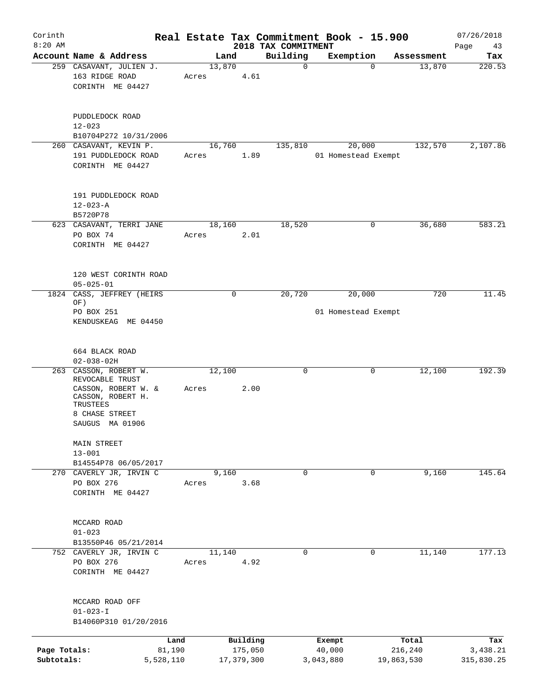| Corinth                    |                                                                                                                                          |       |                       |                                 | Real Estate Tax Commitment Book - 15.900 |                       | 07/26/2018             |
|----------------------------|------------------------------------------------------------------------------------------------------------------------------------------|-------|-----------------------|---------------------------------|------------------------------------------|-----------------------|------------------------|
| $8:20$ AM                  | Account Name & Address                                                                                                                   |       | Land                  | 2018 TAX COMMITMENT<br>Building | Exemption                                | Assessment            | Page<br>43<br>Tax      |
|                            | 259 CASAVANT, JULIEN J.<br>163 RIDGE ROAD<br>CORINTH ME 04427                                                                            | Acres | 13,870<br>4.61        | $\mathbf 0$                     | $\mathbf 0$                              | 13,870                | 220.53                 |
|                            | PUDDLEDOCK ROAD<br>$12 - 023$<br>B10704P272 10/31/2006                                                                                   |       |                       |                                 |                                          |                       |                        |
|                            | 260 CASAVANT, KEVIN P.<br>191 PUDDLEDOCK ROAD<br>CORINTH ME 04427                                                                        | Acres | 16,760<br>1.89        | 135,810                         | 20,000<br>01 Homestead Exempt            | 132,570               | 2,107.86               |
|                            | 191 PUDDLEDOCK ROAD<br>$12 - 023 - A$<br>B5720P78                                                                                        |       |                       |                                 |                                          |                       |                        |
|                            | 623 CASAVANT, TERRI JANE<br>PO BOX 74<br>CORINTH ME 04427                                                                                | Acres | 18,160<br>2.01        | 18,520                          | 0                                        | 36,680                | 583.21                 |
|                            | 120 WEST CORINTH ROAD<br>$05 - 025 - 01$                                                                                                 |       |                       |                                 |                                          |                       |                        |
| 1824                       | CASS, JEFFREY (HEIRS<br>OF)<br>PO BOX 251<br>KENDUSKEAG ME 04450                                                                         |       | $\mathsf{O}$          | 20,720                          | 20,000<br>01 Homestead Exempt            | 720                   | 11.45                  |
|                            | 664 BLACK ROAD<br>$02 - 038 - 02H$                                                                                                       |       |                       |                                 |                                          |                       |                        |
|                            | 263 CASSON, ROBERT W.<br>REVOCABLE TRUST<br>CASSON, ROBERT W. $\&$<br>CASSON, ROBERT H.<br>TRUSTEES<br>8 CHASE STREET<br>SAUGUS MA 01906 | Acres | 12,100<br>2.00        | 0                               | 0                                        | 12,100                | 192.39                 |
|                            | MAIN STREET<br>$13 - 001$<br>B14554P78 06/05/2017                                                                                        |       |                       |                                 |                                          |                       |                        |
|                            | 270 CAVERLY JR, IRVIN C<br>PO BOX 276<br>CORINTH ME 04427                                                                                | Acres | 9,160<br>3.68         | 0                               | 0                                        | 9,160                 | 145.64                 |
|                            | MCCARD ROAD<br>$01 - 023$<br>B13550P46 05/21/2014                                                                                        |       |                       |                                 |                                          |                       |                        |
|                            | 752 CAVERLY JR, IRVIN C<br>PO BOX 276<br>CORINTH ME 04427                                                                                | Acres | 11,140<br>4.92        | $\Omega$                        | 0                                        | 11,140                | 177.13                 |
|                            | MCCARD ROAD OFF<br>$01 - 023 - I$<br>B14060P310 01/20/2016                                                                               |       |                       |                                 |                                          |                       |                        |
|                            | Land                                                                                                                                     |       | Building              |                                 | Exempt                                   | Total                 | Tax                    |
| Page Totals:<br>Subtotals: | 81,190<br>5,528,110                                                                                                                      |       | 175,050<br>17,379,300 |                                 | 40,000<br>3,043,880                      | 216,240<br>19,863,530 | 3,438.21<br>315,830.25 |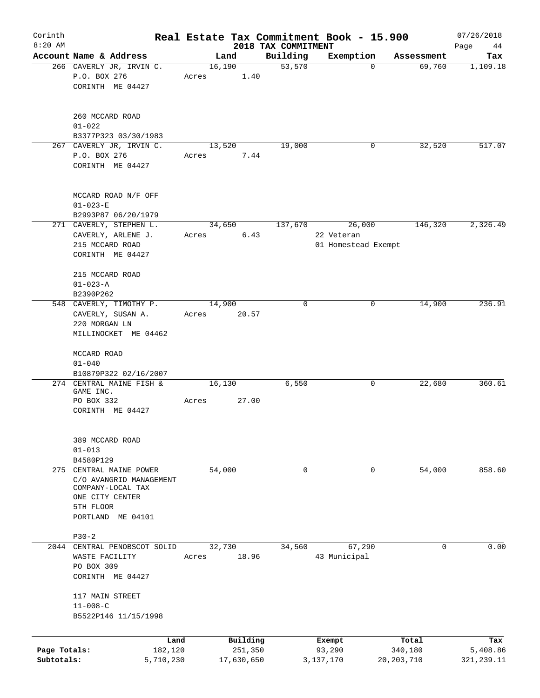| Corinth<br>$8:20$ AM |                              |       |            |                                 | Real Estate Tax Commitment Book - 15.900 |              | 07/26/2018        |
|----------------------|------------------------------|-------|------------|---------------------------------|------------------------------------------|--------------|-------------------|
|                      | Account Name & Address       |       | Land       | 2018 TAX COMMITMENT<br>Building | Exemption                                | Assessment   | Page<br>44<br>Tax |
|                      | 266 CAVERLY JR, IRVIN C.     |       | 16,190     | 53,570                          | $\Omega$                                 | 69,760       | 1,109.18          |
|                      | P.O. BOX 276                 | Acres | 1.40       |                                 |                                          |              |                   |
|                      | CORINTH ME 04427             |       |            |                                 |                                          |              |                   |
|                      |                              |       |            |                                 |                                          |              |                   |
|                      | 260 MCCARD ROAD              |       |            |                                 |                                          |              |                   |
|                      | $01 - 022$                   |       |            |                                 |                                          |              |                   |
|                      | B3377P323 03/30/1983         |       |            |                                 |                                          |              |                   |
|                      | 267 CAVERLY JR, IRVIN C.     |       | 13,520     | 19,000                          | 0                                        | 32,520       | 517.07            |
|                      | P.O. BOX 276                 | Acres | 7.44       |                                 |                                          |              |                   |
|                      | CORINTH ME 04427             |       |            |                                 |                                          |              |                   |
|                      | MCCARD ROAD N/F OFF          |       |            |                                 |                                          |              |                   |
|                      | $01 - 023 - E$               |       |            |                                 |                                          |              |                   |
|                      | B2993P87 06/20/1979          |       |            |                                 |                                          |              |                   |
|                      | 271 CAVERLY, STEPHEN L.      |       | 34,650     | 137,670                         | 26,000                                   | 146,320      | 2,326.49          |
|                      | CAVERLY, ARLENE J.           | Acres | 6.43       |                                 | 22 Veteran                               |              |                   |
|                      | 215 MCCARD ROAD              |       |            |                                 | 01 Homestead Exempt                      |              |                   |
|                      | CORINTH ME 04427             |       |            |                                 |                                          |              |                   |
|                      | 215 MCCARD ROAD              |       |            |                                 |                                          |              |                   |
|                      | $01 - 023 - A$               |       |            |                                 |                                          |              |                   |
|                      | B2390P262                    |       |            |                                 |                                          |              |                   |
|                      | 548 CAVERLY, TIMOTHY P.      |       | 14,900     | 0                               | 0                                        | 14,900       | 236.91            |
|                      | CAVERLY, SUSAN A.            | Acres | 20.57      |                                 |                                          |              |                   |
|                      | 220 MORGAN LN                |       |            |                                 |                                          |              |                   |
|                      | MILLINOCKET ME 04462         |       |            |                                 |                                          |              |                   |
|                      | MCCARD ROAD                  |       |            |                                 |                                          |              |                   |
|                      | $01 - 040$                   |       |            |                                 |                                          |              |                   |
|                      | B10879P322 02/16/2007        |       |            |                                 |                                          |              |                   |
|                      | 274 CENTRAL MAINE FISH &     |       | 16,130     | 6,550                           | 0                                        | 22,680       | 360.61            |
|                      | GAME INC.<br>PO BOX 332      | Acres | 27.00      |                                 |                                          |              |                   |
|                      | CORINTH ME 04427             |       |            |                                 |                                          |              |                   |
|                      |                              |       |            |                                 |                                          |              |                   |
|                      | 389 MCCARD ROAD              |       |            |                                 |                                          |              |                   |
|                      | $01 - 013$                   |       |            |                                 |                                          |              |                   |
|                      | B4580P129                    |       |            |                                 |                                          |              |                   |
| 275                  | CENTRAL MAINE POWER          |       | 54,000     | $\mathbf 0$                     | $\mathbf 0$                              | 54,000       | 858.60            |
|                      | C/O AVANGRID MANAGEMENT      |       |            |                                 |                                          |              |                   |
|                      | COMPANY-LOCAL TAX            |       |            |                                 |                                          |              |                   |
|                      | ONE CITY CENTER              |       |            |                                 |                                          |              |                   |
|                      | 5TH FLOOR                    |       |            |                                 |                                          |              |                   |
|                      | PORTLAND ME 04101            |       |            |                                 |                                          |              |                   |
|                      | $P30-2$                      |       |            |                                 |                                          |              |                   |
|                      | 2044 CENTRAL PENOBSCOT SOLID |       | 32,730     | 34,560                          | 67,290                                   | 0            | 0.00              |
|                      | WASTE FACILITY               | Acres | 18.96      |                                 | 43 Municipal                             |              |                   |
|                      | PO BOX 309                   |       |            |                                 |                                          |              |                   |
|                      | CORINTH ME 04427             |       |            |                                 |                                          |              |                   |
|                      | 117 MAIN STREET              |       |            |                                 |                                          |              |                   |
|                      | $11 - 008 - C$               |       |            |                                 |                                          |              |                   |
|                      | B5522P146 11/15/1998         |       |            |                                 |                                          |              |                   |
|                      |                              | Land  | Building   |                                 | Exempt                                   | Total        | Tax               |
| Page Totals:         | 182,120                      |       | 251,350    |                                 | 93,290                                   | 340,180      | 5,408.86          |
| Subtotals:           | 5,710,230                    |       | 17,630,650 |                                 | 3,137,170                                | 20, 203, 710 | 321, 239.11       |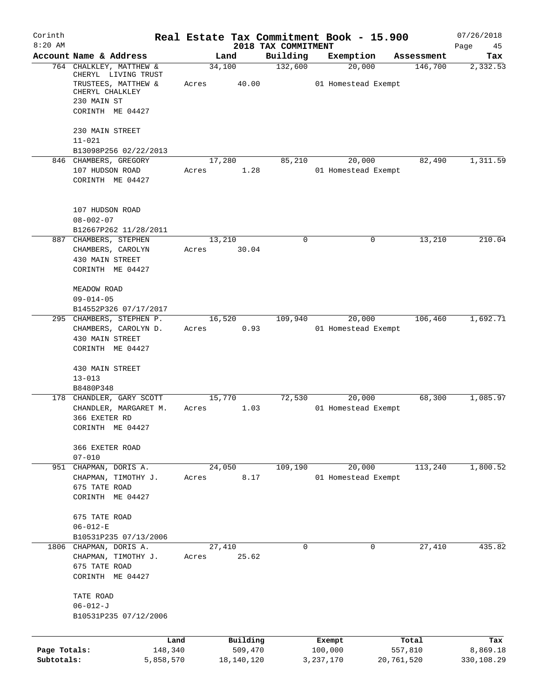| Corinth                    |                                                                                                  |                 |                       |                                 | Real Estate Tax Commitment Book - 15.900 |                       | 07/26/2018             |
|----------------------------|--------------------------------------------------------------------------------------------------|-----------------|-----------------------|---------------------------------|------------------------------------------|-----------------------|------------------------|
| $8:20$ AM                  | Account Name & Address                                                                           |                 | Land                  | 2018 TAX COMMITMENT<br>Building |                                          | Assessment            | Page<br>45             |
|                            | 764 CHALKLEY, MATTHEW &                                                                          | 34,100          |                       | 132,600                         | Exemption<br>20,000                      | 146,700               | Tax<br>2,332.53        |
|                            | CHERYL LIVING TRUST<br>TRUSTEES, MATTHEW &<br>CHERYL CHALKLEY<br>230 MAIN ST<br>CORINTH ME 04427 | Acres           | 40.00                 |                                 | 01 Homestead Exempt                      |                       |                        |
|                            | 230 MAIN STREET<br>$11 - 021$                                                                    |                 |                       |                                 |                                          |                       |                        |
|                            | B13098P256 02/22/2013<br>846 CHAMBERS, GREGORY                                                   | 17,280          |                       | 85,210                          | 20,000                                   | 82,490                | 1,311.59               |
|                            | 107 HUDSON ROAD<br>CORINTH ME 04427                                                              | Acres           | 1.28                  |                                 | 01 Homestead Exempt                      |                       |                        |
|                            | 107 HUDSON ROAD<br>$08 - 002 - 07$                                                               |                 |                       |                                 |                                          |                       |                        |
|                            | B12667P262 11/28/2011                                                                            |                 |                       | 0                               | 0                                        | 13,210                | 210.04                 |
|                            | 887 CHAMBERS, STEPHEN<br>CHAMBERS, CAROLYN<br>430 MAIN STREET<br>CORINTH ME 04427                | 13,210<br>Acres | 30.04                 |                                 |                                          |                       |                        |
|                            | MEADOW ROAD<br>$09 - 014 - 05$                                                                   |                 |                       |                                 |                                          |                       |                        |
|                            | B14552P326 07/17/2017<br>295 CHAMBERS, STEPHEN P.                                                | 16,520          |                       | 109,940                         | 20,000                                   | 106,460               | 1,692.71               |
|                            | CHAMBERS, CAROLYN D.<br>430 MAIN STREET<br>CORINTH ME 04427                                      | Acres           | 0.93                  |                                 | 01 Homestead Exempt                      |                       |                        |
|                            | 430 MAIN STREET<br>$13 - 013$                                                                    |                 |                       |                                 |                                          |                       |                        |
|                            | B8480P348<br>178 CHANDLER, GARY SCOTT                                                            |                 |                       | 72,530                          | 20,000                                   | 68,300                | 1,085.97               |
|                            | CHANDLER, MARGARET M.<br>366 EXETER RD<br>CORINTH ME 04427                                       | 15,770<br>Acres | 1.03                  |                                 | 01 Homestead Exempt                      |                       |                        |
|                            | 366 EXETER ROAD<br>$07 - 010$                                                                    |                 |                       |                                 |                                          |                       |                        |
| 951                        | CHAPMAN, DORIS A.<br>CHAPMAN, TIMOTHY J.<br>675 TATE ROAD<br>CORINTH ME 04427                    | 24,050<br>Acres | 8.17                  | 109,190                         | 20,000<br>01 Homestead Exempt            | 113,240               | 1,800.52               |
|                            | 675 TATE ROAD<br>$06 - 012 - E$<br>B10531P235 07/13/2006                                         |                 |                       |                                 |                                          |                       |                        |
|                            | 1806 CHAPMAN, DORIS A.<br>CHAPMAN, TIMOTHY J.<br>675 TATE ROAD<br>CORINTH ME 04427               | 27,410<br>Acres | 25.62                 | 0                               | 0                                        | 27,410                | 435.82                 |
|                            | TATE ROAD<br>$06 - 012 - J$<br>B10531P235 07/12/2006                                             |                 |                       |                                 |                                          |                       |                        |
|                            | Land                                                                                             |                 | Building              |                                 | Exempt                                   | Total                 | Tax                    |
| Page Totals:<br>Subtotals: | 148,340<br>5,858,570                                                                             |                 | 509,470<br>18,140,120 |                                 | 100,000<br>3, 237, 170                   | 557,810<br>20,761,520 | 8,869.18<br>330,108.29 |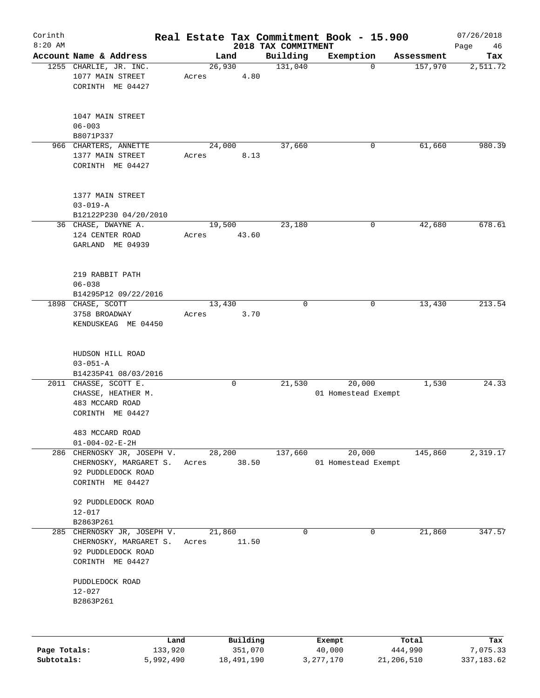| Corinth      |                                                                                             |                 |                     |                                 | Real Estate Tax Commitment Book - 15.900 |                  | 07/26/2018      |
|--------------|---------------------------------------------------------------------------------------------|-----------------|---------------------|---------------------------------|------------------------------------------|------------------|-----------------|
| $8:20$ AM    | Account Name & Address                                                                      |                 | Land                | 2018 TAX COMMITMENT<br>Building | Exemption                                | Assessment       | Page<br>46      |
|              | 1255 CHARLIE, JR. INC.<br>1077 MAIN STREET<br>CORINTH ME 04427                              | 26,930<br>Acres | 4.80                | 131,040                         | $\Omega$                                 | 157,970          | Tax<br>2,511.72 |
|              | 1047 MAIN STREET<br>$06 - 003$<br>B8071P337                                                 |                 |                     |                                 |                                          |                  |                 |
|              | 966 CHARTERS, ANNETTE<br>1377 MAIN STREET<br>CORINTH ME 04427                               | 24,000<br>Acres | 8.13                | 37,660                          | 0                                        | 61,660           | 980.39          |
|              | 1377 MAIN STREET<br>$03 - 019 - A$<br>B12122P230 04/20/2010                                 |                 |                     |                                 |                                          |                  |                 |
|              | 36 CHASE, DWAYNE A.<br>124 CENTER ROAD<br>GARLAND ME 04939                                  | 19,500<br>Acres | 43.60               | 23,180                          | 0                                        | 42,680           | 678.61          |
|              | 219 RABBIT PATH<br>$06 - 038$<br>B14295P12 09/22/2016                                       |                 |                     |                                 |                                          |                  |                 |
|              | 1898 CHASE, SCOTT<br>3758 BROADWAY<br>KENDUSKEAG ME 04450                                   | 13,430<br>Acres | 3.70                | $\mathbf 0$                     | 0                                        | 13,430           | 213.54          |
|              | HUDSON HILL ROAD<br>$03 - 051 - A$<br>B14235P41 08/03/2016                                  |                 |                     |                                 |                                          |                  |                 |
|              | 2011 CHASSE, SCOTT E.<br>CHASSE, HEATHER M.<br>483 MCCARD ROAD<br>CORINTH ME 04427          |                 | 0                   | 21,530                          | 20,000<br>01 Homestead Exempt            | 1,530            | 24.33           |
|              | 483 MCCARD ROAD<br>$01 - 004 - 02 - E - 2H$                                                 |                 |                     |                                 |                                          |                  |                 |
| 286          | CHERNOSKY JR, JOSEPH V.<br>CHERNOSKY, MARGARET S.<br>92 PUDDLEDOCK ROAD<br>CORINTH ME 04427 | 28,200<br>Acres | 38.50               | 137,660                         | 20,000<br>01 Homestead Exempt            | 145,860          | 2,319.17        |
|              | 92 PUDDLEDOCK ROAD<br>$12 - 017$<br>B2863P261                                               |                 |                     |                                 |                                          |                  |                 |
| 285          | CHERNOSKY JR, JOSEPH V.<br>CHERNOSKY, MARGARET S.<br>92 PUDDLEDOCK ROAD<br>CORINTH ME 04427 | 21,860<br>Acres | 11.50               | $\mathbf 0$                     | 0                                        | 21,860           | 347.57          |
|              | PUDDLEDOCK ROAD<br>$12 - 027$<br>B2863P261                                                  |                 |                     |                                 |                                          |                  |                 |
|              |                                                                                             |                 |                     |                                 |                                          |                  |                 |
| Page Totals: | Land<br>133,920                                                                             |                 | Building<br>351,070 |                                 | Exempt<br>40,000                         | Total<br>444,990 | Tax<br>7,075.33 |

**Subtotals:** 5,992,490 18,491,190 3,277,170 21,206,510 337,183.62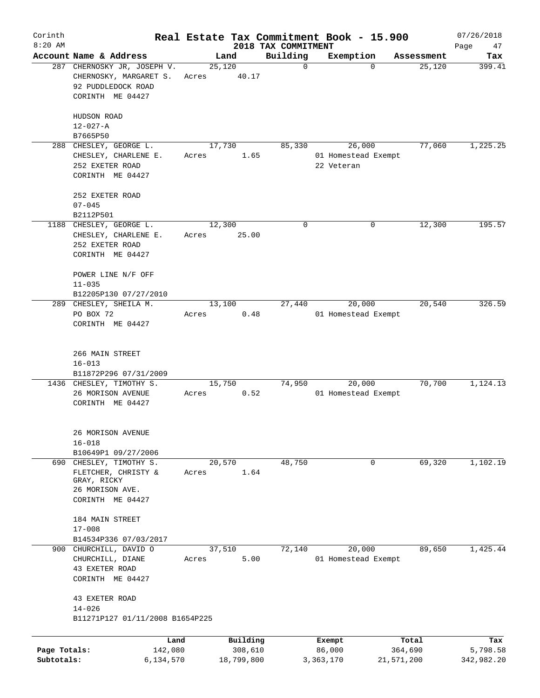| Corinth                    |                                                                                                      |       |                                   |                                 | Real Estate Tax Commitment Book - 15.900 |                                | 07/26/2018                    |
|----------------------------|------------------------------------------------------------------------------------------------------|-------|-----------------------------------|---------------------------------|------------------------------------------|--------------------------------|-------------------------------|
| $8:20$ AM                  | Account Name & Address                                                                               |       | Land                              | 2018 TAX COMMITMENT<br>Building | Exemption                                | Assessment                     | Page<br>47<br>Tax             |
|                            | 287 CHERNOSKY JR, JOSEPH V.<br>CHERNOSKY, MARGARET S.<br>92 PUDDLEDOCK ROAD<br>CORINTH ME 04427      | Acres | 25,120<br>40.17                   | $\mathbf 0$                     | $\Omega$                                 | 25,120                         | 399.41                        |
|                            | HUDSON ROAD<br>$12 - 027 - A$                                                                        |       |                                   |                                 |                                          |                                |                               |
|                            | B7665P50<br>288 CHESLEY, GEORGE L.                                                                   |       | 17,730                            | 85,330                          | 26,000                                   | 77,060                         | 1,225.25                      |
|                            | CHESLEY, CHARLENE E.<br>252 EXETER ROAD<br>CORINTH ME 04427                                          | Acres | 1.65                              |                                 | 01 Homestead Exempt<br>22 Veteran        |                                |                               |
|                            | 252 EXETER ROAD<br>$07 - 045$                                                                        |       |                                   |                                 |                                          |                                |                               |
|                            | B2112P501                                                                                            |       |                                   |                                 |                                          |                                |                               |
|                            | 1188 CHESLEY, GEORGE L.<br>CHESLEY, CHARLENE E.<br>252 EXETER ROAD<br>CORINTH ME 04427               | Acres | 12,300<br>25.00                   | 0                               | 0                                        | 12,300                         | 195.57                        |
|                            | POWER LINE N/F OFF<br>$11 - 035$                                                                     |       |                                   |                                 |                                          |                                |                               |
|                            | B12205P130 07/27/2010                                                                                |       |                                   |                                 |                                          |                                |                               |
|                            | 289 CHESLEY, SHEILA M.<br>PO BOX 72<br>CORINTH ME 04427                                              | Acres | 13,100<br>0.48                    | 27,440                          | 20,000<br>01 Homestead Exempt            | 20,540                         | 326.59                        |
|                            | 266 MAIN STREET<br>$16 - 013$<br>B11872P296 07/31/2009                                               |       |                                   |                                 |                                          |                                |                               |
|                            | 1436 CHESLEY, TIMOTHY S.<br>26 MORISON AVENUE<br>CORINTH ME 04427                                    | Acres | 15,750<br>0.52                    | 74,950                          | 20,000<br>01 Homestead Exempt            | 70,700                         | 1,124.13                      |
|                            | 26 MORISON AVENUE<br>$16 - 018$<br>B10649P1 09/27/2006                                               |       |                                   |                                 |                                          |                                |                               |
|                            | 690 CHESLEY, TIMOTHY S.<br>FLETCHER, CHRISTY &<br>GRAY, RICKY<br>26 MORISON AVE.<br>CORINTH ME 04427 | Acres | 20,570<br>1.64                    | 48,750                          | 0                                        | 69,320                         | 1,102.19                      |
|                            | 184 MAIN STREET<br>$17 - 008$                                                                        |       |                                   |                                 |                                          |                                |                               |
|                            | B14534P336 07/03/2017                                                                                |       |                                   |                                 |                                          |                                |                               |
| 900                        | CHURCHILL, DAVID O<br>CHURCHILL, DIANE<br>43 EXETER ROAD<br>CORINTH ME 04427                         | Acres | 37,510<br>5.00                    | 72,140                          | 20,000<br>01 Homestead Exempt            | 89,650                         | 1,425.44                      |
|                            | 43 EXETER ROAD<br>$14 - 026$<br>B11271P127 01/11/2008 B1654P225                                      |       |                                   |                                 |                                          |                                |                               |
|                            |                                                                                                      |       |                                   |                                 |                                          |                                |                               |
| Page Totals:<br>Subtotals: | Land<br>142,080<br>6,134,570                                                                         |       | Building<br>308,610<br>18,799,800 |                                 | Exempt<br>86,000<br>3,363,170            | Total<br>364,690<br>21,571,200 | Tax<br>5,798.58<br>342,982.20 |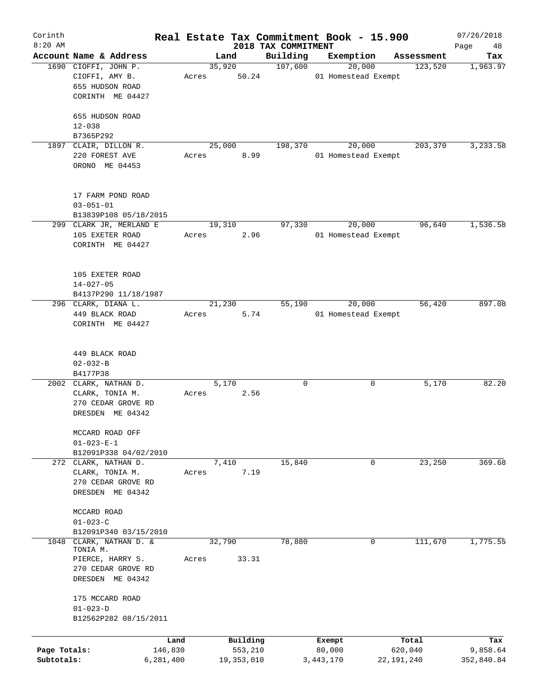| Corinth      |                              |       |                     |                                 | Real Estate Tax Commitment Book - 15.900 |                  | 07/26/2018        |
|--------------|------------------------------|-------|---------------------|---------------------------------|------------------------------------------|------------------|-------------------|
| $8:20$ AM    | Account Name & Address       |       | Land                | 2018 TAX COMMITMENT<br>Building | Exemption                                | Assessment       | Page<br>48<br>Tax |
|              | 1690 CIOFFI, JOHN P.         |       | 35,920              | 107,600                         | 20,000                                   | 123,520          | 1,963.97          |
|              | CIOFFI, AMY B.               | Acres | 50.24               |                                 | 01 Homestead Exempt                      |                  |                   |
|              | 655 HUDSON ROAD              |       |                     |                                 |                                          |                  |                   |
|              | CORINTH ME 04427             |       |                     |                                 |                                          |                  |                   |
|              |                              |       |                     |                                 |                                          |                  |                   |
|              | 655 HUDSON ROAD              |       |                     |                                 |                                          |                  |                   |
|              | $12 - 038$                   |       |                     |                                 |                                          |                  |                   |
|              | B7365P292                    |       |                     |                                 |                                          |                  |                   |
|              | 1897 CLAIR, DILLON R.        |       | 25,000              | 198,370                         | 20,000                                   | 203,370          | 3,233.58          |
|              | 220 FOREST AVE               | Acres | 8.99                |                                 | 01 Homestead Exempt                      |                  |                   |
|              | ORONO ME 04453               |       |                     |                                 |                                          |                  |                   |
|              |                              |       |                     |                                 |                                          |                  |                   |
|              | 17 FARM POND ROAD            |       |                     |                                 |                                          |                  |                   |
|              | $03 - 051 - 01$              |       |                     |                                 |                                          |                  |                   |
|              | B13839P108 05/18/2015        |       |                     |                                 |                                          |                  |                   |
|              | 299 CLARK JR, MERLAND E      |       | 19,310              | 97,330                          | 20,000                                   | 96,640           | 1,536.58          |
|              | 105 EXETER ROAD              | Acres | 2.96                |                                 | 01 Homestead Exempt                      |                  |                   |
|              | CORINTH ME 04427             |       |                     |                                 |                                          |                  |                   |
|              |                              |       |                     |                                 |                                          |                  |                   |
|              | 105 EXETER ROAD              |       |                     |                                 |                                          |                  |                   |
|              | $14 - 027 - 05$              |       |                     |                                 |                                          |                  |                   |
|              | B4137P290 11/18/1987         |       |                     |                                 |                                          |                  |                   |
|              | 296 CLARK, DIANA L.          |       | 21,230              | 55,190                          | 20,000                                   | 56,420           | 897.08            |
|              | 449 BLACK ROAD               | Acres | 5.74                |                                 | 01 Homestead Exempt                      |                  |                   |
|              | CORINTH ME 04427             |       |                     |                                 |                                          |                  |                   |
|              |                              |       |                     |                                 |                                          |                  |                   |
|              | 449 BLACK ROAD               |       |                     |                                 |                                          |                  |                   |
|              | $02 - 032 - B$               |       |                     |                                 |                                          |                  |                   |
|              | B4177P38                     |       |                     |                                 |                                          |                  |                   |
|              | 2002 CLARK, NATHAN D.        |       | 5,170               | 0                               | 0                                        | 5,170            | 82.20             |
|              | CLARK, TONIA M.              | Acres | 2.56                |                                 |                                          |                  |                   |
|              | 270 CEDAR GROVE RD           |       |                     |                                 |                                          |                  |                   |
|              | DRESDEN ME 04342             |       |                     |                                 |                                          |                  |                   |
|              | MCCARD ROAD OFF              |       |                     |                                 |                                          |                  |                   |
|              | $01 - 023 - E - 1$           |       |                     |                                 |                                          |                  |                   |
|              | B12091P338 04/02/2010        |       |                     |                                 |                                          |                  |                   |
|              | 272 CLARK, NATHAN D.         |       | 7,410               | 15,840                          | 0                                        | 23,250           | 369.68            |
|              | CLARK, TONIA M.              | Acres | 7.19                |                                 |                                          |                  |                   |
|              | 270 CEDAR GROVE RD           |       |                     |                                 |                                          |                  |                   |
|              | DRESDEN ME 04342             |       |                     |                                 |                                          |                  |                   |
|              | MCCARD ROAD                  |       |                     |                                 |                                          |                  |                   |
|              | $01 - 023 - C$               |       |                     |                                 |                                          |                  |                   |
|              | B12091P340 03/15/2010        |       |                     |                                 |                                          |                  |                   |
| 1048         | CLARK, NATHAN D. &           |       | 32,790              | 78,880                          | 0                                        | 111,670          | 1,775.55          |
|              | TONIA M.<br>PIERCE, HARRY S. | Acres | 33.31               |                                 |                                          |                  |                   |
|              | 270 CEDAR GROVE RD           |       |                     |                                 |                                          |                  |                   |
|              |                              |       |                     |                                 |                                          |                  |                   |
|              | DRESDEN ME 04342             |       |                     |                                 |                                          |                  |                   |
|              | 175 MCCARD ROAD              |       |                     |                                 |                                          |                  |                   |
|              | $01 - 023 - D$               |       |                     |                                 |                                          |                  |                   |
|              | B12562P282 08/15/2011        |       |                     |                                 |                                          |                  |                   |
|              |                              |       |                     |                                 |                                          |                  |                   |
| Page Totals: | 146,830                      | Land  | Building<br>553,210 |                                 | Exempt<br>80,000                         | Total<br>620,040 | Tax<br>9,858.64   |
| Subtotals:   | 6,281,400                    |       | 19, 353, 010        |                                 | 3, 443, 170                              | 22, 191, 240     | 352,840.84        |
|              |                              |       |                     |                                 |                                          |                  |                   |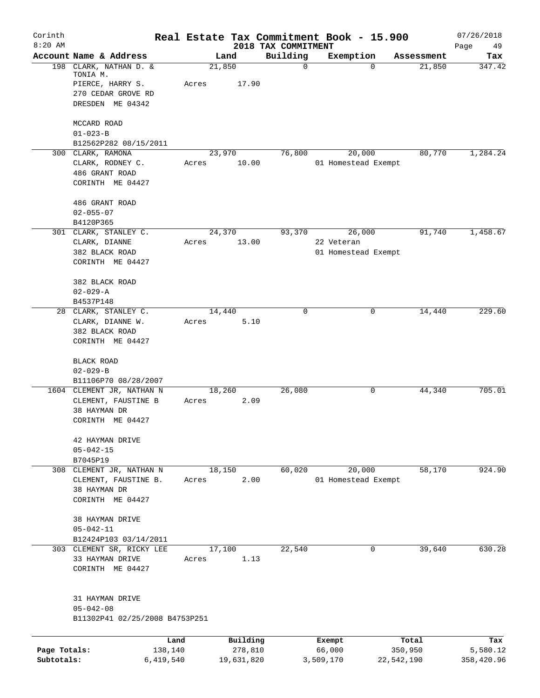| Corinth<br>$8:20$ AM |                                                        | Real Estate Tax Commitment Book - 15.900 |                     |                                 |                     |            |                  | 07/26/2018        |
|----------------------|--------------------------------------------------------|------------------------------------------|---------------------|---------------------------------|---------------------|------------|------------------|-------------------|
|                      | Account Name & Address                                 | Land                                     |                     | 2018 TAX COMMITMENT<br>Building | Exemption           |            | Assessment       | Page<br>49<br>Tax |
|                      | 198 CLARK, NATHAN D. &<br>TONIA M.<br>PIERCE, HARRY S. | 21,850<br>Acres                          | 17.90               | 0                               |                     | $\Omega$   | 21,850           | 347.42            |
|                      | 270 CEDAR GROVE RD<br>DRESDEN ME 04342                 |                                          |                     |                                 |                     |            |                  |                   |
|                      | MCCARD ROAD                                            |                                          |                     |                                 |                     |            |                  |                   |
|                      | $01 - 023 - B$<br>B12562P282 08/15/2011                |                                          |                     |                                 |                     |            |                  |                   |
|                      | 300 CLARK, RAMONA                                      | 23,970                                   |                     | 76,800                          | 20,000              |            | 80,770           | 1,284.24          |
|                      | CLARK, RODNEY C.                                       | Acres                                    | 10.00               |                                 | 01 Homestead Exempt |            |                  |                   |
|                      | 486 GRANT ROAD<br>CORINTH ME 04427                     |                                          |                     |                                 |                     |            |                  |                   |
|                      | 486 GRANT ROAD                                         |                                          |                     |                                 |                     |            |                  |                   |
|                      | $02 - 055 - 07$                                        |                                          |                     |                                 |                     |            |                  |                   |
|                      | B4120P365<br>301 CLARK, STANLEY C.                     | 24,370                                   |                     | 93,370                          | 26,000              |            | 91,740           | 1,458.67          |
|                      | CLARK, DIANNE                                          | Acres                                    | 13.00               |                                 | 22 Veteran          |            |                  |                   |
|                      | 382 BLACK ROAD<br>CORINTH ME 04427                     |                                          |                     |                                 | 01 Homestead Exempt |            |                  |                   |
|                      | 382 BLACK ROAD                                         |                                          |                     |                                 |                     |            |                  |                   |
|                      | $02 - 029 - A$                                         |                                          |                     |                                 |                     |            |                  |                   |
|                      | B4537P148                                              |                                          |                     |                                 |                     |            |                  |                   |
|                      | 28 CLARK, STANLEY C.<br>CLARK, DIANNE W.               | 14,440<br>Acres                          | 5.10                | 0                               |                     | 0          | 14,440           | 229.60            |
|                      | 382 BLACK ROAD                                         |                                          |                     |                                 |                     |            |                  |                   |
|                      | CORINTH ME 04427                                       |                                          |                     |                                 |                     |            |                  |                   |
|                      | BLACK ROAD                                             |                                          |                     |                                 |                     |            |                  |                   |
|                      | $02 - 029 - B$                                         |                                          |                     |                                 |                     |            |                  |                   |
|                      | B11106P70 08/28/2007                                   |                                          |                     |                                 |                     |            |                  |                   |
|                      | 1604 CLEMENT JR, NATHAN N<br>CLEMENT, FAUSTINE B       | 18,260<br>Acres                          | 2.09                | 26,080                          |                     | 0          | 44,340           | 705.01            |
|                      | 38 HAYMAN DR                                           |                                          |                     |                                 |                     |            |                  |                   |
|                      | CORINTH ME 04427                                       |                                          |                     |                                 |                     |            |                  |                   |
|                      | 42 HAYMAN DRIVE                                        |                                          |                     |                                 |                     |            |                  |                   |
|                      | $05 - 042 - 15$                                        |                                          |                     |                                 |                     |            |                  |                   |
| 308                  | B7045P19<br>CLEMENT JR, NATHAN N                       | 18,150                                   |                     | 60,020                          | 20,000              |            | 58,170           | 924.90            |
|                      | CLEMENT, FAUSTINE B.                                   | Acres                                    | 2.00                |                                 | 01 Homestead Exempt |            |                  |                   |
|                      | 38 HAYMAN DR                                           |                                          |                     |                                 |                     |            |                  |                   |
|                      | CORINTH ME 04427                                       |                                          |                     |                                 |                     |            |                  |                   |
|                      | 38 HAYMAN DRIVE                                        |                                          |                     |                                 |                     |            |                  |                   |
|                      | $05 - 042 - 11$                                        |                                          |                     |                                 |                     |            |                  |                   |
|                      | B12424P103 03/14/2011<br>303 CLEMENT SR, RICKY LEE     | 17,100                                   |                     | 22,540                          |                     | 0          | 39,640           | 630.28            |
|                      | 33 HAYMAN DRIVE                                        | Acres                                    | 1.13                |                                 |                     |            |                  |                   |
|                      | CORINTH ME 04427                                       |                                          |                     |                                 |                     |            |                  |                   |
|                      | 31 HAYMAN DRIVE                                        |                                          |                     |                                 |                     |            |                  |                   |
|                      | $05 - 042 - 08$<br>B11302P41 02/25/2008 B4753P251      |                                          |                     |                                 |                     |            |                  |                   |
|                      |                                                        |                                          |                     |                                 |                     |            |                  |                   |
| Page Totals:         | Land<br>138,140                                        |                                          | Building<br>278,810 |                                 | Exempt<br>66,000    |            | Total<br>350,950 | Tax<br>5,580.12   |
| Subtotals:           | 6,419,540                                              | 19,631,820                               |                     |                                 | 3,509,170           | 22,542,190 |                  | 358,420.96        |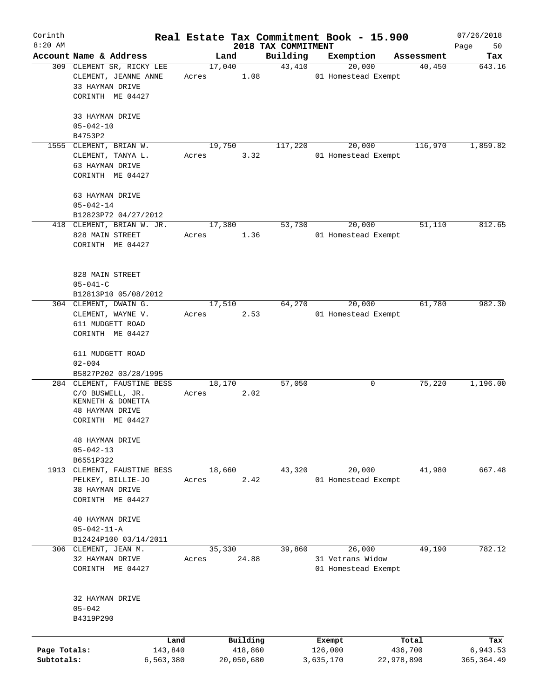| Corinth      |                                             |           |                |            | Real Estate Tax Commitment Book - 15.900 |                     |            |            | 07/26/2018    |
|--------------|---------------------------------------------|-----------|----------------|------------|------------------------------------------|---------------------|------------|------------|---------------|
| $8:20$ AM    | Account Name & Address                      |           |                |            | 2018 TAX COMMITMENT                      |                     |            | Assessment | Page<br>50    |
|              | 309 CLEMENT SR, RICKY LEE                   |           | Land<br>17,040 |            | Building<br>43,410                       | Exemption           | 20,000     | 40,450     | Tax<br>643.16 |
|              | CLEMENT, JEANNE ANNE                        | Acres     |                | 1.08       |                                          | 01 Homestead Exempt |            |            |               |
|              | 33 HAYMAN DRIVE                             |           |                |            |                                          |                     |            |            |               |
|              | CORINTH ME 04427                            |           |                |            |                                          |                     |            |            |               |
|              |                                             |           |                |            |                                          |                     |            |            |               |
|              | 33 HAYMAN DRIVE                             |           |                |            |                                          |                     |            |            |               |
|              | $05 - 042 - 10$                             |           |                |            |                                          |                     |            |            |               |
|              | B4753P2                                     |           |                |            | 117,220                                  |                     |            | 116,970    | 1,859.82      |
|              | 1555 CLEMENT, BRIAN W.<br>CLEMENT, TANYA L. | Acres     | 19,750         | 3.32       |                                          | 01 Homestead Exempt | 20,000     |            |               |
|              | 63 HAYMAN DRIVE                             |           |                |            |                                          |                     |            |            |               |
|              | CORINTH ME 04427                            |           |                |            |                                          |                     |            |            |               |
|              |                                             |           |                |            |                                          |                     |            |            |               |
|              | 63 HAYMAN DRIVE                             |           |                |            |                                          |                     |            |            |               |
|              | $05 - 042 - 14$                             |           |                |            |                                          |                     |            |            |               |
|              | B12823P72 04/27/2012                        |           |                |            |                                          |                     |            |            |               |
|              | 418 CLEMENT, BRIAN W. JR.                   |           | 17,380         |            | 53,730                                   |                     | 20,000     | 51,110     | 812.65        |
|              | 828 MAIN STREET                             | Acres     |                | 1.36       |                                          | 01 Homestead Exempt |            |            |               |
|              | CORINTH ME 04427                            |           |                |            |                                          |                     |            |            |               |
|              |                                             |           |                |            |                                          |                     |            |            |               |
|              |                                             |           |                |            |                                          |                     |            |            |               |
|              | 828 MAIN STREET                             |           |                |            |                                          |                     |            |            |               |
|              | $05 - 041 - C$                              |           |                |            |                                          |                     |            |            |               |
|              | B12813P10 05/08/2012                        |           |                |            |                                          |                     |            |            |               |
|              | 304 CLEMENT, DWAIN G.                       |           | 17,510         |            | 64,270                                   |                     | 20,000     | 61,780     | 982.30        |
|              | CLEMENT, WAYNE V.                           | Acres     |                | 2.53       |                                          | 01 Homestead Exempt |            |            |               |
|              | 611 MUDGETT ROAD<br>CORINTH ME 04427        |           |                |            |                                          |                     |            |            |               |
|              |                                             |           |                |            |                                          |                     |            |            |               |
|              | 611 MUDGETT ROAD                            |           |                |            |                                          |                     |            |            |               |
|              | $02 - 004$                                  |           |                |            |                                          |                     |            |            |               |
|              | B5827P202 03/28/1995                        |           |                |            |                                          |                     |            |            |               |
|              | 284 CLEMENT, FAUSTINE BESS                  |           | 18,170         |            | 57,050                                   |                     | 0          | 75,220     | 1,196.00      |
|              | C/O BUSWELL, JR.                            | Acres     |                | 2.02       |                                          |                     |            |            |               |
|              | KENNETH & DONETTA                           |           |                |            |                                          |                     |            |            |               |
|              | 48 HAYMAN DRIVE                             |           |                |            |                                          |                     |            |            |               |
|              | CORINTH ME 04427                            |           |                |            |                                          |                     |            |            |               |
|              |                                             |           |                |            |                                          |                     |            |            |               |
|              | <b>48 HAYMAN DRIVE</b>                      |           |                |            |                                          |                     |            |            |               |
|              | $05 - 042 - 13$                             |           |                |            |                                          |                     |            |            |               |
|              | B6551P322<br>1913 CLEMENT, FAUSTINE BESS    |           | 18,660         |            | 43,320                                   |                     | 20,000     | 41,980     | 667.48        |
|              | PELKEY, BILLIE-JO                           | Acres     |                | 2.42       |                                          | 01 Homestead Exempt |            |            |               |
|              | 38 HAYMAN DRIVE                             |           |                |            |                                          |                     |            |            |               |
|              | CORINTH ME 04427                            |           |                |            |                                          |                     |            |            |               |
|              |                                             |           |                |            |                                          |                     |            |            |               |
|              | 40 HAYMAN DRIVE                             |           |                |            |                                          |                     |            |            |               |
|              | $05 - 042 - 11 - A$                         |           |                |            |                                          |                     |            |            |               |
|              | B12424P100 03/14/2011                       |           |                |            |                                          |                     |            |            |               |
|              | 306 CLEMENT, JEAN M.                        |           | 35,330         |            | 39,860                                   |                     | 26,000     | 49,190     | 782.12        |
|              | 32 HAYMAN DRIVE                             | Acres     |                | 24.88      |                                          | 31 Vetrans Widow    |            |            |               |
|              | CORINTH ME 04427                            |           |                |            |                                          | 01 Homestead Exempt |            |            |               |
|              |                                             |           |                |            |                                          |                     |            |            |               |
|              |                                             |           |                |            |                                          |                     |            |            |               |
|              | 32 HAYMAN DRIVE                             |           |                |            |                                          |                     |            |            |               |
|              | $05 - 042$                                  |           |                |            |                                          |                     |            |            |               |
|              | B4319P290                                   |           |                |            |                                          |                     |            |            |               |
|              |                                             | Land      |                | Building   |                                          | Exempt              |            | Total      | Tax           |
| Page Totals: |                                             | 143,840   |                | 418,860    |                                          | 126,000             |            | 436,700    | 6,943.53      |
| Subtotals:   |                                             | 6,563,380 |                | 20,050,680 |                                          | 3,635,170           | 22,978,890 |            | 365, 364.49   |
|              |                                             |           |                |            |                                          |                     |            |            |               |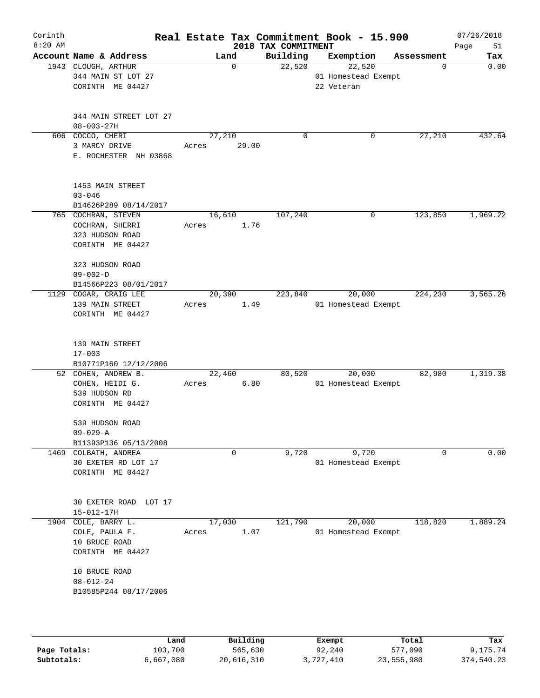| Corinth<br>$8:20$ AM |                                                                               |                 |             | 2018 TAX COMMITMENT | Real Estate Tax Commitment Book - 15.900    |            | 07/26/2018<br>Page<br>51 |
|----------------------|-------------------------------------------------------------------------------|-----------------|-------------|---------------------|---------------------------------------------|------------|--------------------------|
|                      | Account Name & Address                                                        |                 | Land        | Building            | Exemption                                   | Assessment | Tax                      |
|                      | 1943 CLOUGH, ARTHUR<br>344 MAIN ST LOT 27<br>CORINTH ME 04427                 |                 | 0           | 22,520              | 22,520<br>01 Homestead Exempt<br>22 Veteran | 0          | 0.00                     |
|                      | 344 MAIN STREET LOT 27<br>$08 - 003 - 27H$                                    |                 |             |                     |                                             |            |                          |
|                      | 606 COCCO, CHERI<br>3 MARCY DRIVE<br>E. ROCHESTER NH 03868                    | 27,210<br>Acres | 29.00       | $\mathbf 0$         | 0                                           | 27,210     | 432.64                   |
|                      | 1453 MAIN STREET<br>$03 - 046$<br>B14626P289 08/14/2017                       |                 |             |                     |                                             |            |                          |
|                      | 765 COCHRAN, STEVEN<br>COCHRAN, SHERRI<br>323 HUDSON ROAD<br>CORINTH ME 04427 | 16,610<br>Acres | 1.76        | 107,240             | 0                                           | 123,850    | 1,969.22                 |
|                      | 323 HUDSON ROAD<br>$09 - 002 - D$<br>B14566P223 08/01/2017                    |                 |             |                     |                                             |            |                          |
|                      | 1129 COGAR, CRAIG LEE<br>139 MAIN STREET<br>CORINTH ME 04427                  | 20,390<br>Acres | 1.49        | 223,840             | 20,000<br>01 Homestead Exempt               | 224,230    | 3,565.26                 |
|                      | 139 MAIN STREET<br>$17 - 003$<br>B10771P160 12/12/2006                        |                 |             |                     |                                             |            |                          |
|                      | 52 COHEN, ANDREW B.<br>COHEN, HEIDI G.<br>539 HUDSON RD<br>CORINTH ME 04427   | 22,460<br>Acres | 6.80        | 80,520              | 20,000<br>01 Homestead Exempt               | 82,980     | 1,319.38                 |
|                      | 539 HUDSON ROAD<br>$09 - 029 - A$<br>B11393P136 05/13/2008                    |                 |             |                     |                                             |            |                          |
|                      | 1469 COLBATH, ANDREA<br>30 EXETER RD LOT 17<br>CORINTH ME 04427               |                 | $\mathbf 0$ | 9,720               | 9,720<br>01 Homestead Exempt                | 0          | 0.00                     |
|                      | 30 EXETER ROAD LOT 17<br>15-012-17H                                           |                 |             |                     |                                             |            |                          |
| 1904                 | COLE, BARRY L.<br>COLE, PAULA F.<br>10 BRUCE ROAD<br>CORINTH ME 04427         | 17,030<br>Acres | 1.07        | 121,790             | 20,000<br>01 Homestead Exempt               | 118,820    | 1,889.24                 |
|                      | 10 BRUCE ROAD<br>$08 - 012 - 24$<br>B10585P244 08/17/2006                     |                 |             |                     |                                             |            |                          |
|                      | Land                                                                          |                 | Building    |                     | Exempt                                      | Total      | Tax                      |

|              | Land      | Building   | Exempt    | Total      | Tax        |
|--------------|-----------|------------|-----------|------------|------------|
| Page Totals: | 103,700   | 565,630    | 92,240    | 577,090    | 9,175.74   |
| Subtotals:   | 6,667,080 | 20,616,310 | 3,727,410 | 23,555,980 | 374,540.23 |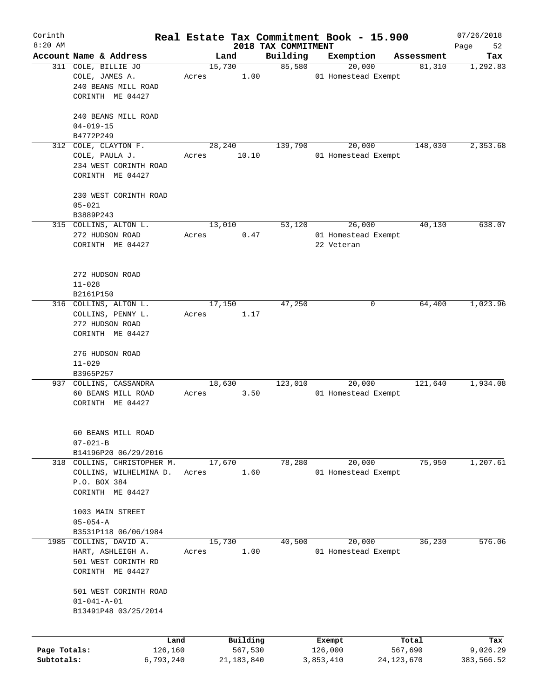| Corinth      |                                        |       |                 |                                 | Real Estate Tax Commitment Book - 15.900 |            | 07/26/2018        |
|--------------|----------------------------------------|-------|-----------------|---------------------------------|------------------------------------------|------------|-------------------|
| $8:20$ AM    | Account Name & Address                 |       | Land            | 2018 TAX COMMITMENT<br>Building | Exemption                                | Assessment | 52<br>Page<br>Tax |
|              | 311 COLE, BILLIE JO                    |       | 15,730          | 85,580                          | 20,000                                   | 81,310     | 1,292.83          |
|              | COLE, JAMES A.                         | Acres | 1.00            |                                 | 01 Homestead Exempt                      |            |                   |
|              | 240 BEANS MILL ROAD                    |       |                 |                                 |                                          |            |                   |
|              | CORINTH ME 04427                       |       |                 |                                 |                                          |            |                   |
|              |                                        |       |                 |                                 |                                          |            |                   |
|              | 240 BEANS MILL ROAD                    |       |                 |                                 |                                          |            |                   |
|              | $04 - 019 - 15$                        |       |                 |                                 |                                          |            |                   |
|              | B4772P249                              |       |                 |                                 |                                          |            |                   |
|              | 312 COLE, CLAYTON F.<br>COLE, PAULA J. | Acres | 28,240<br>10.10 | 139,790                         | 20,000<br>01 Homestead Exempt            | 148,030    | 2,353.68          |
|              | 234 WEST CORINTH ROAD                  |       |                 |                                 |                                          |            |                   |
|              | CORINTH ME 04427                       |       |                 |                                 |                                          |            |                   |
|              |                                        |       |                 |                                 |                                          |            |                   |
|              | 230 WEST CORINTH ROAD                  |       |                 |                                 |                                          |            |                   |
|              | $05 - 021$                             |       |                 |                                 |                                          |            |                   |
|              | B3889P243                              |       |                 |                                 |                                          |            |                   |
|              | 315 COLLINS, ALTON L.                  |       | 13,010          | 53,120                          | 26,000                                   | 40,130     | 638.07            |
|              | 272 HUDSON ROAD<br>CORINTH ME 04427    | Acres | 0.47            |                                 | 01 Homestead Exempt<br>22 Veteran        |            |                   |
|              |                                        |       |                 |                                 |                                          |            |                   |
|              |                                        |       |                 |                                 |                                          |            |                   |
|              | 272 HUDSON ROAD                        |       |                 |                                 |                                          |            |                   |
|              | $11 - 028$                             |       |                 |                                 |                                          |            |                   |
|              | B2161P150                              |       |                 |                                 |                                          |            |                   |
|              | 316 COLLINS, ALTON L.                  |       | 17,150          | 47,250                          | 0                                        | 64,400     | 1,023.96          |
|              | COLLINS, PENNY L.                      | Acres | 1.17            |                                 |                                          |            |                   |
|              | 272 HUDSON ROAD<br>CORINTH ME 04427    |       |                 |                                 |                                          |            |                   |
|              |                                        |       |                 |                                 |                                          |            |                   |
|              | 276 HUDSON ROAD                        |       |                 |                                 |                                          |            |                   |
|              | $11 - 029$                             |       |                 |                                 |                                          |            |                   |
|              | B3965P257                              |       |                 |                                 |                                          |            |                   |
|              | 937 COLLINS, CASSANDRA                 |       | 18,630          | 123,010                         | 20,000                                   | 121,640    | 1,934.08          |
|              | 60 BEANS MILL ROAD                     | Acres | 3.50            |                                 | 01 Homestead Exempt                      |            |                   |
|              | CORINTH ME 04427                       |       |                 |                                 |                                          |            |                   |
|              |                                        |       |                 |                                 |                                          |            |                   |
|              | 60 BEANS MILL ROAD                     |       |                 |                                 |                                          |            |                   |
|              | $07 - 021 - B$                         |       |                 |                                 |                                          |            |                   |
|              | B14196P20 06/29/2016                   |       |                 |                                 |                                          |            |                   |
|              | 318 COLLINS, CHRISTOPHER M.            |       | 17,670          | 78,280                          | 20,000                                   | 75,950     | 1,207.61          |
|              | COLLINS, WILHELMINA D.                 | Acres | 1.60            |                                 | 01 Homestead Exempt                      |            |                   |
|              | P.O. BOX 384<br>CORINTH ME 04427       |       |                 |                                 |                                          |            |                   |
|              |                                        |       |                 |                                 |                                          |            |                   |
|              | 1003 MAIN STREET                       |       |                 |                                 |                                          |            |                   |
|              | $05 - 054 - A$                         |       |                 |                                 |                                          |            |                   |
|              | B3531P118 06/06/1984                   |       |                 |                                 |                                          |            |                   |
| 1985         | COLLINS, DAVID A.                      |       | 15,730          | 40,500                          | 20,000                                   | 36,230     | 576.06            |
|              | HART, ASHLEIGH A.                      | Acres | 1.00            |                                 | 01 Homestead Exempt                      |            |                   |
|              | 501 WEST CORINTH RD                    |       |                 |                                 |                                          |            |                   |
|              | CORINTH ME 04427                       |       |                 |                                 |                                          |            |                   |
|              | 501 WEST CORINTH ROAD                  |       |                 |                                 |                                          |            |                   |
|              | $01 - 041 - A - 01$                    |       |                 |                                 |                                          |            |                   |
|              | B13491P48 03/25/2014                   |       |                 |                                 |                                          |            |                   |
|              |                                        |       |                 |                                 |                                          |            |                   |
|              |                                        | Land  | Building        |                                 | Exempt                                   | Total      | Tax               |
| Page Totals: | 126,160                                |       | 567,530         |                                 | 126,000                                  | 567,690    | 9,026.29          |
| Subtotals:   | 6,793,240                              |       | 21, 183, 840    |                                 | 3,853,410                                | 24,123,670 | 383,566.52        |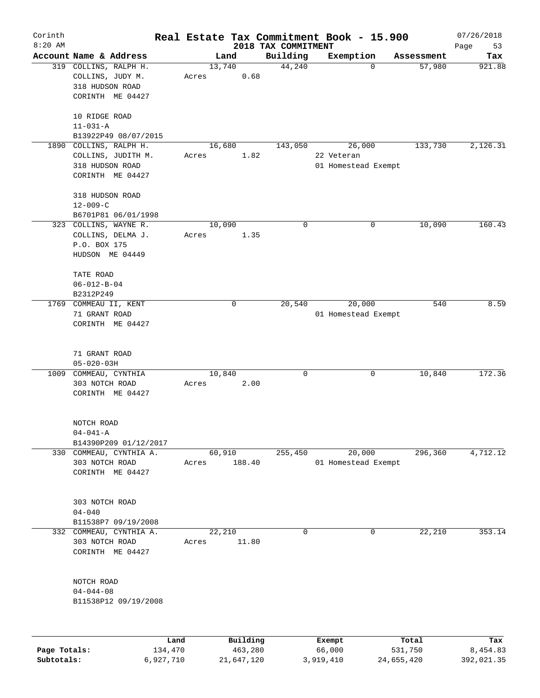| Corinth<br>$8:20$ AM |                                                                                     |                 |                     |                                 | Real Estate Tax Commitment Book - 15.900    |                  | 07/26/2018        |
|----------------------|-------------------------------------------------------------------------------------|-----------------|---------------------|---------------------------------|---------------------------------------------|------------------|-------------------|
|                      | Account Name & Address                                                              |                 | Land                | 2018 TAX COMMITMENT<br>Building | Exemption                                   | Assessment       | Page<br>53<br>Tax |
|                      | 319 COLLINS, RALPH H.<br>COLLINS, JUDY M.<br>318 HUDSON ROAD<br>CORINTH ME 04427    | 13,740<br>Acres | 0.68                | 44,240                          | 0                                           | 57,980           | 921.88            |
|                      | 10 RIDGE ROAD<br>$11 - 031 - A$<br>B13922P49 08/07/2015                             |                 |                     |                                 |                                             |                  |                   |
|                      | 1890 COLLINS, RALPH H.<br>COLLINS, JUDITH M.<br>318 HUDSON ROAD<br>CORINTH ME 04427 | Acres           | 16,680<br>1.82      | 143,050                         | 26,000<br>22 Veteran<br>01 Homestead Exempt | 133,730          | 2,126.31          |
|                      | 318 HUDSON ROAD<br>$12 - 009 - C$<br>B6701P81 06/01/1998                            |                 |                     |                                 |                                             |                  |                   |
|                      | 323 COLLINS, WAYNE R.<br>COLLINS, DELMA J.<br>P.O. BOX 175<br>HUDSON ME 04449       | 10,090<br>Acres | 1.35                | 0                               | 0                                           | 10,090           | 160.43            |
|                      | TATE ROAD<br>$06 - 012 - B - 04$<br>B2312P249                                       |                 |                     |                                 |                                             |                  |                   |
|                      | 1769 COMMEAU II, KENT<br>71 GRANT ROAD<br>CORINTH ME 04427                          |                 | 0                   | 20,540                          | 20,000<br>01 Homestead Exempt               | 540              | 8.59              |
|                      | 71 GRANT ROAD<br>$05 - 020 - 03H$                                                   |                 |                     |                                 |                                             |                  |                   |
| 1009                 | COMMEAU, CYNTHIA<br>303 NOTCH ROAD<br>CORINTH ME 04427                              | Acres           | 10,840<br>2.00      | 0                               | 0                                           | 10,840           | 172.36            |
|                      | NOTCH ROAD<br>$04 - 041 - A$<br>B14390P209 01/12/2017                               |                 |                     |                                 |                                             |                  |                   |
|                      | 330 COMMEAU, CYNTHIA A.<br>303 NOTCH ROAD<br>CORINTH ME 04427                       | Acres           | 60,910<br>188.40    | 255,450                         | 20,000<br>01 Homestead Exempt               | 296,360          | 4,712.12          |
|                      | 303 NOTCH ROAD<br>$04 - 040$<br>B11538P7 09/19/2008                                 |                 |                     |                                 |                                             |                  |                   |
|                      | 332 COMMEAU, CYNTHIA A.<br>303 NOTCH ROAD<br>CORINTH ME 04427                       | Acres           | 22,210<br>11.80     | 0                               | 0                                           | 22,210           | 353.14            |
|                      | NOTCH ROAD<br>$04 - 044 - 08$<br>B11538P12 09/19/2008                               |                 |                     |                                 |                                             |                  |                   |
| Page Totals:         | 134,470                                                                             | Land            | Building<br>463,280 |                                 | Exempt<br>66,000                            | Total<br>531,750 | Tax<br>8,454.83   |

**Subtotals:** 6,927,710 21,647,120 3,919,410 24,655,420 392,021.35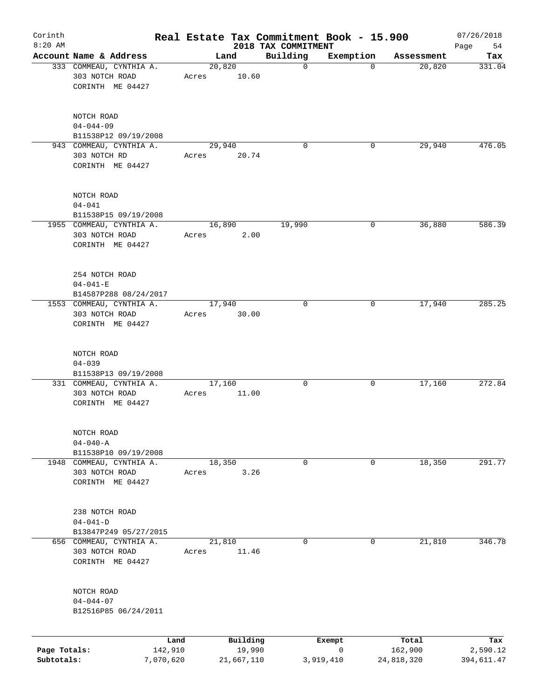| Corinth<br>$8:20$ AM       |                                                                                               |                 |                                  | 2018 TAX COMMITMENT | Real Estate Tax Commitment Book - 15.900 |                                | 07/26/2018<br>Page<br>54      |
|----------------------------|-----------------------------------------------------------------------------------------------|-----------------|----------------------------------|---------------------|------------------------------------------|--------------------------------|-------------------------------|
|                            | Account Name & Address                                                                        |                 | Land                             | Building            | Exemption                                | Assessment                     | Tax                           |
|                            | 333 COMMEAU, CYNTHIA A.<br>303 NOTCH ROAD<br>CORINTH ME 04427                                 | Acres           | 20,820<br>10.60                  | $\mathbf 0$         | 0                                        | 20,820                         | 331.04                        |
|                            | NOTCH ROAD<br>$04 - 044 - 09$<br>B11538P12 09/19/2008                                         |                 |                                  |                     |                                          |                                |                               |
|                            | 943 COMMEAU, CYNTHIA A.<br>303 NOTCH RD<br>CORINTH ME 04427                                   | Acres           | 29,940<br>20.74                  | $\Omega$            | 0                                        | 29,940                         | 476.05                        |
|                            | NOTCH ROAD<br>$04 - 041$<br>B11538P15 09/19/2008                                              |                 |                                  |                     |                                          |                                |                               |
|                            | 1955 COMMEAU, CYNTHIA A.<br>303 NOTCH ROAD<br>CORINTH ME 04427                                | Acres           | 16,890<br>2.00                   | 19,990              | 0                                        | 36,880                         | 586.39                        |
|                            | 254 NOTCH ROAD<br>$04 - 041 - E$<br>B14587P288 08/24/2017                                     |                 |                                  |                     |                                          |                                |                               |
|                            | 1553 COMMEAU, CYNTHIA A.<br>303 NOTCH ROAD<br>CORINTH ME 04427                                | Acres           | 17,940<br>30.00                  | $\mathbf 0$         | 0                                        | 17,940                         | 285.25                        |
|                            | NOTCH ROAD<br>$04 - 039$<br>B11538P13 09/19/2008<br>331 COMMEAU, CYNTHIA A.<br>303 NOTCH ROAD | Acres           | 17,160<br>11.00                  | 0                   | 0                                        | 17,160                         | 272.84                        |
|                            | CORINTH ME 04427<br>NOTCH ROAD                                                                |                 |                                  |                     |                                          |                                |                               |
|                            | $04 - 040 - A$<br>B11538P10 09/19/2008                                                        |                 |                                  |                     |                                          |                                |                               |
|                            | 1948 COMMEAU, CYNTHIA A.<br>303 NOTCH ROAD<br>CORINTH ME 04427                                | Acres           | 18,350<br>3.26                   | 0                   | 0                                        | 18,350                         | 291.77                        |
|                            | 238 NOTCH ROAD<br>$04 - 041 - D$<br>B13847P249 05/27/2015                                     |                 |                                  |                     |                                          |                                |                               |
|                            | 656 COMMEAU, CYNTHIA A.<br>303 NOTCH ROAD<br>CORINTH ME 04427                                 | Acres           | 21,810<br>11.46                  | 0                   | 0                                        | 21,810                         | 346.78                        |
|                            | NOTCH ROAD<br>$04 - 044 - 07$<br>B12516P85 06/24/2011                                         |                 |                                  |                     |                                          |                                |                               |
| Page Totals:<br>Subtotals: | 7,070,620                                                                                     | Land<br>142,910 | Building<br>19,990<br>21,667,110 |                     | Exempt<br>0<br>3,919,410                 | Total<br>162,900<br>24,818,320 | Tax<br>2,590.12<br>394,611.47 |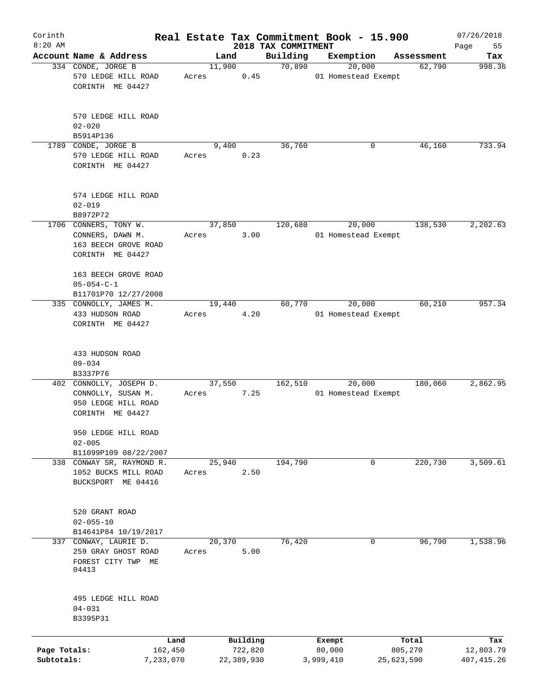| Corinth<br>$8:20$ AM |                                     |       |            |                                 | Real Estate Tax Commitment Book - 15.900 |            | 07/26/2018        |
|----------------------|-------------------------------------|-------|------------|---------------------------------|------------------------------------------|------------|-------------------|
|                      | Account Name & Address              |       | Land       | 2018 TAX COMMITMENT<br>Building | Exemption                                | Assessment | Page<br>55<br>Tax |
|                      | 334 CONDE, JORGE B                  |       | 11,900     | 70,890                          | 20,000                                   | 62,790     | 998.36            |
|                      | 570 LEDGE HILL ROAD                 | Acres | 0.45       |                                 | 01 Homestead Exempt                      |            |                   |
|                      | CORINTH ME 04427                    |       |            |                                 |                                          |            |                   |
|                      |                                     |       |            |                                 |                                          |            |                   |
|                      |                                     |       |            |                                 |                                          |            |                   |
|                      | 570 LEDGE HILL ROAD                 |       |            |                                 |                                          |            |                   |
|                      | $02 - 020$                          |       |            |                                 |                                          |            |                   |
|                      | B5914P136                           |       |            |                                 |                                          |            |                   |
|                      | 1789 CONDE, JORGE B                 |       | 9,400      | 36,760                          | 0                                        | 46,160     | 733.94            |
|                      | 570 LEDGE HILL ROAD                 | Acres | 0.23       |                                 |                                          |            |                   |
|                      | CORINTH ME 04427                    |       |            |                                 |                                          |            |                   |
|                      |                                     |       |            |                                 |                                          |            |                   |
|                      | 574 LEDGE HILL ROAD                 |       |            |                                 |                                          |            |                   |
|                      | $02 - 019$                          |       |            |                                 |                                          |            |                   |
|                      | B8972P72                            |       |            |                                 |                                          |            |                   |
|                      | 1706 CONNERS, TONY W.               |       | 37,850     | 120,680                         | 20,000                                   | 138,530    | 2,202.63          |
|                      | CONNERS, DAWN M.                    | Acres | 3.00       |                                 | 01 Homestead Exempt                      |            |                   |
|                      | 163 BEECH GROVE ROAD                |       |            |                                 |                                          |            |                   |
|                      | CORINTH ME 04427                    |       |            |                                 |                                          |            |                   |
|                      |                                     |       |            |                                 |                                          |            |                   |
|                      | 163 BEECH GROVE ROAD                |       |            |                                 |                                          |            |                   |
|                      | $05 - 054 - C - 1$                  |       |            |                                 |                                          |            |                   |
|                      | B11701P70 12/27/2008                |       |            |                                 |                                          |            |                   |
|                      | 335 CONNOLLY, JAMES M.              |       | 19,440     | 60,770                          | 20,000                                   | 60,210     | 957.34            |
|                      | 433 HUDSON ROAD                     | Acres | 4.20       |                                 | 01 Homestead Exempt                      |            |                   |
|                      | CORINTH ME 04427                    |       |            |                                 |                                          |            |                   |
|                      |                                     |       |            |                                 |                                          |            |                   |
|                      |                                     |       |            |                                 |                                          |            |                   |
|                      | 433 HUDSON ROAD                     |       |            |                                 |                                          |            |                   |
|                      | $09 - 034$                          |       |            |                                 |                                          |            |                   |
|                      | B3337P76<br>402 CONNOLLY, JOSEPH D. |       |            |                                 |                                          | 180,060    | 2,862.95          |
|                      |                                     |       | 37,550     | 162,510                         | 20,000<br>01 Homestead Exempt            |            |                   |
|                      | CONNOLLY, SUSAN M.                  | Acres | 7.25       |                                 |                                          |            |                   |
|                      | 950 LEDGE HILL ROAD                 |       |            |                                 |                                          |            |                   |
|                      | CORINTH ME 04427                    |       |            |                                 |                                          |            |                   |
|                      | 950 LEDGE HILL ROAD                 |       |            |                                 |                                          |            |                   |
|                      | $02 - 005$                          |       |            |                                 |                                          |            |                   |
|                      | B11099P109 08/22/2007               |       |            |                                 |                                          |            |                   |
|                      | 338 CONWAY SR, RAYMOND R.           |       | 25,940     | 194,790                         | 0                                        | 220,730    | 3,509.61          |
|                      | 1052 BUCKS MILL ROAD                | Acres | 2.50       |                                 |                                          |            |                   |
|                      | BUCKSPORT ME 04416                  |       |            |                                 |                                          |            |                   |
|                      |                                     |       |            |                                 |                                          |            |                   |
|                      |                                     |       |            |                                 |                                          |            |                   |
|                      | 520 GRANT ROAD                      |       |            |                                 |                                          |            |                   |
|                      | $02 - 055 - 10$                     |       |            |                                 |                                          |            |                   |
|                      | B14641P84 10/19/2017                |       |            |                                 |                                          |            |                   |
| 337                  | CONWAY, LAURIE D.                   |       | 20,370     | 76, 420                         | 0                                        | 96,790     | 1,538.96          |
|                      | 259 GRAY GHOST ROAD                 | Acres | 5.00       |                                 |                                          |            |                   |
|                      | FOREST CITY TWP ME                  |       |            |                                 |                                          |            |                   |
|                      | 04413                               |       |            |                                 |                                          |            |                   |
|                      |                                     |       |            |                                 |                                          |            |                   |
|                      | 495 LEDGE HILL ROAD                 |       |            |                                 |                                          |            |                   |
|                      | $04 - 031$                          |       |            |                                 |                                          |            |                   |
|                      | B3395P31                            |       |            |                                 |                                          |            |                   |
|                      |                                     |       |            |                                 |                                          |            |                   |
|                      | Land                                |       | Building   |                                 | Exempt                                   | Total      | Tax               |
| Page Totals:         | 162,450                             |       | 722,820    |                                 | 80,000                                   | 805,270    | 12,803.79         |
| Subtotals:           | 7,233,070                           |       | 22,389,930 |                                 | 3,999,410                                | 25,623,590 | 407, 415.26       |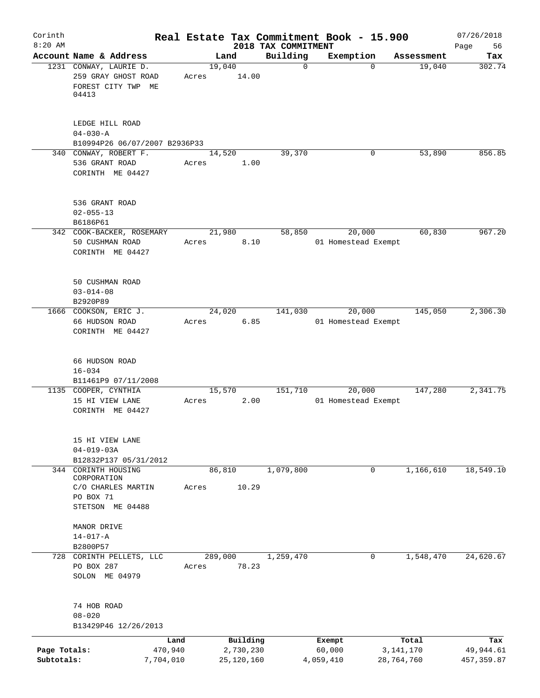| Corinth                    |                                                                              |                  |                           | Real Estate Tax Commitment Book - 15.900 |                     |             |                           | 07/26/2018               |
|----------------------------|------------------------------------------------------------------------------|------------------|---------------------------|------------------------------------------|---------------------|-------------|---------------------------|--------------------------|
| $8:20$ AM                  | Account Name & Address                                                       |                  | Land                      | 2018 TAX COMMITMENT<br>Building          | Exemption           |             | Assessment                | Page<br>56<br>Tax        |
|                            | 1231 CONWAY, LAURIE D.<br>259 GRAY GHOST ROAD<br>FOREST CITY TWP ME<br>04413 | 19,040<br>Acres  | 14.00                     | $\mathbf 0$                              |                     | $\Omega$    | 19,040                    | 302.74                   |
|                            | LEDGE HILL ROAD<br>$04 - 030 - A$<br>B10994P26 06/07/2007 B2936P33           |                  |                           |                                          |                     |             |                           |                          |
|                            | 340 CONWAY, ROBERT F.<br>536 GRANT ROAD<br>CORINTH ME 04427                  | Acres            | 14,520<br>1.00            | 39,370                                   |                     | 0           | 53,890                    | 856.85                   |
|                            | 536 GRANT ROAD<br>$02 - 055 - 13$<br>B6186P61                                |                  |                           |                                          |                     |             |                           |                          |
|                            | 342 COOK-BACKER, ROSEMARY<br>50 CUSHMAN ROAD<br>CORINTH ME 04427             | Acres            | 21,980<br>8.10            | 58,850                                   | 01 Homestead Exempt | 20,000      | 60,830                    | 967.20                   |
|                            | 50 CUSHMAN ROAD<br>$03 - 014 - 08$<br>B2920P89                               |                  |                           |                                          |                     |             |                           |                          |
|                            | 1666 COOKSON, ERIC J.<br>66 HUDSON ROAD<br>CORINTH ME 04427                  | Acres            | 24,020<br>6.85            | 141,030                                  | 01 Homestead Exempt | 20,000      | 145,050                   | 2,306.30                 |
|                            | 66 HUDSON ROAD<br>$16 - 034$<br>B11461P9 07/11/2008                          |                  |                           |                                          |                     |             |                           |                          |
|                            | 1135 COOPER, CYNTHIA<br>15 HI VIEW LANE<br>CORINTH ME 04427                  | Acres            | 15,570<br>2.00            | 151,710                                  | 01 Homestead Exempt | 20,000      | 147,280                   | 2,341.75                 |
|                            | 15 HI VIEW LANE<br>$04 - 019 - 03A$<br>B12832P137 05/31/2012                 |                  |                           |                                          |                     |             |                           |                          |
|                            | 344 CORINTH HOUSING<br>CORPORATION<br>C/O CHARLES MARTIN                     | Acres            | 86, 810<br>10.29          | 1,079,800                                |                     | $\mathbf 0$ | 1,166,610                 | 18,549.10                |
|                            | PO BOX 71<br>STETSON ME 04488                                                |                  |                           |                                          |                     |             |                           |                          |
|                            | MANOR DRIVE<br>$14 - 017 - A$<br>B2800P57                                    |                  |                           |                                          |                     |             |                           |                          |
|                            | 728 CORINTH PELLETS, LLC<br>PO BOX 287<br>SOLON ME 04979                     | 289,000<br>Acres | 78.23                     | 1,259,470                                |                     | 0           | 1,548,470                 | 24,620.67                |
|                            | 74 HOB ROAD<br>$08 - 020$<br>B13429P46 12/26/2013                            |                  |                           |                                          |                     |             |                           |                          |
|                            | Land                                                                         |                  | Building                  |                                          | Exempt              |             | Total                     | Tax                      |
| Page Totals:<br>Subtotals: | 470,940<br>7,704,010                                                         |                  | 2,730,230<br>25, 120, 160 |                                          | 60,000<br>4,059,410 |             | 3, 141, 170<br>28,764,760 | 49,944.61<br>457, 359.87 |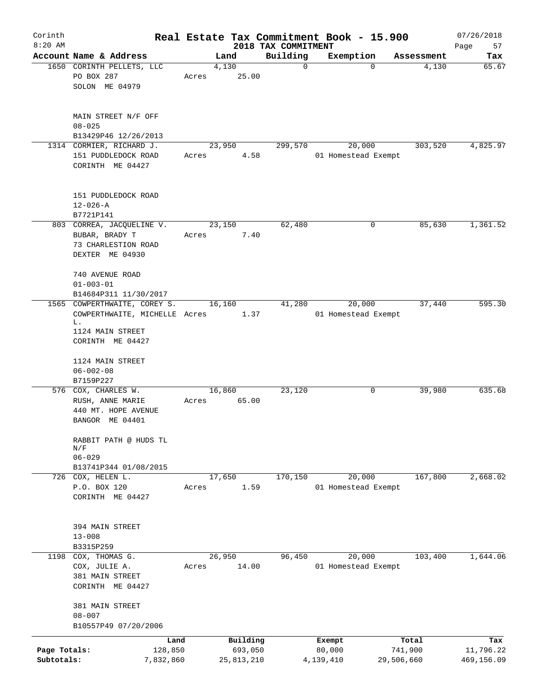| Corinth<br>$8:20$ AM       |                                                                                         |        |                       |                                 | Real Estate Tax Commitment Book - 15.900 |                       | 07/26/2018              |
|----------------------------|-----------------------------------------------------------------------------------------|--------|-----------------------|---------------------------------|------------------------------------------|-----------------------|-------------------------|
|                            | Account Name & Address                                                                  |        | Land                  | 2018 TAX COMMITMENT<br>Building | Exemption                                | Assessment            | Page<br>57<br>Tax       |
|                            | 1650 CORINTH PELLETS, LLC<br>PO BOX 287<br>SOLON ME 04979                               | Acres  | 4,130<br>25.00        | $\mathbf 0$                     | $\Omega$                                 | 4,130                 | 65.67                   |
|                            | MAIN STREET N/F OFF<br>$08 - 025$<br>B13429P46 12/26/2013                               |        |                       |                                 |                                          |                       |                         |
|                            | 1314 CORMIER, RICHARD J.<br>151 PUDDLEDOCK ROAD<br>CORINTH ME 04427                     | Acres  | 23,950<br>4.58        | 299,570                         | 20,000<br>01 Homestead Exempt            | 303,520               | 4,825.97                |
|                            | 151 PUDDLEDOCK ROAD<br>$12 - 026 - A$<br>B7721P141                                      |        |                       |                                 |                                          |                       |                         |
|                            | 803 CORREA, JACQUELINE V.<br>BUBAR, BRADY T<br>73 CHARLESTION ROAD<br>DEXTER ME 04930   | Acres  | 23,150<br>7.40        | 62,480                          | 0                                        | 85,630                | 1,361.52                |
|                            | 740 AVENUE ROAD<br>$01 - 003 - 01$<br>B14684P311 11/30/2017                             |        |                       |                                 |                                          |                       |                         |
|                            | 1565 COWPERTHWAITE, COREY S.<br>COWPERTHWAITE, MICHELLE Acres                           |        | 16,160<br>1.37        | 41,280                          | 20,000<br>01 Homestead Exempt            | 37,440                | 595.30                  |
|                            | L.<br>1124 MAIN STREET<br>CORINTH ME 04427                                              |        |                       |                                 |                                          |                       |                         |
|                            | 1124 MAIN STREET<br>$06 - 002 - 08$<br>B7159P227                                        |        |                       |                                 |                                          |                       |                         |
|                            | 576 COX, CHARLES W.<br>RUSH, ANNE MARIE<br>440 MT. HOPE AVENUE<br>BANGOR ME 04401       | Acres  | 16,860<br>65.00       | 23,120                          | 0                                        | 39,980                | 635.68                  |
|                            | RABBIT PATH @ HUDS TL<br>$\mathrm{N}/\mathrm{F}$<br>$06 - 029$<br>B13741P344 01/08/2015 |        |                       |                                 |                                          |                       |                         |
|                            | 726 COX, HELEN L.                                                                       |        | 17,650                | 170,150                         | 20,000                                   | 167,800               | 2,668.02                |
|                            | P.O. BOX 120<br>CORINTH ME 04427                                                        | Acres  | 1.59                  |                                 | 01 Homestead Exempt                      |                       |                         |
|                            | 394 MAIN STREET<br>$13 - 008$<br>B3315P259                                              |        |                       |                                 |                                          |                       |                         |
|                            | 1198 COX, THOMAS G.                                                                     | 26,950 |                       | 96,450                          | 20,000                                   | 103,400               | 1,644.06                |
|                            | COX, JULIE A.<br>381 MAIN STREET<br>CORINTH ME 04427                                    | Acres  | 14.00                 |                                 | 01 Homestead Exempt                      |                       |                         |
|                            | 381 MAIN STREET<br>$08 - 007$<br>B10557P49 07/20/2006                                   |        |                       |                                 |                                          |                       |                         |
|                            | Land                                                                                    |        | Building              |                                 | Exempt                                   | Total                 | Tax                     |
| Page Totals:<br>Subtotals: | 128,850<br>7,832,860                                                                    |        | 693,050<br>25,813,210 |                                 | 80,000<br>4,139,410                      | 741,900<br>29,506,660 | 11,796.22<br>469,156.09 |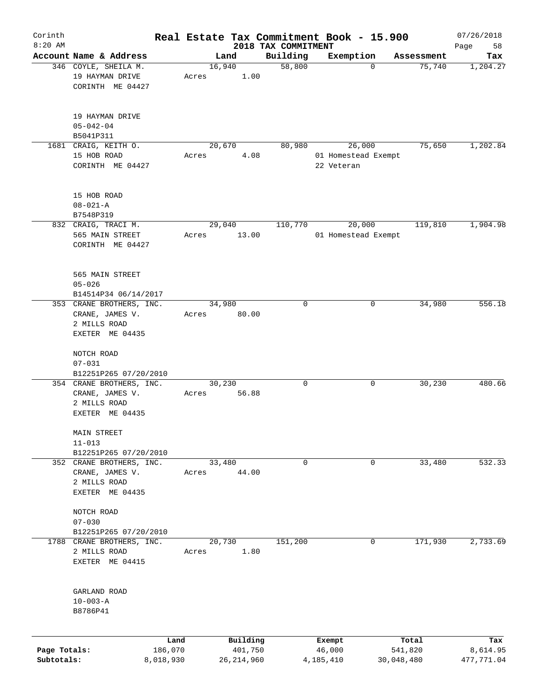| Corinth      |                                 |           |       |              |                                 | Real Estate Tax Commitment Book - 15.900 |            | 07/26/2018        |
|--------------|---------------------------------|-----------|-------|--------------|---------------------------------|------------------------------------------|------------|-------------------|
| $8:20$ AM    | Account Name & Address          |           |       | Land         | 2018 TAX COMMITMENT<br>Building | Exemption                                | Assessment | 58<br>Page<br>Tax |
|              | 346 COYLE, SHEILA M.            |           |       | 16,940       | 58,800                          | $\mathbf 0$                              | 75,740     | 1,204.27          |
|              | 19 HAYMAN DRIVE                 |           | Acres | 1.00         |                                 |                                          |            |                   |
|              | CORINTH ME 04427                |           |       |              |                                 |                                          |            |                   |
|              |                                 |           |       |              |                                 |                                          |            |                   |
|              | 19 HAYMAN DRIVE                 |           |       |              |                                 |                                          |            |                   |
|              | $05 - 042 - 04$<br>B5041P311    |           |       |              |                                 |                                          |            |                   |
|              | 1681 CRAIG, KEITH O.            |           |       | 20,670       | 80,980                          | 26,000                                   | 75,650     | 1,202.84          |
|              | 15 HOB ROAD                     |           | Acres | 4.08         |                                 | 01 Homestead Exempt                      |            |                   |
|              | CORINTH ME 04427                |           |       |              |                                 | 22 Veteran                               |            |                   |
|              |                                 |           |       |              |                                 |                                          |            |                   |
|              | 15 HOB ROAD<br>$08 - 021 - A$   |           |       |              |                                 |                                          |            |                   |
|              | B7548P319                       |           |       |              |                                 |                                          |            |                   |
|              | 832 CRAIG, TRACI M.             |           |       | 29,040       | 110,770                         | 20,000                                   | 119,810    | 1,904.98          |
|              | 565 MAIN STREET                 |           | Acres | 13.00        |                                 | 01 Homestead Exempt                      |            |                   |
|              | CORINTH ME 04427                |           |       |              |                                 |                                          |            |                   |
|              | 565 MAIN STREET                 |           |       |              |                                 |                                          |            |                   |
|              | $05 - 026$                      |           |       |              |                                 |                                          |            |                   |
|              | B14514P34 06/14/2017            |           |       |              |                                 |                                          |            |                   |
|              | 353 CRANE BROTHERS, INC.        |           |       | 34,980       | $\mathbf 0$                     | 0                                        | 34,980     | 556.18            |
|              | CRANE, JAMES V.                 |           | Acres | 80.00        |                                 |                                          |            |                   |
|              | 2 MILLS ROAD                    |           |       |              |                                 |                                          |            |                   |
|              | EXETER ME 04435                 |           |       |              |                                 |                                          |            |                   |
|              | NOTCH ROAD                      |           |       |              |                                 |                                          |            |                   |
|              | $07 - 031$                      |           |       |              |                                 |                                          |            |                   |
|              | B12251P265 07/20/2010           |           |       |              |                                 |                                          |            |                   |
|              | 354 CRANE BROTHERS, INC.        |           |       | 30,230       | $\mathbf 0$                     | 0                                        | 30,230     | 480.66            |
|              | CRANE, JAMES V.<br>2 MILLS ROAD |           | Acres | 56.88        |                                 |                                          |            |                   |
|              | EXETER ME 04435                 |           |       |              |                                 |                                          |            |                   |
|              | MAIN STREET                     |           |       |              |                                 |                                          |            |                   |
|              | $11 - 013$                      |           |       |              |                                 |                                          |            |                   |
|              | B12251P265 07/20/2010           |           |       |              |                                 |                                          |            |                   |
|              | 352 CRANE BROTHERS, INC.        |           |       | 33,480       | 0                               | 0                                        | 33,480     | 532.33            |
|              | CRANE, JAMES V.                 |           | Acres | 44.00        |                                 |                                          |            |                   |
|              | 2 MILLS ROAD                    |           |       |              |                                 |                                          |            |                   |
|              | EXETER ME 04435                 |           |       |              |                                 |                                          |            |                   |
|              | NOTCH ROAD                      |           |       |              |                                 |                                          |            |                   |
|              | $07 - 030$                      |           |       |              |                                 |                                          |            |                   |
|              | B12251P265 07/20/2010           |           |       |              |                                 |                                          |            |                   |
| 1788         | CRANE BROTHERS, INC.            |           |       | 20,730       | 151,200                         | 0                                        | 171,930    | 2,733.69          |
|              | 2 MILLS ROAD                    |           | Acres | 1.80         |                                 |                                          |            |                   |
|              | EXETER ME 04415                 |           |       |              |                                 |                                          |            |                   |
|              | GARLAND ROAD                    |           |       |              |                                 |                                          |            |                   |
|              | $10 - 003 - A$                  |           |       |              |                                 |                                          |            |                   |
|              | B8786P41                        |           |       |              |                                 |                                          |            |                   |
|              |                                 |           |       |              |                                 |                                          |            |                   |
|              |                                 | Land      |       | Building     |                                 | Exempt                                   | Total      | Tax               |
| Page Totals: |                                 | 186,070   |       | 401,750      |                                 | 46,000                                   | 541,820    | 8,614.95          |
| Subtotals:   |                                 | 8,018,930 |       | 26, 214, 960 |                                 | 4,185,410                                | 30,048,480 | 477,771.04        |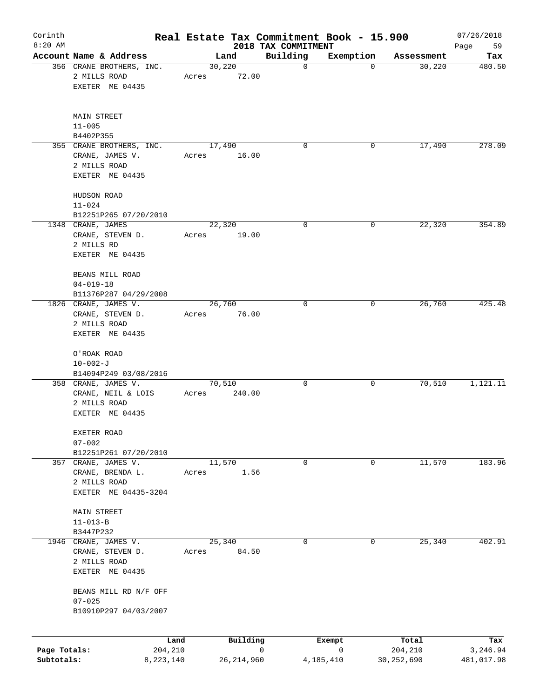| Corinth<br>$8:20$ AM |                                                          |        |                 | Real Estate Tax Commitment Book - 15.900 |              |            | 07/26/2018        |
|----------------------|----------------------------------------------------------|--------|-----------------|------------------------------------------|--------------|------------|-------------------|
|                      | Account Name & Address                                   |        | Land            | 2018 TAX COMMITMENT<br>Building          | Exemption    | Assessment | 59<br>Page<br>Tax |
|                      | 356 CRANE BROTHERS, INC.                                 | 30,220 |                 | $\mathbf 0$                              | $\mathbf 0$  | 30,220     | 480.50            |
|                      | 2 MILLS ROAD<br>EXETER ME 04435                          | Acres  | 72.00           |                                          |              |            |                   |
|                      | MAIN STREET                                              |        |                 |                                          |              |            |                   |
|                      | $11 - 005$                                               |        |                 |                                          |              |            |                   |
|                      | B4402P355<br>355 CRANE BROTHERS, INC.                    |        | 17,490          | $\mathbf 0$                              | 0            | 17,490     | 278.09            |
|                      | CRANE, JAMES V.<br>2 MILLS ROAD<br>EXETER ME 04435       | Acres  | 16.00           |                                          |              |            |                   |
|                      | HUDSON ROAD<br>$11 - 024$                                |        |                 |                                          |              |            |                   |
|                      | B12251P265 07/20/2010                                    |        |                 |                                          |              |            |                   |
|                      | 1348 CRANE, JAMES                                        | 22,320 |                 | $\mathbf 0$                              | 0            | 22,320     | 354.89            |
|                      | CRANE, STEVEN D.<br>2 MILLS RD<br>EXETER ME 04435        | Acres  | 19.00           |                                          |              |            |                   |
|                      | BEANS MILL ROAD<br>$04 - 019 - 18$                       |        |                 |                                          |              |            |                   |
|                      | B11376P287 04/29/2008                                    |        |                 |                                          |              |            |                   |
|                      | 1826 CRANE, JAMES V.<br>CRANE, STEVEN D.<br>2 MILLS ROAD | Acres  | 26,760<br>76.00 | $\mathbf 0$                              | 0            | 26,760     | 425.48            |
|                      | EXETER ME 04435                                          |        |                 |                                          |              |            |                   |
|                      | O'ROAK ROAD                                              |        |                 |                                          |              |            |                   |
|                      | $10 - 002 - J$<br>B14094P249 03/08/2016                  |        |                 |                                          |              |            |                   |
|                      | 358 CRANE, JAMES V.                                      | 70,510 |                 | $\mathbf 0$                              | 0            | 70,510     | 1,121.11          |
|                      | CRANE, NEIL & LOIS<br>2 MILLS ROAD                       | Acres  | 240.00          |                                          |              |            |                   |
|                      | EXETER ME 04435                                          |        |                 |                                          |              |            |                   |
|                      | EXETER ROAD<br>$07 - 002$                                |        |                 |                                          |              |            |                   |
|                      | B12251P261 07/20/2010                                    |        |                 |                                          |              |            |                   |
|                      | 357 CRANE, JAMES V.                                      |        | 11,570          | 0                                        | 0            | 11,570     | 183.96            |
|                      | CRANE, BRENDA L.<br>2 MILLS ROAD<br>EXETER ME 04435-3204 | Acres  | 1.56            |                                          |              |            |                   |
|                      | MAIN STREET                                              |        |                 |                                          |              |            |                   |
|                      | $11 - 013 - B$                                           |        |                 |                                          |              |            |                   |
|                      | B3447P232                                                |        |                 |                                          |              |            |                   |
|                      | 1946 CRANE, JAMES V.<br>CRANE, STEVEN D.<br>2 MILLS ROAD | Acres  | 25,340<br>84.50 | 0                                        | $\mathbf{0}$ | 25,340     | 402.91            |
|                      | EXETER ME 04435                                          |        |                 |                                          |              |            |                   |
|                      | BEANS MILL RD N/F OFF<br>$07 - 025$                      |        |                 |                                          |              |            |                   |
|                      | B10910P297 04/03/2007                                    |        |                 |                                          |              |            |                   |
|                      | Land                                                     |        | Building        |                                          | Exempt       | Total      | Tax               |
| Page Totals:         | 204,210                                                  |        |                 | 0                                        | 0            | 204,210    | 3,246.94          |
| Subtotals:           | 8,223,140                                                |        | 26,214,960      |                                          | 4,185,410    | 30,252,690 | 481,017.98        |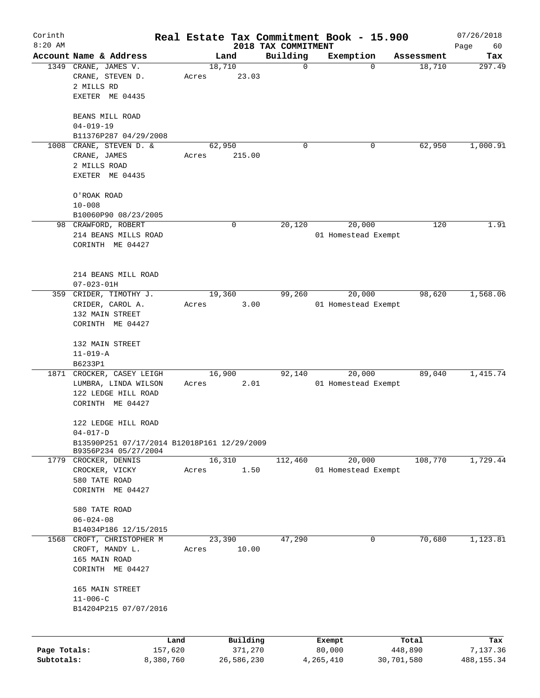| Corinth<br>$8:20$ AM |                                                                     |                 |                     | 2018 TAX COMMITMENT | Real Estate Tax Commitment Book - 15.900 |                  | 07/26/2018<br>60 |
|----------------------|---------------------------------------------------------------------|-----------------|---------------------|---------------------|------------------------------------------|------------------|------------------|
|                      | Account Name & Address                                              |                 | Land                | Building            | Exemption                                | Assessment       | Page<br>Tax      |
|                      | 1349 CRANE, JAMES V.                                                |                 | 18,710              | 0                   | 0                                        | 18,710           | 297.49           |
|                      | CRANE, STEVEN D.                                                    | Acres           | 23.03               |                     |                                          |                  |                  |
|                      | 2 MILLS RD                                                          |                 |                     |                     |                                          |                  |                  |
|                      | EXETER ME 04435                                                     |                 |                     |                     |                                          |                  |                  |
|                      | BEANS MILL ROAD                                                     |                 |                     |                     |                                          |                  |                  |
|                      | $04 - 019 - 19$                                                     |                 |                     |                     |                                          |                  |                  |
|                      | B11376P287 04/29/2008                                               |                 |                     |                     |                                          |                  |                  |
|                      | 1008 CRANE, STEVEN D. &                                             |                 | 62,950              | 0                   | 0                                        | 62,950           | 1,000.91         |
|                      | CRANE, JAMES                                                        | Acres           | 215.00              |                     |                                          |                  |                  |
|                      | 2 MILLS ROAD                                                        |                 |                     |                     |                                          |                  |                  |
|                      | EXETER ME 04435                                                     |                 |                     |                     |                                          |                  |                  |
|                      | O'ROAK ROAD                                                         |                 |                     |                     |                                          |                  |                  |
|                      | $10 - 008$                                                          |                 |                     |                     |                                          |                  |                  |
|                      | B10060P90 08/23/2005                                                |                 |                     |                     |                                          |                  |                  |
|                      | 98 CRAWFORD, ROBERT                                                 |                 | 0                   | 20,120              | 20,000                                   | 120              | 1.91             |
|                      | 214 BEANS MILLS ROAD                                                |                 |                     |                     | 01 Homestead Exempt                      |                  |                  |
|                      | CORINTH ME 04427                                                    |                 |                     |                     |                                          |                  |                  |
|                      |                                                                     |                 |                     |                     |                                          |                  |                  |
|                      | 214 BEANS MILL ROAD                                                 |                 |                     |                     |                                          |                  |                  |
|                      | $07 - 023 - 01H$                                                    |                 |                     |                     |                                          |                  |                  |
| 359                  | CRIDER, TIMOTHY J.                                                  |                 | 19,360              | 99,260              | 20,000                                   | 98,620           | 1,568.06         |
|                      | CRIDER, CAROL A.                                                    | Acres           | 3.00                |                     | 01 Homestead Exempt                      |                  |                  |
|                      | 132 MAIN STREET                                                     |                 |                     |                     |                                          |                  |                  |
|                      | CORINTH ME 04427                                                    |                 |                     |                     |                                          |                  |                  |
|                      | 132 MAIN STREET                                                     |                 |                     |                     |                                          |                  |                  |
|                      | $11 - 019 - A$                                                      |                 |                     |                     |                                          |                  |                  |
|                      | B6233P1                                                             |                 |                     |                     |                                          |                  |                  |
|                      | 1871 CROCKER, CASEY LEIGH                                           |                 | 16,900              | 92,140              | 20,000                                   | 89,040           | 1,415.74         |
|                      | LUMBRA, LINDA WILSON                                                | Acres           | 2.01                |                     | 01 Homestead Exempt                      |                  |                  |
|                      | 122 LEDGE HILL ROAD                                                 |                 |                     |                     |                                          |                  |                  |
|                      | CORINTH ME 04427                                                    |                 |                     |                     |                                          |                  |                  |
|                      | 122 LEDGE HILL ROAD                                                 |                 |                     |                     |                                          |                  |                  |
|                      | $04 - 017 - D$                                                      |                 |                     |                     |                                          |                  |                  |
|                      | B13590P251 07/17/2014 B12018P161 12/29/2009<br>B9356P234 05/27/2004 |                 |                     |                     |                                          |                  |                  |
|                      | 1779 CROCKER, DENNIS                                                |                 | 16,310              | 112,460             | 20,000                                   | 108,770          | 1,729.44         |
|                      | CROCKER, VICKY                                                      | Acres           | 1.50                |                     | 01 Homestead Exempt                      |                  |                  |
|                      | 580 TATE ROAD                                                       |                 |                     |                     |                                          |                  |                  |
|                      | CORINTH ME 04427                                                    |                 |                     |                     |                                          |                  |                  |
|                      | 580 TATE ROAD                                                       |                 |                     |                     |                                          |                  |                  |
|                      | $06 - 024 - 08$                                                     |                 |                     |                     |                                          |                  |                  |
|                      | B14034P186 12/15/2015                                               |                 |                     |                     |                                          |                  |                  |
|                      | 1568 CROFT, CHRISTOPHER M                                           |                 | 23,390              | 47,290              | $\mathbf 0$                              | 70,680           | 1,123.81         |
|                      | CROFT, MANDY L.                                                     | Acres           | 10.00               |                     |                                          |                  |                  |
|                      | 165 MAIN ROAD                                                       |                 |                     |                     |                                          |                  |                  |
|                      | CORINTH ME 04427                                                    |                 |                     |                     |                                          |                  |                  |
|                      | 165 MAIN STREET                                                     |                 |                     |                     |                                          |                  |                  |
|                      | $11 - 006 - C$                                                      |                 |                     |                     |                                          |                  |                  |
|                      | B14204P215 07/07/2016                                               |                 |                     |                     |                                          |                  |                  |
|                      |                                                                     |                 |                     |                     |                                          |                  |                  |
| Page Totals:         |                                                                     | Land<br>157,620 | Building<br>371,270 |                     | Exempt<br>80,000                         | Total<br>448,890 | Tax<br>7,137.36  |
| Subtotals:           | 8,380,760                                                           |                 | 26,586,230          |                     | 4,265,410                                | 30,701,580       | 488, 155. 34     |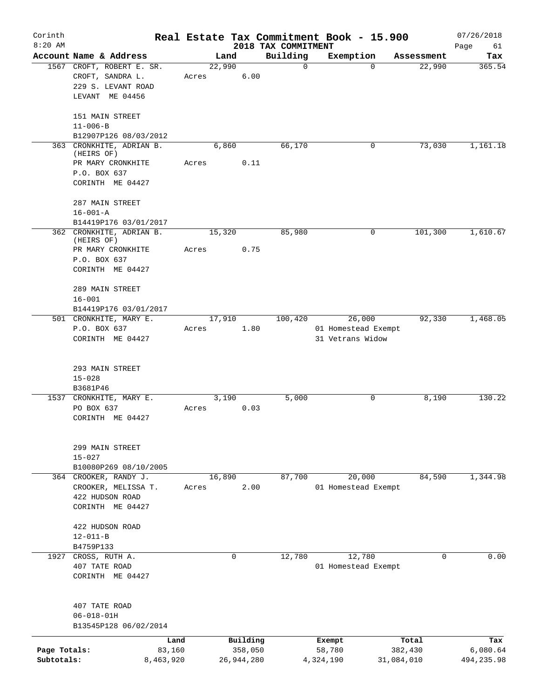| Corinth      |                                               |       |                |          |                         | Real Estate Tax Commitment Book - 15.900 |                      | 07/26/2018    |
|--------------|-----------------------------------------------|-------|----------------|----------|-------------------------|------------------------------------------|----------------------|---------------|
| $8:20$ AM    | Account Name & Address                        |       |                |          | 2018 TAX COMMITMENT     |                                          |                      | Page<br>61    |
|              | 1567 CROFT, ROBERT E. SR.<br>CROFT, SANDRA L. | Acres | Land<br>22,990 | 6.00     | Building<br>$\mathbf 0$ | Exemption<br>$\Omega$                    | Assessment<br>22,990 | Tax<br>365.54 |
|              | 229 S. LEVANT ROAD<br>LEVANT ME 04456         |       |                |          |                         |                                          |                      |               |
|              | 151 MAIN STREET<br>$11 - 006 - B$             |       |                |          |                         |                                          |                      |               |
|              | B12907P126 08/03/2012                         |       |                |          |                         |                                          |                      |               |
|              | 363 CRONKHITE, ADRIAN B.<br>(HEIRS OF)        |       | 6,860          |          | 66,170                  | 0                                        | 73,030               | 1,161.18      |
|              | PR MARY CRONKHITE<br>P.O. BOX 637             | Acres |                | 0.11     |                         |                                          |                      |               |
|              | CORINTH ME 04427                              |       |                |          |                         |                                          |                      |               |
|              | 287 MAIN STREET<br>$16 - 001 - A$             |       |                |          |                         |                                          |                      |               |
|              | B14419P176 03/01/2017                         |       |                |          |                         |                                          |                      |               |
|              | 362 CRONKHITE, ADRIAN B.<br>(HEIRS OF)        |       | 15,320         |          | 85,980                  | 0                                        | 101,300              | 1,610.67      |
|              | PR MARY CRONKHITE<br>P.O. BOX 637             | Acres |                | 0.75     |                         |                                          |                      |               |
|              | CORINTH ME 04427                              |       |                |          |                         |                                          |                      |               |
|              | 289 MAIN STREET<br>$16 - 001$                 |       |                |          |                         |                                          |                      |               |
|              | B14419P176 03/01/2017                         |       |                |          |                         |                                          |                      |               |
|              | 501 CRONKHITE, MARY E.                        |       | 17,910         |          | 100, 420                | 26,000                                   | 92,330               | 1,468.05      |
|              | P.O. BOX 637                                  | Acres |                | 1.80     |                         | 01 Homestead Exempt                      |                      |               |
|              | CORINTH ME 04427                              |       |                |          |                         | 31 Vetrans Widow                         |                      |               |
|              | 293 MAIN STREET                               |       |                |          |                         |                                          |                      |               |
|              | $15 - 028$                                    |       |                |          |                         |                                          |                      |               |
|              | B3681P46                                      |       |                |          |                         |                                          |                      | 130.22        |
|              | 1537 CRONKHITE, MARY E.<br>PO BOX 637         | Acres | 3,190          | 0.03     | 5,000                   | $\mathbf 0$                              | 8,190                |               |
|              | CORINTH ME 04427                              |       |                |          |                         |                                          |                      |               |
|              | 299 MAIN STREET<br>$15 - 027$                 |       |                |          |                         |                                          |                      |               |
|              | B10080P269 08/10/2005                         |       |                |          |                         |                                          |                      |               |
|              | 364 CROOKER, RANDY J.                         |       | 16,890         |          | 87,700                  | 20,000                                   | 84,590               | 1,344.98      |
|              | CROOKER, MELISSA T.                           | Acres |                | 2.00     |                         | 01 Homestead Exempt                      |                      |               |
|              | 422 HUDSON ROAD<br>CORINTH ME 04427           |       |                |          |                         |                                          |                      |               |
|              | 422 HUDSON ROAD                               |       |                |          |                         |                                          |                      |               |
|              | $12 - 011 - B$<br>B4759P133                   |       |                |          |                         |                                          |                      |               |
|              | 1927 CROSS, RUTH A.                           |       | 0              |          | 12,780                  | 12,780                                   | 0                    | 0.00          |
|              | 407 TATE ROAD                                 |       |                |          |                         | 01 Homestead Exempt                      |                      |               |
|              | CORINTH ME 04427                              |       |                |          |                         |                                          |                      |               |
|              | 407 TATE ROAD                                 |       |                |          |                         |                                          |                      |               |
|              | $06 - 018 - 01H$<br>B13545P128 06/02/2014     |       |                |          |                         |                                          |                      |               |
|              |                                               | Land  |                | Building |                         | Exempt                                   | Total                | Tax           |
| Page Totals: | 83,160                                        |       |                | 358,050  |                         | 58,780                                   | 382,430              | 6,080.64      |
| Subtotals:   | 8,463,920                                     |       | 26,944,280     |          |                         | 4,324,190                                | 31,084,010           | 494,235.98    |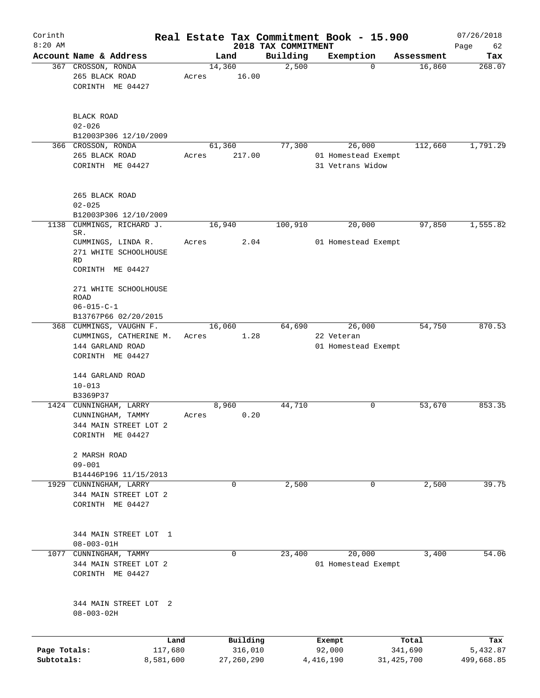| Corinth                    |                                                                                                      |       |                                   |                                 | Real Estate Tax Commitment Book - 15.900    |                                  | 07/26/2018                    |
|----------------------------|------------------------------------------------------------------------------------------------------|-------|-----------------------------------|---------------------------------|---------------------------------------------|----------------------------------|-------------------------------|
| $8:20$ AM                  | Account Name & Address                                                                               |       | Land                              | 2018 TAX COMMITMENT<br>Building |                                             |                                  | Page<br>62                    |
|                            | 367 CROSSON, RONDA                                                                                   |       | 14,360                            | 2,500                           | Exemption<br>$\mathbf 0$                    | Assessment<br>16,860             | Tax<br>268.07                 |
|                            | 265 BLACK ROAD<br>CORINTH ME 04427                                                                   | Acres | 16.00                             |                                 |                                             |                                  |                               |
|                            | <b>BLACK ROAD</b><br>$02 - 026$<br>B12003P306 12/10/2009                                             |       |                                   |                                 |                                             |                                  |                               |
|                            | 366 CROSSON, RONDA                                                                                   |       | 61,360                            | 77,300                          | 26,000                                      | 112,660                          | 1,791.29                      |
|                            | 265 BLACK ROAD<br>CORINTH ME 04427                                                                   | Acres | 217.00                            |                                 | 01 Homestead Exempt<br>31 Vetrans Widow     |                                  |                               |
|                            | 265 BLACK ROAD<br>$02 - 025$                                                                         |       |                                   |                                 |                                             |                                  |                               |
|                            | B12003P306 12/10/2009                                                                                |       |                                   |                                 |                                             |                                  |                               |
| 1138                       | CUMMINGS, RICHARD J.<br>SR.<br>CUMMINGS, LINDA R.<br>271 WHITE SCHOOLHOUSE<br>RD<br>CORINTH ME 04427 | Acres | 16,940<br>2.04                    | 100,910                         | 20,000<br>01 Homestead Exempt               | 97,850                           | 1,555.82                      |
|                            | 271 WHITE SCHOOLHOUSE<br>ROAD<br>$06 - 015 - C - 1$<br>B13767P66 02/20/2015                          |       |                                   |                                 |                                             |                                  |                               |
|                            | 368 CUMMINGS, VAUGHN F.<br>CUMMINGS, CATHERINE M.<br>144 GARLAND ROAD<br>CORINTH ME 04427            | Acres | 16,060<br>1.28                    | 64,690                          | 26,000<br>22 Veteran<br>01 Homestead Exempt | 54,750                           | 870.53                        |
|                            | 144 GARLAND ROAD<br>$10 - 013$<br>B3369P37<br>1424 CUNNINGHAM, LARRY                                 |       | 8,960                             | 44,710                          | 0                                           | 53,670                           | 853.35                        |
|                            | CUNNINGHAM, TAMMY<br>344 MAIN STREET LOT 2<br>CORINTH ME 04427                                       | Acres | 0.20                              |                                 |                                             |                                  |                               |
|                            | 2 MARSH ROAD<br>$09 - 001$<br>B14446P196 11/15/2013                                                  |       |                                   |                                 |                                             |                                  |                               |
| 1929                       | CUNNINGHAM, LARRY<br>344 MAIN STREET LOT 2<br>CORINTH ME 04427                                       |       | $\mathbf 0$                       | 2,500                           | 0                                           | 2,500                            | 39.75                         |
|                            | 344 MAIN STREET LOT 1<br>$08 - 003 - 01H$                                                            |       |                                   |                                 |                                             |                                  |                               |
| 1077                       | CUNNINGHAM, TAMMY<br>344 MAIN STREET LOT 2<br>CORINTH ME 04427                                       |       | 0                                 | 23,400                          | 20,000<br>01 Homestead Exempt               | 3,400                            | 54.06                         |
|                            | 344 MAIN STREET LOT 2<br>$08 - 003 - 02H$                                                            |       |                                   |                                 |                                             |                                  |                               |
|                            |                                                                                                      |       |                                   |                                 |                                             |                                  |                               |
| Page Totals:<br>Subtotals: | Land<br>117,680<br>8,581,600                                                                         |       | Building<br>316,010<br>27,260,290 |                                 | Exempt<br>92,000<br>4, 416, 190             | Total<br>341,690<br>31, 425, 700 | Tax<br>5,432.87<br>499,668.85 |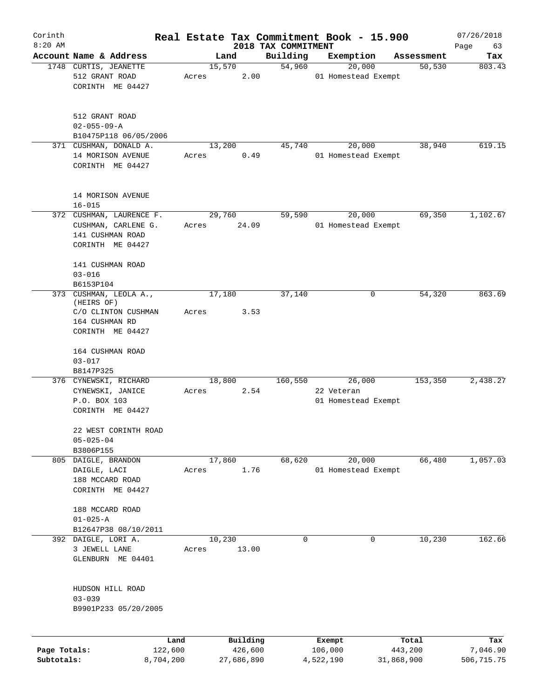| Corinth<br>$8:20$ AM |                                         |       |                |                                 | Real Estate Tax Commitment Book - 15.900 |            | 07/26/2018        |
|----------------------|-----------------------------------------|-------|----------------|---------------------------------|------------------------------------------|------------|-------------------|
|                      | Account Name & Address                  |       | Land           | 2018 TAX COMMITMENT<br>Building | Exemption                                | Assessment | Page<br>63<br>Tax |
|                      | 1748 CURTIS, JEANETTE<br>512 GRANT ROAD | Acres | 15,570<br>2.00 | 54,960                          | 20,000<br>01 Homestead Exempt            | 50, 530    | 803.43            |
|                      | CORINTH ME 04427                        |       |                |                                 |                                          |            |                   |
|                      | 512 GRANT ROAD<br>$02 - 055 - 09 - A$   |       |                |                                 |                                          |            |                   |
|                      | B10475P118 06/05/2006                   |       |                |                                 |                                          |            |                   |
|                      | 371 CUSHMAN, DONALD A.                  |       | 13,200         | 45,740                          | 20,000                                   | 38,940     | 619.15            |
|                      | 14 MORISON AVENUE<br>CORINTH ME 04427   | Acres | 0.49           |                                 | 01 Homestead Exempt                      |            |                   |
|                      | 14 MORISON AVENUE                       |       |                |                                 |                                          |            |                   |
|                      | $16 - 015$                              |       |                |                                 |                                          |            |                   |
|                      | 372 CUSHMAN, LAURENCE F.                |       | 29,760         | 59,590                          | 20,000                                   | 69,350     | 1,102.67          |
|                      | CUSHMAN, CARLENE G.<br>141 CUSHMAN ROAD | Acres | 24.09          |                                 | 01 Homestead Exempt                      |            |                   |
|                      | CORINTH ME 04427                        |       |                |                                 |                                          |            |                   |
|                      | 141 CUSHMAN ROAD                        |       |                |                                 |                                          |            |                   |
|                      | $03 - 016$                              |       |                |                                 |                                          |            |                   |
|                      | B6153P104                               |       |                |                                 |                                          |            |                   |
|                      | 373 CUSHMAN, LEOLA A.,<br>(HEIRS OF)    |       | 17,180         | 37,140                          | 0                                        | 54,320     | 863.69            |
|                      | C/O CLINTON CUSHMAN                     | Acres | 3.53           |                                 |                                          |            |                   |
|                      | 164 CUSHMAN RD                          |       |                |                                 |                                          |            |                   |
|                      | CORINTH ME 04427                        |       |                |                                 |                                          |            |                   |
|                      | 164 CUSHMAN ROAD                        |       |                |                                 |                                          |            |                   |
|                      | $03 - 017$                              |       |                |                                 |                                          |            |                   |
|                      | B8147P325                               |       |                |                                 |                                          |            |                   |
|                      | 376 CYNEWSKI, RICHARD                   |       | 18,800         | 160,550                         | 26,000                                   | 153,350    | 2,438.27          |
|                      | CYNEWSKI, JANICE                        | Acres | 2.54           |                                 | 22 Veteran                               |            |                   |
|                      | P.O. BOX 103                            |       |                |                                 | 01 Homestead Exempt                      |            |                   |
|                      | CORINTH ME 04427                        |       |                |                                 |                                          |            |                   |
|                      | 22 WEST CORINTH ROAD                    |       |                |                                 |                                          |            |                   |
|                      | $05 - 025 - 04$                         |       |                |                                 |                                          |            |                   |
|                      | B3806P155<br>805 DAIGLE, BRANDON        |       | 17,860         | 68,620                          | 20,000                                   | 66,480     | 1,057.03          |
|                      | DAIGLE, LACI                            | Acres | 1.76           |                                 | 01 Homestead Exempt                      |            |                   |
|                      | 188 MCCARD ROAD                         |       |                |                                 |                                          |            |                   |
|                      | CORINTH ME 04427                        |       |                |                                 |                                          |            |                   |
|                      | 188 MCCARD ROAD                         |       |                |                                 |                                          |            |                   |
|                      | $01 - 025 - A$                          |       |                |                                 |                                          |            |                   |
|                      | B12647P38 08/10/2011                    |       |                |                                 |                                          |            |                   |
|                      | 392 DAIGLE, LORI A.                     |       | 10,230         | $\mathbf 0$                     | 0                                        | 10,230     | 162.66            |
|                      | 3 JEWELL LANE<br>GLENBURN ME 04401      | Acres | 13.00          |                                 |                                          |            |                   |
|                      | HUDSON HILL ROAD                        |       |                |                                 |                                          |            |                   |
|                      | $03 - 039$                              |       |                |                                 |                                          |            |                   |
|                      | B9901P233 05/20/2005                    |       |                |                                 |                                          |            |                   |
|                      |                                         | Land  | Building       |                                 | Exempt                                   | Total      | Tax               |
| Page Totals:         | 122,600                                 |       | 426,600        |                                 | 106,000                                  | 443,200    | 7,046.90          |
| Subtotals:           | 8,704,200                               |       | 27,686,890     |                                 | 4,522,190                                | 31,868,900 | 506,715.75        |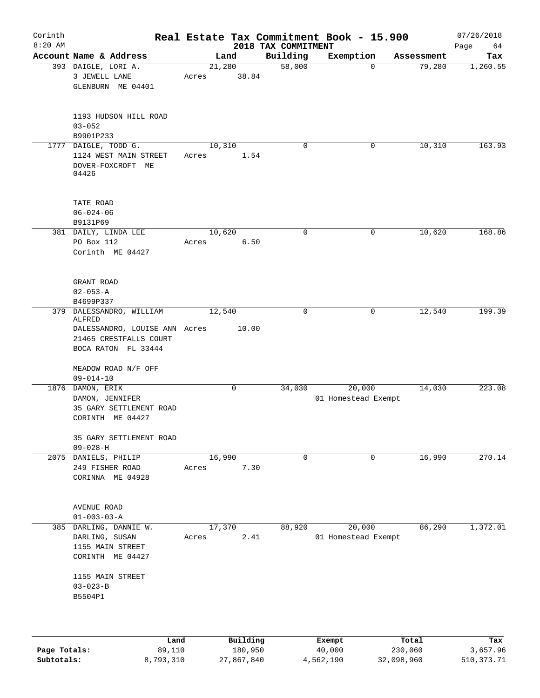| Corinth<br>$8:20$ AM |                                                                                                                      |                 |                     |                                 | Real Estate Tax Commitment Book - 15.900 |                      | 07/26/2018        |
|----------------------|----------------------------------------------------------------------------------------------------------------------|-----------------|---------------------|---------------------------------|------------------------------------------|----------------------|-------------------|
|                      | Account Name & Address                                                                                               |                 | Land                | 2018 TAX COMMITMENT<br>Building | Exemption                                |                      | Page<br>64<br>Tax |
|                      | 393 DAIGLE, LORI A.<br>3 JEWELL LANE<br>GLENBURN ME 04401                                                            | Acres           | 21,280<br>38.84     | 58,000                          | $\mathbf 0$                              | Assessment<br>79,280 | 1,260.55          |
|                      | 1193 HUDSON HILL ROAD<br>$03 - 052$<br>B9901P233                                                                     |                 |                     |                                 |                                          |                      |                   |
| 1777                 | DAIGLE, TODD G.<br>1124 WEST MAIN STREET<br>DOVER-FOXCROFT ME<br>04426                                               | 10,310<br>Acres | 1.54                | $\Omega$                        | 0                                        | 10,310               | 163.93            |
|                      | TATE ROAD<br>$06 - 024 - 06$<br>B9131P69                                                                             |                 |                     |                                 |                                          |                      |                   |
|                      | 381 DAILY, LINDA LEE<br>PO Box 112<br>Corinth ME 04427                                                               | 10,620<br>Acres | 6.50                | $\mathbf 0$                     | 0                                        | 10,620               | 168.86            |
|                      | GRANT ROAD<br>$02 - 053 - A$<br>B4699P337                                                                            |                 |                     |                                 |                                          |                      |                   |
|                      | 379 DALESSANDRO, WILLIAM<br>ALFRED<br>DALESSANDRO, LOUISE ANN Acres<br>21465 CRESTFALLS COURT<br>BOCA RATON FL 33444 | 12,540          | 10.00               | 0                               | 0                                        | 12,540               | 199.39            |
|                      | MEADOW ROAD N/F OFF<br>$09 - 014 - 10$                                                                               |                 |                     |                                 |                                          |                      |                   |
|                      | 1876 DAMON, ERIK<br>DAMON, JENNIFER<br>35 GARY SETTLEMENT ROAD<br>CORINTH ME 04427                                   |                 | 0                   | 34,030                          | 20,000<br>01 Homestead Exempt            | 14,030               | 223.08            |
|                      | 35 GARY SETTLEMENT ROAD<br>$09 - 028 - H$                                                                            |                 |                     |                                 |                                          |                      |                   |
| 2075                 | DANIELS, PHILIP<br>249 FISHER ROAD<br>CORINNA ME 04928                                                               | 16,990<br>Acres | 7.30                | 0                               | 0                                        | 16,990               | 270.14            |
|                      | AVENUE ROAD<br>$01 - 003 - 03 - A$                                                                                   |                 |                     |                                 |                                          |                      |                   |
|                      | 385 DARLING, DANNIE W.<br>DARLING, SUSAN<br>1155 MAIN STREET<br>CORINTH ME 04427                                     | 17,370<br>Acres | 2.41                | 88,920                          | 20,000<br>01 Homestead Exempt            | 86,290               | 1,372.01          |
|                      | 1155 MAIN STREET<br>$03 - 023 - B$<br>B5504P1                                                                        |                 |                     |                                 |                                          |                      |                   |
|                      |                                                                                                                      |                 |                     |                                 |                                          |                      |                   |
| Page Totals:         | Land<br>89,110                                                                                                       |                 | Building<br>180,950 |                                 | Exempt<br>40,000                         | Total<br>230,060     | Tax<br>3,657.96   |

**Subtotals:** 8,793,310 27,867,840 4,562,190 32,098,960 510,373.71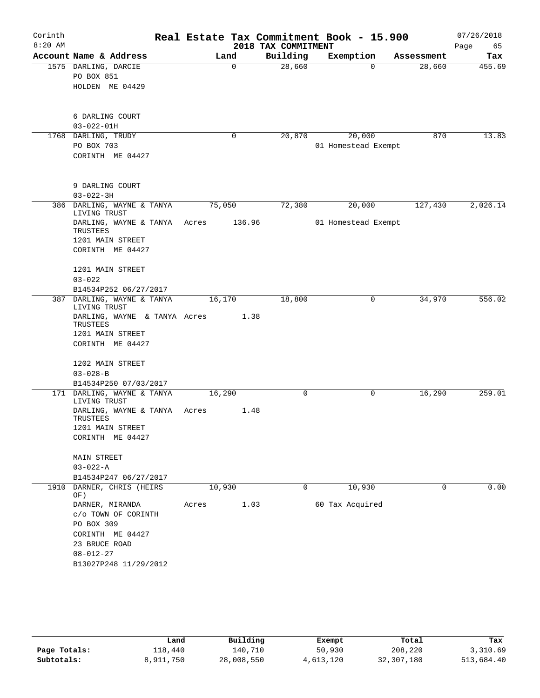| Corinth   |                                                    |        |          | Real Estate Tax Commitment Book - 15.900 |                 |                     |            | 07/26/2018 |
|-----------|----------------------------------------------------|--------|----------|------------------------------------------|-----------------|---------------------|------------|------------|
| $8:20$ AM |                                                    |        |          | 2018 TAX COMMITMENT                      |                 |                     |            | 65<br>Page |
|           | Account Name & Address                             |        | Land     | Building                                 | Exemption       |                     | Assessment | Tax        |
|           | 1575 DARLING, DARCIE<br>PO BOX 851                 |        | $\Omega$ | 28,660                                   |                 | $\Omega$            | 28,660     | 455.69     |
|           | HOLDEN ME 04429                                    |        |          |                                          |                 |                     |            |            |
|           |                                                    |        |          |                                          |                 |                     |            |            |
|           | 6 DARLING COURT                                    |        |          |                                          |                 |                     |            |            |
|           | $03 - 022 - 01H$                                   |        |          |                                          |                 |                     |            |            |
|           | 1768 DARLING, TRUDY                                |        | 0        | 20,870                                   |                 | 20,000              | 870        | 13.83      |
|           | PO BOX 703                                         |        |          |                                          |                 | 01 Homestead Exempt |            |            |
|           | CORINTH ME 04427                                   |        |          |                                          |                 |                     |            |            |
|           | 9 DARLING COURT                                    |        |          |                                          |                 |                     |            |            |
|           | $03 - 022 - 3H$                                    |        |          |                                          |                 |                     |            |            |
|           | 386 DARLING, WAYNE & TANYA                         | 75,050 |          | 72,380                                   |                 | 20,000              | 127,430    | 2,026.14   |
|           | LIVING TRUST<br>DARLING, WAYNE & TANYA<br>TRUSTEES | Acres  | 136.96   |                                          |                 | 01 Homestead Exempt |            |            |
|           | 1201 MAIN STREET                                   |        |          |                                          |                 |                     |            |            |
|           | CORINTH ME 04427                                   |        |          |                                          |                 |                     |            |            |
|           | 1201 MAIN STREET                                   |        |          |                                          |                 |                     |            |            |
|           | $03 - 022$                                         |        |          |                                          |                 |                     |            |            |
|           | B14534P252 06/27/2017                              |        |          |                                          |                 |                     |            | 556.02     |
|           | 387 DARLING, WAYNE & TANYA<br>LIVING TRUST         | 16,170 |          | 18,800                                   |                 | 0                   | 34,970     |            |
|           | DARLING, WAYNE & TANYA Acres<br>TRUSTEES           |        | 1.38     |                                          |                 |                     |            |            |
|           | 1201 MAIN STREET                                   |        |          |                                          |                 |                     |            |            |
|           | CORINTH ME 04427                                   |        |          |                                          |                 |                     |            |            |
|           | 1202 MAIN STREET                                   |        |          |                                          |                 |                     |            |            |
|           | $03 - 028 - B$                                     |        |          |                                          |                 |                     |            |            |
|           | B14534P250 07/03/2017                              |        |          |                                          |                 |                     |            |            |
|           | 171 DARLING, WAYNE & TANYA<br>LIVING TRUST         | 16,290 |          | $\mathbf 0$                              |                 | 0                   | 16,290     | 259.01     |
|           | DARLING, WAYNE & TANYA<br>TRUSTEES                 | Acres  | 1.48     |                                          |                 |                     |            |            |
|           | 1201 MAIN STREET                                   |        |          |                                          |                 |                     |            |            |
|           | CORINTH ME 04427                                   |        |          |                                          |                 |                     |            |            |
|           | MAIN STREET                                        |        |          |                                          |                 |                     |            |            |
|           | $03 - 022 - A$                                     |        |          |                                          |                 |                     |            |            |
|           | B14534P247 06/27/2017                              |        |          |                                          |                 |                     |            |            |
| 1910      | DARNER, CHRIS (HEIRS<br>OF)                        | 10,930 |          | 0                                        |                 | 10,930              | 0          | 0.00       |
|           | DARNER, MIRANDA                                    | Acres  | 1.03     |                                          | 60 Tax Acquired |                     |            |            |
|           | c/o TOWN OF CORINTH                                |        |          |                                          |                 |                     |            |            |
|           | PO BOX 309                                         |        |          |                                          |                 |                     |            |            |
|           | CORINTH ME 04427                                   |        |          |                                          |                 |                     |            |            |
|           | 23 BRUCE ROAD<br>$08 - 012 - 27$                   |        |          |                                          |                 |                     |            |            |
|           | B13027P248 11/29/2012                              |        |          |                                          |                 |                     |            |            |
|           |                                                    |        |          |                                          |                 |                     |            |            |

|              | Land      | Building   | Exempt    | Total      | Tax        |
|--------------|-----------|------------|-----------|------------|------------|
| Page Totals: | 118,440   | 140.710    | 50,930    | 208,220    | 3,310.69   |
| Subtotals:   | 8,911,750 | 28,008,550 | 4,613,120 | 32,307,180 | 513,684.40 |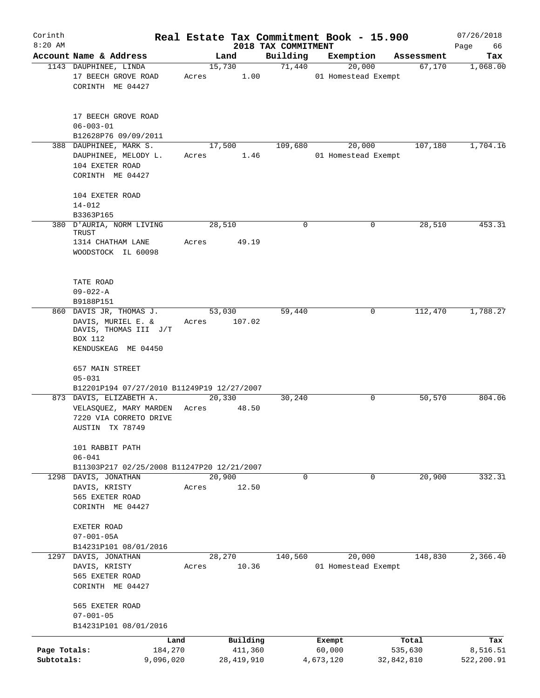| Corinth                    |                                                                               |       |                         |                                 | Real Estate Tax Commitment Book - 15.900 |                       | 07/26/2018             |
|----------------------------|-------------------------------------------------------------------------------|-------|-------------------------|---------------------------------|------------------------------------------|-----------------------|------------------------|
| $8:20$ AM                  | Account Name & Address                                                        |       | Land                    | 2018 TAX COMMITMENT<br>Building | Exemption                                | Assessment            | Page<br>66<br>Tax      |
|                            | 1143 DAUPHINEE, LINDA                                                         |       | 15,730                  | 71,440                          | 20,000                                   | 67,170                | 1,068.00               |
|                            | 17 BEECH GROVE ROAD<br>CORINTH ME 04427                                       | Acres | 1.00                    |                                 | 01 Homestead Exempt                      |                       |                        |
|                            | 17 BEECH GROVE ROAD<br>$06 - 003 - 01$<br>B12628P76 09/09/2011                |       |                         |                                 |                                          |                       |                        |
|                            | 388 DAUPHINEE, MARK S.                                                        |       | 17,500                  | 109,680                         | 20,000                                   | 107,180               | 1,704.16               |
|                            | DAUPHINEE, MELODY L.<br>104 EXETER ROAD<br>CORINTH ME 04427                   | Acres | 1.46                    |                                 | 01 Homestead Exempt                      |                       |                        |
|                            | 104 EXETER ROAD                                                               |       |                         |                                 |                                          |                       |                        |
|                            | $14 - 012$                                                                    |       |                         |                                 |                                          |                       |                        |
|                            | B3363P165                                                                     |       |                         |                                 |                                          |                       |                        |
|                            | 380 D'AURIA, NORM LIVING<br>TRUST<br>1314 CHATHAM LANE                        | Acres | 28,510<br>49.19         | $\mathbf 0$                     | 0                                        | 28,510                | 453.31                 |
|                            | WOODSTOCK IL 60098                                                            |       |                         |                                 |                                          |                       |                        |
|                            | TATE ROAD<br>$09 - 022 - A$                                                   |       |                         |                                 |                                          |                       |                        |
|                            | B9188P151<br>860 DAVIS JR, THOMAS J.                                          |       |                         |                                 | 0                                        |                       |                        |
|                            | DAVIS, MURIEL E. &<br>DAVIS, THOMAS III J/T<br>BOX 112<br>KENDUSKEAG ME 04450 | Acres | 53,030<br>107.02        | 59,440                          |                                          | 112,470               | 1,788.27               |
|                            | 657 MAIN STREET<br>$05 - 031$                                                 |       |                         |                                 |                                          |                       |                        |
|                            | B12201P194 07/27/2010 B11249P19 12/27/2007                                    |       |                         |                                 |                                          |                       |                        |
|                            | 873 DAVIS, ELIZABETH A.                                                       |       | 20,330                  | 30,240                          | 0                                        | 50,570                | 804.06                 |
|                            | VELASQUEZ, MARY MARDEN<br>7220 VIA CORRETO DRIVE<br>AUSTIN TX 78749           | Acres | 48.50                   |                                 |                                          |                       |                        |
|                            | 101 RABBIT PATH<br>$06 - 041$                                                 |       |                         |                                 |                                          |                       |                        |
|                            | B11303P217 02/25/2008 B11247P20 12/21/2007                                    |       |                         |                                 |                                          |                       |                        |
|                            | 1298 DAVIS, JONATHAN                                                          |       | 20,900                  | $\mathbf 0$                     | 0                                        | 20,900                | 332.31                 |
|                            | DAVIS, KRISTY<br>565 EXETER ROAD<br>CORINTH ME 04427                          | Acres | 12.50                   |                                 |                                          |                       |                        |
|                            | EXETER ROAD<br>$07 - 001 - 05A$                                               |       |                         |                                 |                                          |                       |                        |
|                            | B14231P101 08/01/2016                                                         |       |                         |                                 |                                          |                       |                        |
|                            | 1297 DAVIS, JONATHAN                                                          |       | 28,270                  | 140,560                         | 20,000                                   | 148,830               | 2,366.40               |
|                            | DAVIS, KRISTY<br>565 EXETER ROAD<br>CORINTH ME 04427                          | Acres | 10.36                   |                                 | 01 Homestead Exempt                      |                       |                        |
|                            | 565 EXETER ROAD<br>$07 - 001 - 05$                                            |       |                         |                                 |                                          |                       |                        |
|                            | B14231P101 08/01/2016                                                         |       |                         |                                 |                                          |                       |                        |
|                            |                                                                               | Land  | Building                |                                 | Exempt                                   | Total                 | Tax                    |
| Page Totals:<br>Subtotals: | 184,270<br>9,096,020                                                          |       | 411,360<br>28, 419, 910 |                                 | 60,000<br>4,673,120                      | 535,630<br>32,842,810 | 8,516.51<br>522,200.91 |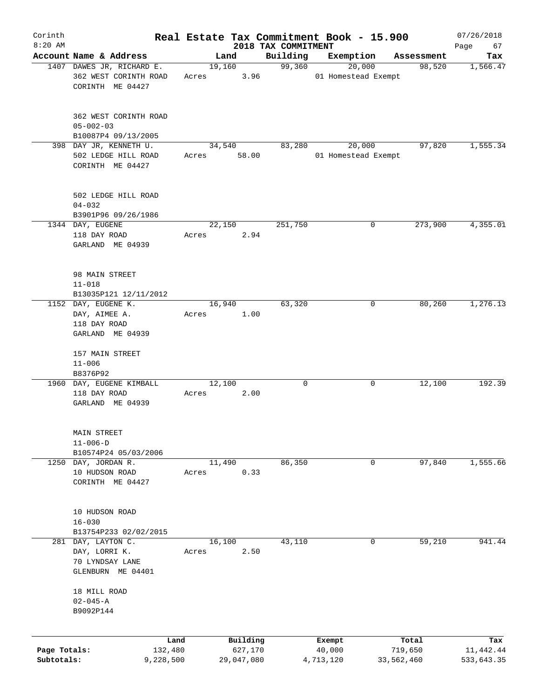| Corinth<br>$8:20$ AM       |                                                                         |       |                                   |                                 | Real Estate Tax Commitment Book - 15.900 |                                | 07/26/2018                     |
|----------------------------|-------------------------------------------------------------------------|-------|-----------------------------------|---------------------------------|------------------------------------------|--------------------------------|--------------------------------|
|                            | Account Name & Address                                                  |       | Land                              | 2018 TAX COMMITMENT<br>Building | Exemption                                | Assessment                     | Page<br>67<br>Tax              |
|                            | 1407 DAWES JR, RICHARD E.                                               |       | 19,160                            | 99,360                          | 20,000                                   | 98,520                         | 1,566.47                       |
|                            | 362 WEST CORINTH ROAD<br>CORINTH ME 04427                               | Acres | 3.96                              |                                 | 01 Homestead Exempt                      |                                |                                |
|                            | 362 WEST CORINTH ROAD<br>$05 - 002 - 03$                                |       |                                   |                                 |                                          |                                |                                |
|                            | B10087P4 09/13/2005<br>398 DAY JR, KENNETH U.                           |       |                                   | 83,280                          |                                          | 97,820                         |                                |
|                            | 502 LEDGE HILL ROAD<br>CORINTH ME 04427                                 | Acres | 34,540<br>58.00                   |                                 | 20,000<br>01 Homestead Exempt            |                                | 1,555.34                       |
|                            | 502 LEDGE HILL ROAD<br>$04 - 032$                                       |       |                                   |                                 |                                          |                                |                                |
|                            | B3901P96 09/26/1986<br>1344 DAY, EUGENE                                 |       | 22,150                            | 251,750                         | 0                                        | 273,900                        | 4,355.01                       |
|                            | 118 DAY ROAD<br>GARLAND ME 04939                                        | Acres | 2.94                              |                                 |                                          |                                |                                |
|                            | 98 MAIN STREET<br>$11 - 018$                                            |       |                                   |                                 |                                          |                                |                                |
|                            | B13035P121 12/11/2012<br>1152 DAY, EUGENE K.                            |       | 16,940                            | 63,320                          | 0                                        | 80,260                         | 1,276.13                       |
|                            | DAY, AIMEE A.<br>118 DAY ROAD                                           | Acres | 1.00                              |                                 |                                          |                                |                                |
|                            | GARLAND ME 04939                                                        |       |                                   |                                 |                                          |                                |                                |
|                            | 157 MAIN STREET<br>$11 - 006$                                           |       |                                   |                                 |                                          |                                |                                |
|                            | B8376P92                                                                |       |                                   |                                 |                                          |                                |                                |
|                            | 1960 DAY, EUGENE KIMBALL<br>118 DAY ROAD<br>GARLAND ME 04939            | Acres | 12,100<br>2.00                    | 0                               | 0                                        | 12,100                         | 192.39                         |
|                            | MAIN STREET<br>$11 - 006 - D$                                           |       |                                   |                                 |                                          |                                |                                |
|                            | B10574P24 05/03/2006<br>1250 DAY, JORDAN R.                             |       | 11,490                            | 86,350                          | 0                                        | 97,840                         | 1,555.66                       |
|                            | 10 HUDSON ROAD<br>CORINTH ME 04427                                      | Acres | 0.33                              |                                 |                                          |                                |                                |
|                            | 10 HUDSON ROAD<br>$16 - 030$                                            |       |                                   |                                 |                                          |                                |                                |
|                            | B13754P233 02/02/2015                                                   |       |                                   |                                 |                                          |                                |                                |
| 281                        | DAY, LAYTON C.<br>DAY, LORRI K.<br>70 LYNDSAY LANE<br>GLENBURN ME 04401 | Acres | 16,100<br>2.50                    | 43,110                          | 0                                        | 59,210                         | 941.44                         |
|                            | 18 MILL ROAD<br>$02 - 045 - A$<br>B9092P144                             |       |                                   |                                 |                                          |                                |                                |
|                            |                                                                         |       |                                   |                                 |                                          |                                |                                |
| Page Totals:<br>Subtotals: | Land<br>132,480<br>9,228,500                                            |       | Building<br>627,170<br>29,047,080 |                                 | Exempt<br>40,000<br>4,713,120            | Total<br>719,650<br>33,562,460 | Tax<br>11,442.44<br>533,643.35 |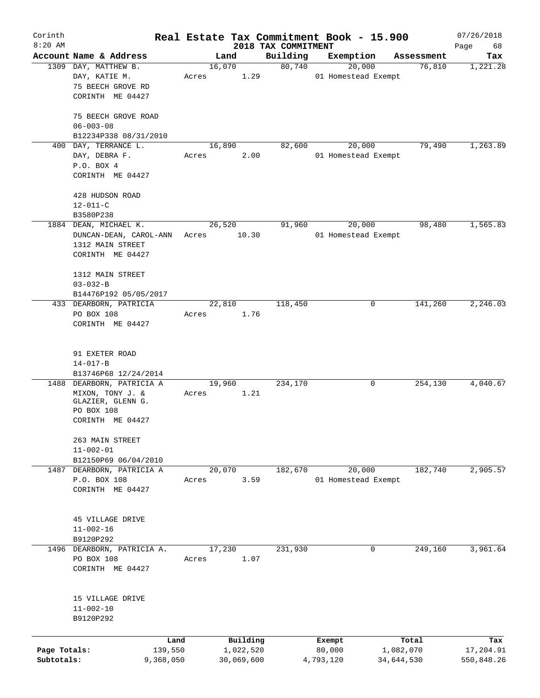| Corinth      |                                            |        |            |                     | Real Estate Tax Commitment Book - 15.900 |                      | 07/26/2018      |
|--------------|--------------------------------------------|--------|------------|---------------------|------------------------------------------|----------------------|-----------------|
| $8:20$ AM    | Account Name & Address                     |        |            | 2018 TAX COMMITMENT |                                          |                      | Page<br>68      |
|              | 1309 DAY, MATTHEW B.                       | 16,070 | Land       | Building<br>80,740  | Exemption<br>20,000                      | Assessment<br>76,810 | Tax<br>1,221.28 |
|              | DAY, KATIE M.                              | Acres  | 1.29       |                     | 01 Homestead Exempt                      |                      |                 |
|              | 75 BEECH GROVE RD                          |        |            |                     |                                          |                      |                 |
|              | CORINTH ME 04427                           |        |            |                     |                                          |                      |                 |
|              |                                            |        |            |                     |                                          |                      |                 |
|              | 75 BEECH GROVE ROAD                        |        |            |                     |                                          |                      |                 |
|              | $06 - 003 - 08$                            |        |            |                     |                                          |                      |                 |
|              | B12234P338 08/31/2010                      |        |            |                     |                                          |                      |                 |
| 400          | DAY, TERRANCE L.                           | 16,890 |            | 82,600              | 20,000                                   | 79,490               | 1,263.89        |
|              | DAY, DEBRA F.                              | Acres  | 2.00       |                     | 01 Homestead Exempt                      |                      |                 |
|              | P.O. BOX 4                                 |        |            |                     |                                          |                      |                 |
|              | CORINTH ME 04427                           |        |            |                     |                                          |                      |                 |
|              |                                            |        |            |                     |                                          |                      |                 |
|              | 428 HUDSON ROAD                            |        |            |                     |                                          |                      |                 |
|              | $12 - 011 - C$                             |        |            |                     |                                          |                      |                 |
|              | B3580P238<br>1884 DEAN, MICHAEL K.         |        |            |                     |                                          | 98,480               | 1,565.83        |
|              |                                            | 26,520 |            | 91,960              | 20,000                                   |                      |                 |
|              | DUNCAN-DEAN, CAROL-ANN<br>1312 MAIN STREET | Acres  | 10.30      |                     | 01 Homestead Exempt                      |                      |                 |
|              | CORINTH ME 04427                           |        |            |                     |                                          |                      |                 |
|              |                                            |        |            |                     |                                          |                      |                 |
|              | 1312 MAIN STREET                           |        |            |                     |                                          |                      |                 |
|              | $03 - 032 - B$                             |        |            |                     |                                          |                      |                 |
|              | B14476P192 05/05/2017                      |        |            |                     |                                          |                      |                 |
|              | 433 DEARBORN, PATRICIA                     | 22,810 |            | 118,450             | 0                                        | 141,260              | 2,246.03        |
|              | PO BOX 108                                 | Acres  | 1.76       |                     |                                          |                      |                 |
|              | CORINTH ME 04427                           |        |            |                     |                                          |                      |                 |
|              |                                            |        |            |                     |                                          |                      |                 |
|              |                                            |        |            |                     |                                          |                      |                 |
|              | 91 EXETER ROAD                             |        |            |                     |                                          |                      |                 |
|              | $14 - 017 - B$                             |        |            |                     |                                          |                      |                 |
|              | B13746P68 12/24/2014                       |        |            |                     |                                          |                      |                 |
|              | 1488 DEARBORN, PATRICIA A                  | 19,960 |            | 234,170             | 0                                        | 254,130              | 4,040.67        |
|              | MIXON, TONY J. &<br>GLAZIER, GLENN G.      | Acres  | 1.21       |                     |                                          |                      |                 |
|              | PO BOX 108                                 |        |            |                     |                                          |                      |                 |
|              | CORINTH ME 04427                           |        |            |                     |                                          |                      |                 |
|              |                                            |        |            |                     |                                          |                      |                 |
|              | 263 MAIN STREET                            |        |            |                     |                                          |                      |                 |
|              | $11 - 002 - 01$                            |        |            |                     |                                          |                      |                 |
|              | B12150P69 06/04/2010                       |        |            |                     |                                          |                      |                 |
| 1487         | DEARBORN, PATRICIA A                       | 20,070 |            | 182,670             | 20,000                                   | 182,740              | 2,905.57        |
|              | P.O. BOX 108                               | Acres  | 3.59       |                     | 01 Homestead Exempt                      |                      |                 |
|              | CORINTH ME 04427                           |        |            |                     |                                          |                      |                 |
|              |                                            |        |            |                     |                                          |                      |                 |
|              |                                            |        |            |                     |                                          |                      |                 |
|              | 45 VILLAGE DRIVE<br>$11 - 002 - 16$        |        |            |                     |                                          |                      |                 |
|              | B9120P292                                  |        |            |                     |                                          |                      |                 |
|              | 1496 DEARBORN, PATRICIA A.                 | 17,230 |            | 231,930             | 0                                        | 249,160              | 3,961.64        |
|              | PO BOX 108                                 | Acres  | 1.07       |                     |                                          |                      |                 |
|              | CORINTH ME 04427                           |        |            |                     |                                          |                      |                 |
|              |                                            |        |            |                     |                                          |                      |                 |
|              |                                            |        |            |                     |                                          |                      |                 |
|              | 15 VILLAGE DRIVE                           |        |            |                     |                                          |                      |                 |
|              | $11 - 002 - 10$                            |        |            |                     |                                          |                      |                 |
|              | B9120P292                                  |        |            |                     |                                          |                      |                 |
|              |                                            |        |            |                     |                                          |                      |                 |
|              | Land                                       |        | Building   |                     | Exempt                                   | Total                | Tax             |
| Page Totals: | 139,550                                    |        | 1,022,520  |                     | 80,000                                   | 1,082,070            | 17,204.91       |
| Subtotals:   | 9,368,050                                  |        | 30,069,600 |                     | 4,793,120                                | 34,644,530           | 550,848.26      |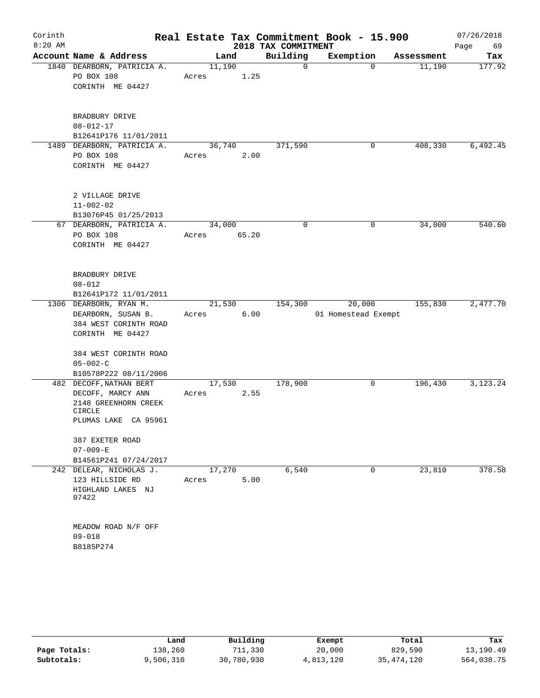| Corinth<br>$8:20$ AM |                                |        |       |                                 | Real Estate Tax Commitment Book - 15.900 |            | 07/26/2018        |
|----------------------|--------------------------------|--------|-------|---------------------------------|------------------------------------------|------------|-------------------|
|                      | Account Name & Address         | Land   |       | 2018 TAX COMMITMENT<br>Building | Exemption                                | Assessment | Page<br>69<br>Tax |
|                      | 1840 DEARBORN, PATRICIA A.     | 11,190 |       | 0                               | $\mathbf 0$                              | 11,190     | 177.92            |
|                      | PO BOX 108                     | Acres  | 1.25  |                                 |                                          |            |                   |
|                      | CORINTH ME 04427               |        |       |                                 |                                          |            |                   |
|                      |                                |        |       |                                 |                                          |            |                   |
|                      | BRADBURY DRIVE                 |        |       |                                 |                                          |            |                   |
|                      | $08 - 012 - 17$                |        |       |                                 |                                          |            |                   |
|                      | B12641P176 11/01/2011          |        |       |                                 |                                          |            |                   |
| 1489                 | DEARBORN, PATRICIA A.          | 36,740 |       | 371,590                         | 0                                        | 408,330    | 6,492.45          |
|                      | PO BOX 108                     | Acres  | 2.00  |                                 |                                          |            |                   |
|                      | CORINTH ME 04427               |        |       |                                 |                                          |            |                   |
|                      | 2 VILLAGE DRIVE                |        |       |                                 |                                          |            |                   |
|                      | $11 - 002 - 02$                |        |       |                                 |                                          |            |                   |
|                      | B13076P45 01/25/2013           |        |       |                                 |                                          |            |                   |
|                      | 67 DEARBORN, PATRICIA A.       | 34,000 |       | 0                               | 0                                        | 34,000     | 540.60            |
|                      | PO BOX 108                     | Acres  | 65.20 |                                 |                                          |            |                   |
|                      | CORINTH ME 04427               |        |       |                                 |                                          |            |                   |
|                      |                                |        |       |                                 |                                          |            |                   |
|                      | BRADBURY DRIVE                 |        |       |                                 |                                          |            |                   |
|                      | $08 - 012$                     |        |       |                                 |                                          |            |                   |
|                      | B12641P172 11/01/2011          |        |       |                                 |                                          |            |                   |
|                      | 1306 DEARBORN, RYAN M.         | 21,530 |       | 154,300                         | 20,000                                   | 155,830    | 2,477.70          |
|                      | DEARBORN, SUSAN B.             | Acres  | 6.00  |                                 | 01 Homestead Exempt                      |            |                   |
|                      | 384 WEST CORINTH ROAD          |        |       |                                 |                                          |            |                   |
|                      | CORINTH ME 04427               |        |       |                                 |                                          |            |                   |
|                      | 384 WEST CORINTH ROAD          |        |       |                                 |                                          |            |                   |
|                      | $05 - 002 - C$                 |        |       |                                 |                                          |            |                   |
|                      | B10578P222 08/11/2006          |        |       |                                 |                                          |            |                   |
|                      | 482 DECOFF, NATHAN BERT        | 17,530 |       | 178,900                         | 0                                        | 196,430    | 3,123.24          |
|                      | DECOFF, MARCY ANN              | Acres  | 2.55  |                                 |                                          |            |                   |
|                      | 2148 GREENHORN CREEK           |        |       |                                 |                                          |            |                   |
|                      | CIRCLE<br>PLUMAS LAKE CA 95961 |        |       |                                 |                                          |            |                   |
|                      | 387 EXETER ROAD                |        |       |                                 |                                          |            |                   |
|                      | $07 - 009 - E$                 |        |       |                                 |                                          |            |                   |
|                      | B14561P241 07/24/2017          |        |       |                                 |                                          |            |                   |
|                      | 242 DELEAR, NICHOLAS J.        | 17,270 |       | 6,540                           | 0                                        | 23,810     | 378.58            |
|                      | 123 HILLSIDE RD                | Acres  | 5.00  |                                 |                                          |            |                   |
|                      | HIGHLAND LAKES NJ<br>07422     |        |       |                                 |                                          |            |                   |
|                      | MEADOW ROAD N/F OFF            |        |       |                                 |                                          |            |                   |
|                      | $09 - 018$                     |        |       |                                 |                                          |            |                   |
|                      | B8185P274                      |        |       |                                 |                                          |            |                   |

|              | Land      | Building   | Exempt    | Total      | Tax        |
|--------------|-----------|------------|-----------|------------|------------|
| Page Totals: | 138,260   | 711,330    | 20,000    | 829,590    | 13,190.49  |
| Subtotals:   | 9,506,310 | 30,780,930 | 4,813,120 | 35,474,120 | 564,038.75 |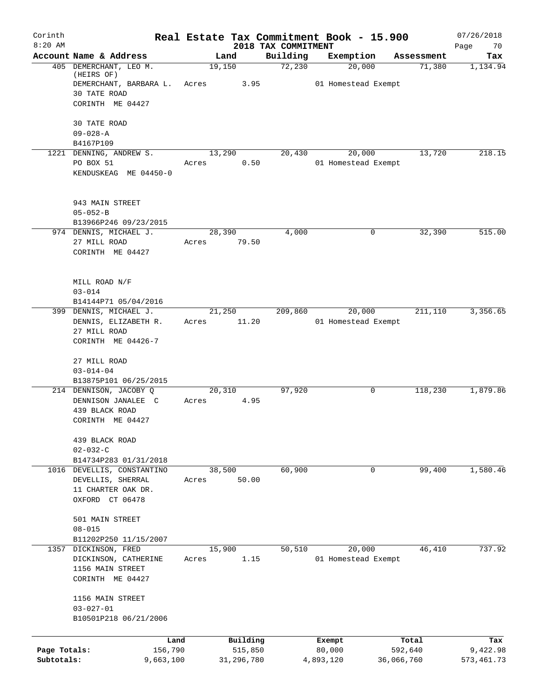| Corinth<br>$8:20$ AM       |                                                                                          | Real Estate Tax Commitment Book - 15.900 | 2018 TAX COMMITMENT |                               |                       | 07/26/2018<br>Page<br>70 |
|----------------------------|------------------------------------------------------------------------------------------|------------------------------------------|---------------------|-------------------------------|-----------------------|--------------------------|
|                            | Account Name & Address                                                                   | Land                                     | Building            | Exemption                     | Assessment            | Tax                      |
|                            | 405 DEMERCHANT, LEO M.<br>(HEIRS OF)                                                     | 19,150                                   | 72,230              | 20,000                        | 71,380                | 1,134.94                 |
|                            | DEMERCHANT, BARBARA L.<br>30 TATE ROAD<br>CORINTH ME 04427                               | Acres<br>3.95                            |                     | 01 Homestead Exempt           |                       |                          |
|                            | 30 TATE ROAD<br>$09 - 028 - A$                                                           |                                          |                     |                               |                       |                          |
|                            | B4167P109                                                                                |                                          |                     |                               |                       |                          |
|                            | 1221 DENNING, ANDREW S.<br>PO BOX 51<br>KENDUSKEAG ME 04450-0                            | 13,290<br>0.50<br>Acres                  | 20,430              | 20,000<br>01 Homestead Exempt | 13,720                | 218.15                   |
|                            | 943 MAIN STREET<br>$05 - 052 - B$<br>B13966P246 09/23/2015                               |                                          |                     |                               |                       |                          |
|                            | 974 DENNIS, MICHAEL J.<br>27 MILL ROAD<br>CORINTH ME 04427                               | 28,390<br>79.50<br>Acres                 | 4,000               | 0                             | 32,390                | 515.00                   |
|                            | MILL ROAD N/F<br>$03 - 014$<br>B14144P71 05/04/2016                                      |                                          |                     |                               |                       |                          |
|                            | 399 DENNIS, MICHAEL J.<br>DENNIS, ELIZABETH R.<br>27 MILL ROAD<br>CORINTH ME 04426-7     | 21,250<br>11.20<br>Acres                 | 209,860             | 20,000<br>01 Homestead Exempt | 211,110               | 3,356.65                 |
|                            | 27 MILL ROAD<br>$03 - 014 - 04$<br>B13875P101 06/25/2015                                 |                                          |                     |                               |                       |                          |
|                            | 214 DENNISON, JACOBY Q<br>DENNISON JANALEE C<br>439 BLACK ROAD<br>CORINTH ME 04427       | 20,310<br>4.95<br>Acres                  | 97,920              | 0                             | 118,230               | 1,879.86                 |
|                            | 439 BLACK ROAD<br>$02 - 032 - C$<br>B14734P283 01/31/2018                                |                                          |                     |                               |                       |                          |
|                            | 1016 DEVELLIS, CONSTANTINO<br>DEVELLIS, SHERRAL<br>11 CHARTER OAK DR.<br>OXFORD CT 06478 | 38,500<br>50.00<br>Acres                 | 60,900              | 0                             | 99,400                | 1,580.46                 |
|                            | 501 MAIN STREET<br>$08 - 015$<br>B11202P250 11/15/2007                                   |                                          |                     |                               |                       |                          |
|                            | 1357 DICKINSON, FRED<br>DICKINSON, CATHERINE<br>1156 MAIN STREET<br>CORINTH ME 04427     | 15,900<br>1.15<br>Acres                  | 50,510              | 20,000<br>01 Homestead Exempt | 46,410                | 737.92                   |
|                            | 1156 MAIN STREET<br>$03 - 027 - 01$<br>B10501P218 06/21/2006                             |                                          |                     |                               |                       |                          |
|                            | Land                                                                                     | Building                                 |                     | Exempt                        | Total                 | Tax                      |
| Page Totals:<br>Subtotals: | 156,790<br>9,663,100                                                                     | 515,850<br>31,296,780                    |                     | 80,000<br>4,893,120           | 592,640<br>36,066,760 | 9,422.98<br>573, 461.73  |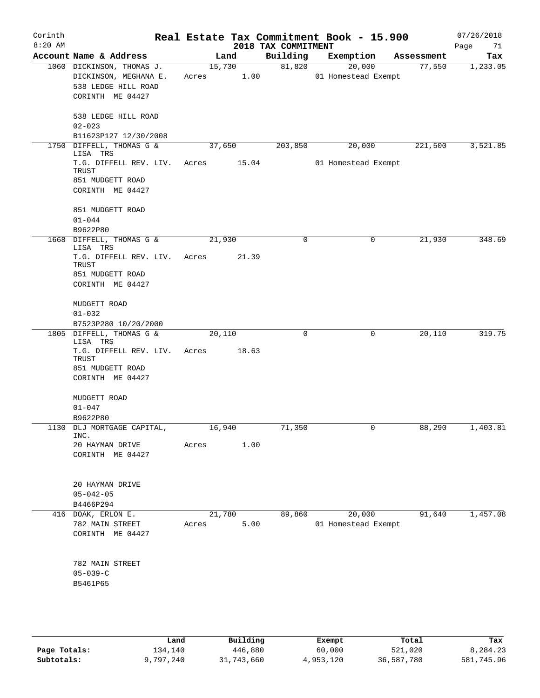| Corinth<br>$8:20$ AM |                                                                                               |             |        | 2018 TAX COMMITMENT | Real Estate Tax Commitment Book - 15.900 |            | 07/26/2018<br>Page<br>71 |
|----------------------|-----------------------------------------------------------------------------------------------|-------------|--------|---------------------|------------------------------------------|------------|--------------------------|
|                      | Account Name & Address                                                                        |             | Land   | Building            | Exemption                                | Assessment | Tax                      |
|                      | 1060 DICKINSON, THOMAS J.<br>DICKINSON, MEGHANA E.<br>538 LEDGE HILL ROAD<br>CORINTH ME 04427 | Acres 1.00  | 15,730 | 81,820              | 20,000<br>01 Homestead Exempt            | 77,550     | 1,233.05                 |
|                      | 538 LEDGE HILL ROAD<br>$02 - 023$<br>B11623P127 12/30/2008                                    |             |        |                     |                                          |            |                          |
| 1750                 | DIFFELL, THOMAS G &<br>LISA TRS                                                               |             | 37,650 | 203,850             | 20,000                                   | 221,500    | 3,521.85                 |
|                      | T.G. DIFFELL REV. LIV.<br>TRUST<br>851 MUDGETT ROAD<br>CORINTH ME 04427                       | Acres 15.04 |        |                     | 01 Homestead Exempt                      |            |                          |
|                      | 851 MUDGETT ROAD<br>$01 - 044$<br>B9622P80                                                    |             |        |                     |                                          |            |                          |
|                      | 1668 DIFFELL, THOMAS G &<br>LISA TRS                                                          |             | 21,930 | $\mathbf 0$         | 0                                        | 21,930     | 348.69                   |
|                      | T.G. DIFFELL REV. LIV.<br>TRUST<br>851 MUDGETT ROAD                                           | Acres       | 21.39  |                     |                                          |            |                          |
|                      | CORINTH ME 04427                                                                              |             |        |                     |                                          |            |                          |
|                      | MUDGETT ROAD<br>$01 - 032$<br>B7523P280 10/20/2000                                            |             |        |                     |                                          |            |                          |
|                      | 1805 DIFFELL, THOMAS G &                                                                      |             | 20,110 | 0                   | 0                                        | 20,110     | 319.75                   |
|                      | LISA TRS<br>T.G. DIFFELL REV. LIV.<br>TRUST<br>851 MUDGETT ROAD<br>CORINTH ME 04427           | Acres       | 18.63  |                     |                                          |            |                          |
|                      | MUDGETT ROAD<br>$01 - 047$<br>B9622P80                                                        |             |        |                     |                                          |            |                          |
|                      | 1130 DLJ MORTGAGE CAPITAL,                                                                    | 16,940      |        | 71,350              |                                          | 88,290     | 1,403.81                 |
|                      | INC.<br>20 HAYMAN DRIVE<br>CORINTH ME 04427                                                   | Acres       | 1.00   |                     |                                          |            |                          |
|                      | 20 HAYMAN DRIVE<br>$05 - 042 - 05$                                                            |             |        |                     |                                          |            |                          |
|                      | B4466P294<br>416 DOAK, ERLON E.                                                               |             | 21,780 | 89,860              | 20,000                                   | 91,640     | 1,457.08                 |
|                      | 782 MAIN STREET<br>CORINTH ME 04427                                                           | Acres       | 5.00   |                     | 01 Homestead Exempt                      |            |                          |
|                      | 782 MAIN STREET<br>$05 - 039 - C$<br>B5461P65                                                 |             |        |                     |                                          |            |                          |
|                      |                                                                                               |             |        |                     |                                          |            |                          |

|              | Land      | Building   | Exempt    | Total      | Tax        |
|--------------|-----------|------------|-----------|------------|------------|
| Page Totals: | 134,140   | 446,880    | 60,000    | 521,020    | 8,284.23   |
| Subtotals:   | 9,797,240 | 31,743,660 | 4,953,120 | 36,587,780 | 581,745.96 |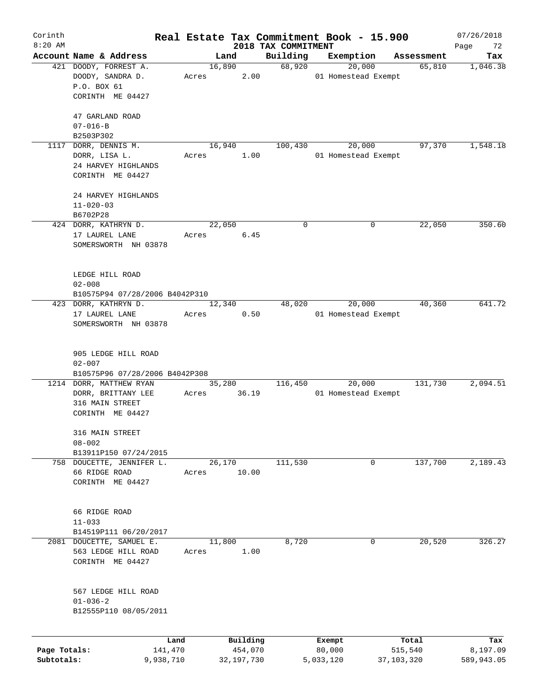| Corinth      |                                |           |       |        |              | Real Estate Tax Commitment Book - 15.900 |           |                     |                      | 07/26/2018        |
|--------------|--------------------------------|-----------|-------|--------|--------------|------------------------------------------|-----------|---------------------|----------------------|-------------------|
| $8:20$ AM    | Account Name & Address         |           |       | Land   |              | 2018 TAX COMMITMENT<br>Building          | Exemption |                     |                      | Page<br>72<br>Tax |
|              | 421 DOODY, FORREST A.          |           |       | 16,890 |              | 68,920                                   |           | 20,000              | Assessment<br>65,810 | 1,046.38          |
|              | DOODY, SANDRA D.               |           |       | Acres  | 2.00         |                                          |           | 01 Homestead Exempt |                      |                   |
|              | P.O. BOX 61                    |           |       |        |              |                                          |           |                     |                      |                   |
|              | CORINTH ME 04427               |           |       |        |              |                                          |           |                     |                      |                   |
|              |                                |           |       |        |              |                                          |           |                     |                      |                   |
|              | 47 GARLAND ROAD                |           |       |        |              |                                          |           |                     |                      |                   |
|              | $07 - 016 - B$                 |           |       |        |              |                                          |           |                     |                      |                   |
|              | B2503P302                      |           |       |        |              |                                          |           |                     |                      |                   |
|              | 1117 DORR, DENNIS M.           |           |       | 16,940 |              | 100,430                                  |           | 20,000              | 97,370               | 1,548.18          |
|              | DORR, LISA L.                  |           | Acres |        | 1.00         |                                          |           | 01 Homestead Exempt |                      |                   |
|              | 24 HARVEY HIGHLANDS            |           |       |        |              |                                          |           |                     |                      |                   |
|              | CORINTH ME 04427               |           |       |        |              |                                          |           |                     |                      |                   |
|              |                                |           |       |        |              |                                          |           |                     |                      |                   |
|              | 24 HARVEY HIGHLANDS            |           |       |        |              |                                          |           |                     |                      |                   |
|              | $11 - 020 - 03$                |           |       |        |              |                                          |           |                     |                      |                   |
|              | B6702P28                       |           |       |        |              |                                          |           |                     |                      |                   |
|              | 424 DORR, KATHRYN D.           |           |       | 22,050 |              | 0                                        |           | 0                   | 22,050               | 350.60            |
|              | 17 LAUREL LANE                 |           | Acres |        | 6.45         |                                          |           |                     |                      |                   |
|              | SOMERSWORTH NH 03878           |           |       |        |              |                                          |           |                     |                      |                   |
|              |                                |           |       |        |              |                                          |           |                     |                      |                   |
|              |                                |           |       |        |              |                                          |           |                     |                      |                   |
|              | LEDGE HILL ROAD                |           |       |        |              |                                          |           |                     |                      |                   |
|              | $02 - 008$                     |           |       |        |              |                                          |           |                     |                      |                   |
|              | B10575P94 07/28/2006 B4042P310 |           |       |        |              |                                          |           |                     |                      |                   |
|              | 423 DORR, KATHRYN D.           |           |       | 12,340 |              | 48,020                                   |           | 20,000              | 40,360               | 641.72            |
|              | 17 LAUREL LANE                 |           | Acres |        | 0.50         |                                          |           | 01 Homestead Exempt |                      |                   |
|              | SOMERSWORTH NH 03878           |           |       |        |              |                                          |           |                     |                      |                   |
|              |                                |           |       |        |              |                                          |           |                     |                      |                   |
|              |                                |           |       |        |              |                                          |           |                     |                      |                   |
|              | 905 LEDGE HILL ROAD            |           |       |        |              |                                          |           |                     |                      |                   |
|              | $02 - 007$                     |           |       |        |              |                                          |           |                     |                      |                   |
|              | B10575P96 07/28/2006 B4042P308 |           |       |        |              |                                          |           |                     |                      |                   |
|              | 1214 DORR, MATTHEW RYAN        |           |       | 35,280 |              | 116,450                                  |           | 20,000              | 131,730              | 2,094.51          |
|              | DORR, BRITTANY LEE             |           | Acres |        | 36.19        |                                          |           | 01 Homestead Exempt |                      |                   |
|              | 316 MAIN STREET                |           |       |        |              |                                          |           |                     |                      |                   |
|              | CORINTH ME 04427               |           |       |        |              |                                          |           |                     |                      |                   |
|              |                                |           |       |        |              |                                          |           |                     |                      |                   |
|              | 316 MAIN STREET                |           |       |        |              |                                          |           |                     |                      |                   |
|              | $08 - 002$                     |           |       |        |              |                                          |           |                     |                      |                   |
|              | B13911P150 07/24/2015          |           |       |        |              |                                          |           |                     |                      |                   |
|              | 758 DOUCETTE, JENNIFER L.      |           |       | 26,170 |              | 111,530                                  |           | 0                   | 137,700              | 2,189.43          |
|              | 66 RIDGE ROAD                  |           | Acres |        | 10.00        |                                          |           |                     |                      |                   |
|              | CORINTH ME 04427               |           |       |        |              |                                          |           |                     |                      |                   |
|              |                                |           |       |        |              |                                          |           |                     |                      |                   |
|              |                                |           |       |        |              |                                          |           |                     |                      |                   |
|              | 66 RIDGE ROAD                  |           |       |        |              |                                          |           |                     |                      |                   |
|              | $11 - 033$                     |           |       |        |              |                                          |           |                     |                      |                   |
|              | B14519P111 06/20/2017          |           |       |        |              |                                          |           |                     |                      |                   |
| 2081         | DOUCETTE, SAMUEL E.            |           |       | 11,800 |              | 8,720                                    |           | 0                   | 20,520               | 326.27            |
|              | 563 LEDGE HILL ROAD            |           | Acres |        | 1.00         |                                          |           |                     |                      |                   |
|              | CORINTH ME 04427               |           |       |        |              |                                          |           |                     |                      |                   |
|              |                                |           |       |        |              |                                          |           |                     |                      |                   |
|              |                                |           |       |        |              |                                          |           |                     |                      |                   |
|              | 567 LEDGE HILL ROAD            |           |       |        |              |                                          |           |                     |                      |                   |
|              | $01 - 036 - 2$                 |           |       |        |              |                                          |           |                     |                      |                   |
|              | B12555P110 08/05/2011          |           |       |        |              |                                          |           |                     |                      |                   |
|              |                                |           |       |        |              |                                          |           |                     |                      |                   |
|              |                                | Land      |       |        | Building     |                                          | Exempt    |                     | Total                | Tax               |
| Page Totals: |                                | 141,470   |       |        | 454,070      |                                          | 80,000    |                     | 515,540              | 8,197.09          |
| Subtotals:   |                                | 9,938,710 |       |        | 32, 197, 730 |                                          | 5,033,120 |                     | 37,103,320           | 589,943.05        |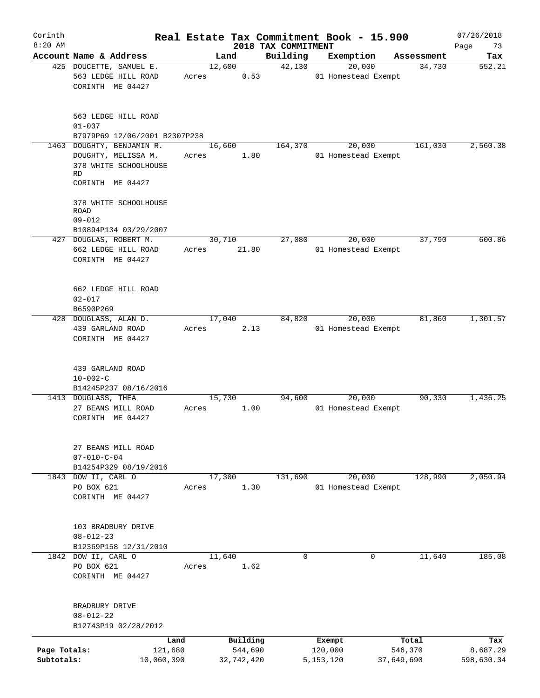| Corinth<br>$8:20$ AM |                                                                                                            |                 |                     | 2018 TAX COMMITMENT | Real Estate Tax Commitment Book - 15.900 |                  | 07/26/2018<br>73 |
|----------------------|------------------------------------------------------------------------------------------------------------|-----------------|---------------------|---------------------|------------------------------------------|------------------|------------------|
|                      | Account Name & Address                                                                                     |                 | Land                | Building            | Exemption                                | Assessment       | Page<br>Tax      |
|                      | 425 DOUCETTE, SAMUEL E.<br>563 LEDGE HILL ROAD<br>CORINTH ME 04427                                         | Acres           | 12,600<br>0.53      | 42,130              | 20,000<br>01 Homestead Exempt            | 34,730           | 552.21           |
|                      | 563 LEDGE HILL ROAD<br>$01 - 037$                                                                          |                 |                     |                     |                                          |                  |                  |
|                      | B7979P69 12/06/2001 B2307P238                                                                              |                 |                     |                     |                                          |                  |                  |
|                      | 1463 DOUGHTY, BENJAMIN R.<br>DOUGHTY, MELISSA M.<br>378 WHITE SCHOOLHOUSE<br><b>RD</b><br>CORINTH ME 04427 | Acres           | 16,660<br>1.80      | 164,370             | 20,000<br>01 Homestead Exempt            | 161,030          | 2,560.38         |
|                      | 378 WHITE SCHOOLHOUSE<br>ROAD<br>$09 - 012$<br>B10894P134 03/29/2007                                       |                 |                     |                     |                                          |                  |                  |
|                      | 427 DOUGLAS, ROBERT M.                                                                                     |                 | 30,710              | 27,080              | 20,000                                   | 37,790           | 600.86           |
|                      | 662 LEDGE HILL ROAD<br>CORINTH ME 04427                                                                    | Acres           | 21.80               |                     | 01 Homestead Exempt                      |                  |                  |
|                      | 662 LEDGE HILL ROAD<br>$02 - 017$<br>B6590P269                                                             |                 |                     |                     |                                          |                  |                  |
|                      | 428 DOUGLASS, ALAN D.                                                                                      |                 | 17,040              | 84,820              | 20,000                                   | 81,860           | 1,301.57         |
|                      | 439 GARLAND ROAD<br>CORINTH ME 04427                                                                       | Acres           | 2.13                |                     | 01 Homestead Exempt                      |                  |                  |
|                      | 439 GARLAND ROAD<br>$10 - 002 - C$<br>B14245P237 08/16/2016                                                |                 |                     |                     |                                          |                  |                  |
|                      | 1413 DOUGLASS, THEA                                                                                        |                 | 15,730              | 94,600              | 20,000                                   | 90,330           | 1,436.25         |
|                      | 27 BEANS MILL ROAD<br>CORINTH ME 04427                                                                     | Acres           | 1.00                |                     | 01 Homestead Exempt                      |                  |                  |
|                      | 27 BEANS MILL ROAD<br>$07 - 010 - C - 04$<br>B14254P329 08/19/2016                                         |                 |                     |                     |                                          |                  |                  |
|                      | 1843 DOW II, CARL O                                                                                        |                 | 17,300              | 131,690             | 20,000                                   | 128,990          | 2,050.94         |
|                      | PO BOX 621<br>CORINTH ME 04427                                                                             | Acres           | 1.30                |                     | 01 Homestead Exempt                      |                  |                  |
|                      | 103 BRADBURY DRIVE<br>$08 - 012 - 23$<br>B12369P158 12/31/2010                                             |                 |                     |                     |                                          |                  |                  |
|                      | 1842 DOW II, CARL O                                                                                        |                 | 11,640              | 0                   |                                          | 11,640<br>0      | 185.08           |
|                      | PO BOX 621<br>CORINTH ME 04427                                                                             | Acres           | 1.62                |                     |                                          |                  |                  |
|                      | BRADBURY DRIVE<br>$08 - 012 - 22$<br>B12743P19 02/28/2012                                                  |                 |                     |                     |                                          |                  |                  |
|                      |                                                                                                            |                 |                     |                     |                                          |                  |                  |
| Page Totals:         |                                                                                                            | Land<br>121,680 | Building<br>544,690 |                     | Exempt<br>120,000                        | Total<br>546,370 | Tax<br>8,687.29  |
| Subtotals:           |                                                                                                            | 10,060,390      | 32,742,420          |                     | 5, 153, 120                              | 37,649,690       | 598,630.34       |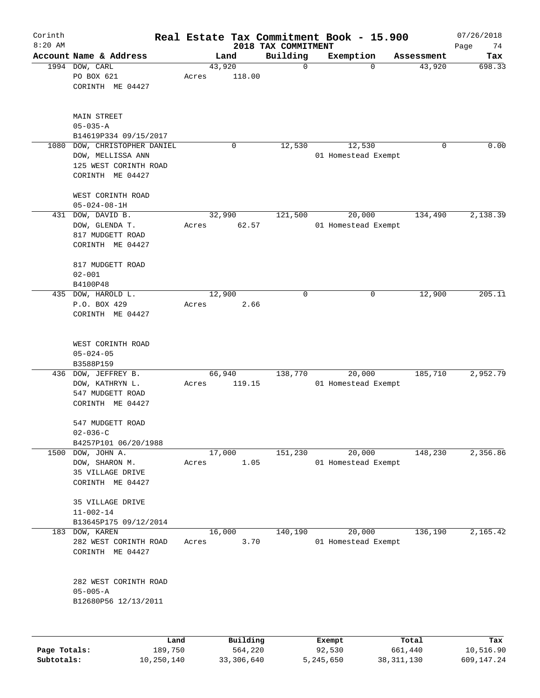| Corinth<br>$8:20$ AM |                                                                                                |                 |          |                                 | Real Estate Tax Commitment Book - 15.900 |            | 07/26/2018        |
|----------------------|------------------------------------------------------------------------------------------------|-----------------|----------|---------------------------------|------------------------------------------|------------|-------------------|
|                      | Account Name & Address                                                                         |                 | Land     | 2018 TAX COMMITMENT<br>Building | Exemption                                | Assessment | Page<br>74<br>Tax |
|                      | 1994 DOW, CARL<br>PO BOX 621<br>CORINTH ME 04427                                               | 43,920<br>Acres | 118.00   | $\mathbf 0$                     | $\Omega$                                 | 43,920     | 698.33            |
|                      | MAIN STREET<br>$05 - 035 - A$<br>B14619P334 09/15/2017                                         |                 |          |                                 |                                          |            |                   |
| 1080                 | DOW, CHRISTOPHER DANIEL<br>DOW, MELLISSA ANN<br>125 WEST CORINTH ROAD<br>CORINTH ME 04427      |                 | 0        | 12,530                          | 12,530<br>01 Homestead Exempt            | 0          | 0.00              |
|                      | WEST CORINTH ROAD<br>$05 - 024 - 08 - 1H$                                                      |                 |          |                                 |                                          |            |                   |
|                      | 431 DOW, DAVID B.<br>DOW, GLENDA T.<br>817 MUDGETT ROAD<br>CORINTH ME 04427                    | 32,990<br>Acres | 62.57    | 121,500                         | 20,000<br>01 Homestead Exempt            | 134,490    | 2,138.39          |
|                      | 817 MUDGETT ROAD<br>$02 - 001$<br>B4100P48                                                     |                 |          |                                 |                                          |            |                   |
| 435                  | DOW, HAROLD L.<br>P.O. BOX 429<br>CORINTH ME 04427                                             | 12,900<br>Acres | 2.66     | $\mathbf 0$                     | 0                                        | 12,900     | 205.11            |
|                      | WEST CORINTH ROAD<br>$05 - 024 - 05$<br>B3588P159                                              |                 |          |                                 |                                          |            |                   |
| 436                  | DOW, JEFFREY B.<br>DOW, KATHRYN L.<br>547 MUDGETT ROAD<br>CORINTH ME 04427                     | 66,940<br>Acres | 119.15   | 138,770                         | 20,000<br>01 Homestead Exempt            | 185,710    | 2,952.79          |
|                      | 547 MUDGETT ROAD<br>$02 - 036 - C$                                                             |                 |          |                                 |                                          |            |                   |
| 1500                 | B4257P101 06/20/1988<br>DOW, JOHN A.<br>DOW, SHARON M.<br>35 VILLAGE DRIVE<br>CORINTH ME 04427 | 17,000<br>Acres | 1.05     | 151,230                         | 20,000<br>01 Homestead Exempt            | 148,230    | 2,356.86          |
|                      | 35 VILLAGE DRIVE<br>$11 - 002 - 14$<br>B13645P175 09/12/2014                                   |                 |          |                                 |                                          |            |                   |
| 183                  | DOW, KAREN<br>282 WEST CORINTH ROAD<br>CORINTH ME 04427                                        | 16,000<br>Acres | 3.70     | 140,190                         | 20,000<br>01 Homestead Exempt            | 136,190    | 2,165.42          |
|                      | 282 WEST CORINTH ROAD<br>$05 - 005 - A$<br>B12680P56 12/13/2011                                |                 |          |                                 |                                          |            |                   |
|                      | Land                                                                                           |                 | Building |                                 | Exempt                                   | Total      | Tax               |
| Page Totals:         | 189,750                                                                                        |                 | 564,220  |                                 | 92,530                                   | 661,440    | 10,516.90         |

**Subtotals:** 10,250,140 33,306,640 5,245,650 38,311,130 609,147.24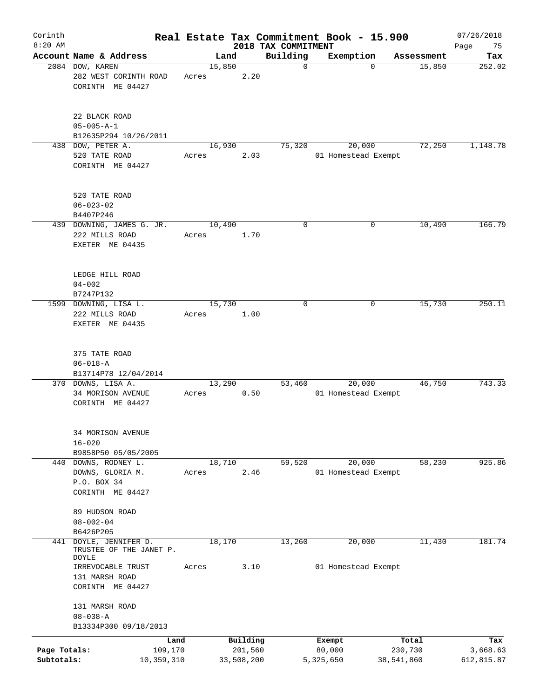| Corinth<br>$8:20$ AM       |                                                              |                               |       |        |                                   | 2018 TAX COMMITMENT | Real Estate Tax Commitment Book - 15.900 |             |                  | 07/26/2018                    |
|----------------------------|--------------------------------------------------------------|-------------------------------|-------|--------|-----------------------------------|---------------------|------------------------------------------|-------------|------------------|-------------------------------|
|                            | Account Name & Address                                       |                               |       | Land   |                                   | Building            | Exemption                                |             | Assessment       | Page<br>75<br>Tax             |
|                            | 2084 DOW, KAREN<br>282 WEST CORINTH ROAD<br>CORINTH ME 04427 |                               | Acres | 15,850 | 2.20                              | $\mathbf 0$         |                                          | $\mathbf 0$ | 15,850           | 252.02                        |
|                            | 22 BLACK ROAD<br>$05 - 005 - A - 1$<br>B12635P294 10/26/2011 |                               |       |        |                                   |                     |                                          |             |                  |                               |
|                            | 438 DOW, PETER A.                                            |                               |       | 16,930 |                                   | 75,320              | 20,000                                   |             | 72,250           | 1,148.78                      |
|                            | 520 TATE ROAD<br>CORINTH ME 04427                            |                               | Acres |        | 2.03                              |                     | 01 Homestead Exempt                      |             |                  |                               |
|                            | 520 TATE ROAD<br>$06 - 023 - 02$<br>B4407P246                |                               |       |        |                                   |                     |                                          |             |                  |                               |
|                            | 439 DOWNING, JAMES G. JR.                                    |                               |       | 10,490 |                                   | 0                   |                                          | 0           | 10,490           | 166.79                        |
|                            | 222 MILLS ROAD<br>EXETER ME 04435                            |                               | Acres |        | 1.70                              |                     |                                          |             |                  |                               |
|                            | LEDGE HILL ROAD<br>$04 - 002$<br>B7247P132                   |                               |       |        |                                   |                     |                                          |             |                  |                               |
|                            | 1599 DOWNING, LISA L.                                        |                               |       | 15,730 |                                   | 0                   |                                          | 0           | 15,730           | 250.11                        |
|                            | 222 MILLS ROAD<br>EXETER ME 04435                            |                               | Acres |        | 1.00                              |                     |                                          |             |                  |                               |
|                            | 375 TATE ROAD<br>$06 - 018 - A$<br>B13714P78 12/04/2014      |                               |       |        |                                   |                     |                                          |             |                  |                               |
|                            | 370 DOWNS, LISA A.<br>34 MORISON AVENUE<br>CORINTH ME 04427  |                               | Acres | 13,290 | 0.50                              | 53,460              | 20,000<br>01 Homestead Exempt            |             | 46,750           | 743.33                        |
|                            | 34 MORISON AVENUE<br>$16 - 020$<br>B9858P50 05/05/2005       |                               |       |        |                                   |                     |                                          |             |                  |                               |
|                            | 440 DOWNS, RODNEY L.                                         |                               |       | 18,710 |                                   | 59,520              | 20,000                                   |             | 58,230           | 925.86                        |
|                            | DOWNS, GLORIA M.<br>P.O. BOX 34<br>CORINTH ME 04427          |                               | Acres |        | 2.46                              |                     | 01 Homestead Exempt                      |             |                  |                               |
|                            | 89 HUDSON ROAD<br>$08 - 002 - 04$                            |                               |       |        |                                   |                     |                                          |             |                  |                               |
|                            | B6426P205                                                    |                               |       |        |                                   |                     |                                          |             |                  |                               |
| 441                        | DOYLE, JENNIFER D.<br>TRUSTEE OF THE JANET P.<br>DOYLE       |                               |       | 18,170 |                                   | 13,260              | 20,000                                   |             | 11,430           | 181.74                        |
|                            | IRREVOCABLE TRUST<br>131 MARSH ROAD<br>CORINTH ME 04427      |                               | Acres |        | 3.10                              |                     | 01 Homestead Exempt                      |             |                  |                               |
|                            | 131 MARSH ROAD<br>$08 - 038 - A$                             |                               |       |        |                                   |                     |                                          |             |                  |                               |
|                            | B13334P300 09/18/2013                                        |                               |       |        |                                   |                     |                                          |             |                  |                               |
| Page Totals:<br>Subtotals: |                                                              | Land<br>109,170<br>10,359,310 |       |        | Building<br>201,560<br>33,508,200 |                     | Exempt<br>80,000<br>5,325,650            | 38,541,860  | Total<br>230,730 | Tax<br>3,668.63<br>612,815.87 |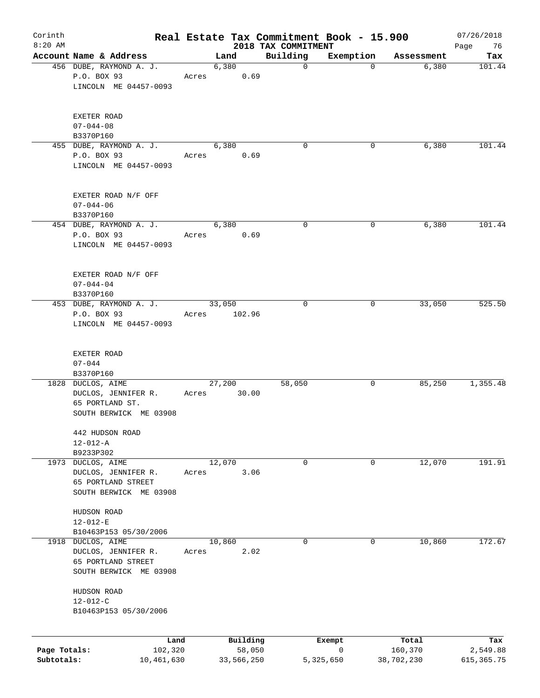| Corinth<br>$8:20$ AM |                                         |       |        |            | Real Estate Tax Commitment Book - 15.900<br>2018 TAX COMMITMENT |           |            | 07/26/2018<br>Page<br>76 |
|----------------------|-----------------------------------------|-------|--------|------------|-----------------------------------------------------------------|-----------|------------|--------------------------|
|                      | Account Name & Address                  |       | Land   |            | Building                                                        | Exemption | Assessment | Tax                      |
|                      | 456 DUBE, RAYMOND A. J.                 |       | 6,380  |            | $\mathbf 0$                                                     | $\Omega$  | 6,380      | 101.44                   |
|                      | P.O. BOX 93                             | Acres |        | 0.69       |                                                                 |           |            |                          |
|                      | LINCOLN ME 04457-0093                   |       |        |            |                                                                 |           |            |                          |
|                      | EXETER ROAD                             |       |        |            |                                                                 |           |            |                          |
|                      | $07 - 044 - 08$                         |       |        |            |                                                                 |           |            |                          |
|                      | B3370P160                               |       |        |            |                                                                 |           |            |                          |
|                      | 455 DUBE, RAYMOND A. J.                 |       | 6,380  |            | 0                                                               | 0         | 6,380      | 101.44                   |
|                      | P.O. BOX 93                             | Acres |        | 0.69       |                                                                 |           |            |                          |
|                      | LINCOLN ME 04457-0093                   |       |        |            |                                                                 |           |            |                          |
|                      | EXETER ROAD N/F OFF                     |       |        |            |                                                                 |           |            |                          |
|                      | $07 - 044 - 06$                         |       |        |            |                                                                 |           |            |                          |
|                      | B3370P160                               |       |        |            |                                                                 |           |            |                          |
|                      | 454 DUBE, RAYMOND A. J.                 |       | 6,380  |            | 0                                                               | 0         | 6,380      | 101.44                   |
|                      | P.O. BOX 93                             | Acres |        | 0.69       |                                                                 |           |            |                          |
|                      | LINCOLN ME 04457-0093                   |       |        |            |                                                                 |           |            |                          |
|                      | EXETER ROAD N/F OFF                     |       |        |            |                                                                 |           |            |                          |
|                      | $07 - 044 - 04$                         |       |        |            |                                                                 |           |            |                          |
|                      | B3370P160                               |       |        |            |                                                                 |           |            |                          |
|                      | 453 DUBE, RAYMOND A. J.                 |       | 33,050 |            | $\mathbf 0$                                                     | 0         | 33,050     | 525.50                   |
|                      | P.O. BOX 93                             | Acres |        | 102.96     |                                                                 |           |            |                          |
|                      | LINCOLN ME 04457-0093                   |       |        |            |                                                                 |           |            |                          |
|                      | EXETER ROAD                             |       |        |            |                                                                 |           |            |                          |
|                      | $07 - 044$                              |       |        |            |                                                                 |           |            |                          |
|                      | B3370P160                               |       |        |            |                                                                 |           |            |                          |
|                      | 1828 DUCLOS, AIME                       |       | 27,200 |            | 58,050                                                          | 0         | 85,250     | 1,355.48                 |
|                      | DUCLOS, JENNIFER R.                     | Acres |        | 30.00      |                                                                 |           |            |                          |
|                      | 65 PORTLAND ST.                         |       |        |            |                                                                 |           |            |                          |
|                      | SOUTH BERWICK ME 03908                  |       |        |            |                                                                 |           |            |                          |
|                      | 442 HUDSON ROAD                         |       |        |            |                                                                 |           |            |                          |
|                      | $12 - 012 - A$                          |       |        |            |                                                                 |           |            |                          |
|                      | B9233P302                               |       |        |            |                                                                 |           |            |                          |
|                      | 1973 DUCLOS, AIME                       |       | 12,070 |            | 0                                                               | 0         | 12,070     | 191.91                   |
|                      | DUCLOS, JENNIFER R.                     | Acres |        | 3.06       |                                                                 |           |            |                          |
|                      | 65 PORTLAND STREET                      |       |        |            |                                                                 |           |            |                          |
|                      | SOUTH BERWICK ME 03908                  |       |        |            |                                                                 |           |            |                          |
|                      | HUDSON ROAD                             |       |        |            |                                                                 |           |            |                          |
|                      | $12 - 012 - E$                          |       |        |            |                                                                 |           |            |                          |
|                      | B10463P153 05/30/2006                   |       |        |            |                                                                 |           |            |                          |
| 1918                 | DUCLOS, AIME                            |       | 10,860 |            | 0                                                               | 0         | 10,860     | 172.67                   |
|                      | DUCLOS, JENNIFER R.                     | Acres |        | 2.02       |                                                                 |           |            |                          |
|                      | 65 PORTLAND STREET                      |       |        |            |                                                                 |           |            |                          |
|                      | SOUTH BERWICK ME 03908                  |       |        |            |                                                                 |           |            |                          |
|                      | HUDSON ROAD                             |       |        |            |                                                                 |           |            |                          |
|                      | $12 - 012 - C$<br>B10463P153 05/30/2006 |       |        |            |                                                                 |           |            |                          |
|                      |                                         |       |        |            |                                                                 |           |            |                          |
|                      | Land                                    |       |        | Building   |                                                                 | Exempt    | Total      | Tax                      |
| Page Totals:         | 102,320                                 |       |        | 58,050     |                                                                 | 0         | 160,370    | 2,549.88                 |
| Subtotals:           | 10,461,630                              |       |        | 33,566,250 |                                                                 | 5,325,650 | 38,702,230 | 615, 365.75              |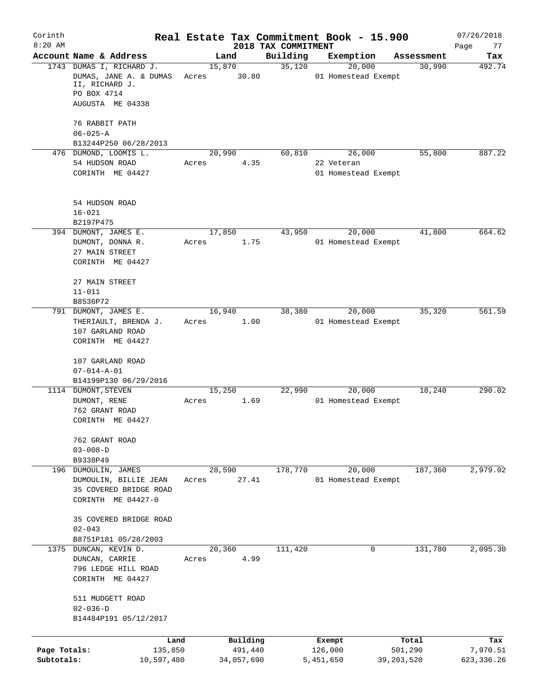| Corinth<br>$8:20$ AM       |                                                                                                         | Real Estate Tax Commitment Book - 15.900 |                                 |                                   |                       | 07/26/2018              |
|----------------------------|---------------------------------------------------------------------------------------------------------|------------------------------------------|---------------------------------|-----------------------------------|-----------------------|-------------------------|
|                            | Account Name & Address                                                                                  | Land                                     | 2018 TAX COMMITMENT<br>Building | Exemption                         | Assessment            | Page<br>77<br>Tax       |
|                            | 1743 DUMAS I, RICHARD J.<br>DUMAS, JANE A. & DUMAS<br>II, RICHARD J.<br>PO BOX 4714<br>AUGUSTA ME 04338 | 15,870<br>30.80<br>Acres                 | 35,120                          | 20,000<br>01 Homestead Exempt     | 30,990                | 492.74                  |
|                            | 76 RABBIT PATH<br>$06 - 025 - A$                                                                        |                                          |                                 |                                   |                       |                         |
|                            | B13244P250 06/28/2013<br>476 DUMOND, LOOMIS L.                                                          | 20,990                                   | 60,810                          | 26,000                            | 55,800                | 887.22                  |
|                            | 54 HUDSON ROAD<br>CORINTH ME 04427                                                                      | 4.35<br>Acres                            |                                 | 22 Veteran<br>01 Homestead Exempt |                       |                         |
|                            | 54 HUDSON ROAD<br>$16 - 021$<br>B2197P475                                                               |                                          |                                 |                                   |                       |                         |
|                            | 394 DUMONT, JAMES E.<br>DUMONT, DONNA R.<br>27 MAIN STREET<br>CORINTH ME 04427                          | 17,850<br>Acres<br>1.75                  | 43,950                          | 20,000<br>01 Homestead Exempt     | 41,800                | 664.62                  |
|                            | 27 MAIN STREET<br>$11 - 011$<br>B8536P72                                                                |                                          |                                 |                                   |                       |                         |
|                            | 791 DUMONT, JAMES E.<br>THERIAULT, BRENDA J.<br>107 GARLAND ROAD<br>CORINTH ME 04427                    | 16,940<br>1.00<br>Acres                  | 38,380                          | 20,000<br>01 Homestead Exempt     | 35,320                | 561.59                  |
|                            | 107 GARLAND ROAD<br>$07 - 014 - A - 01$<br>B14199P130 06/29/2016                                        |                                          |                                 |                                   |                       |                         |
|                            | 1114 DUMONT, STEVEN<br>DUMONT, RENE<br>762 GRANT ROAD<br>CORINTH ME 04427                               | 15,250<br>1.69<br>Acres                  | 22,990                          | 20,000<br>01 Homestead Exempt     | 18,240                | 290.02                  |
|                            | 762 GRANT ROAD<br>$03 - 008 - D$<br>B9338P49                                                            |                                          |                                 |                                   |                       |                         |
|                            | 196 DUMOULIN, JAMES<br>DUMOULIN, BILLIE JEAN<br>35 COVERED BRIDGE ROAD<br>CORINTH ME 04427-0            | 28,590<br>27.41<br>Acres                 | 178,770                         | 20,000<br>01 Homestead Exempt     | 187,360               | 2,979.02                |
|                            | 35 COVERED BRIDGE ROAD<br>$02 - 043$<br>B8751P181 05/28/2003                                            |                                          |                                 |                                   |                       |                         |
|                            | 1375 DUNCAN, KEVIN D.<br>DUNCAN, CARRIE<br>796 LEDGE HILL ROAD<br>CORINTH ME 04427                      | 20,360<br>4.99<br>Acres                  | 111,420                         | 0                                 | 131,780               | 2,095.30                |
|                            | 511 MUDGETT ROAD<br>$02 - 036 - D$<br>B14484P191 05/12/2017                                             |                                          |                                 |                                   |                       |                         |
|                            | Land                                                                                                    | Building                                 |                                 | Exempt                            | Total                 | Tax                     |
| Page Totals:<br>Subtotals: | 135,850<br>10,597,480                                                                                   | 491,440<br>34,057,690                    |                                 | 126,000<br>5,451,650              | 501,290<br>39,203,520 | 7,970.51<br>623, 336.26 |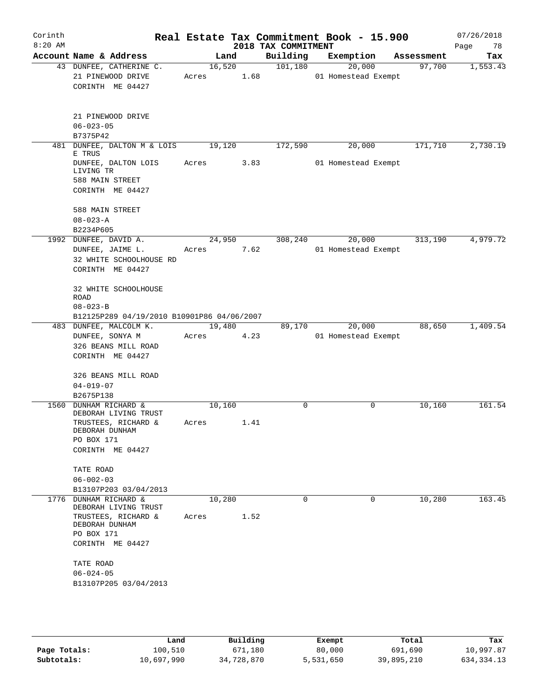| Corinth<br>$8:20$ AM |                                        |                                                                                                |            |                | 2018 TAX COMMITMENT | Real Estate Tax Commitment Book - 15.900 |            | 07/26/2018<br>Page<br>78 |
|----------------------|----------------------------------------|------------------------------------------------------------------------------------------------|------------|----------------|---------------------|------------------------------------------|------------|--------------------------|
|                      |                                        | Account Name & Address                                                                         |            | Land           | Building            | Exemption                                | Assessment | Tax                      |
|                      |                                        | 43 DUNFEE, CATHERINE C.<br>21 PINEWOOD DRIVE<br>CORINTH ME 04427                               | Acres 1.68 | 16,520         | 101,180             | 20,000<br>01 Homestead Exempt            | 97,700     | 1,553.43                 |
|                      | $06 - 023 - 05$                        | 21 PINEWOOD DRIVE                                                                              |            |                |                     |                                          |            |                          |
|                      | B7375P42                               | 481 DUNFEE, DALTON M & LOIS 19,120                                                             |            |                | 172,590             | 20,000                                   | 171,710    | 2,730.19                 |
|                      | E TRUS<br>LIVING TR<br>588 MAIN STREET | DUNFEE, DALTON LOIS<br>CORINTH ME 04427                                                        | Acres 3.83 |                |                     | 01 Homestead Exempt                      |            |                          |
|                      | 588 MAIN STREET<br>$08 - 023 - A$      |                                                                                                |            |                |                     |                                          |            |                          |
|                      | B2234P605                              |                                                                                                |            |                |                     |                                          |            |                          |
|                      |                                        | 1992 DUNFEE, DAVID A.<br>DUNFEE, JAIME L.<br>32 WHITE SCHOOLHOUSE RD<br>CORINTH ME 04427       | Acres      | 24,950<br>7.62 | 308,240             | 20,000<br>01 Homestead Exempt            | 313,190    | 4,979.72                 |
|                      | <b>ROAD</b><br>$08 - 023 - B$          | 32 WHITE SCHOOLHOUSE<br>B12125P289 04/19/2010 B10901P86 04/06/2007                             |            |                |                     |                                          |            |                          |
|                      |                                        | 483 DUNFEE, MALCOLM K.                                                                         |            | 19,480         | 89,170              | 20,000                                   | 88,650     | 1,409.54                 |
|                      |                                        | DUNFEE, SONYA M<br>326 BEANS MILL ROAD<br>CORINTH ME 04427                                     | Acres      | 4.23           |                     | 01 Homestead Exempt                      |            |                          |
|                      | $04 - 019 - 07$                        | 326 BEANS MILL ROAD                                                                            |            |                |                     |                                          |            |                          |
|                      | B2675P138                              |                                                                                                |            |                |                     |                                          |            |                          |
| 1560                 | DEBORAH DUNHAM<br>PO BOX 171           | <b>DUNHAM RICHARD &amp;</b><br>DEBORAH LIVING TRUST<br>TRUSTEES, RICHARD &<br>CORINTH ME 04427 | Acres      | 10,160<br>1.41 | 0                   | $\Omega$                                 | 10,160     | 161.54                   |
|                      | TATE ROAD<br>$06 - 002 - 03$           |                                                                                                |            |                |                     |                                          |            |                          |
|                      |                                        | B13107P203 03/04/2013                                                                          |            |                |                     |                                          |            |                          |
| 1776                 |                                        | DUNHAM RICHARD &<br>DEBORAH LIVING TRUST<br>TRUSTEES, RICHARD &                                | Acres      | 10,280<br>1.52 | 0                   | 0                                        | 10,280     | 163.45                   |
|                      | DEBORAH DUNHAM<br>PO BOX 171           | CORINTH ME 04427                                                                               |            |                |                     |                                          |            |                          |
|                      | TATE ROAD<br>$06 - 024 - 05$           | B13107P205 03/04/2013                                                                          |            |                |                     |                                          |            |                          |
|                      |                                        |                                                                                                |            |                |                     |                                          |            |                          |

|              | Land       | Building   | Exempt    | Total      | Tax          |
|--------------|------------|------------|-----------|------------|--------------|
| Page Totals: | 100,510    | 671,180    | 80,000    | 691,690    | 10,997.87    |
| Subtotals:   | 10,697,990 | 34,728,870 | 5,531,650 | 39,895,210 | 634, 334. 13 |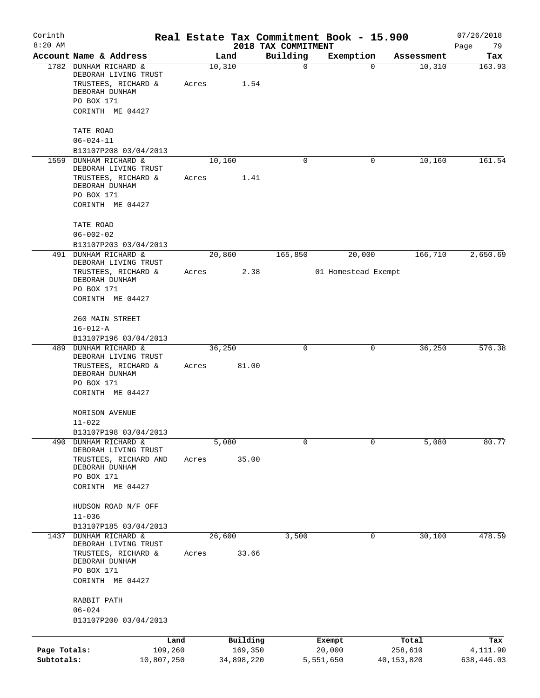| Corinth<br>$8:20$ AM       |                                                                                        |       |                       | 2018 TAX COMMITMENT | Real Estate Tax Commitment Book - 15.900 |                       | 07/26/2018<br>Page<br>79 |
|----------------------------|----------------------------------------------------------------------------------------|-------|-----------------------|---------------------|------------------------------------------|-----------------------|--------------------------|
|                            | Account Name & Address                                                                 |       | Land                  | Building            | Exemption                                | Assessment            | Tax                      |
|                            | 1782 DUNHAM RICHARD &<br>DEBORAH LIVING TRUST<br>TRUSTEES, RICHARD &<br>DEBORAH DUNHAM | Acres | 10,310<br>1.54        | $\mathbf 0$         | $\mathbf 0$                              | 10,310                | 163.93                   |
|                            | PO BOX 171<br>CORINTH ME 04427                                                         |       |                       |                     |                                          |                       |                          |
|                            | TATE ROAD<br>$06 - 024 - 11$                                                           |       |                       |                     |                                          |                       |                          |
|                            | B13107P208 03/04/2013                                                                  |       |                       |                     |                                          |                       |                          |
| 1559                       | DUNHAM RICHARD &<br>DEBORAH LIVING TRUST                                               |       | 10,160                | 0                   | 0                                        | 10,160                | 161.54                   |
|                            | TRUSTEES, RICHARD &<br>DEBORAH DUNHAM<br>PO BOX 171                                    | Acres | 1.41                  |                     |                                          |                       |                          |
|                            | CORINTH ME 04427                                                                       |       |                       |                     |                                          |                       |                          |
|                            | TATE ROAD<br>$06 - 002 - 02$                                                           |       |                       |                     |                                          |                       |                          |
|                            | B13107P203 03/04/2013                                                                  |       |                       |                     |                                          |                       |                          |
|                            | 491 DUNHAM RICHARD &<br>DEBORAH LIVING TRUST                                           |       | 20,860                | 165,850             | 20,000                                   | 166,710               | 2,650.69                 |
|                            | TRUSTEES, RICHARD &<br>DEBORAH DUNHAM                                                  | Acres | 2.38                  |                     | 01 Homestead Exempt                      |                       |                          |
|                            | PO BOX 171<br>CORINTH ME 04427                                                         |       |                       |                     |                                          |                       |                          |
|                            | 260 MAIN STREET<br>$16 - 012 - A$                                                      |       |                       |                     |                                          |                       |                          |
| 489                        | B13107P196 03/04/2013<br>DUNHAM RICHARD &                                              |       | 36,250                | 0                   | 0                                        | 36,250                | 576.38                   |
|                            | DEBORAH LIVING TRUST<br>TRUSTEES, RICHARD &                                            | Acres | 81.00                 |                     |                                          |                       |                          |
|                            | DEBORAH DUNHAM<br>PO BOX 171                                                           |       |                       |                     |                                          |                       |                          |
|                            | CORINTH ME 04427                                                                       |       |                       |                     |                                          |                       |                          |
|                            | MORISON AVENUE                                                                         |       |                       |                     |                                          |                       |                          |
|                            | $11 - 022$<br>B13107P198 03/04/2013                                                    |       |                       |                     |                                          |                       |                          |
| 490                        | DUNHAM RICHARD &<br>DEBORAH LIVING TRUST                                               |       | 5,080                 | 0                   | 0                                        | 5,080                 | 80.77                    |
|                            | TRUSTEES, RICHARD AND<br>DEBORAH DUNHAM<br>PO BOX 171                                  | Acres | 35.00                 |                     |                                          |                       |                          |
|                            | CORINTH ME 04427                                                                       |       |                       |                     |                                          |                       |                          |
|                            | HUDSON ROAD N/F OFF                                                                    |       |                       |                     |                                          |                       |                          |
|                            | $11 - 036$<br>B13107P185 03/04/2013                                                    |       |                       |                     |                                          |                       |                          |
| 1437                       | DUNHAM RICHARD &<br>DEBORAH LIVING TRUST                                               |       | 26,600                | 3,500               | 0                                        | 30,100                | 478.59                   |
|                            | TRUSTEES, RICHARD &<br>DEBORAH DUNHAM<br>PO BOX 171                                    | Acres | 33.66                 |                     |                                          |                       |                          |
|                            | CORINTH ME 04427                                                                       |       |                       |                     |                                          |                       |                          |
|                            | RABBIT PATH                                                                            |       |                       |                     |                                          |                       |                          |
|                            | $06 - 024$<br>B13107P200 03/04/2013                                                    |       |                       |                     |                                          |                       |                          |
|                            |                                                                                        |       |                       |                     |                                          |                       |                          |
|                            | Land                                                                                   |       | Building              |                     | Exempt                                   | Total                 | Tax                      |
| Page Totals:<br>Subtotals: | 109,260<br>10,807,250                                                                  |       | 169,350<br>34,898,220 |                     | 20,000<br>5,551,650                      | 258,610<br>40,153,820 | 4,111.90<br>638,446.03   |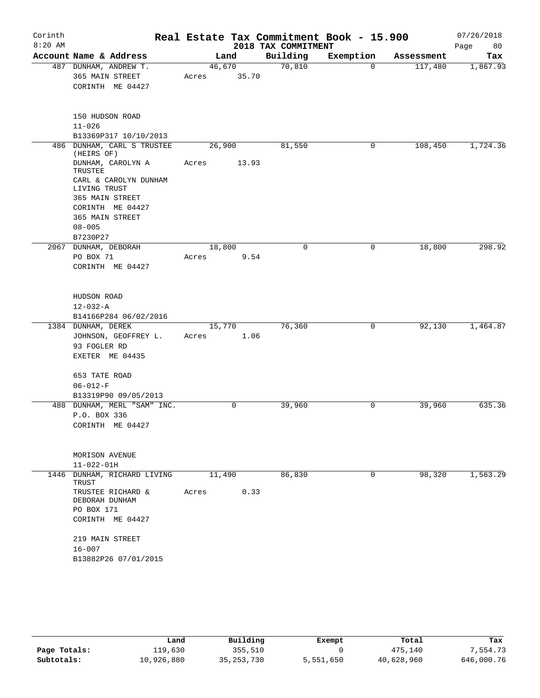| Corinth   |                                       |        |             |                     | Real Estate Tax Commitment Book - 15.900 |            | 07/26/2018 |
|-----------|---------------------------------------|--------|-------------|---------------------|------------------------------------------|------------|------------|
| $8:20$ AM |                                       |        |             | 2018 TAX COMMITMENT |                                          |            | 80<br>Page |
|           | Account Name & Address                |        | Land        | Building            | Exemption                                | Assessment | Tax        |
|           | 487 DUNHAM, ANDREW T.                 | 46,670 |             | 70,810              | $\Omega$                                 | 117,480    | 1,867.93   |
|           | 365 MAIN STREET<br>CORINTH ME 04427   | Acres  | 35.70       |                     |                                          |            |            |
|           |                                       |        |             |                     |                                          |            |            |
|           | 150 HUDSON ROAD                       |        |             |                     |                                          |            |            |
|           | $11 - 026$                            |        |             |                     |                                          |            |            |
|           | B13369P317 10/10/2013                 |        |             |                     |                                          |            |            |
| 486       | DUNHAM, CARL S TRUSTEE<br>(HEIRS OF)  | 26,900 |             | 81,550              | 0                                        | 108,450    | 1,724.36   |
|           | DUNHAM, CAROLYN A<br>TRUSTEE          | Acres  | 13.93       |                     |                                          |            |            |
|           | CARL & CAROLYN DUNHAM<br>LIVING TRUST |        |             |                     |                                          |            |            |
|           | 365 MAIN STREET                       |        |             |                     |                                          |            |            |
|           | CORINTH ME 04427                      |        |             |                     |                                          |            |            |
|           | 365 MAIN STREET                       |        |             |                     |                                          |            |            |
|           | $08 - 005$                            |        |             |                     |                                          |            |            |
|           | B7230P27<br>2067 DUNHAM, DEBORAH      | 18,800 |             | $\mathbf 0$         | $\mathbf 0$                              | 18,800     | 298.92     |
|           | PO BOX 71                             | Acres  | 9.54        |                     |                                          |            |            |
|           | CORINTH ME 04427                      |        |             |                     |                                          |            |            |
|           | HUDSON ROAD<br>$12 - 032 - A$         |        |             |                     |                                          |            |            |
|           | B14166P284 06/02/2016                 |        |             |                     |                                          |            |            |
|           | 1384 DUNHAM, DEREK                    | 15,770 |             | 76,360              | 0                                        | 92,130     | 1,464.87   |
|           | JOHNSON, GEOFFREY L.                  | Acres  | 1.06        |                     |                                          |            |            |
|           | 93 FOGLER RD                          |        |             |                     |                                          |            |            |
|           | EXETER ME 04435                       |        |             |                     |                                          |            |            |
|           | 653 TATE ROAD<br>$06 - 012 - F$       |        |             |                     |                                          |            |            |
|           | B13319P90 09/05/2013                  |        |             |                     |                                          |            |            |
| 488       | DUNHAM, MERL "SAM" INC.               |        | $\mathbf 0$ | 39,960              | $\mathbf 0$                              | 39,960     | 635.36     |
|           | P.O. BOX 336                          |        |             |                     |                                          |            |            |
|           | CORINTH ME 04427                      |        |             |                     |                                          |            |            |
|           | MORISON AVENUE                        |        |             |                     |                                          |            |            |
|           | $11 - 022 - 01H$                      |        |             |                     |                                          |            |            |
|           | 1446 DUNHAM, RICHARD LIVING<br>TRUST  | 11,490 |             | 86,830              | $\mathbf 0$                              | 98,320     | 1,563.29   |
|           | TRUSTEE RICHARD &<br>DEBORAH DUNHAM   | Acres  | 0.33        |                     |                                          |            |            |
|           | PO BOX 171                            |        |             |                     |                                          |            |            |
|           | CORINTH ME 04427                      |        |             |                     |                                          |            |            |
|           | 219 MAIN STREET                       |        |             |                     |                                          |            |            |
|           | $16 - 007$                            |        |             |                     |                                          |            |            |
|           | B13882P26 07/01/2015                  |        |             |                     |                                          |            |            |
|           |                                       |        |             |                     |                                          |            |            |

|              | Land       | Building     | Exempt    | Total      | Tax        |
|--------------|------------|--------------|-----------|------------|------------|
| Page Totals: | 119,630    | 355,510      |           | 475,140    | 7,554.73   |
| Subtotals:   | 10,926,880 | 35, 253, 730 | 5,551,650 | 40,628,960 | 646,000.76 |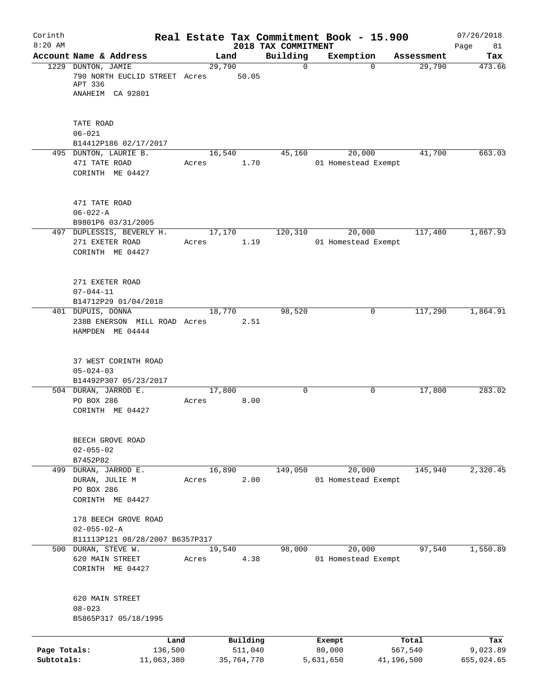| Corinth<br>$8:20$ AM       |                                                                                |                 | 2018 TAX COMMITMENT   | Real Estate Tax Commitment Book - 15.900 |                       | 07/26/2018<br>81<br>Page |
|----------------------------|--------------------------------------------------------------------------------|-----------------|-----------------------|------------------------------------------|-----------------------|--------------------------|
|                            | Account Name & Address                                                         | Land            | Building              | Exemption                                | Assessment            | Tax                      |
|                            | 1229 DUNTON, JAMIE<br>790 NORTH EUCLID STREET Acres                            | 29,790          | $\mathbf 0$<br>50.05  | $\Omega$                                 | 29,790                | 473.66                   |
|                            | APT 336<br>ANAHEIM CA 92801                                                    |                 |                       |                                          |                       |                          |
|                            | TATE ROAD                                                                      |                 |                       |                                          |                       |                          |
|                            | $06 - 021$                                                                     |                 |                       |                                          |                       |                          |
|                            | B14412P186 02/17/2017<br>495 DUNTON, LAURIE B.                                 | 16,540          | 45,160                | 20,000                                   | 41,700                | 663.03                   |
|                            | 471 TATE ROAD<br>CORINTH ME 04427                                              | Acres           | 1.70                  | 01 Homestead Exempt                      |                       |                          |
|                            | 471 TATE ROAD<br>$06 - 022 - A$<br>B9801P6 03/31/2005                          |                 |                       |                                          |                       |                          |
|                            | 497 DUPLESSIS, BEVERLY H.<br>271 EXETER ROAD<br>CORINTH ME 04427               | 17,170<br>Acres | 120,310<br>1.19       | 20,000<br>01 Homestead Exempt            | 117,480               | 1,867.93                 |
|                            | 271 EXETER ROAD<br>$07 - 044 - 11$<br>B14712P29 01/04/2018                     |                 |                       |                                          |                       |                          |
|                            | 401 DUPUIS, DONNA<br>238B ENERSON MILL ROAD Acres<br>HAMPDEN ME 04444          | 18,770          | 98,520<br>2.51        | 0                                        | 117,290               | 1,864.91                 |
|                            | 37 WEST CORINTH ROAD<br>$05 - 024 - 03$<br>B14492P307 05/23/2017               |                 |                       |                                          |                       |                          |
|                            | 504 DURAN, JARROD E.<br>PO BOX 286<br>CORINTH ME 04427                         | 17,800<br>Acres | $\mathbf 0$<br>8.00   | 0                                        | 17,800                | 283.02                   |
|                            | BEECH GROVE ROAD<br>$02 - 055 - 02$<br>B7452P82                                |                 |                       |                                          |                       |                          |
|                            | 499 DURAN, JARROD E.<br>DURAN, JULIE M<br>PO BOX 286<br>CORINTH ME 04427       | 16,890<br>Acres | 149,050<br>2.00       | 20,000<br>01 Homestead Exempt            | 145,940               | 2,320.45                 |
|                            | 178 BEECH GROVE ROAD<br>$02 - 055 - 02 - A$<br>B11113P121 08/28/2007 B6357P317 |                 |                       |                                          |                       |                          |
|                            | 500 DURAN, STEVE W.<br>620 MAIN STREET<br>CORINTH ME 04427                     | 19,540<br>Acres | 98,000<br>4.38        | 20,000<br>01 Homestead Exempt            | 97,540                | 1,550.89                 |
|                            | 620 MAIN STREET<br>$08 - 023$<br>B5865P317 05/18/1995                          |                 |                       |                                          |                       |                          |
|                            | Land                                                                           |                 | Building              | Exempt                                   | Total                 | Tax                      |
| Page Totals:<br>Subtotals: | 136,500<br>11,063,380                                                          |                 | 511,040<br>35,764,770 | 80,000<br>5,631,650                      | 567,540<br>41,196,500 | 9,023.89<br>655,024.65   |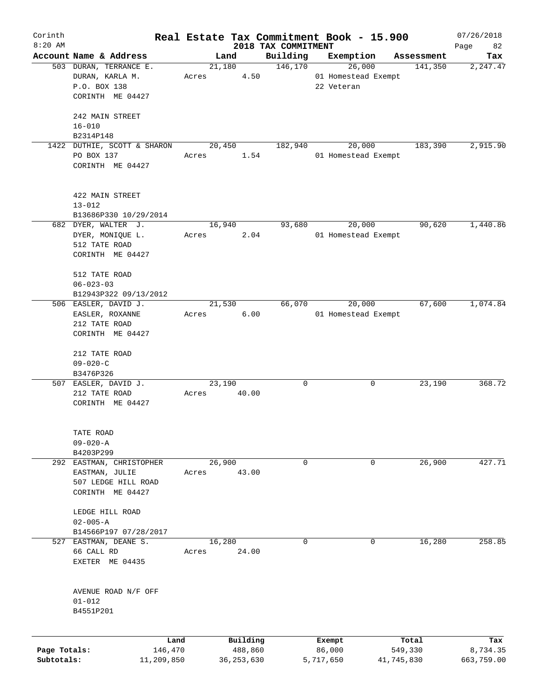| Corinth      |                                   |       |              |                                 | Real Estate Tax Commitment Book - 15.900 |                  | 07/26/2018        |
|--------------|-----------------------------------|-------|--------------|---------------------------------|------------------------------------------|------------------|-------------------|
| $8:20$ AM    | Account Name & Address            |       | Land         | 2018 TAX COMMITMENT<br>Building | Exemption                                | Assessment       | 82<br>Page<br>Tax |
|              | 503 DURAN, TERRANCE E.            |       | 21,180       | 146,170                         | 26,000                                   | 141,350          | 2,247.47          |
|              | DURAN, KARLA M.                   | Acres | 4.50         |                                 | 01 Homestead Exempt                      |                  |                   |
|              | P.O. BOX 138                      |       |              |                                 | 22 Veteran                               |                  |                   |
|              | CORINTH ME 04427                  |       |              |                                 |                                          |                  |                   |
|              | 242 MAIN STREET                   |       |              |                                 |                                          |                  |                   |
|              | $16 - 010$                        |       |              |                                 |                                          |                  |                   |
|              | B2314P148                         |       |              |                                 |                                          |                  |                   |
|              | 1422 DUTHIE, SCOTT & SHARON       |       | 20,450       | 182,940                         | 20,000                                   | 183,390          | 2,915.90          |
|              | PO BOX 137                        | Acres | 1.54         |                                 | 01 Homestead Exempt                      |                  |                   |
|              | CORINTH ME 04427                  |       |              |                                 |                                          |                  |                   |
|              | 422 MAIN STREET                   |       |              |                                 |                                          |                  |                   |
|              | $13 - 012$                        |       |              |                                 |                                          |                  |                   |
|              | B13686P330 10/29/2014             |       |              |                                 |                                          |                  |                   |
|              | 682 DYER, WALTER J.               |       | 16,940       | 93,680                          | 20,000                                   | 90,620           | 1,440.86          |
|              | DYER, MONIQUE L.                  | Acres | 2.04         |                                 | 01 Homestead Exempt                      |                  |                   |
|              | 512 TATE ROAD                     |       |              |                                 |                                          |                  |                   |
|              | CORINTH ME 04427                  |       |              |                                 |                                          |                  |                   |
|              |                                   |       |              |                                 |                                          |                  |                   |
|              | 512 TATE ROAD                     |       |              |                                 |                                          |                  |                   |
|              | $06 - 023 - 03$                   |       |              |                                 |                                          |                  |                   |
|              | B12943P322 09/13/2012             |       |              |                                 |                                          |                  |                   |
|              | 506 EASLER, DAVID J.              |       | 21,530       | 66,070                          | 20,000                                   | 67,600           | 1,074.84          |
|              |                                   |       | 6.00         |                                 |                                          |                  |                   |
|              | EASLER, ROXANNE                   | Acres |              |                                 | 01 Homestead Exempt                      |                  |                   |
|              | 212 TATE ROAD                     |       |              |                                 |                                          |                  |                   |
|              | CORINTH ME 04427                  |       |              |                                 |                                          |                  |                   |
|              |                                   |       |              |                                 |                                          |                  |                   |
|              | 212 TATE ROAD                     |       |              |                                 |                                          |                  |                   |
|              | $09 - 020 - C$                    |       |              |                                 |                                          |                  |                   |
|              | B3476P326<br>507 EASLER, DAVID J. |       | 23,190       | $\mathbf 0$                     | 0                                        | 23,190           | 368.72            |
|              | 212 TATE ROAD                     |       | 40.00        |                                 |                                          |                  |                   |
|              |                                   | Acres |              |                                 |                                          |                  |                   |
|              | CORINTH ME 04427                  |       |              |                                 |                                          |                  |                   |
|              | TATE ROAD                         |       |              |                                 |                                          |                  |                   |
|              | $09 - 020 - A$                    |       |              |                                 |                                          |                  |                   |
|              | B4203P299                         |       |              |                                 |                                          |                  |                   |
|              | 292 EASTMAN, CHRISTOPHER          |       | 26,900       | 0                               | 0                                        | 26,900           | 427.71            |
|              | EASTMAN, JULIE                    | Acres | 43.00        |                                 |                                          |                  |                   |
|              | 507 LEDGE HILL ROAD               |       |              |                                 |                                          |                  |                   |
|              | CORINTH ME 04427                  |       |              |                                 |                                          |                  |                   |
|              | LEDGE HILL ROAD                   |       |              |                                 |                                          |                  |                   |
|              | $02 - 005 - A$                    |       |              |                                 |                                          |                  |                   |
|              | B14566P197 07/28/2017             |       |              |                                 |                                          |                  |                   |
| 527          | EASTMAN, DEANE S.                 |       | 16,280       | 0                               | 0                                        | 16,280           | 258.85            |
|              | 66 CALL RD                        | Acres | 24.00        |                                 |                                          |                  |                   |
|              | EXETER ME 04435                   |       |              |                                 |                                          |                  |                   |
|              |                                   |       |              |                                 |                                          |                  |                   |
|              | AVENUE ROAD N/F OFF               |       |              |                                 |                                          |                  |                   |
|              | $01 - 012$                        |       |              |                                 |                                          |                  |                   |
|              | B4551P201                         |       |              |                                 |                                          |                  |                   |
|              | Land                              |       | Building     |                                 |                                          |                  |                   |
| Page Totals: | 146,470                           |       | 488,860      |                                 | Exempt<br>86,000                         | Total<br>549,330 | Tax<br>8,734.35   |
| Subtotals:   | 11,209,850                        |       | 36, 253, 630 |                                 | 5,717,650                                | 41,745,830       | 663,759.00        |
|              |                                   |       |              |                                 |                                          |                  |                   |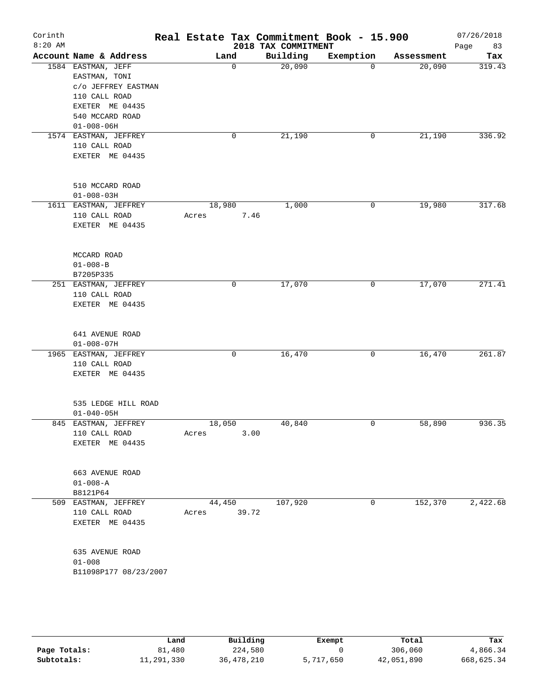| Corinth   |                                      |                 |              |                                 | Real Estate Tax Commitment Book - 15.900 |                      | 07/26/2018    |
|-----------|--------------------------------------|-----------------|--------------|---------------------------------|------------------------------------------|----------------------|---------------|
| $8:20$ AM | Account Name & Address               | Land            |              | 2018 TAX COMMITMENT<br>Building | Exemption                                |                      | 83<br>Page    |
|           | 1584 EASTMAN, JEFF                   |                 | $\mathbf 0$  | 20,090                          | $\Omega$                                 | Assessment<br>20,090 | Tax<br>319.43 |
|           | EASTMAN, TONI<br>C/O JEFFREY EASTMAN |                 |              |                                 |                                          |                      |               |
|           | 110 CALL ROAD                        |                 |              |                                 |                                          |                      |               |
|           | EXETER ME 04435                      |                 |              |                                 |                                          |                      |               |
|           | 540 MCCARD ROAD                      |                 |              |                                 |                                          |                      |               |
|           | $01 - 008 - 06H$                     |                 |              |                                 |                                          |                      |               |
|           | 1574 EASTMAN, JEFFREY                |                 | $\mathbf 0$  | 21,190                          | 0                                        | 21,190               | 336.92        |
|           | 110 CALL ROAD                        |                 |              |                                 |                                          |                      |               |
|           | EXETER ME 04435                      |                 |              |                                 |                                          |                      |               |
|           | 510 MCCARD ROAD                      |                 |              |                                 |                                          |                      |               |
|           | $01 - 008 - 03H$                     |                 |              |                                 |                                          |                      |               |
|           | 1611 EASTMAN, JEFFREY                | 18,980          |              | 1,000                           | 0                                        | 19,980               | 317.68        |
|           | 110 CALL ROAD                        | Acres           | 7.46         |                                 |                                          |                      |               |
|           | EXETER ME 04435                      |                 |              |                                 |                                          |                      |               |
|           | MCCARD ROAD                          |                 |              |                                 |                                          |                      |               |
|           | $01 - 008 - B$                       |                 |              |                                 |                                          |                      |               |
|           | B7205P335                            |                 |              |                                 |                                          |                      |               |
|           | 251 EASTMAN, JEFFREY                 |                 | 0            | 17,070                          | 0                                        | 17,070               | 271.41        |
|           | 110 CALL ROAD<br>EXETER ME 04435     |                 |              |                                 |                                          |                      |               |
|           |                                      |                 |              |                                 |                                          |                      |               |
|           | 641 AVENUE ROAD                      |                 |              |                                 |                                          |                      |               |
|           | $01 - 008 - 07H$                     |                 |              |                                 |                                          |                      |               |
|           | 1965 EASTMAN, JEFFREY                |                 | $\mathsf{O}$ | 16,470                          | 0                                        | 16,470               | 261.87        |
|           | 110 CALL ROAD<br>EXETER ME 04435     |                 |              |                                 |                                          |                      |               |
|           |                                      |                 |              |                                 |                                          |                      |               |
|           | 535 LEDGE HILL ROAD                  |                 |              |                                 |                                          |                      |               |
|           | $01 - 040 - 05H$                     |                 |              |                                 |                                          |                      |               |
| 845       | EASTMAN, JEFFREY<br>110 CALL ROAD    | 18,050          |              | 40,840                          | 0                                        | 58,890               | 936.35        |
|           | EXETER ME 04435                      | Acres           | 3.00         |                                 |                                          |                      |               |
|           |                                      |                 |              |                                 |                                          |                      |               |
|           | 663 AVENUE ROAD                      |                 |              |                                 |                                          |                      |               |
|           | $01 - 008 - A$                       |                 |              |                                 |                                          |                      |               |
|           | B8121P64<br>509 EASTMAN, JEFFREY     |                 |              |                                 | 0                                        |                      | 2,422.68      |
|           | 110 CALL ROAD                        | 44,450<br>Acres | 39.72        | 107,920                         |                                          | 152,370              |               |
|           | EXETER ME 04435                      |                 |              |                                 |                                          |                      |               |
|           |                                      |                 |              |                                 |                                          |                      |               |
|           | 635 AVENUE ROAD                      |                 |              |                                 |                                          |                      |               |
|           | $01 - 008$                           |                 |              |                                 |                                          |                      |               |
|           | B11098P177 08/23/2007                |                 |              |                                 |                                          |                      |               |
|           |                                      |                 |              |                                 |                                          |                      |               |
|           |                                      |                 |              |                                 |                                          |                      |               |

|              | Land       | Building   | Exempt    | Total      | Tax        |
|--------------|------------|------------|-----------|------------|------------|
| Page Totals: | 81,480     | 224,580    |           | 306,060    | 4,866.34   |
| Subtotals:   | 11,291,330 | 36,478,210 | 5,717,650 | 42,051,890 | 668,625.34 |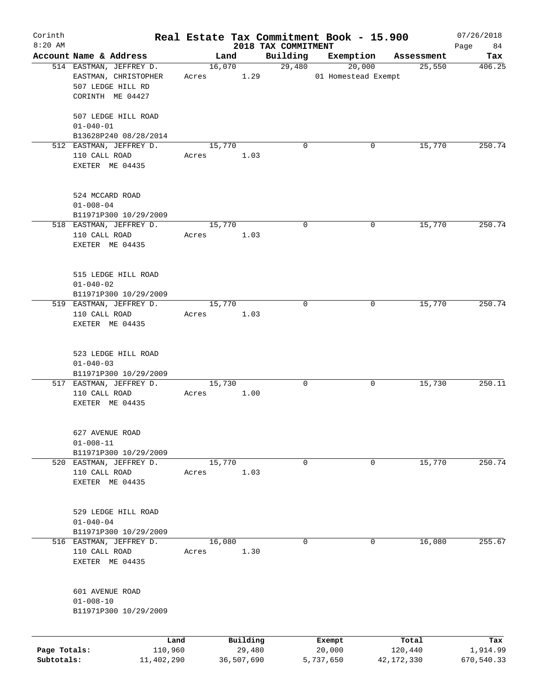| Corinth                    |                                                                 |       |        |                      |                                 | Real Estate Tax Commitment Book - 15.900 |                       | 07/26/2018             |
|----------------------------|-----------------------------------------------------------------|-------|--------|----------------------|---------------------------------|------------------------------------------|-----------------------|------------------------|
| $8:20$ AM                  | Account Name & Address                                          |       | Land   |                      | 2018 TAX COMMITMENT<br>Building | Exemption                                |                       | 84<br>Page             |
|                            | 514 EASTMAN, JEFFREY D.                                         |       | 16,070 |                      | 29,480                          | 20,000                                   | Assessment<br>25,550  | Tax<br>406.25          |
|                            | EASTMAN, CHRISTOPHER<br>507 LEDGE HILL RD<br>CORINTH ME 04427   | Acres |        | 1.29                 |                                 | 01 Homestead Exempt                      |                       |                        |
|                            | 507 LEDGE HILL ROAD<br>$01 - 040 - 01$                          |       |        |                      |                                 |                                          |                       |                        |
|                            | B13628P240 08/28/2014                                           |       |        |                      |                                 |                                          |                       |                        |
|                            | 512 EASTMAN, JEFFREY D.<br>110 CALL ROAD<br>EXETER ME 04435     | Acres | 15,770 | 1.03                 | $\Omega$                        | 0                                        | 15,770                | 250.74                 |
|                            | 524 MCCARD ROAD<br>$01 - 008 - 04$<br>B11971P300 10/29/2009     |       |        |                      |                                 |                                          |                       |                        |
|                            | 518 EASTMAN, JEFFREY D.                                         |       | 15,770 |                      | 0                               | 0                                        | 15,770                | 250.74                 |
|                            | 110 CALL ROAD<br>EXETER ME 04435                                | Acres |        | 1.03                 |                                 |                                          |                       |                        |
|                            | 515 LEDGE HILL ROAD<br>$01 - 040 - 02$<br>B11971P300 10/29/2009 |       |        |                      |                                 |                                          |                       |                        |
|                            | 519 EASTMAN, JEFFREY D.                                         |       | 15,770 |                      | 0                               | 0                                        | 15,770                | 250.74                 |
|                            | 110 CALL ROAD<br>EXETER ME 04435                                | Acres |        | 1.03                 |                                 |                                          |                       |                        |
|                            | 523 LEDGE HILL ROAD<br>$01 - 040 - 03$<br>B11971P300 10/29/2009 |       |        |                      |                                 |                                          |                       |                        |
|                            | 517 EASTMAN, JEFFREY D.                                         |       | 15,730 |                      | 0                               | 0                                        | 15,730                | 250.11                 |
|                            | 110 CALL ROAD<br>EXETER ME 04435                                | Acres |        | 1.00                 |                                 |                                          |                       |                        |
|                            | 627 AVENUE ROAD<br>$01 - 008 - 11$                              |       |        |                      |                                 |                                          |                       |                        |
|                            | B11971P300 10/29/2009                                           |       |        |                      |                                 |                                          |                       |                        |
|                            | 520 EASTMAN, JEFFREY D.<br>110 CALL ROAD<br>EXETER ME 04435     | Acres | 15,770 | 1.03                 | 0                               | 0                                        | 15,770                | 250.74                 |
|                            | 529 LEDGE HILL ROAD<br>$01 - 040 - 04$<br>B11971P300 10/29/2009 |       |        |                      |                                 |                                          |                       |                        |
| 516                        | EASTMAN, JEFFREY D.                                             |       | 16,080 |                      | 0                               | 0                                        | 16,080                | 255.67                 |
|                            | 110 CALL ROAD<br>EXETER ME 04435                                | Acres |        | 1.30                 |                                 |                                          |                       |                        |
|                            | 601 AVENUE ROAD<br>$01 - 008 - 10$<br>B11971P300 10/29/2009     |       |        |                      |                                 |                                          |                       |                        |
|                            | Land                                                            |       |        | Building             |                                 | Exempt                                   | Total                 | Tax                    |
| Page Totals:<br>Subtotals: | 110,960<br>11,402,290                                           |       |        | 29,480<br>36,507,690 |                                 | 20,000<br>5,737,650                      | 120,440<br>42,172,330 | 1,914.99<br>670,540.33 |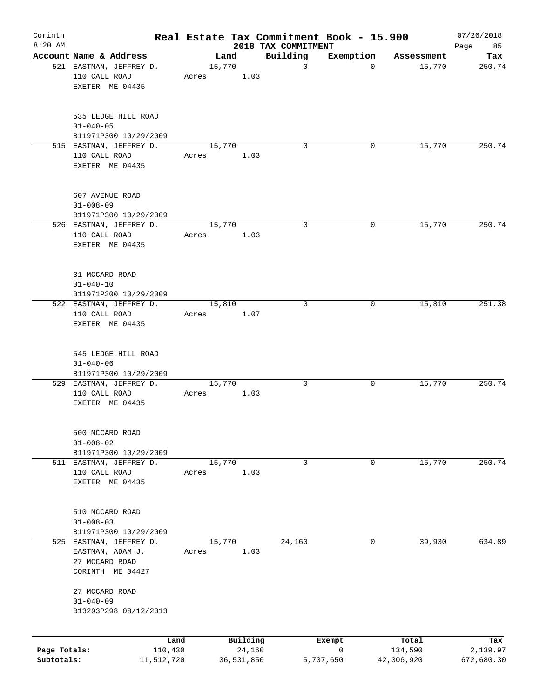| Corinth<br>$8:20$ AM |                                                                                   |            |       |        |            |                                 |             | Real Estate Tax Commitment Book - 15.900 |            | 07/26/2018        |
|----------------------|-----------------------------------------------------------------------------------|------------|-------|--------|------------|---------------------------------|-------------|------------------------------------------|------------|-------------------|
|                      | Account Name & Address                                                            |            |       | Land   |            | 2018 TAX COMMITMENT<br>Building |             | Exemption                                | Assessment | 85<br>Page<br>Tax |
|                      | 521 EASTMAN, JEFFREY D.<br>110 CALL ROAD                                          |            | Acres | 15,770 | 1.03       |                                 | $\mathbf 0$ | $\mathbf 0$                              | 15,770     | 250.74            |
|                      | EXETER ME 04435                                                                   |            |       |        |            |                                 |             |                                          |            |                   |
|                      | 535 LEDGE HILL ROAD<br>$01 - 040 - 05$                                            |            |       |        |            |                                 |             |                                          |            |                   |
|                      | B11971P300 10/29/2009                                                             |            |       |        |            |                                 |             |                                          |            |                   |
|                      | 515 EASTMAN, JEFFREY D.<br>110 CALL ROAD<br>EXETER ME 04435                       |            | Acres | 15,770 | 1.03       |                                 | $\Omega$    | 0                                        | 15,770     | 250.74            |
|                      | 607 AVENUE ROAD                                                                   |            |       |        |            |                                 |             |                                          |            |                   |
|                      | $01 - 008 - 09$                                                                   |            |       |        |            |                                 |             |                                          |            |                   |
|                      | B11971P300 10/29/2009                                                             |            |       |        |            |                                 | 0           | 0                                        |            | 250.74            |
|                      | 526 EASTMAN, JEFFREY D.<br>110 CALL ROAD<br>EXETER ME 04435                       |            | Acres | 15,770 | 1.03       |                                 |             |                                          | 15,770     |                   |
|                      | 31 MCCARD ROAD                                                                    |            |       |        |            |                                 |             |                                          |            |                   |
|                      | $01 - 040 - 10$<br>B11971P300 10/29/2009                                          |            |       |        |            |                                 |             |                                          |            |                   |
|                      | 522 EASTMAN, JEFFREY D.                                                           |            |       | 15,810 |            |                                 | $\mathbf 0$ | 0                                        | 15,810     | 251.38            |
|                      | 110 CALL ROAD<br>EXETER ME 04435                                                  |            | Acres |        | 1.07       |                                 |             |                                          |            |                   |
|                      | 545 LEDGE HILL ROAD<br>$01 - 040 - 06$<br>B11971P300 10/29/2009                   |            |       |        |            |                                 |             |                                          |            |                   |
|                      | 529 EASTMAN, JEFFREY D.                                                           |            |       | 15,770 |            |                                 | 0           | 0                                        | 15,770     | 250.74            |
|                      | 110 CALL ROAD<br>EXETER ME 04435                                                  |            | Acres |        | 1.03       |                                 |             |                                          |            |                   |
|                      | 500 MCCARD ROAD<br>$01 - 008 - 02$                                                |            |       |        |            |                                 |             |                                          |            |                   |
|                      | B11971P300 10/29/2009                                                             |            |       |        |            |                                 |             |                                          |            |                   |
|                      | 511 EASTMAN, JEFFREY D.<br>110 CALL ROAD<br>EXETER ME 04435                       |            | Acres | 15,770 | 1.03       |                                 | 0           | 0                                        | 15,770     | 250.74            |
|                      | 510 MCCARD ROAD<br>$01 - 008 - 03$                                                |            |       |        |            |                                 |             |                                          |            |                   |
|                      | B11971P300 10/29/2009                                                             |            |       |        |            |                                 |             |                                          |            |                   |
|                      | 525 EASTMAN, JEFFREY D.<br>EASTMAN, ADAM J.<br>27 MCCARD ROAD<br>CORINTH ME 04427 |            | Acres | 15,770 | 1.03       | 24,160                          |             | 0                                        | 39,930     | 634.89            |
|                      | 27 MCCARD ROAD<br>$01 - 040 - 09$                                                 |            |       |        |            |                                 |             |                                          |            |                   |
|                      | B13293P298 08/12/2013                                                             |            |       |        |            |                                 |             |                                          |            |                   |
|                      |                                                                                   | Land       |       |        | Building   |                                 |             | Exempt                                   | Total      | Tax               |
| Page Totals:         |                                                                                   | 110,430    |       |        | 24,160     |                                 |             | 0                                        | 134,590    | 2,139.97          |
| Subtotals:           |                                                                                   | 11,512,720 |       |        | 36,531,850 |                                 |             | 5,737,650                                | 42,306,920 | 672,680.30        |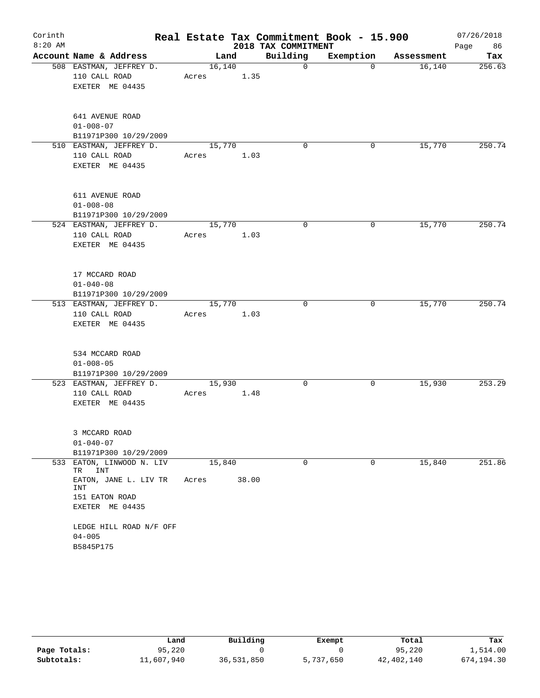| Corinth<br>$8:20$ AM |                                                                                                         |                 |       | 2018 TAX COMMITMENT | Real Estate Tax Commitment Book - 15.900 |            | 07/26/2018<br>86<br>Page |
|----------------------|---------------------------------------------------------------------------------------------------------|-----------------|-------|---------------------|------------------------------------------|------------|--------------------------|
|                      | Account Name & Address                                                                                  | Land            |       | Building            | Exemption                                | Assessment | Tax                      |
|                      | 508 EASTMAN, JEFFREY D.<br>110 CALL ROAD<br>EXETER ME 04435                                             | 16,140<br>Acres | 1.35  | 0                   | $\Omega$                                 | 16, 140    | 256.63                   |
|                      | 641 AVENUE ROAD<br>$01 - 008 - 07$<br>B11971P300 10/29/2009                                             |                 |       |                     |                                          |            |                          |
|                      | 510 EASTMAN, JEFFREY D.<br>110 CALL ROAD<br>EXETER ME 04435                                             | 15,770<br>Acres | 1.03  | 0                   | 0                                        | 15,770     | 250.74                   |
|                      | 611 AVENUE ROAD<br>$01 - 008 - 08$<br>B11971P300 10/29/2009                                             |                 |       |                     |                                          |            |                          |
|                      | 524 EASTMAN, JEFFREY D.<br>110 CALL ROAD<br>EXETER ME 04435                                             | 15,770<br>Acres | 1.03  | 0                   | 0                                        | 15,770     | 250.74                   |
|                      | 17 MCCARD ROAD<br>$01 - 040 - 08$<br>B11971P300 10/29/2009                                              |                 |       |                     |                                          |            |                          |
|                      | 513 EASTMAN, JEFFREY D.<br>110 CALL ROAD<br>EXETER ME 04435                                             | 15,770<br>Acres | 1.03  | $\mathbf 0$         | 0                                        | 15,770     | 250.74                   |
|                      | 534 MCCARD ROAD<br>$01 - 008 - 05$<br>B11971P300 10/29/2009                                             |                 |       |                     |                                          |            |                          |
|                      | 523 EASTMAN, JEFFREY D.<br>110 CALL ROAD<br>EXETER ME 04435                                             | 15,930<br>Acres | 1.48  | 0                   | 0                                        | 15,930     | 253.29                   |
|                      | 3 MCCARD ROAD<br>$01 - 040 - 07$<br>B11971P300 10/29/2009                                               |                 |       |                     |                                          |            |                          |
| 533                  | EATON, LINWOOD N. LIV<br>TR<br>INT<br>EATON, JANE L. LIV TR<br>INT<br>151 EATON ROAD<br>EXETER ME 04435 | 15,840<br>Acres | 38.00 | 0                   | 0                                        | 15,840     | 251.86                   |
|                      | LEDGE HILL ROAD N/F OFF<br>$04 - 005$<br>B5845P175                                                      |                 |       |                     |                                          |            |                          |

|              | Land       | Building   | Exempt    | Total      | Tax        |
|--------------|------------|------------|-----------|------------|------------|
| Page Totals: | 95,220     |            |           | 95,220     | 1,514.00   |
| Subtotals:   | 11,607,940 | 36,531,850 | 5,737,650 | 42,402,140 | 674,194.30 |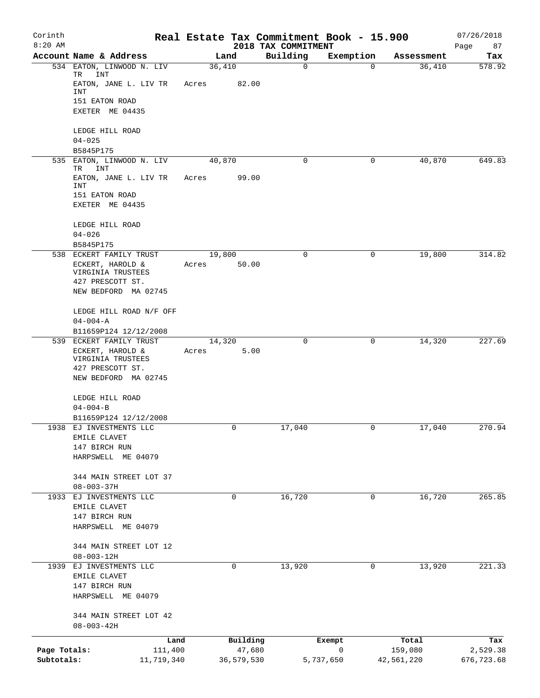| Corinth<br>$8:20$ AM |                                                  |        |            | 2018 TAX COMMITMENT | Real Estate Tax Commitment Book - 15.900 |            | 07/26/2018<br>Page<br>87 |
|----------------------|--------------------------------------------------|--------|------------|---------------------|------------------------------------------|------------|--------------------------|
|                      | Account Name & Address                           |        | Land       | Building            | Exemption                                | Assessment | Tax                      |
|                      | 534 EATON, LINWOOD N. LIV<br>TR<br>INT           | 36,410 |            | $\mathbf 0$         | 0                                        | 36,410     | 578.92                   |
|                      | EATON, JANE L. LIV TR<br>INT                     | Acres  | 82.00      |                     |                                          |            |                          |
|                      | 151 EATON ROAD<br>EXETER ME 04435                |        |            |                     |                                          |            |                          |
|                      | LEDGE HILL ROAD                                  |        |            |                     |                                          |            |                          |
|                      | $04 - 025$                                       |        |            |                     |                                          |            |                          |
| 535                  | B5845P175<br>EATON, LINWOOD N. LIV               | 40,870 |            | 0                   | 0                                        | 40,870     | 649.83                   |
|                      | TR<br>INT                                        |        |            |                     |                                          |            |                          |
|                      | EATON, JANE L. LIV TR<br>INT                     | Acres  | 99.00      |                     |                                          |            |                          |
|                      | 151 EATON ROAD                                   |        |            |                     |                                          |            |                          |
|                      | EXETER ME 04435                                  |        |            |                     |                                          |            |                          |
|                      | LEDGE HILL ROAD                                  |        |            |                     |                                          |            |                          |
|                      | $04 - 026$<br>B5845P175                          |        |            |                     |                                          |            |                          |
|                      | 538 ECKERT FAMILY TRUST                          | 19,800 |            | 0                   | 0                                        | 19,800     | 314.82                   |
|                      | ECKERT, HAROLD &                                 | Acres  | 50.00      |                     |                                          |            |                          |
|                      | VIRGINIA TRUSTEES                                |        |            |                     |                                          |            |                          |
|                      | 427 PRESCOTT ST.<br>NEW BEDFORD MA 02745         |        |            |                     |                                          |            |                          |
|                      |                                                  |        |            |                     |                                          |            |                          |
|                      | LEDGE HILL ROAD N/F OFF                          |        |            |                     |                                          |            |                          |
|                      | $04 - 004 - A$                                   |        |            |                     |                                          |            |                          |
|                      | B11659P124 12/12/2008<br>539 ECKERT FAMILY TRUST | 14,320 |            | 0                   | 0                                        | 14,320     | 227.69                   |
|                      | ECKERT, HAROLD &<br>VIRGINIA TRUSTEES            | Acres  | 5.00       |                     |                                          |            |                          |
|                      | 427 PRESCOTT ST.                                 |        |            |                     |                                          |            |                          |
|                      | NEW BEDFORD MA 02745                             |        |            |                     |                                          |            |                          |
|                      | LEDGE HILL ROAD                                  |        |            |                     |                                          |            |                          |
|                      | $04 - 004 - B$                                   |        |            |                     |                                          |            |                          |
|                      | B11659P124 12/12/2008                            |        |            |                     |                                          |            |                          |
|                      | 1938 EJ INVESTMENTS LLC                          |        | 0          | 17,040              | 0                                        | 17,040     | 270.94                   |
|                      | EMILE CLAVET<br>147 BIRCH RUN                    |        |            |                     |                                          |            |                          |
|                      | HARPSWELL ME 04079                               |        |            |                     |                                          |            |                          |
|                      |                                                  |        |            |                     |                                          |            |                          |
|                      | 344 MAIN STREET LOT 37                           |        |            |                     |                                          |            |                          |
|                      | $08 - 003 - 37H$<br>1933 EJ INVESTMENTS LLC      |        | 0          | 16,720              | 0                                        | 16,720     | 265.85                   |
|                      | EMILE CLAVET                                     |        |            |                     |                                          |            |                          |
|                      | 147 BIRCH RUN                                    |        |            |                     |                                          |            |                          |
|                      | HARPSWELL ME 04079                               |        |            |                     |                                          |            |                          |
|                      | 344 MAIN STREET LOT 12                           |        |            |                     |                                          |            |                          |
|                      | $08 - 003 - 12H$                                 |        |            |                     |                                          |            |                          |
|                      | 1939 EJ INVESTMENTS LLC                          |        | 0          | 13,920              | 0                                        | 13,920     | 221.33                   |
|                      | EMILE CLAVET                                     |        |            |                     |                                          |            |                          |
|                      | 147 BIRCH RUN                                    |        |            |                     |                                          |            |                          |
|                      | HARPSWELL ME 04079                               |        |            |                     |                                          |            |                          |
|                      | 344 MAIN STREET LOT 42                           |        |            |                     |                                          |            |                          |
|                      | $08 - 003 - 42H$                                 |        |            |                     |                                          |            |                          |
|                      | Land                                             |        | Building   |                     | Exempt                                   | Total      | Tax                      |
| Page Totals:         | 111,400                                          |        | 47,680     |                     | 0                                        | 159,080    | 2,529.38                 |
| Subtotals:           | 11,719,340                                       |        | 36,579,530 |                     | 5,737,650                                | 42,561,220 | 676,723.68               |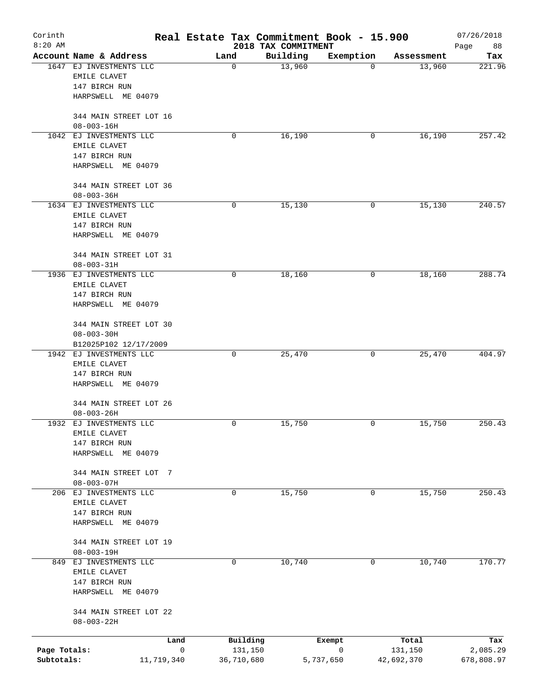| Corinth<br>$8:20$ AM |                                                          |                                    | Real Estate Tax Commitment Book - 15.900<br>2018 TAX COMMITMENT |             |                  | 07/26/2018<br>88<br>Page |
|----------------------|----------------------------------------------------------|------------------------------------|-----------------------------------------------------------------|-------------|------------------|--------------------------|
|                      | Account Name & Address                                   | Land                               | Building                                                        | Exemption   | Assessment       | Tax                      |
| 1647                 | EJ INVESTMENTS LLC<br>EMILE CLAVET<br>147 BIRCH RUN      | $\mathbf 0$                        | 13,960                                                          | 0           | 13,960           | 221.96                   |
|                      | HARPSWELL ME 04079                                       |                                    |                                                                 |             |                  |                          |
|                      | 344 MAIN STREET LOT 16<br>$08 - 003 - 16H$               |                                    |                                                                 |             |                  |                          |
|                      | 1042 EJ INVESTMENTS LLC<br>EMILE CLAVET                  | 0                                  | 16,190                                                          | 0           | 16,190           | 257.42                   |
|                      | 147 BIRCH RUN<br>HARPSWELL ME 04079                      |                                    |                                                                 |             |                  |                          |
|                      | 344 MAIN STREET LOT 36<br>$08 - 003 - 36H$               |                                    |                                                                 |             |                  |                          |
|                      | 1634 EJ INVESTMENTS LLC<br>EMILE CLAVET                  | 0                                  | 15,130                                                          | 0           | 15, 130          | 240.57                   |
|                      | 147 BIRCH RUN<br>HARPSWELL ME 04079                      |                                    |                                                                 |             |                  |                          |
|                      | 344 MAIN STREET LOT 31<br>$08 - 003 - 31H$               |                                    |                                                                 |             |                  |                          |
|                      | 1936 EJ INVESTMENTS LLC                                  | 0                                  | 18,160                                                          | 0           | 18,160           | 288.74                   |
|                      | EMILE CLAVET<br>147 BIRCH RUN                            |                                    |                                                                 |             |                  |                          |
|                      | HARPSWELL ME 04079                                       |                                    |                                                                 |             |                  |                          |
|                      | 344 MAIN STREET LOT 30<br>$08 - 003 - 30H$               |                                    |                                                                 |             |                  |                          |
|                      | B12025P102 12/17/2009                                    |                                    |                                                                 |             |                  |                          |
|                      | 1942 EJ INVESTMENTS LLC<br>EMILE CLAVET<br>147 BIRCH RUN | 0                                  | 25,470                                                          | 0           | 25,470           | 404.97                   |
|                      | HARPSWELL ME 04079                                       |                                    |                                                                 |             |                  |                          |
|                      | 344 MAIN STREET LOT 26<br>$08 - 003 - 26H$               |                                    |                                                                 |             |                  |                          |
| 1932                 | EJ INVESTMENTS LLC                                       | 0                                  | 15,750                                                          | 0           | 15,750           | 250.43                   |
|                      | EMILE CLAVET<br>147 BIRCH RUN                            |                                    |                                                                 |             |                  |                          |
|                      | HARPSWELL ME 04079                                       |                                    |                                                                 |             |                  |                          |
|                      | 344 MAIN STREET LOT<br>- 7                               |                                    |                                                                 |             |                  |                          |
|                      | $08 - 003 - 07H$<br>206 EJ INVESTMENTS LLC               | 0                                  | 15,750                                                          | 0           | 15,750           | 250.43                   |
|                      | EMILE CLAVET                                             |                                    |                                                                 |             |                  |                          |
|                      | 147 BIRCH RUN                                            |                                    |                                                                 |             |                  |                          |
|                      | HARPSWELL ME 04079                                       |                                    |                                                                 |             |                  |                          |
|                      | 344 MAIN STREET LOT 19<br>$08 - 003 - 19H$               |                                    |                                                                 |             |                  |                          |
| 849                  | EJ INVESTMENTS LLC<br>EMILE CLAVET<br>147 BIRCH RUN      | 0                                  | 10,740                                                          | $\mathbf 0$ | 10,740           | 170.77                   |
|                      | HARPSWELL ME 04079                                       |                                    |                                                                 |             |                  |                          |
|                      | 344 MAIN STREET LOT 22<br>$08 - 003 - 22H$               |                                    |                                                                 |             |                  |                          |
| Page Totals:         | Land                                                     | Building<br>$\mathbf 0$<br>131,150 | Exempt                                                          | 0           | Total<br>131,150 | Tax<br>2,085.29          |
| Subtotals:           | 11,719,340                                               | 36,710,680                         | 5,737,650                                                       |             | 42,692,370       | 678,808.97               |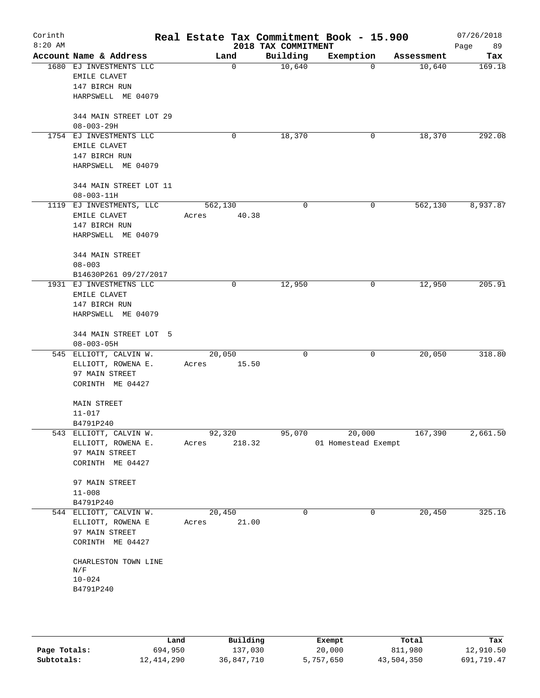| Corinth<br>$8:20$ AM |                                          |                  | 2018 TAX COMMITMENT | Real Estate Tax Commitment Book - 15.900 |            | 07/26/2018<br>89<br>Page |
|----------------------|------------------------------------------|------------------|---------------------|------------------------------------------|------------|--------------------------|
|                      | Account Name & Address                   | Land             | Building            | Exemption                                | Assessment | Tax                      |
|                      | 1680 EJ INVESTMENTS LLC                  | $\mathbf 0$      | 10,640              | 0                                        | 10,640     | 169.18                   |
|                      | EMILE CLAVET                             |                  |                     |                                          |            |                          |
|                      | 147 BIRCH RUN                            |                  |                     |                                          |            |                          |
|                      | HARPSWELL ME 04079                       |                  |                     |                                          |            |                          |
|                      |                                          |                  |                     |                                          |            |                          |
|                      | 344 MAIN STREET LOT 29                   |                  |                     |                                          |            |                          |
|                      | $08 - 003 - 29H$                         |                  |                     |                                          |            |                          |
|                      | 1754 EJ INVESTMENTS LLC                  | 0                | 18,370              | 0                                        | 18,370     | 292.08                   |
|                      | EMILE CLAVET                             |                  |                     |                                          |            |                          |
|                      | 147 BIRCH RUN                            |                  |                     |                                          |            |                          |
|                      | HARPSWELL ME 04079                       |                  |                     |                                          |            |                          |
|                      |                                          |                  |                     |                                          |            |                          |
|                      | 344 MAIN STREET LOT 11                   |                  |                     |                                          |            |                          |
|                      | $08 - 003 - 11H$                         |                  | $\Omega$            | 0                                        | 562,130    | 8,937.87                 |
|                      | 1119 EJ INVESTMENTS, LLC<br>EMILE CLAVET | 562,130<br>40.38 |                     |                                          |            |                          |
|                      | 147 BIRCH RUN                            | Acres            |                     |                                          |            |                          |
|                      | HARPSWELL ME 04079                       |                  |                     |                                          |            |                          |
|                      |                                          |                  |                     |                                          |            |                          |
|                      | 344 MAIN STREET                          |                  |                     |                                          |            |                          |
|                      | $08 - 003$                               |                  |                     |                                          |            |                          |
|                      | B14630P261 09/27/2017                    |                  |                     |                                          |            |                          |
|                      | 1931 EJ INVESTMETNS LLC                  | 0                | 12,950              | 0                                        | 12,950     | 205.91                   |
|                      | EMILE CLAVET                             |                  |                     |                                          |            |                          |
|                      | 147 BIRCH RUN                            |                  |                     |                                          |            |                          |
|                      | HARPSWELL ME 04079                       |                  |                     |                                          |            |                          |
|                      |                                          |                  |                     |                                          |            |                          |
|                      | 344 MAIN STREET LOT 5                    |                  |                     |                                          |            |                          |
|                      | $08 - 003 - 05H$                         |                  |                     |                                          |            |                          |
|                      | 545 ELLIOTT, CALVIN W.                   | 20,050           | $\mathbf 0$         | 0                                        | 20,050     | 318.80                   |
|                      | ELLIOTT, ROWENA E.                       | 15.50<br>Acres   |                     |                                          |            |                          |
|                      | 97 MAIN STREET<br>CORINTH ME 04427       |                  |                     |                                          |            |                          |
|                      |                                          |                  |                     |                                          |            |                          |
|                      | <b>MAIN STREET</b>                       |                  |                     |                                          |            |                          |
|                      | $11 - 017$                               |                  |                     |                                          |            |                          |
|                      | B4791P240                                |                  |                     |                                          |            |                          |
|                      | 543 ELLIOTT, CALVIN W.                   | 92,320           | 95,070              | 20,000                                   | 167,390    | 2,661.50                 |
|                      | ELLIOTT, ROWENA E.                       | Acres<br>218.32  |                     | 01 Homestead Exempt                      |            |                          |
|                      | 97 MAIN STREET                           |                  |                     |                                          |            |                          |
|                      | CORINTH ME 04427                         |                  |                     |                                          |            |                          |
|                      |                                          |                  |                     |                                          |            |                          |
|                      | 97 MAIN STREET                           |                  |                     |                                          |            |                          |
|                      | $11 - 008$                               |                  |                     |                                          |            |                          |
|                      | B4791P240                                |                  |                     |                                          |            |                          |
|                      | 544 ELLIOTT, CALVIN W.                   | 20,450           | 0                   | 0                                        | 20,450     | 325.16                   |
|                      | ELLIOTT, ROWENA E<br>97 MAIN STREET      | 21.00<br>Acres   |                     |                                          |            |                          |
|                      |                                          |                  |                     |                                          |            |                          |
|                      | CORINTH ME 04427                         |                  |                     |                                          |            |                          |
|                      | CHARLESTON TOWN LINE                     |                  |                     |                                          |            |                          |
|                      | $\mathrm{N} / \mathrm{F}$                |                  |                     |                                          |            |                          |
|                      | $10 - 024$                               |                  |                     |                                          |            |                          |
|                      | B4791P240                                |                  |                     |                                          |            |                          |
|                      |                                          |                  |                     |                                          |            |                          |
|                      |                                          |                  |                     |                                          |            |                          |
|                      |                                          |                  |                     |                                          |            |                          |

|              | Land       | Building   | Exempt    | Total      | Tax        |
|--------------|------------|------------|-----------|------------|------------|
| Page Totals: | 694,950    | 137,030    | 20,000    | 811,980    | 12,910.50  |
| Subtotals:   | 12,414,290 | 36,847,710 | 5,757,650 | 43,504,350 | 691,719.47 |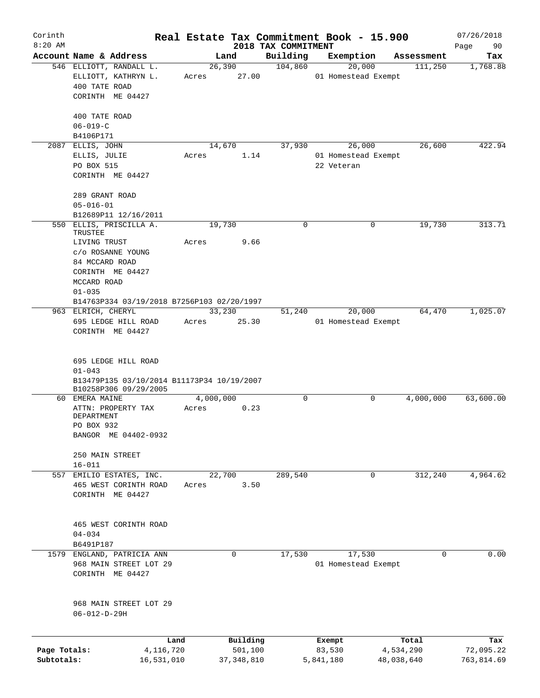| Corinth<br>$8:20$ AM       |                                                                  | Real Estate Tax Commitment Book - 15.900 |                         | 2018 TAX COMMITMENT |                     |                               |                         | 07/26/2018              |
|----------------------------|------------------------------------------------------------------|------------------------------------------|-------------------------|---------------------|---------------------|-------------------------------|-------------------------|-------------------------|
|                            | Account Name & Address                                           |                                          | Land                    | Building            |                     | Exemption                     | Assessment              | Page<br>90<br>Tax       |
|                            | 546 ELLIOTT, RANDALL L.                                          | 26, 390                                  |                         | 104,860             |                     | 20,000                        | 111,250                 | 1,768.88                |
|                            | ELLIOTT, KATHRYN L.                                              | Acres                                    | 27.00                   |                     |                     | 01 Homestead Exempt           |                         |                         |
|                            | 400 TATE ROAD                                                    |                                          |                         |                     |                     |                               |                         |                         |
|                            | CORINTH ME 04427                                                 |                                          |                         |                     |                     |                               |                         |                         |
|                            |                                                                  |                                          |                         |                     |                     |                               |                         |                         |
|                            | 400 TATE ROAD                                                    |                                          |                         |                     |                     |                               |                         |                         |
|                            | $06 - 019 - C$                                                   |                                          |                         |                     |                     |                               |                         |                         |
|                            | B4106P171                                                        |                                          |                         |                     |                     |                               |                         |                         |
|                            | 2087 ELLIS, JOHN                                                 | 14,670                                   |                         | 37,930              |                     | 26,000                        | 26,600                  | 422.94                  |
|                            | ELLIS, JULIE                                                     | Acres                                    | 1.14                    |                     |                     | 01 Homestead Exempt           |                         |                         |
|                            | PO BOX 515                                                       |                                          |                         |                     | 22 Veteran          |                               |                         |                         |
|                            | CORINTH ME 04427                                                 |                                          |                         |                     |                     |                               |                         |                         |
|                            |                                                                  |                                          |                         |                     |                     |                               |                         |                         |
|                            | 289 GRANT ROAD                                                   |                                          |                         |                     |                     |                               |                         |                         |
|                            | $05 - 016 - 01$                                                  |                                          |                         |                     |                     |                               |                         |                         |
|                            | B12689P11 12/16/2011                                             |                                          |                         |                     |                     |                               |                         |                         |
|                            | 550 ELLIS, PRISCILLA A.                                          | 19,730                                   |                         | $\mathbf 0$         |                     | 0                             | 19,730                  | 313.71                  |
|                            | TRUSTEE                                                          |                                          |                         |                     |                     |                               |                         |                         |
|                            | LIVING TRUST                                                     | Acres                                    | 9.66                    |                     |                     |                               |                         |                         |
|                            | c/o ROSANNE YOUNG                                                |                                          |                         |                     |                     |                               |                         |                         |
|                            | 84 MCCARD ROAD                                                   |                                          |                         |                     |                     |                               |                         |                         |
|                            | CORINTH ME 04427                                                 |                                          |                         |                     |                     |                               |                         |                         |
|                            | MCCARD ROAD                                                      |                                          |                         |                     |                     |                               |                         |                         |
|                            | $01 - 035$                                                       |                                          |                         |                     |                     |                               |                         |                         |
|                            | B14763P334 03/19/2018 B7256P103 02/20/1997<br>963 ELRICH, CHERYL | 33,230                                   |                         |                     |                     |                               |                         | 1,025.07                |
|                            | 695 LEDGE HILL ROAD                                              | Acres                                    | 25.30                   | 51,240              |                     | 20,000<br>01 Homestead Exempt | 64,470                  |                         |
|                            | CORINTH ME 04427                                                 |                                          |                         |                     |                     |                               |                         |                         |
|                            |                                                                  |                                          |                         |                     |                     |                               |                         |                         |
|                            |                                                                  |                                          |                         |                     |                     |                               |                         |                         |
|                            | 695 LEDGE HILL ROAD                                              |                                          |                         |                     |                     |                               |                         |                         |
|                            | $01 - 043$                                                       |                                          |                         |                     |                     |                               |                         |                         |
|                            | B13479P135 03/10/2014 B11173P34 10/19/2007                       |                                          |                         |                     |                     |                               |                         |                         |
|                            | B10258P306 09/29/2005                                            |                                          |                         |                     |                     |                               |                         |                         |
|                            | 60 EMERA MAINE                                                   | 4,000,000                                |                         | 0                   |                     | 0                             | 4,000,000               | 63,600.00               |
|                            | ATTN: PROPERTY TAX                                               | Acres                                    | 0.23                    |                     |                     |                               |                         |                         |
|                            | DEPARTMENT                                                       |                                          |                         |                     |                     |                               |                         |                         |
|                            | PO BOX 932                                                       |                                          |                         |                     |                     |                               |                         |                         |
|                            | BANGOR ME 04402-0932                                             |                                          |                         |                     |                     |                               |                         |                         |
|                            |                                                                  |                                          |                         |                     |                     |                               |                         |                         |
|                            | 250 MAIN STREET                                                  |                                          |                         |                     |                     |                               |                         |                         |
|                            | $16 - 011$                                                       |                                          |                         |                     |                     |                               |                         |                         |
|                            | 557 EMILIO ESTATES, INC.<br>465 WEST CORINTH ROAD                | 22,700                                   | 3.50                    | 289,540             |                     | $\mathbf 0$                   | 312,240                 | 4,964.62                |
|                            | CORINTH ME 04427                                                 | Acres                                    |                         |                     |                     |                               |                         |                         |
|                            |                                                                  |                                          |                         |                     |                     |                               |                         |                         |
|                            |                                                                  |                                          |                         |                     |                     |                               |                         |                         |
|                            | 465 WEST CORINTH ROAD                                            |                                          |                         |                     |                     |                               |                         |                         |
|                            | $04 - 034$                                                       |                                          |                         |                     |                     |                               |                         |                         |
|                            | B6491P187                                                        |                                          |                         |                     |                     |                               |                         |                         |
|                            | 1579 ENGLAND, PATRICIA ANN                                       |                                          | 0                       | 17,530              |                     | 17,530                        | $\Omega$                | 0.00                    |
|                            | 968 MAIN STREET LOT 29                                           |                                          |                         |                     |                     | 01 Homestead Exempt           |                         |                         |
|                            | CORINTH ME 04427                                                 |                                          |                         |                     |                     |                               |                         |                         |
|                            |                                                                  |                                          |                         |                     |                     |                               |                         |                         |
|                            |                                                                  |                                          |                         |                     |                     |                               |                         |                         |
|                            | 968 MAIN STREET LOT 29                                           |                                          |                         |                     |                     |                               |                         |                         |
|                            | $06 - 012 - D - 29H$                                             |                                          |                         |                     |                     |                               |                         |                         |
|                            |                                                                  |                                          |                         |                     |                     |                               |                         |                         |
|                            |                                                                  |                                          |                         |                     |                     |                               |                         |                         |
|                            | Land                                                             |                                          | Building                |                     | Exempt              |                               | Total                   | Tax                     |
| Page Totals:<br>Subtotals: | 4,116,720<br>16,531,010                                          |                                          | 501,100<br>37, 348, 810 |                     | 83,530<br>5,841,180 |                               | 4,534,290<br>48,038,640 | 72,095.22<br>763,814.69 |
|                            |                                                                  |                                          |                         |                     |                     |                               |                         |                         |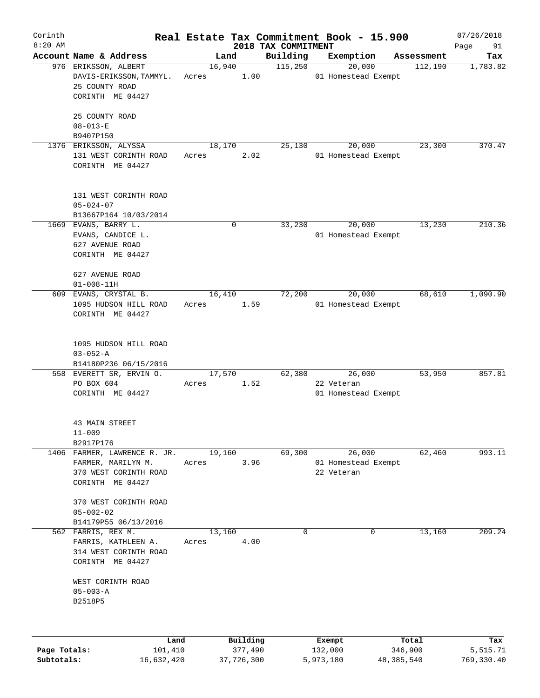| Corinth<br>$8:20$ AM |                                                                                                 |                 |          | 2018 TAX COMMITMENT | Real Estate Tax Commitment Book - 15.900    |            | 07/26/2018<br>Page<br>91 |
|----------------------|-------------------------------------------------------------------------------------------------|-----------------|----------|---------------------|---------------------------------------------|------------|--------------------------|
|                      | Account Name & Address                                                                          |                 | Land     | Building            | Exemption                                   | Assessment | Tax                      |
|                      | 976 ERIKSSON, ALBERT<br>DAVIS-ERIKSSON, TAMMYL.<br>25 COUNTY ROAD<br>CORINTH ME 04427           | 16,940<br>Acres | 1.00     | 115,250             | 20,000<br>01 Homestead Exempt               | 112,190    | 1,783.82                 |
|                      | 25 COUNTY ROAD<br>$08 - 013 - E$<br>B9407P150                                                   |                 |          |                     |                                             |            |                          |
|                      | 1376 ERIKSSON, ALYSSA<br>131 WEST CORINTH ROAD<br>CORINTH ME 04427                              | 18,170<br>Acres | 2.02     | 25,130              | 20,000<br>01 Homestead Exempt               | 23,300     | 370.47                   |
|                      | 131 WEST CORINTH ROAD<br>$05 - 024 - 07$<br>B13667P164 10/03/2014                               |                 |          |                     |                                             |            |                          |
|                      | 1669 EVANS, BARRY L.<br>EVANS, CANDICE L.<br>627 AVENUE ROAD<br>CORINTH ME 04427                |                 | 0        | 33,230              | 20,000<br>01 Homestead Exempt               | 13,230     | 210.36                   |
|                      | 627 AVENUE ROAD<br>$01 - 008 - 11H$                                                             |                 |          |                     |                                             |            |                          |
| 609                  | EVANS, CRYSTAL B.<br>1095 HUDSON HILL ROAD<br>CORINTH ME 04427                                  | 16,410<br>Acres | 1.59     | 72,200              | 20,000<br>01 Homestead Exempt               | 68,610     | 1,090.90                 |
|                      | 1095 HUDSON HILL ROAD<br>$03 - 052 - A$<br>B14180P236 06/15/2016                                |                 |          |                     |                                             |            |                          |
|                      | 558 EVERETT SR, ERVIN O.<br>PO BOX 604<br>CORINTH ME 04427                                      | 17,570<br>Acres | 1.52     | 62,380              | 26,000<br>22 Veteran<br>01 Homestead Exempt | 53,950     | 857.81                   |
|                      | 43 MAIN STREET<br>$11 - 009$<br>B2917P176                                                       |                 |          |                     |                                             |            |                          |
|                      | 1406 FARMER, LAWRENCE R. JR.<br>FARMER, MARILYN M.<br>370 WEST CORINTH ROAD<br>CORINTH ME 04427 | 19,160<br>Acres | 3.96     | 69,300              | 26,000<br>01 Homestead Exempt<br>22 Veteran | 62,460     | 993.11                   |
|                      | 370 WEST CORINTH ROAD<br>$05 - 002 - 02$<br>B14179P55 06/13/2016                                |                 |          |                     |                                             |            |                          |
|                      | 562 FARRIS, REX M.<br>FARRIS, KATHLEEN A.<br>314 WEST CORINTH ROAD<br>CORINTH ME 04427          | 13,160<br>Acres | 4.00     | $\mathbf 0$         | 0                                           | 13,160     | 209.24                   |
|                      | WEST CORINTH ROAD<br>$05 - 003 - A$<br>B2518P5                                                  |                 |          |                     |                                             |            |                          |
|                      | Land                                                                                            |                 | Building |                     | Exempt                                      | Total      | Tax                      |
| Page Totals:         | 101,410                                                                                         |                 | 377,490  |                     | 132,000                                     | 346,900    | 5,515.71                 |

**Subtotals:** 16,632,420 37,726,300 5,973,180 48,385,540 769,330.40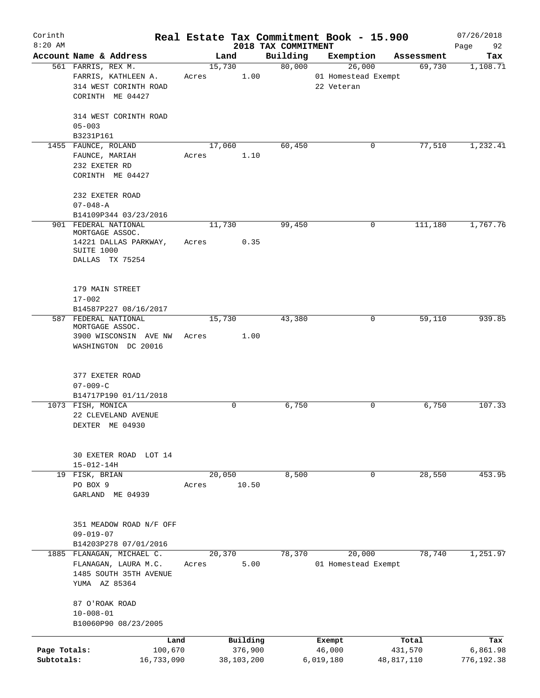| Corinth<br>$8:20$ AM |                                               |       |        |            | 2018 TAX COMMITMENT | Real Estate Tax Commitment Book - 15.900 |            | 07/26/2018<br>92<br>Page |
|----------------------|-----------------------------------------------|-------|--------|------------|---------------------|------------------------------------------|------------|--------------------------|
|                      | Account Name & Address                        |       | Land   |            | Building            | Exemption                                | Assessment | Tax                      |
|                      | 561 FARRIS, REX M.                            |       | 15,730 |            | 80,000              | 26,000                                   | 69,730     | 1,108.71                 |
|                      | FARRIS, KATHLEEN A.                           | Acres |        | 1.00       |                     | 01 Homestead Exempt                      |            |                          |
|                      | 314 WEST CORINTH ROAD                         |       |        |            |                     | 22 Veteran                               |            |                          |
|                      | CORINTH ME 04427                              |       |        |            |                     |                                          |            |                          |
|                      | 314 WEST CORINTH ROAD                         |       |        |            |                     |                                          |            |                          |
|                      | $05 - 003$                                    |       |        |            |                     |                                          |            |                          |
|                      | B3231P161                                     |       |        |            |                     |                                          |            |                          |
|                      | 1455 FAUNCE, ROLAND                           |       | 17,060 |            | 60,450              | 0                                        | 77,510     | 1,232.41                 |
|                      | FAUNCE, MARIAH                                | Acres |        | 1.10       |                     |                                          |            |                          |
|                      | 232 EXETER RD                                 |       |        |            |                     |                                          |            |                          |
|                      | CORINTH ME 04427                              |       |        |            |                     |                                          |            |                          |
|                      |                                               |       |        |            |                     |                                          |            |                          |
|                      | 232 EXETER ROAD                               |       |        |            |                     |                                          |            |                          |
|                      | $07 - 048 - A$                                |       |        |            |                     |                                          |            |                          |
|                      | B14109P344 03/23/2016<br>901 FEDERAL NATIONAL |       |        |            | 99,450              | 0                                        | 111,180    | 1,767.76                 |
|                      | MORTGAGE ASSOC.                               |       | 11,730 |            |                     |                                          |            |                          |
|                      | 14221 DALLAS PARKWAY,                         | Acres |        | 0.35       |                     |                                          |            |                          |
|                      | SUITE 1000                                    |       |        |            |                     |                                          |            |                          |
|                      | DALLAS TX 75254                               |       |        |            |                     |                                          |            |                          |
|                      |                                               |       |        |            |                     |                                          |            |                          |
|                      |                                               |       |        |            |                     |                                          |            |                          |
|                      | 179 MAIN STREET                               |       |        |            |                     |                                          |            |                          |
|                      | $17 - 002$                                    |       |        |            |                     |                                          |            |                          |
|                      | B14587P227 08/16/2017                         |       |        |            |                     |                                          |            |                          |
|                      | 587 FEDERAL NATIONAL<br>MORTGAGE ASSOC.       |       | 15,730 |            | 43,380              | 0                                        | 59,110     | 939.85                   |
|                      | 3900 WISCONSIN AVE NW                         | Acres |        | 1.00       |                     |                                          |            |                          |
|                      | WASHINGTON DC 20016                           |       |        |            |                     |                                          |            |                          |
|                      |                                               |       |        |            |                     |                                          |            |                          |
|                      |                                               |       |        |            |                     |                                          |            |                          |
|                      | 377 EXETER ROAD                               |       |        |            |                     |                                          |            |                          |
|                      | $07 - 009 - C$                                |       |        |            |                     |                                          |            |                          |
|                      | B14717P190 01/11/2018                         |       |        |            |                     |                                          |            |                          |
|                      | 1073 FISH, MONICA                             |       |        | 0          | 6,750               | 0                                        | 6,750      | 107.33                   |
|                      | 22 CLEVELAND AVENUE                           |       |        |            |                     |                                          |            |                          |
|                      | DEXTER ME 04930                               |       |        |            |                     |                                          |            |                          |
|                      |                                               |       |        |            |                     |                                          |            |                          |
|                      | 30 EXETER ROAD LOT 14                         |       |        |            |                     |                                          |            |                          |
|                      | $15 - 012 - 14H$                              |       |        |            |                     |                                          |            |                          |
|                      | 19 FISK, BRIAN                                |       | 20,050 |            | 8,500               | $\mathbf 0$                              | 28,550     | 453.95                   |
|                      | PO BOX 9                                      | Acres |        | 10.50      |                     |                                          |            |                          |
|                      | GARLAND ME 04939                              |       |        |            |                     |                                          |            |                          |
|                      |                                               |       |        |            |                     |                                          |            |                          |
|                      |                                               |       |        |            |                     |                                          |            |                          |
|                      | 351 MEADOW ROAD N/F OFF                       |       |        |            |                     |                                          |            |                          |
|                      | $09 - 019 - 07$                               |       |        |            |                     |                                          |            |                          |
| 1885                 | B14203P278 07/01/2016<br>FLANAGAN, MICHAEL C. |       | 20,370 |            | 78,370              | 20,000                                   | 78,740     | 1,251.97                 |
|                      | FLANAGAN, LAURA M.C.                          | Acres |        | 5.00       |                     | 01 Homestead Exempt                      |            |                          |
|                      | 1485 SOUTH 35TH AVENUE                        |       |        |            |                     |                                          |            |                          |
|                      | YUMA AZ 85364                                 |       |        |            |                     |                                          |            |                          |
|                      |                                               |       |        |            |                     |                                          |            |                          |
|                      | 87 O'ROAK ROAD                                |       |        |            |                     |                                          |            |                          |
|                      | $10 - 008 - 01$                               |       |        |            |                     |                                          |            |                          |
|                      | B10060P90 08/23/2005                          |       |        |            |                     |                                          |            |                          |
|                      |                                               | Land  |        | Building   |                     | Exempt                                   | Total      | Tax                      |
| Page Totals:         | 100,670                                       |       |        | 376,900    |                     | 46,000                                   | 431,570    | 6,861.98                 |
| Subtotals:           | 16,733,090                                    |       |        | 38,103,200 |                     | 6,019,180                                | 48,817,110 | 776,192.38               |
|                      |                                               |       |        |            |                     |                                          |            |                          |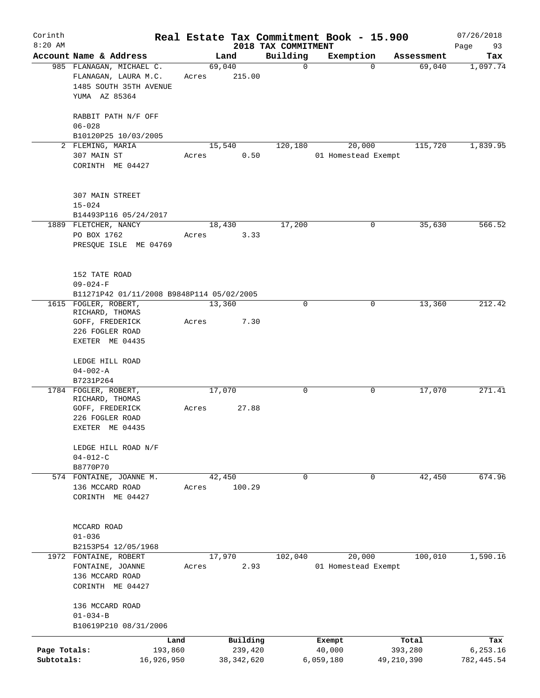| Corinth                    |                                                                                                  |       |                                     |                                 | Real Estate Tax Commitment Book - 15.900 |                                | 07/26/2018                      |
|----------------------------|--------------------------------------------------------------------------------------------------|-------|-------------------------------------|---------------------------------|------------------------------------------|--------------------------------|---------------------------------|
| $8:20$ AM                  | Account Name & Address                                                                           |       | Land                                | 2018 TAX COMMITMENT<br>Building | Exemption                                | Assessment                     | Page<br>93<br>Tax               |
|                            | 985 FLANAGAN, MICHAEL C.<br>FLANAGAN, LAURA M.C.<br>1485 SOUTH 35TH AVENUE<br>YUMA AZ 85364      | Acres | 69,040<br>215.00                    | $\mathbf 0$                     | $\Omega$                                 | 69,040                         | 1,097.74                        |
|                            | RABBIT PATH N/F OFF<br>$06 - 028$<br>B10120P25 10/03/2005                                        |       |                                     |                                 |                                          |                                |                                 |
|                            | 2 FLEMING, MARIA<br>307 MAIN ST<br>CORINTH ME 04427                                              | Acres | 15,540<br>0.50                      | 120,180                         | 20,000<br>01 Homestead Exempt            | 115,720                        | 1,839.95                        |
|                            | 307 MAIN STREET<br>$15 - 024$<br>B14493P116 05/24/2017                                           |       |                                     |                                 |                                          |                                |                                 |
|                            | 1889 FLETCHER, NANCY<br>PO BOX 1762<br>PRESQUE ISLE ME 04769                                     | Acres | 18,430<br>3.33                      | 17,200                          | 0                                        | 35,630                         | 566.52                          |
|                            | 152 TATE ROAD<br>$09 - 024 - F$<br>B11271P42 01/11/2008 B9848P114 05/02/2005                     |       |                                     |                                 |                                          |                                |                                 |
|                            | 1615 FOGLER, ROBERT,<br>RICHARD, THOMAS<br>GOFF, FREDERICK<br>226 FOGLER ROAD<br>EXETER ME 04435 | Acres | 13,360<br>7.30                      | $\mathbf 0$                     | 0                                        | 13,360                         | 212.42                          |
|                            | LEDGE HILL ROAD<br>$04 - 002 - A$<br>B7231P264                                                   |       |                                     |                                 |                                          |                                |                                 |
|                            | 1784 FOGLER, ROBERT,<br>RICHARD, THOMAS<br>GOFF, FREDERICK<br>226 FOGLER ROAD<br>EXETER ME 04435 | Acres | 17,070<br>27.88                     | $\mathbf 0$                     | 0                                        | 17,070                         | 271.41                          |
|                            | LEDGE HILL ROAD N/F<br>$04 - 012 - C$<br>B8770P70                                                |       |                                     |                                 |                                          |                                |                                 |
|                            | 574 FONTAINE, JOANNE M.<br>136 MCCARD ROAD<br>CORINTH ME 04427                                   | Acres | 42,450<br>100.29                    | $\mathbf 0$                     | $\mathbf 0$                              | 42,450                         | 674.96                          |
|                            | MCCARD ROAD<br>$01 - 036$<br>B2153P54 12/05/1968                                                 |       |                                     |                                 |                                          |                                |                                 |
|                            | 1972 FONTAINE, ROBERT<br>FONTAINE, JOANNE<br>136 MCCARD ROAD<br>CORINTH ME 04427                 | Acres | 17,970<br>2.93                      | 102,040                         | 20,000<br>01 Homestead Exempt            | 100,010                        | 1,590.16                        |
|                            | 136 MCCARD ROAD<br>$01 - 034 - B$<br>B10619P210 08/31/2006                                       |       |                                     |                                 |                                          |                                |                                 |
| Page Totals:<br>Subtotals: | Land<br>193,860<br>16,926,950                                                                    |       | Building<br>239,420<br>38, 342, 620 |                                 | Exempt<br>40,000<br>6,059,180            | Total<br>393,280<br>49,210,390 | Tax<br>6, 253.16<br>782, 445.54 |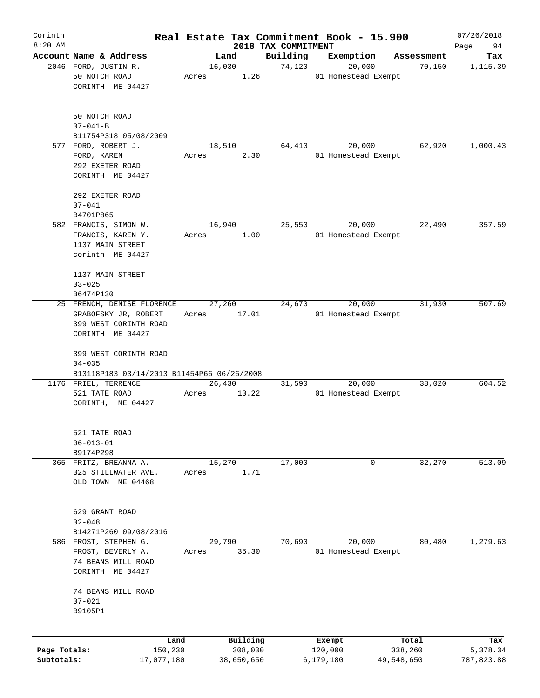| Corinth      |                                                           |                 |       |                     |                     | Real Estate Tax Commitment Book - 15.900 |                      | 07/26/2018      |
|--------------|-----------------------------------------------------------|-----------------|-------|---------------------|---------------------|------------------------------------------|----------------------|-----------------|
| $8:20$ AM    |                                                           |                 |       |                     | 2018 TAX COMMITMENT |                                          |                      | 94<br>Page      |
|              | Account Name & Address                                    |                 |       | Land                | Building            | Exemption                                | Assessment<br>70,150 | Tax             |
|              | 2046 FORD, JUSTIN R.<br>50 NOTCH ROAD<br>CORINTH ME 04427 |                 | Acres | 16,030<br>1.26      | 74,120              | 20,000<br>01 Homestead Exempt            |                      | 1,115.39        |
|              | 50 NOTCH ROAD<br>$07 - 041 - B$                           |                 |       |                     |                     |                                          |                      |                 |
|              | B11754P318 05/08/2009                                     |                 |       |                     |                     |                                          |                      |                 |
|              | 577 FORD, ROBERT J.                                       |                 |       | 18,510              | 64,410              | 20,000                                   | 62,920               | 1,000.43        |
|              | FORD, KAREN                                               |                 | Acres | 2.30                |                     | 01 Homestead Exempt                      |                      |                 |
|              | 292 EXETER ROAD<br>CORINTH ME 04427                       |                 |       |                     |                     |                                          |                      |                 |
|              | 292 EXETER ROAD                                           |                 |       |                     |                     |                                          |                      |                 |
|              | $07 - 041$                                                |                 |       |                     |                     |                                          |                      |                 |
|              | B4701P865                                                 |                 |       |                     |                     |                                          |                      |                 |
|              | 582 FRANCIS, SIMON W.                                     |                 |       | 16,940              | 25,550              | 20,000                                   | 22,490               | 357.59          |
|              | FRANCIS, KAREN Y.                                         |                 | Acres | 1.00                |                     | 01 Homestead Exempt                      |                      |                 |
|              | 1137 MAIN STREET                                          |                 |       |                     |                     |                                          |                      |                 |
|              | corinth ME 04427                                          |                 |       |                     |                     |                                          |                      |                 |
|              | 1137 MAIN STREET                                          |                 |       |                     |                     |                                          |                      |                 |
|              | $03 - 025$                                                |                 |       |                     |                     |                                          |                      |                 |
|              | B6474P130                                                 |                 |       |                     |                     |                                          |                      |                 |
|              | 25 FRENCH, DENISE FLORENCE                                |                 |       | 27,260              | 24,670              | 20,000                                   | 31,930               | 507.69          |
|              | GRABOFSKY JR, ROBERT                                      |                 | Acres | 17.01               |                     | 01 Homestead Exempt                      |                      |                 |
|              | 399 WEST CORINTH ROAD<br>CORINTH ME 04427                 |                 |       |                     |                     |                                          |                      |                 |
|              | 399 WEST CORINTH ROAD                                     |                 |       |                     |                     |                                          |                      |                 |
|              | $04 - 035$                                                |                 |       |                     |                     |                                          |                      |                 |
|              | B13118P183 03/14/2013 B11454P66 06/26/2008                |                 |       |                     |                     |                                          |                      |                 |
|              | 1176 FRIEL, TERRENCE                                      |                 |       | 26,430              | 31,590              | 20,000                                   | 38,020               | 604.52          |
|              | 521 TATE ROAD<br>CORINTH, ME 04427                        |                 | Acres | 10.22               |                     | 01 Homestead Exempt                      |                      |                 |
|              |                                                           |                 |       |                     |                     |                                          |                      |                 |
|              | 521 TATE ROAD                                             |                 |       |                     |                     |                                          |                      |                 |
|              | $06 - 013 - 01$                                           |                 |       |                     |                     |                                          |                      |                 |
|              | B9174P298                                                 |                 |       |                     |                     |                                          |                      |                 |
|              | 365 FRITZ, BREANNA A.                                     |                 |       | 15,270              | 17,000              | 0                                        | 32,270               | 513.09          |
|              | 325 STILLWATER AVE.<br>OLD TOWN ME 04468                  |                 | Acres | 1.71                |                     |                                          |                      |                 |
|              | 629 GRANT ROAD                                            |                 |       |                     |                     |                                          |                      |                 |
|              |                                                           |                 |       |                     |                     |                                          |                      |                 |
|              | $02 - 048$                                                |                 |       |                     |                     |                                          |                      |                 |
|              | B14271P260 09/08/2016<br>586 FROST, STEPHEN G.            |                 |       | 29,790              | 70,690              | 20,000                                   | 80,480               | 1,279.63        |
|              | FROST, BEVERLY A.                                         |                 | Acres | 35.30               |                     | 01 Homestead Exempt                      |                      |                 |
|              | 74 BEANS MILL ROAD                                        |                 |       |                     |                     |                                          |                      |                 |
|              | CORINTH ME 04427                                          |                 |       |                     |                     |                                          |                      |                 |
|              | 74 BEANS MILL ROAD                                        |                 |       |                     |                     |                                          |                      |                 |
|              | $07 - 021$                                                |                 |       |                     |                     |                                          |                      |                 |
|              | B9105P1                                                   |                 |       |                     |                     |                                          |                      |                 |
|              |                                                           |                 |       |                     |                     |                                          |                      |                 |
| Page Totals: |                                                           | Land<br>150,230 |       | Building<br>308,030 |                     | Exempt<br>120,000                        | Total<br>338,260     | Tax<br>5,378.34 |
| Subtotals:   |                                                           | 17,077,180      |       | 38,650,650          |                     | 6,179,180                                | 49,548,650           | 787,823.88      |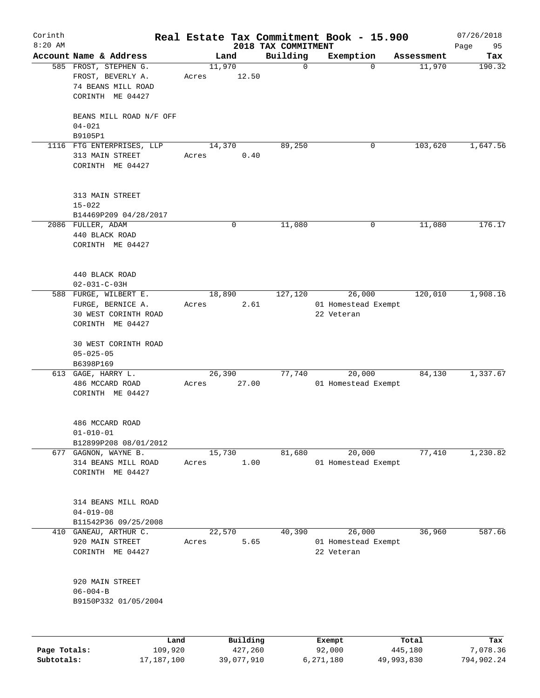| Corinth      |                                                                  |                 |             |                     | Real Estate Tax Commitment Book - 15.900 |            | 07/26/2018 |
|--------------|------------------------------------------------------------------|-----------------|-------------|---------------------|------------------------------------------|------------|------------|
| $8:20$ AM    |                                                                  |                 |             | 2018 TAX COMMITMENT |                                          |            | Page<br>95 |
|              | Account Name & Address                                           | Land            |             | Building            | Exemption                                | Assessment | Tax        |
|              | 585 FROST, STEPHEN G.<br>FROST, BEVERLY A.<br>74 BEANS MILL ROAD | 11,970<br>Acres | 12.50       | $\mathbf 0$         | $\Omega$                                 | 11,970     | 190.32     |
|              | CORINTH ME 04427                                                 |                 |             |                     |                                          |            |            |
|              | BEANS MILL ROAD N/F OFF<br>$04 - 021$                            |                 |             |                     |                                          |            |            |
|              | B9105P1                                                          |                 |             |                     |                                          |            |            |
|              | 1116 FTG ENTERPRISES, LLP<br>313 MAIN STREET<br>CORINTH ME 04427 | 14,370<br>Acres | 0.40        | 89,250              | 0                                        | 103,620    | 1,647.56   |
|              | 313 MAIN STREET<br>$15 - 022$                                    |                 |             |                     |                                          |            |            |
|              | B14469P209 04/28/2017                                            |                 |             |                     |                                          |            |            |
|              | 2086 FULLER, ADAM                                                |                 | $\mathbf 0$ | 11,080              | 0                                        | 11,080     | 176.17     |
|              | 440 BLACK ROAD<br>CORINTH ME 04427                               |                 |             |                     |                                          |            |            |
|              | 440 BLACK ROAD<br>$02 - 031 - C - 03H$                           |                 |             |                     |                                          |            |            |
|              | 588 FURGE, WILBERT E.                                            | 18,890          |             | 127,120             | 26,000                                   | 120,010    | 1,908.16   |
|              | FURGE, BERNICE A.<br>30 WEST CORINTH ROAD<br>CORINTH ME 04427    | Acres           | 2.61        |                     | 01 Homestead Exempt<br>22 Veteran        |            |            |
|              | 30 WEST CORINTH ROAD<br>$05 - 025 - 05$<br>B6398P169             |                 |             |                     |                                          |            |            |
|              | $613$ GAGE, HARRY L.                                             | 26,390          |             | 77,740              | 20,000                                   | 84,130     | 1,337.67   |
|              | 486 MCCARD ROAD<br>CORINTH ME 04427                              | Acres           | 27.00       |                     | 01 Homestead Exempt                      |            |            |
|              | 486 MCCARD ROAD<br>$01 - 010 - 01$<br>B12899P208 08/01/2012      |                 |             |                     |                                          |            |            |
|              | 677 GAGNON, WAYNE B.                                             | 15,730          |             | 81,680              | 20,000                                   | 77,410     | 1,230.82   |
|              | 314 BEANS MILL ROAD<br>CORINTH ME 04427                          | Acres           | 1.00        |                     | 01 Homestead Exempt                      |            |            |
|              | 314 BEANS MILL ROAD<br>$04 - 019 - 08$                           |                 |             |                     |                                          |            |            |
|              | B11542P36 09/25/2008                                             |                 |             |                     |                                          |            |            |
| 410          | GANEAU, ARTHUR C.<br>920 MAIN STREET                             | 22,570<br>Acres | 5.65        | 40,390              | 26,000<br>01 Homestead Exempt            | 36,960     | 587.66     |
|              | CORINTH ME 04427                                                 |                 |             |                     | 22 Veteran                               |            |            |
|              | 920 MAIN STREET<br>$06 - 004 - B$<br>B9150P332 01/05/2004        |                 |             |                     |                                          |            |            |
|              | Land                                                             |                 | Building    |                     |                                          | Total      | Tax        |
| Page Totals: | 109,920                                                          |                 | 427,260     |                     | Exempt<br>92,000                         | 445,180    | 7,078.36   |
| Subtotals:   | 17,187,100                                                       |                 | 39,077,910  |                     | 6,271,180                                | 49,993,830 | 794,902.24 |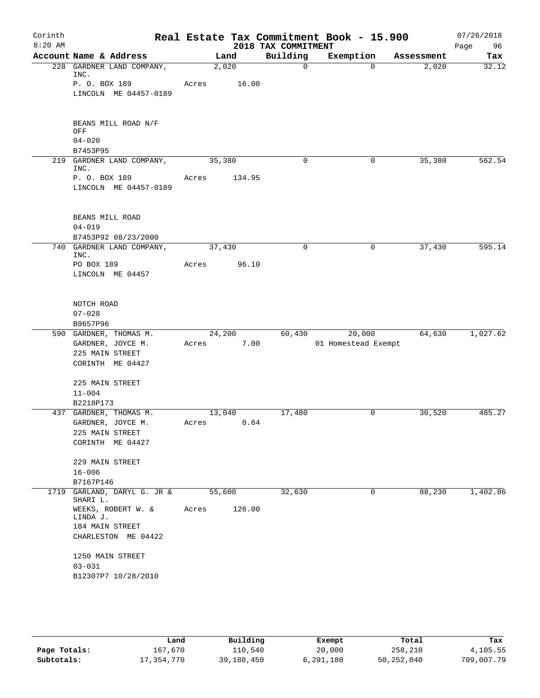| Corinth<br>$8:20$ AM |                                         |        |        | 2018 TAX COMMITMENT | Real Estate Tax Commitment Book - 15.900 |            | 07/26/2018<br>Page<br>96 |
|----------------------|-----------------------------------------|--------|--------|---------------------|------------------------------------------|------------|--------------------------|
|                      | Account Name & Address                  |        | Land   | Building            | Exemption                                | Assessment | Tax                      |
|                      | 228 GARDNER LAND COMPANY,<br>INC.       | 2,020  |        | $\mathsf{O}$        | $\Omega$                                 | 2,020      | 32.12                    |
|                      | P. O. BOX 189<br>LINCOLN ME 04457-0189  | Acres  | 16.00  |                     |                                          |            |                          |
|                      | BEANS MILL ROAD N/F<br>OFF              |        |        |                     |                                          |            |                          |
|                      | $04 - 020$<br>B7453P95                  |        |        |                     |                                          |            |                          |
|                      | 219 GARDNER LAND COMPANY,               | 35,380 |        | $\mathbf 0$         | $\mathbf 0$                              | 35,380     | 562.54                   |
|                      | INC.                                    |        |        |                     |                                          |            |                          |
|                      | P. O. BOX 189<br>LINCOLN ME 04457-0189  | Acres  | 134.95 |                     |                                          |            |                          |
|                      | BEANS MILL ROAD                         |        |        |                     |                                          |            |                          |
|                      | $04 - 019$<br>B7453P92 08/23/2000       |        |        |                     |                                          |            |                          |
|                      | 740 GARDNER LAND COMPANY,               | 37,430 |        | $\Omega$            | 0                                        | 37,430     | 595.14                   |
|                      | INC.                                    |        |        |                     |                                          |            |                          |
|                      | PO BOX 189<br>LINCOLN ME 04457          | Acres  | 96.10  |                     |                                          |            |                          |
|                      |                                         |        |        |                     |                                          |            |                          |
|                      | NOTCH ROAD                              |        |        |                     |                                          |            |                          |
|                      | $07 - 028$                              |        |        |                     |                                          |            |                          |
|                      | B9657P96                                |        |        |                     |                                          |            |                          |
|                      | 590 GARDNER, THOMAS M.                  | 24,200 |        | 60,430              | 20,000                                   | 64,630     | 1,027.62                 |
|                      | GARDNER, JOYCE M.                       | Acres  | 7.00   |                     | 01 Homestead Exempt                      |            |                          |
|                      | 225 MAIN STREET<br>CORINTH ME 04427     |        |        |                     |                                          |            |                          |
|                      |                                         |        |        |                     |                                          |            |                          |
|                      | 225 MAIN STREET<br>$11 - 004$           |        |        |                     |                                          |            |                          |
|                      | B2218P173                               |        |        |                     |                                          |            |                          |
|                      | 437 GARDNER, THOMAS M.                  | 13,040 |        | 17,480              | 0                                        | 30,520     | 485.27                   |
|                      | GARDNER, JOYCE M.                       | Acres  | 0.64   |                     |                                          |            |                          |
|                      | 225 MAIN STREET                         |        |        |                     |                                          |            |                          |
|                      | CORINTH ME 04427                        |        |        |                     |                                          |            |                          |
|                      | 229 MAIN STREET                         |        |        |                     |                                          |            |                          |
|                      | $16 - 006$                              |        |        |                     |                                          |            |                          |
|                      | B7167P146                               |        |        |                     |                                          |            |                          |
|                      | 1719 GARLAND, DARYL G. JR &<br>SHARI L. | 55,600 |        | 32,630              | 0                                        | 88,230     | 1,402.86                 |
|                      | WEEKS, ROBERT W. &<br>LINDA J.          | Acres  | 126.00 |                     |                                          |            |                          |
|                      | 184 MAIN STREET                         |        |        |                     |                                          |            |                          |
|                      | CHARLESTON ME 04422                     |        |        |                     |                                          |            |                          |
|                      | 1250 MAIN STREET                        |        |        |                     |                                          |            |                          |
|                      | $03 - 031$                              |        |        |                     |                                          |            |                          |
|                      | B12307P7 10/28/2010                     |        |        |                     |                                          |            |                          |
|                      |                                         |        |        |                     |                                          |            |                          |

|              | Land       | Building   | Exempt    | Total      | Tax        |
|--------------|------------|------------|-----------|------------|------------|
| Page Totals: | 167,670    | 110.540    | 20,000    | 258,210    | 4,105.55   |
| Subtotals:   | 17,354,770 | 39,188,450 | 6,291,180 | 50,252,040 | 799,007.79 |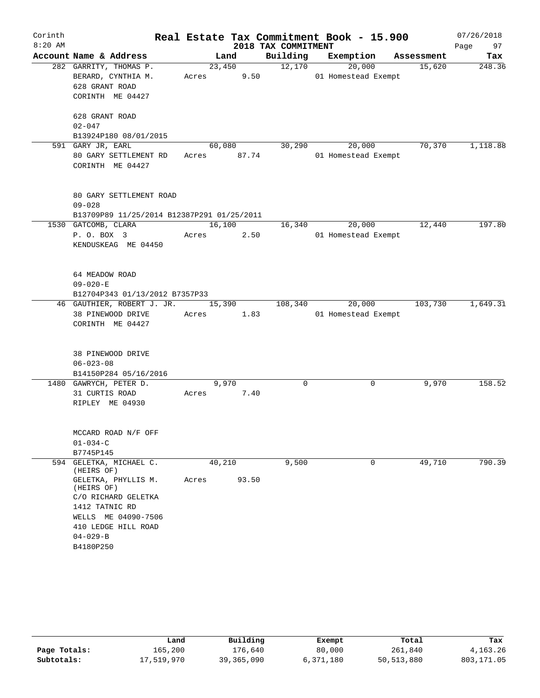| Corinth   |                                                                                     |             |                |                     | Real Estate Tax Commitment Book - 15.900 |            | 07/26/2018 |
|-----------|-------------------------------------------------------------------------------------|-------------|----------------|---------------------|------------------------------------------|------------|------------|
| $8:20$ AM |                                                                                     |             |                | 2018 TAX COMMITMENT |                                          |            | Page 97    |
|           | Account Name & Address                                                              |             | Land           | Building            | Exemption                                | Assessment | Tax        |
|           | 282 GARRITY, THOMAS P.<br>BERARD, CYNTHIA M.<br>628 GRANT ROAD<br>CORINTH ME 04427  | Acres       | 23,450<br>9.50 | 12,170              | 20,000<br>01 Homestead Exempt            | 15,620     | 248.36     |
|           | 628 GRANT ROAD<br>$02 - 047$                                                        |             |                |                     |                                          |            |            |
|           | B13924P180 08/01/2015<br>591 GARY JR, EARL                                          | 60,080      |                | 30,290              | 20,000                                   | 70,370     | 1,118.88   |
|           | 80 GARY SETTLEMENT RD<br>CORINTH ME 04427                                           | Acres 87.74 |                |                     | 01 Homestead Exempt                      |            |            |
|           | 80 GARY SETTLEMENT ROAD<br>$09 - 028$<br>B13709P89 11/25/2014 B12387P291 01/25/2011 |             |                |                     |                                          |            |            |
|           | 1530 GATCOMB, CLARA                                                                 |             | 16,100         | 16,340              | 20,000                                   | 12,440     | 197.80     |
|           | P. O. BOX 3<br>KENDUSKEAG ME 04450                                                  | Acres       | 2.50           |                     | 01 Homestead Exempt                      |            |            |
|           | 64 MEADOW ROAD<br>$09 - 020 - E$<br>B12704P343 01/13/2012 B7357P33                  |             |                |                     |                                          |            |            |
|           | 46 GAUTHIER, ROBERT J. JR.                                                          | 15,390      |                | 108,340             | 20,000                                   | 103,730    | 1,649.31   |
|           | 38 PINEWOOD DRIVE<br>CORINTH ME 04427                                               | Acres       | 1.83           |                     | 01 Homestead Exempt                      |            |            |
|           | 38 PINEWOOD DRIVE<br>$06 - 023 - 08$<br>B14150P284 05/16/2016                       |             |                |                     |                                          |            |            |
|           | 1480 GAWRYCH, PETER D.                                                              |             | 9,970          | 0                   | 0                                        | 9,970      | 158.52     |
|           | 31 CURTIS ROAD<br>RIPLEY ME 04930                                                   | Acres       | 7.40           |                     |                                          |            |            |
|           | MCCARD ROAD N/F OFF<br>$01 - 034 - C$                                               |             |                |                     |                                          |            |            |
|           | B7745P145                                                                           |             |                |                     |                                          |            |            |
| 594       | GELETKA, MICHAEL C.<br>(HEIRS OF)                                                   | 40,210      |                | 9,500               | 0                                        | 49,710     | 790.39     |
|           | GELETKA, PHYLLIS M.<br>(HEIRS OF)                                                   | Acres       | 93.50          |                     |                                          |            |            |
|           | C/O RICHARD GELETKA                                                                 |             |                |                     |                                          |            |            |
|           | 1412 TATNIC RD<br>WELLS ME 04090-7506                                               |             |                |                     |                                          |            |            |
|           | 410 LEDGE HILL ROAD                                                                 |             |                |                     |                                          |            |            |
|           | $04 - 029 - B$                                                                      |             |                |                     |                                          |            |            |
|           | B4180P250                                                                           |             |                |                     |                                          |            |            |

|              | Land       | Building   | Exempt    | Total        | Tax        |
|--------------|------------|------------|-----------|--------------|------------|
| Page Totals: | 165,200    | 176,640    | 80,000    | 261,840      | 4,163.26   |
| Subtotals:   | 17,519,970 | 39,365,090 | 6,371,180 | 50, 513, 880 | 803,171.05 |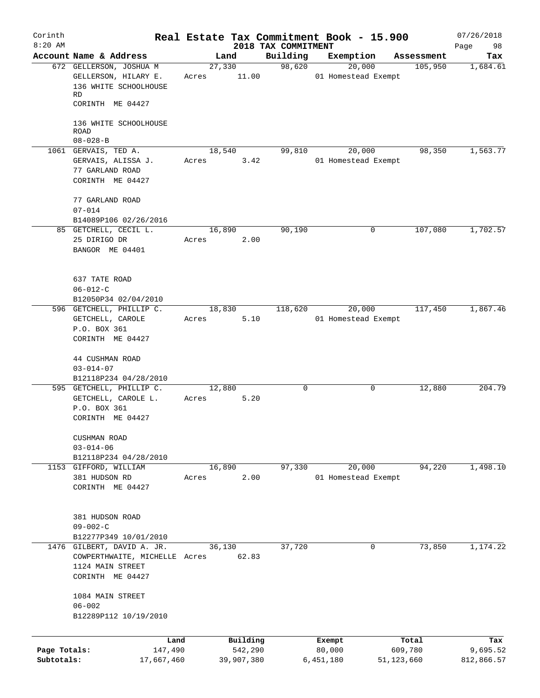| Corinth      |                                                             |        |                 |                                 | Real Estate Tax Commitment Book - 15.900 |            | 07/26/2018        |
|--------------|-------------------------------------------------------------|--------|-----------------|---------------------------------|------------------------------------------|------------|-------------------|
| $8:20$ AM    | Account Name & Address                                      |        | Land            | 2018 TAX COMMITMENT<br>Building | Exemption                                | Assessment | Page<br>98<br>Tax |
|              | 672 GELLERSON, JOSHUA M<br>GELLERSON, HILARY E.             | Acres  | 27,330<br>11.00 | 98,620                          | 20,000<br>01 Homestead Exempt            | 105,950    | 1,684.61          |
|              | 136 WHITE SCHOOLHOUSE<br>RD                                 |        |                 |                                 |                                          |            |                   |
|              | CORINTH ME 04427                                            |        |                 |                                 |                                          |            |                   |
|              | 136 WHITE SCHOOLHOUSE<br>ROAD<br>$08 - 028 - B$             |        |                 |                                 |                                          |            |                   |
|              | 1061 GERVAIS, TED A.                                        | 18,540 |                 | 99,810                          | 20,000                                   | 98,350     | 1,563.77          |
|              | GERVAIS, ALISSA J.                                          | Acres  | 3.42            |                                 | 01 Homestead Exempt                      |            |                   |
|              | 77 GARLAND ROAD<br>CORINTH ME 04427                         |        |                 |                                 |                                          |            |                   |
|              | 77 GARLAND ROAD<br>$07 - 014$                               |        |                 |                                 |                                          |            |                   |
|              | B14089P106 02/26/2016                                       |        |                 |                                 |                                          |            |                   |
|              | 85 GETCHELL, CECIL L.                                       | 16,890 |                 | 90,190                          | 0                                        | 107,080    | 1,702.57          |
|              | 25 DIRIGO DR<br>BANGOR ME 04401                             | Acres  | 2.00            |                                 |                                          |            |                   |
|              | 637 TATE ROAD                                               |        |                 |                                 |                                          |            |                   |
|              | $06 - 012 - C$                                              |        |                 |                                 |                                          |            |                   |
|              | B12050P34 02/04/2010<br>596 GETCHELL, PHILLIP C.            | 18,830 |                 | 118,620                         | 20,000                                   | 117,450    | 1,867.46          |
|              | GETCHELL, CAROLE                                            | Acres  | 5.10            |                                 | 01 Homestead Exempt                      |            |                   |
|              | P.O. BOX 361                                                |        |                 |                                 |                                          |            |                   |
|              | CORINTH ME 04427                                            |        |                 |                                 |                                          |            |                   |
|              | 44 CUSHMAN ROAD                                             |        |                 |                                 |                                          |            |                   |
|              | $03 - 014 - 07$                                             |        |                 |                                 |                                          |            |                   |
|              | B12118P234 04/28/2010                                       |        |                 |                                 |                                          |            |                   |
|              | 595 GETCHELL, PHILLIP C.<br>GETCHELL, CAROLE L.             | 12,880 | 5.20            | 0                               | 0                                        | 12,880     | 204.79            |
|              | P.O. BOX 361                                                | Acres  |                 |                                 |                                          |            |                   |
|              | CORINTH ME 04427                                            |        |                 |                                 |                                          |            |                   |
|              | CUSHMAN ROAD<br>$03 - 014 - 06$                             |        |                 |                                 |                                          |            |                   |
|              | B12118P234 04/28/2010                                       |        |                 |                                 |                                          |            |                   |
|              | 1153 GIFFORD, WILLIAM                                       | 16,890 |                 | 97,330                          | 20,000                                   | 94,220     | 1,498.10          |
|              | 381 HUDSON RD<br>CORINTH ME 04427                           | Acres  | 2.00            |                                 | 01 Homestead Exempt                      |            |                   |
|              |                                                             |        |                 |                                 |                                          |            |                   |
|              | 381 HUDSON ROAD                                             |        |                 |                                 |                                          |            |                   |
|              | $09 - 002 - C$                                              |        |                 |                                 |                                          |            |                   |
|              | B12277P349 10/01/2010                                       |        |                 |                                 |                                          |            |                   |
|              | 1476 GILBERT, DAVID A. JR.<br>COWPERTHWAITE, MICHELLE Acres | 36,130 | 62.83           | 37,720                          | 0                                        | 73,850     | 1,174.22          |
|              | 1124 MAIN STREET                                            |        |                 |                                 |                                          |            |                   |
|              | CORINTH ME 04427                                            |        |                 |                                 |                                          |            |                   |
|              | 1084 MAIN STREET<br>$06 - 002$                              |        |                 |                                 |                                          |            |                   |
|              | B12289P112 10/19/2010                                       |        |                 |                                 |                                          |            |                   |
|              | Land                                                        |        | Building        |                                 | Exempt                                   | Total      | Tax               |
| Page Totals: | 147,490                                                     |        | 542,290         |                                 | 80,000                                   | 609,780    | 9,695.52          |
| Subtotals:   | 17,667,460                                                  |        | 39,907,380      |                                 | 6,451,180                                | 51,123,660 | 812,866.57        |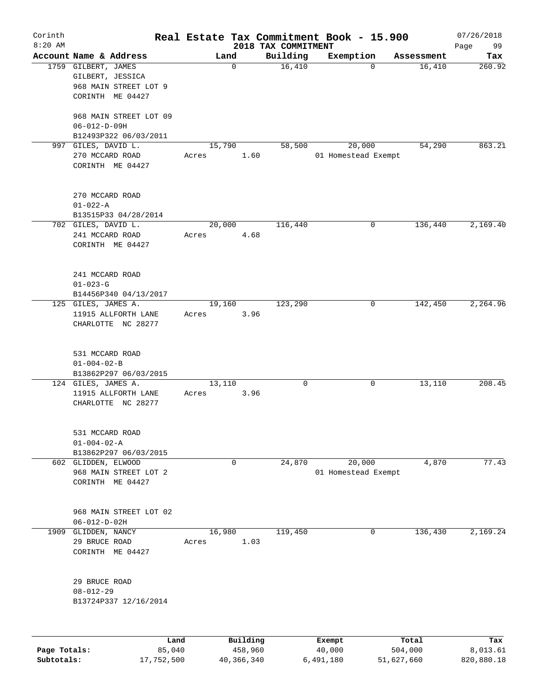| Corinth<br>$8:20$ AM |                                                                                      |       |                     |                                 | Real Estate Tax Commitment Book - 15.900 |                  | 07/26/2018        |
|----------------------|--------------------------------------------------------------------------------------|-------|---------------------|---------------------------------|------------------------------------------|------------------|-------------------|
|                      | Account Name & Address                                                               |       | Land                | 2018 TAX COMMITMENT<br>Building | Exemption                                | Assessment       | Page<br>99<br>Tax |
|                      | 1759 GILBERT, JAMES<br>GILBERT, JESSICA<br>968 MAIN STREET LOT 9<br>CORINTH ME 04427 |       | 0                   | 16,410                          | $\Omega$                                 | 16,410           | 260.92            |
|                      | 968 MAIN STREET LOT 09<br>$06 - 012 - D - 09H$                                       |       |                     |                                 |                                          |                  |                   |
|                      | B12493P322 06/03/2011                                                                |       |                     |                                 |                                          |                  |                   |
|                      | 997 GILES, DAVID L.<br>270 MCCARD ROAD<br>CORINTH ME 04427                           | Acres | 15,790<br>1.60      | 58,500                          | 20,000<br>01 Homestead Exempt            | 54,290           | 863.21            |
|                      | 270 MCCARD ROAD<br>$01 - 022 - A$                                                    |       |                     |                                 |                                          |                  |                   |
|                      | B13515P33 04/28/2014                                                                 |       |                     |                                 |                                          |                  |                   |
|                      | 702 GILES, DAVID L.<br>241 MCCARD ROAD<br>CORINTH ME 04427                           | Acres | 20,000<br>4.68      | 116,440                         | 0                                        | 136,440          | 2,169.40          |
|                      | 241 MCCARD ROAD<br>$01 - 023 - G$<br>B14456P340 04/13/2017                           |       |                     |                                 |                                          |                  |                   |
|                      | 125 GILES, JAMES A.<br>11915 ALLFORTH LANE<br>CHARLOTTE NC 28277                     | Acres | 19,160<br>3.96      | 123,290                         | 0                                        | 142,450          | 2,264.96          |
|                      | 531 MCCARD ROAD<br>$01 - 004 - 02 - B$<br>B13862P297 06/03/2015                      |       |                     |                                 |                                          |                  |                   |
|                      | 124 GILES, JAMES A.<br>11915 ALLFORTH LANE<br>CHARLOTTE NC 28277                     | Acres | 13,110<br>3.96      | 0                               | $\mathbf 0$                              | 13,110           | 208.45            |
|                      | 531 MCCARD ROAD<br>$01 - 004 - 02 - A$<br>B13862P297 06/03/2015                      |       |                     |                                 |                                          |                  |                   |
|                      | 602 GLIDDEN, ELWOOD<br>968 MAIN STREET LOT 2<br>CORINTH ME 04427                     |       | 0                   | 24,870                          | 20,000<br>01 Homestead Exempt            | 4,870            | 77.43             |
|                      | 968 MAIN STREET LOT 02<br>$06 - 012 - D - 02H$                                       |       |                     |                                 |                                          |                  |                   |
| 1909                 | GLIDDEN, NANCY<br>29 BRUCE ROAD<br>CORINTH ME 04427                                  | Acres | 16,980<br>1.03      | 119,450                         | 0                                        | 136,430          | 2,169.24          |
|                      | 29 BRUCE ROAD<br>$08 - 012 - 29$<br>B13724P337 12/16/2014                            |       |                     |                                 |                                          |                  |                   |
| Page Totals:         | Land<br>85,040                                                                       |       | Building<br>458,960 |                                 | Exempt<br>40,000                         | Total<br>504,000 | Tax<br>8,013.61   |
| Subtotals:           | 17,752,500                                                                           |       | 40,366,340          |                                 | 6,491,180                                | 51,627,660       | 820,880.18        |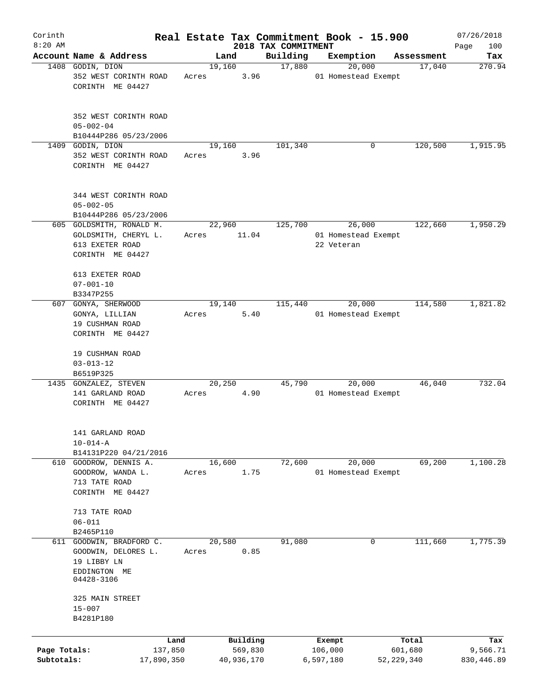| Corinth                    |                                                                                          |       |                       |                      | Real Estate Tax Commitment Book - 15.900 |                         | 07/26/2018             |
|----------------------------|------------------------------------------------------------------------------------------|-------|-----------------------|----------------------|------------------------------------------|-------------------------|------------------------|
| $8:20$ AM                  | Account Name & Address                                                                   |       |                       | 2018 TAX COMMITMENT  |                                          |                         | 100<br>Page            |
|                            | 1408 GODIN, DION                                                                         |       | Land<br>19,160        | Building<br>17,880   | Exemption<br>20,000                      | Assessment<br>17,040    | Tax<br>270.94          |
|                            | 352 WEST CORINTH ROAD<br>CORINTH ME 04427                                                | Acres | 3.96                  |                      | 01 Homestead Exempt                      |                         |                        |
|                            | 352 WEST CORINTH ROAD<br>$05 - 002 - 04$                                                 |       |                       |                      |                                          |                         |                        |
|                            | B10444P286 05/23/2006                                                                    |       |                       |                      |                                          |                         |                        |
| 1409                       | GODIN, DION<br>352 WEST CORINTH ROAD<br>CORINTH ME 04427                                 | Acres | 19,160<br>3.96        | 101,340              | 0                                        | 120,500                 | 1,915.95               |
|                            | 344 WEST CORINTH ROAD<br>$05 - 002 - 05$                                                 |       |                       |                      |                                          |                         |                        |
|                            | B10444P286 05/23/2006<br>605 GOLDSMITH, RONALD M.                                        |       | 22,960                | $1\overline{25,700}$ | 26,000                                   | 122,660                 | 1,950.29               |
|                            | GOLDSMITH, CHERYL L.<br>613 EXETER ROAD<br>CORINTH ME 04427                              | Acres | 11.04                 |                      | 01 Homestead Exempt<br>22 Veteran        |                         |                        |
|                            | 613 EXETER ROAD<br>$07 - 001 - 10$<br>B3347P255                                          |       |                       |                      |                                          |                         |                        |
| 607                        | GONYA, SHERWOOD                                                                          |       | 19,140                | 115,440              | 20,000                                   | 114,580                 | 1,821.82               |
|                            | GONYA, LILLIAN<br>19 CUSHMAN ROAD<br>CORINTH ME 04427                                    | Acres | 5.40                  |                      | 01 Homestead Exempt                      |                         |                        |
|                            | 19 CUSHMAN ROAD<br>$03 - 013 - 12$                                                       |       |                       |                      |                                          |                         |                        |
|                            | B6519P325<br>1435 GONZALEZ, STEVEN                                                       |       | 20,250                | 45,790               | 20,000                                   | 46,040                  | 732.04                 |
|                            | 141 GARLAND ROAD<br>CORINTH ME 04427                                                     | Acres | 4.90                  |                      | 01 Homestead Exempt                      |                         |                        |
|                            | 141 GARLAND ROAD<br>$10 - 014 - A$                                                       |       |                       |                      |                                          |                         |                        |
|                            | B14131P220 04/21/2016<br>610 GOODROW, DENNIS A.                                          |       | 16,600                | 72,600               | 20,000                                   | 69,200                  | 1,100.28               |
|                            | GOODROW, WANDA L.<br>713 TATE ROAD<br>CORINTH ME 04427                                   | Acres | 1.75                  |                      | 01 Homestead Exempt                      |                         |                        |
|                            | 713 TATE ROAD<br>$06 - 011$                                                              |       |                       |                      |                                          |                         |                        |
|                            | B2465P110                                                                                |       |                       |                      |                                          |                         |                        |
| 611                        | GOODWIN, BRADFORD C.<br>GOODWIN, DELORES L.<br>19 LIBBY LN<br>EDDINGTON ME<br>04428-3106 | Acres | 20,580<br>0.85        | 91,080               | 0                                        | 111,660                 | 1,775.39               |
|                            | 325 MAIN STREET<br>$15 - 007$<br>B4281P180                                               |       |                       |                      |                                          |                         |                        |
|                            | Land                                                                                     |       | Building              |                      | Exempt                                   | Total                   | Tax                    |
| Page Totals:<br>Subtotals: | 137,850<br>17,890,350                                                                    |       | 569,830<br>40,936,170 |                      | 106,000<br>6,597,180                     | 601,680<br>52, 229, 340 | 9,566.71<br>830,446.89 |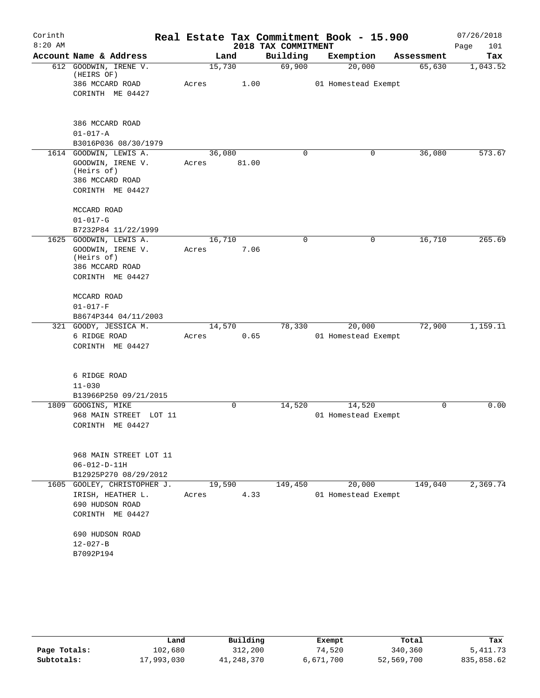| Corinth<br>$8:20$ AM |                                               |                 |       | 2018 TAX COMMITMENT | Real Estate Tax Commitment Book - 15.900 |            | 07/26/2018<br>Page<br>101 |
|----------------------|-----------------------------------------------|-----------------|-------|---------------------|------------------------------------------|------------|---------------------------|
|                      | Account Name & Address                        |                 | Land  | Building            | Exemption                                | Assessment | Tax                       |
|                      | 612 GOODWIN, IRENE V.<br>(HEIRS OF)           | 15,730          |       | 69,900              | 20,000                                   | 65,630     | 1,043.52                  |
|                      | 386 MCCARD ROAD                               | Acres           | 1.00  |                     | 01 Homestead Exempt                      |            |                           |
|                      | CORINTH ME 04427                              |                 |       |                     |                                          |            |                           |
|                      | 386 MCCARD ROAD                               |                 |       |                     |                                          |            |                           |
|                      | $01 - 017 - A$                                |                 |       |                     |                                          |            |                           |
|                      | B3016P036 08/30/1979                          |                 |       |                     |                                          |            |                           |
|                      | 1614 GOODWIN, LEWIS A.                        | 36,080          |       | $\Omega$            | 0                                        | 36,080     | 573.67                    |
|                      | GOODWIN, IRENE V.<br>(Heirs of)               | Acres           | 81.00 |                     |                                          |            |                           |
|                      | 386 MCCARD ROAD                               |                 |       |                     |                                          |            |                           |
|                      | CORINTH ME 04427                              |                 |       |                     |                                          |            |                           |
|                      | MCCARD ROAD                                   |                 |       |                     |                                          |            |                           |
|                      | $01 - 017 - G$                                |                 |       |                     |                                          |            |                           |
|                      | B7232P84 11/22/1999                           |                 |       |                     |                                          |            |                           |
| 1625                 | GOODWIN, LEWIS A.                             | 16,710          |       | 0                   | 0                                        | 16,710     | 265.69                    |
|                      | GOODWIN, IRENE V.<br>(Heirs of)               | Acres           | 7.06  |                     |                                          |            |                           |
|                      | 386 MCCARD ROAD                               |                 |       |                     |                                          |            |                           |
|                      | CORINTH ME 04427                              |                 |       |                     |                                          |            |                           |
|                      | MCCARD ROAD                                   |                 |       |                     |                                          |            |                           |
|                      | $01 - 017 - F$                                |                 |       |                     |                                          |            |                           |
|                      | B8674P344 04/11/2003                          |                 |       |                     |                                          |            |                           |
| 321                  | GOODY, JESSICA M.                             | 14,570          |       | 78,330              | 20,000                                   | 72,900     | 1,159.11                  |
|                      | 6 RIDGE ROAD                                  | Acres           | 0.65  |                     | 01 Homestead Exempt                      |            |                           |
|                      | CORINTH ME 04427                              |                 |       |                     |                                          |            |                           |
|                      | 6 RIDGE ROAD                                  |                 |       |                     |                                          |            |                           |
|                      | $11 - 030$                                    |                 |       |                     |                                          |            |                           |
|                      | B13966P250 09/21/2015                         |                 |       |                     |                                          |            |                           |
| 1809                 | GOOGINS, MIKE                                 |                 | 0     | 14,520              | 14,520                                   | 0          | 0.00                      |
|                      | 968 MAIN STREET LOT 11                        |                 |       |                     | 01 Homestead Exempt                      |            |                           |
|                      | CORINTH ME 04427                              |                 |       |                     |                                          |            |                           |
|                      |                                               |                 |       |                     |                                          |            |                           |
|                      | 968 MAIN STREET LOT 11                        |                 |       |                     |                                          |            |                           |
|                      | $06 - 012 - D - 11H$<br>B12925P270 08/29/2012 |                 |       |                     |                                          |            |                           |
| 1605                 |                                               |                 |       | 149,450             |                                          | 149,040    | 2,369.74                  |
|                      | GOOLEY, CHRISTOPHER J.<br>IRISH, HEATHER L.   | 19,590<br>Acres | 4.33  |                     | 20,000<br>01 Homestead Exempt            |            |                           |
|                      | 690 HUDSON ROAD                               |                 |       |                     |                                          |            |                           |
|                      | CORINTH ME 04427                              |                 |       |                     |                                          |            |                           |
|                      | 690 HUDSON ROAD                               |                 |       |                     |                                          |            |                           |
|                      | $12 - 027 - B$                                |                 |       |                     |                                          |            |                           |
|                      | B7092P194                                     |                 |       |                     |                                          |            |                           |
|                      |                                               |                 |       |                     |                                          |            |                           |

|              | Land       | Building   | Exempt    | Total      | Tax        |
|--------------|------------|------------|-----------|------------|------------|
| Page Totals: | 102,680    | 312,200    | 74,520    | 340,360    | 5, 411.73  |
| Subtotals:   | 17,993,030 | 41,248,370 | 6,671,700 | 52,569,700 | 835,858.62 |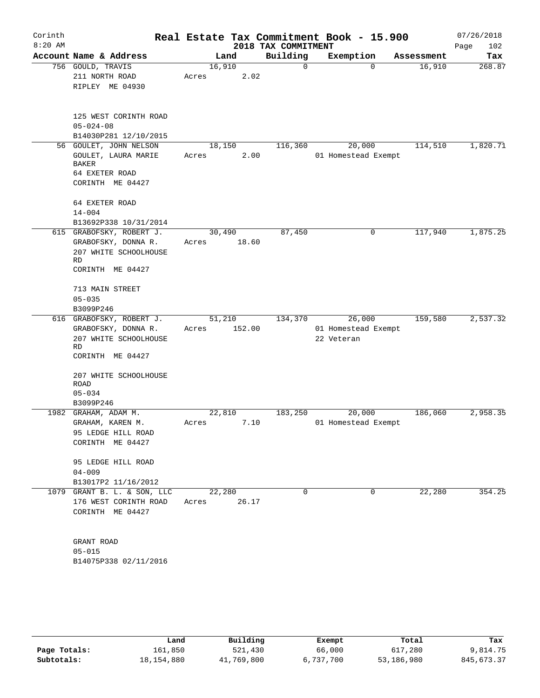| Corinth<br>$8:20$ AM |                                                                                    |                 |        | 2018 TAX COMMITMENT | Real Estate Tax Commitment Book - 15.900 |            | 07/26/2018<br>Page<br>102 |
|----------------------|------------------------------------------------------------------------------------|-----------------|--------|---------------------|------------------------------------------|------------|---------------------------|
|                      | Account Name & Address                                                             |                 | Land   | Building            | Exemption                                | Assessment | Tax                       |
|                      | 756 GOULD, TRAVIS<br>211 NORTH ROAD<br>RIPLEY ME 04930                             | 16,910<br>Acres | 2.02   | 0                   | $\mathbf 0$                              | 16,910     | 268.87                    |
|                      | 125 WEST CORINTH ROAD<br>$05 - 024 - 08$<br>B14030P281 12/10/2015                  |                 |        |                     |                                          |            |                           |
|                      | 56 GOULET, JOHN NELSON                                                             | 18,150          |        | 116,360             | 20,000                                   | 114,510    | 1,820.71                  |
|                      | GOULET, LAURA MARIE<br><b>BAKER</b><br>64 EXETER ROAD<br>CORINTH ME 04427          | Acres           | 2.00   |                     | 01 Homestead Exempt                      |            |                           |
|                      | 64 EXETER ROAD<br>$14 - 004$<br>B13692P338 10/31/2014                              |                 |        |                     |                                          |            |                           |
|                      | 615 GRABOFSKY, ROBERT J.                                                           | 30,490          |        | 87,450              | 0                                        | 117,940    | 1,875.25                  |
|                      | GRABOFSKY, DONNA R.<br>207 WHITE SCHOOLHOUSE<br><b>RD</b><br>CORINTH ME 04427      | Acres           | 18.60  |                     |                                          |            |                           |
|                      | 713 MAIN STREET                                                                    |                 |        |                     |                                          |            |                           |
|                      | $05 - 035$<br>B3099P246                                                            |                 |        |                     |                                          |            |                           |
|                      | 616 GRABOFSKY, ROBERT J.                                                           | 51,210          |        | 134,370             | 26,000                                   | 159,580    | 2,537.32                  |
|                      | GRABOFSKY, DONNA R.<br>207 WHITE SCHOOLHOUSE<br>RD<br>CORINTH ME 04427             | Acres           | 152.00 |                     | 01 Homestead Exempt<br>22 Veteran        |            |                           |
|                      | 207 WHITE SCHOOLHOUSE<br>ROAD<br>$05 - 034$                                        |                 |        |                     |                                          |            |                           |
|                      | B3099P246                                                                          |                 |        |                     |                                          |            |                           |
|                      | 1982 GRAHAM, ADAM M.<br>GRAHAM, KAREN M.<br>95 LEDGE HILL ROAD<br>CORINTH ME 04427 | 22,810<br>Acres | 7.10   | 183,250             | 20,000<br>01 Homestead Exempt            | 186,060    | 2,958.35                  |
|                      | 95 LEDGE HILL ROAD<br>$04 - 009$<br>B13017P2 11/16/2012                            |                 |        |                     |                                          |            |                           |
|                      | 1079 GRANT B. L. & SON, LLC<br>176 WEST CORINTH ROAD<br>CORINTH ME 04427           | 22,280<br>Acres | 26.17  | 0                   | 0                                        | 22,280     | 354.25                    |
|                      | GRANT ROAD<br>$05 - 015$<br>B14075P338 02/11/2016                                  |                 |        |                     |                                          |            |                           |

|              | Land       | Building   | Exempt    | Total      | Tax        |
|--------------|------------|------------|-----------|------------|------------|
| Page Totals: | 161,850    | 521,430    | 66,000    | 617,280    | 9,814.75   |
| Subtotals:   | 18,154,880 | 41,769,800 | 6,737,700 | 53,186,980 | 845,673.37 |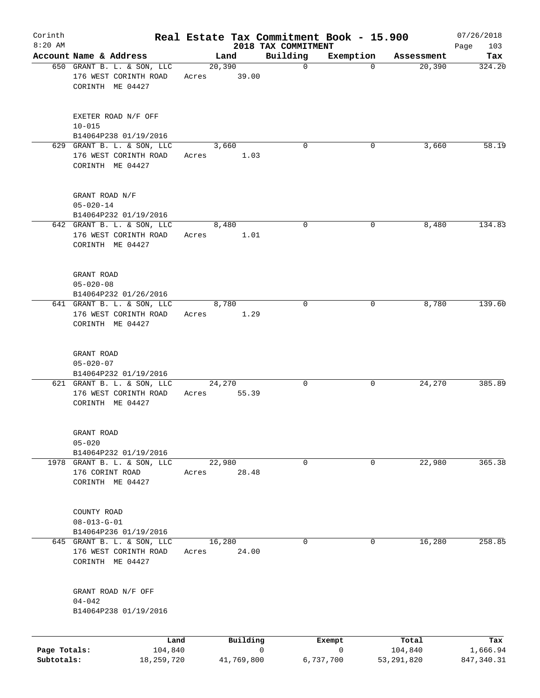| Corinth                    |                                                                         |                 |               | Real Estate Tax Commitment Book - 15.900 |                |                         | 07/26/2018              |
|----------------------------|-------------------------------------------------------------------------|-----------------|---------------|------------------------------------------|----------------|-------------------------|-------------------------|
| $8:20$ AM                  | Account Name & Address                                                  |                 | Land          | 2018 TAX COMMITMENT<br>Building          | Exemption      | Assessment              | 103<br>Page<br>Tax      |
|                            | 650 GRANT B. L. & SON, LLC<br>176 WEST CORINTH ROAD<br>CORINTH ME 04427 | Acres 39.00     | 20, 390       | $\mathbf 0$                              | $\overline{0}$ | 20,390                  | 324.20                  |
|                            | EXETER ROAD N/F OFF<br>$10 - 015$<br>B14064P238 01/19/2016              |                 |               |                                          |                |                         |                         |
|                            | 629 GRANT B. L. & SON, LLC<br>176 WEST CORINTH ROAD<br>CORINTH ME 04427 | Acres           | 3,660<br>1.03 | $\Omega$                                 | 0              | 3,660                   | 58.19                   |
|                            | GRANT ROAD N/F<br>$05 - 020 - 14$<br>B14064P232 01/19/2016              |                 |               |                                          |                |                         |                         |
|                            | 642 GRANT B. L. & SON, LLC<br>176 WEST CORINTH ROAD<br>CORINTH ME 04427 | Acres           | 8,480<br>1.01 | 0                                        | 0              | 8,480                   | 134.83                  |
|                            | GRANT ROAD<br>$05 - 020 - 08$<br>B14064P232 01/26/2016                  |                 |               |                                          |                |                         |                         |
|                            | 641 GRANT B. L. & SON, LLC<br>176 WEST CORINTH ROAD<br>CORINTH ME 04427 | Acres           | 8,780<br>1.29 | $\Omega$                                 | 0              | 8,780                   | 139.60                  |
|                            | GRANT ROAD<br>$05 - 020 - 07$<br>B14064P232 01/19/2016                  |                 |               |                                          |                |                         |                         |
|                            | 621 GRANT B. L. & SON, LLC<br>176 WEST CORINTH ROAD<br>CORINTH ME 04427 | 24,270<br>Acres | 55.39         | 0                                        | 0              | 24,270                  | 385.89                  |
|                            | GRANT ROAD<br>$05 - 020$<br>B14064P232 01/19/2016                       |                 |               |                                          |                |                         |                         |
|                            | 1978 GRANT B. L. & SON, LLC<br>176 CORINT ROAD<br>CORINTH ME 04427      | 22,980<br>Acres | 28.48         | 0                                        | 0              | 22,980                  | 365.38                  |
|                            | COUNTY ROAD<br>$08 - 013 - G - 01$<br>B14064P236 01/19/2016             |                 |               |                                          |                |                         |                         |
|                            | 645 GRANT B. L. & SON, LLC<br>176 WEST CORINTH ROAD<br>CORINTH ME 04427 | 16,280<br>Acres | 24.00         | 0                                        | 0              | 16,280                  | 258.85                  |
|                            | GRANT ROAD N/F OFF<br>$04 - 042$<br>B14064P238 01/19/2016               |                 |               |                                          |                |                         |                         |
|                            | Land                                                                    |                 | Building      | 0                                        | Exempt<br>0    | Total                   | Tax                     |
| Page Totals:<br>Subtotals: | 104,840<br>18,259,720                                                   |                 | 41,769,800    |                                          | 6,737,700      | 104,840<br>53, 291, 820 | 1,666.94<br>847, 340.31 |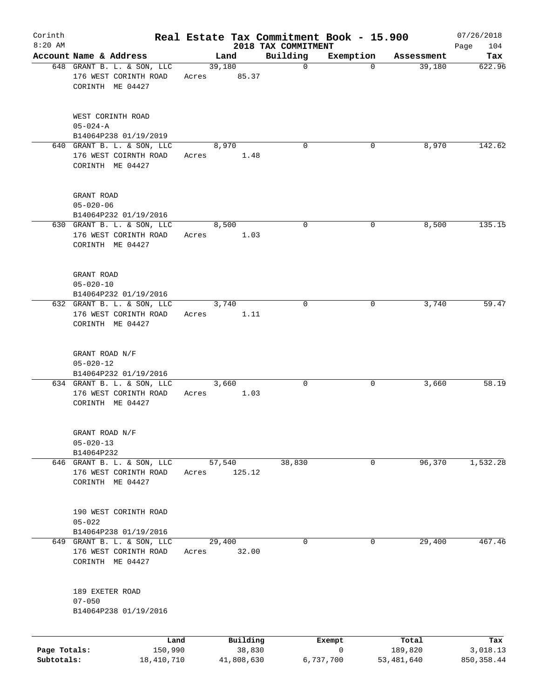| Corinth<br>$8:20$ AM       |                                                                         |                 |                      | Real Estate Tax Commitment Book - 15.900<br>2018 TAX COMMITMENT |                          |                       | 07/26/2018<br>104<br>Page |
|----------------------------|-------------------------------------------------------------------------|-----------------|----------------------|-----------------------------------------------------------------|--------------------------|-----------------------|---------------------------|
|                            | Account Name & Address                                                  |                 | Land                 | Building                                                        | Exemption                | Assessment            | Tax                       |
|                            | 648 GRANT B. L. & SON, LLC<br>176 WEST CORINTH ROAD<br>CORINTH ME 04427 | 39,180<br>Acres | 85.37                | $\mathbf 0$                                                     | $\Omega$                 | 39,180                | 622.96                    |
|                            | WEST CORINTH ROAD<br>$05 - 024 - A$<br>B14064P238 01/19/2019            |                 |                      |                                                                 |                          |                       |                           |
|                            | 640 GRANT B. L. & SON, LLC<br>176 WEST COIRNTH ROAD<br>CORINTH ME 04427 | Acres           | 8,970<br>1.48        | $\Omega$                                                        | 0                        | 8,970                 | 142.62                    |
|                            | GRANT ROAD<br>$05 - 020 - 06$<br>B14064P232 01/19/2016                  |                 |                      |                                                                 |                          |                       |                           |
|                            | 630 GRANT B. L. & SON, LLC<br>176 WEST CORINTH ROAD<br>CORINTH ME 04427 | Acres           | 8,500<br>1.03        | 0                                                               | 0                        | 8,500                 | 135.15                    |
|                            | GRANT ROAD<br>$05 - 020 - 10$<br>B14064P232 01/19/2016                  |                 |                      |                                                                 |                          |                       |                           |
|                            | 632 GRANT B. L. & SON, LLC<br>176 WEST CORINTH ROAD<br>CORINTH ME 04427 | Acres           | 3,740<br>1.11        | $\Omega$                                                        | 0                        | 3,740                 | 59.47                     |
|                            | GRANT ROAD N/F<br>$05 - 020 - 12$<br>B14064P232 01/19/2016              |                 |                      |                                                                 |                          |                       |                           |
|                            | 634 GRANT B. L. & SON, LLC<br>176 WEST CORINTH ROAD<br>CORINTH ME 04427 | Acres           | 3,660<br>1.03        | 0                                                               | 0                        | 3,660                 | 58.19                     |
|                            | GRANT ROAD N/F<br>$05 - 020 - 13$<br>B14064P232                         |                 |                      |                                                                 |                          |                       |                           |
|                            | 646 GRANT B. L. & SON, LLC<br>176 WEST CORINTH ROAD<br>CORINTH ME 04427 | 57,540<br>Acres | 125.12               | 38,830                                                          | 0                        | 96,370                | 1,532.28                  |
|                            | 190 WEST CORINTH ROAD<br>$05 - 022$<br>B14064P238 01/19/2016            |                 |                      |                                                                 |                          |                       |                           |
|                            | 649 GRANT B. L. & SON, LLC<br>176 WEST CORINTH ROAD<br>CORINTH ME 04427 | 29,400<br>Acres | 32.00                | 0                                                               | 0                        | 29,400                | 467.46                    |
|                            | 189 EXETER ROAD<br>$07 - 050$<br>B14064P238 01/19/2016                  |                 |                      |                                                                 |                          |                       |                           |
|                            | Land                                                                    |                 | Building             |                                                                 | Exempt                   | Total                 | Tax                       |
| Page Totals:<br>Subtotals: | 150,990<br>18,410,710                                                   |                 | 38,830<br>41,808,630 |                                                                 | $\mathbf 0$<br>6,737,700 | 189,820<br>53,481,640 | 3,018.13<br>850, 358.44   |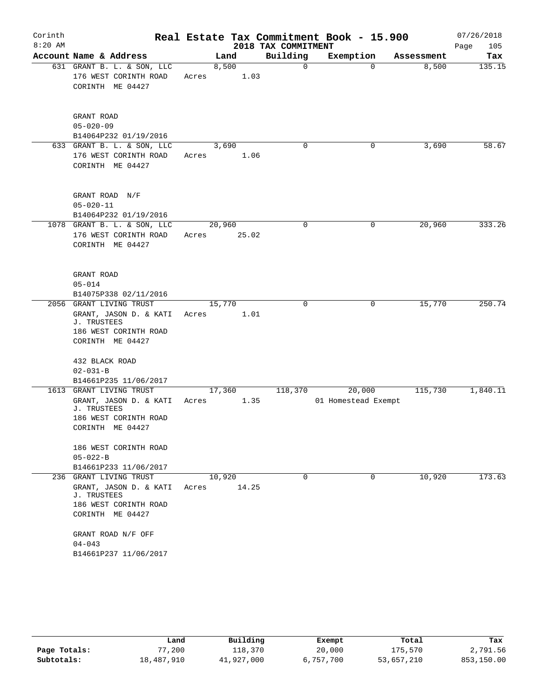| Corinth   |                                           |        |       |                     | Real Estate Tax Commitment Book - 15.900 |            | 07/26/2018  |
|-----------|-------------------------------------------|--------|-------|---------------------|------------------------------------------|------------|-------------|
| $8:20$ AM |                                           |        |       | 2018 TAX COMMITMENT |                                          |            | Page<br>105 |
|           | Account Name & Address                    |        | Land  | Building            | Exemption                                | Assessment | Tax         |
|           | 631 GRANT B. L. & SON, LLC                | 8,500  |       | 0                   | $\Omega$                                 | 8,500      | 135.15      |
|           | 176 WEST CORINTH ROAD<br>CORINTH ME 04427 | Acres  | 1.03  |                     |                                          |            |             |
|           |                                           |        |       |                     |                                          |            |             |
|           | GRANT ROAD                                |        |       |                     |                                          |            |             |
|           | $05 - 020 - 09$                           |        |       |                     |                                          |            |             |
|           | B14064P232 01/19/2016                     |        |       |                     |                                          |            |             |
|           | 633 GRANT B. L. & SON, LLC                | 3,690  |       | 0                   | 0                                        | 3,690      | 58.67       |
|           | 176 WEST CORINTH ROAD                     | Acres  | 1.06  |                     |                                          |            |             |
|           | CORINTH ME 04427                          |        |       |                     |                                          |            |             |
|           | GRANT ROAD N/F                            |        |       |                     |                                          |            |             |
|           | $05 - 020 - 11$                           |        |       |                     |                                          |            |             |
|           | B14064P232 01/19/2016                     |        |       |                     |                                          |            |             |
|           | 1078 GRANT B. L. & SON, LLC               | 20,960 |       | 0                   | 0                                        | 20,960     | 333.26      |
|           | 176 WEST CORINTH ROAD                     | Acres  | 25.02 |                     |                                          |            |             |
|           | CORINTH ME 04427                          |        |       |                     |                                          |            |             |
|           | GRANT ROAD                                |        |       |                     |                                          |            |             |
|           | $05 - 014$                                |        |       |                     |                                          |            |             |
|           | B14075P338 02/11/2016                     |        |       |                     |                                          |            |             |
|           | 2056 GRANT LIVING TRUST                   | 15,770 |       | 0                   | $\mathbf 0$                              | 15,770     | 250.74      |
|           | GRANT, JASON D. & KATI                    | Acres  | 1.01  |                     |                                          |            |             |
|           | J. TRUSTEES                               |        |       |                     |                                          |            |             |
|           | 186 WEST CORINTH ROAD<br>CORINTH ME 04427 |        |       |                     |                                          |            |             |
|           |                                           |        |       |                     |                                          |            |             |
|           | 432 BLACK ROAD                            |        |       |                     |                                          |            |             |
|           | $02 - 031 - B$                            |        |       |                     |                                          |            |             |
|           | B14661P235 11/06/2017                     |        |       |                     |                                          |            |             |
|           | 1613 GRANT LIVING TRUST                   | 17,360 |       | 118,370             | 20,000                                   | 115,730    | 1,840.11    |
|           | GRANT, JASON D. & KATI                    | Acres  | 1.35  |                     | 01 Homestead Exempt                      |            |             |
|           | J. TRUSTEES                               |        |       |                     |                                          |            |             |
|           | 186 WEST CORINTH ROAD<br>CORINTH ME 04427 |        |       |                     |                                          |            |             |
|           |                                           |        |       |                     |                                          |            |             |
|           | 186 WEST CORINTH ROAD                     |        |       |                     |                                          |            |             |
|           | $05 - 022 - B$                            |        |       |                     |                                          |            |             |
|           | B14661P233 11/06/2017                     |        |       |                     |                                          |            |             |
|           | 236 GRANT LIVING TRUST                    | 10,920 |       | $\Omega$            | 0                                        | 10,920     | 173.63      |
|           | GRANT, JASON D. & KATI<br>J. TRUSTEES     | Acres  | 14.25 |                     |                                          |            |             |
|           | 186 WEST CORINTH ROAD                     |        |       |                     |                                          |            |             |
|           | CORINTH ME 04427                          |        |       |                     |                                          |            |             |
|           | GRANT ROAD N/F OFF                        |        |       |                     |                                          |            |             |
|           | $04 - 043$                                |        |       |                     |                                          |            |             |
|           | B14661P237 11/06/2017                     |        |       |                     |                                          |            |             |
|           |                                           |        |       |                     |                                          |            |             |

|              | Land       | Building   | Exempt    | Total      | Tax        |
|--------------|------------|------------|-----------|------------|------------|
| Page Totals: | .200       | 118,370    | 20,000    | 175,570    | 2,791.56   |
| Subtotals:   | 18,487,910 | 41,927,000 | 6,757,700 | 53,657,210 | 853,150.00 |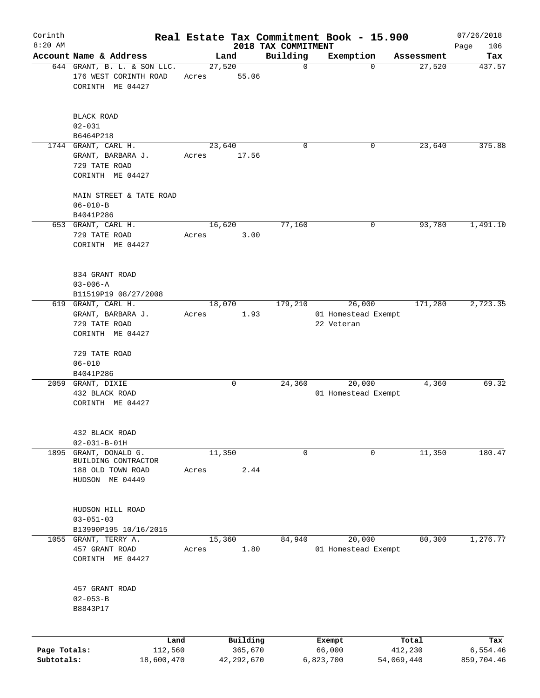| Corinth                    |                                                                                 |                 |                         |                         | Real Estate Tax Commitment Book - 15.900    |                       | 07/26/2018             |
|----------------------------|---------------------------------------------------------------------------------|-----------------|-------------------------|-------------------------|---------------------------------------------|-----------------------|------------------------|
| $8:20$ AM                  | Account Name & Address                                                          |                 |                         | 2018 TAX COMMITMENT     |                                             |                       | 106<br>Page            |
|                            | 644 GRANT, B. L. & SON LLC.<br>176 WEST CORINTH ROAD<br>CORINTH ME 04427        | 27,520<br>Acres | Land<br>55.06           | Building<br>$\mathbf 0$ | Exemption<br>$\mathbf 0$                    | Assessment<br>27,520  | Tax<br>437.57          |
|                            | <b>BLACK ROAD</b><br>$02 - 031$<br>B6464P218                                    |                 |                         |                         |                                             |                       |                        |
|                            | 1744 GRANT, CARL H.<br>GRANT, BARBARA J.<br>729 TATE ROAD<br>CORINTH ME 04427   | Acres           | 23,640<br>17.56         | 0                       | 0                                           | 23,640                | 375.88                 |
|                            | MAIN STREET & TATE ROAD<br>$06 - 010 - B$<br>B4041P286                          |                 |                         |                         |                                             |                       |                        |
|                            | 653 GRANT, CARL H.<br>729 TATE ROAD<br>CORINTH ME 04427                         | Acres           | 16,620<br>3.00          | 77,160                  | 0                                           | 93,780                | 1,491.10               |
|                            | 834 GRANT ROAD<br>$03 - 006 - A$<br>B11519P19 08/27/2008                        |                 |                         |                         |                                             |                       |                        |
|                            | 619 GRANT, CARL H.<br>GRANT, BARBARA J.<br>729 TATE ROAD<br>CORINTH ME 04427    | Acres           | 18,070<br>1.93          | 179,210                 | 26,000<br>01 Homestead Exempt<br>22 Veteran | 171,280               | 2,723.35               |
|                            | 729 TATE ROAD<br>$06 - 010$<br>B4041P286                                        |                 |                         |                         |                                             |                       |                        |
|                            | 2059 GRANT, DIXIE<br>432 BLACK ROAD<br>CORINTH ME 04427                         |                 | 0                       | 24,360                  | 20,000<br>01 Homestead Exempt               | 4,360                 | 69.32                  |
|                            | 432 BLACK ROAD<br>$02 - 031 - B - 01H$                                          |                 |                         |                         |                                             |                       |                        |
| 1895                       | GRANT, DONALD G.<br>BUILDING CONTRACTOR<br>188 OLD TOWN ROAD<br>HUDSON ME 04449 | Acres           | 11,350<br>2.44          | 0                       | 0                                           | 11,350                | 180.47                 |
|                            | HUDSON HILL ROAD<br>$03 - 051 - 03$<br>B13990P195 10/16/2015                    |                 |                         |                         |                                             |                       |                        |
|                            | 1055 GRANT, TERRY A.<br>457 GRANT ROAD<br>CORINTH ME 04427                      | Acres           | 15,360<br>1.80          | 84,940                  | 20,000<br>01 Homestead Exempt               | 80,300                | 1,276.77               |
|                            | 457 GRANT ROAD<br>$02 - 053 - B$<br>B8843P17                                    |                 |                         |                         |                                             |                       |                        |
|                            | Land                                                                            |                 | Building                |                         | Exempt                                      | Total                 | Tax                    |
| Page Totals:<br>Subtotals: | 112,560<br>18,600,470                                                           |                 | 365,670<br>42, 292, 670 |                         | 66,000<br>6,823,700                         | 412,230<br>54,069,440 | 6,554.46<br>859,704.46 |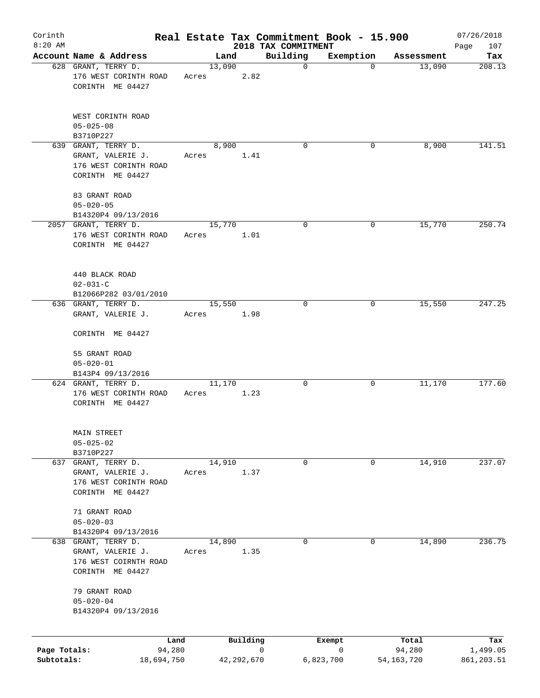| Corinth      |                                                                                       |       |                | Real Estate Tax Commitment Book - 15.900 |             |              | 07/26/2018         |
|--------------|---------------------------------------------------------------------------------------|-------|----------------|------------------------------------------|-------------|--------------|--------------------|
| $8:20$ AM    | Account Name & Address                                                                |       | Land           | 2018 TAX COMMITMENT<br>Building          | Exemption   | Assessment   | 107<br>Page<br>Tax |
|              | 628 GRANT, TERRY D.                                                                   |       | 13,090         | $\mathbf 0$                              | 0           | 13,090       | 208.13             |
|              | 176 WEST CORINTH ROAD<br>CORINTH ME 04427                                             | Acres | 2.82           |                                          |             |              |                    |
|              | WEST CORINTH ROAD<br>$05 - 025 - 08$                                                  |       |                |                                          |             |              |                    |
|              | B3710P227<br>639 GRANT, TERRY D.                                                      |       | 8,900          | $\Omega$                                 | 0           | 8,900        | 141.51             |
|              | GRANT, VALERIE J.<br>176 WEST CORINTH ROAD<br>CORINTH ME 04427                        | Acres | 1.41           |                                          |             |              |                    |
|              | 83 GRANT ROAD<br>$05 - 020 - 05$                                                      |       |                |                                          |             |              |                    |
|              | B14320P4 09/13/2016<br>2057 GRANT, TERRY D.                                           |       | 15,770         | 0                                        | 0           |              | 250.74             |
|              | 176 WEST CORINTH ROAD<br>CORINTH ME 04427                                             | Acres | 1.01           |                                          |             | 15,770       |                    |
|              | 440 BLACK ROAD<br>$02 - 031 - C$<br>B12066P282 03/01/2010                             |       |                |                                          |             |              |                    |
|              | 636 GRANT, TERRY D.                                                                   |       | 15,550         | 0                                        | $\mathbf 0$ | 15,550       | 247.25             |
|              | GRANT, VALERIE J.                                                                     | Acres | 1.98           |                                          |             |              |                    |
|              | CORINTH ME 04427                                                                      |       |                |                                          |             |              |                    |
|              | 55 GRANT ROAD<br>$05 - 020 - 01$                                                      |       |                |                                          |             |              |                    |
|              | B143P4 09/13/2016<br>624 GRANT, TERRY D.                                              |       | 11,170         | 0                                        | 0           | 11,170       | 177.60             |
|              | 176 WEST CORINTH ROAD<br>CORINTH ME 04427                                             | Acres | 1.23           |                                          |             |              |                    |
|              | MAIN STREET<br>$05 - 025 - 02$<br>B3710P227                                           |       |                |                                          |             |              |                    |
|              | 637 GRANT, TERRY D.                                                                   |       | 14,910         | 0                                        | 0           | 14,910       | 237.07             |
|              | GRANT, VALERIE J.<br>176 WEST CORINTH ROAD<br>CORINTH ME 04427                        | Acres | 1.37           |                                          |             |              |                    |
|              | 71 GRANT ROAD<br>$05 - 020 - 03$                                                      |       |                |                                          |             |              |                    |
|              | B14320P4 09/13/2016                                                                   |       |                |                                          |             |              |                    |
|              | 638 GRANT, TERRY D.<br>GRANT, VALERIE J.<br>176 WEST COIRNTH ROAD<br>CORINTH ME 04427 | Acres | 14,890<br>1.35 | 0                                        | 0           | 14,890       | 236.75             |
|              | 79 GRANT ROAD<br>$05 - 020 - 04$<br>B14320P4 09/13/2016                               |       |                |                                          |             |              |                    |
|              | Land                                                                                  |       | Building       |                                          | Exempt      | Total        | Tax                |
| Page Totals: | 94,280                                                                                |       |                | 0                                        | 0           | 94,280       | 1,499.05           |
| Subtotals:   | 18,694,750                                                                            |       | 42,292,670     |                                          | 6,823,700   | 54, 163, 720 | 861, 203.51        |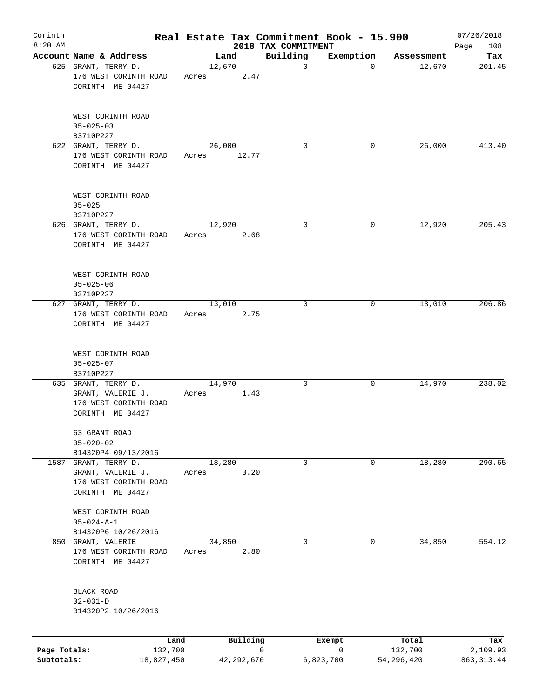| Corinth<br>$8:20$ AM |                                                                                        |       |        |          | Real Estate Tax Commitment Book - 15.900 |             |            | 07/26/2018         |
|----------------------|----------------------------------------------------------------------------------------|-------|--------|----------|------------------------------------------|-------------|------------|--------------------|
|                      | Account Name & Address                                                                 |       | Land   |          | 2018 TAX COMMITMENT<br>Building          | Exemption   | Assessment | 108<br>Page<br>Tax |
|                      | 625 GRANT, TERRY D.<br>176 WEST CORINTH ROAD<br>CORINTH ME 04427                       | Acres | 12,670 | 2.47     | $\mathbf 0$                              | $\mathbf 0$ | 12,670     | 201.45             |
|                      | WEST CORINTH ROAD<br>$05 - 025 - 03$<br>B3710P227                                      |       |        |          |                                          |             |            |                    |
|                      | 622 GRANT, TERRY D.<br>176 WEST CORINTH ROAD<br>CORINTH ME 04427                       | Acres | 26,000 | 12.77    | $\Omega$                                 | 0           | 26,000     | 413.40             |
|                      | WEST CORINTH ROAD<br>$05 - 025$<br>B3710P227                                           |       |        |          |                                          |             |            |                    |
|                      | 626 GRANT, TERRY D.<br>176 WEST CORINTH ROAD<br>CORINTH ME 04427                       | Acres | 12,920 | 2.68     | 0                                        | 0           | 12,920     | 205.43             |
|                      | WEST CORINTH ROAD<br>$05 - 025 - 06$<br>B3710P227                                      |       |        |          |                                          |             |            |                    |
|                      | 627 GRANT, TERRY D.<br>176 WEST CORINTH ROAD<br>CORINTH ME 04427                       | Acres | 13,010 | 2.75     | $\mathbf 0$                              | 0           | 13,010     | 206.86             |
|                      | WEST CORINTH ROAD<br>$05 - 025 - 07$<br>B3710P227                                      |       |        |          |                                          |             |            |                    |
|                      | 635 GRANT, TERRY D.<br>GRANT, VALERIE J.<br>176 WEST CORINTH ROAD<br>CORINTH ME 04427  | Acres | 14,970 | 1.43     | 0                                        | 0           | 14,970     | 238.02             |
|                      | 63 GRANT ROAD<br>$05 - 020 - 02$<br>B14320P4 09/13/2016                                |       |        |          |                                          |             |            |                    |
|                      | 1587 GRANT, TERRY D.<br>GRANT, VALERIE J.<br>176 WEST CORINTH ROAD<br>CORINTH ME 04427 | Acres | 18,280 | 3.20     | 0                                        | 0           | 18,280     | 290.65             |
|                      | WEST CORINTH ROAD<br>$05 - 024 - A - 1$<br>B14320P6 10/26/2016                         |       |        |          |                                          |             |            |                    |
|                      | 850 GRANT, VALERIE<br>176 WEST CORINTH ROAD<br>CORINTH ME 04427                        | Acres | 34,850 | 2.80     | 0                                        | 0           | 34,850     | 554.12             |
|                      | BLACK ROAD<br>$02 - 031 - D$<br>B14320P2 10/26/2016                                    |       |        |          |                                          |             |            |                    |
|                      | Land                                                                                   |       |        | Building |                                          | Exempt      | Total      | Tax                |
| Page Totals:         | 132,700                                                                                |       |        |          | 0                                        | 0           | 132,700    | 2,109.93           |

**Subtotals:** 18,827,450 42,292,670 6,823,700 54,296,420 863,313.44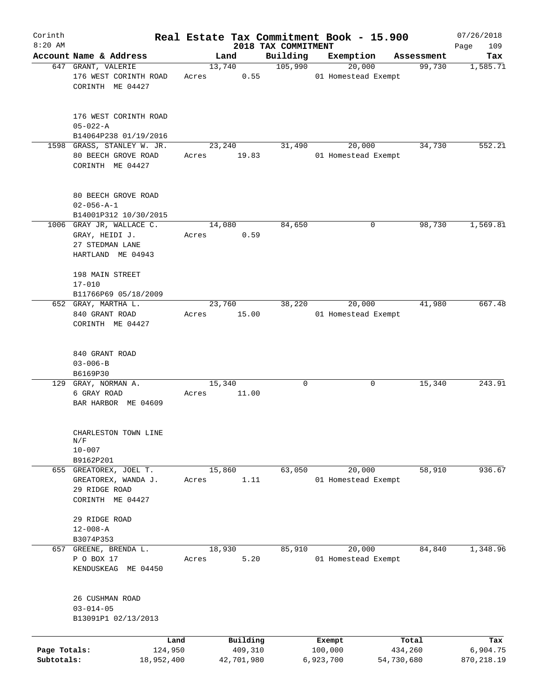| Corinth                    |                                                                                                 |                 |                       |                                 | Real Estate Tax Commitment Book - 15.900 |                       | 07/26/2018             |
|----------------------------|-------------------------------------------------------------------------------------------------|-----------------|-----------------------|---------------------------------|------------------------------------------|-----------------------|------------------------|
| $8:20$ AM                  | Account Name & Address                                                                          |                 | Land                  | 2018 TAX COMMITMENT<br>Building | Exemption                                | Assessment            | 109<br>Page<br>Tax     |
|                            | 647 GRANT, VALERIE                                                                              |                 | 13,740                | 105,990                         | 20,000                                   | 99,730                | 1,585.71               |
|                            | 176 WEST CORINTH ROAD<br>CORINTH ME 04427                                                       | Acres           | 0.55                  |                                 | 01 Homestead Exempt                      |                       |                        |
|                            | 176 WEST CORINTH ROAD<br>$05 - 022 - A$                                                         |                 |                       |                                 |                                          |                       |                        |
|                            | B14064P238 01/19/2016                                                                           |                 |                       |                                 |                                          |                       |                        |
|                            | 1598 GRASS, STANLEY W. JR.<br>80 BEECH GROVE ROAD<br>CORINTH ME 04427                           | Acres           | 23,240<br>19.83       | 31,490                          | 20,000<br>01 Homestead Exempt            | 34,730                | 552.21                 |
|                            | 80 BEECH GROVE ROAD<br>$02 - 056 - A - 1$<br>B14001P312 10/30/2015                              |                 |                       |                                 |                                          |                       |                        |
|                            | 1006 GRAY JR, WALLACE C.                                                                        |                 | 14,080                | 84,650                          | 0                                        | 98,730                | 1,569.81               |
|                            | GRAY, HEIDI J.<br>27 STEDMAN LANE<br>HARTLAND ME 04943                                          | Acres           | 0.59                  |                                 |                                          |                       |                        |
|                            | 198 MAIN STREET<br>$17 - 010$                                                                   |                 |                       |                                 |                                          |                       |                        |
|                            | B11766P69 05/18/2009<br>652 GRAY, MARTHA L.                                                     |                 | 23,760                | 38,220                          | 20,000                                   | 41,980                | 667.48                 |
|                            | 840 GRANT ROAD<br>CORINTH ME 04427                                                              | Acres           | 15.00                 |                                 | 01 Homestead Exempt                      |                       |                        |
|                            | 840 GRANT ROAD<br>$03 - 006 - B$                                                                |                 |                       |                                 |                                          |                       |                        |
|                            | B6169P30                                                                                        |                 |                       |                                 |                                          |                       |                        |
|                            | 129 GRAY, NORMAN A.<br>6 GRAY ROAD<br>BAR HARBOR ME 04609                                       | 15,340<br>Acres | 11.00                 | $\mathbf 0$                     | 0                                        | 15,340                | 243.91                 |
|                            | CHARLESTON TOWN LINE<br>$\mathrm{N}/\mathrm{F}$<br>$10 - 007$                                   |                 |                       |                                 |                                          |                       |                        |
|                            | B9162P201<br>655 GREATOREX, JOEL T.<br>GREATOREX, WANDA J.<br>29 RIDGE ROAD<br>CORINTH ME 04427 | 15,860<br>Acres | 1.11                  | 63,050                          | 20,000<br>01 Homestead Exempt            | 58,910                | 936.67                 |
|                            | 29 RIDGE ROAD<br>$12 - 008 - A$<br>B3074P353                                                    |                 |                       |                                 |                                          |                       |                        |
|                            | 657 GREENE, BRENDA L.<br>P O BOX 17<br>KENDUSKEAG<br>ME 04450                                   | 18,930<br>Acres | 5.20                  | 85,910                          | 20,000<br>01 Homestead Exempt            | 84,840                | 1,348.96               |
|                            | 26 CUSHMAN ROAD<br>$03 - 014 - 05$<br>B13091P1 02/13/2013                                       |                 |                       |                                 |                                          |                       |                        |
|                            | Land                                                                                            |                 | Building              |                                 | Exempt                                   | Total                 | Tax                    |
| Page Totals:<br>Subtotals: | 124,950<br>18,952,400                                                                           |                 | 409,310<br>42,701,980 |                                 | 100,000<br>6,923,700                     | 434,260<br>54,730,680 | 6,904.75<br>870,218.19 |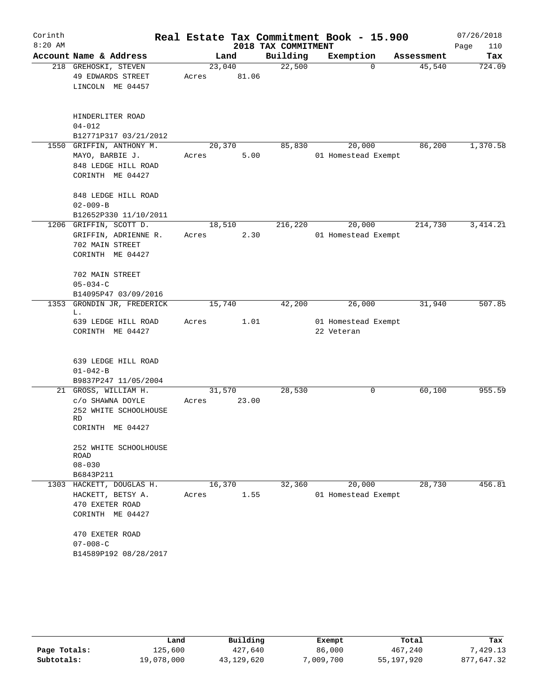| Corinth   |                           |        |       |                     | Real Estate Tax Commitment Book - 15.900 |            | 07/26/2018  |
|-----------|---------------------------|--------|-------|---------------------|------------------------------------------|------------|-------------|
| $8:20$ AM |                           |        |       | 2018 TAX COMMITMENT |                                          |            | Page<br>110 |
|           | Account Name & Address    |        | Land  | Building            | Exemption                                | Assessment | Tax         |
|           | 218 GREHOSKI, STEVEN      | 23,040 |       | 22,500              | $\Omega$                                 | 45,540     | 724.09      |
|           | 49 EDWARDS STREET         | Acres  | 81.06 |                     |                                          |            |             |
|           | LINCOLN ME 04457          |        |       |                     |                                          |            |             |
|           |                           |        |       |                     |                                          |            |             |
|           | HINDERLITER ROAD          |        |       |                     |                                          |            |             |
|           | $04 - 012$                |        |       |                     |                                          |            |             |
|           | B12771P317 03/21/2012     |        |       |                     |                                          |            |             |
|           | 1550 GRIFFIN, ANTHONY M.  | 20,370 |       | 85,830              | 20,000                                   | 86,200     | 1,370.58    |
|           | MAYO, BARBIE J.           | Acres  | 5.00  |                     | 01 Homestead Exempt                      |            |             |
|           | 848 LEDGE HILL ROAD       |        |       |                     |                                          |            |             |
|           | CORINTH ME 04427          |        |       |                     |                                          |            |             |
|           | 848 LEDGE HILL ROAD       |        |       |                     |                                          |            |             |
|           | $02 - 009 - B$            |        |       |                     |                                          |            |             |
|           | B12652P330 11/10/2011     |        |       |                     |                                          |            |             |
|           | 1206 GRIFFIN, SCOTT D.    | 18,510 |       | 216,220             | 20,000                                   | 214,730    | 3, 414.21   |
|           | GRIFFIN, ADRIENNE R.      | Acres  | 2.30  |                     | 01 Homestead Exempt                      |            |             |
|           | 702 MAIN STREET           |        |       |                     |                                          |            |             |
|           | CORINTH ME 04427          |        |       |                     |                                          |            |             |
|           | 702 MAIN STREET           |        |       |                     |                                          |            |             |
|           | $05 - 034 - C$            |        |       |                     |                                          |            |             |
|           | B14095P47 03/09/2016      |        |       |                     |                                          |            |             |
| 1353      | GRONDIN JR, FREDERICK     | 15,740 |       | 42,200              | 26,000                                   | 31,940     | 507.85      |
|           | L.<br>639 LEDGE HILL ROAD | Acres  | 1.01  |                     | 01 Homestead Exempt                      |            |             |
|           | CORINTH ME 04427          |        |       |                     | 22 Veteran                               |            |             |
|           |                           |        |       |                     |                                          |            |             |
|           | 639 LEDGE HILL ROAD       |        |       |                     |                                          |            |             |
|           | $01 - 042 - B$            |        |       |                     |                                          |            |             |
|           | B9837P247 11/05/2004      |        |       |                     |                                          |            |             |
|           | 21 GROSS, WILLIAM H.      | 31,570 |       | 28,530              | 0                                        | 60,100     | 955.59      |
|           | C/O SHAWNA DOYLE          | Acres  | 23.00 |                     |                                          |            |             |
|           | 252 WHITE SCHOOLHOUSE     |        |       |                     |                                          |            |             |
|           | RD                        |        |       |                     |                                          |            |             |
|           | CORINTH ME 04427          |        |       |                     |                                          |            |             |
|           | 252 WHITE SCHOOLHOUSE     |        |       |                     |                                          |            |             |
|           | ROAD                      |        |       |                     |                                          |            |             |
|           | $08 - 030$                |        |       |                     |                                          |            |             |
|           | B6843P211                 |        |       |                     |                                          |            |             |
|           | 1303 HACKETT, DOUGLAS H.  | 16,370 |       | 32,360              | 20,000                                   | 28,730     | 456.81      |
|           | HACKETT, BETSY A.         | Acres  | 1.55  |                     | 01 Homestead Exempt                      |            |             |
|           | 470 EXETER ROAD           |        |       |                     |                                          |            |             |
|           | CORINTH ME 04427          |        |       |                     |                                          |            |             |
|           | 470 EXETER ROAD           |        |       |                     |                                          |            |             |
|           | $07 - 008 - C$            |        |       |                     |                                          |            |             |
|           | B14589P192 08/28/2017     |        |       |                     |                                          |            |             |
|           |                           |        |       |                     |                                          |            |             |

|              | Land       | Building   | Exempt    | Total      | Tax        |
|--------------|------------|------------|-----------|------------|------------|
| Page Totals: | 125,600    | 427,640    | 86,000    | 467,240    | ,429.13    |
| Subtotals:   | 19,078,000 | 43,129,620 | 7,009,700 | 55,197,920 | 877,647.32 |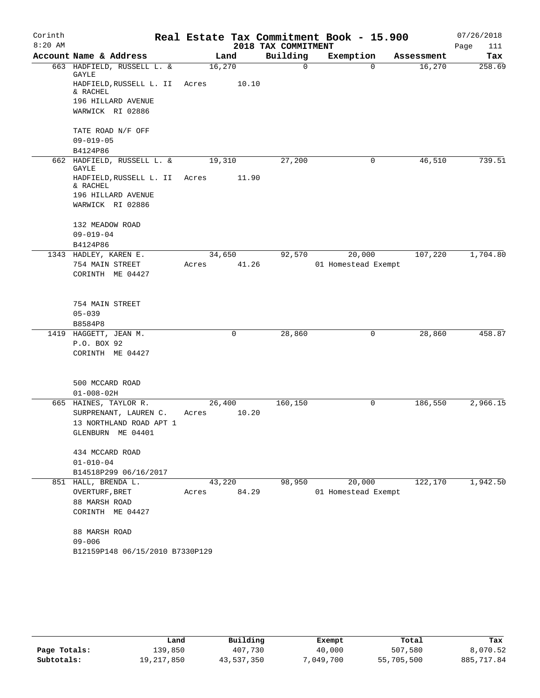| Corinth   |                                        |        |       |                     | Real Estate Tax Commitment Book - 15.900 |            | 07/26/2018  |
|-----------|----------------------------------------|--------|-------|---------------------|------------------------------------------|------------|-------------|
| $8:20$ AM |                                        |        |       | 2018 TAX COMMITMENT |                                          |            | Page<br>111 |
|           | Account Name & Address                 | Land   |       | Building            | Exemption                                | Assessment | Tax         |
|           | 663 HADFIELD, RUSSELL L. &<br>GAYLE    | 16,270 |       | $\mathsf{O}$        | $\Omega$                                 | 16,270     | 258.69      |
|           | HADFIELD, RUSSELL L. II<br>& RACHEL    | Acres  | 10.10 |                     |                                          |            |             |
|           | 196 HILLARD AVENUE<br>WARWICK RI 02886 |        |       |                     |                                          |            |             |
|           |                                        |        |       |                     |                                          |            |             |
|           | TATE ROAD N/F OFF                      |        |       |                     |                                          |            |             |
|           | $09 - 019 - 05$                        |        |       |                     |                                          |            |             |
|           | B4124P86<br>662 HADFIELD, RUSSELL L. & | 19,310 |       | 27,200              | 0                                        | 46,510     | 739.51      |
|           | GAYLE                                  |        |       |                     |                                          |            |             |
|           | HADFIELD, RUSSELL L. II<br>& RACHEL    | Acres  | 11.90 |                     |                                          |            |             |
|           | 196 HILLARD AVENUE                     |        |       |                     |                                          |            |             |
|           | WARWICK RI 02886                       |        |       |                     |                                          |            |             |
|           | 132 MEADOW ROAD                        |        |       |                     |                                          |            |             |
|           | $09 - 019 - 04$                        |        |       |                     |                                          |            |             |
|           | B4124P86                               |        |       |                     |                                          |            |             |
|           | 1343 HADLEY, KAREN E.                  | 34,650 |       | 92,570              | 20,000                                   | 107,220    | 1,704.80    |
|           | 754 MAIN STREET                        | Acres  | 41.26 |                     | 01 Homestead Exempt                      |            |             |
|           | CORINTH ME 04427                       |        |       |                     |                                          |            |             |
|           | 754 MAIN STREET                        |        |       |                     |                                          |            |             |
|           | $05 - 039$                             |        |       |                     |                                          |            |             |
|           | B8584P8                                |        |       |                     |                                          |            |             |
|           | 1419 HAGGETT, JEAN M.                  |        | 0     | 28,860              | $\mathbf 0$                              | 28,860     | 458.87      |
|           | P.O. BOX 92                            |        |       |                     |                                          |            |             |
|           | CORINTH ME 04427                       |        |       |                     |                                          |            |             |
|           | 500 MCCARD ROAD                        |        |       |                     |                                          |            |             |
|           | $01 - 008 - 02H$                       |        |       |                     |                                          |            |             |
|           | 665 HAINES, TAYLOR R.                  | 26,400 |       | 160,150             | 0                                        | 186,550    | 2,966.15    |
|           | SURPRENANT, LAUREN C.                  | Acres  | 10.20 |                     |                                          |            |             |
|           | 13 NORTHLAND ROAD APT 1                |        |       |                     |                                          |            |             |
|           | GLENBURN ME 04401                      |        |       |                     |                                          |            |             |
|           | 434 MCCARD ROAD                        |        |       |                     |                                          |            |             |
|           | $01 - 010 - 04$                        |        |       |                     |                                          |            |             |
|           | B14518P299 06/16/2017                  |        |       |                     |                                          |            |             |
|           | 851 HALL, BRENDA L.                    | 43,220 |       | 98,950              | 20,000                                   | 122,170    | 1,942.50    |
|           | OVERTURF, BRET                         | Acres  | 84.29 |                     | 01 Homestead Exempt                      |            |             |
|           | 88 MARSH ROAD                          |        |       |                     |                                          |            |             |
|           | CORINTH ME 04427                       |        |       |                     |                                          |            |             |
|           | 88 MARSH ROAD                          |        |       |                     |                                          |            |             |
|           | $09 - 006$                             |        |       |                     |                                          |            |             |
|           | B12159P148 06/15/2010 B7330P129        |        |       |                     |                                          |            |             |

|              | Land       | Building   | Exempt    | Total      | Tax        |
|--------------|------------|------------|-----------|------------|------------|
| Page Totals: | 139,850    | 407,730    | 40,000    | 507,580    | 8,070.52   |
| Subtotals:   | 19,217,850 | 43,537,350 | 7,049,700 | 55,705,500 | 885,717.84 |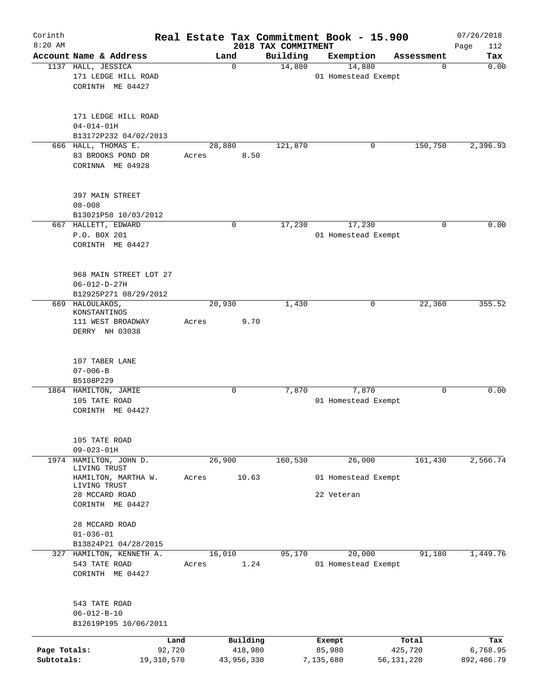| Corinth<br>$8:20$ AM       |                                                                         |                 |                       | 2018 TAX COMMITMENT | Real Estate Tax Commitment Book - 15.900 |                       | 07/26/2018             |
|----------------------------|-------------------------------------------------------------------------|-----------------|-----------------------|---------------------|------------------------------------------|-----------------------|------------------------|
|                            | Account Name & Address                                                  |                 | Land                  | Building            | Exemption                                | Assessment            | Page<br>112<br>Tax     |
|                            | 1137 HALL, JESSICA<br>171 LEDGE HILL ROAD<br>CORINTH ME 04427           |                 | $\mathbf 0$           | 14,880              | 14,880<br>01 Homestead Exempt            | 0                     | 0.00                   |
|                            | 171 LEDGE HILL ROAD<br>$04 - 014 - 01H$<br>B13172P232 04/02/2013        |                 |                       |                     |                                          |                       |                        |
|                            | 666 HALL, THOMAS E.                                                     | 28,880          |                       | 121,870             | $\mathbf 0$                              | 150,750               | 2,396.93               |
|                            | 83 BROOKS POND DR<br>CORINNA ME 04928                                   | Acres           | 8.50                  |                     |                                          |                       |                        |
|                            | 397 MAIN STREET<br>$08 - 008$                                           |                 |                       |                     |                                          |                       |                        |
|                            | B13021P58 10/03/2012<br>667 HALLETT, EDWARD                             |                 | 0                     | 17,230              | 17,230                                   | $\mathbf 0$           | 0.00                   |
|                            | P.O. BOX 201<br>CORINTH ME 04427                                        |                 |                       |                     | 01 Homestead Exempt                      |                       |                        |
|                            | 968 MAIN STREET LOT 27<br>$06 - 012 - D - 27H$<br>B12925P271 08/29/2012 |                 |                       |                     |                                          |                       |                        |
| 669                        | HALOULAKOS,                                                             | 20,930          |                       | 1,430               | 0                                        | 22,360                | 355.52                 |
|                            | KONSTANTINOS                                                            |                 |                       |                     |                                          |                       |                        |
|                            | 111 WEST BROADWAY                                                       | Acres           | 9.70                  |                     |                                          |                       |                        |
|                            | DERRY NH 03038                                                          |                 |                       |                     |                                          |                       |                        |
|                            | 107 TABER LANE<br>$07 - 006 - B$                                        |                 |                       |                     |                                          |                       |                        |
|                            | B5108P229<br>1864 HAMILTON, JAMIE<br>105 TATE ROAD<br>CORINTH ME 04427  |                 | 0                     | 7,870               | 7,870<br>01 Homestead Exempt             | 0                     | 0.00                   |
|                            | 105 TATE ROAD<br>$09 - 023 - 01H$                                       |                 |                       |                     |                                          |                       |                        |
| 1974                       | HAMILTON, JOHN D.                                                       | 26,900          |                       | 160,530             | 26,000                                   | 161,430               | 2,566.74               |
|                            | LIVING TRUST<br>HAMILTON, MARTHA W.<br>LIVING TRUST                     | Acres           | 10.63                 |                     | 01 Homestead Exempt                      |                       |                        |
|                            | 28 MCCARD ROAD<br>CORINTH ME 04427                                      |                 |                       |                     | 22 Veteran                               |                       |                        |
|                            | 28 MCCARD ROAD<br>$01 - 036 - 01$                                       |                 |                       |                     |                                          |                       |                        |
|                            | B13824P21 04/28/2015                                                    |                 |                       |                     |                                          |                       |                        |
| 327                        | HAMILTON, KENNETH A.<br>543 TATE ROAD<br>CORINTH ME 04427               | 16,010<br>Acres | 1.24                  | 95,170              | 20,000<br>01 Homestead Exempt            | 91,180                | 1,449.76               |
|                            | 543 TATE ROAD<br>$06 - 012 - B - 10$<br>B12619P195 10/06/2011           |                 |                       |                     |                                          |                       |                        |
|                            | Land                                                                    |                 | Building              |                     | Exempt                                   | Total                 | Tax                    |
| Page Totals:<br>Subtotals: | 92,720<br>19,310,570                                                    |                 | 418,980<br>43,956,330 |                     | 85,980<br>7,135,680                      | 425,720<br>56,131,220 | 6,768.95<br>892,486.79 |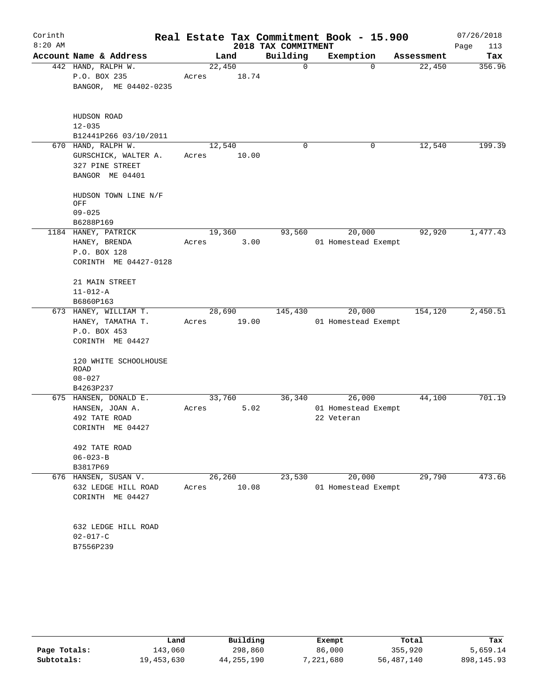| Corinth<br>$8:20$ AM |                                                                                  |                 |       | 2018 TAX COMMITMENT | Real Estate Tax Commitment Book - 15.900    |            | 07/26/2018<br>Page<br>113 |
|----------------------|----------------------------------------------------------------------------------|-----------------|-------|---------------------|---------------------------------------------|------------|---------------------------|
|                      | Account Name & Address                                                           |                 | Land  | Building            | Exemption                                   | Assessment | Tax                       |
|                      | 442 HAND, RALPH W.<br>P.O. BOX 235<br>BANGOR, ME 04402-0235                      | 22,450<br>Acres | 18.74 | 0                   | $\Omega$                                    | 22,450     | 356.96                    |
|                      | HUDSON ROAD<br>$12 - 035$<br>B12441P266 03/10/2011                               |                 |       |                     |                                             |            |                           |
|                      | 670 HAND, RALPH W.<br>GURSCHICK, WALTER A.<br>327 PINE STREET<br>BANGOR ME 04401 | 12,540<br>Acres | 10.00 | 0                   | 0                                           | 12,540     | 199.39                    |
|                      | HUDSON TOWN LINE N/F<br>OFF<br>$09 - 025$<br>B6288P169                           |                 |       |                     |                                             |            |                           |
|                      | 1184 HANEY, PATRICK<br>HANEY, BRENDA<br>P.O. BOX 128<br>CORINTH ME 04427-0128    | 19,360<br>Acres | 3.00  | 93,560              | 20,000<br>01 Homestead Exempt               | 92,920     | 1,477.43                  |
|                      | 21 MAIN STREET<br>$11 - 012 - A$<br>B6860P163                                    |                 |       |                     |                                             |            |                           |
|                      | 673 HANEY, WILLIAM T.<br>HANEY, TAMATHA T.<br>P.O. BOX 453<br>CORINTH ME 04427   | 28,690<br>Acres | 19.00 | 145,430             | 20,000<br>01 Homestead Exempt               | 154,120    | 2,450.51                  |
|                      | 120 WHITE SCHOOLHOUSE<br><b>ROAD</b><br>$08 - 027$<br>B4263P237                  |                 |       |                     |                                             |            |                           |
|                      | 675 HANSEN, DONALD E.<br>HANSEN, JOAN A.<br>492 TATE ROAD<br>CORINTH ME 04427    | 33,760<br>Acres | 5.02  | 36,340              | 26,000<br>01 Homestead Exempt<br>22 Veteran | 44,100     | 701.19                    |
|                      | 492 TATE ROAD<br>$06 - 023 - B$<br>B3817P69                                      |                 |       |                     |                                             |            |                           |
|                      | 676 HANSEN, SUSAN V.<br>632 LEDGE HILL ROAD<br>CORINTH ME 04427                  | 26,260<br>Acres | 10.08 | 23,530              | 20,000<br>01 Homestead Exempt               | 29,790     | 473.66                    |
|                      | 632 LEDGE HILL ROAD<br>$02 - 017 - C$<br>B7556P239                               |                 |       |                     |                                             |            |                           |

|              | Land       | Building   | Exempt    | Total      | Tax          |
|--------------|------------|------------|-----------|------------|--------------|
| Page Totals: | 143,060    | 298,860    | 86,000    | 355,920    | 5,659.14     |
| Subtotals:   | 19,453,630 | 44,255,190 | 1,221,680 | 56,487,140 | 898, 145. 93 |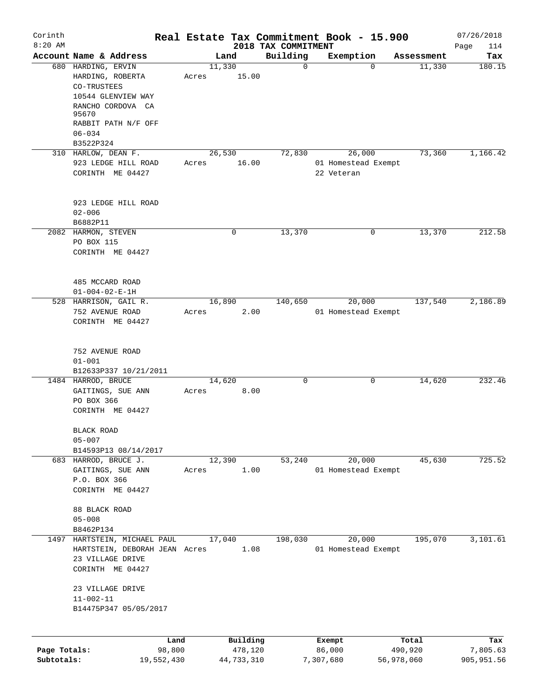| Corinth      |                                                                                     |       |            |                                 | Real Estate Tax Commitment Book - 15.900 |            | 07/26/2018         |
|--------------|-------------------------------------------------------------------------------------|-------|------------|---------------------------------|------------------------------------------|------------|--------------------|
| $8:20$ AM    | Account Name & Address                                                              |       | Land       | 2018 TAX COMMITMENT<br>Building | Exemption                                | Assessment | Page<br>114<br>Tax |
|              | 680 HARDING, ERVIN                                                                  |       | 11,330     | $\mathbf 0$                     | $\Omega$                                 | 11,330     | 180.15             |
|              | HARDING, ROBERTA<br>CO-TRUSTEES<br>10544 GLENVIEW WAY<br>RANCHO CORDOVA CA<br>95670 | Acres | 15.00      |                                 |                                          |            |                    |
|              | RABBIT PATH N/F OFF                                                                 |       |            |                                 |                                          |            |                    |
|              | $06 - 034$<br>B3522P324                                                             |       |            |                                 |                                          |            |                    |
|              | 310 HARLOW, DEAN F.                                                                 |       | 26,530     | 72,830                          | 26,000                                   | 73,360     | 1,166.42           |
|              | 923 LEDGE HILL ROAD                                                                 | Acres | 16.00      |                                 | 01 Homestead Exempt                      |            |                    |
|              | CORINTH ME 04427                                                                    |       |            |                                 | 22 Veteran                               |            |                    |
|              | 923 LEDGE HILL ROAD                                                                 |       |            |                                 |                                          |            |                    |
|              | $02 - 006$                                                                          |       |            |                                 |                                          |            |                    |
|              | B6882P11<br>2082 HARMON, STEVEN                                                     |       | 0          | 13,370                          | 0                                        | 13,370     | 212.58             |
|              | PO BOX 115                                                                          |       |            |                                 |                                          |            |                    |
|              | CORINTH ME 04427                                                                    |       |            |                                 |                                          |            |                    |
|              | 485 MCCARD ROAD                                                                     |       |            |                                 |                                          |            |                    |
|              | $01 - 004 - 02 - E - 1H$                                                            |       |            |                                 |                                          |            |                    |
|              | 528 HARRISON, GAIL R.                                                               |       | 16,890     | 140,650                         | 20,000                                   | 137,540    | 2,186.89           |
|              | 752 AVENUE ROAD<br>CORINTH ME 04427                                                 | Acres | 2.00       |                                 | 01 Homestead Exempt                      |            |                    |
|              | 752 AVENUE ROAD                                                                     |       |            |                                 |                                          |            |                    |
|              | $01 - 001$                                                                          |       |            |                                 |                                          |            |                    |
|              | B12633P337 10/21/2011                                                               |       |            |                                 |                                          |            |                    |
|              | 1484 HARROD, BRUCE                                                                  |       | 14,620     | $\mathbf 0$                     | 0                                        | 14,620     | 232.46             |
|              | GAITINGS, SUE ANN<br>PO BOX 366                                                     | Acres | 8.00       |                                 |                                          |            |                    |
|              | CORINTH ME 04427                                                                    |       |            |                                 |                                          |            |                    |
|              | BLACK ROAD<br>$05 - 007$                                                            |       |            |                                 |                                          |            |                    |
|              | B14593P13 08/14/2017                                                                |       |            |                                 |                                          |            |                    |
|              | 683 HARROD, BRUCE J.                                                                |       | 12,390     | 53,240                          | 20,000                                   | 45,630     | 725.52             |
|              | GAITINGS, SUE ANN                                                                   | Acres | 1.00       |                                 | 01 Homestead Exempt                      |            |                    |
|              | P.O. BOX 366<br>CORINTH ME 04427                                                    |       |            |                                 |                                          |            |                    |
|              |                                                                                     |       |            |                                 |                                          |            |                    |
|              | 88 BLACK ROAD                                                                       |       |            |                                 |                                          |            |                    |
|              | $05 - 008$                                                                          |       |            |                                 |                                          |            |                    |
|              | B8462P134<br>1497 HARTSTEIN, MICHAEL PAUL                                           |       | 17,040     | 198,030                         | 20,000                                   | 195,070    | 3,101.61           |
|              | HARTSTEIN, DEBORAH JEAN Acres<br>23 VILLAGE DRIVE                                   |       | 1.08       |                                 | 01 Homestead Exempt                      |            |                    |
|              | CORINTH ME 04427                                                                    |       |            |                                 |                                          |            |                    |
|              | 23 VILLAGE DRIVE<br>$11 - 002 - 11$                                                 |       |            |                                 |                                          |            |                    |
|              | B14475P347 05/05/2017                                                               |       |            |                                 |                                          |            |                    |
|              | Land                                                                                |       | Building   |                                 | Exempt                                   | Total      | Tax                |
| Page Totals: | 98,800                                                                              |       | 478,120    |                                 | 86,000                                   | 490,920    | 7,805.63           |
| Subtotals:   | 19,552,430                                                                          |       | 44,733,310 |                                 | 7,307,680                                | 56,978,060 | 905,951.56         |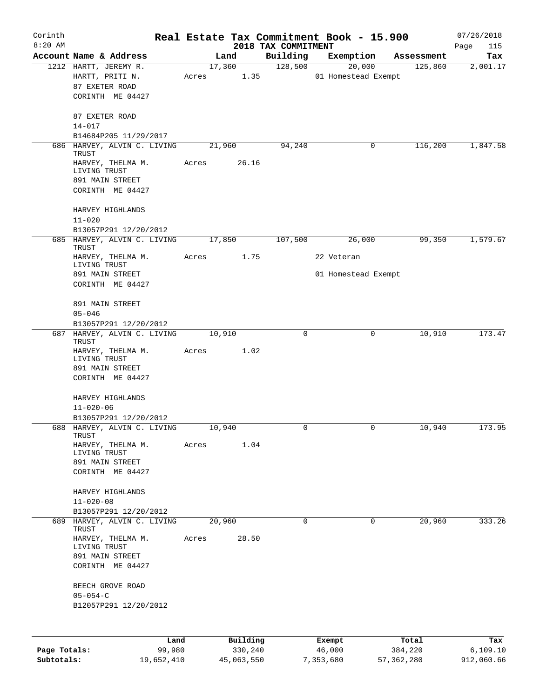| Corinth      |                                                               |        |       |                |          |                     | Real Estate Tax Commitment Book - 15.900 |                       | 07/26/2018      |
|--------------|---------------------------------------------------------------|--------|-------|----------------|----------|---------------------|------------------------------------------|-----------------------|-----------------|
| $8:20$ AM    | Account Name & Address                                        |        |       |                |          | 2018 TAX COMMITMENT |                                          |                       | Page<br>115     |
|              | 1212 HARTT, JEREMY R.                                         |        |       | Land<br>17,360 |          | Building<br>128,500 | Exemption<br>20,000                      | Assessment<br>125,860 | Tax<br>2,001.17 |
|              | HARTT, PRITI N.<br>87 EXETER ROAD                             |        | Acres |                | 1.35     |                     | 01 Homestead Exempt                      |                       |                 |
|              | CORINTH ME 04427                                              |        |       |                |          |                     |                                          |                       |                 |
|              | 87 EXETER ROAD<br>$14 - 017$                                  |        |       |                |          |                     |                                          |                       |                 |
|              | B14684P205 11/29/2017                                         |        |       |                |          |                     |                                          |                       |                 |
|              | 686 HARVEY, ALVIN C. LIVING<br>TRUST                          |        |       | 21,960         |          | 94,240              | 0                                        | 116,200               | 1,847.58        |
|              | HARVEY, THELMA M.<br>LIVING TRUST                             |        | Acres |                | 26.16    |                     |                                          |                       |                 |
|              | 891 MAIN STREET<br>CORINTH ME 04427                           |        |       |                |          |                     |                                          |                       |                 |
|              | HARVEY HIGHLANDS<br>$11 - 020$                                |        |       |                |          |                     |                                          |                       |                 |
|              | B13057P291 12/20/2012                                         |        |       |                |          |                     |                                          |                       |                 |
|              | 685 HARVEY, ALVIN C. LIVING<br>TRUST<br>HARVEY, THELMA M.     |        | Acres | 17,850         | 1.75     | 107,500             | 26,000<br>22 Veteran                     | 99,350                | 1,579.67        |
|              | LIVING TRUST<br>891 MAIN STREET                               |        |       |                |          |                     | 01 Homestead Exempt                      |                       |                 |
|              | CORINTH ME 04427                                              |        |       |                |          |                     |                                          |                       |                 |
|              | 891 MAIN STREET                                               |        |       |                |          |                     |                                          |                       |                 |
|              | $05 - 046$                                                    |        |       |                |          |                     |                                          |                       |                 |
|              | B13057P291 12/20/2012<br>687 HARVEY, ALVIN C. LIVING<br>TRUST |        |       | 10,910         |          | $\Omega$            | 0                                        | 10,910                | 173.47          |
|              | HARVEY, THELMA M.<br>LIVING TRUST                             |        | Acres |                | 1.02     |                     |                                          |                       |                 |
|              | 891 MAIN STREET<br>CORINTH ME 04427                           |        |       |                |          |                     |                                          |                       |                 |
|              |                                                               |        |       |                |          |                     |                                          |                       |                 |
|              | HARVEY HIGHLANDS<br>$11 - 020 - 06$                           |        |       |                |          |                     |                                          |                       |                 |
|              | B13057P291 12/20/2012                                         |        |       |                |          |                     |                                          |                       |                 |
|              | 688 HARVEY, ALVIN C. LIVING<br>TRUST                          |        |       | 10,940         |          | $\Omega$            | 0                                        | 10,940                | 173.95          |
|              | HARVEY, THELMA M.<br>LIVING TRUST                             |        | Acres |                | 1.04     |                     |                                          |                       |                 |
|              | 891 MAIN STREET                                               |        |       |                |          |                     |                                          |                       |                 |
|              | CORINTH ME 04427                                              |        |       |                |          |                     |                                          |                       |                 |
|              | HARVEY HIGHLANDS<br>$11 - 020 - 08$                           |        |       |                |          |                     |                                          |                       |                 |
|              | B13057P291 12/20/2012                                         |        |       |                |          |                     |                                          |                       |                 |
|              | 689 HARVEY, ALVIN C. LIVING                                   |        |       | 20,960         |          | $\Omega$            | 0                                        | 20,960                | 333.26          |
|              | TRUST<br>HARVEY, THELMA M.                                    |        | Acres |                | 28.50    |                     |                                          |                       |                 |
|              | LIVING TRUST                                                  |        |       |                |          |                     |                                          |                       |                 |
|              | 891 MAIN STREET<br>CORINTH ME 04427                           |        |       |                |          |                     |                                          |                       |                 |
|              | BEECH GROVE ROAD                                              |        |       |                |          |                     |                                          |                       |                 |
|              | $05 - 054 - C$                                                |        |       |                |          |                     |                                          |                       |                 |
|              | B12057P291 12/20/2012                                         |        |       |                |          |                     |                                          |                       |                 |
|              |                                                               |        |       |                |          |                     |                                          |                       |                 |
|              |                                                               | Land   |       |                | Building |                     | Exempt                                   | Total                 | Tax             |
| Page Totals: |                                                               | 99,980 |       |                | 330,240  |                     | 46,000                                   | 384,220               | 6, 109.10       |

**Subtotals:** 19,652,410 45,063,550 7,353,680 57,362,280 912,060.66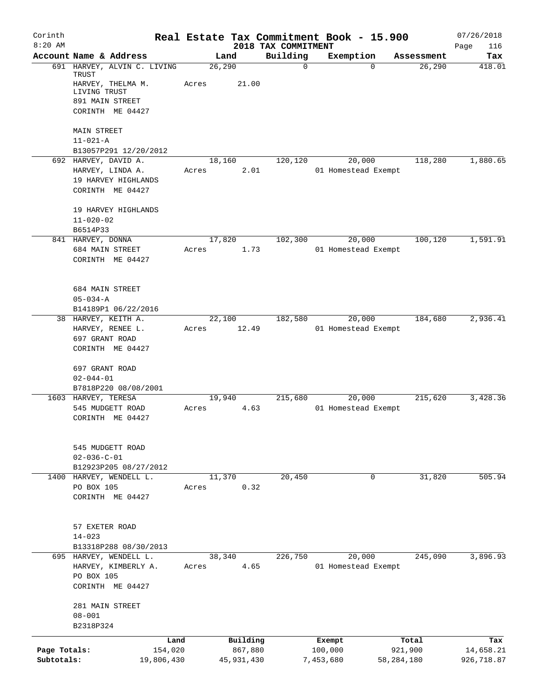| Corinth<br>$8:20$ AM       |                                                                  |       |                       | 2018 TAX COMMITMENT | Real Estate Tax Commitment Book - 15.900 |                         | 07/26/2018<br>116       |
|----------------------------|------------------------------------------------------------------|-------|-----------------------|---------------------|------------------------------------------|-------------------------|-------------------------|
|                            | Account Name & Address                                           |       | Land                  | Building            | Exemption                                | Assessment              | Page<br>Tax             |
|                            | 691 HARVEY, ALVIN C. LIVING<br>TRUST                             |       | 26, 290               | $\mathbf 0$         | $\Omega$                                 | 26,290                  | 418.01                  |
|                            | HARVEY, THELMA M.<br>LIVING TRUST<br>891 MAIN STREET             | Acres | 21.00                 |                     |                                          |                         |                         |
|                            | CORINTH ME 04427                                                 |       |                       |                     |                                          |                         |                         |
|                            | <b>MAIN STREET</b><br>$11 - 021 - A$                             |       |                       |                     |                                          |                         |                         |
|                            | B13057P291 12/20/2012                                            |       |                       |                     |                                          |                         |                         |
|                            | 692 HARVEY, DAVID A.<br>HARVEY, LINDA A.                         | Acres | 18,160<br>2.01        | 120,120             | 20,000<br>01 Homestead Exempt            | 118,280                 | 1,880.65                |
|                            | 19 HARVEY HIGHLANDS<br>CORINTH ME 04427                          |       |                       |                     |                                          |                         |                         |
|                            | 19 HARVEY HIGHLANDS<br>$11 - 020 - 02$                           |       |                       |                     |                                          |                         |                         |
|                            | B6514P33                                                         |       | 17,820                |                     |                                          |                         |                         |
|                            | 841 HARVEY, DONNA<br>684 MAIN STREET<br>CORINTH ME 04427         | Acres | 1.73                  | 102,300             | 20,000<br>01 Homestead Exempt            | 100,120                 | 1,591.91                |
|                            | 684 MAIN STREET<br>$05 - 034 - A$                                |       |                       |                     |                                          |                         |                         |
|                            | B14189P1 06/22/2016<br>38 HARVEY, KEITH A.                       |       | 22,100                | 182,580             | 20,000                                   | 184,680                 | 2,936.41                |
|                            | HARVEY, RENEE L.                                                 | Acres | 12.49                 |                     | 01 Homestead Exempt                      |                         |                         |
|                            | 697 GRANT ROAD<br>CORINTH ME 04427                               |       |                       |                     |                                          |                         |                         |
|                            | 697 GRANT ROAD<br>$02 - 044 - 01$<br>B7818P220 08/08/2001        |       |                       |                     |                                          |                         |                         |
|                            | 1603 HARVEY, TERESA                                              |       | 19,940                | 215,680             | 20,000                                   | 215,620                 | 3,428.36                |
|                            | 545 MUDGETT ROAD<br>CORINTH ME 04427                             | Acres | 4.63                  |                     | 01 Homestead Exempt                      |                         |                         |
|                            | 545 MUDGETT ROAD<br>$02 - 036 - C - 01$<br>B12923P205 08/27/2012 |       |                       |                     |                                          |                         |                         |
|                            | 1400 HARVEY, WENDELL L.                                          |       | 11,370                | 20,450              | $\mathbf 0$                              | 31,820                  | 505.94                  |
|                            | PO BOX 105<br>CORINTH ME 04427                                   | Acres | 0.32                  |                     |                                          |                         |                         |
|                            | 57 EXETER ROAD<br>$14 - 023$                                     |       |                       |                     |                                          |                         |                         |
|                            | B13318P288 08/30/2013<br>695 HARVEY, WENDELL L.                  |       | 38,340                | 226,750             | 20,000                                   | 245,090                 | 3,896.93                |
|                            | HARVEY, KIMBERLY A.<br>PO BOX 105<br>CORINTH ME 04427            | Acres | 4.65                  |                     | 01 Homestead Exempt                      |                         |                         |
|                            | 281 MAIN STREET<br>$08 - 001$                                    |       |                       |                     |                                          |                         |                         |
|                            | B2318P324                                                        |       |                       |                     |                                          |                         |                         |
|                            |                                                                  | Land  | Building              |                     | Exempt                                   | Total                   | Tax                     |
| Page Totals:<br>Subtotals: | 154,020<br>19,806,430                                            |       | 867,880<br>45,931,430 |                     | 100,000<br>7,453,680                     | 921,900<br>58, 284, 180 | 14,658.21<br>926,718.87 |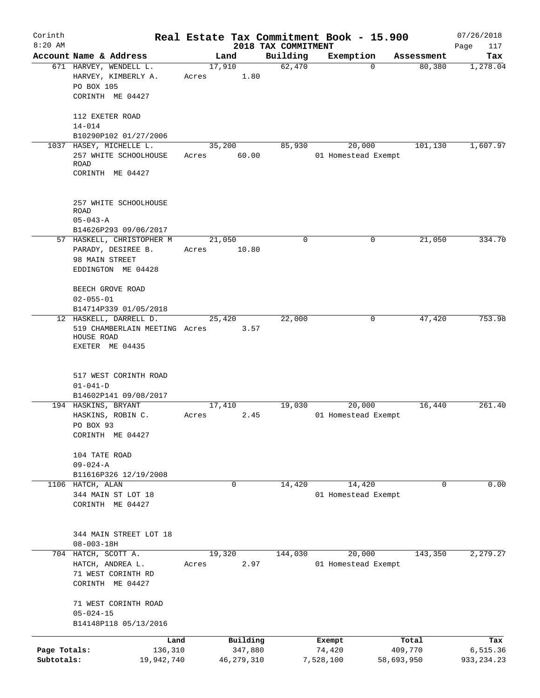| Corinth                    |                                                                                          |                 |                         |                     | Real Estate Tax Commitment Book - 15.900 |                       | 07/26/2018              |
|----------------------------|------------------------------------------------------------------------------------------|-----------------|-------------------------|---------------------|------------------------------------------|-----------------------|-------------------------|
| $8:20$ AM                  | Account Name & Address                                                                   |                 |                         | 2018 TAX COMMITMENT |                                          |                       | Page<br>117             |
|                            | 671 HARVEY, WENDELL L.<br>HARVEY, KIMBERLY A.<br>PO BOX 105                              | 17,910<br>Acres | Land<br>1.80            | Building<br>62,470  | Exemption<br>$\mathbf 0$                 | Assessment<br>80,380  | Tax<br>1,278.04         |
|                            | CORINTH ME 04427<br>112 EXETER ROAD                                                      |                 |                         |                     |                                          |                       |                         |
|                            | $14 - 014$<br>B10290P102 01/27/2006                                                      |                 |                         |                     |                                          |                       |                         |
|                            | 1037 HASEY, MICHELLE L.                                                                  |                 | 35,200                  | 85,930              | 20,000                                   | 101,130               | 1,607.97                |
|                            | 257 WHITE SCHOOLHOUSE<br><b>ROAD</b><br>CORINTH ME 04427                                 | Acres           | 60.00                   |                     | 01 Homestead Exempt                      |                       |                         |
|                            | 257 WHITE SCHOOLHOUSE<br><b>ROAD</b><br>$05 - 043 - A$                                   |                 |                         |                     |                                          |                       |                         |
|                            | B14626P293 09/06/2017                                                                    |                 |                         |                     |                                          |                       |                         |
|                            | 57 HASKELL, CHRISTOPHER M<br>PARADY, DESIREE B.                                          | 21,050<br>Acres | 10.80                   | 0                   | 0                                        | 21,050                | 334.70                  |
|                            | 98 MAIN STREET<br>EDDINGTON ME 04428                                                     |                 |                         |                     |                                          |                       |                         |
|                            | BEECH GROVE ROAD<br>$02 - 055 - 01$                                                      |                 |                         |                     |                                          |                       |                         |
|                            | B14714P339 01/05/2018                                                                    |                 |                         |                     |                                          |                       |                         |
|                            | 12 HASKELL, DARRELL D.<br>519 CHAMBERLAIN MEETING Acres<br>HOUSE ROAD<br>EXETER ME 04435 |                 | 25,420<br>3.57          | 22,000              | 0                                        | 47,420                | 753.98                  |
|                            | 517 WEST CORINTH ROAD                                                                    |                 |                         |                     |                                          |                       |                         |
|                            | $01 - 041 - D$<br>B14602P141 09/08/2017                                                  |                 |                         |                     |                                          |                       |                         |
|                            | 194 HASKINS, BRYANT                                                                      | 17,410          |                         | 19,030              | 20,000                                   | 16,440                | 261.40                  |
|                            | HASKINS, ROBIN C.<br>PO BOX 93<br>CORINTH ME 04427                                       | Acres           | 2.45                    |                     | 01 Homestead Exempt                      |                       |                         |
|                            | 104 TATE ROAD<br>$09 - 024 - A$                                                          |                 |                         |                     |                                          |                       |                         |
|                            | B11616P326 12/19/2008<br>1106 HATCH, ALAN                                                |                 | $\mathbf 0$             | 14,420              | 14,420                                   | 0                     | 0.00                    |
|                            | 344 MAIN ST LOT 18<br>CORINTH ME 04427                                                   |                 |                         |                     | 01 Homestead Exempt                      |                       |                         |
|                            | 344 MAIN STREET LOT 18<br>$08 - 003 - 18H$                                               |                 |                         |                     |                                          |                       |                         |
|                            | 704 HATCH, SCOTT A.<br>HATCH, ANDREA L.<br>71 WEST CORINTH RD<br>CORINTH ME 04427        | 19,320<br>Acres | 2.97                    | 144,030             | 20,000<br>01 Homestead Exempt            | 143,350               | 2, 279.27               |
|                            | 71 WEST CORINTH ROAD<br>$05 - 024 - 15$<br>B14148P118 05/13/2016                         |                 |                         |                     |                                          |                       |                         |
|                            | Land                                                                                     |                 | Building                |                     | Exempt                                   | Total                 | Tax                     |
| Page Totals:<br>Subtotals: | 136,310<br>19,942,740                                                                    |                 | 347,880<br>46, 279, 310 |                     | 74,420<br>7,528,100                      | 409,770<br>58,693,950 | 6,515.36<br>933, 234.23 |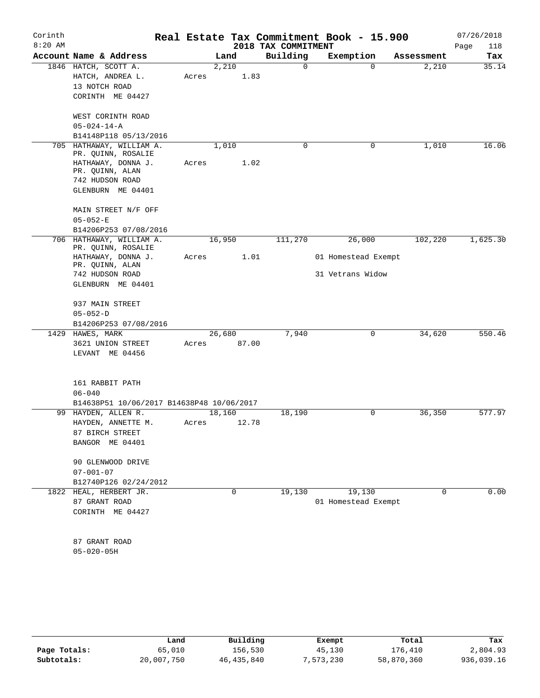| Account Name & Address<br>Building<br>Exemption<br>Land<br>Assessment<br>2,210<br>1846 HATCH, SCOTT A.<br>0<br>2,210<br>$\Omega$<br>HATCH, ANDREA L.<br>1.83<br>Acres<br>13 NOTCH ROAD<br>CORINTH ME 04427<br>WEST CORINTH ROAD<br>$05 - 024 - 14 - A$<br>B14148P118 05/13/2016<br>1,010<br>0<br>1,010<br>705 HATHAWAY, WILLIAM A.<br>0<br>PR. QUINN, ROSALIE<br>1.02<br>HATHAWAY, DONNA J.<br>Acres<br>PR. QUINN, ALAN<br>742 HUDSON ROAD<br>GLENBURN ME 04401<br>MAIN STREET N/F OFF<br>$05 - 052 - E$<br>B14206P253 07/08/2016<br>26,000<br>706 HATHAWAY, WILLIAM A.<br>16,950<br>111,270<br>102,220<br>PR. QUINN, ROSALIE<br>HATHAWAY, DONNA J.<br>Acres<br>1.01<br>01 Homestead Exempt<br>PR. QUINN, ALAN<br>31 Vetrans Widow<br>742 HUDSON ROAD<br>GLENBURN ME 04401<br>937 MAIN STREET<br>$05 - 052 - D$<br>B14206P253 07/08/2016<br>7,940<br>1429 HAWES, MARK<br>26,680<br>0<br>34,620<br>3621 UNION STREET<br>87.00<br>Acres<br>LEVANT ME 04456<br>161 RABBIT PATH<br>$06 - 040$<br>B14638P51 10/06/2017 B14638P48 10/06/2017<br>36,350<br>99 HAYDEN, ALLEN R.<br>18,160<br>0<br>18,190<br>HAYDEN, ANNETTE M.<br>12.78<br>Acres<br>87 BIRCH STREET<br>BANGOR ME 04401<br>90 GLENWOOD DRIVE<br>$07 - 001 - 07$<br>B12740P126 02/24/2012<br>19,130<br>19,130<br>1822 HEAL, HERBERT JR.<br>0<br>$\Omega$<br>87 GRANT ROAD<br>01 Homestead Exempt<br>CORINTH ME 04427<br>87 GRANT ROAD<br>$05 - 020 - 05H$ | Corinth<br>$8:20$ AM |  |  | 2018 TAX COMMITMENT | Real Estate Tax Commitment Book - 15.900 | 07/26/2018<br>Page<br>118 |
|-----------------------------------------------------------------------------------------------------------------------------------------------------------------------------------------------------------------------------------------------------------------------------------------------------------------------------------------------------------------------------------------------------------------------------------------------------------------------------------------------------------------------------------------------------------------------------------------------------------------------------------------------------------------------------------------------------------------------------------------------------------------------------------------------------------------------------------------------------------------------------------------------------------------------------------------------------------------------------------------------------------------------------------------------------------------------------------------------------------------------------------------------------------------------------------------------------------------------------------------------------------------------------------------------------------------------------------------------------------------------------------------------------------------|----------------------|--|--|---------------------|------------------------------------------|---------------------------|
|                                                                                                                                                                                                                                                                                                                                                                                                                                                                                                                                                                                                                                                                                                                                                                                                                                                                                                                                                                                                                                                                                                                                                                                                                                                                                                                                                                                                                 |                      |  |  |                     |                                          | Tax                       |
| 1,625.30<br>577.97                                                                                                                                                                                                                                                                                                                                                                                                                                                                                                                                                                                                                                                                                                                                                                                                                                                                                                                                                                                                                                                                                                                                                                                                                                                                                                                                                                                              |                      |  |  |                     |                                          | 35.14                     |
|                                                                                                                                                                                                                                                                                                                                                                                                                                                                                                                                                                                                                                                                                                                                                                                                                                                                                                                                                                                                                                                                                                                                                                                                                                                                                                                                                                                                                 |                      |  |  |                     |                                          |                           |
|                                                                                                                                                                                                                                                                                                                                                                                                                                                                                                                                                                                                                                                                                                                                                                                                                                                                                                                                                                                                                                                                                                                                                                                                                                                                                                                                                                                                                 |                      |  |  |                     |                                          |                           |
|                                                                                                                                                                                                                                                                                                                                                                                                                                                                                                                                                                                                                                                                                                                                                                                                                                                                                                                                                                                                                                                                                                                                                                                                                                                                                                                                                                                                                 |                      |  |  |                     |                                          |                           |
|                                                                                                                                                                                                                                                                                                                                                                                                                                                                                                                                                                                                                                                                                                                                                                                                                                                                                                                                                                                                                                                                                                                                                                                                                                                                                                                                                                                                                 |                      |  |  |                     |                                          |                           |
|                                                                                                                                                                                                                                                                                                                                                                                                                                                                                                                                                                                                                                                                                                                                                                                                                                                                                                                                                                                                                                                                                                                                                                                                                                                                                                                                                                                                                 |                      |  |  |                     |                                          |                           |
|                                                                                                                                                                                                                                                                                                                                                                                                                                                                                                                                                                                                                                                                                                                                                                                                                                                                                                                                                                                                                                                                                                                                                                                                                                                                                                                                                                                                                 |                      |  |  |                     |                                          |                           |
|                                                                                                                                                                                                                                                                                                                                                                                                                                                                                                                                                                                                                                                                                                                                                                                                                                                                                                                                                                                                                                                                                                                                                                                                                                                                                                                                                                                                                 |                      |  |  |                     |                                          | 16.06                     |
|                                                                                                                                                                                                                                                                                                                                                                                                                                                                                                                                                                                                                                                                                                                                                                                                                                                                                                                                                                                                                                                                                                                                                                                                                                                                                                                                                                                                                 |                      |  |  |                     |                                          |                           |
|                                                                                                                                                                                                                                                                                                                                                                                                                                                                                                                                                                                                                                                                                                                                                                                                                                                                                                                                                                                                                                                                                                                                                                                                                                                                                                                                                                                                                 |                      |  |  |                     |                                          |                           |
|                                                                                                                                                                                                                                                                                                                                                                                                                                                                                                                                                                                                                                                                                                                                                                                                                                                                                                                                                                                                                                                                                                                                                                                                                                                                                                                                                                                                                 |                      |  |  |                     |                                          |                           |
|                                                                                                                                                                                                                                                                                                                                                                                                                                                                                                                                                                                                                                                                                                                                                                                                                                                                                                                                                                                                                                                                                                                                                                                                                                                                                                                                                                                                                 |                      |  |  |                     |                                          |                           |
|                                                                                                                                                                                                                                                                                                                                                                                                                                                                                                                                                                                                                                                                                                                                                                                                                                                                                                                                                                                                                                                                                                                                                                                                                                                                                                                                                                                                                 |                      |  |  |                     |                                          |                           |
|                                                                                                                                                                                                                                                                                                                                                                                                                                                                                                                                                                                                                                                                                                                                                                                                                                                                                                                                                                                                                                                                                                                                                                                                                                                                                                                                                                                                                 |                      |  |  |                     |                                          |                           |
|                                                                                                                                                                                                                                                                                                                                                                                                                                                                                                                                                                                                                                                                                                                                                                                                                                                                                                                                                                                                                                                                                                                                                                                                                                                                                                                                                                                                                 |                      |  |  |                     |                                          |                           |
|                                                                                                                                                                                                                                                                                                                                                                                                                                                                                                                                                                                                                                                                                                                                                                                                                                                                                                                                                                                                                                                                                                                                                                                                                                                                                                                                                                                                                 |                      |  |  |                     |                                          |                           |
|                                                                                                                                                                                                                                                                                                                                                                                                                                                                                                                                                                                                                                                                                                                                                                                                                                                                                                                                                                                                                                                                                                                                                                                                                                                                                                                                                                                                                 |                      |  |  |                     |                                          |                           |
|                                                                                                                                                                                                                                                                                                                                                                                                                                                                                                                                                                                                                                                                                                                                                                                                                                                                                                                                                                                                                                                                                                                                                                                                                                                                                                                                                                                                                 |                      |  |  |                     |                                          |                           |
|                                                                                                                                                                                                                                                                                                                                                                                                                                                                                                                                                                                                                                                                                                                                                                                                                                                                                                                                                                                                                                                                                                                                                                                                                                                                                                                                                                                                                 |                      |  |  |                     |                                          |                           |
|                                                                                                                                                                                                                                                                                                                                                                                                                                                                                                                                                                                                                                                                                                                                                                                                                                                                                                                                                                                                                                                                                                                                                                                                                                                                                                                                                                                                                 |                      |  |  |                     |                                          |                           |
|                                                                                                                                                                                                                                                                                                                                                                                                                                                                                                                                                                                                                                                                                                                                                                                                                                                                                                                                                                                                                                                                                                                                                                                                                                                                                                                                                                                                                 |                      |  |  |                     |                                          |                           |
|                                                                                                                                                                                                                                                                                                                                                                                                                                                                                                                                                                                                                                                                                                                                                                                                                                                                                                                                                                                                                                                                                                                                                                                                                                                                                                                                                                                                                 |                      |  |  |                     |                                          |                           |
|                                                                                                                                                                                                                                                                                                                                                                                                                                                                                                                                                                                                                                                                                                                                                                                                                                                                                                                                                                                                                                                                                                                                                                                                                                                                                                                                                                                                                 |                      |  |  |                     |                                          |                           |
|                                                                                                                                                                                                                                                                                                                                                                                                                                                                                                                                                                                                                                                                                                                                                                                                                                                                                                                                                                                                                                                                                                                                                                                                                                                                                                                                                                                                                 |                      |  |  |                     |                                          | 550.46                    |
|                                                                                                                                                                                                                                                                                                                                                                                                                                                                                                                                                                                                                                                                                                                                                                                                                                                                                                                                                                                                                                                                                                                                                                                                                                                                                                                                                                                                                 |                      |  |  |                     |                                          |                           |
|                                                                                                                                                                                                                                                                                                                                                                                                                                                                                                                                                                                                                                                                                                                                                                                                                                                                                                                                                                                                                                                                                                                                                                                                                                                                                                                                                                                                                 |                      |  |  |                     |                                          |                           |
|                                                                                                                                                                                                                                                                                                                                                                                                                                                                                                                                                                                                                                                                                                                                                                                                                                                                                                                                                                                                                                                                                                                                                                                                                                                                                                                                                                                                                 |                      |  |  |                     |                                          |                           |
|                                                                                                                                                                                                                                                                                                                                                                                                                                                                                                                                                                                                                                                                                                                                                                                                                                                                                                                                                                                                                                                                                                                                                                                                                                                                                                                                                                                                                 |                      |  |  |                     |                                          |                           |
|                                                                                                                                                                                                                                                                                                                                                                                                                                                                                                                                                                                                                                                                                                                                                                                                                                                                                                                                                                                                                                                                                                                                                                                                                                                                                                                                                                                                                 |                      |  |  |                     |                                          |                           |
|                                                                                                                                                                                                                                                                                                                                                                                                                                                                                                                                                                                                                                                                                                                                                                                                                                                                                                                                                                                                                                                                                                                                                                                                                                                                                                                                                                                                                 |                      |  |  |                     |                                          |                           |
|                                                                                                                                                                                                                                                                                                                                                                                                                                                                                                                                                                                                                                                                                                                                                                                                                                                                                                                                                                                                                                                                                                                                                                                                                                                                                                                                                                                                                 |                      |  |  |                     |                                          |                           |
|                                                                                                                                                                                                                                                                                                                                                                                                                                                                                                                                                                                                                                                                                                                                                                                                                                                                                                                                                                                                                                                                                                                                                                                                                                                                                                                                                                                                                 |                      |  |  |                     |                                          |                           |
|                                                                                                                                                                                                                                                                                                                                                                                                                                                                                                                                                                                                                                                                                                                                                                                                                                                                                                                                                                                                                                                                                                                                                                                                                                                                                                                                                                                                                 |                      |  |  |                     |                                          |                           |
|                                                                                                                                                                                                                                                                                                                                                                                                                                                                                                                                                                                                                                                                                                                                                                                                                                                                                                                                                                                                                                                                                                                                                                                                                                                                                                                                                                                                                 |                      |  |  |                     |                                          |                           |
|                                                                                                                                                                                                                                                                                                                                                                                                                                                                                                                                                                                                                                                                                                                                                                                                                                                                                                                                                                                                                                                                                                                                                                                                                                                                                                                                                                                                                 |                      |  |  |                     |                                          |                           |
|                                                                                                                                                                                                                                                                                                                                                                                                                                                                                                                                                                                                                                                                                                                                                                                                                                                                                                                                                                                                                                                                                                                                                                                                                                                                                                                                                                                                                 |                      |  |  |                     |                                          |                           |
|                                                                                                                                                                                                                                                                                                                                                                                                                                                                                                                                                                                                                                                                                                                                                                                                                                                                                                                                                                                                                                                                                                                                                                                                                                                                                                                                                                                                                 |                      |  |  |                     |                                          |                           |
|                                                                                                                                                                                                                                                                                                                                                                                                                                                                                                                                                                                                                                                                                                                                                                                                                                                                                                                                                                                                                                                                                                                                                                                                                                                                                                                                                                                                                 |                      |  |  |                     |                                          | 0.00                      |
|                                                                                                                                                                                                                                                                                                                                                                                                                                                                                                                                                                                                                                                                                                                                                                                                                                                                                                                                                                                                                                                                                                                                                                                                                                                                                                                                                                                                                 |                      |  |  |                     |                                          |                           |
|                                                                                                                                                                                                                                                                                                                                                                                                                                                                                                                                                                                                                                                                                                                                                                                                                                                                                                                                                                                                                                                                                                                                                                                                                                                                                                                                                                                                                 |                      |  |  |                     |                                          |                           |
|                                                                                                                                                                                                                                                                                                                                                                                                                                                                                                                                                                                                                                                                                                                                                                                                                                                                                                                                                                                                                                                                                                                                                                                                                                                                                                                                                                                                                 |                      |  |  |                     |                                          |                           |
|                                                                                                                                                                                                                                                                                                                                                                                                                                                                                                                                                                                                                                                                                                                                                                                                                                                                                                                                                                                                                                                                                                                                                                                                                                                                                                                                                                                                                 |                      |  |  |                     |                                          |                           |
|                                                                                                                                                                                                                                                                                                                                                                                                                                                                                                                                                                                                                                                                                                                                                                                                                                                                                                                                                                                                                                                                                                                                                                                                                                                                                                                                                                                                                 |                      |  |  |                     |                                          |                           |

|              | Land       | Building   | Exempt    | Total      | Tax        |
|--------------|------------|------------|-----------|------------|------------|
| Page Totals: | 65,010     | 156,530    | 45,130    | 176,410    | 2,804.93   |
| Subtotals:   | 20,007,750 | 46,435,840 | 7,573,230 | 58,870,360 | 936,039.16 |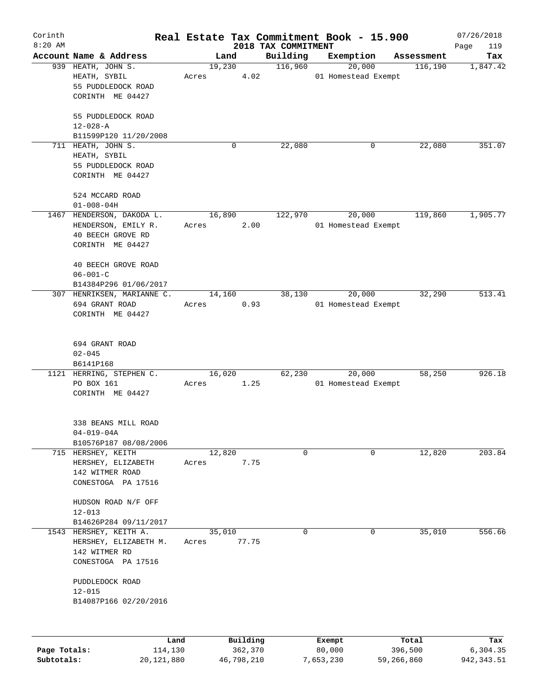| Corinth                    |                                                                                   |         |        |                       |                     | Real Estate Tax Commitment Book - 15.900 |                       | 07/26/2018              |
|----------------------------|-----------------------------------------------------------------------------------|---------|--------|-----------------------|---------------------|------------------------------------------|-----------------------|-------------------------|
| $8:20$ AM                  | Account Name & Address                                                            |         |        |                       | 2018 TAX COMMITMENT |                                          |                       | Page<br>119             |
|                            |                                                                                   |         | Land   |                       | Building            | Exemption                                | Assessment            | Tax<br>1,847.42         |
|                            | 939 HEATH, JOHN S.<br>HEATH, SYBIL<br>55 PUDDLEDOCK ROAD<br>CORINTH ME 04427      | Acres   | 19,230 | 4.02                  | 116,960             | 20,000<br>01 Homestead Exempt            | 116, 190              |                         |
|                            | 55 PUDDLEDOCK ROAD<br>$12 - 028 - A$                                              |         |        |                       |                     |                                          |                       |                         |
|                            | B11599P120 11/20/2008                                                             |         |        |                       |                     |                                          |                       |                         |
|                            | 711 HEATH, JOHN S.<br>HEATH, SYBIL<br>55 PUDDLEDOCK ROAD<br>CORINTH ME 04427      |         |        | 0                     | 22,080              | 0                                        | 22,080                | 351.07                  |
|                            | 524 MCCARD ROAD<br>$01 - 008 - 04H$                                               |         |        |                       |                     |                                          |                       |                         |
| 1467                       | HENDERSON, DAKODA L.                                                              |         | 16,890 |                       | 122,970             | 20,000                                   | 119,860               | 1,905.77                |
|                            | HENDERSON, EMILY R.<br>40 BEECH GROVE RD<br>CORINTH ME 04427                      | Acres   |        | 2.00                  |                     | 01 Homestead Exempt                      |                       |                         |
|                            | 40 BEECH GROVE ROAD<br>$06 - 001 - C$<br>B14384P296 01/06/2017                    |         |        |                       |                     |                                          |                       |                         |
|                            | 307 HENRIKSEN, MARIANNE C.                                                        |         | 14,160 |                       | 38,130              | 20,000                                   | 32,290                | 513.41                  |
|                            | 694 GRANT ROAD<br>CORINTH ME 04427                                                | Acres   |        | 0.93                  |                     | 01 Homestead Exempt                      |                       |                         |
|                            | 694 GRANT ROAD<br>$02 - 045$<br>B6141P168                                         |         |        |                       |                     |                                          |                       |                         |
|                            | 1121 HERRING, STEPHEN C.                                                          |         | 16,020 |                       | 62,230              | 20,000                                   | 58,250                | 926.18                  |
|                            | PO BOX 161<br>CORINTH ME 04427                                                    | Acres   |        | 1.25                  |                     | 01 Homestead Exempt                      |                       |                         |
|                            | 338 BEANS MILL ROAD<br>$04 - 019 - 04A$<br>B10576P187 08/08/2006                  |         |        |                       |                     |                                          |                       |                         |
|                            | 715 HERSHEY, KEITH                                                                |         | 12,820 |                       | 0                   | 0                                        | 12,820                | 203.84                  |
|                            | HERSHEY, ELIZABETH<br>142 WITMER ROAD<br>CONESTOGA PA 17516                       | Acres   |        | 7.75                  |                     |                                          |                       |                         |
|                            | HUDSON ROAD N/F OFF<br>$12 - 013$<br>B14626P284 09/11/2017                        |         |        |                       |                     |                                          |                       |                         |
| 1543                       | HERSHEY, KEITH A.<br>HERSHEY, ELIZABETH M.<br>142 WITMER RD<br>CONESTOGA PA 17516 | Acres   | 35,010 | 77.75                 | 0                   | $\mathbf 0$                              | 35,010                | 556.66                  |
|                            | PUDDLEDOCK ROAD<br>$12 - 015$<br>B14087P166 02/20/2016                            |         |        |                       |                     |                                          |                       |                         |
|                            |                                                                                   | Land    |        | Building              |                     | Exempt                                   | Total                 | Tax                     |
| Page Totals:<br>Subtotals: | 20, 121, 880                                                                      | 114,130 |        | 362,370<br>46,798,210 |                     | 80,000<br>7,653,230                      | 396,500<br>59,266,860 | 6,304.35<br>942, 343.51 |
|                            |                                                                                   |         |        |                       |                     |                                          |                       |                         |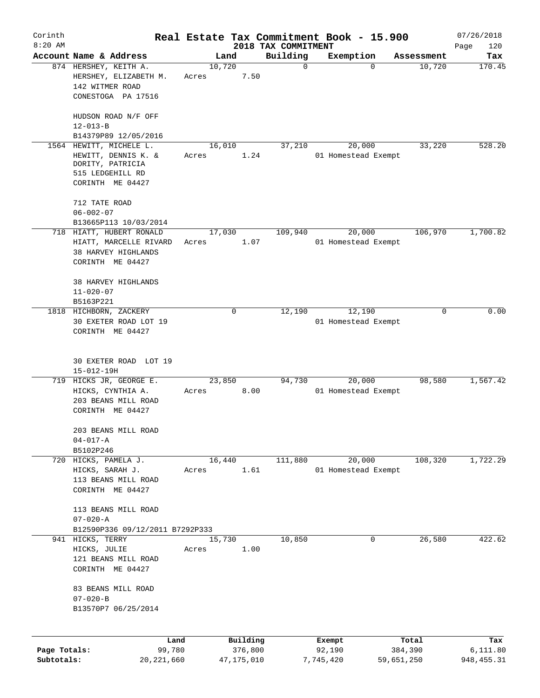| Corinth      |                                                                                        |                 |              |                                 | Real Estate Tax Commitment Book - 15.900 |            | 07/26/2018         |
|--------------|----------------------------------------------------------------------------------------|-----------------|--------------|---------------------------------|------------------------------------------|------------|--------------------|
| $8:20$ AM    | Account Name & Address                                                                 |                 | Land         | 2018 TAX COMMITMENT<br>Building | Exemption                                | Assessment | Page<br>120<br>Tax |
|              | 874 HERSHEY, KEITH A.<br>HERSHEY, ELIZABETH M.<br>142 WITMER ROAD                      | 10,720<br>Acres | 7.50         | $\mathbf 0$                     | $\Omega$                                 | 10,720     | 170.45             |
|              | CONESTOGA PA 17516                                                                     |                 |              |                                 |                                          |            |                    |
|              | HUDSON ROAD N/F OFF<br>$12 - 013 - B$                                                  |                 |              |                                 |                                          |            |                    |
|              | B14379P89 12/05/2016                                                                   |                 |              |                                 |                                          |            |                    |
|              | 1564 HEWITT, MICHELE L.<br>HEWITT, DENNIS K. &<br>DORITY, PATRICIA<br>515 LEDGEHILL RD | 16,010<br>Acres | 1.24         | 37,210                          | 20,000<br>01 Homestead Exempt            | 33,220     | 528.20             |
|              | CORINTH ME 04427                                                                       |                 |              |                                 |                                          |            |                    |
|              | 712 TATE ROAD<br>$06 - 002 - 07$                                                       |                 |              |                                 |                                          |            |                    |
|              | B13665P113 10/03/2014                                                                  |                 |              |                                 |                                          |            |                    |
|              | 718 HIATT, HUBERT RONALD                                                               | 17,030          |              | 109,940                         | 20,000                                   | 106,970    | 1,700.82           |
|              | HIATT, MARCELLE RIVARD                                                                 | Acres           | 1.07         |                                 | 01 Homestead Exempt                      |            |                    |
|              | <b>38 HARVEY HIGHLANDS</b><br>CORINTH ME 04427                                         |                 |              |                                 |                                          |            |                    |
|              | 38 HARVEY HIGHLANDS                                                                    |                 |              |                                 |                                          |            |                    |
|              | $11 - 020 - 07$                                                                        |                 |              |                                 |                                          |            |                    |
|              | B5163P221                                                                              |                 |              |                                 |                                          |            |                    |
|              | 1818 HICHBORN, ZACKERY                                                                 |                 | 0            | 12,190                          | 12,190                                   | $\Omega$   | 0.00               |
|              | 30 EXETER ROAD LOT 19                                                                  |                 |              |                                 | 01 Homestead Exempt                      |            |                    |
|              | CORINTH ME 04427                                                                       |                 |              |                                 |                                          |            |                    |
|              | 30 EXETER ROAD LOT 19<br>$15 - 012 - 19H$                                              |                 |              |                                 |                                          |            |                    |
|              | 719 HICKS JR, GEORGE E.                                                                | 23,850          |              | 94,730                          | 20,000                                   | 98,580     | 1,567.42           |
|              | HICKS, CYNTHIA A.<br>203 BEANS MILL ROAD<br>CORINTH ME 04427                           | Acres           | 8.00         |                                 | 01 Homestead Exempt                      |            |                    |
|              | 203 BEANS MILL ROAD                                                                    |                 |              |                                 |                                          |            |                    |
|              | $04 - 017 - A$                                                                         |                 |              |                                 |                                          |            |                    |
|              | B5102P246                                                                              |                 |              |                                 |                                          |            |                    |
|              | 720 HICKS, PAMELA J.                                                                   | 16,440          |              | 111,880                         | 20,000                                   | 108,320    | 1,722.29           |
|              | HICKS, SARAH J.                                                                        | Acres           | 1.61         |                                 | 01 Homestead Exempt                      |            |                    |
|              | 113 BEANS MILL ROAD<br>CORINTH ME 04427                                                |                 |              |                                 |                                          |            |                    |
|              | 113 BEANS MILL ROAD                                                                    |                 |              |                                 |                                          |            |                    |
|              | $07 - 020 - A$<br>B12590P336 09/12/2011 B7292P333                                      |                 |              |                                 |                                          |            |                    |
|              | 941 HICKS, TERRY                                                                       | 15,730          |              | 10,850                          | 0                                        | 26,580     | 422.62             |
|              | HICKS, JULIE                                                                           | Acres           | 1.00         |                                 |                                          |            |                    |
|              | 121 BEANS MILL ROAD                                                                    |                 |              |                                 |                                          |            |                    |
|              | CORINTH ME 04427                                                                       |                 |              |                                 |                                          |            |                    |
|              | 83 BEANS MILL ROAD<br>$07 - 020 - B$                                                   |                 |              |                                 |                                          |            |                    |
|              | B13570P7 06/25/2014                                                                    |                 |              |                                 |                                          |            |                    |
|              | Land                                                                                   |                 | Building     |                                 | Exempt                                   | Total      | Tax                |
| Page Totals: | 99,780                                                                                 |                 | 376,800      |                                 | 92,190                                   | 384,390    | 6,111.80           |
| Subtotals:   | 20, 221, 660                                                                           |                 | 47, 175, 010 |                                 | 7,745,420                                | 59,651,250 | 948,455.31         |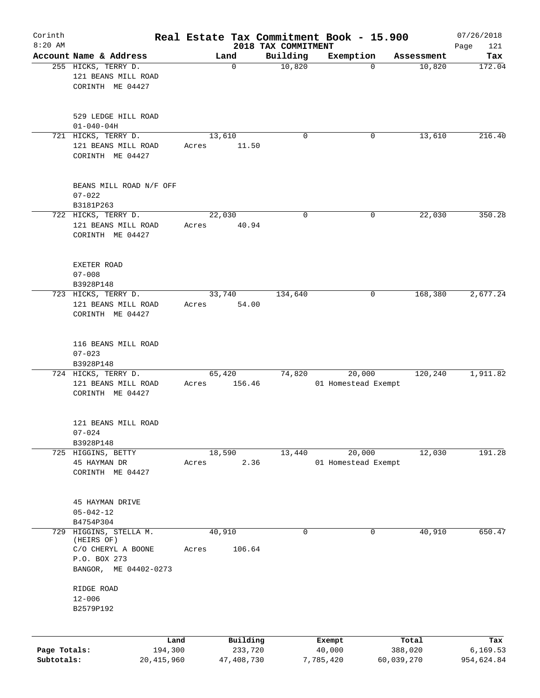| Corinth                    |                                                                        |       |                       |                                 | Real Estate Tax Commitment Book - 15.900 |                       | 07/26/2018              |
|----------------------------|------------------------------------------------------------------------|-------|-----------------------|---------------------------------|------------------------------------------|-----------------------|-------------------------|
| $8:20$ AM                  | Account Name & Address                                                 |       | Land                  | 2018 TAX COMMITMENT<br>Building | Exemption                                |                       | Page<br>121<br>Tax      |
|                            | 255 HICKS, TERRY D.<br>121 BEANS MILL ROAD<br>CORINTH ME 04427         |       | $\mathbf 0$           | 10,820                          | $\mathbf 0$                              | Assessment<br>10,820  | 172.04                  |
|                            | 529 LEDGE HILL ROAD<br>$01 - 040 - 04H$                                |       |                       |                                 |                                          |                       |                         |
|                            | 721 HICKS, TERRY D.<br>121 BEANS MILL ROAD<br>CORINTH ME 04427         | Acres | 13,610<br>11.50       | 0                               | 0                                        | 13,610                | 216.40                  |
|                            | BEANS MILL ROAD N/F OFF<br>$07 - 022$<br>B3181P263                     |       |                       |                                 |                                          |                       |                         |
|                            | 722 HICKS, TERRY D.<br>121 BEANS MILL ROAD<br>CORINTH ME 04427         | Acres | 22,030<br>40.94       | $\mathbf 0$                     | 0                                        | 22,030                | 350.28                  |
|                            | EXETER ROAD<br>$07 - 008$<br>B3928P148                                 |       |                       |                                 |                                          |                       |                         |
|                            | 723 HICKS, TERRY D.<br>121 BEANS MILL ROAD<br>CORINTH ME 04427         | Acres | 33,740<br>54.00       | 134,640                         | 0                                        | 168,380               | 2,677.24                |
|                            | 116 BEANS MILL ROAD<br>$07 - 023$<br>B3928P148                         |       |                       |                                 |                                          |                       |                         |
|                            | 724 HICKS, TERRY D.                                                    |       | 65,420                | 74,820                          | 20,000                                   | 120,240               | 1,911.82                |
|                            | 121 BEANS MILL ROAD<br>CORINTH ME 04427                                | Acres | 156.46                |                                 | 01 Homestead Exempt                      |                       |                         |
|                            | 121 BEANS MILL ROAD<br>$07 - 024$<br>B3928P148                         |       |                       |                                 |                                          |                       |                         |
|                            | 725 HIGGINS, BETTY                                                     |       | 18,590                | 13,440                          | 20,000                                   | 12,030                | 191.28                  |
|                            | 45 HAYMAN DR<br>CORINTH ME 04427                                       | Acres | 2.36                  |                                 | 01 Homestead Exempt                      |                       |                         |
|                            | 45 HAYMAN DRIVE<br>$05 - 042 - 12$<br>B4754P304                        |       |                       |                                 |                                          |                       |                         |
| 729                        | HIGGINS, STELLA M.<br>(HEIRS OF)<br>C/O CHERYL A BOONE<br>P.O. BOX 273 | Acres | 40,910<br>106.64      | $\mathbf 0$                     | 0                                        | 40,910                | 650.47                  |
|                            | ME 04402-0273<br>BANGOR,<br>RIDGE ROAD<br>$12 - 006$<br>B2579P192      |       |                       |                                 |                                          |                       |                         |
|                            | Land                                                                   |       | Building              |                                 | Exempt                                   | Total                 | Tax                     |
| Page Totals:<br>Subtotals: | 194,300<br>20,415,960                                                  |       | 233,720<br>47,408,730 |                                 | 40,000<br>7,785,420                      | 388,020<br>60,039,270 | 6, 169.53<br>954,624.84 |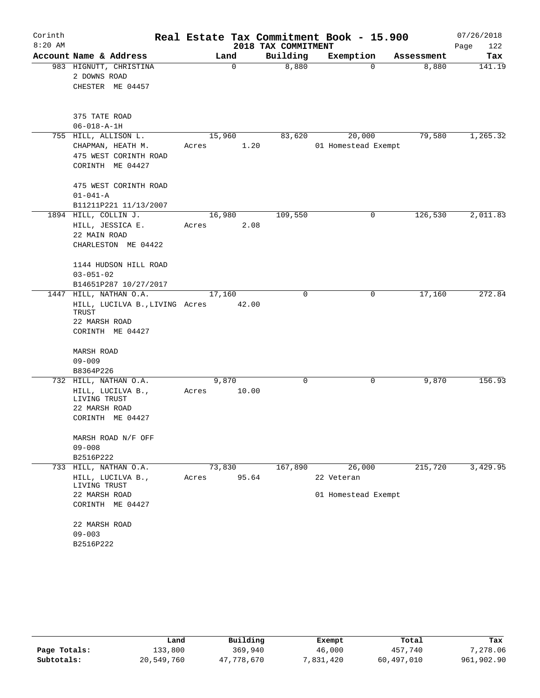| Corinth   |                                           | Real Estate Tax Commitment Book - 15.900 |                     |                     |            | 07/26/2018  |
|-----------|-------------------------------------------|------------------------------------------|---------------------|---------------------|------------|-------------|
| $8:20$ AM |                                           |                                          | 2018 TAX COMMITMENT |                     |            | Page<br>122 |
|           | Account Name & Address                    | Land                                     | Building            | Exemption           | Assessment | Tax         |
|           | 983 HIGNUTT, CHRISTINA                    | $\mathbf 0$                              | 8,880               | 0                   | 8,880      | 141.19      |
|           | 2 DOWNS ROAD                              |                                          |                     |                     |            |             |
|           | CHESTER ME 04457                          |                                          |                     |                     |            |             |
|           | 375 TATE ROAD                             |                                          |                     |                     |            |             |
|           | $06 - 018 - A - 1H$                       |                                          |                     |                     |            |             |
|           | 755 HILL, ALLISON L.                      | 15,960                                   | 83,620              | 20,000              | 79,580     | 1,265.32    |
|           | CHAPMAN, HEATH M.                         | 1.20<br>Acres                            |                     | 01 Homestead Exempt |            |             |
|           | 475 WEST CORINTH ROAD<br>CORINTH ME 04427 |                                          |                     |                     |            |             |
|           | 475 WEST CORINTH ROAD                     |                                          |                     |                     |            |             |
|           | $01 - 041 - A$<br>B11211P221 11/13/2007   |                                          |                     |                     |            |             |
|           | 1894 HILL, COLLIN J.                      | 16, 980                                  | 109,550             | $\mathbf 0$         | 126,530    | 2,011.83    |
|           | HILL, JESSICA E.                          | 2.08<br>Acres                            |                     |                     |            |             |
|           | 22 MAIN ROAD                              |                                          |                     |                     |            |             |
|           | CHARLESTON ME 04422                       |                                          |                     |                     |            |             |
|           | 1144 HUDSON HILL ROAD                     |                                          |                     |                     |            |             |
|           | $03 - 051 - 02$                           |                                          |                     |                     |            |             |
|           | B14651P287 10/27/2017                     |                                          |                     |                     |            |             |
| 1447      | HILL, NATHAN O.A.                         | 17,160                                   | 0                   | 0                   | 17,160     | 272.84      |
|           | HILL, LUCILVA B., LIVING Acres<br>TRUST   | 42.00                                    |                     |                     |            |             |
|           | 22 MARSH ROAD                             |                                          |                     |                     |            |             |
|           | CORINTH ME 04427                          |                                          |                     |                     |            |             |
|           | MARSH ROAD                                |                                          |                     |                     |            |             |
|           | $09 - 009$                                |                                          |                     |                     |            |             |
|           | B8364P226                                 |                                          |                     |                     |            |             |
|           | 732 HILL, NATHAN O.A.                     | 9,870                                    | 0                   | 0                   | 9,870      | 156.93      |
|           | HILL, LUCILVA B.,<br>LIVING TRUST         | 10.00<br>Acres                           |                     |                     |            |             |
|           | 22 MARSH ROAD<br>CORINTH ME 04427         |                                          |                     |                     |            |             |
|           |                                           |                                          |                     |                     |            |             |
|           | MARSH ROAD N/F OFF                        |                                          |                     |                     |            |             |
|           | $09 - 008$                                |                                          |                     |                     |            |             |
|           | B2516P222                                 |                                          |                     |                     |            |             |
|           | 733 HILL, NATHAN O.A.                     | 73,830                                   | 167,890             | 26,000              | 215,720    | 3,429.95    |
|           | HILL, LUCILVA B.,<br>LIVING TRUST         | 95.64<br>Acres                           |                     | 22 Veteran          |            |             |
|           | 22 MARSH ROAD                             |                                          |                     | 01 Homestead Exempt |            |             |
|           | CORINTH ME 04427                          |                                          |                     |                     |            |             |
|           | 22 MARSH ROAD                             |                                          |                     |                     |            |             |
|           | $09 - 003$                                |                                          |                     |                     |            |             |
|           | B2516P222                                 |                                          |                     |                     |            |             |

|              | Land       | Building   | Exempt    | Total      | Tax        |
|--------------|------------|------------|-----------|------------|------------|
| Page Totals: | 133,800    | 369,940    | 46,000    | 457,740    | 7,278.06   |
| Subtotals:   | 20,549,760 | 47,778,670 | 7,831,420 | 60,497,010 | 961,902.90 |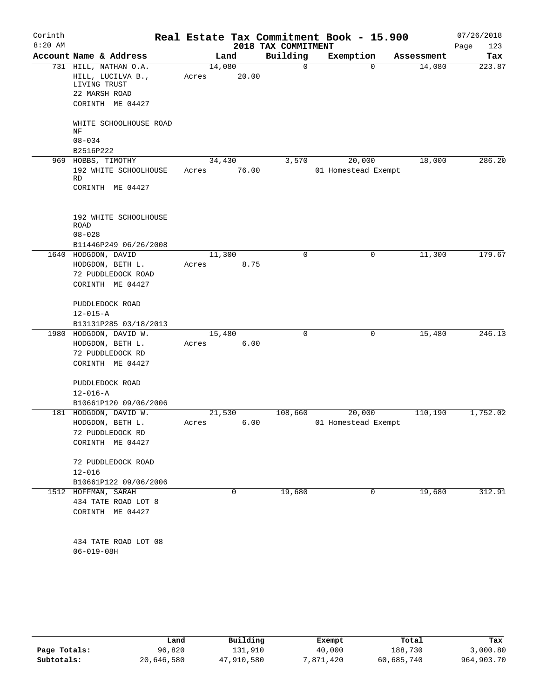| Corinth<br>$8:20$ AM |                                                                                                 |                 |       | 2018 TAX COMMITMENT | Real Estate Tax Commitment Book - 15.900 |            | 07/26/2018<br>Page<br>123 |
|----------------------|-------------------------------------------------------------------------------------------------|-----------------|-------|---------------------|------------------------------------------|------------|---------------------------|
|                      | Account Name & Address                                                                          |                 | Land  | Building            | Exemption                                | Assessment | Tax                       |
|                      | 731 HILL, NATHAN O.A.<br>HILL, LUCILVA B.,<br>LIVING TRUST<br>22 MARSH ROAD<br>CORINTH ME 04427 | 14,080<br>Acres | 20.00 | 0                   | $\mathbf 0$                              | 14,080     | 223.87                    |
|                      | WHITE SCHOOLHOUSE ROAD<br>NF                                                                    |                 |       |                     |                                          |            |                           |
|                      | $08 - 034$<br>B2516P222                                                                         |                 |       |                     |                                          |            |                           |
|                      | 969 HOBBS, TIMOTHY                                                                              | 34,430          |       | 3,570               | 20,000                                   | 18,000     | 286.20                    |
|                      | 192 WHITE SCHOOLHOUSE<br>RD<br>CORINTH ME 04427                                                 | Acres           | 76.00 |                     | 01 Homestead Exempt                      |            |                           |
|                      | 192 WHITE SCHOOLHOUSE<br><b>ROAD</b><br>$08 - 028$                                              |                 |       |                     |                                          |            |                           |
|                      | B11446P249 06/26/2008<br>1640 HODGDON, DAVID                                                    | 11,300          |       | 0                   | 0                                        | 11,300     | 179.67                    |
|                      | HODGDON, BETH L.<br>72 PUDDLEDOCK ROAD<br>CORINTH ME 04427                                      | Acres           | 8.75  |                     |                                          |            |                           |
|                      | PUDDLEDOCK ROAD<br>$12 - 015 - A$                                                               |                 |       |                     |                                          |            |                           |
|                      | B13131P285 03/18/2013<br>1980 HODGDON, DAVID W.                                                 |                 |       | $\Omega$            | $\mathbf 0$                              |            | 246.13                    |
|                      | HODGDON, BETH L.<br>72 PUDDLEDOCK RD<br>CORINTH ME 04427                                        | 15,480<br>Acres | 6.00  |                     |                                          | 15,480     |                           |
|                      | PUDDLEDOCK ROAD<br>$12 - 016 - A$<br>B10661P120 09/06/2006                                      |                 |       |                     |                                          |            |                           |
|                      | 181 HODGDON, DAVID W.                                                                           | 21,530          |       | 108,660             | 20,000                                   | 110,190    | 1,752.02                  |
|                      | HODGDON, BETH L.<br>72 PUDDLEDOCK RD<br>CORINTH ME 04427                                        | Acres           | 6.00  |                     | 01 Homestead Exempt                      |            |                           |
|                      | 72 PUDDLEDOCK ROAD<br>$12 - 016$                                                                |                 |       |                     |                                          |            |                           |
|                      | B10661P122 09/06/2006                                                                           |                 |       |                     |                                          |            |                           |
|                      | 1512 HOFFMAN, SARAH<br>434 TATE ROAD LOT 8<br>CORINTH ME 04427                                  |                 | 0     | 19,680              | 0                                        | 19,680     | 312.91                    |
|                      | 434 TATE ROAD LOT 08<br>$06 - 019 - 08H$                                                        |                 |       |                     |                                          |            |                           |

|              | Land       | Building   | Exempt    | Total      | Tax        |
|--------------|------------|------------|-----------|------------|------------|
| Page Totals: | 96,820     | 131,910    | 40,000    | 188,730    | 3,000.80   |
| Subtotals:   | 20,646,580 | 47,910,580 | 7,871,420 | 60,685,740 | 964,903.70 |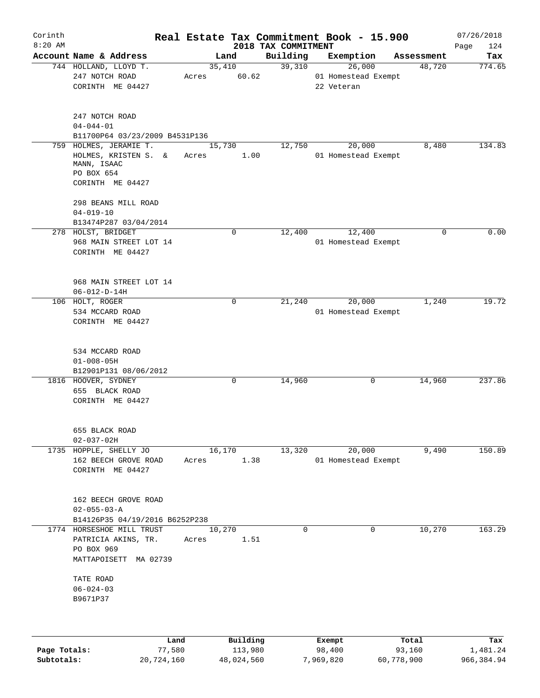| Corinth   |                                                                       |                 |             |                                 | Real Estate Tax Commitment Book - 15.900 |            | 07/26/2018         |
|-----------|-----------------------------------------------------------------------|-----------------|-------------|---------------------------------|------------------------------------------|------------|--------------------|
| $8:20$ AM | Account Name & Address                                                |                 | Land        | 2018 TAX COMMITMENT<br>Building | Exemption                                | Assessment | Page<br>124<br>Tax |
|           | 744 HOLLAND, LLOYD T.                                                 | 35,410          |             | 39,310                          | 26,000                                   | 48,720     | 774.65             |
|           | 247 NOTCH ROAD<br>CORINTH ME 04427                                    | Acres           | 60.62       |                                 | 01 Homestead Exempt<br>22 Veteran        |            |                    |
|           | 247 NOTCH ROAD<br>$04 - 044 - 01$<br>B11700P64 03/23/2009 B4531P136   |                 |             |                                 |                                          |            |                    |
|           | 759 HOLMES, JERAMIE T.                                                | 15,730          |             | 12,750                          | 20,000                                   | 8,480      | 134.83             |
|           | HOLMES, KRISTEN S. &<br>MANN, ISAAC<br>PO BOX 654<br>CORINTH ME 04427 | Acres           | 1.00        |                                 | 01 Homestead Exempt                      |            |                    |
|           | 298 BEANS MILL ROAD<br>$04 - 019 - 10$<br>B13474P287 03/04/2014       |                 |             |                                 |                                          |            |                    |
|           | 278 HOLST, BRIDGET                                                    |                 | 0           | 12,400                          | 12,400                                   | 0          | 0.00               |
|           | 968 MAIN STREET LOT 14<br>CORINTH ME 04427                            |                 |             |                                 | 01 Homestead Exempt                      |            |                    |
|           | 968 MAIN STREET LOT 14<br>$06 - 012 - D - 14H$                        |                 |             |                                 |                                          |            |                    |
|           | 106 HOLT, ROGER                                                       |                 | $\mathbf 0$ | 21,240                          | 20,000                                   | 1,240      | 19.72              |
|           | 534 MCCARD ROAD                                                       |                 |             |                                 | 01 Homestead Exempt                      |            |                    |
|           | CORINTH ME 04427                                                      |                 |             |                                 |                                          |            |                    |
|           | 534 MCCARD ROAD<br>$01 - 008 - 05H$<br>B12901P131 08/06/2012          |                 |             |                                 |                                          |            |                    |
|           | 1816 HOOVER, SYDNEY<br>655 BLACK ROAD<br>CORINTH ME 04427             |                 | $\mathbf 0$ | 14,960                          | 0                                        | 14,960     | 237.86             |
|           | 655 BLACK ROAD<br>$02 - 037 - 02H$                                    |                 |             |                                 |                                          |            |                    |
|           | 1735 HOPPLE, SHELLY JO                                                | 16,170          |             | 13,320                          | 20,000                                   | 9,490      | 150.89             |
|           | 162 BEECH GROVE ROAD<br>CORINTH ME 04427                              | Acres           | 1.38        |                                 | 01 Homestead Exempt                      |            |                    |
|           | 162 BEECH GROVE ROAD<br>$02 - 055 - 03 - A$                           |                 |             |                                 |                                          |            |                    |
|           | B14126P35 04/19/2016 B6252P238                                        |                 |             |                                 |                                          |            |                    |
|           | 1774 HORSESHOE MILL TRUST<br>PATRICIA AKINS, TR.<br>PO BOX 969        | 10,270<br>Acres | 1.51        | 0                               | $\mathbf{0}$                             | 10,270     | 163.29             |
|           | MATTAPOISETT MA 02739<br>TATE ROAD                                    |                 |             |                                 |                                          |            |                    |
|           | $06 - 024 - 03$<br>B9671P37                                           |                 |             |                                 |                                          |            |                    |
|           |                                                                       |                 |             |                                 |                                          |            |                    |
|           | Land                                                                  |                 | Building    |                                 | Exempt                                   | Total      | Tax                |

|              | Land       | Building   | Exempt    | тосат      | тах        |
|--------------|------------|------------|-----------|------------|------------|
| Page Totals: | 77,580     | 113,980    | 98,400    | 93,160     | 1,481.24   |
| Subtotals:   | 20,724,160 | 48,024,560 | 7,969,820 | 60,778,900 | 966,384.94 |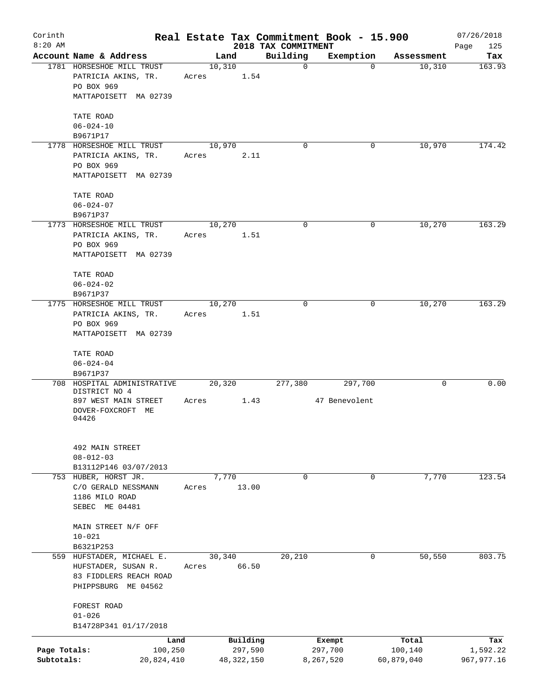| Corinth      |                                                            |       |                |              |                         | Real Estate Tax Commitment Book - 15.900 |            | 07/26/2018    |
|--------------|------------------------------------------------------------|-------|----------------|--------------|-------------------------|------------------------------------------|------------|---------------|
| $8:20$ AM    | Account Name & Address                                     |       |                |              | 2018 TAX COMMITMENT     |                                          | Assessment | Page<br>125   |
|              | 1781 HORSESHOE MILL TRUST<br>PATRICIA AKINS, TR.           | Acres | Land<br>10,310 | 1.54         | Building<br>$\mathbf 0$ | Exemption<br>0                           | 10,310     | Tax<br>163.93 |
|              | PO BOX 969<br>MATTAPOISETT MA 02739                        |       |                |              |                         |                                          |            |               |
|              | TATE ROAD                                                  |       |                |              |                         |                                          |            |               |
|              | $06 - 024 - 10$<br>B9671P17                                |       |                |              |                         |                                          |            |               |
|              | 1778 HORSESHOE MILL TRUST                                  |       | 10,970         |              | 0                       | 0                                        | 10,970     | 174.42        |
|              | PATRICIA AKINS, TR.<br>PO BOX 969<br>MATTAPOISETT MA 02739 | Acres |                | 2.11         |                         |                                          |            |               |
|              |                                                            |       |                |              |                         |                                          |            |               |
|              | TATE ROAD<br>$06 - 024 - 07$                               |       |                |              |                         |                                          |            |               |
|              | B9671P37                                                   |       |                |              |                         |                                          |            |               |
|              | 1773 HORSESHOE MILL TRUST<br>PATRICIA AKINS, TR.           | Acres | 10,270         | 1.51         | $\mathbf 0$             | 0                                        | 10,270     | 163.29        |
|              | PO BOX 969<br>MATTAPOISETT MA 02739                        |       |                |              |                         |                                          |            |               |
|              | TATE ROAD                                                  |       |                |              |                         |                                          |            |               |
|              | $06 - 024 - 02$                                            |       |                |              |                         |                                          |            |               |
|              | B9671P37                                                   |       |                |              |                         |                                          |            |               |
|              | 1775 HORSESHOE MILL TRUST                                  |       | 10,270         |              | $\mathbf 0$             | 0                                        | 10,270     | 163.29        |
|              | PATRICIA AKINS, TR.<br>PO BOX 969                          | Acres |                | 1.51         |                         |                                          |            |               |
|              | MATTAPOISETT MA 02739                                      |       |                |              |                         |                                          |            |               |
|              | TATE ROAD<br>$06 - 024 - 04$                               |       |                |              |                         |                                          |            |               |
|              | B9671P37                                                   |       |                |              |                         |                                          |            |               |
| 708          | HOSPITAL ADMINISTRATIVE<br>DISTRICT NO 4                   |       | 20,320         |              | 277,380                 | 297,700                                  | 0          | 0.00          |
|              | 897 WEST MAIN STREET                                       | Acres |                | 1.43         |                         | 47 Benevolent                            |            |               |
|              | DOVER-FOXCROFT ME<br>04426                                 |       |                |              |                         |                                          |            |               |
|              | 492 MAIN STREET                                            |       |                |              |                         |                                          |            |               |
|              | $08 - 012 - 03$<br>B13112P146 03/07/2013                   |       |                |              |                         |                                          |            |               |
|              | 753 HUBER, HORST JR.                                       |       | 7,770          |              | $\mathbf 0$             | $\mathbf 0$                              | 7,770      | 123.54        |
|              | C/O GERALD NESSMANN                                        | Acres |                | 13.00        |                         |                                          |            |               |
|              | 1186 MILO ROAD<br>SEBEC ME 04481                           |       |                |              |                         |                                          |            |               |
|              | MAIN STREET N/F OFF                                        |       |                |              |                         |                                          |            |               |
|              | $10 - 021$                                                 |       |                |              |                         |                                          |            |               |
|              | B6321P253<br>559 HUFSTADER, MICHAEL E.                     |       | 30,340         |              | 20,210                  | 0                                        | 50,550     | 803.75        |
|              | HUFSTADER, SUSAN R.                                        | Acres |                | 66.50        |                         |                                          |            |               |
|              | 83 FIDDLERS REACH ROAD<br>PHIPPSBURG ME 04562              |       |                |              |                         |                                          |            |               |
|              | FOREST ROAD<br>$01 - 026$                                  |       |                |              |                         |                                          |            |               |
|              | B14728P341 01/17/2018                                      |       |                |              |                         |                                          |            |               |
|              | Land                                                       |       |                | Building     |                         | Exempt                                   | Total      | Tax           |
| Page Totals: | 100,250                                                    |       |                | 297,590      |                         | 297,700                                  | 100,140    | 1,592.22      |
| Subtotals:   | 20,824,410                                                 |       |                | 48, 322, 150 |                         | 8,267,520                                | 60,879,040 | 967, 977.16   |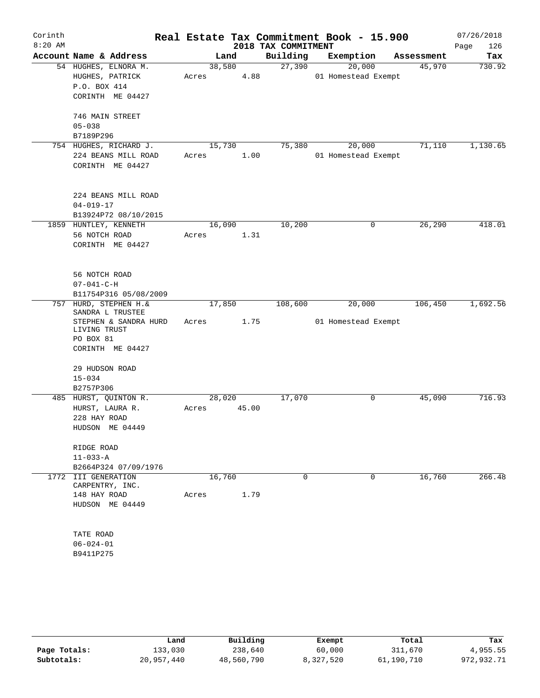| Corinth<br>$8:20$ AM |                                            |       |        |       | Real Estate Tax Commitment Book - 15.900<br>2018 TAX COMMITMENT |                     |             |            | 07/26/2018<br>126<br>Page |
|----------------------|--------------------------------------------|-------|--------|-------|-----------------------------------------------------------------|---------------------|-------------|------------|---------------------------|
|                      | Account Name & Address                     |       | Land   |       | Building                                                        | Exemption           |             | Assessment | Tax                       |
|                      | 54 HUGHES, ELNORA M.                       |       | 38,580 |       | 27,390                                                          | 20,000              |             | 45,970     | 730.92                    |
|                      | HUGHES, PATRICK                            | Acres |        | 4.88  |                                                                 | 01 Homestead Exempt |             |            |                           |
|                      | P.O. BOX 414                               |       |        |       |                                                                 |                     |             |            |                           |
|                      | CORINTH ME 04427                           |       |        |       |                                                                 |                     |             |            |                           |
|                      | 746 MAIN STREET                            |       |        |       |                                                                 |                     |             |            |                           |
|                      | $05 - 038$                                 |       |        |       |                                                                 |                     |             |            |                           |
|                      | B7189P296                                  |       |        |       |                                                                 |                     |             |            |                           |
|                      | 754 HUGHES, RICHARD J.                     |       | 15,730 |       | 75,380                                                          | 20,000              |             | 71,110     | 1,130.65                  |
|                      | 224 BEANS MILL ROAD                        | Acres |        | 1.00  |                                                                 | 01 Homestead Exempt |             |            |                           |
|                      | CORINTH ME 04427                           |       |        |       |                                                                 |                     |             |            |                           |
|                      | 224 BEANS MILL ROAD                        |       |        |       |                                                                 |                     |             |            |                           |
|                      | $04 - 019 - 17$                            |       |        |       |                                                                 |                     |             |            |                           |
|                      | B13924P72 08/10/2015                       |       |        |       |                                                                 |                     |             |            |                           |
|                      | 1859 HUNTLEY, KENNETH                      |       | 16,090 |       | 10,200                                                          |                     | 0           | 26,290     | 418.01                    |
|                      | 56 NOTCH ROAD                              | Acres |        | 1.31  |                                                                 |                     |             |            |                           |
|                      | CORINTH ME 04427                           |       |        |       |                                                                 |                     |             |            |                           |
|                      |                                            |       |        |       |                                                                 |                     |             |            |                           |
|                      | 56 NOTCH ROAD                              |       |        |       |                                                                 |                     |             |            |                           |
|                      | $07 - 041 - C - H$                         |       |        |       |                                                                 |                     |             |            |                           |
|                      | B11754P316 05/08/2009                      |       |        |       |                                                                 |                     |             |            |                           |
|                      | 757 HURD, STEPHEN H. &<br>SANDRA L TRUSTEE |       | 17,850 |       | 108,600                                                         | 20,000              |             | 106,450    | 1,692.56                  |
|                      | STEPHEN & SANDRA HURD<br>LIVING TRUST      | Acres |        | 1.75  |                                                                 | 01 Homestead Exempt |             |            |                           |
|                      | PO BOX 81                                  |       |        |       |                                                                 |                     |             |            |                           |
|                      | CORINTH ME 04427                           |       |        |       |                                                                 |                     |             |            |                           |
|                      | 29 HUDSON ROAD                             |       |        |       |                                                                 |                     |             |            |                           |
|                      | $15 - 034$                                 |       |        |       |                                                                 |                     |             |            |                           |
|                      | B2757P306                                  |       |        |       |                                                                 |                     |             |            |                           |
|                      | 485 HURST, QUINTON R.                      |       | 28,020 |       | 17,070                                                          |                     | 0           | 45,090     | 716.93                    |
|                      | HURST, LAURA R.                            | Acres |        | 45.00 |                                                                 |                     |             |            |                           |
|                      | 228 HAY ROAD                               |       |        |       |                                                                 |                     |             |            |                           |
|                      | HUDSON ME 04449                            |       |        |       |                                                                 |                     |             |            |                           |
|                      | RIDGE ROAD                                 |       |        |       |                                                                 |                     |             |            |                           |
|                      | $11 - 033 - A$                             |       |        |       |                                                                 |                     |             |            |                           |
|                      | B2664P324 07/09/1976                       |       |        |       |                                                                 |                     |             |            |                           |
|                      | 1772 III GENERATION<br>CARPENTRY, INC.     |       | 16,760 |       | $\Omega$                                                        |                     | $\mathbf 0$ | 16,760     | 266.48                    |
|                      | 148 HAY ROAD                               | Acres |        | 1.79  |                                                                 |                     |             |            |                           |
|                      | HUDSON ME 04449                            |       |        |       |                                                                 |                     |             |            |                           |
|                      |                                            |       |        |       |                                                                 |                     |             |            |                           |
|                      | TATE ROAD                                  |       |        |       |                                                                 |                     |             |            |                           |
|                      | $06 - 024 - 01$                            |       |        |       |                                                                 |                     |             |            |                           |
|                      | B9411P275                                  |       |        |       |                                                                 |                     |             |            |                           |
|                      |                                            |       |        |       |                                                                 |                     |             |            |                           |
|                      |                                            |       |        |       |                                                                 |                     |             |            |                           |

|              | Land       | Building   | Exempt    | Total      | Tax        |
|--------------|------------|------------|-----------|------------|------------|
| Page Totals: | 133,030    | 238,640    | 60,000    | 311,670    | 4,955.55   |
| Subtotals:   | 20,957,440 | 48,560,790 | 8,327,520 | 61,190,710 | 972,932.71 |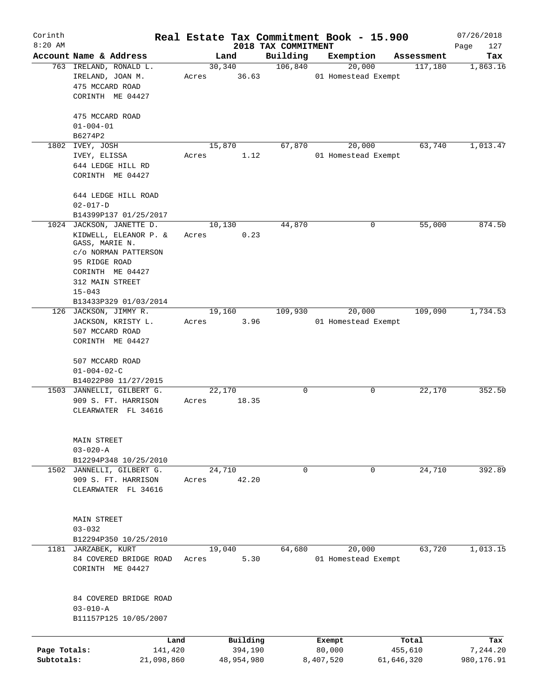| Corinth<br>$8:20$ AM       |                                                                                                                                                                   |                           | 2018 TAX COMMITMENT | Real Estate Tax Commitment Book - 15.900 |                       | 07/26/2018             |
|----------------------------|-------------------------------------------------------------------------------------------------------------------------------------------------------------------|---------------------------|---------------------|------------------------------------------|-----------------------|------------------------|
|                            | Account Name & Address                                                                                                                                            | Land                      | Building            | Exemption                                | Assessment            | Page<br>127<br>Tax     |
|                            | 763 IRELAND, RONALD L.<br>IRELAND, JOAN M.<br>475 MCCARD ROAD<br>CORINTH ME 04427                                                                                 | 30, 340<br>36.63<br>Acres | 106,840             | 20,000<br>01 Homestead Exempt            | 117,180               | 1,863.16               |
|                            | 475 MCCARD ROAD<br>$01 - 004 - 01$<br>B6274P2                                                                                                                     |                           |                     |                                          |                       |                        |
|                            | 1802 IVEY, JOSH<br>IVEY, ELISSA<br>644 LEDGE HILL RD<br>CORINTH ME 04427                                                                                          | 15,870<br>1.12<br>Acres   | 67,870              | 20,000<br>01 Homestead Exempt            | 63,740                | 1,013.47               |
|                            | 644 LEDGE HILL ROAD<br>$02 - 017 - D$<br>B14399P137 01/25/2017                                                                                                    |                           |                     |                                          |                       |                        |
|                            | 1024 JACKSON, JANETTE D.<br>KIDWELL, ELEANOR P. &<br>GASS, MARIE N.<br>c/o NORMAN PATTERSON<br>95 RIDGE ROAD<br>CORINTH ME 04427<br>312 MAIN STREET<br>$15 - 043$ | 10,130<br>0.23<br>Acres   | 44,870              | 0                                        | 55,000                | 874.50                 |
|                            | B13433P329 01/03/2014<br>126 JACKSON, JIMMY R.<br>JACKSON, KRISTY L.<br>507 MCCARD ROAD<br>CORINTH ME 04427<br>507 MCCARD ROAD<br>$01 - 004 - 02 - C$             | 19,160<br>3.96<br>Acres   | 109,930             | 20,000<br>01 Homestead Exempt            | 109,090               | 1,734.53               |
|                            | B14022P80 11/27/2015<br>1503 JANNELLI, GILBERT G.<br>909 S. FT. HARRISON<br>CLEARWATER FL 34616                                                                   | 22,170<br>18.35<br>Acres  | $\mathbf 0$         | 0                                        | 22,170                | 352.50                 |
|                            | MAIN STREET<br>$03 - 020 - A$<br>B12294P348 10/25/2010                                                                                                            |                           |                     |                                          |                       |                        |
|                            | 1502 JANNELLI, GILBERT G.<br>909 S. FT. HARRISON<br>CLEARWATER FL 34616                                                                                           | 24,710<br>42.20<br>Acres  | $\mathbf 0$         | 0                                        | 24,710                | 392.89                 |
|                            | MAIN STREET<br>$03 - 032$<br>B12294P350 10/25/2010                                                                                                                |                           |                     |                                          |                       |                        |
|                            | 1181 JARZABEK, KURT<br>84 COVERED BRIDGE ROAD<br>CORINTH ME 04427                                                                                                 | 19,040<br>5.30<br>Acres   | 64,680              | 20,000<br>01 Homestead Exempt            | 63,720                | 1,013.15               |
|                            | 84 COVERED BRIDGE ROAD<br>$03 - 010 - A$<br>B11157P125 10/05/2007                                                                                                 |                           |                     |                                          |                       |                        |
|                            | Land                                                                                                                                                              | Building                  |                     | Exempt                                   | Total                 | Tax                    |
| Page Totals:<br>Subtotals: | 141,420<br>21,098,860                                                                                                                                             | 394,190<br>48,954,980     |                     | 80,000<br>8,407,520                      | 455,610<br>61,646,320 | 7,244.20<br>980,176.91 |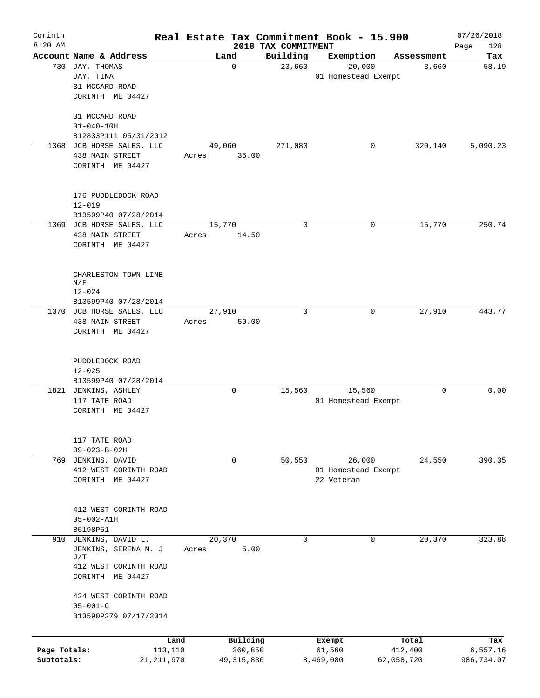| Corinth      |                                                    |                 |       |                     | Real Estate Tax Commitment Book - 15.900 |           |                                   |            |                  | 07/26/2018         |
|--------------|----------------------------------------------------|-----------------|-------|---------------------|------------------------------------------|-----------|-----------------------------------|------------|------------------|--------------------|
| $8:20$ AM    | Account Name & Address                             |                 |       | Land                | 2018 TAX COMMITMENT<br>Building          |           | Exemption                         |            | Assessment       | Page<br>128<br>Tax |
|              | 730 JAY, THOMAS                                    |                 |       | $\mathbf 0$         | 23,660                                   |           | 20,000                            |            | 3,660            | 58.19              |
|              | JAY, TINA                                          |                 |       |                     |                                          |           | 01 Homestead Exempt               |            |                  |                    |
|              | 31 MCCARD ROAD                                     |                 |       |                     |                                          |           |                                   |            |                  |                    |
|              | CORINTH ME 04427                                   |                 |       |                     |                                          |           |                                   |            |                  |                    |
|              |                                                    |                 |       |                     |                                          |           |                                   |            |                  |                    |
|              | 31 MCCARD ROAD                                     |                 |       |                     |                                          |           |                                   |            |                  |                    |
|              | $01 - 040 - 10H$                                   |                 |       |                     |                                          |           |                                   |            |                  |                    |
|              | B12833P111 05/31/2012<br>1368 JCB HORSE SALES, LLC |                 |       | 49,060              | 271,080                                  |           | 0                                 |            | 320,140          | 5,090.23           |
|              | 438 MAIN STREET                                    |                 | Acres | 35.00               |                                          |           |                                   |            |                  |                    |
|              | CORINTH ME 04427                                   |                 |       |                     |                                          |           |                                   |            |                  |                    |
|              |                                                    |                 |       |                     |                                          |           |                                   |            |                  |                    |
|              |                                                    |                 |       |                     |                                          |           |                                   |            |                  |                    |
|              | 176 PUDDLEDOCK ROAD                                |                 |       |                     |                                          |           |                                   |            |                  |                    |
|              | $12 - 019$                                         |                 |       |                     |                                          |           |                                   |            |                  |                    |
|              | B13599P40 07/28/2014                               |                 |       |                     |                                          |           |                                   |            |                  |                    |
|              | 1369 JCB HORSE SALES, LLC                          |                 |       | 15,770              | 0                                        |           | 0                                 |            | 15,770           | 250.74             |
|              | 438 MAIN STREET<br>CORINTH ME 04427                |                 | Acres | 14.50               |                                          |           |                                   |            |                  |                    |
|              |                                                    |                 |       |                     |                                          |           |                                   |            |                  |                    |
|              |                                                    |                 |       |                     |                                          |           |                                   |            |                  |                    |
|              | CHARLESTON TOWN LINE                               |                 |       |                     |                                          |           |                                   |            |                  |                    |
|              | N/F                                                |                 |       |                     |                                          |           |                                   |            |                  |                    |
|              | $12 - 024$                                         |                 |       |                     |                                          |           |                                   |            |                  |                    |
|              | B13599P40 07/28/2014<br>1370 JCB HORSE SALES, LLC  |                 |       |                     | $\mathbf 0$                              |           | 0                                 |            | 27,910           | 443.77             |
|              | 438 MAIN STREET                                    |                 | Acres | 27,910<br>50.00     |                                          |           |                                   |            |                  |                    |
|              | CORINTH ME 04427                                   |                 |       |                     |                                          |           |                                   |            |                  |                    |
|              |                                                    |                 |       |                     |                                          |           |                                   |            |                  |                    |
|              |                                                    |                 |       |                     |                                          |           |                                   |            |                  |                    |
|              | PUDDLEDOCK ROAD                                    |                 |       |                     |                                          |           |                                   |            |                  |                    |
|              | $12 - 025$                                         |                 |       |                     |                                          |           |                                   |            |                  |                    |
|              | B13599P40 07/28/2014                               |                 |       | 0                   | 15,560                                   |           | 15,560                            |            | 0                | 0.00               |
|              | 1821 JENKINS, ASHLEY<br>117 TATE ROAD              |                 |       |                     |                                          |           | 01 Homestead Exempt               |            |                  |                    |
|              | CORINTH ME 04427                                   |                 |       |                     |                                          |           |                                   |            |                  |                    |
|              |                                                    |                 |       |                     |                                          |           |                                   |            |                  |                    |
|              |                                                    |                 |       |                     |                                          |           |                                   |            |                  |                    |
|              | 117 TATE ROAD                                      |                 |       |                     |                                          |           |                                   |            |                  |                    |
|              | $09 - 023 - B - 02H$                               |                 |       |                     |                                          |           |                                   |            |                  |                    |
|              | 769 JENKINS, DAVID                                 |                 |       | 0                   | 50,550                                   |           | 26,000                            |            | 24,550           | 390.35             |
|              | 412 WEST CORINTH ROAD<br>CORINTH ME 04427          |                 |       |                     |                                          |           | 01 Homestead Exempt<br>22 Veteran |            |                  |                    |
|              |                                                    |                 |       |                     |                                          |           |                                   |            |                  |                    |
|              |                                                    |                 |       |                     |                                          |           |                                   |            |                  |                    |
|              | 412 WEST CORINTH ROAD                              |                 |       |                     |                                          |           |                                   |            |                  |                    |
|              | $05 - 002 - A1H$                                   |                 |       |                     |                                          |           |                                   |            |                  |                    |
|              | B5198P51                                           |                 |       |                     |                                          |           |                                   |            |                  |                    |
|              | 910 JENKINS, DAVID L.                              |                 |       | 20,370              | $\Omega$                                 |           | 0                                 |            | 20,370           | 323.88             |
|              | JENKINS, SERENA M. J<br>J/T                        |                 | Acres | 5.00                |                                          |           |                                   |            |                  |                    |
|              | 412 WEST CORINTH ROAD                              |                 |       |                     |                                          |           |                                   |            |                  |                    |
|              | CORINTH ME 04427                                   |                 |       |                     |                                          |           |                                   |            |                  |                    |
|              |                                                    |                 |       |                     |                                          |           |                                   |            |                  |                    |
|              | 424 WEST CORINTH ROAD                              |                 |       |                     |                                          |           |                                   |            |                  |                    |
|              | $05 - 001 - C$                                     |                 |       |                     |                                          |           |                                   |            |                  |                    |
|              | B13590P279 07/17/2014                              |                 |       |                     |                                          |           |                                   |            |                  |                    |
|              |                                                    |                 |       |                     |                                          |           |                                   |            |                  |                    |
| Page Totals: |                                                    | Land<br>113,110 |       | Building<br>360,850 |                                          |           | Exempt<br>61,560                  |            | Total<br>412,400 | Tax<br>6,557.16    |
| Subtotals:   | 21, 211, 970                                       |                 |       | 49, 315, 830        |                                          | 8,469,080 |                                   | 62,058,720 |                  | 986,734.07         |
|              |                                                    |                 |       |                     |                                          |           |                                   |            |                  |                    |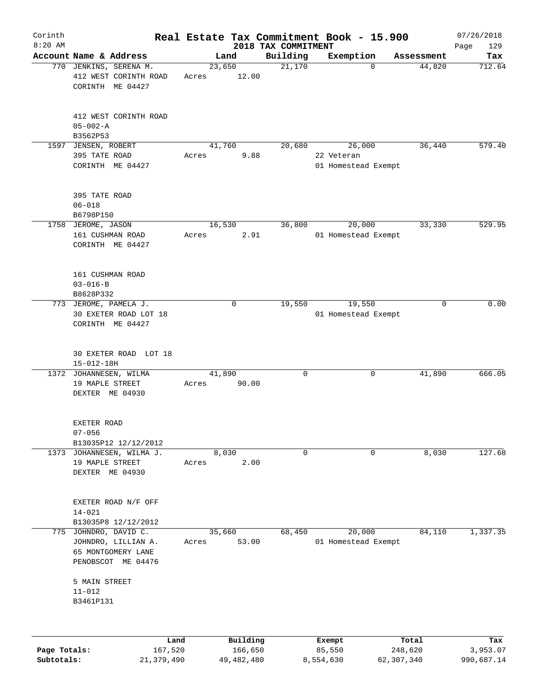| Corinth      |                                                                                      |                 |             |                                 | Real Estate Tax Commitment Book - 15.900    |             | 07/26/2018         |
|--------------|--------------------------------------------------------------------------------------|-----------------|-------------|---------------------------------|---------------------------------------------|-------------|--------------------|
| $8:20$ AM    | Account Name & Address                                                               |                 | Land        | 2018 TAX COMMITMENT<br>Building | Exemption                                   | Assessment  | Page<br>129<br>Tax |
|              | 770 JENKINS, SERENA M.<br>412 WEST CORINTH ROAD<br>CORINTH ME 04427                  | 23,650<br>Acres | 12.00       | 21,170                          | $\Omega$                                    | 44,820      | 712.64             |
|              | 412 WEST CORINTH ROAD<br>$05 - 002 - A$<br>B3562P53                                  |                 |             |                                 |                                             |             |                    |
| 1597         | JENSEN, ROBERT<br>395 TATE ROAD<br>CORINTH ME 04427                                  | 41,760<br>Acres | 9.88        | 20,680                          | 26,000<br>22 Veteran<br>01 Homestead Exempt | 36,440      | 579.40             |
|              | 395 TATE ROAD<br>$06 - 018$<br>B6798P150                                             |                 |             |                                 |                                             |             |                    |
|              | 1758 JEROME, JASON<br>161 CUSHMAN ROAD<br>CORINTH ME 04427                           | 16,530<br>Acres | 2.91        | 36,800                          | 20,000<br>01 Homestead Exempt               | 33,330      | 529.95             |
|              | 161 CUSHMAN ROAD<br>$03 - 016 - B$<br>B8628P332                                      |                 |             |                                 |                                             |             |                    |
|              | 773 JEROME, PAMELA J.<br>30 EXETER ROAD LOT 18<br>CORINTH ME 04427                   |                 | $\mathbf 0$ | 19,550                          | 19,550<br>01 Homestead Exempt               | $\mathbf 0$ | 0.00               |
|              | 30 EXETER ROAD LOT 18<br>$15 - 012 - 18H$                                            |                 |             |                                 |                                             |             |                    |
|              | 1372 JOHANNESEN, WILMA<br>19 MAPLE STREET<br>DEXTER ME 04930                         | 41,890<br>Acres | 90.00       | $\mathbf 0$                     | 0                                           | 41,890      | 666.05             |
|              | EXETER ROAD<br>$07 - 056$<br>B13035P12 12/12/2012                                    |                 |             |                                 |                                             |             |                    |
|              | 1373 JOHANNESEN, WILMA J.<br>19 MAPLE STREET<br>DEXTER ME 04930                      | 8,030<br>Acres  | 2.00        | 0                               | $\mathbf 0$                                 | 8,030       | 127.68             |
|              | EXETER ROAD N/F OFF<br>$14 - 021$<br>B13035P8 12/12/2012                             |                 |             |                                 |                                             |             |                    |
| 775          | JOHNDRO, DAVID C.<br>JOHNDRO, LILLIAN A.<br>65 MONTGOMERY LANE<br>PENOBSCOT ME 04476 | 35,660<br>Acres | 53.00       | 68,450                          | 20,000<br>01 Homestead Exempt               | 84,110      | 1,337.35           |
|              | 5 MAIN STREET<br>$11 - 012$<br>B3461P131                                             |                 |             |                                 |                                             |             |                    |
|              | Land                                                                                 |                 | Building    |                                 | Exempt                                      | Total       | Tax                |
| Page Totals: | 167,520                                                                              |                 | 166,650     |                                 | 85,550                                      | 248,620     | 3,953.07           |

**Subtotals:** 21,379,490 49,482,480 8,554,630 62,307,340 990,687.14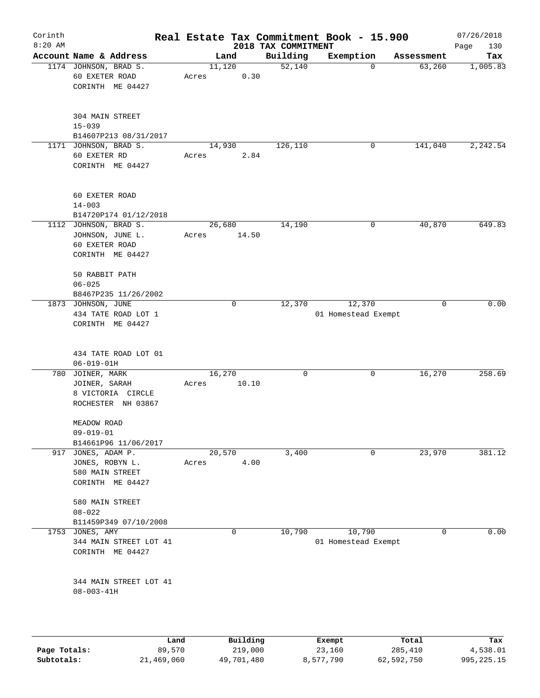| Corinth   |                                                                                 | Real Estate Tax Commitment Book - 15.900 |                                 |                                |                      | 07/26/2018      |
|-----------|---------------------------------------------------------------------------------|------------------------------------------|---------------------------------|--------------------------------|----------------------|-----------------|
| $8:20$ AM | Account Name & Address                                                          |                                          | 2018 TAX COMMITMENT<br>Building | Exemption                      |                      | Page<br>130     |
|           | 1174 JOHNSON, BRAD S.<br>60 EXETER ROAD<br>CORINTH ME 04427                     | Land<br>11,120<br>0.30<br>Acres          | 52,140                          | $\mathbf 0$                    | Assessment<br>63,260 | Tax<br>1,005.83 |
|           | 304 MAIN STREET<br>$15 - 039$                                                   |                                          |                                 |                                |                      |                 |
|           | B14607P213 08/31/2017                                                           |                                          |                                 |                                |                      |                 |
|           | 1171 JOHNSON, BRAD S.<br>60 EXETER RD<br>CORINTH ME 04427                       | 14,930<br>2.84<br>Acres                  | 126,110                         | 0                              | 141,040              | 2,242.54        |
|           | 60 EXETER ROAD<br>$14 - 003$<br>B14720P174 01/12/2018                           |                                          |                                 |                                |                      |                 |
|           | 1112 JOHNSON, BRAD S.<br>JOHNSON, JUNE L.<br>60 EXETER ROAD<br>CORINTH ME 04427 | 26,680<br>14.50<br>Acres                 | 14,190                          | 0                              | 40,870               | 649.83          |
|           | 50 RABBIT PATH<br>$06 - 025$                                                    |                                          |                                 |                                |                      |                 |
|           | B8467P235 11/26/2002<br>1873 JOHNSON, JUNE                                      | $\mathbf 0$                              | 12,370                          | 12,370                         | $\mathbf 0$          | 0.00            |
|           | 434 TATE ROAD LOT 1<br>CORINTH ME 04427                                         |                                          |                                 | 01 Homestead Exempt            |                      |                 |
|           | 434 TATE ROAD LOT 01<br>$06 - 019 - 01H$                                        |                                          |                                 |                                |                      |                 |
| 780       | JOINER, MARK<br>JOINER, SARAH<br>8 VICTORIA CIRCLE<br>ROCHESTER NH 03867        | 16,270<br>10.10<br>Acres                 | 0                               | 0                              | 16,270               | 258.69          |
|           | MEADOW ROAD<br>$09 - 019 - 01$<br>B14661P96 11/06/2017                          |                                          |                                 |                                |                      |                 |
| 917       | JONES, ADAM P.<br>JONES, ROBYN L.<br>580 MAIN STREET<br>CORINTH ME 04427        | 20,570<br>4.00<br>Acres                  | 3,400                           | 0                              | 23,970               | 381.12          |
|           | 580 MAIN STREET<br>$08 - 022$<br>B11459P349 07/10/2008                          |                                          |                                 |                                |                      |                 |
| 1753      | JONES, AMY<br>344 MAIN STREET LOT 41<br>CORINTH ME 04427                        | 0                                        | 10,790                          | 10,790<br>01 Homestead Exempt  | 0                    | 0.00            |
|           | 344 MAIN STREET LOT 41<br>$08 - 003 - 41H$                                      |                                          |                                 |                                |                      |                 |
|           | <b>Tand</b>                                                                     | $D_{\text{rel}}$ is a set of $\sim$      |                                 | $P$ <sub>i</sub> $\sim$ mm $+$ | $T - 1$              | m.,             |

|              | Land       | Building   | Exempt    | Total      | Tax        |
|--------------|------------|------------|-----------|------------|------------|
| Page Totals: | 89,570     | 219,000    | 23,160    | 285,410    | 4,538.01   |
| Subtotals:   | 21,469,060 | 49,701,480 | 8,577,790 | 62,592,750 | 995,225.15 |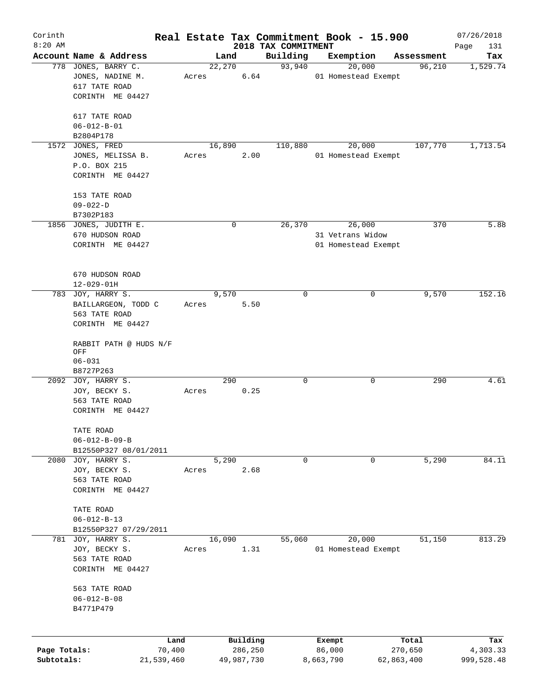| Corinth      |                                    |            |       |                |            | Real Estate Tax Commitment Book - 15.900 |                     |        |                      | 07/26/2018      |
|--------------|------------------------------------|------------|-------|----------------|------------|------------------------------------------|---------------------|--------|----------------------|-----------------|
| $8:20$ AM    | Account Name & Address             |            |       |                |            | 2018 TAX COMMITMENT                      |                     |        |                      | Page<br>131     |
|              | 778 JONES, BARRY C.                |            |       | Land<br>22,270 |            | Building<br>93,940                       | Exemption           | 20,000 | Assessment<br>96,210 | Tax<br>1,529.74 |
|              | JONES, NADINE M.                   |            | Acres |                | 6.64       |                                          | 01 Homestead Exempt |        |                      |                 |
|              | 617 TATE ROAD                      |            |       |                |            |                                          |                     |        |                      |                 |
|              | CORINTH ME 04427                   |            |       |                |            |                                          |                     |        |                      |                 |
|              |                                    |            |       |                |            |                                          |                     |        |                      |                 |
|              | 617 TATE ROAD                      |            |       |                |            |                                          |                     |        |                      |                 |
|              | $06 - 012 - B - 01$                |            |       |                |            |                                          |                     |        |                      |                 |
|              | B2804P178                          |            |       |                |            |                                          |                     |        |                      |                 |
|              | 1572 JONES, FRED                   |            |       | 16,890         |            | 110,880                                  |                     | 20,000 | 107,770              | 1,713.54        |
|              | JONES, MELISSA B.                  |            | Acres |                | 2.00       |                                          | 01 Homestead Exempt |        |                      |                 |
|              | P.O. BOX 215                       |            |       |                |            |                                          |                     |        |                      |                 |
|              | CORINTH ME 04427                   |            |       |                |            |                                          |                     |        |                      |                 |
|              |                                    |            |       |                |            |                                          |                     |        |                      |                 |
|              | 153 TATE ROAD                      |            |       |                |            |                                          |                     |        |                      |                 |
|              | $09 - 022 - D$                     |            |       |                |            |                                          |                     |        |                      |                 |
|              | B7302P183                          |            |       |                |            |                                          |                     |        |                      |                 |
|              | 1856 JONES, JUDITH E.              |            |       |                | 0          | 26,370                                   |                     | 26,000 | 370                  | 5.88            |
|              | 670 HUDSON ROAD                    |            |       |                |            |                                          | 31 Vetrans Widow    |        |                      |                 |
|              | CORINTH ME 04427                   |            |       |                |            |                                          | 01 Homestead Exempt |        |                      |                 |
|              |                                    |            |       |                |            |                                          |                     |        |                      |                 |
|              |                                    |            |       |                |            |                                          |                     |        |                      |                 |
|              | 670 HUDSON ROAD                    |            |       |                |            |                                          |                     |        |                      |                 |
|              | $12 - 029 - 01H$                   |            |       |                |            |                                          |                     |        |                      |                 |
|              | 783 JOY, HARRY S.                  |            |       | 9,570          |            | $\mathbf 0$                              |                     | 0      | 9,570                | 152.16          |
|              | BAILLARGEON, TODD C                |            | Acres |                | 5.50       |                                          |                     |        |                      |                 |
|              | 563 TATE ROAD                      |            |       |                |            |                                          |                     |        |                      |                 |
|              | CORINTH ME 04427                   |            |       |                |            |                                          |                     |        |                      |                 |
|              |                                    |            |       |                |            |                                          |                     |        |                      |                 |
|              | RABBIT PATH @ HUDS N/F             |            |       |                |            |                                          |                     |        |                      |                 |
|              | OFF                                |            |       |                |            |                                          |                     |        |                      |                 |
|              | $06 - 031$                         |            |       |                |            |                                          |                     |        |                      |                 |
|              | B8727P263                          |            |       |                |            |                                          |                     |        |                      |                 |
|              | 2092 JOY, HARRY S.                 |            |       | 290            |            | $\mathbf 0$                              |                     | 0      | 290                  | 4.61            |
|              | JOY, BECKY S.                      |            | Acres |                | 0.25       |                                          |                     |        |                      |                 |
|              | 563 TATE ROAD                      |            |       |                |            |                                          |                     |        |                      |                 |
|              | CORINTH ME 04427                   |            |       |                |            |                                          |                     |        |                      |                 |
|              |                                    |            |       |                |            |                                          |                     |        |                      |                 |
|              | TATE ROAD                          |            |       |                |            |                                          |                     |        |                      |                 |
|              | $06 - 012 - B - 09 - B$            |            |       |                |            |                                          |                     |        |                      |                 |
|              | B12550P327 08/01/2011              |            |       |                |            |                                          |                     |        |                      |                 |
|              | 2080 JOY, HARRY S.                 |            |       | 5,290          |            | $\mathbf 0$                              |                     | 0      | 5,290                | 84.11           |
|              | JOY, BECKY S.                      |            | Acres |                | 2.68       |                                          |                     |        |                      |                 |
|              | 563 TATE ROAD                      |            |       |                |            |                                          |                     |        |                      |                 |
|              | CORINTH ME 04427                   |            |       |                |            |                                          |                     |        |                      |                 |
|              |                                    |            |       |                |            |                                          |                     |        |                      |                 |
|              | TATE ROAD                          |            |       |                |            |                                          |                     |        |                      |                 |
|              | $06 - 012 - B - 13$                |            |       |                |            |                                          |                     |        |                      |                 |
|              | B12550P327 07/29/2011              |            |       |                |            |                                          |                     |        | 51,150               |                 |
|              | 781 JOY, HARRY S.<br>JOY, BECKY S. |            |       | 16,090         | 1.31       | 55,060                                   | 01 Homestead Exempt | 20,000 |                      | 813.29          |
|              | 563 TATE ROAD                      |            | Acres |                |            |                                          |                     |        |                      |                 |
|              |                                    |            |       |                |            |                                          |                     |        |                      |                 |
|              | CORINTH ME 04427                   |            |       |                |            |                                          |                     |        |                      |                 |
|              | 563 TATE ROAD                      |            |       |                |            |                                          |                     |        |                      |                 |
|              | $06 - 012 - B - 08$                |            |       |                |            |                                          |                     |        |                      |                 |
|              | B4771P479                          |            |       |                |            |                                          |                     |        |                      |                 |
|              |                                    |            |       |                |            |                                          |                     |        |                      |                 |
|              |                                    |            |       |                |            |                                          |                     |        |                      |                 |
|              |                                    |            |       |                |            |                                          |                     |        |                      |                 |
|              |                                    | Land       |       |                | Building   |                                          | Exempt              |        | Total                | Tax             |
| Page Totals: |                                    | 70,400     |       |                | 286,250    |                                          | 86,000              |        | 270,650              | 4,303.33        |
| Subtotals:   |                                    | 21,539,460 |       |                | 49,987,730 |                                          | 8,663,790           |        | 62,863,400           | 999,528.48      |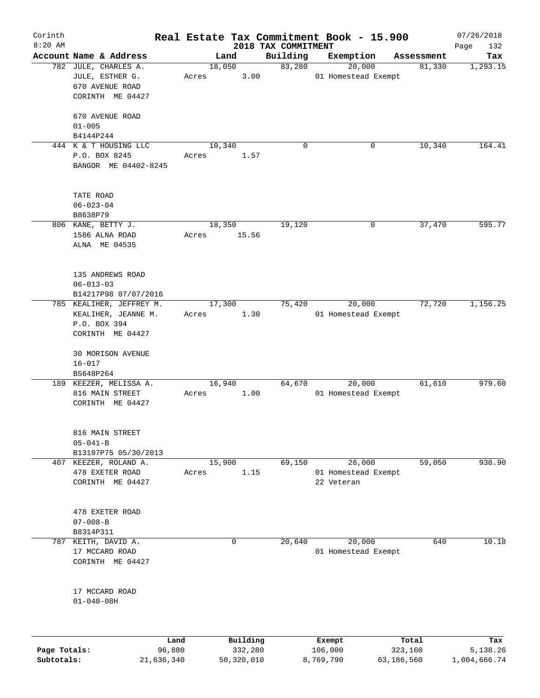| Corinth<br>$8:20$ AM |                                                                                     |       |                |                                 | Real Estate Tax Commitment Book - 15.900 |            | 07/26/2018         |
|----------------------|-------------------------------------------------------------------------------------|-------|----------------|---------------------------------|------------------------------------------|------------|--------------------|
|                      | Account Name & Address                                                              |       | Land           | 2018 TAX COMMITMENT<br>Building | Exemption                                | Assessment | 132<br>Page<br>Tax |
|                      | 782 JULE, CHARLES A.                                                                |       | 18,050         | 83,280                          | 20,000                                   | 81,330     | 1,293.15           |
|                      | JULE, ESTHER G.<br>670 AVENUE ROAD<br>CORINTH ME 04427                              | Acres | 3.00           |                                 | 01 Homestead Exempt                      |            |                    |
|                      | 670 AVENUE ROAD<br>$01 - 005$<br>B4144P244                                          |       |                |                                 |                                          |            |                    |
|                      | 444 K & T HOUSING LLC                                                               |       | 10,340         | $\mathbf 0$                     | 0                                        | 10,340     | 164.41             |
|                      | P.O. BOX 8245<br>BANGOR ME 04402-8245                                               | Acres | 1.57           |                                 |                                          |            |                    |
|                      | TATE ROAD<br>$06 - 023 - 04$<br>B8638P79                                            |       |                |                                 |                                          |            |                    |
|                      | 806 KANE, BETTY J.                                                                  |       | 18,350         | 19,120                          | 0                                        | 37,470     | 595.77             |
|                      | 1586 ALNA ROAD<br>ALNA ME 04535                                                     | Acres | 15.56          |                                 |                                          |            |                    |
|                      | 135 ANDREWS ROAD<br>$06 - 013 - 03$<br>B14217P98 07/07/2016                         |       |                |                                 |                                          |            |                    |
|                      | 785 KEALIHER, JEFFREY M.<br>KEALIHER, JEANNE M.<br>P.O. BOX 394<br>CORINTH ME 04427 | Acres | 17,300<br>1.30 | 75,420                          | 20,000<br>01 Homestead Exempt            | 72,720     | 1,156.25           |
|                      | 30 MORISON AVENUE<br>$16 - 017$                                                     |       |                |                                 |                                          |            |                    |
|                      | B5648P264<br>189 KEEZER, MELISSA A.                                                 |       | 16,940         | 64,670                          | 20,000                                   | 61,610     | 979.60             |
|                      | 816 MAIN STREET<br>CORINTH ME 04427                                                 | Acres | 1.00           |                                 | 01 Homestead Exempt                      |            |                    |
|                      | 816 MAIN STREET<br>$05 - 041 - B$                                                   |       |                |                                 |                                          |            |                    |
|                      | B13197P75 05/30/2013<br>407 KEEZER, ROLAND A.                                       |       | 15,900         | 69,150                          | 26,000                                   | 59,050     | 938.90             |
|                      | 478 EXETER ROAD<br>CORINTH ME 04427                                                 | Acres | 1.15           |                                 | 01 Homestead Exempt<br>22 Veteran        |            |                    |
|                      | 478 EXETER ROAD<br>$07 - 008 - B$<br>B8314P311                                      |       |                |                                 |                                          |            |                    |
|                      | 787 KEITH, DAVID A.                                                                 |       | 0              | 20,640                          | 20,000                                   | 640        | 10.18              |
|                      | 17 MCCARD ROAD<br>CORINTH ME 04427                                                  |       |                |                                 | 01 Homestead Exempt                      |            |                    |
|                      | 17 MCCARD ROAD<br>$01 - 040 - 08H$                                                  |       |                |                                 |                                          |            |                    |
|                      |                                                                                     | Land  | Building       |                                 | Exempt                                   | Total      | Tax                |

**Page Totals:** 96,880 332,280 106,000 323,160 5,138.26 **Subtotals:** 21,636,340 50,320,010 8,769,790 63,186,560 1,004,666.74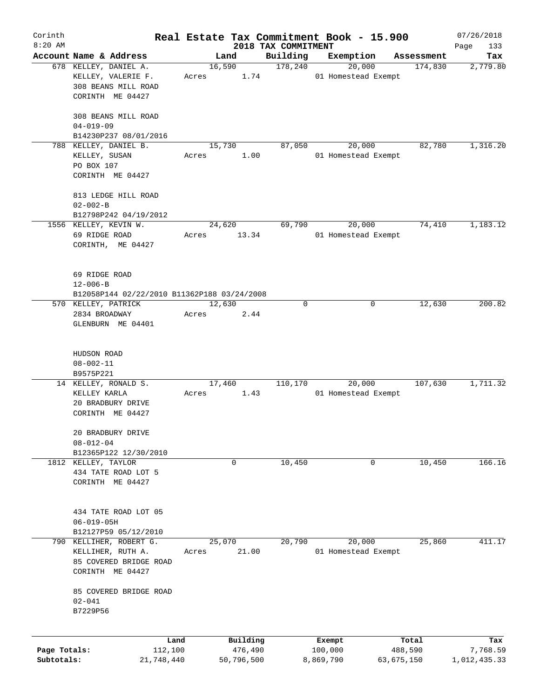| Corinth      |                                                               |        |            |                     | Real Estate Tax Commitment Book - 15.900 |                       | 07/26/2018      |
|--------------|---------------------------------------------------------------|--------|------------|---------------------|------------------------------------------|-----------------------|-----------------|
| $8:20$ AM    | Account Name & Address                                        |        |            | 2018 TAX COMMITMENT |                                          |                       | Page<br>133     |
|              | 678 KELLEY, DANIEL A.                                         | 16,590 | Land       | Building<br>178,240 | Exemption<br>20,000                      | Assessment<br>174,830 | Tax<br>2,779.80 |
|              | KELLEY, VALERIE F.<br>308 BEANS MILL ROAD<br>CORINTH ME 04427 | Acres  | 1.74       |                     | 01 Homestead Exempt                      |                       |                 |
|              | 308 BEANS MILL ROAD<br>$04 - 019 - 09$                        |        |            |                     |                                          |                       |                 |
|              | B14230P237 08/01/2016                                         |        |            |                     |                                          |                       |                 |
|              | 788 KELLEY, DANIEL B.                                         | 15,730 |            | 87,050              | 20,000                                   | 82,780                | 1,316.20        |
|              | KELLEY, SUSAN<br>PO BOX 107                                   | Acres  | 1.00       |                     | 01 Homestead Exempt                      |                       |                 |
|              | CORINTH ME 04427                                              |        |            |                     |                                          |                       |                 |
|              | 813 LEDGE HILL ROAD<br>$02 - 002 - B$                         |        |            |                     |                                          |                       |                 |
|              | B12798P242 04/19/2012                                         |        |            |                     |                                          |                       |                 |
|              | 1556 KELLEY, KEVIN W.                                         | 24,620 |            | 69,790              | 20,000                                   | 74,410                | 1,183.12        |
|              | 69 RIDGE ROAD<br>CORINTH, ME 04427                            | Acres  | 13.34      |                     | 01 Homestead Exempt                      |                       |                 |
|              | 69 RIDGE ROAD                                                 |        |            |                     |                                          |                       |                 |
|              | $12 - 006 - B$                                                |        |            |                     |                                          |                       |                 |
|              | B12058P144 02/22/2010 B11362P188 03/24/2008                   |        |            |                     |                                          |                       |                 |
|              | 570 KELLEY, PATRICK                                           | 12,630 |            | 0                   | 0                                        | 12,630                | 200.82          |
|              | 2834 BROADWAY<br>GLENBURN ME 04401                            | Acres  | 2.44       |                     |                                          |                       |                 |
|              | HUDSON ROAD                                                   |        |            |                     |                                          |                       |                 |
|              | $08 - 002 - 11$                                               |        |            |                     |                                          |                       |                 |
|              | B9575P221                                                     |        |            |                     |                                          |                       |                 |
|              | 14 KELLEY, RONALD S.                                          | 17,460 |            | 110,170             | 20,000                                   | 107,630               | 1,711.32        |
|              | KELLEY KARLA                                                  | Acres  | 1.43       |                     | 01 Homestead Exempt                      |                       |                 |
|              | 20 BRADBURY DRIVE<br>CORINTH ME 04427                         |        |            |                     |                                          |                       |                 |
|              | 20 BRADBURY DRIVE                                             |        |            |                     |                                          |                       |                 |
|              | $08 - 012 - 04$<br>B12365P122 12/30/2010                      |        |            |                     |                                          |                       |                 |
|              | 1812 KELLEY, TAYLOR                                           |        | 0          | 10,450              | 0                                        | 10,450                | 166.16          |
|              | 434 TATE ROAD LOT 5                                           |        |            |                     |                                          |                       |                 |
|              | CORINTH ME 04427                                              |        |            |                     |                                          |                       |                 |
|              | 434 TATE ROAD LOT 05                                          |        |            |                     |                                          |                       |                 |
|              | $06 - 019 - 05H$                                              |        |            |                     |                                          |                       |                 |
|              | B12127P59 05/12/2010                                          |        |            |                     |                                          |                       |                 |
|              | 790 KELLIHER, ROBERT G.                                       | 25,070 |            | 20,790              | 20,000                                   | 25,860                | 411.17          |
|              | KELLIHER, RUTH A.                                             | Acres  | 21.00      |                     | 01 Homestead Exempt                      |                       |                 |
|              | 85 COVERED BRIDGE ROAD<br>CORINTH ME 04427                    |        |            |                     |                                          |                       |                 |
|              | 85 COVERED BRIDGE ROAD                                        |        |            |                     |                                          |                       |                 |
|              | $02 - 041$                                                    |        |            |                     |                                          |                       |                 |
|              | B7229P56                                                      |        |            |                     |                                          |                       |                 |
|              | Land                                                          |        | Building   |                     | Exempt                                   | Total                 | Tax             |
| Page Totals: | 112,100                                                       |        | 476,490    |                     | 100,000                                  | 488,590               | 7,768.59        |
| Subtotals:   | 21,748,440                                                    |        | 50,796,500 |                     | 8,869,790                                | 63,675,150            | 1,012,435.33    |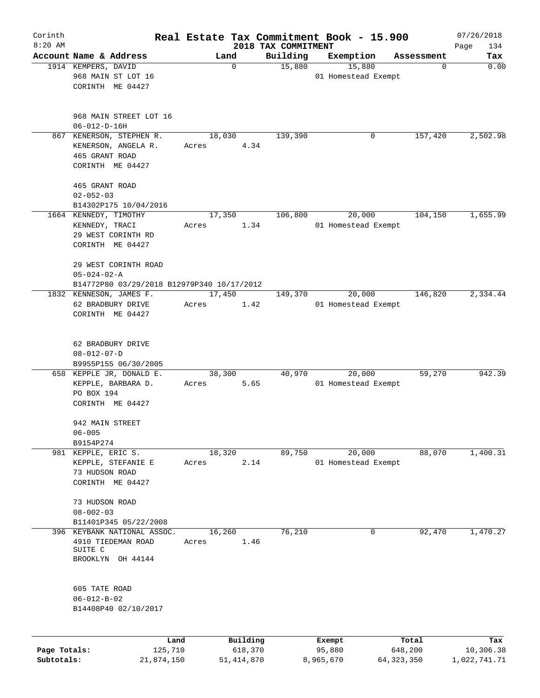| Corinth<br>$8:20$ AM |                                                                                           |         |                | 2018 TAX COMMITMENT | Real Estate Tax Commitment Book - 15.900 |            | 07/26/2018<br>Page<br>134 |
|----------------------|-------------------------------------------------------------------------------------------|---------|----------------|---------------------|------------------------------------------|------------|---------------------------|
|                      | Account Name & Address                                                                    |         | Land           | Building            | Exemption                                | Assessment | Tax                       |
|                      | 1914 KEMPERS, DAVID<br>968 MAIN ST LOT 16<br>CORINTH ME 04427                             |         | 0              | 15,880              | 15,880<br>01 Homestead Exempt            | 0          | 0.00                      |
|                      | 968 MAIN STREET LOT 16<br>$06 - 012 - D - 16H$                                            |         |                |                     |                                          |            |                           |
| 867                  | KENERSON, STEPHEN R.<br>KENERSON, ANGELA R.<br>465 GRANT ROAD<br>CORINTH ME 04427         | Acres   | 18,030<br>4.34 | 139,390             | 0                                        | 157,420    | 2,502.98                  |
|                      | 465 GRANT ROAD<br>$02 - 052 - 03$<br>B14302P175 10/04/2016                                |         |                |                     |                                          |            |                           |
|                      | 1664 KENNEDY, TIMOTHY<br>KENNEDY, TRACI<br>29 WEST CORINTH RD<br>CORINTH ME 04427         | Acres   | 17,350<br>1.34 | 106,800             | 20,000<br>01 Homestead Exempt            | 104,150    | 1,655.99                  |
|                      | 29 WEST CORINTH ROAD<br>$05 - 024 - 02 - A$<br>B14772P80 03/29/2018 B12979P340 10/17/2012 |         |                |                     |                                          |            |                           |
|                      | 1832 KENNESON, JAMES F.<br>62 BRADBURY DRIVE<br>CORINTH ME 04427                          | Acres   | 17,450<br>1.42 | 149,370             | 20,000<br>01 Homestead Exempt            | 146,820    | 2,334.44                  |
|                      | 62 BRADBURY DRIVE<br>$08 - 012 - 07 - D$<br>B9955P155 06/30/2005                          |         |                |                     |                                          |            |                           |
|                      | 658 KEPPLE JR, DONALD E.<br>KEPPLE, BARBARA D.<br>PO BOX 194<br>CORINTH ME 04427          | Acres   | 38,300<br>5.65 | 40,970              | 20,000<br>01 Homestead Exempt            | 59,270     | 942.39                    |
|                      | 942 MAIN STREET<br>$06 - 005$<br>B9154P274                                                |         |                |                     |                                          |            |                           |
| 981                  | KEPPLE, ERIC S.<br>KEPPLE, STEFANIE E<br>73 HUDSON ROAD<br>CORINTH ME 04427               | Acres   | 18,320<br>2.14 | 89,750              | 20,000<br>01 Homestead Exempt            | 88,070     | 1,400.31                  |
|                      | 73 HUDSON ROAD<br>$08 - 002 - 03$                                                         |         |                |                     |                                          |            |                           |
| 396                  | B11401P345 05/22/2008<br>KEYBANK NATIONAL ASSOC.                                          |         | 16,260         | 76,210              | 0                                        | 92,470     | 1,470.27                  |
|                      | 4910 TIEDEMAN ROAD<br>SUITE C<br>BROOKLYN OH 44144                                        | Acres   | 1.46           |                     |                                          |            |                           |
|                      | 605 TATE ROAD<br>$06 - 012 - B - 02$<br>B14408P40 02/10/2017                              |         |                |                     |                                          |            |                           |
|                      |                                                                                           | Land    | Building       |                     | Exempt                                   | Total      | Tax                       |
| Page Totals:         |                                                                                           | 125,710 | 618,370        |                     | 95,880                                   | 648,200    | 10,306.38                 |

**Subtotals:** 21,874,150 51,414,870 8,965,670 64,323,350 1,022,741.71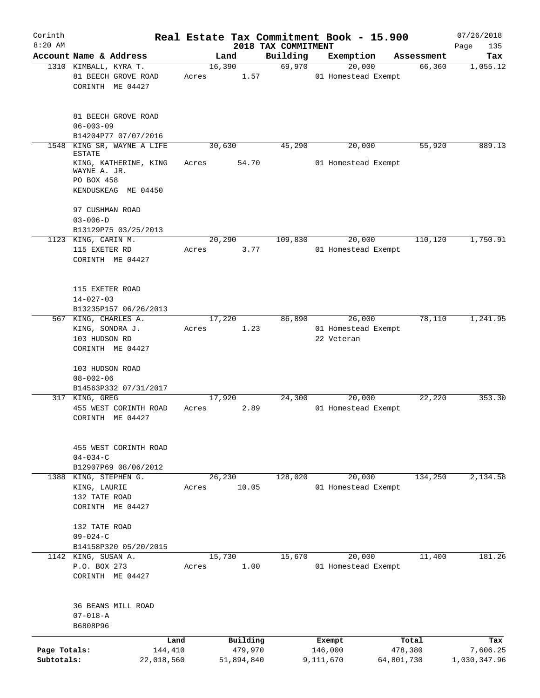| Corinth<br>$8:20$ AM       |                                                                                             |                       |                       | 2018 TAX COMMITMENT | Real Estate Tax Commitment Book - 15.900 |                       | 07/26/2018<br>Page<br>135 |
|----------------------------|---------------------------------------------------------------------------------------------|-----------------------|-----------------------|---------------------|------------------------------------------|-----------------------|---------------------------|
|                            | Account Name & Address                                                                      |                       | Land                  | Building            | Exemption                                | Assessment            | Tax                       |
|                            | 1310 KIMBALL, KYRA T.<br>81 BEECH GROVE ROAD<br>CORINTH ME 04427                            | Acres                 | 16,390<br>1.57        | 69,970              | 20,000<br>01 Homestead Exempt            | 66,360                | 1,055.12                  |
|                            | 81 BEECH GROVE ROAD<br>$06 - 003 - 09$<br>B14204P77 07/07/2016                              |                       |                       |                     |                                          |                       |                           |
| 1548                       | KING SR, WAYNE A LIFE                                                                       |                       | 30,630                | 45,290              | 20,000                                   | 55,920                | 889.13                    |
|                            | <b>ESTATE</b><br>KING, KATHERINE, KING<br>WAYNE A. JR.<br>PO BOX 458<br>KENDUSKEAG ME 04450 | Acres                 | 54.70                 |                     | 01 Homestead Exempt                      |                       |                           |
|                            | 97 CUSHMAN ROAD<br>$03 - 006 - D$<br>B13129P75 03/25/2013                                   |                       |                       |                     |                                          |                       |                           |
|                            | 1123 KING, CARIN M.                                                                         |                       | 20,290                | 109,830             | 20,000                                   | 110,120               | 1,750.91                  |
|                            | 115 EXETER RD<br>CORINTH ME 04427                                                           | Acres                 | 3.77                  |                     | 01 Homestead Exempt                      |                       |                           |
|                            | 115 EXETER ROAD<br>$14 - 027 - 03$                                                          |                       |                       |                     |                                          |                       |                           |
|                            | B13235P157 06/26/2013<br>567 KING, CHARLES A.                                               |                       | 17,220                | 86,890              | 26,000                                   | 78,110                | 1,241.95                  |
|                            | KING, SONDRA J.<br>103 HUDSON RD<br>CORINTH ME 04427                                        | Acres                 | 1.23                  |                     | 01 Homestead Exempt<br>22 Veteran        |                       |                           |
|                            | 103 HUDSON ROAD<br>$08 - 002 - 06$<br>B14563P332 07/31/2017                                 |                       |                       |                     |                                          |                       |                           |
|                            | 317 KING, GREG                                                                              |                       | 17,920                | 24,300              | 20,000                                   | 22,220                | 353.30                    |
|                            | 455 WEST CORINTH ROAD<br>CORINTH ME 04427                                                   | Acres                 | 2.89                  |                     | 01 Homestead Exempt                      |                       |                           |
|                            | 455 WEST CORINTH ROAD<br>$04 - 034 - C$<br>B12907P69 08/06/2012                             |                       |                       |                     |                                          |                       |                           |
|                            | 1388 KING, STEPHEN G.                                                                       |                       | 26,230                | 128,020             | 20,000                                   | 134,250               | 2,134.58                  |
|                            | KING, LAURIE<br>132 TATE ROAD<br>CORINTH ME 04427                                           | Acres                 | 10.05                 |                     | 01 Homestead Exempt                      |                       |                           |
|                            | 132 TATE ROAD<br>$09 - 024 - C$                                                             |                       |                       |                     |                                          |                       |                           |
|                            | B14158P320 05/20/2015<br>1142 KING, SUSAN A.                                                |                       | 15,730                | 15,670              | 20,000                                   | 11,400                | 181.26                    |
|                            | P.O. BOX 273<br>CORINTH ME 04427                                                            | Acres                 | 1.00                  |                     | 01 Homestead Exempt                      |                       |                           |
|                            | 36 BEANS MILL ROAD<br>$07 - 018 - A$<br>B6808P96                                            |                       |                       |                     |                                          |                       |                           |
|                            |                                                                                             | Land                  | Building              |                     | Exempt                                   | Total                 | Tax                       |
| Page Totals:<br>Subtotals: |                                                                                             | 144,410<br>22,018,560 | 479,970<br>51,894,840 |                     | 146,000<br>9,111,670                     | 478,380<br>64,801,730 | 7,606.25<br>1,030,347.96  |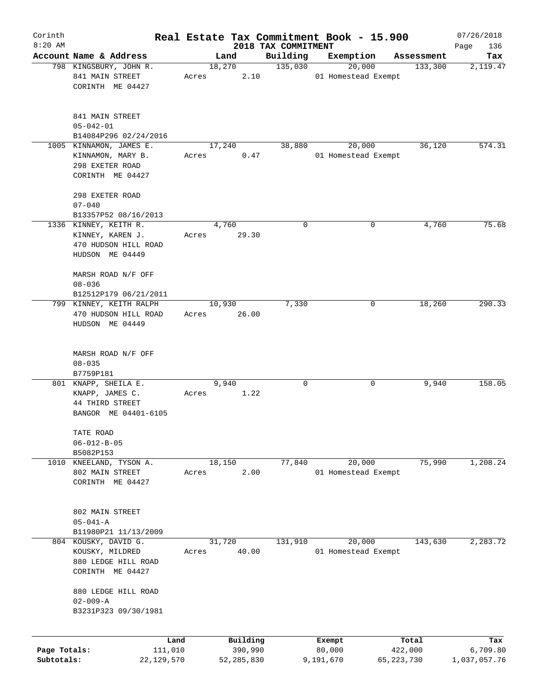| Corinth      |                                           |       |                |                     | Real Estate Tax Commitment Book - 15.900 |            | 07/26/2018   |
|--------------|-------------------------------------------|-------|----------------|---------------------|------------------------------------------|------------|--------------|
| $8:20$ AM    |                                           |       |                | 2018 TAX COMMITMENT |                                          |            | Page<br>136  |
|              | Account Name & Address                    |       | Land           | Building            | Exemption                                | Assessment | Tax          |
|              | 798 KINGSBURY, JOHN R.<br>841 MAIN STREET | Acres | 18,270<br>2.10 | 135,030             | 20,000<br>01 Homestead Exempt            | 133,300    | 2,119.47     |
|              | CORINTH ME 04427                          |       |                |                     |                                          |            |              |
|              |                                           |       |                |                     |                                          |            |              |
|              |                                           |       |                |                     |                                          |            |              |
|              | 841 MAIN STREET                           |       |                |                     |                                          |            |              |
|              | $05 - 042 - 01$                           |       |                |                     |                                          |            |              |
|              | B14084P296 02/24/2016                     |       |                |                     |                                          |            |              |
|              | 1005 KINNAMON, JAMES E.                   |       | 17,240         | 38,880              | 20,000                                   | 36,120     | 574.31       |
|              | KINNAMON, MARY B.                         | Acres | 0.47           |                     | 01 Homestead Exempt                      |            |              |
|              | 298 EXETER ROAD                           |       |                |                     |                                          |            |              |
|              | CORINTH ME 04427                          |       |                |                     |                                          |            |              |
|              |                                           |       |                |                     |                                          |            |              |
|              | 298 EXETER ROAD                           |       |                |                     |                                          |            |              |
|              | $07 - 040$                                |       |                |                     |                                          |            |              |
|              | B13357P52 08/16/2013                      |       |                |                     |                                          |            |              |
|              | 1336 KINNEY, KEITH R.                     |       | 4,760          | $\mathbf 0$         | 0                                        | 4,760      | 75.68        |
|              | KINNEY, KAREN J.                          | Acres | 29.30          |                     |                                          |            |              |
|              | 470 HUDSON HILL ROAD                      |       |                |                     |                                          |            |              |
|              | HUDSON ME 04449                           |       |                |                     |                                          |            |              |
|              |                                           |       |                |                     |                                          |            |              |
|              | MARSH ROAD N/F OFF                        |       |                |                     |                                          |            |              |
|              | $08 - 036$                                |       |                |                     |                                          |            |              |
|              | B12512P179 06/21/2011                     |       |                |                     |                                          |            |              |
|              | 799 KINNEY, KEITH RALPH                   |       | 10,930         | 7,330               | 0                                        | 18,260     | 290.33       |
|              | 470 HUDSON HILL ROAD                      | Acres | 26.00          |                     |                                          |            |              |
|              | HUDSON ME 04449                           |       |                |                     |                                          |            |              |
|              |                                           |       |                |                     |                                          |            |              |
|              | MARSH ROAD N/F OFF                        |       |                |                     |                                          |            |              |
|              | $08 - 035$                                |       |                |                     |                                          |            |              |
|              | B7759P181                                 |       |                |                     |                                          |            |              |
|              | 801 KNAPP, SHEILA E.                      |       | 9,940          | $\mathbf 0$         | 0                                        | 9,940      | 158.05       |
|              |                                           | Acres | 1.22           |                     |                                          |            |              |
|              | KNAPP, JAMES C.<br>44 THIRD STREET        |       |                |                     |                                          |            |              |
|              | BANGOR ME 04401-6105                      |       |                |                     |                                          |            |              |
|              |                                           |       |                |                     |                                          |            |              |
|              | TATE ROAD                                 |       |                |                     |                                          |            |              |
|              | $06 - 012 - B - 05$                       |       |                |                     |                                          |            |              |
|              | B5082P153                                 |       |                |                     |                                          |            |              |
| 1010         | KNEELAND, TYSON A.                        |       | 18,150         | 77,840              | 20,000                                   | 75,990     | 1,208.24     |
|              | 802 MAIN STREET                           | Acres | 2.00           |                     | 01 Homestead Exempt                      |            |              |
|              | CORINTH ME 04427                          |       |                |                     |                                          |            |              |
|              |                                           |       |                |                     |                                          |            |              |
|              |                                           |       |                |                     |                                          |            |              |
|              | 802 MAIN STREET                           |       |                |                     |                                          |            |              |
|              | $05 - 041 - A$                            |       |                |                     |                                          |            |              |
|              | B11980P21 11/13/2009                      |       |                |                     |                                          |            |              |
|              | 804 KOUSKY, DAVID G.                      |       | 31,720         | 131,910             | 20,000                                   | 143,630    | 2,283.72     |
|              | KOUSKY, MILDRED                           | Acres | 40.00          |                     | 01 Homestead Exempt                      |            |              |
|              | 880 LEDGE HILL ROAD                       |       |                |                     |                                          |            |              |
|              | CORINTH ME 04427                          |       |                |                     |                                          |            |              |
|              |                                           |       |                |                     |                                          |            |              |
|              | 880 LEDGE HILL ROAD                       |       |                |                     |                                          |            |              |
|              | $02 - 009 - A$                            |       |                |                     |                                          |            |              |
|              | B3231P323 09/30/1981                      |       |                |                     |                                          |            |              |
|              |                                           |       |                |                     |                                          |            |              |
|              | Land                                      |       | Building       |                     | Exempt                                   | Total      | Tax          |
| Page Totals: | 111,010                                   |       | 390,990        |                     | 80,000                                   | 422,000    | 6,709.80     |
| Subtotals:   | 22,129,570                                |       | 52,285,830     |                     | 9,191,670                                | 65,223,730 | 1,037,057.76 |
|              |                                           |       |                |                     |                                          |            |              |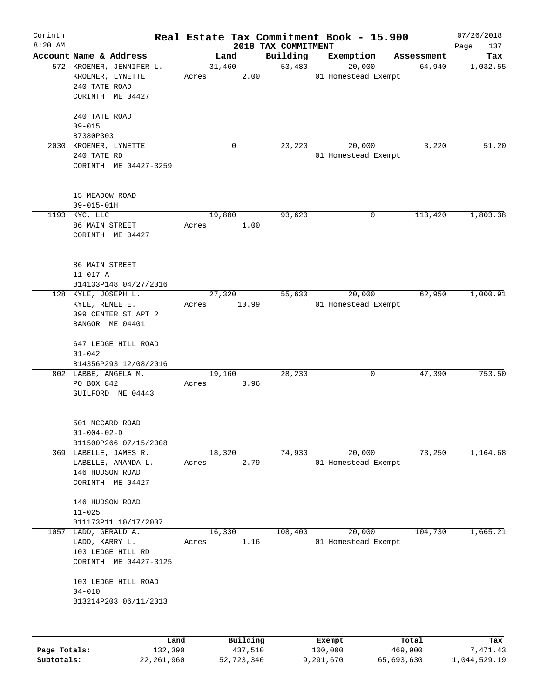| Corinth<br>$8:20$ AM |                                                                                                          |                 |                     | 2018 TAX COMMITMENT | Real Estate Tax Commitment Book - 15.900 |                  | 07/26/2018<br>137<br>Page |
|----------------------|----------------------------------------------------------------------------------------------------------|-----------------|---------------------|---------------------|------------------------------------------|------------------|---------------------------|
|                      | Account Name & Address                                                                                   |                 | Land                | Building            | Exemption                                | Assessment       | Tax                       |
|                      | 572 KROEMER, JENNIFER L.<br>KROEMER, LYNETTE<br>240 TATE ROAD<br>CORINTH ME 04427<br>240 TATE ROAD       | 31,460<br>Acres | 2.00                | 53,480              | 20,000<br>01 Homestead Exempt            | 64,940           | 1,032.55                  |
|                      | $09 - 015$<br>B7380P303                                                                                  |                 |                     |                     |                                          |                  |                           |
|                      | 2030 KROEMER, LYNETTE<br>240 TATE RD<br>CORINTH ME 04427-3259                                            |                 | 0                   | 23,220              | 20,000<br>01 Homestead Exempt            | 3,220            | 51.20                     |
|                      | 15 MEADOW ROAD<br>$09 - 015 - 01H$                                                                       |                 |                     |                     |                                          |                  |                           |
|                      | 1193 KYC, LLC<br>86 MAIN STREET                                                                          | 19,800<br>Acres | 1.00                | 93,620              | 0                                        | 113,420          | 1,803.38                  |
|                      | CORINTH ME 04427                                                                                         |                 |                     |                     |                                          |                  |                           |
|                      | 86 MAIN STREET<br>$11 - 017 - A$                                                                         |                 |                     |                     |                                          |                  |                           |
|                      | B14133P148 04/27/2016<br>128 KYLE, JOSEPH L.<br>KYLE, RENEE E.<br>399 CENTER ST APT 2<br>BANGOR ME 04401 | 27,320<br>Acres | 10.99               | 55,630              | 20,000<br>01 Homestead Exempt            | 62,950           | 1,000.91                  |
|                      | 647 LEDGE HILL ROAD<br>$01 - 042$<br>B14356P293 12/08/2016                                               |                 |                     |                     |                                          |                  |                           |
|                      | 802 LABBE, ANGELA M.<br>PO BOX 842<br>GUILFORD ME 04443                                                  | 19,160<br>Acres | 3.96                | 28,230              | 0                                        | 47,390           | 753.50                    |
|                      | 501 MCCARD ROAD<br>$01 - 004 - 02 - D$<br>B11500P266 07/15/2008                                          |                 |                     |                     |                                          |                  |                           |
|                      | 369 LABELLE, JAMES R.<br>LABELLE, AMANDA L.<br>146 HUDSON ROAD<br>CORINTH ME 04427                       | 18,320<br>Acres | 2.79                | 74,930              | 20,000<br>01 Homestead Exempt            | 73,250           | 1,164.68                  |
|                      | 146 HUDSON ROAD<br>$11 - 025$                                                                            |                 |                     |                     |                                          |                  |                           |
|                      | B11173P11 10/17/2007                                                                                     |                 |                     |                     |                                          |                  |                           |
| 1057                 | LADD, GERALD A.<br>LADD, KARRY L.<br>103 LEDGE HILL RD<br>CORINTH ME 04427-3125                          | 16,330<br>Acres | 1.16                | 108,400             | 20,000<br>01 Homestead Exempt            | 104,730          | 1,665.21                  |
|                      | 103 LEDGE HILL ROAD<br>$04 - 010$<br>B13214P203 06/11/2013                                               |                 |                     |                     |                                          |                  |                           |
|                      |                                                                                                          |                 |                     |                     |                                          |                  |                           |
| Page Totals:         |                                                                                                          | Land<br>132,390 | Building<br>437,510 |                     | Exempt<br>100,000                        | Total<br>469,900 | Tax<br>7,471.43           |

**Subtotals:** 22,261,960 52,723,340 9,291,670 65,693,630 1,044,529.19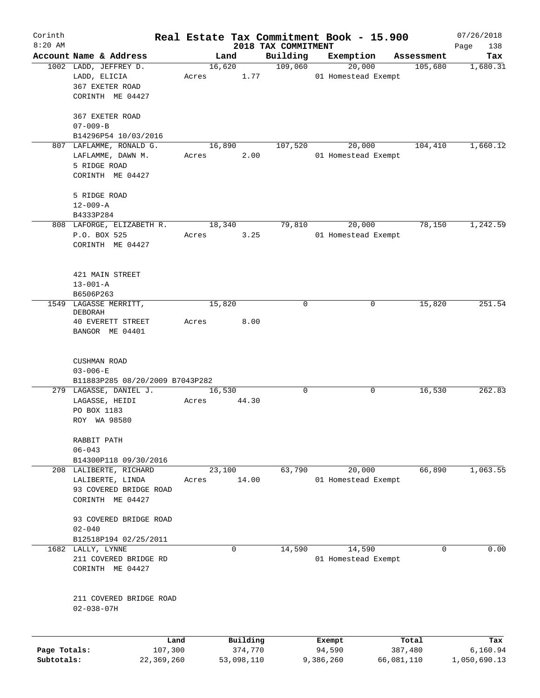| Corinth                    |                                       |         |             |                       |                     | Real Estate Tax Commitment Book - 15.900 |            |                       | 07/26/2018      |
|----------------------------|---------------------------------------|---------|-------------|-----------------------|---------------------|------------------------------------------|------------|-----------------------|-----------------|
| $8:20$ AM                  |                                       |         |             |                       | 2018 TAX COMMITMENT |                                          |            |                       | Page<br>138     |
|                            | Account Name & Address                |         | Land        |                       | Building<br>109,060 | Exemption<br>20,000                      |            | Assessment<br>105,680 | Tax<br>1,680.31 |
|                            | 1002 LADD, JEFFREY D.<br>LADD, ELICIA | Acres   | 16,620      | 1.77                  |                     | 01 Homestead Exempt                      |            |                       |                 |
|                            | 367 EXETER ROAD                       |         |             |                       |                     |                                          |            |                       |                 |
|                            | CORINTH ME 04427                      |         |             |                       |                     |                                          |            |                       |                 |
|                            |                                       |         |             |                       |                     |                                          |            |                       |                 |
|                            | 367 EXETER ROAD                       |         |             |                       |                     |                                          |            |                       |                 |
|                            | $07 - 009 - B$                        |         |             |                       |                     |                                          |            |                       |                 |
|                            | B14296P54 10/03/2016                  |         |             |                       |                     |                                          |            |                       |                 |
|                            | 807 LAFLAMME, RONALD G.               |         | 16,890      |                       | 107,520             | 20,000                                   |            | 104,410               | 1,660.12        |
|                            | LAFLAMME, DAWN M.                     | Acres   |             | 2.00                  |                     | 01 Homestead Exempt                      |            |                       |                 |
|                            | 5 RIDGE ROAD                          |         |             |                       |                     |                                          |            |                       |                 |
|                            | CORINTH ME 04427                      |         |             |                       |                     |                                          |            |                       |                 |
|                            |                                       |         |             |                       |                     |                                          |            |                       |                 |
|                            | 5 RIDGE ROAD                          |         |             |                       |                     |                                          |            |                       |                 |
|                            | $12 - 009 - A$<br>B4333P284           |         |             |                       |                     |                                          |            |                       |                 |
|                            | 808 LAFORGE, ELIZABETH R.             |         | 18,340      |                       | 79,810              | 20,000                                   |            | 78,150                | 1,242.59        |
|                            | P.O. BOX 525                          | Acres   |             | 3.25                  |                     | 01 Homestead Exempt                      |            |                       |                 |
|                            | CORINTH ME 04427                      |         |             |                       |                     |                                          |            |                       |                 |
|                            |                                       |         |             |                       |                     |                                          |            |                       |                 |
|                            |                                       |         |             |                       |                     |                                          |            |                       |                 |
|                            | 421 MAIN STREET                       |         |             |                       |                     |                                          |            |                       |                 |
|                            | $13 - 001 - A$                        |         |             |                       |                     |                                          |            |                       |                 |
|                            | B6506P263                             |         |             |                       |                     |                                          |            |                       |                 |
| 1549                       | LAGASSE MERRITT,                      |         | 15,820      |                       | $\mathbf 0$         |                                          | 0          | 15,820                | 251.54          |
|                            | DEBORAH                               |         |             |                       |                     |                                          |            |                       |                 |
|                            | 40 EVERETT STREET                     | Acres   |             | 8.00                  |                     |                                          |            |                       |                 |
|                            | BANGOR ME 04401                       |         |             |                       |                     |                                          |            |                       |                 |
|                            |                                       |         |             |                       |                     |                                          |            |                       |                 |
|                            | CUSHMAN ROAD                          |         |             |                       |                     |                                          |            |                       |                 |
|                            | $03 - 006 - E$                        |         |             |                       |                     |                                          |            |                       |                 |
|                            | B11883P285 08/20/2009 B7043P282       |         |             |                       |                     |                                          |            |                       |                 |
|                            | 279 LAGASSE, DANIEL J.                |         | 16,530      |                       | $\mathbf 0$         |                                          | 0          | 16,530                | 262.83          |
|                            | LAGASSE, HEIDI                        | Acres   |             | 44.30                 |                     |                                          |            |                       |                 |
|                            | PO BOX 1183                           |         |             |                       |                     |                                          |            |                       |                 |
|                            | ROY WA 98580                          |         |             |                       |                     |                                          |            |                       |                 |
|                            |                                       |         |             |                       |                     |                                          |            |                       |                 |
|                            | RABBIT PATH                           |         |             |                       |                     |                                          |            |                       |                 |
|                            | $06 - 043$                            |         |             |                       |                     |                                          |            |                       |                 |
|                            | B14300P118 09/30/2016                 |         |             |                       |                     |                                          |            |                       |                 |
|                            | 208 LALIBERTE, RICHARD                |         | 23,100      |                       | 63,790              | 20,000                                   |            | 66,890                | 1,063.55        |
|                            | LALIBERTE, LINDA                      | Acres   |             | 14.00                 |                     | 01 Homestead Exempt                      |            |                       |                 |
|                            | 93 COVERED BRIDGE ROAD                |         |             |                       |                     |                                          |            |                       |                 |
|                            | CORINTH ME 04427                      |         |             |                       |                     |                                          |            |                       |                 |
|                            | 93 COVERED BRIDGE ROAD                |         |             |                       |                     |                                          |            |                       |                 |
|                            | $02 - 040$                            |         |             |                       |                     |                                          |            |                       |                 |
|                            | B12518P194 02/25/2011                 |         |             |                       |                     |                                          |            |                       |                 |
|                            | 1682 LALLY, LYNNE                     |         | $\mathbf 0$ |                       | 14,590              | 14,590                                   |            | $\Omega$              | 0.00            |
|                            | 211 COVERED BRIDGE RD                 |         |             |                       |                     | 01 Homestead Exempt                      |            |                       |                 |
|                            | CORINTH ME 04427                      |         |             |                       |                     |                                          |            |                       |                 |
|                            |                                       |         |             |                       |                     |                                          |            |                       |                 |
|                            |                                       |         |             |                       |                     |                                          |            |                       |                 |
|                            | 211 COVERED BRIDGE ROAD               |         |             |                       |                     |                                          |            |                       |                 |
|                            | $02 - 038 - 07H$                      |         |             |                       |                     |                                          |            |                       |                 |
|                            |                                       |         |             |                       |                     |                                          |            |                       |                 |
|                            |                                       |         |             |                       |                     |                                          |            |                       |                 |
|                            |                                       | Land    |             | Building              |                     | Exempt                                   |            | Total                 | Tax             |
| Page Totals:<br>Subtotals: |                                       | 107,300 |             | 374,770<br>53,098,110 |                     | 94,590<br>9,386,260                      |            | 387,480               | 6,160.94        |
|                            | 22,369,260                            |         |             |                       |                     |                                          | 66,081,110 |                       | 1,050,690.13    |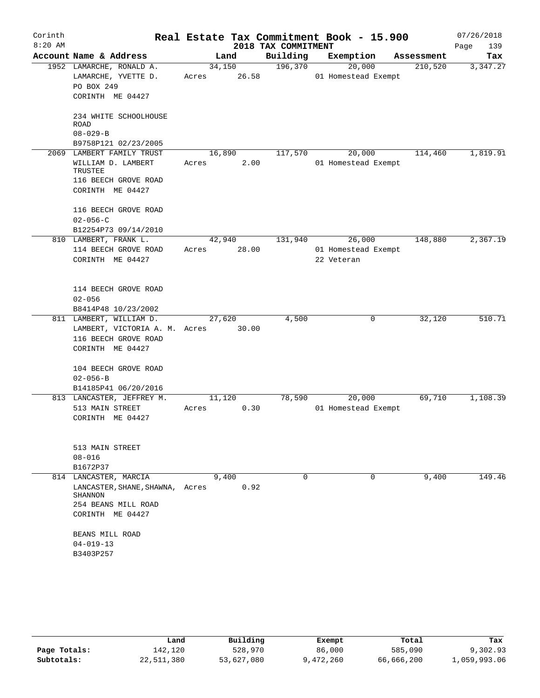| Corinth   |                                                                                                                                   |                 |       |                     | Real Estate Tax Commitment Book - 15.900    |            | 07/26/2018  |
|-----------|-----------------------------------------------------------------------------------------------------------------------------------|-----------------|-------|---------------------|---------------------------------------------|------------|-------------|
| $8:20$ AM |                                                                                                                                   |                 |       | 2018 TAX COMMITMENT |                                             |            | Page<br>139 |
|           | Account Name & Address                                                                                                            | Land            |       | Building            | Exemption                                   | Assessment | Tax         |
|           | 1952 LAMARCHE, RONALD A.<br>LAMARCHE, YVETTE D.<br>PO BOX 249<br>CORINTH ME 04427                                                 | 34,150<br>Acres | 26.58 | 196,370             | 20,000<br>01 Homestead Exempt               | 210,520    | 3,347.27    |
|           | 234 WHITE SCHOOLHOUSE<br><b>ROAD</b><br>$08 - 029 - B$<br>B9758P121 02/23/2005                                                    |                 |       |                     |                                             |            |             |
|           | 2069 LAMBERT FAMILY TRUST<br>WILLIAM D. LAMBERT<br>TRUSTEE<br>116 BEECH GROVE ROAD<br>CORINTH ME 04427                            | 16,890<br>Acres | 2.00  | 117,570             | 20,000<br>01 Homestead Exempt               | 114,460    | 1,819.91    |
|           | 116 BEECH GROVE ROAD<br>$02 - 056 - C$<br>B12254P73 09/14/2010                                                                    |                 |       |                     |                                             |            |             |
|           | 810 LAMBERT, FRANK L.<br>114 BEECH GROVE ROAD<br>CORINTH ME 04427                                                                 | 42,940<br>Acres | 28.00 | 131,940             | 26,000<br>01 Homestead Exempt<br>22 Veteran | 148,880    | 2,367.19    |
|           | 114 BEECH GROVE ROAD<br>$02 - 056$<br>B8414P48 10/23/2002                                                                         |                 |       |                     |                                             |            |             |
|           | 811 LAMBERT, WILLIAM D.                                                                                                           | 27,620          |       | 4,500               | 0                                           | 32,120     | 510.71      |
|           | LAMBERT, VICTORIA A. M. Acres<br>116 BEECH GROVE ROAD<br>CORINTH ME 04427                                                         |                 | 30.00 |                     |                                             |            |             |
|           | 104 BEECH GROVE ROAD<br>$02 - 056 - B$<br>B14185P41 06/20/2016                                                                    |                 |       |                     |                                             |            |             |
|           | 813 LANCASTER, JEFFREY M.<br>513 MAIN STREET<br>CORINTH ME 04427                                                                  | 11,120<br>Acres | 0.30  | 78,590              | 20,000<br>01 Homestead Exempt               | 69,710     | 1,108.39    |
|           | 513 MAIN STREET<br>$08 - 016$<br>B1672P37                                                                                         |                 |       |                     |                                             |            |             |
|           | 814 LANCASTER, MARCIA<br>LANCASTER, SHANE, SHAWNA, Acres<br>SHANNON<br>254 BEANS MILL ROAD<br>CORINTH ME 04427<br>BEANS MILL ROAD | 9,400           | 0.92  | $\Omega$            | 0                                           | 9,400      | 149.46      |
|           | $04 - 019 - 13$<br>B3403P257                                                                                                      |                 |       |                     |                                             |            |             |

|              | Land       | Building   | Exempt    | Total      | Tax          |
|--------------|------------|------------|-----------|------------|--------------|
| Page Totals: | 142,120    | 528,970    | 86,000    | 585,090    | 9,302.93     |
| Subtotals:   | 22,511,380 | 53,627,080 | 9,472,260 | 66,666,200 | 1,059,993.06 |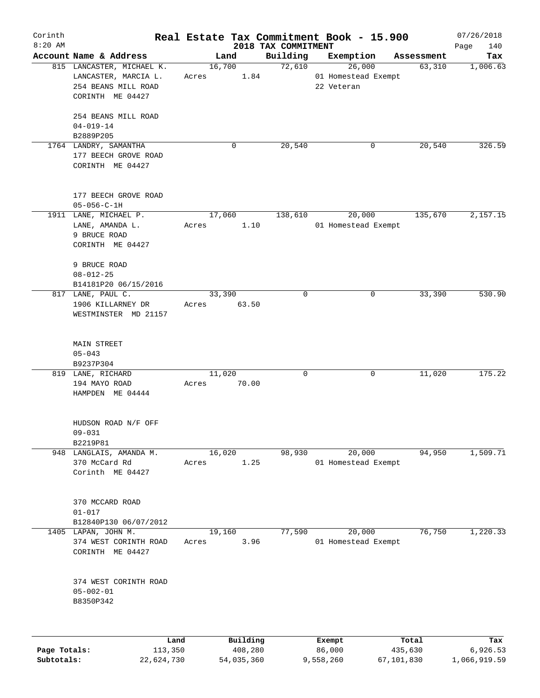| Corinth<br>$8:20$ AM |                                                                                              |                 |                     |                                 | Real Estate Tax Commitment Book - 15.900    |                  | 07/26/2018         |
|----------------------|----------------------------------------------------------------------------------------------|-----------------|---------------------|---------------------------------|---------------------------------------------|------------------|--------------------|
|                      | Account Name & Address                                                                       |                 | Land                | 2018 TAX COMMITMENT<br>Building | Exemption                                   | Assessment       | Page<br>140<br>Tax |
|                      | 815 LANCASTER, MICHAEL K.<br>LANCASTER, MARCIA L.<br>254 BEANS MILL ROAD<br>CORINTH ME 04427 | Acres           | 16,700<br>1.84      | 72,610                          | 26,000<br>01 Homestead Exempt<br>22 Veteran | 63,310           | 1,006.63           |
|                      | 254 BEANS MILL ROAD<br>$04 - 019 - 14$<br>B2889P205                                          |                 |                     |                                 |                                             |                  |                    |
|                      | 1764 LANDRY, SAMANTHA<br>177 BEECH GROVE ROAD<br>CORINTH ME 04427                            |                 | 0                   | 20,540                          | 0                                           | 20,540           | 326.59             |
|                      | 177 BEECH GROVE ROAD<br>$05 - 056 - C - 1H$                                                  |                 |                     |                                 |                                             |                  |                    |
|                      | 1911 LANE, MICHAEL P.<br>LANE, AMANDA L.<br>9 BRUCE ROAD<br>CORINTH ME 04427                 | 17,060<br>Acres | 1.10                | 138,610                         | 20,000<br>01 Homestead Exempt               | 135,670          | 2,157.15           |
|                      | 9 BRUCE ROAD<br>$08 - 012 - 25$<br>B14181P20 06/15/2016                                      |                 |                     |                                 |                                             |                  |                    |
|                      | 817 LANE, PAUL C.<br>1906 KILLARNEY DR<br>WESTMINSTER MD 21157                               | 33,390<br>Acres | 63.50               | $\mathbf 0$                     | 0                                           | 33,390           | 530.90             |
|                      | MAIN STREET<br>$05 - 043$<br>B9237P304                                                       |                 |                     |                                 |                                             |                  |                    |
|                      | 819 LANE, RICHARD<br>194 MAYO ROAD<br>HAMPDEN ME 04444                                       | 11,020<br>Acres | 70.00               | 0                               | 0                                           | 11,020           | 175.22             |
|                      | HUDSON ROAD N/F OFF<br>$09 - 031$<br>B2219P81                                                |                 |                     |                                 |                                             |                  |                    |
|                      | 948 LANGLAIS, AMANDA M.<br>370 McCard Rd<br>Corinth ME 04427                                 | 16,020<br>Acres | 1.25                | 98,930                          | 20,000<br>01 Homestead Exempt               | 94,950           | 1,509.71           |
|                      | 370 MCCARD ROAD<br>$01 - 017$<br>B12840P130 06/07/2012                                       |                 |                     |                                 |                                             |                  |                    |
|                      | 1405 LAPAN, JOHN M.<br>374 WEST CORINTH ROAD<br>CORINTH ME 04427                             | 19,160<br>Acres | 3.96                | 77,590                          | 20,000<br>01 Homestead Exempt               | 76,750           | 1,220.33           |
|                      | 374 WEST CORINTH ROAD<br>$05 - 002 - 01$<br>B8350P342                                        |                 |                     |                                 |                                             |                  |                    |
|                      |                                                                                              |                 |                     |                                 |                                             |                  |                    |
| Page Totals:         | Land<br>113,350                                                                              |                 | Building<br>408,280 |                                 | Exempt<br>86,000                            | Total<br>435,630 | Tax<br>6,926.53    |

**Subtotals:** 22,624,730 54,035,360 9,558,260 67,101,830 1,066,919.59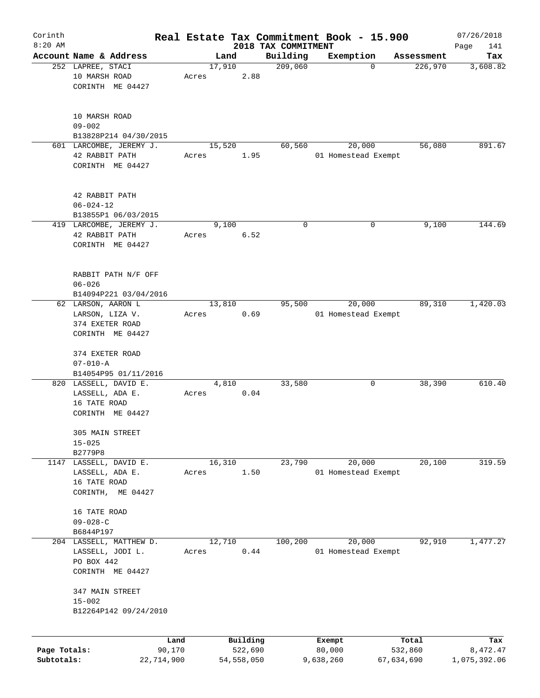| Corinth      |                                                            |       |                |                     | Real Estate Tax Commitment Book - 15.900 |                       | 07/26/2018      |
|--------------|------------------------------------------------------------|-------|----------------|---------------------|------------------------------------------|-----------------------|-----------------|
| $8:20$ AM    |                                                            |       |                | 2018 TAX COMMITMENT |                                          |                       | Page<br>141     |
|              | Account Name & Address<br>252 LAPREE, STACI                |       | Land<br>17,910 | Building<br>209,060 | Exemption<br>$\mathbf 0$                 | Assessment<br>226,970 | Tax<br>3,608.82 |
|              | 10 MARSH ROAD<br>CORINTH ME 04427                          | Acres | 2.88           |                     |                                          |                       |                 |
|              | 10 MARSH ROAD<br>$09 - 002$                                |       |                |                     |                                          |                       |                 |
|              | B13828P214 04/30/2015<br>601 LARCOMBE, JEREMY J.           |       |                | 60,560              | 20,000                                   | 56,080                |                 |
|              | 42 RABBIT PATH<br>CORINTH ME 04427                         | Acres | 15,520<br>1.95 |                     | 01 Homestead Exempt                      |                       | 891.67          |
|              | 42 RABBIT PATH<br>$06 - 024 - 12$<br>B13855P1 06/03/2015   |       |                |                     |                                          |                       |                 |
|              | 419 LARCOMBE, JEREMY J.                                    |       | 9,100          | 0                   | 0                                        | 9,100                 | 144.69          |
|              | 42 RABBIT PATH<br>CORINTH ME 04427                         | Acres | 6.52           |                     |                                          |                       |                 |
|              | RABBIT PATH N/F OFF<br>$06 - 026$<br>B14094P221 03/04/2016 |       |                |                     |                                          |                       |                 |
|              | 62 LARSON, AARON L                                         |       | 13,810         | 95,500              | 20,000                                   | 89,310                | 1,420.03        |
|              | LARSON, LIZA V.                                            | Acres | 0.69           |                     | 01 Homestead Exempt                      |                       |                 |
|              | 374 EXETER ROAD                                            |       |                |                     |                                          |                       |                 |
|              | CORINTH ME 04427                                           |       |                |                     |                                          |                       |                 |
|              | 374 EXETER ROAD<br>$07 - 010 - A$                          |       |                |                     |                                          |                       |                 |
|              | B14054P95 01/11/2016                                       |       |                |                     |                                          |                       |                 |
|              | 820 LASSELL, DAVID E.<br>LASSELL, ADA E.<br>16 TATE ROAD   | Acres | 4,810<br>0.04  | 33,580              | 0                                        | 38,390                | 610.40          |
|              | CORINTH ME 04427                                           |       |                |                     |                                          |                       |                 |
|              | 305 MAIN STREET<br>$15 - 025$                              |       |                |                     |                                          |                       |                 |
|              | B2779P8                                                    |       |                |                     |                                          |                       |                 |
|              | 1147 LASSELL, DAVID E.<br>LASSELL, ADA E.                  | Acres | 16,310<br>1.50 | 23,790              | 20,000<br>01 Homestead Exempt            | 20,100                | 319.59          |
|              | 16 TATE ROAD                                               |       |                |                     |                                          |                       |                 |
|              | CORINTH, ME 04427                                          |       |                |                     |                                          |                       |                 |
|              | 16 TATE ROAD                                               |       |                |                     |                                          |                       |                 |
|              | $09 - 028 - C$                                             |       |                |                     |                                          |                       |                 |
|              | B6844P197                                                  |       |                |                     |                                          |                       |                 |
|              | 204 LASSELL, MATTHEW D.                                    |       | 12,710         | 100,200             | 20,000                                   | 92,910                | 1,477.27        |
|              | LASSELL, JODI L.                                           | Acres | 0.44           |                     | 01 Homestead Exempt                      |                       |                 |
|              | PO BOX 442<br>CORINTH ME 04427                             |       |                |                     |                                          |                       |                 |
|              |                                                            |       |                |                     |                                          |                       |                 |
|              | 347 MAIN STREET                                            |       |                |                     |                                          |                       |                 |
|              | $15 - 002$<br>B12264P142 09/24/2010                        |       |                |                     |                                          |                       |                 |
|              |                                                            |       |                |                     |                                          |                       |                 |
|              |                                                            | Land  | Building       |                     | Exempt                                   | Total                 | Tax             |
| Page Totals: | 90,170                                                     |       | 522,690        |                     | 80,000                                   | 532,860               | 8,472.47        |
| Subtotals:   | 22,714,900                                                 |       | 54,558,050     |                     | 9,638,260                                | 67,634,690            | 1,075,392.06    |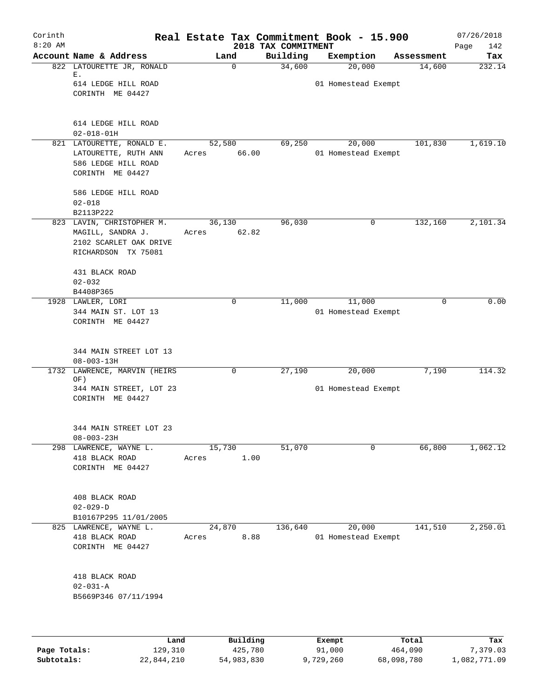| Corinth<br>$8:20$ AM |                                            |        |             |                                 | Real Estate Tax Commitment Book - 15.900 |            | 07/26/2018         |
|----------------------|--------------------------------------------|--------|-------------|---------------------------------|------------------------------------------|------------|--------------------|
|                      | Account Name & Address                     | Land   |             | 2018 TAX COMMITMENT<br>Building | Exemption                                | Assessment | 142<br>Page<br>Tax |
|                      | 822 LATOURETTE JR, RONALD                  |        | 0           | 34,600                          | 20,000                                   | 14,600     | 232.14             |
|                      | Ε.                                         |        |             |                                 |                                          |            |                    |
|                      | 614 LEDGE HILL ROAD                        |        |             |                                 | 01 Homestead Exempt                      |            |                    |
|                      | CORINTH ME 04427                           |        |             |                                 |                                          |            |                    |
|                      | 614 LEDGE HILL ROAD                        |        |             |                                 |                                          |            |                    |
|                      | $02 - 018 - 01H$                           |        |             |                                 |                                          |            |                    |
|                      | 821 LATOURETTE, RONALD E.                  | 52,580 |             | 69,250                          | 20,000                                   | 101,830    | 1,619.10           |
|                      | LATOURETTE, RUTH ANN                       | Acres  | 66.00       |                                 | 01 Homestead Exempt                      |            |                    |
|                      | 586 LEDGE HILL ROAD                        |        |             |                                 |                                          |            |                    |
|                      | CORINTH ME 04427                           |        |             |                                 |                                          |            |                    |
|                      | 586 LEDGE HILL ROAD                        |        |             |                                 |                                          |            |                    |
|                      | $02 - 018$                                 |        |             |                                 |                                          |            |                    |
|                      | B2113P222                                  |        |             |                                 |                                          |            |                    |
|                      | 823 LAVIN, CHRISTOPHER M.                  | 36,130 |             | 96,030                          | 0                                        | 132,160    | 2,101.34           |
|                      | MAGILL, SANDRA J.                          | Acres  | 62.82       |                                 |                                          |            |                    |
|                      | 2102 SCARLET OAK DRIVE                     |        |             |                                 |                                          |            |                    |
|                      | RICHARDSON TX 75081                        |        |             |                                 |                                          |            |                    |
|                      | 431 BLACK ROAD                             |        |             |                                 |                                          |            |                    |
|                      | $02 - 032$                                 |        |             |                                 |                                          |            |                    |
|                      | B4408P365                                  |        |             |                                 |                                          |            |                    |
|                      | 1928 LAWLER, LORI                          |        | $\mathbf 0$ | 11,000                          | 11,000                                   | 0          | 0.00               |
|                      | 344 MAIN ST. LOT 13                        |        |             |                                 | 01 Homestead Exempt                      |            |                    |
|                      | CORINTH ME 04427                           |        |             |                                 |                                          |            |                    |
|                      |                                            |        |             |                                 |                                          |            |                    |
|                      | 344 MAIN STREET LOT 13<br>$08 - 003 - 13H$ |        |             |                                 |                                          |            |                    |
|                      | 1732 LAWRENCE, MARVIN (HEIRS               |        | 0           | 27,190                          | 20,000                                   | 7,190      | 114.32             |
|                      | OF)                                        |        |             |                                 |                                          |            |                    |
|                      | 344 MAIN STREET, LOT 23                    |        |             |                                 | 01 Homestead Exempt                      |            |                    |
|                      | CORINTH ME 04427                           |        |             |                                 |                                          |            |                    |
|                      | 344 MAIN STREET LOT 23                     |        |             |                                 |                                          |            |                    |
|                      | $08 - 003 - 23H$                           |        |             |                                 |                                          |            |                    |
|                      | 298 LAWRENCE, WAYNE L.                     | 15,730 |             | 51,070                          | 0                                        | 66,800     | 1,062.12           |
|                      | 418 BLACK ROAD                             | Acres  | 1.00        |                                 |                                          |            |                    |
|                      | CORINTH ME 04427                           |        |             |                                 |                                          |            |                    |
|                      |                                            |        |             |                                 |                                          |            |                    |
|                      | 408 BLACK ROAD                             |        |             |                                 |                                          |            |                    |
|                      | $02 - 029 - D$<br>B10167P295 11/01/2005    |        |             |                                 |                                          |            |                    |
|                      | 825 LAWRENCE, WAYNE L.                     | 24,870 |             | 136,640                         | 20,000                                   | 141,510    | 2,250.01           |
|                      | 418 BLACK ROAD                             | Acres  | 8.88        |                                 | 01 Homestead Exempt                      |            |                    |
|                      | CORINTH ME 04427                           |        |             |                                 |                                          |            |                    |
|                      |                                            |        |             |                                 |                                          |            |                    |
|                      | 418 BLACK ROAD                             |        |             |                                 |                                          |            |                    |
|                      | $02 - 031 - A$                             |        |             |                                 |                                          |            |                    |
|                      | B5669P346 07/11/1994                       |        |             |                                 |                                          |            |                    |
|                      |                                            |        |             |                                 |                                          |            |                    |
|                      | Land                                       |        | Building    |                                 |                                          | Total      | Tax                |
| Page Totals:         | 129,310                                    |        | 425,780     |                                 | Exempt<br>91,000                         | 464,090    | 7,379.03           |

**Subtotals:** 22,844,210 54,983,830 9,729,260 68,098,780 1,082,771.09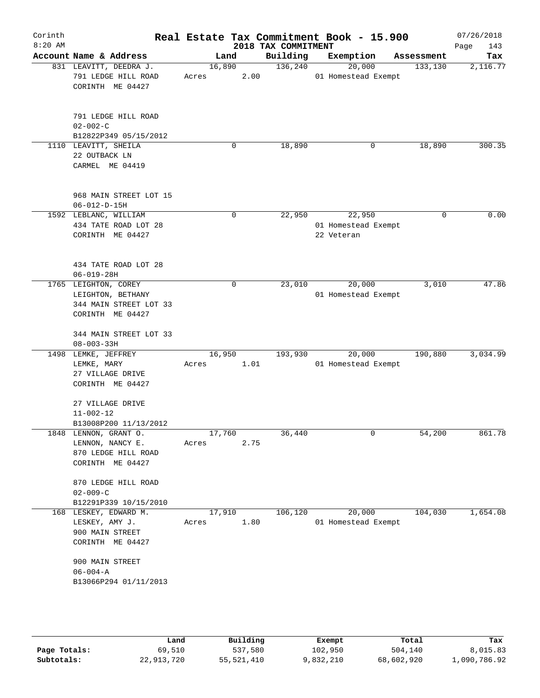|                |                                                                                                                                                                                                                                                                                                                                                                                                                                                                                                                                                                                                                                                                                                                                                                                                                                                                                                                                                           |   |                                                            | 2018 TAX COMMITMENT          |                  | Real Estate Tax Commitment Book - 15.900 |                                | 07/26/2018<br>Page<br>143                                                                                                                      |
|----------------|-----------------------------------------------------------------------------------------------------------------------------------------------------------------------------------------------------------------------------------------------------------------------------------------------------------------------------------------------------------------------------------------------------------------------------------------------------------------------------------------------------------------------------------------------------------------------------------------------------------------------------------------------------------------------------------------------------------------------------------------------------------------------------------------------------------------------------------------------------------------------------------------------------------------------------------------------------------|---|------------------------------------------------------------|------------------------------|------------------|------------------------------------------|--------------------------------|------------------------------------------------------------------------------------------------------------------------------------------------|
|                |                                                                                                                                                                                                                                                                                                                                                                                                                                                                                                                                                                                                                                                                                                                                                                                                                                                                                                                                                           |   |                                                            | Building                     |                  | Exemption                                | Assessment                     | Tax                                                                                                                                            |
|                | Acres                                                                                                                                                                                                                                                                                                                                                                                                                                                                                                                                                                                                                                                                                                                                                                                                                                                                                                                                                     |   |                                                            | 136,240                      |                  | 20,000                                   | 133,130                        | 2,116.77                                                                                                                                       |
| $02 - 002 - C$ |                                                                                                                                                                                                                                                                                                                                                                                                                                                                                                                                                                                                                                                                                                                                                                                                                                                                                                                                                           |   |                                                            |                              |                  |                                          |                                |                                                                                                                                                |
|                |                                                                                                                                                                                                                                                                                                                                                                                                                                                                                                                                                                                                                                                                                                                                                                                                                                                                                                                                                           |   |                                                            |                              |                  |                                          |                                | 300.35                                                                                                                                         |
|                |                                                                                                                                                                                                                                                                                                                                                                                                                                                                                                                                                                                                                                                                                                                                                                                                                                                                                                                                                           |   |                                                            |                              |                  |                                          |                                |                                                                                                                                                |
|                |                                                                                                                                                                                                                                                                                                                                                                                                                                                                                                                                                                                                                                                                                                                                                                                                                                                                                                                                                           |   |                                                            |                              |                  |                                          |                                |                                                                                                                                                |
|                |                                                                                                                                                                                                                                                                                                                                                                                                                                                                                                                                                                                                                                                                                                                                                                                                                                                                                                                                                           | 0 |                                                            | 22,950                       |                  | 22,950                                   | $\Omega$                       | 0.00                                                                                                                                           |
|                |                                                                                                                                                                                                                                                                                                                                                                                                                                                                                                                                                                                                                                                                                                                                                                                                                                                                                                                                                           |   |                                                            |                              |                  |                                          |                                |                                                                                                                                                |
|                |                                                                                                                                                                                                                                                                                                                                                                                                                                                                                                                                                                                                                                                                                                                                                                                                                                                                                                                                                           |   |                                                            |                              |                  |                                          |                                |                                                                                                                                                |
|                |                                                                                                                                                                                                                                                                                                                                                                                                                                                                                                                                                                                                                                                                                                                                                                                                                                                                                                                                                           | 0 |                                                            | 23,010                       |                  | 20,000                                   | 3,010                          | 47.86                                                                                                                                          |
|                |                                                                                                                                                                                                                                                                                                                                                                                                                                                                                                                                                                                                                                                                                                                                                                                                                                                                                                                                                           |   |                                                            |                              |                  |                                          |                                |                                                                                                                                                |
|                | Acres                                                                                                                                                                                                                                                                                                                                                                                                                                                                                                                                                                                                                                                                                                                                                                                                                                                                                                                                                     |   |                                                            | 193,930                      |                  | 20,000                                   | 190,880                        | 3,034.99                                                                                                                                       |
|                |                                                                                                                                                                                                                                                                                                                                                                                                                                                                                                                                                                                                                                                                                                                                                                                                                                                                                                                                                           |   |                                                            |                              |                  |                                          |                                |                                                                                                                                                |
|                |                                                                                                                                                                                                                                                                                                                                                                                                                                                                                                                                                                                                                                                                                                                                                                                                                                                                                                                                                           |   |                                                            |                              |                  |                                          |                                |                                                                                                                                                |
|                |                                                                                                                                                                                                                                                                                                                                                                                                                                                                                                                                                                                                                                                                                                                                                                                                                                                                                                                                                           |   |                                                            |                              |                  |                                          |                                | 861.78                                                                                                                                         |
| $02 - 009 - C$ |                                                                                                                                                                                                                                                                                                                                                                                                                                                                                                                                                                                                                                                                                                                                                                                                                                                                                                                                                           |   |                                                            |                              |                  |                                          |                                |                                                                                                                                                |
|                |                                                                                                                                                                                                                                                                                                                                                                                                                                                                                                                                                                                                                                                                                                                                                                                                                                                                                                                                                           |   |                                                            |                              |                  |                                          |                                | 1,654.08                                                                                                                                       |
|                | Acres                                                                                                                                                                                                                                                                                                                                                                                                                                                                                                                                                                                                                                                                                                                                                                                                                                                                                                                                                     |   |                                                            |                              |                  |                                          |                                |                                                                                                                                                |
|                |                                                                                                                                                                                                                                                                                                                                                                                                                                                                                                                                                                                                                                                                                                                                                                                                                                                                                                                                                           |   |                                                            |                              |                  |                                          |                                |                                                                                                                                                |
|                | Account Name & Address<br>831 LEAVITT, DEEDRA J.<br>791 LEDGE HILL ROAD<br>CORINTH ME 04427<br>791 LEDGE HILL ROAD<br>B12822P349 05/15/2012<br>1110 LEAVITT, SHEILA<br>22 OUTBACK LN<br>CARMEL ME 04419<br>968 MAIN STREET LOT 15<br>$06 - 012 - D - 15H$<br>1592 LEBLANC, WILLIAM<br>434 TATE ROAD LOT 28<br>CORINTH ME 04427<br>434 TATE ROAD LOT 28<br>$06 - 019 - 28H$<br>1765 LEIGHTON, COREY<br>LEIGHTON, BETHANY<br>344 MAIN STREET LOT 33<br>CORINTH ME 04427<br>344 MAIN STREET LOT 33<br>$08 - 003 - 33H$<br>1498 LEMKE, JEFFREY<br>LEMKE, MARY<br>27 VILLAGE DRIVE<br>CORINTH ME 04427<br>27 VILLAGE DRIVE<br>$11 - 002 - 12$<br>B13008P200 11/13/2012<br>1848 LENNON, GRANT O.<br>LENNON, NANCY E.<br>870 LEDGE HILL ROAD<br>CORINTH ME 04427<br>870 LEDGE HILL ROAD<br>B12291P339 10/15/2010<br>168 LESKEY, EDWARD M.<br>LESKEY, AMY J.<br>900 MAIN STREET<br>CORINTH ME 04427<br>900 MAIN STREET<br>$06 - 004 - A$<br>B13066P294 01/11/2013 |   | Land<br>16,890<br>0<br>16,950<br>17,760<br>Acres<br>17,910 | 2.00<br>1.01<br>2.75<br>1.80 | 18,890<br>36,440 | 106,120                                  | 0<br>22 Veteran<br>0<br>20,000 | 01 Homestead Exempt<br>18,890<br>01 Homestead Exempt<br>01 Homestead Exempt<br>01 Homestead Exempt<br>54,200<br>104,030<br>01 Homestead Exempt |

|              | Land       | Building   | Exempt    | Total      | Tax          |
|--------------|------------|------------|-----------|------------|--------------|
| Page Totals: | 69,510     | 537,580    | 102,950   | 504,140    | 8,015.83     |
| Subtotals:   | 22,913,720 | 55,521,410 | 9,832,210 | 68,602,920 | l,090,786.92 |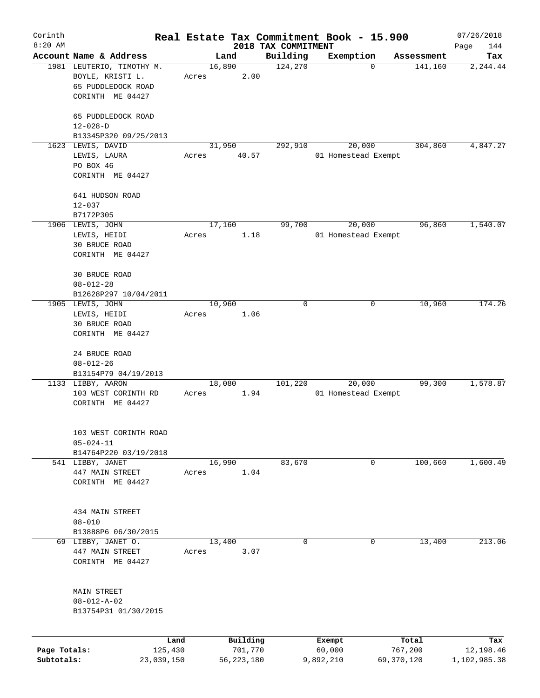| Corinth      |                                                                     |       |        |              |                     | Real Estate Tax Commitment Book - 15.900 |            | 07/26/2018   |
|--------------|---------------------------------------------------------------------|-------|--------|--------------|---------------------|------------------------------------------|------------|--------------|
| $8:20$ AM    |                                                                     |       |        |              | 2018 TAX COMMITMENT |                                          |            | Page<br>144  |
|              | Account Name & Address                                              |       | Land   |              | Building            | Exemption                                | Assessment | Tax          |
|              | 1981 LEUTERIO, TIMOTHY M.<br>BOYLE, KRISTI L.<br>65 PUDDLEDOCK ROAD | Acres | 16,890 | 2.00         | 124,270             | 0                                        | 141,160    | 2,244.44     |
|              | CORINTH ME 04427                                                    |       |        |              |                     |                                          |            |              |
|              | 65 PUDDLEDOCK ROAD                                                  |       |        |              |                     |                                          |            |              |
|              | $12 - 028 - D$<br>B13345P320 09/25/2013                             |       |        |              |                     |                                          |            |              |
|              | 1623 LEWIS, DAVID                                                   |       | 31,950 |              | 292,910             | 20,000                                   | 304,860    | 4,847.27     |
|              | LEWIS, LAURA                                                        | Acres |        | 40.57        |                     | 01 Homestead Exempt                      |            |              |
|              | PO BOX 46                                                           |       |        |              |                     |                                          |            |              |
|              | CORINTH ME 04427                                                    |       |        |              |                     |                                          |            |              |
|              | 641 HUDSON ROAD                                                     |       |        |              |                     |                                          |            |              |
|              | $12 - 037$                                                          |       |        |              |                     |                                          |            |              |
|              | B7172P305                                                           |       |        |              |                     |                                          |            |              |
|              | 1906 LEWIS, JOHN<br>LEWIS, HEIDI                                    | Acres | 17,160 | 1.18         | 99,700              | 20,000<br>01 Homestead Exempt            | 96,860     | 1,540.07     |
|              | 30 BRUCE ROAD                                                       |       |        |              |                     |                                          |            |              |
|              | CORINTH ME 04427                                                    |       |        |              |                     |                                          |            |              |
|              | 30 BRUCE ROAD                                                       |       |        |              |                     |                                          |            |              |
|              | $08 - 012 - 28$                                                     |       |        |              |                     |                                          |            |              |
|              | B12628P297 10/04/2011                                               |       |        |              |                     |                                          |            |              |
|              | 1905 LEWIS, JOHN                                                    |       | 10,960 |              | 0                   | 0                                        | 10,960     | 174.26       |
|              | LEWIS, HEIDI                                                        | Acres |        | 1.06         |                     |                                          |            |              |
|              | 30 BRUCE ROAD                                                       |       |        |              |                     |                                          |            |              |
|              | CORINTH ME 04427                                                    |       |        |              |                     |                                          |            |              |
|              | 24 BRUCE ROAD                                                       |       |        |              |                     |                                          |            |              |
|              | $08 - 012 - 26$                                                     |       |        |              |                     |                                          |            |              |
|              | B13154P79 04/19/2013                                                |       |        |              |                     |                                          |            |              |
|              | 1133 LIBBY, AARON                                                   |       | 18,080 |              | 101,220             | 20,000                                   | 99,300     | 1,578.87     |
|              | 103 WEST CORINTH RD<br>CORINTH ME 04427                             | Acres |        | 1.94         |                     | 01 Homestead Exempt                      |            |              |
|              |                                                                     |       |        |              |                     |                                          |            |              |
|              | 103 WEST CORINTH ROAD                                               |       |        |              |                     |                                          |            |              |
|              | $05 - 024 - 11$                                                     |       |        |              |                     |                                          |            |              |
|              | B14764P220 03/19/2018                                               |       |        |              |                     |                                          |            |              |
|              | 541 LIBBY, JANET                                                    |       | 16,990 |              | 83,670              | 0                                        | 100,660    | 1,600.49     |
|              | 447 MAIN STREET                                                     | Acres |        | 1.04         |                     |                                          |            |              |
|              | CORINTH ME 04427                                                    |       |        |              |                     |                                          |            |              |
|              |                                                                     |       |        |              |                     |                                          |            |              |
|              | 434 MAIN STREET                                                     |       |        |              |                     |                                          |            |              |
|              | $08 - 010$                                                          |       |        |              |                     |                                          |            |              |
|              | B13888P6 06/30/2015<br>69 LIBBY, JANET O.                           |       | 13,400 |              | 0                   | 0                                        | 13,400     | 213.06       |
|              | 447 MAIN STREET                                                     | Acres |        | 3.07         |                     |                                          |            |              |
|              | CORINTH ME 04427                                                    |       |        |              |                     |                                          |            |              |
|              |                                                                     |       |        |              |                     |                                          |            |              |
|              | MAIN STREET                                                         |       |        |              |                     |                                          |            |              |
|              | $08 - 012 - A - 02$                                                 |       |        |              |                     |                                          |            |              |
|              | B13754P31 01/30/2015                                                |       |        |              |                     |                                          |            |              |
|              |                                                                     | Land  |        | Building     |                     | Exempt                                   | Total      | Tax          |
| Page Totals: | 125,430                                                             |       |        | 701,770      |                     | 60,000                                   | 767,200    | 12,198.46    |
| Subtotals:   | 23,039,150                                                          |       |        | 56, 223, 180 |                     | 9,892,210                                | 69,370,120 | 1,102,985.38 |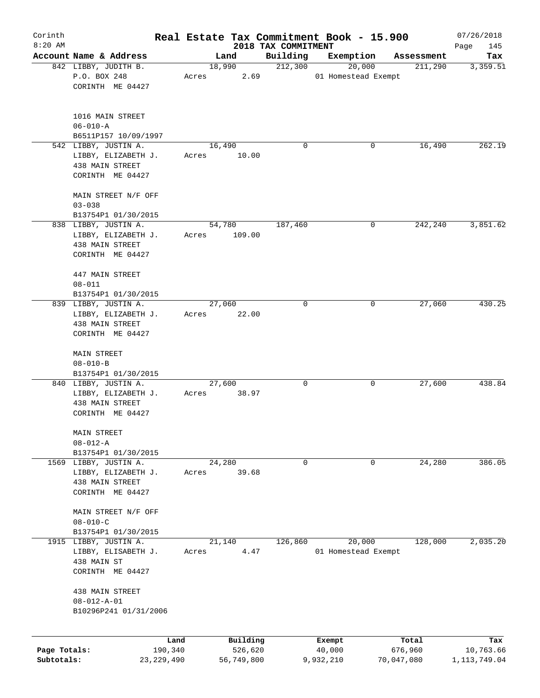| Corinth      |                                                                |       |                  |                     | Real Estate Tax Commitment Book - 15.900 |                       | 07/26/2018      |
|--------------|----------------------------------------------------------------|-------|------------------|---------------------|------------------------------------------|-----------------------|-----------------|
| $8:20$ AM    | Account Name & Address                                         |       |                  | 2018 TAX COMMITMENT |                                          |                       | Page<br>145     |
|              | 842 LIBBY, JUDITH B.                                           |       | Land<br>18,990   | Building<br>212,300 | Exemption<br>20,000                      | Assessment<br>211,290 | Tax<br>3,359.51 |
|              | P.O. BOX 248                                                   | Acres | 2.69             |                     | 01 Homestead Exempt                      |                       |                 |
|              | CORINTH ME 04427                                               |       |                  |                     |                                          |                       |                 |
|              | 1016 MAIN STREET                                               |       |                  |                     |                                          |                       |                 |
|              | $06 - 010 - A$                                                 |       |                  |                     |                                          |                       |                 |
|              | B6511P157 10/09/1997                                           |       |                  |                     |                                          |                       |                 |
|              | 542 LIBBY, JUSTIN A.                                           |       | 16,490           | 0                   | 0                                        | 16,490                | 262.19          |
|              | LIBBY, ELIZABETH J.<br>438 MAIN STREET<br>CORINTH ME 04427     | Acres | 10.00            |                     |                                          |                       |                 |
|              | MAIN STREET N/F OFF                                            |       |                  |                     |                                          |                       |                 |
|              | $03 - 038$                                                     |       |                  |                     |                                          |                       |                 |
|              | B13754P1 01/30/2015                                            |       |                  |                     |                                          |                       |                 |
|              | 838 LIBBY, JUSTIN A.<br>LIBBY, ELIZABETH J.<br>438 MAIN STREET | Acres | 54,780<br>109.00 | 187,460             | 0                                        | 242,240               | 3,851.62        |
|              | CORINTH ME 04427                                               |       |                  |                     |                                          |                       |                 |
|              | 447 MAIN STREET<br>$08 - 011$                                  |       |                  |                     |                                          |                       |                 |
|              | B13754P1 01/30/2015                                            |       |                  |                     |                                          |                       |                 |
|              | 839 LIBBY, JUSTIN A.                                           |       | 27,060           | 0                   | 0                                        | 27,060                | 430.25          |
|              | LIBBY, ELIZABETH J.<br>438 MAIN STREET                         | Acres | 22.00            |                     |                                          |                       |                 |
|              | CORINTH ME 04427                                               |       |                  |                     |                                          |                       |                 |
|              | MAIN STREET<br>$08 - 010 - B$                                  |       |                  |                     |                                          |                       |                 |
|              | B13754P1 01/30/2015                                            |       |                  |                     |                                          |                       |                 |
|              | 840 LIBBY, JUSTIN A.                                           |       | 27,600           | 0                   | 0                                        | 27,600                | 438.84          |
|              | LIBBY, ELIZABETH J.<br>438 MAIN STREET<br>CORINTH ME 04427     | Acres | 38.97            |                     |                                          |                       |                 |
|              |                                                                |       |                  |                     |                                          |                       |                 |
|              | MAIN STREET                                                    |       |                  |                     |                                          |                       |                 |
|              | $08 - 012 - A$                                                 |       |                  |                     |                                          |                       |                 |
|              | B13754P1 01/30/2015<br>1569 LIBBY, JUSTIN A.                   |       | 24,280           | 0                   | 0                                        | 24,280                | 386.05          |
|              | LIBBY, ELIZABETH J.                                            | Acres | 39.68            |                     |                                          |                       |                 |
|              | 438 MAIN STREET                                                |       |                  |                     |                                          |                       |                 |
|              | CORINTH ME 04427                                               |       |                  |                     |                                          |                       |                 |
|              | MAIN STREET N/F OFF<br>$08 - 010 - C$                          |       |                  |                     |                                          |                       |                 |
|              | B13754P1 01/30/2015                                            |       |                  |                     |                                          |                       |                 |
| 1915         | LIBBY, JUSTIN A.                                               |       | 21,140           | 126,860             | 20,000                                   | 128,000               | 2,035.20        |
|              | LIBBY, ELISABETH J.<br>438 MAIN ST                             | Acres | 4.47             |                     | 01 Homestead Exempt                      |                       |                 |
|              | CORINTH ME 04427                                               |       |                  |                     |                                          |                       |                 |
|              | 438 MAIN STREET<br>$08 - 012 - A - 01$                         |       |                  |                     |                                          |                       |                 |
|              | B10296P241 01/31/2006                                          |       |                  |                     |                                          |                       |                 |
|              |                                                                |       |                  |                     |                                          |                       |                 |
|              | Land                                                           |       | Building         |                     | Exempt                                   | Total                 | Tax             |
| Page Totals: | 190,340                                                        |       | 526,620          |                     | 40,000                                   | 676,960               | 10,763.66       |
| Subtotals:   | 23, 229, 490                                                   |       | 56,749,800       |                     | 9,932,210                                | 70,047,080            | 1, 113, 749.04  |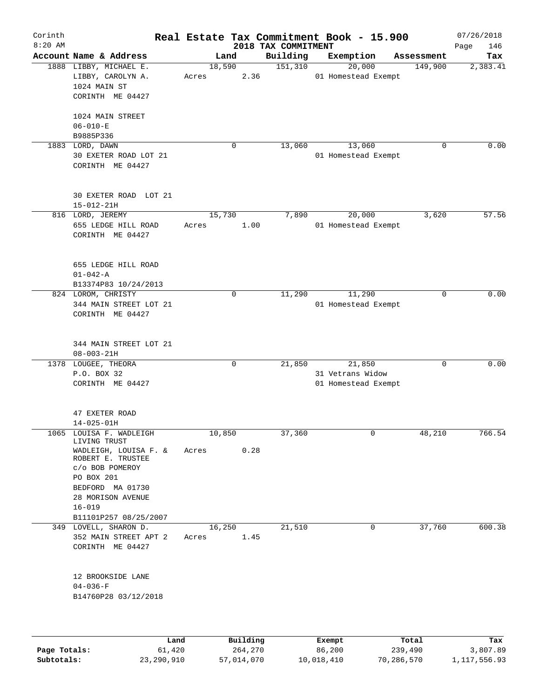| Corinth<br>$8:20$ AM |                                                                                                                                    |                 |             | 2018 TAX COMMITMENT | Real Estate Tax Commitment Book - 15.900          |            | 07/26/2018<br>146<br>Page |
|----------------------|------------------------------------------------------------------------------------------------------------------------------------|-----------------|-------------|---------------------|---------------------------------------------------|------------|---------------------------|
|                      | Account Name & Address                                                                                                             |                 | Land        | Building            | Exemption                                         | Assessment | Tax                       |
|                      | 1888 LIBBY, MICHAEL E.<br>LIBBY, CAROLYN A.<br>1024 MAIN ST<br>CORINTH ME 04427                                                    | 18,590<br>Acres | 2.36        | 151,310             | 20,000<br>01 Homestead Exempt                     | 149,900    | 2,383.41                  |
|                      | 1024 MAIN STREET<br>$06 - 010 - E$<br>B9885P336                                                                                    |                 |             |                     |                                                   |            |                           |
|                      | 1883 LORD, DAWN<br>30 EXETER ROAD LOT 21<br>CORINTH ME 04427                                                                       |                 | 0           | 13,060              | 13,060<br>01 Homestead Exempt                     | 0          | 0.00                      |
|                      | 30 EXETER ROAD LOT 21<br>$15 - 012 - 21H$                                                                                          |                 |             |                     |                                                   |            |                           |
|                      | 816 LORD, JEREMY<br>655 LEDGE HILL ROAD<br>CORINTH ME 04427                                                                        | 15,730<br>Acres | 1.00        | 7,890               | 20,000<br>01 Homestead Exempt                     | 3,620      | 57.56                     |
|                      | 655 LEDGE HILL ROAD<br>$01 - 042 - A$<br>B13374P83 10/24/2013                                                                      |                 |             |                     |                                                   |            |                           |
|                      | 824 LOROM, CHRISTY<br>344 MAIN STREET LOT 21<br>CORINTH ME 04427                                                                   |                 | 0           | 11,290              | 11,290<br>01 Homestead Exempt                     | 0          | 0.00                      |
|                      | 344 MAIN STREET LOT 21<br>$08 - 003 - 21H$                                                                                         |                 |             |                     |                                                   |            |                           |
|                      | 1378 LOUGEE, THEORA<br>P.O. BOX 32<br>CORINTH ME 04427                                                                             |                 | $\mathbf 0$ | 21,850              | 21,850<br>31 Vetrans Widow<br>01 Homestead Exempt | 0          | 0.00                      |
|                      | 47 EXETER ROAD<br>$14 - 025 - 01H$                                                                                                 |                 |             |                     |                                                   |            |                           |
|                      | 1065 LOUISA F. WADLEIGH<br>LIVING TRUST<br>WADLEIGH, LOUISA F. &                                                                   | 10,850<br>Acres | 0.28        | 37,360              | 0                                                 | 48,210     | 766.54                    |
|                      | ROBERT E. TRUSTEE<br>c/o BOB POMEROY<br>PO BOX 201<br>BEDFORD MA 01730<br>28 MORISON AVENUE<br>$16 - 019$<br>B11101P257 08/25/2007 |                 |             |                     |                                                   |            |                           |
|                      | 349 LOVELL, SHARON D.<br>352 MAIN STREET APT 2<br>CORINTH ME 04427                                                                 | 16,250<br>Acres | 1.45        | 21,510              | 0                                                 | 37,760     | 600.38                    |
|                      | 12 BROOKSIDE LANE<br>$04 - 036 - F$<br>B14760P28 03/12/2018                                                                        |                 |             |                     |                                                   |            |                           |
|                      | Land                                                                                                                               |                 | Building    |                     | Exempt                                            | Total      | Tax                       |

|              | úand       | Building   | Exempt     | Total      | тах          |
|--------------|------------|------------|------------|------------|--------------|
| Page Totals: | 61,420     | 264,270    | 86,200     | 239,490    | 3,807.89     |
| Subtotals:   | 23,290,910 | 57,014,070 | 10,018,410 | 70,286,570 | 1,117,556.93 |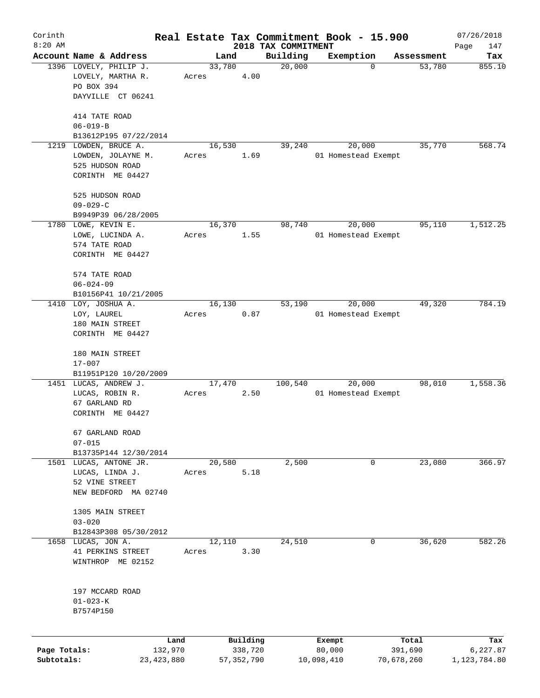| Corinth      |                                                  |       |                     |                     | Real Estate Tax Commitment Book - 15.900 |                      | 07/26/2018      |
|--------------|--------------------------------------------------|-------|---------------------|---------------------|------------------------------------------|----------------------|-----------------|
| $8:20$ AM    |                                                  |       |                     | 2018 TAX COMMITMENT |                                          |                      | Page<br>147     |
|              | Account Name & Address<br>1396 LOVELY, PHILIP J. |       | Land<br>33,780      | Building<br>20,000  | Exemption<br>$\mathbf 0$                 | Assessment<br>53,780 | Tax<br>855.10   |
|              | LOVELY, MARTHA R.<br>PO BOX 394                  | Acres | 4.00                |                     |                                          |                      |                 |
|              | DAYVILLE CT 06241                                |       |                     |                     |                                          |                      |                 |
|              | 414 TATE ROAD                                    |       |                     |                     |                                          |                      |                 |
|              | $06 - 019 - B$<br>B13612P195 07/22/2014          |       |                     |                     |                                          |                      |                 |
|              | 1219 LOWDEN, BRUCE A.                            |       | 16,530              | 39,240              | 20,000                                   | 35,770               | 568.74          |
|              | LOWDEN, JOLAYNE M.<br>525 HUDSON ROAD            | Acres | 1.69                |                     | 01 Homestead Exempt                      |                      |                 |
|              | CORINTH ME 04427                                 |       |                     |                     |                                          |                      |                 |
|              | 525 HUDSON ROAD                                  |       |                     |                     |                                          |                      |                 |
|              | $09 - 029 - C$                                   |       |                     |                     |                                          |                      |                 |
|              | B9949P39 06/28/2005<br>1780 LOWE, KEVIN E.       |       | 16,370              | 98,740              | 20,000                                   | 95,110               | 1,512.25        |
|              | LOWE, LUCINDA A.                                 | Acres | 1.55                |                     | 01 Homestead Exempt                      |                      |                 |
|              | 574 TATE ROAD                                    |       |                     |                     |                                          |                      |                 |
|              | CORINTH ME 04427                                 |       |                     |                     |                                          |                      |                 |
|              | 574 TATE ROAD                                    |       |                     |                     |                                          |                      |                 |
|              | $06 - 024 - 09$                                  |       |                     |                     |                                          |                      |                 |
|              | B10156P41 10/21/2005                             |       |                     |                     |                                          |                      |                 |
| 1410         | LOY, JOSHUA A.                                   |       | 16, 130             | 53,190              | 20,000                                   | 49,320               | 784.19          |
|              | LOY, LAUREL                                      | Acres | 0.87                |                     | 01 Homestead Exempt                      |                      |                 |
|              | 180 MAIN STREET                                  |       |                     |                     |                                          |                      |                 |
|              | CORINTH ME 04427                                 |       |                     |                     |                                          |                      |                 |
|              | 180 MAIN STREET                                  |       |                     |                     |                                          |                      |                 |
|              | $17 - 007$                                       |       |                     |                     |                                          |                      |                 |
|              | B11951P120 10/20/2009                            |       |                     |                     |                                          |                      |                 |
|              | 1451 LUCAS, ANDREW J.                            |       | 17,470              | 100,540             | 20,000                                   | 98,010               | 1,558.36        |
|              | LUCAS, ROBIN R.                                  | Acres | 2.50                |                     | 01 Homestead Exempt                      |                      |                 |
|              | 67 GARLAND RD<br>CORINTH ME 04427                |       |                     |                     |                                          |                      |                 |
|              |                                                  |       |                     |                     |                                          |                      |                 |
|              | 67 GARLAND ROAD                                  |       |                     |                     |                                          |                      |                 |
|              | $07 - 015$                                       |       |                     |                     |                                          |                      |                 |
|              | B13735P144 12/30/2014                            |       |                     |                     |                                          |                      |                 |
|              | 1501 LUCAS, ANTONE JR.<br>LUCAS, LINDA J.        |       | 20,580<br>5.18      | 2,500               | 0                                        | 23,080               | 366.97          |
|              | 52 VINE STREET                                   | Acres |                     |                     |                                          |                      |                 |
|              | NEW BEDFORD MA 02740                             |       |                     |                     |                                          |                      |                 |
|              |                                                  |       |                     |                     |                                          |                      |                 |
|              | 1305 MAIN STREET                                 |       |                     |                     |                                          |                      |                 |
|              | $03 - 020$<br>B12843P308 05/30/2012              |       |                     |                     |                                          |                      |                 |
| 1658         | LUCAS, JON A.                                    |       | 12,110              | 24,510              | 0                                        | 36,620               | 582.26          |
|              | 41 PERKINS STREET                                | Acres | 3.30                |                     |                                          |                      |                 |
|              | WINTHROP ME 02152                                |       |                     |                     |                                          |                      |                 |
|              |                                                  |       |                     |                     |                                          |                      |                 |
|              | 197 MCCARD ROAD                                  |       |                     |                     |                                          |                      |                 |
|              | $01 - 023 - K$                                   |       |                     |                     |                                          |                      |                 |
|              | B7574P150                                        |       |                     |                     |                                          |                      |                 |
|              |                                                  |       |                     |                     |                                          |                      |                 |
| Page Totals: | Land<br>132,970                                  |       | Building<br>338,720 |                     | Exempt<br>80,000                         | Total<br>391,690     | Tax<br>6,227.87 |
| Subtotals:   | 23, 423, 880                                     |       | 57, 352, 790        |                     | 10,098,410                               | 70,678,260           | 1,123,784.80    |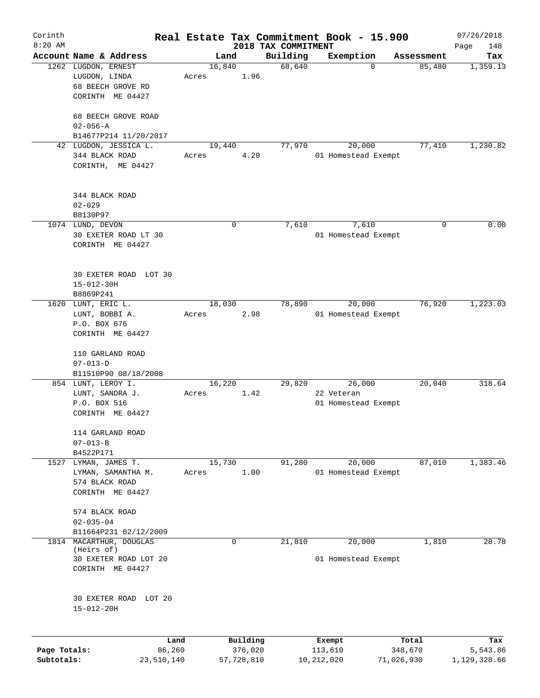| Corinth      |                                       |       |            |                     | Real Estate Tax Commitment Book - 15.900 |            | 07/26/2018   |
|--------------|---------------------------------------|-------|------------|---------------------|------------------------------------------|------------|--------------|
| $8:20$ AM    |                                       |       |            | 2018 TAX COMMITMENT |                                          |            | Page<br>148  |
|              | Account Name & Address                |       | Land       | Building            | Exemption                                | Assessment | Tax          |
|              | 1262 LUGDON, ERNEST                   |       | 16,840     | 68,640              | 0                                        | 85,480     | 1,359.13     |
|              | LUGDON, LINDA                         | Acres | 1.96       |                     |                                          |            |              |
|              | 68 BEECH GROVE RD                     |       |            |                     |                                          |            |              |
|              | CORINTH ME 04427                      |       |            |                     |                                          |            |              |
|              |                                       |       |            |                     |                                          |            |              |
|              | 68 BEECH GROVE ROAD<br>$02 - 056 - A$ |       |            |                     |                                          |            |              |
|              |                                       |       |            |                     |                                          |            |              |
|              | B14677P214 11/20/2017                 |       |            | 77,970              |                                          |            |              |
|              | 42 LUGDON, JESSICA L.                 |       | 19,440     |                     | 20,000                                   | 77,410     | 1,230.82     |
|              | 344 BLACK ROAD                        | Acres | 4.20       |                     | 01 Homestead Exempt                      |            |              |
|              | CORINTH, ME 04427                     |       |            |                     |                                          |            |              |
|              |                                       |       |            |                     |                                          |            |              |
|              | 344 BLACK ROAD                        |       |            |                     |                                          |            |              |
|              | $02 - 029$                            |       |            |                     |                                          |            |              |
|              | B8130P97                              |       |            |                     |                                          |            |              |
|              | 1074 LUND, DEVON                      |       | 0          | 7,610               | 7,610                                    | 0          | 0.00         |
|              | 30 EXETER ROAD LT 30                  |       |            |                     | 01 Homestead Exempt                      |            |              |
|              | CORINTH ME 04427                      |       |            |                     |                                          |            |              |
|              |                                       |       |            |                     |                                          |            |              |
|              |                                       |       |            |                     |                                          |            |              |
|              | 30 EXETER ROAD LOT 30                 |       |            |                     |                                          |            |              |
|              | $15 - 012 - 30H$                      |       |            |                     |                                          |            |              |
|              | B8869P241                             |       |            |                     |                                          |            |              |
| 1620         | LUNT, ERIC L.                         |       | 18,030     | 78,890              | 20,000                                   | 76,920     | 1,223.03     |
|              | LUNT, BOBBI A.                        | Acres | 2.98       |                     | 01 Homestead Exempt                      |            |              |
|              | P.O. BOX 676                          |       |            |                     |                                          |            |              |
|              | CORINTH ME 04427                      |       |            |                     |                                          |            |              |
|              |                                       |       |            |                     |                                          |            |              |
|              | 110 GARLAND ROAD                      |       |            |                     |                                          |            |              |
|              | $07 - 013 - D$                        |       |            |                     |                                          |            |              |
|              | B11510P90 08/18/2008                  |       |            |                     |                                          |            |              |
|              | 854 LUNT, LEROY I.                    |       | 16,220     | 29,820              | 26,000                                   | 20,040     | 318.64       |
|              | LUNT, SANDRA J.                       | Acres | 1.42       |                     | 22 Veteran                               |            |              |
|              | P.O. BOX 516                          |       |            |                     | 01 Homestead Exempt                      |            |              |
|              | CORINTH ME 04427                      |       |            |                     |                                          |            |              |
|              |                                       |       |            |                     |                                          |            |              |
|              | 114 GARLAND ROAD                      |       |            |                     |                                          |            |              |
|              | $07 - 013 - B$                        |       |            |                     |                                          |            |              |
|              | B4522P171                             |       |            |                     |                                          |            |              |
| 1527         | LYMAN, JAMES T.                       |       | 15,730     | 91,280              | 20,000                                   | 87,010     | 1,383.46     |
|              | LYMAN, SAMANTHA M.                    | Acres | 1.00       |                     | 01 Homestead Exempt                      |            |              |
|              | 574 BLACK ROAD                        |       |            |                     |                                          |            |              |
|              | CORINTH ME 04427                      |       |            |                     |                                          |            |              |
|              |                                       |       |            |                     |                                          |            |              |
|              | 574 BLACK ROAD                        |       |            |                     |                                          |            |              |
|              | $02 - 035 - 04$                       |       |            |                     |                                          |            |              |
|              | B11664P231 02/12/2009                 |       |            |                     |                                          |            |              |
| 1814         | MACARTHUR, DOUGLAS                    |       | 0          | 21,810              | 20,000                                   | 1,810      | 28.78        |
|              | (Heirs of)                            |       |            |                     |                                          |            |              |
|              | 30 EXETER ROAD LOT 20                 |       |            |                     | 01 Homestead Exempt                      |            |              |
|              | CORINTH ME 04427                      |       |            |                     |                                          |            |              |
|              |                                       |       |            |                     |                                          |            |              |
|              |                                       |       |            |                     |                                          |            |              |
|              | 30 EXETER ROAD LOT 20                 |       |            |                     |                                          |            |              |
|              | $15 - 012 - 20H$                      |       |            |                     |                                          |            |              |
|              |                                       |       |            |                     |                                          |            |              |
|              |                                       |       |            |                     |                                          |            |              |
|              | Land                                  |       | Building   |                     | Exempt                                   | Total      | Tax          |
| Page Totals: | 86,260                                |       | 376,020    |                     | 113,610                                  | 348,670    | 5,543.86     |
| Subtotals:   | 23,510,140                            |       | 57,728,810 |                     | 10,212,020                               | 71,026,930 | 1,129,328.66 |
|              |                                       |       |            |                     |                                          |            |              |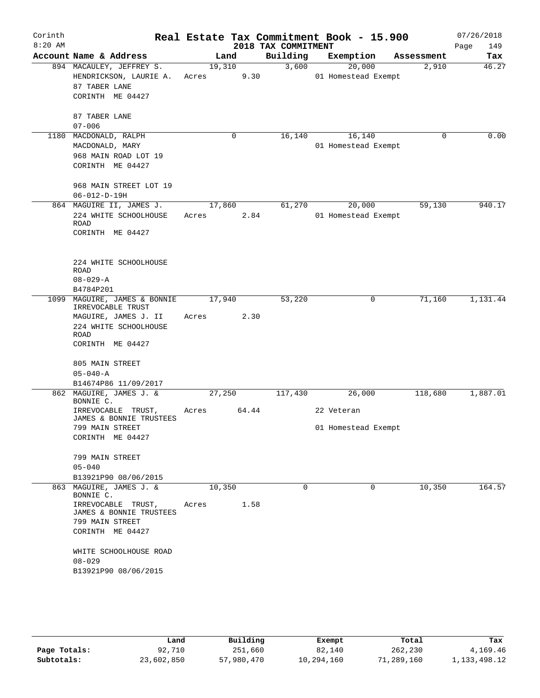| Corinth<br>$8:20$ AM |                                                                                                                                |                 |                | 2018 TAX COMMITMENT | Real Estate Tax Commitment Book - 15.900 |            | 07/26/2018<br>149<br>Page |
|----------------------|--------------------------------------------------------------------------------------------------------------------------------|-----------------|----------------|---------------------|------------------------------------------|------------|---------------------------|
|                      | Account Name & Address                                                                                                         |                 | Land           | Building            | Exemption                                | Assessment | Tax                       |
|                      | 894 MACAULEY, JEFFREY S.<br>HENDRICKSON, LAURIE A.<br>87 TABER LANE<br>CORINTH ME 04427                                        | Acres           | 19,310<br>9.30 | 3,600               | 20,000<br>01 Homestead Exempt            | 2,910      | 46.27                     |
|                      | 87 TABER LANE<br>$07 - 006$                                                                                                    |                 |                |                     |                                          |            |                           |
|                      | 1180 MACDONALD, RALPH<br>MACDONALD, MARY<br>968 MAIN ROAD LOT 19<br>CORINTH ME 04427                                           |                 | 0              | 16,140              | 16,140<br>01 Homestead Exempt            | $\Omega$   | 0.00                      |
|                      | 968 MAIN STREET LOT 19<br>$06 - 012 - D - 19H$                                                                                 |                 |                |                     |                                          |            |                           |
|                      | 864 MAGUIRE II, JAMES J.<br>224 WHITE SCHOOLHOUSE<br>ROAD<br>CORINTH ME 04427                                                  | Acres           | 17,860<br>2.84 | 61,270              | 20,000<br>01 Homestead Exempt            | 59,130     | 940.17                    |
|                      | 224 WHITE SCHOOLHOUSE<br>ROAD<br>$08 - 029 - A$<br>B4784P201                                                                   |                 |                |                     |                                          |            |                           |
|                      | 1099 MAGUIRE, JAMES & BONNIE<br>IRREVOCABLE TRUST<br>MAGUIRE, JAMES J. II<br>224 WHITE SCHOOLHOUSE<br>ROAD<br>CORINTH ME 04427 | 17,940<br>Acres | 2.30           | 53,220              | 0                                        | 71,160     | 1,131.44                  |
|                      | 805 MAIN STREET<br>$05 - 040 - A$<br>B14674P86 11/09/2017                                                                      |                 |                |                     |                                          |            |                           |
|                      | 862 MAGUIRE, JAMES J. &<br>BONNIE C.<br>IRREVOCABLE TRUST,                                                                     | 27,250<br>Acres | 64.44          | 117,430             | 26,000<br>22 Veteran                     | 118,680    | 1,887.01                  |
|                      | JAMES & BONNIE TRUSTEES<br>799 MAIN STREET<br>CORINTH ME 04427<br>799 MAIN STREET<br>$05 - 040$                                |                 |                |                     | 01 Homestead Exempt                      |            |                           |
|                      | B13921P90 08/06/2015                                                                                                           |                 |                |                     |                                          |            |                           |
|                      | 863 MAGUIRE, JAMES J. &<br>BONNIE C.<br>IRREVOCABLE TRUST,<br>JAMES & BONNIE TRUSTEES<br>799 MAIN STREET<br>CORINTH ME 04427   | 10,350<br>Acres | 1.58           | $\Omega$            | $\Omega$                                 | 10,350     | 164.57                    |
|                      | WHITE SCHOOLHOUSE ROAD<br>$08 - 029$<br>B13921P90 08/06/2015                                                                   |                 |                |                     |                                          |            |                           |

|              | Land       | Building   | Exempt     | Total      | Tax             |
|--------------|------------|------------|------------|------------|-----------------|
| Page Totals: | 92,710     | 251,660    | 82,140     | 262,230    | 4,169.46        |
| Subtotals:   | 23,602,850 | 57,980,470 | 10,294,160 | 71,289,160 | 1, 133, 498. 12 |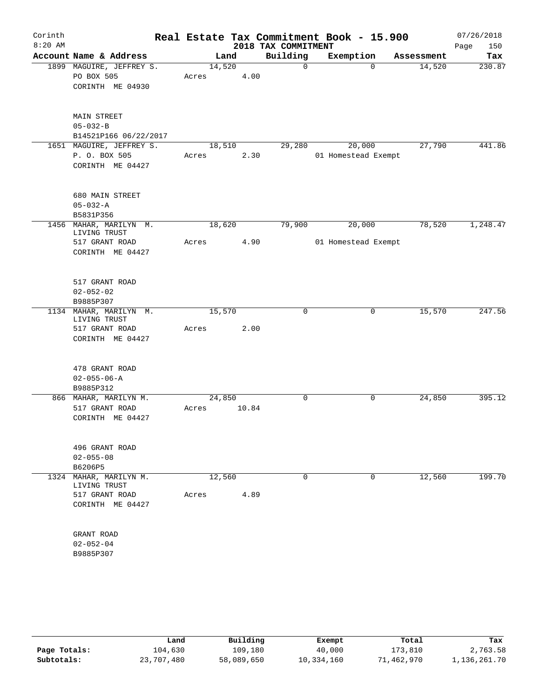| Corinth   |                                        |       |        |       |                     | Real Estate Tax Commitment Book - 15.900 |            | 07/26/2018  |
|-----------|----------------------------------------|-------|--------|-------|---------------------|------------------------------------------|------------|-------------|
| $8:20$ AM |                                        |       |        |       | 2018 TAX COMMITMENT |                                          |            | 150<br>Page |
|           | Account Name & Address                 |       | Land   |       | Building            | Exemption                                | Assessment | Tax         |
|           | 1899 MAGUIRE, JEFFREY S.               |       | 14,520 |       | $\mathbf 0$         | $\Omega$                                 | 14,520     | 230.87      |
|           | PO BOX 505                             | Acres |        | 4.00  |                     |                                          |            |             |
|           | CORINTH ME 04930                       |       |        |       |                     |                                          |            |             |
|           |                                        |       |        |       |                     |                                          |            |             |
|           | MAIN STREET                            |       |        |       |                     |                                          |            |             |
|           | $05 - 032 - B$                         |       |        |       |                     |                                          |            |             |
|           | B14521P166 06/22/2017                  |       |        |       |                     |                                          |            |             |
|           | 1651 MAGUIRE, JEFFREY S.               |       | 18,510 |       | 29,280              | 20,000                                   | 27,790     | 441.86      |
|           | P. O. BOX 505                          | Acres |        | 2.30  |                     | 01 Homestead Exempt                      |            |             |
|           | CORINTH ME 04427                       |       |        |       |                     |                                          |            |             |
|           |                                        |       |        |       |                     |                                          |            |             |
|           | 680 MAIN STREET                        |       |        |       |                     |                                          |            |             |
|           | $05 - 032 - A$                         |       |        |       |                     |                                          |            |             |
|           | B5831P356<br>1456 MAHAR, MARILYN M.    |       | 18,620 |       | 79,900              | 20,000                                   | 78,520     | 1,248.47    |
|           | LIVING TRUST                           |       |        |       |                     |                                          |            |             |
|           | 517 GRANT ROAD                         | Acres |        | 4.90  |                     | 01 Homestead Exempt                      |            |             |
|           | CORINTH ME 04427                       |       |        |       |                     |                                          |            |             |
|           |                                        |       |        |       |                     |                                          |            |             |
|           | 517 GRANT ROAD                         |       |        |       |                     |                                          |            |             |
|           | $02 - 052 - 02$                        |       |        |       |                     |                                          |            |             |
|           | B9885P307                              |       |        |       |                     |                                          |            |             |
|           | 1134 MAHAR, MARILYN M.<br>LIVING TRUST |       | 15,570 |       | 0                   | $\mathbf 0$                              | 15,570     | 247.56      |
|           | 517 GRANT ROAD                         | Acres |        | 2.00  |                     |                                          |            |             |
|           | CORINTH ME 04427                       |       |        |       |                     |                                          |            |             |
|           | 478 GRANT ROAD                         |       |        |       |                     |                                          |            |             |
|           | $02 - 055 - 06 - A$                    |       |        |       |                     |                                          |            |             |
|           | B9885P312                              |       |        |       |                     |                                          |            |             |
|           | 866 MAHAR, MARILYN M.                  |       | 24,850 |       | 0                   | 0                                        | 24,850     | 395.12      |
|           | 517 GRANT ROAD                         | Acres |        | 10.84 |                     |                                          |            |             |
|           | CORINTH ME 04427                       |       |        |       |                     |                                          |            |             |
|           |                                        |       |        |       |                     |                                          |            |             |
|           | 496 GRANT ROAD                         |       |        |       |                     |                                          |            |             |
|           | $02 - 055 - 08$                        |       |        |       |                     |                                          |            |             |
|           | B6206P5                                |       |        |       |                     |                                          |            |             |
| 1324      | MAHAR, MARILYN M.                      |       | 12,560 |       | $\Omega$            | 0                                        | 12,560     | 199.70      |
|           | LIVING TRUST                           |       |        |       |                     |                                          |            |             |
|           | 517 GRANT ROAD                         | Acres |        | 4.89  |                     |                                          |            |             |
|           | CORINTH ME 04427                       |       |        |       |                     |                                          |            |             |
|           | GRANT ROAD                             |       |        |       |                     |                                          |            |             |
|           | $02 - 052 - 04$                        |       |        |       |                     |                                          |            |             |
|           | B9885P307                              |       |        |       |                     |                                          |            |             |
|           |                                        |       |        |       |                     |                                          |            |             |

|              | Land       | Building   | Exempt     | Total      | Tax          |
|--------------|------------|------------|------------|------------|--------------|
| Page Totals: | 104,630    | 109,180    | 40,000     | 173,810    | 2,763.58     |
| Subtotals:   | 23,707,480 | 58,089,650 | 10,334,160 | 71,462,970 | 1,136,261.70 |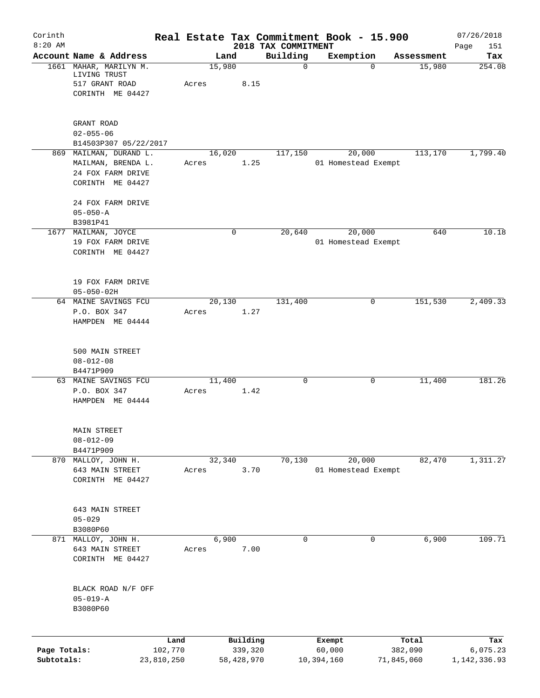| Corinth<br>$8:20$ AM       |                                                                                       |                       |       |                       |      | 2018 TAX COMMITMENT | Real Estate Tax Commitment Book - 15.900 |          |                       | 07/26/2018<br>151          |
|----------------------------|---------------------------------------------------------------------------------------|-----------------------|-------|-----------------------|------|---------------------|------------------------------------------|----------|-----------------------|----------------------------|
|                            | Account Name & Address                                                                |                       |       | Land                  |      | Building            | Exemption                                |          | Assessment            | Page<br>Tax                |
|                            | 1661 MAHAR, MARILYN M.<br>LIVING TRUST<br>517 GRANT ROAD<br>CORINTH ME 04427          |                       | Acres | 15,980                | 8.15 | $\mathbf 0$         |                                          | $\Omega$ | 15,980                | 254.08                     |
|                            | GRANT ROAD<br>$02 - 055 - 06$<br>B14503P307 05/22/2017                                |                       |       |                       |      |                     |                                          |          |                       |                            |
|                            | 869 MAILMAN, DURAND L.<br>MAILMAN, BRENDA L.<br>24 FOX FARM DRIVE<br>CORINTH ME 04427 |                       | Acres | 16,020                | 1.25 | 117,150             | 20,000<br>01 Homestead Exempt            |          | 113, 170              | 1,799.40                   |
|                            | 24 FOX FARM DRIVE<br>$05 - 050 - A$<br>B3981P41                                       |                       |       |                       |      |                     |                                          |          |                       |                            |
|                            | 1677 MAILMAN, JOYCE<br>19 FOX FARM DRIVE<br>CORINTH ME 04427                          |                       |       | 0                     |      | 20,640              | 20,000<br>01 Homestead Exempt            |          | 640                   | 10.18                      |
|                            | 19 FOX FARM DRIVE<br>$05 - 050 - 02H$                                                 |                       |       |                       |      |                     |                                          |          |                       |                            |
|                            | 64 MAINE SAVINGS FCU<br>P.O. BOX 347<br>HAMPDEN ME 04444                              |                       | Acres | 20,130                | 1.27 | 131,400             |                                          | 0        | 151,530               | 2,409.33                   |
|                            | 500 MAIN STREET<br>$08 - 012 - 08$<br>B4471P909                                       |                       |       |                       |      |                     |                                          |          |                       |                            |
|                            | 63 MAINE SAVINGS FCU<br>P.O. BOX 347<br>HAMPDEN ME 04444                              |                       | Acres | 11,400                | 1.42 | $\mathbf 0$         |                                          | 0        | 11,400                | 181.26                     |
|                            | MAIN STREET<br>$08 - 012 - 09$<br>B4471P909                                           |                       |       |                       |      |                     |                                          |          |                       |                            |
|                            | 870 MALLOY, JOHN H.<br>643 MAIN STREET<br>CORINTH ME 04427                            |                       | Acres | 32,340                | 3.70 | 70,130              | 20,000<br>01 Homestead Exempt            |          | 82,470                | 1,311.27                   |
|                            | 643 MAIN STREET<br>$05 - 029$<br>B3080P60                                             |                       |       |                       |      |                     |                                          |          |                       |                            |
|                            | 871 MALLOY, JOHN H.<br>643 MAIN STREET<br>CORINTH ME 04427                            |                       | Acres | 6,900                 | 7.00 | $\mathbf 0$         |                                          | 0        | 6,900                 | 109.71                     |
|                            | BLACK ROAD N/F OFF<br>$05 - 019 - A$<br>B3080P60                                      |                       |       |                       |      |                     |                                          |          |                       |                            |
|                            |                                                                                       | Land                  |       | Building              |      |                     | Exempt                                   |          | Total                 | Tax                        |
| Page Totals:<br>Subtotals: |                                                                                       | 102,770<br>23,810,250 |       | 339,320<br>58,428,970 |      |                     | 60,000<br>10,394,160                     |          | 382,090<br>71,845,060 | 6,075.23<br>1, 142, 336.93 |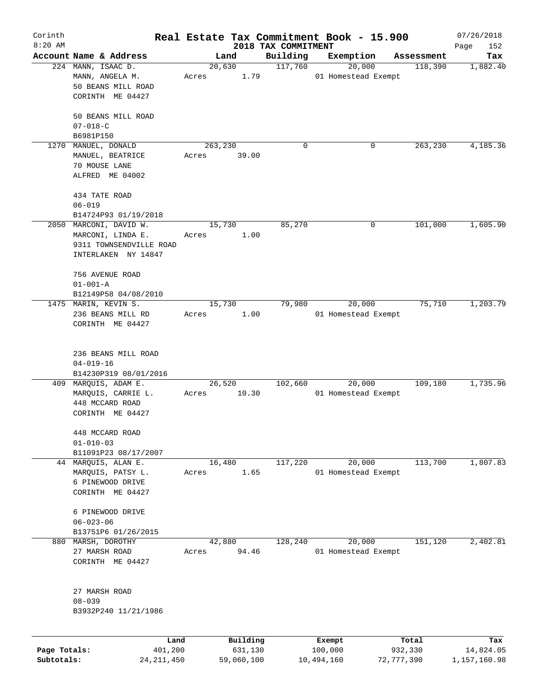| Corinth                    |                                                                                               |       |                       |                     | Real Estate Tax Commitment Book - 15.900 |                       | 07/26/2018                |
|----------------------------|-----------------------------------------------------------------------------------------------|-------|-----------------------|---------------------|------------------------------------------|-----------------------|---------------------------|
| $8:20$ AM                  |                                                                                               |       |                       | 2018 TAX COMMITMENT |                                          |                       | Page<br>152               |
|                            | Account Name & Address                                                                        |       | Land                  | Building<br>117,760 | Exemption                                | Assessment            | Tax                       |
|                            | 224 MANN, ISAAC D.<br>MANN, ANGELA M.<br>50 BEANS MILL ROAD<br>CORINTH ME 04427               | Acres | 20,630<br>1.79        |                     | 20,000<br>01 Homestead Exempt            | 118,390               | 1,882.40                  |
|                            | 50 BEANS MILL ROAD<br>$07 - 018 - C$                                                          |       |                       |                     |                                          |                       |                           |
|                            | B6981P150                                                                                     |       |                       |                     |                                          |                       |                           |
| 1270                       | MANUEL, DONALD<br>MANUEL, BEATRICE<br>70 MOUSE LANE<br>ALFRED ME 04002                        | Acres | 263,230<br>39.00      | 0                   | 0                                        | 263,230               | 4,185.36                  |
|                            | 434 TATE ROAD<br>$06 - 019$                                                                   |       |                       |                     |                                          |                       |                           |
|                            | B14724P93 01/19/2018                                                                          |       |                       |                     |                                          |                       |                           |
|                            | 2050 MARCONI, DAVID W.<br>MARCONI, LINDA E.<br>9311 TOWNSENDVILLE ROAD<br>INTERLAKEN NY 14847 | Acres | 15,730<br>1.00        | 85,270              | 0                                        | 101,000               | 1,605.90                  |
|                            | 756 AVENUE ROAD<br>$01 - 001 - A$                                                             |       |                       |                     |                                          |                       |                           |
|                            | B12149P58 04/08/2010                                                                          |       |                       |                     |                                          |                       |                           |
|                            | 1475 MARIN, KEVIN S.<br>236 BEANS MILL RD<br>CORINTH ME 04427                                 | Acres | 15,730<br>1.00        | 79,980              | 20,000<br>01 Homestead Exempt            | 75,710                | 1,203.79                  |
|                            | 236 BEANS MILL ROAD<br>$04 - 019 - 16$                                                        |       |                       |                     |                                          |                       |                           |
|                            | B14230P319 08/01/2016                                                                         |       |                       |                     |                                          |                       |                           |
|                            | 409 MARQUIS, ADAM E.<br>MARQUIS, CARRIE L.<br>448 MCCARD ROAD<br>CORINTH ME 04427             | Acres | 26,520<br>10.30       | 102,660             | 20,000<br>01 Homestead Exempt            | 109,180               | 1,735.96                  |
|                            | 448 MCCARD ROAD<br>$01 - 010 - 03$                                                            |       |                       |                     |                                          |                       |                           |
|                            | B11091P23 08/17/2007                                                                          |       |                       |                     |                                          |                       |                           |
|                            | 44 MARQUIS, ALAN E.<br>MARQUIS, PATSY L.<br>6 PINEWOOD DRIVE<br>CORINTH ME 04427              | Acres | 16,480<br>1.65        | 117,220             | 20,000<br>01 Homestead Exempt            | 113,700               | 1,807.83                  |
|                            | 6 PINEWOOD DRIVE<br>$06 - 023 - 06$<br>B13751P6 01/26/2015                                    |       |                       |                     |                                          |                       |                           |
| 880                        | MARSH, DOROTHY                                                                                |       | 42,880                | 128,240             | 20,000                                   | 151,120               | 2,402.81                  |
|                            | 27 MARSH ROAD<br>CORINTH ME 04427                                                             | Acres | 94.46                 |                     | 01 Homestead Exempt                      |                       |                           |
|                            | 27 MARSH ROAD<br>$08 - 039$<br>B3932P240 11/21/1986                                           |       |                       |                     |                                          |                       |                           |
|                            |                                                                                               | Land  | Building              |                     | Exempt                                   | Total                 | Tax                       |
| Page Totals:<br>Subtotals: | 401,200<br>24, 211, 450                                                                       |       | 631,130<br>59,060,100 |                     | 100,000<br>10,494,160                    | 932,330<br>72,777,390 | 14,824.05<br>1,157,160.98 |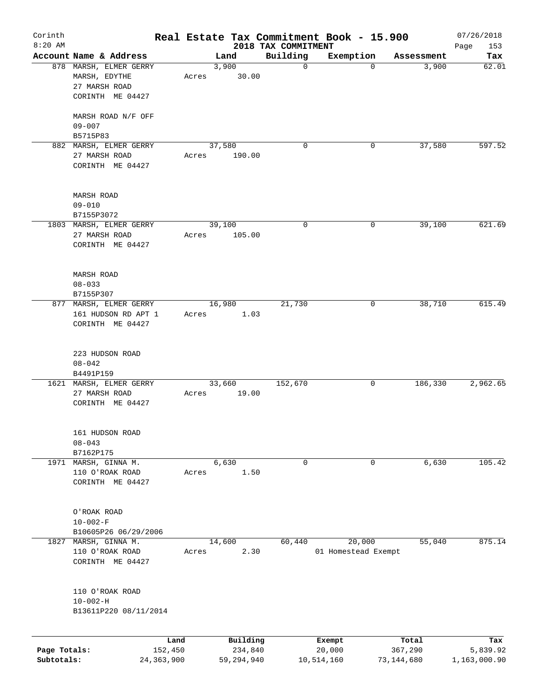| Corinth<br>$8:20$ AM       |                                                                   |                         |       |        |                         | Real Estate Tax Commitment Book - 15.900<br>2018 TAX COMMITMENT |                      |                               |                       | 07/26/2018<br>Page<br>153 |
|----------------------------|-------------------------------------------------------------------|-------------------------|-------|--------|-------------------------|-----------------------------------------------------------------|----------------------|-------------------------------|-----------------------|---------------------------|
|                            | Account Name & Address                                            |                         |       | Land   |                         | Building                                                        |                      | Exemption                     | Assessment            | Tax                       |
|                            | 878 MARSH, ELMER GERRY<br>MARSH, EDYTHE                           |                         | Acres | 3,900  | 30.00                   | $\mathbf 0$                                                     |                      | $\Omega$                      | 3,900                 | 62.01                     |
|                            | 27 MARSH ROAD<br>CORINTH ME 04427                                 |                         |       |        |                         |                                                                 |                      |                               |                       |                           |
|                            | MARSH ROAD N/F OFF<br>$09 - 007$                                  |                         |       |        |                         |                                                                 |                      |                               |                       |                           |
|                            | B5715P83                                                          |                         |       |        |                         | 0                                                               |                      | 0                             | 37,580                | 597.52                    |
|                            | 882 MARSH, ELMER GERRY<br>27 MARSH ROAD<br>CORINTH ME 04427       |                         | Acres | 37,580 | 190.00                  |                                                                 |                      |                               |                       |                           |
|                            | <b>MARSH ROAD</b><br>$09 - 010$                                   |                         |       |        |                         |                                                                 |                      |                               |                       |                           |
|                            | B7155P3072                                                        |                         |       |        |                         |                                                                 |                      |                               |                       |                           |
|                            | 1803 MARSH, ELMER GERRY<br>27 MARSH ROAD<br>CORINTH ME 04427      |                         | Acres | 39,100 | 105.00                  | 0                                                               |                      | 0                             | 39,100                | 621.69                    |
|                            | MARSH ROAD<br>$08 - 033$                                          |                         |       |        |                         |                                                                 |                      |                               |                       |                           |
|                            | B7155P307                                                         |                         |       |        |                         |                                                                 |                      |                               |                       |                           |
|                            | 877 MARSH, ELMER GERRY<br>161 HUDSON RD APT 1<br>CORINTH ME 04427 |                         | Acres | 16,980 | 1.03                    | 21,730                                                          |                      | 0                             | 38,710                | 615.49                    |
|                            | 223 HUDSON ROAD<br>$08 - 042$<br>B4491P159                        |                         |       |        |                         |                                                                 |                      |                               |                       |                           |
|                            | 1621 MARSH, ELMER GERRY<br>27 MARSH ROAD<br>CORINTH ME 04427      |                         | Acres | 33,660 | 19.00                   | 152,670                                                         |                      | 0                             | 186,330               | 2,962.65                  |
|                            | 161 HUDSON ROAD<br>$08 - 043$                                     |                         |       |        |                         |                                                                 |                      |                               |                       |                           |
| 1971                       | B7162P175<br>MARSH, GINNA M.                                      |                         |       | 6,630  |                         | 0                                                               |                      | 0                             | 6,630                 | 105.42                    |
|                            | 110 O'ROAK ROAD<br>CORINTH ME 04427                               |                         | Acres |        | 1.50                    |                                                                 |                      |                               |                       |                           |
|                            | O'ROAK ROAD<br>$10 - 002 - F$                                     |                         |       |        |                         |                                                                 |                      |                               |                       |                           |
|                            | B10605P26 06/29/2006                                              |                         |       |        |                         |                                                                 |                      |                               |                       |                           |
| 1827                       | MARSH, GINNA M.<br>110 O'ROAK ROAD<br>CORINTH ME 04427            |                         | Acres | 14,600 | 2.30                    | 60,440                                                          |                      | 20,000<br>01 Homestead Exempt | 55,040                | 875.14                    |
|                            | 110 O'ROAK ROAD<br>$10 - 002 - H$<br>B13611P220 08/11/2014        |                         |       |        |                         |                                                                 |                      |                               |                       |                           |
|                            |                                                                   | Land                    |       |        | Building                |                                                                 | Exempt               |                               | Total                 | Tax                       |
| Page Totals:<br>Subtotals: |                                                                   | 152,450<br>24, 363, 900 |       |        | 234,840<br>59, 294, 940 |                                                                 | 20,000<br>10,514,160 |                               | 367,290<br>73,144,680 | 5,839.92<br>1,163,000.90  |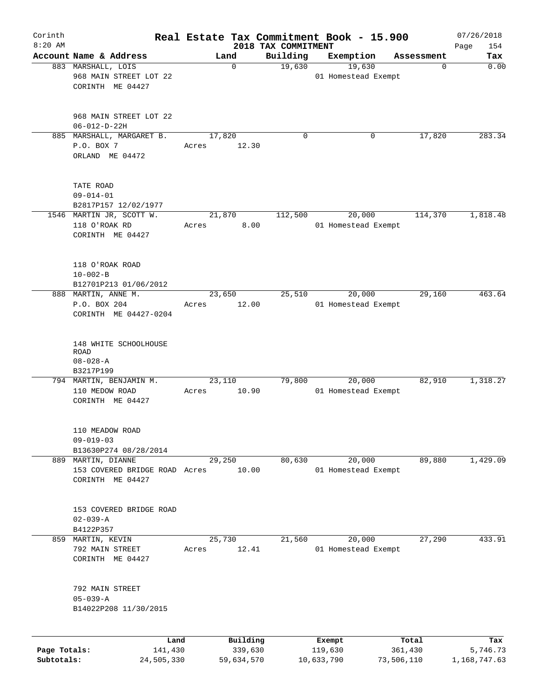| Corinth<br>$8:20$ AM       |                                                                  |       |                       |                                 | Real Estate Tax Commitment Book - 15.900 |                       | 07/26/2018               |
|----------------------------|------------------------------------------------------------------|-------|-----------------------|---------------------------------|------------------------------------------|-----------------------|--------------------------|
|                            | Account Name & Address                                           |       | Land                  | 2018 TAX COMMITMENT<br>Building | Exemption                                | Assessment            | 154<br>Page<br>Tax       |
|                            | 883 MARSHALL, LOIS<br>968 MAIN STREET LOT 22<br>CORINTH ME 04427 |       | $\mathbf 0$           | 19,630                          | 19,630<br>01 Homestead Exempt            | 0                     | 0.00                     |
|                            | 968 MAIN STREET LOT 22<br>$06 - 012 - D - 22H$                   |       |                       |                                 |                                          |                       |                          |
|                            | 885 MARSHALL, MARGARET B.                                        |       | 17,820                | 0                               | 0                                        | 17,820                | 283.34                   |
|                            | P.O. BOX 7<br>ORLAND ME 04472                                    | Acres | 12.30                 |                                 |                                          |                       |                          |
|                            | TATE ROAD<br>$09 - 014 - 01$                                     |       |                       |                                 |                                          |                       |                          |
|                            | B2817P157 12/02/1977<br>1546 MARTIN JR, SCOTT W.                 |       | 21,870                | 112,500                         | 20,000                                   | 114,370               | 1,818.48                 |
|                            | 118 O'ROAK RD<br>CORINTH ME 04427                                | Acres | 8.00                  |                                 | 01 Homestead Exempt                      |                       |                          |
|                            | 118 O'ROAK ROAD<br>$10 - 002 - B$                                |       |                       |                                 |                                          |                       |                          |
|                            | B12701P213 01/06/2012<br>888 MARTIN, ANNE M.                     |       | 23,650                | 25,510                          | 20,000                                   | 29,160                | 463.64                   |
|                            | P.O. BOX 204<br>CORINTH ME 04427-0204                            | Acres | 12.00                 |                                 | 01 Homestead Exempt                      |                       |                          |
|                            | 148 WHITE SCHOOLHOUSE<br>ROAD<br>$08 - 028 - A$                  |       |                       |                                 |                                          |                       |                          |
|                            | B3217P199<br>794 MARTIN, BENJAMIN M.                             |       | 23,110                | 79,800                          | 20,000                                   | 82,910                | 1,318.27                 |
|                            | 110 MEDOW ROAD<br>CORINTH ME 04427                               | Acres | 10.90                 |                                 | 01 Homestead Exempt                      |                       |                          |
|                            | 110 MEADOW ROAD<br>$09 - 019 - 03$<br>B13630P274 08/28/2014      |       |                       |                                 |                                          |                       |                          |
|                            | 889 MARTIN, DIANNE                                               |       | 29,250                | 80,630                          | 20,000                                   | 89,880                | 1,429.09                 |
|                            | 153 COVERED BRIDGE ROAD Acres<br>CORINTH ME 04427                |       | 10.00                 |                                 | 01 Homestead Exempt                      |                       |                          |
|                            | 153 COVERED BRIDGE ROAD<br>$02 - 039 - A$                        |       |                       |                                 |                                          |                       |                          |
|                            | B4122P357<br>859 MARTIN, KEVIN                                   |       | 25,730                | 21,560                          | 20,000                                   | 27,290                | 433.91                   |
|                            | 792 MAIN STREET<br>CORINTH ME 04427                              | Acres | 12.41                 |                                 | 01 Homestead Exempt                      |                       |                          |
|                            | 792 MAIN STREET<br>$05 - 039 - A$                                |       |                       |                                 |                                          |                       |                          |
|                            | B14022P208 11/30/2015                                            |       |                       |                                 |                                          |                       |                          |
|                            | Land                                                             |       | Building              |                                 | Exempt                                   | Total                 | Tax                      |
| Page Totals:<br>Subtotals: | 141,430<br>24,505,330                                            |       | 339,630<br>59,634,570 |                                 | 119,630<br>10,633,790                    | 361,430<br>73,506,110 | 5,746.73<br>1,168,747.63 |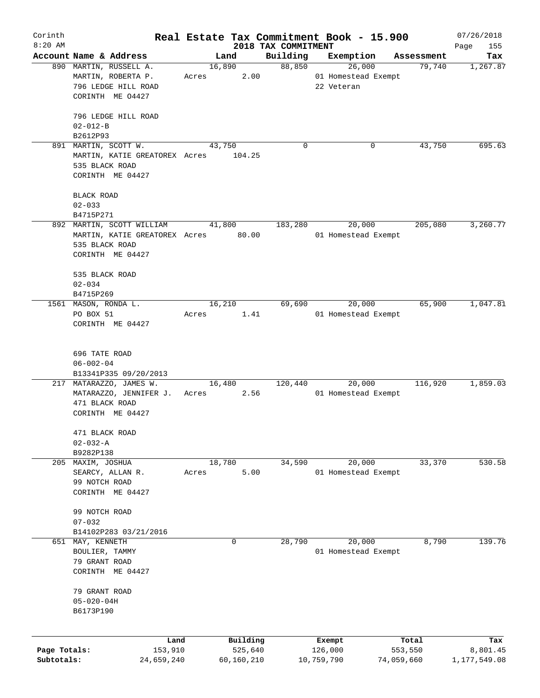| Corinth      |                                       |       |                     |                                 | Real Estate Tax Commitment Book - 15.900 |                      | 07/26/2018      |
|--------------|---------------------------------------|-------|---------------------|---------------------------------|------------------------------------------|----------------------|-----------------|
| $8:20$ AM    | Account Name & Address                |       | Land                | 2018 TAX COMMITMENT<br>Building | Exemption                                |                      | Page<br>155     |
|              | 890 MARTIN, RUSSELL A.                |       | 16,890              | 88,850                          | 26,000                                   | Assessment<br>79,740 | Tax<br>1,267.87 |
|              | MARTIN, ROBERTA P.                    | Acres | 2.00                |                                 | 01 Homestead Exempt                      |                      |                 |
|              | 796 LEDGE HILL ROAD                   |       |                     |                                 | 22 Veteran                               |                      |                 |
|              | CORINTH ME 04427                      |       |                     |                                 |                                          |                      |                 |
|              |                                       |       |                     |                                 |                                          |                      |                 |
|              | 796 LEDGE HILL ROAD<br>$02 - 012 - B$ |       |                     |                                 |                                          |                      |                 |
|              | B2612P93                              |       |                     |                                 |                                          |                      |                 |
|              | 891 MARTIN, SCOTT W.                  |       | 43,750              | $\Omega$                        | 0                                        | 43,750               | 695.63          |
|              | MARTIN, KATIE GREATOREX Acres         |       | 104.25              |                                 |                                          |                      |                 |
|              | 535 BLACK ROAD                        |       |                     |                                 |                                          |                      |                 |
|              | CORINTH ME 04427                      |       |                     |                                 |                                          |                      |                 |
|              |                                       |       |                     |                                 |                                          |                      |                 |
|              | <b>BLACK ROAD</b>                     |       |                     |                                 |                                          |                      |                 |
|              | $02 - 033$                            |       |                     |                                 |                                          |                      |                 |
|              | B4715P271                             |       |                     |                                 |                                          |                      |                 |
|              | 892 MARTIN, SCOTT WILLIAM             |       | 41,800              | 183,280                         | 20,000                                   | 205,080              | 3,260.77        |
|              | MARTIN, KATIE GREATOREX Acres 80.00   |       |                     |                                 | 01 Homestead Exempt                      |                      |                 |
|              | 535 BLACK ROAD                        |       |                     |                                 |                                          |                      |                 |
|              | CORINTH ME 04427                      |       |                     |                                 |                                          |                      |                 |
|              | 535 BLACK ROAD                        |       |                     |                                 |                                          |                      |                 |
|              | $02 - 034$                            |       |                     |                                 |                                          |                      |                 |
|              | B4715P269                             |       |                     |                                 |                                          |                      |                 |
|              | 1561 MASON, RONDA L.                  |       | 16,210              | 69,690                          | 20,000                                   | 65,900               | 1,047.81        |
|              | PO BOX 51                             | Acres | 1.41                |                                 | 01 Homestead Exempt                      |                      |                 |
|              | CORINTH ME 04427                      |       |                     |                                 |                                          |                      |                 |
|              |                                       |       |                     |                                 |                                          |                      |                 |
|              | 696 TATE ROAD                         |       |                     |                                 |                                          |                      |                 |
|              | $06 - 002 - 04$                       |       |                     |                                 |                                          |                      |                 |
|              | B13341P335 09/20/2013                 |       |                     |                                 |                                          |                      |                 |
|              | 217 MATARAZZO, JAMES W.               |       | 16,480              | 120,440                         | 20,000                                   | 116,920              | 1,859.03        |
|              | MATARAZZO, JENNIFER J.                | Acres | 2.56                |                                 | 01 Homestead Exempt                      |                      |                 |
|              | 471 BLACK ROAD                        |       |                     |                                 |                                          |                      |                 |
|              | CORINTH ME 04427                      |       |                     |                                 |                                          |                      |                 |
|              | 471 BLACK ROAD                        |       |                     |                                 |                                          |                      |                 |
|              | $02 - 032 - A$                        |       |                     |                                 |                                          |                      |                 |
|              | B9282P138                             |       |                     |                                 |                                          |                      |                 |
| 205          | MAXIM, JOSHUA                         |       | 18,780              | 34,590                          | 20,000                                   | 33,370               | 530.58          |
|              | SEARCY, ALLAN R.                      | Acres | 5.00                |                                 | 01 Homestead Exempt                      |                      |                 |
|              | 99 NOTCH ROAD                         |       |                     |                                 |                                          |                      |                 |
|              | CORINTH ME 04427                      |       |                     |                                 |                                          |                      |                 |
|              | 99 NOTCH ROAD                         |       |                     |                                 |                                          |                      |                 |
|              | $07 - 032$                            |       |                     |                                 |                                          |                      |                 |
|              | B14102P283 03/21/2016                 |       |                     |                                 |                                          |                      |                 |
| 651          | MAY, KENNETH                          |       | 0                   | 28,790                          | 20,000                                   | 8,790                | 139.76          |
|              | BOULIER, TAMMY                        |       |                     |                                 | 01 Homestead Exempt                      |                      |                 |
|              | 79 GRANT ROAD                         |       |                     |                                 |                                          |                      |                 |
|              | CORINTH ME 04427                      |       |                     |                                 |                                          |                      |                 |
|              |                                       |       |                     |                                 |                                          |                      |                 |
|              | 79 GRANT ROAD                         |       |                     |                                 |                                          |                      |                 |
|              | $05 - 020 - 04H$                      |       |                     |                                 |                                          |                      |                 |
|              | B6173P190                             |       |                     |                                 |                                          |                      |                 |
|              |                                       |       |                     |                                 |                                          |                      |                 |
| Page Totals: | Land<br>153,910                       |       | Building<br>525,640 |                                 | Exempt<br>126,000                        | Total<br>553,550     | Tax<br>8,801.45 |
| Subtotals:   | 24,659,240                            |       | 60,160,210          |                                 | 10,759,790                               | 74,059,660           | 1,177,549.08    |
|              |                                       |       |                     |                                 |                                          |                      |                 |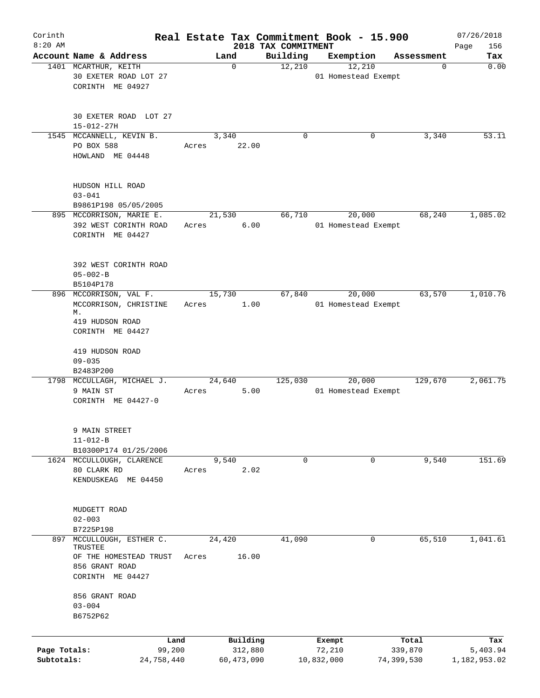| Corinth      |                                                                 |                 |            |                                 | Real Estate Tax Commitment Book - 15.900 |            |            | 07/26/2018         |
|--------------|-----------------------------------------------------------------|-----------------|------------|---------------------------------|------------------------------------------|------------|------------|--------------------|
| $8:20$ AM    | Account Name & Address                                          |                 | Land       | 2018 TAX COMMITMENT<br>Building | Exemption                                |            | Assessment | 156<br>Page<br>Tax |
|              | 1401 MCARTHUR, KEITH<br>30 EXETER ROAD LOT 27                   |                 | 0          | 12,210                          | 12,210<br>01 Homestead Exempt            |            | 0          | 0.00               |
|              | CORINTH ME 04927                                                |                 |            |                                 |                                          |            |            |                    |
|              | 30 EXETER ROAD LOT 27<br>$15 - 012 - 27H$                       |                 |            |                                 |                                          |            |            |                    |
|              | 1545 MCCANNELL, KEVIN B.                                        |                 | 3,340      | 0                               |                                          | 0          | 3,340      | 53.11              |
|              | PO BOX 588<br>HOWLAND ME 04448                                  | Acres           | 22.00      |                                 |                                          |            |            |                    |
|              | HUDSON HILL ROAD<br>$03 - 041$                                  |                 |            |                                 |                                          |            |            |                    |
|              | B9861P198 05/05/2005<br>895 MCCORRISON, MARIE E.                | 21,530          |            | 66,710                          | 20,000                                   |            | 68,240     | 1,085.02           |
|              | 392 WEST CORINTH ROAD<br>CORINTH ME 04427                       | Acres           | 6.00       |                                 | 01 Homestead Exempt                      |            |            |                    |
|              | 392 WEST CORINTH ROAD<br>$05 - 002 - B$<br>B5104P178            |                 |            |                                 |                                          |            |            |                    |
|              | 896 MCCORRISON, VAL F.                                          | 15,730          |            | 67,840                          | 20,000                                   |            | 63,570     | 1,010.76           |
|              | MCCORRISON, CHRISTINE<br>М.                                     | Acres           | 1.00       |                                 | 01 Homestead Exempt                      |            |            |                    |
|              | 419 HUDSON ROAD<br>CORINTH ME 04427                             |                 |            |                                 |                                          |            |            |                    |
|              | 419 HUDSON ROAD                                                 |                 |            |                                 |                                          |            |            |                    |
|              | $09 - 035$                                                      |                 |            |                                 |                                          |            |            |                    |
|              | B2483P200<br>1798 MCCULLAGH, MICHAEL J.                         | 24,640          |            | 125,030                         | 20,000                                   |            | 129,670    | 2,061.75           |
|              | 9 MAIN ST<br>CORINTH ME 04427-0                                 | Acres           | 5.00       |                                 | 01 Homestead Exempt                      |            |            |                    |
|              | 9 MAIN STREET<br>$11 - 012 - B$                                 |                 |            |                                 |                                          |            |            |                    |
|              | B10300P174 01/25/2006                                           |                 |            |                                 |                                          |            |            |                    |
|              | 1624 MCCULLOUGH, CLARENCE<br>80 CLARK RD<br>KENDUSKEAG ME 04450 | 9,540<br>Acres  | 2.02       | 0                               |                                          | 0          | 9,540      | 151.69             |
|              | MUDGETT ROAD<br>$02 - 003$                                      |                 |            |                                 |                                          |            |            |                    |
|              | B7225P198                                                       |                 |            |                                 |                                          |            |            |                    |
| 897          | MCCULLOUGH, ESTHER C.<br>TRUSTEE<br>OF THE HOMESTEAD TRUST      | 24,420<br>Acres | 16.00      | 41,090                          |                                          | 0          | 65,510     | 1,041.61           |
|              | 856 GRANT ROAD<br>CORINTH ME 04427                              |                 |            |                                 |                                          |            |            |                    |
|              | 856 GRANT ROAD<br>$03 - 004$                                    |                 |            |                                 |                                          |            |            |                    |
|              | B6752P62                                                        |                 |            |                                 |                                          |            |            |                    |
|              | Land                                                            |                 | Building   |                                 | Exempt                                   |            | Total      | Tax                |
| Page Totals: | 99,200                                                          |                 | 312,880    |                                 | 72,210                                   | 339,870    |            | 5,403.94           |
| Subtotals:   | 24,758,440                                                      |                 | 60,473,090 |                                 | 10,832,000                               | 74,399,530 |            | 1,182,953.02       |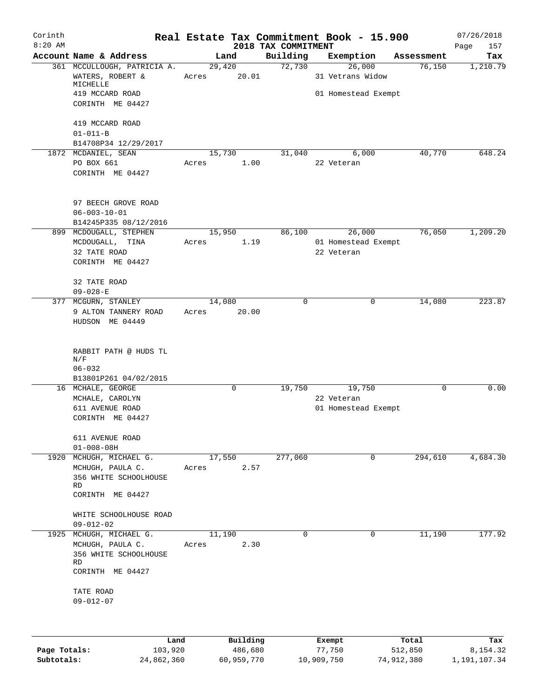| Corinth      |                                            |       |             |                                 |        | Real Estate Tax Commitment Book - 15.900 |             | 07/26/2018         |
|--------------|--------------------------------------------|-------|-------------|---------------------------------|--------|------------------------------------------|-------------|--------------------|
| $8:20$ AM    | Account Name & Address                     |       | Land        | 2018 TAX COMMITMENT<br>Building |        | Exemption                                | Assessment  | Page<br>157<br>Tax |
|              | 361 MCCULLOUGH, PATRICIA A.                |       | 29,420      | 72,730                          |        | 26,000                                   | 76,150      | 1,210.79           |
|              | WATERS, ROBERT &<br>MICHELLE               | Acres | 20.01       |                                 |        | 31 Vetrans Widow                         |             |                    |
|              | 419 MCCARD ROAD<br>CORINTH ME 04427        |       |             |                                 |        | 01 Homestead Exempt                      |             |                    |
|              | 419 MCCARD ROAD                            |       |             |                                 |        |                                          |             |                    |
|              | $01 - 011 - B$                             |       |             |                                 |        |                                          |             |                    |
|              | B14708P34 12/29/2017                       |       |             |                                 |        |                                          |             |                    |
|              | 1872 MCDANIEL, SEAN                        |       | 15,730      | 31,040                          |        | 6,000                                    | 40,770      | 648.24             |
|              | PO BOX 661<br>CORINTH ME 04427             | Acres | 1.00        |                                 |        | 22 Veteran                               |             |                    |
|              | 97 BEECH GROVE ROAD                        |       |             |                                 |        |                                          |             |                    |
|              | $06 - 003 - 10 - 01$                       |       |             |                                 |        |                                          |             |                    |
|              | B14245P335 08/12/2016                      |       |             |                                 |        |                                          |             |                    |
|              | 899 MCDOUGALL, STEPHEN                     |       | 15,950      | 86,100                          |        | 26,000                                   | 76,050      | 1,209.20           |
|              | MCDOUGALL, TINA<br>32 TATE ROAD            | Acres | 1.19        |                                 |        | 01 Homestead Exempt<br>22 Veteran        |             |                    |
|              | CORINTH ME 04427                           |       |             |                                 |        |                                          |             |                    |
|              | 32 TATE ROAD                               |       |             |                                 |        |                                          |             |                    |
|              | $09 - 028 - E$                             |       |             |                                 |        |                                          |             |                    |
|              | 377 MCGURN, STANLEY                        |       | 14,080      | $\mathbf 0$                     |        | 0                                        | 14,080      | 223.87             |
|              | 9 ALTON TANNERY ROAD                       | Acres | 20.00       |                                 |        |                                          |             |                    |
|              | HUDSON ME 04449                            |       |             |                                 |        |                                          |             |                    |
|              | RABBIT PATH @ HUDS TL                      |       |             |                                 |        |                                          |             |                    |
|              | N/F                                        |       |             |                                 |        |                                          |             |                    |
|              | $06 - 032$                                 |       |             |                                 |        |                                          |             |                    |
|              | B13801P261 04/02/2015<br>16 MCHALE, GEORGE |       | $\mathbf 0$ | 19,750                          |        | 19,750                                   | $\mathbf 0$ | 0.00               |
|              | MCHALE, CAROLYN                            |       |             |                                 |        | 22 Veteran                               |             |                    |
|              | 611 AVENUE ROAD                            |       |             |                                 |        | 01 Homestead Exempt                      |             |                    |
|              | CORINTH ME 04427                           |       |             |                                 |        |                                          |             |                    |
|              | 611 AVENUE ROAD                            |       |             |                                 |        |                                          |             |                    |
|              | $01 - 008 - 08H$                           |       |             |                                 |        |                                          |             |                    |
| 1920         | MCHUGH, MICHAEL G.                         |       | 17,550      | 277,060                         |        | 0                                        | 294,610     | 4,684.30           |
|              | MCHUGH, PAULA C.                           | Acres | 2.57        |                                 |        |                                          |             |                    |
|              | 356 WHITE SCHOOLHOUSE<br>RD                |       |             |                                 |        |                                          |             |                    |
|              | CORINTH ME 04427                           |       |             |                                 |        |                                          |             |                    |
|              | WHITE SCHOOLHOUSE ROAD<br>$09 - 012 - 02$  |       |             |                                 |        |                                          |             |                    |
|              | 1925 MCHUGH, MICHAEL G.                    |       | 11,190      | 0                               |        | 0                                        | 11,190      | 177.92             |
|              | MCHUGH, PAULA C.                           | Acres | 2.30        |                                 |        |                                          |             |                    |
|              | 356 WHITE SCHOOLHOUSE<br>RD                |       |             |                                 |        |                                          |             |                    |
|              | CORINTH ME 04427                           |       |             |                                 |        |                                          |             |                    |
|              | TATE ROAD<br>$09 - 012 - 07$               |       |             |                                 |        |                                          |             |                    |
|              |                                            |       |             |                                 |        |                                          |             |                    |
|              | Land                                       |       | Building    |                                 | Exempt |                                          | Total       | Tax                |
| Page Totals: | 103,920                                    |       | 486,680     |                                 | 77,750 |                                          | 512,850     | 8,154.32           |

**Subtotals:** 24,862,360 60,959,770 10,909,750 74,912,380 1,191,107.34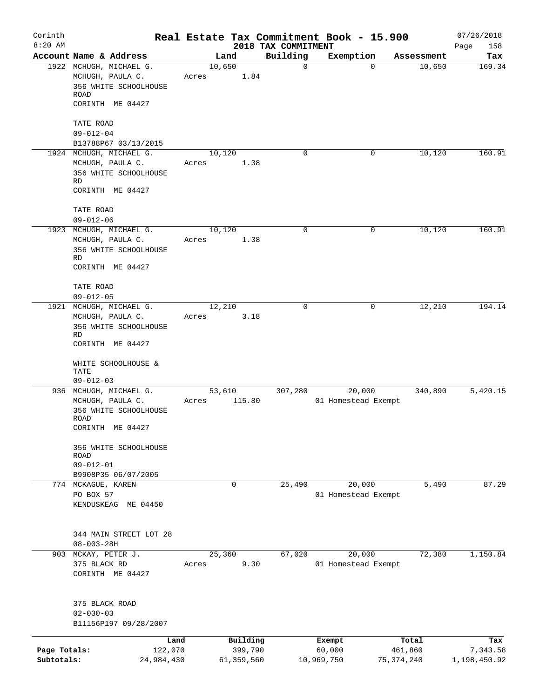| Corinth<br>$8:20$ AM       |                                                                                                  |       |                       |                                 | Real Estate Tax Commitment Book - 15.900 |                         | 07/26/2018               |
|----------------------------|--------------------------------------------------------------------------------------------------|-------|-----------------------|---------------------------------|------------------------------------------|-------------------------|--------------------------|
|                            | Account Name & Address                                                                           |       | Land                  | 2018 TAX COMMITMENT<br>Building | Exemption                                | Assessment              | Page<br>158<br>Tax       |
|                            | 1922 MCHUGH, MICHAEL G.<br>MCHUGH, PAULA C.<br>356 WHITE SCHOOLHOUSE<br>ROAD<br>CORINTH ME 04427 | Acres | 10,650<br>1.84        | $\mathbf 0$                     | $\Omega$                                 | 10,650                  | 169.34                   |
|                            | TATE ROAD<br>$09 - 012 - 04$<br>B13788P67 03/13/2015                                             |       |                       |                                 |                                          |                         |                          |
|                            | 1924 MCHUGH, MICHAEL G.<br>MCHUGH, PAULA C.<br>356 WHITE SCHOOLHOUSE<br>RD<br>CORINTH ME 04427   | Acres | 10, 120<br>1.38       | $\Omega$                        | 0                                        | 10,120                  | 160.91                   |
|                            | TATE ROAD<br>$09 - 012 - 06$                                                                     |       |                       |                                 |                                          |                         |                          |
|                            | 1923 MCHUGH, MICHAEL G.<br>MCHUGH, PAULA C.<br>356 WHITE SCHOOLHOUSE<br>RD.<br>CORINTH ME 04427  | Acres | 10,120<br>1.38        | $\Omega$                        | 0                                        | 10,120                  | 160.91                   |
|                            | TATE ROAD<br>$09 - 012 - 05$                                                                     |       |                       |                                 |                                          |                         |                          |
|                            | 1921 MCHUGH, MICHAEL G.<br>MCHUGH, PAULA C.<br>356 WHITE SCHOOLHOUSE<br>RD<br>CORINTH ME 04427   | Acres | 12,210<br>3.18        | $\mathbf 0$                     | 0                                        | 12,210                  | 194.14                   |
|                            | WHITE SCHOOLHOUSE &<br>TATE<br>$09 - 012 - 03$                                                   |       |                       |                                 |                                          |                         |                          |
|                            | 936 MCHUGH, MICHAEL G.<br>MCHUGH, PAULA C.<br>356 WHITE SCHOOLHOUSE<br>ROAD<br>CORINTH ME 04427  | Acres | 53,610<br>115.80      | 307,280                         | 20,000<br>01 Homestead Exempt            | 340,890                 | 5,420.15                 |
|                            | 356 WHITE SCHOOLHOUSE<br>ROAD<br>$09 - 012 - 01$                                                 |       |                       |                                 |                                          |                         |                          |
|                            | B9908P35 06/07/2005                                                                              |       |                       |                                 |                                          |                         |                          |
|                            | 774 MCKAGUE, KAREN<br>PO BOX 57<br>KENDUSKEAG ME 04450                                           |       | $\mathbf 0$           | 25,490                          | 20,000<br>01 Homestead Exempt            | 5,490                   | 87.29                    |
|                            | 344 MAIN STREET LOT 28<br>$08 - 003 - 28H$                                                       |       |                       |                                 |                                          |                         |                          |
| 903                        | MCKAY, PETER J.<br>375 BLACK RD<br>CORINTH ME 04427                                              | Acres | 25,360<br>9.30        | 67,020                          | 20,000<br>01 Homestead Exempt            | 72,380                  | 1,150.84                 |
|                            | 375 BLACK ROAD<br>$02 - 030 - 03$<br>B11156P197 09/28/2007                                       |       |                       |                                 |                                          |                         |                          |
|                            |                                                                                                  | Land  | Building              |                                 | Exempt                                   | Total                   | Tax                      |
| Page Totals:<br>Subtotals: | 122,070<br>24,984,430                                                                            |       | 399,790<br>61,359,560 |                                 | 60,000<br>10,969,750                     | 461,860<br>75, 374, 240 | 7,343.58<br>1,198,450.92 |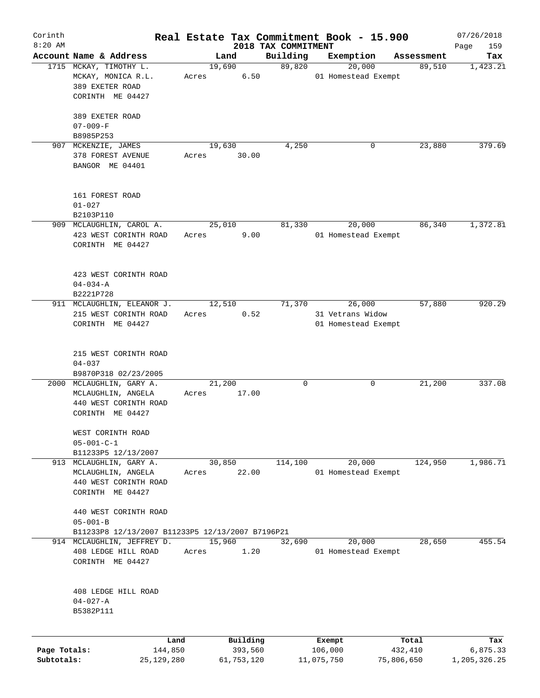| Corinth      |                                                  |       |                |                     | Real Estate Tax Commitment Book - 15.900 |            | 07/26/2018   |
|--------------|--------------------------------------------------|-------|----------------|---------------------|------------------------------------------|------------|--------------|
| $8:20$ AM    |                                                  |       |                | 2018 TAX COMMITMENT |                                          |            | Page<br>159  |
|              | Account Name & Address                           |       | Land           | Building            | Exemption                                | Assessment | Tax          |
|              | 1715 MCKAY, TIMOTHY L.<br>MCKAY, MONICA R.L.     | Acres | 19,690<br>6.50 | 89,820              | 20,000<br>01 Homestead Exempt            | 89,510     | 1,423.21     |
|              | 389 EXETER ROAD                                  |       |                |                     |                                          |            |              |
|              | CORINTH ME 04427                                 |       |                |                     |                                          |            |              |
|              | 389 EXETER ROAD                                  |       |                |                     |                                          |            |              |
|              | $07 - 009 - F$                                   |       |                |                     |                                          |            |              |
|              | B8985P253                                        |       |                |                     |                                          |            |              |
| 907          | MCKENZIE, JAMES                                  |       | 19,630         | 4,250               | 0                                        | 23,880     | 379.69       |
|              | 378 FOREST AVENUE                                | Acres | 30.00          |                     |                                          |            |              |
|              | BANGOR ME 04401                                  |       |                |                     |                                          |            |              |
|              |                                                  |       |                |                     |                                          |            |              |
|              | 161 FOREST ROAD                                  |       |                |                     |                                          |            |              |
|              | $01 - 027$                                       |       |                |                     |                                          |            |              |
|              | B2103P110                                        |       |                |                     |                                          |            |              |
|              | 909 MCLAUGHLIN, CAROL A.                         |       | 25,010         | 81,330              | 20,000                                   | 86,340     | 1,372.81     |
|              | 423 WEST CORINTH ROAD                            | Acres | 9.00           |                     | 01 Homestead Exempt                      |            |              |
|              | CORINTH ME 04427                                 |       |                |                     |                                          |            |              |
|              |                                                  |       |                |                     |                                          |            |              |
|              | 423 WEST CORINTH ROAD                            |       |                |                     |                                          |            |              |
|              | $04 - 034 - A$                                   |       |                |                     |                                          |            |              |
|              | B2221P728                                        |       |                |                     |                                          |            |              |
|              | 911 MCLAUGHLIN, ELEANOR J.                       |       | 12,510         | 71,370              | 26,000                                   | 57,880     | 920.29       |
|              | 215 WEST CORINTH ROAD                            | Acres | 0.52           |                     | 31 Vetrans Widow                         |            |              |
|              | CORINTH ME 04427                                 |       |                |                     | 01 Homestead Exempt                      |            |              |
|              |                                                  |       |                |                     |                                          |            |              |
|              |                                                  |       |                |                     |                                          |            |              |
|              | 215 WEST CORINTH ROAD                            |       |                |                     |                                          |            |              |
|              | $04 - 037$                                       |       |                |                     |                                          |            |              |
|              | B9870P318 02/23/2005                             |       |                |                     |                                          |            |              |
|              | 2000 MCLAUGHLIN, GARY A.                         |       | 21,200         | 0                   | 0                                        | 21,200     | 337.08       |
|              | MCLAUGHLIN, ANGELA                               | Acres | 17.00          |                     |                                          |            |              |
|              | 440 WEST CORINTH ROAD                            |       |                |                     |                                          |            |              |
|              | CORINTH ME 04427                                 |       |                |                     |                                          |            |              |
|              | WEST CORINTH ROAD                                |       |                |                     |                                          |            |              |
|              | $05 - 001 - C - 1$                               |       |                |                     |                                          |            |              |
|              | B11233P5 12/13/2007                              |       |                |                     |                                          |            |              |
|              | 913 MCLAUGHLIN, GARY A.                          |       | 30,850         | 114,100             | 20,000                                   | 124,950    | 1,986.71     |
|              | MCLAUGHLIN, ANGELA                               | Acres | 22.00          |                     | 01 Homestead Exempt                      |            |              |
|              | 440 WEST CORINTH ROAD                            |       |                |                     |                                          |            |              |
|              | CORINTH ME 04427                                 |       |                |                     |                                          |            |              |
|              |                                                  |       |                |                     |                                          |            |              |
|              | 440 WEST CORINTH ROAD                            |       |                |                     |                                          |            |              |
|              | $05 - 001 - B$                                   |       |                |                     |                                          |            |              |
|              | B11233P8 12/13/2007 B11233P5 12/13/2007 B7196P21 |       |                |                     |                                          |            |              |
|              |                                                  |       | 15,960         |                     |                                          |            | 455.54       |
| 914          | MCLAUGHLIN, JEFFREY D.                           |       |                | 32,690              | 20,000                                   | 28,650     |              |
|              | 408 LEDGE HILL ROAD                              | Acres | 1.20           |                     | 01 Homestead Exempt                      |            |              |
|              | CORINTH ME 04427                                 |       |                |                     |                                          |            |              |
|              |                                                  |       |                |                     |                                          |            |              |
|              | 408 LEDGE HILL ROAD                              |       |                |                     |                                          |            |              |
|              | $04 - 027 - A$                                   |       |                |                     |                                          |            |              |
|              | B5382P111                                        |       |                |                     |                                          |            |              |
|              |                                                  |       |                |                     |                                          |            |              |
|              | Land                                             |       | Building       |                     | Exempt                                   | Total      | Tax          |
| Page Totals: | 144,850                                          |       | 393,560        |                     | 106,000                                  | 432,410    | 6,875.33     |
| Subtotals:   | 25,129,280                                       |       | 61,753,120     |                     | 11,075,750                               | 75,806,650 | 1,205,326.25 |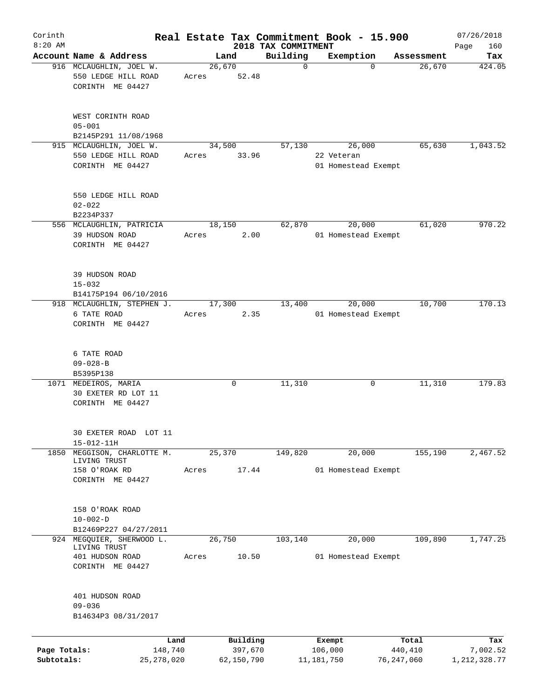| Corinth      |                                                                    |       |                     |                         | Real Estate Tax Commitment Book - 15.900    |                      | 07/26/2018      |
|--------------|--------------------------------------------------------------------|-------|---------------------|-------------------------|---------------------------------------------|----------------------|-----------------|
| $8:20$ AM    | Account Name & Address                                             |       |                     | 2018 TAX COMMITMENT     |                                             |                      | Page<br>160     |
|              | 916 MCLAUGHLIN, JOEL W.                                            |       | Land<br>26,670      | Building<br>$\mathbf 0$ | Exemption<br>$\Omega$                       | Assessment<br>26,670 | Tax<br>424.05   |
|              | 550 LEDGE HILL ROAD<br>CORINTH ME 04427                            | Acres | 52.48               |                         |                                             |                      |                 |
|              | WEST CORINTH ROAD<br>$05 - 001$                                    |       |                     |                         |                                             |                      |                 |
|              | B2145P291 11/08/1968                                               |       |                     |                         |                                             |                      |                 |
|              | 915 MCLAUGHLIN, JOEL W.<br>550 LEDGE HILL ROAD<br>CORINTH ME 04427 | Acres | 34,500<br>33.96     | 57,130                  | 26,000<br>22 Veteran<br>01 Homestead Exempt | 65,630               | 1,043.52        |
|              | 550 LEDGE HILL ROAD<br>$02 - 022$                                  |       |                     |                         |                                             |                      |                 |
|              | B2234P337                                                          |       |                     |                         |                                             |                      |                 |
|              | 556 MCLAUGHLIN, PATRICIA<br>39 HUDSON ROAD<br>CORINTH ME 04427     | Acres | 18,150<br>2.00      | 62,870                  | 20,000<br>01 Homestead Exempt               | 61,020               | 970.22          |
|              | 39 HUDSON ROAD<br>$15 - 032$<br>B14175P194 06/10/2016              |       |                     |                         |                                             |                      |                 |
|              | 918 MCLAUGHLIN, STEPHEN J.                                         |       | 17,300              | 13,400                  | 20,000                                      | 10,700               | 170.13          |
|              | 6 TATE ROAD<br>CORINTH ME 04427                                    | Acres | 2.35                |                         | 01 Homestead Exempt                         |                      |                 |
|              | 6 TATE ROAD<br>$09 - 028 - B$                                      |       |                     |                         |                                             |                      |                 |
|              | B5395P138                                                          |       |                     |                         |                                             |                      |                 |
|              | 1071 MEDEIROS, MARIA<br>30 EXETER RD LOT 11<br>CORINTH ME 04427    |       | 0                   | 11,310                  | 0                                           | 11,310               | 179.83          |
|              | 30 EXETER ROAD LOT 11<br>15-012-11H                                |       |                     |                         |                                             |                      |                 |
| 1850         | MEGGISON, CHARLOTTE M.<br>LIVING TRUST                             |       | 25,370              | 149,820                 | 20,000                                      | 155,190              | 2,467.52        |
|              | 158 O'ROAK RD<br>CORINTH ME 04427                                  | Acres | 17.44               |                         | 01 Homestead Exempt                         |                      |                 |
|              | 158 O'ROAK ROAD<br>$10 - 002 - D$<br>B12469P227 04/27/2011         |       |                     |                         |                                             |                      |                 |
|              | 924 MEGQUIER, SHERWOOD L.<br>LIVING TRUST                          |       | 26,750              | 103,140                 | 20,000                                      | 109,890              | 1,747.25        |
|              | 401 HUDSON ROAD<br>CORINTH ME 04427                                | Acres | 10.50               |                         | 01 Homestead Exempt                         |                      |                 |
|              | 401 HUDSON ROAD<br>$09 - 036$<br>B14634P3 08/31/2017               |       |                     |                         |                                             |                      |                 |
|              |                                                                    |       |                     |                         |                                             |                      |                 |
| Page Totals: | Land<br>148,740                                                    |       | Building<br>397,670 |                         | Exempt<br>106,000                           | Total<br>440,410     | Tax<br>7,002.52 |
| Subtotals:   | 25,278,020                                                         |       | 62,150,790          |                         | 11,181,750                                  | 76,247,060           | 1,212,328.77    |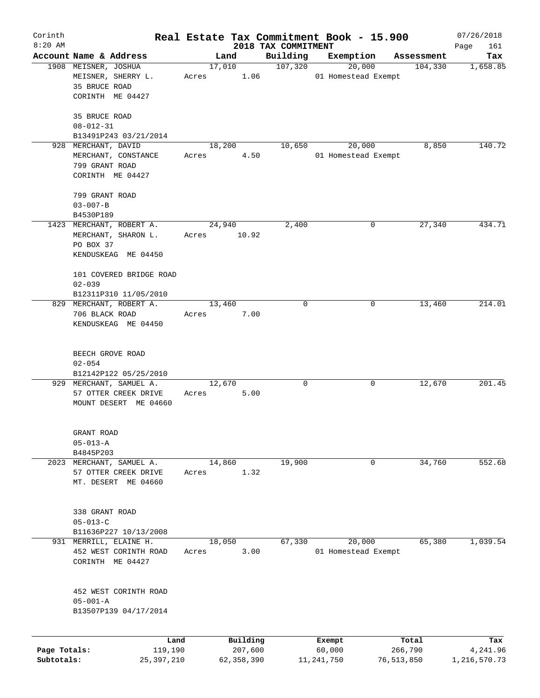| Corinth      |                          |             |                     |                                 | Real Estate Tax Commitment Book - 15.900 |                       | 07/26/2018         |
|--------------|--------------------------|-------------|---------------------|---------------------------------|------------------------------------------|-----------------------|--------------------|
| $8:20$ AM    | Account Name & Address   |             |                     | 2018 TAX COMMITMENT<br>Building | Exemption                                |                       | Page<br>161<br>Tax |
|              | 1908 MEISNER, JOSHUA     |             | Land<br>17,010      | 107,320                         | 20,000                                   | Assessment<br>104,330 | 1,658.85           |
|              | MEISNER, SHERRY L.       | Acres       | 1.06                |                                 | 01 Homestead Exempt                      |                       |                    |
|              | 35 BRUCE ROAD            |             |                     |                                 |                                          |                       |                    |
|              | CORINTH ME 04427         |             |                     |                                 |                                          |                       |                    |
|              |                          |             |                     |                                 |                                          |                       |                    |
|              | 35 BRUCE ROAD            |             |                     |                                 |                                          |                       |                    |
|              | $08 - 012 - 31$          |             |                     |                                 |                                          |                       |                    |
|              | B13491P243 03/21/2014    |             |                     |                                 |                                          |                       |                    |
|              | 928 MERCHANT, DAVID      |             | 18,200              | 10,650                          | 20,000                                   | 8,850                 | 140.72             |
|              | MERCHANT, CONSTANCE      | Acres       | 4.50                |                                 | 01 Homestead Exempt                      |                       |                    |
|              | 799 GRANT ROAD           |             |                     |                                 |                                          |                       |                    |
|              | CORINTH ME 04427         |             |                     |                                 |                                          |                       |                    |
|              |                          |             |                     |                                 |                                          |                       |                    |
|              | 799 GRANT ROAD           |             |                     |                                 |                                          |                       |                    |
|              | $03 - 007 - B$           |             |                     |                                 |                                          |                       |                    |
|              | B4530P189                |             |                     |                                 |                                          |                       |                    |
|              | 1423 MERCHANT, ROBERT A. |             | 24,940              | 2,400                           | 0                                        | 27,340                | 434.71             |
|              | MERCHANT, SHARON L.      | Acres 10.92 |                     |                                 |                                          |                       |                    |
|              | PO BOX 37                |             |                     |                                 |                                          |                       |                    |
|              | KENDUSKEAG ME 04450      |             |                     |                                 |                                          |                       |                    |
|              |                          |             |                     |                                 |                                          |                       |                    |
|              | 101 COVERED BRIDGE ROAD  |             |                     |                                 |                                          |                       |                    |
|              | $02 - 039$               |             |                     |                                 |                                          |                       |                    |
|              | B12311P310 11/05/2010    |             |                     | $\Omega$                        |                                          |                       |                    |
|              | 829 MERCHANT, ROBERT A.  |             | 13,460              |                                 | 0                                        | 13,460                | 214.01             |
|              | 706 BLACK ROAD           | Acres       | 7.00                |                                 |                                          |                       |                    |
|              | KENDUSKEAG ME 04450      |             |                     |                                 |                                          |                       |                    |
|              |                          |             |                     |                                 |                                          |                       |                    |
|              | BEECH GROVE ROAD         |             |                     |                                 |                                          |                       |                    |
|              | $02 - 054$               |             |                     |                                 |                                          |                       |                    |
|              | B12142P122 05/25/2010    |             |                     |                                 |                                          |                       |                    |
|              | 929 MERCHANT, SAMUEL A.  | 12,670      |                     | 0                               | 0                                        | 12,670                | 201.45             |
|              | 57 OTTER CREEK DRIVE     | Acres       | 5.00                |                                 |                                          |                       |                    |
|              | MOUNT DESERT ME 04660    |             |                     |                                 |                                          |                       |                    |
|              |                          |             |                     |                                 |                                          |                       |                    |
|              | GRANT ROAD               |             |                     |                                 |                                          |                       |                    |
|              | $05 - 013 - A$           |             |                     |                                 |                                          |                       |                    |
|              | B4845P203                |             |                     |                                 |                                          |                       |                    |
| 2023         | MERCHANT, SAMUEL A.      | 14,860      |                     | 19,900                          | 0                                        | 34,760                | 552.68             |
|              | 57 OTTER CREEK DRIVE     | Acres       | 1.32                |                                 |                                          |                       |                    |
|              | MT. DESERT ME 04660      |             |                     |                                 |                                          |                       |                    |
|              |                          |             |                     |                                 |                                          |                       |                    |
|              |                          |             |                     |                                 |                                          |                       |                    |
|              | 338 GRANT ROAD           |             |                     |                                 |                                          |                       |                    |
|              | $05 - 013 - C$           |             |                     |                                 |                                          |                       |                    |
|              | B11636P227 10/13/2008    |             |                     |                                 |                                          |                       |                    |
|              | 931 MERRILL, ELAINE H.   |             | 18,050              | 67,330                          | 20,000                                   | 65,380                | 1,039.54           |
|              | 452 WEST CORINTH ROAD    | Acres       | 3.00                |                                 | 01 Homestead Exempt                      |                       |                    |
|              | CORINTH ME 04427         |             |                     |                                 |                                          |                       |                    |
|              |                          |             |                     |                                 |                                          |                       |                    |
|              | 452 WEST CORINTH ROAD    |             |                     |                                 |                                          |                       |                    |
|              | $05 - 001 - A$           |             |                     |                                 |                                          |                       |                    |
|              | B13507P139 04/17/2014    |             |                     |                                 |                                          |                       |                    |
|              |                          |             |                     |                                 |                                          |                       |                    |
| Page Totals: | Land<br>119,190          |             | Building<br>207,600 |                                 | Exempt<br>60,000                         | Total<br>266,790      | Tax<br>4,241.96    |
| Subtotals:   | 25, 397, 210             |             | 62, 358, 390        |                                 | 11, 241, 750                             | 76,513,850            | 1,216,570.73       |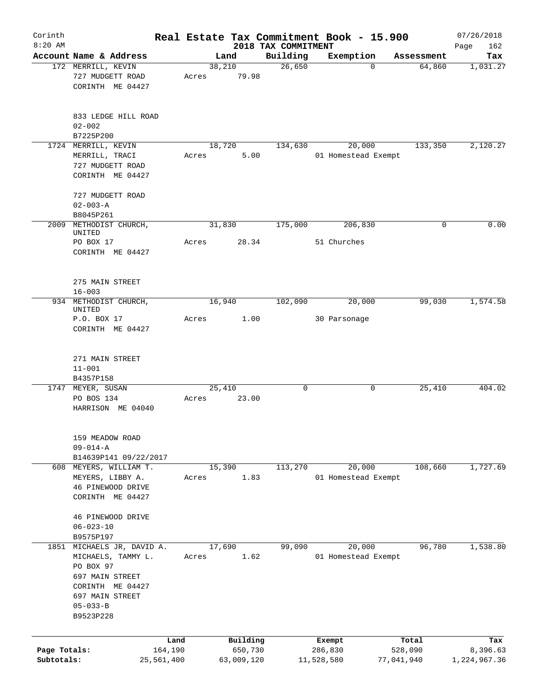| Corinth      |                                                                                                                                                        |                 |       |                     |                                 | Real Estate Tax Commitment Book - 15.900 |                  | 07/26/2018         |
|--------------|--------------------------------------------------------------------------------------------------------------------------------------------------------|-----------------|-------|---------------------|---------------------------------|------------------------------------------|------------------|--------------------|
| $8:20$ AM    | Account Name & Address                                                                                                                                 |                 |       | Land                | 2018 TAX COMMITMENT<br>Building | Exemption                                | Assessment       | 162<br>Page<br>Tax |
|              | 172 MERRILL, KEVIN                                                                                                                                     |                 |       | 38,210              | 26,650                          | $\Omega$                                 | 64,860           | 1,031.27           |
|              | 727 MUDGETT ROAD<br>CORINTH ME 04427                                                                                                                   |                 | Acres | 79.98               |                                 |                                          |                  |                    |
|              | 833 LEDGE HILL ROAD<br>$02 - 002$                                                                                                                      |                 |       |                     |                                 |                                          |                  |                    |
|              | B7225P200                                                                                                                                              |                 |       |                     |                                 |                                          |                  |                    |
|              | 1724 MERRILL, KEVIN<br>MERRILL, TRACI<br>727 MUDGETT ROAD<br>CORINTH ME 04427                                                                          |                 | Acres | 18,720<br>5.00      | 134,630                         | 20,000<br>01 Homestead Exempt            | 133,350          | 2,120.27           |
|              | 727 MUDGETT ROAD<br>$02 - 003 - A$                                                                                                                     |                 |       |                     |                                 |                                          |                  |                    |
|              | B8045P261                                                                                                                                              |                 |       |                     |                                 |                                          |                  |                    |
| 2009         | METHODIST CHURCH,<br>UNITED                                                                                                                            |                 |       | 31,830              | 175,000                         | 206,830                                  | 0                | 0.00               |
|              | PO BOX 17<br>CORINTH ME 04427                                                                                                                          |                 | Acres | 28.34               |                                 | 51 Churches                              |                  |                    |
|              | 275 MAIN STREET<br>$16 - 003$                                                                                                                          |                 |       |                     |                                 |                                          |                  |                    |
|              | 934 METHODIST CHURCH,<br>UNITED                                                                                                                        |                 |       | 16,940              | 102,090                         | 20,000                                   | 99,030           | 1,574.58           |
|              | P.O. BOX 17<br>CORINTH ME 04427                                                                                                                        |                 | Acres | 1.00                |                                 | 30 Parsonage                             |                  |                    |
|              | 271 MAIN STREET<br>$11 - 001$<br>B4357P158                                                                                                             |                 |       |                     |                                 |                                          |                  |                    |
|              | 1747 MEYER, SUSAN                                                                                                                                      |                 |       | 25,410              | 0                               | 0                                        | 25,410           | 404.02             |
|              | PO BOS 134<br>HARRISON ME 04040                                                                                                                        |                 | Acres | 23.00               |                                 |                                          |                  |                    |
|              | 159 MEADOW ROAD<br>$09 - 014 - A$                                                                                                                      |                 |       |                     |                                 |                                          |                  |                    |
|              | B14639P141 09/22/2017<br>608 MEYERS, WILLIAM T.                                                                                                        |                 |       | 15,390              | $1\overline{13,270}$            | 20,000                                   | 108,660          | 1,727.69           |
|              | MEYERS, LIBBY A.<br>46 PINEWOOD DRIVE<br>CORINTH ME 04427                                                                                              |                 | Acres | 1.83                |                                 | 01 Homestead Exempt                      |                  |                    |
|              | 46 PINEWOOD DRIVE<br>$06 - 023 - 10$                                                                                                                   |                 |       |                     |                                 |                                          |                  |                    |
|              | B9575P197                                                                                                                                              |                 |       |                     |                                 |                                          |                  |                    |
|              | 1851 MICHAELS JR, DAVID A.<br>MICHAELS, TAMMY L.<br>PO BOX 97<br>697 MAIN STREET<br>CORINTH ME 04427<br>697 MAIN STREET<br>$05 - 033 - B$<br>B9523P228 |                 | Acres | 17,690<br>1.62      | 99,090                          | 20,000<br>01 Homestead Exempt            | 96,780           | 1,538.80           |
|              |                                                                                                                                                        |                 |       |                     |                                 |                                          |                  |                    |
| Page Totals: |                                                                                                                                                        | Land<br>164,190 |       | Building<br>650,730 |                                 | Exempt<br>286,830                        | Total<br>528,090 | Tax<br>8,396.63    |
| Subtotals:   |                                                                                                                                                        | 25,561,400      |       | 63,009,120          |                                 | 11,528,580                               | 77,041,940       | 1,224,967.36       |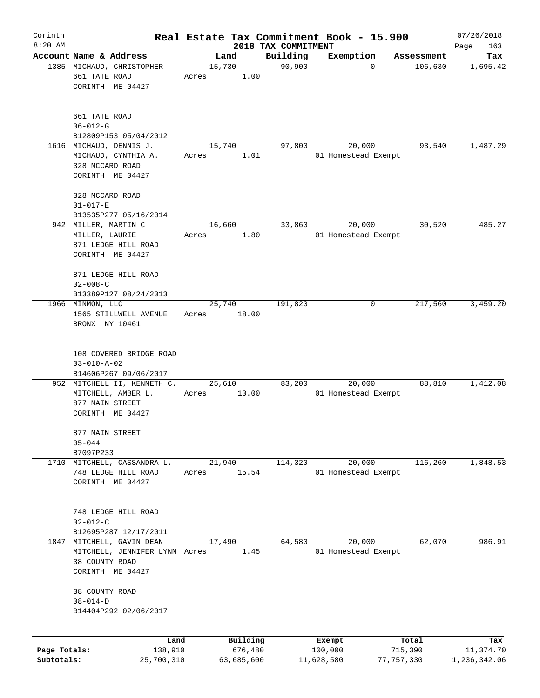| Corinth      |                                                                                   |                 |            |                     | Real Estate Tax Commitment Book - 15.900 |                       | 07/26/2018      |
|--------------|-----------------------------------------------------------------------------------|-----------------|------------|---------------------|------------------------------------------|-----------------------|-----------------|
| $8:20$ AM    |                                                                                   |                 |            | 2018 TAX COMMITMENT |                                          |                       | Page<br>163     |
|              | Account Name & Address                                                            | 15,730          | Land       | Building<br>90,900  | Exemption<br>$\mathbf 0$                 | Assessment<br>106,630 | Tax<br>1,695.42 |
|              | 1385 MICHAUD, CHRISTOPHER<br>661 TATE ROAD<br>CORINTH ME 04427                    | Acres           | 1.00       |                     |                                          |                       |                 |
|              | 661 TATE ROAD<br>$06 - 012 - G$                                                   |                 |            |                     |                                          |                       |                 |
|              | B12809P153 05/04/2012<br>1616 MICHAUD, DENNIS J.                                  |                 |            |                     |                                          | 93,540                | 1,487.29        |
|              | MICHAUD, CYNTHIA A.<br>328 MCCARD ROAD<br>CORINTH ME 04427                        | 15,740<br>Acres | 1.01       | 97,800              | 20,000<br>01 Homestead Exempt            |                       |                 |
|              | 328 MCCARD ROAD<br>$01 - 017 - E$                                                 |                 |            |                     |                                          |                       |                 |
|              | B13535P277 05/16/2014                                                             |                 |            |                     |                                          |                       |                 |
|              | 942 MILLER, MARTIN C<br>MILLER, LAURIE<br>871 LEDGE HILL ROAD<br>CORINTH ME 04427 | 16,660<br>Acres | 1.80       | 33,860              | 20,000<br>01 Homestead Exempt            | 30,520                | 485.27          |
|              | 871 LEDGE HILL ROAD<br>$02 - 008 - C$<br>B13389P127 08/24/2013                    |                 |            |                     |                                          |                       |                 |
|              | 1966 MINMON, LLC                                                                  | 25,740          |            | 191,820             | 0                                        | 217,560               | 3,459.20        |
|              | 1565 STILLWELL AVENUE<br>BRONX NY 10461                                           | Acres           | 18.00      |                     |                                          |                       |                 |
|              | 108 COVERED BRIDGE ROAD<br>$03 - 010 - A - 02$<br>B14606P267 09/06/2017           |                 |            |                     |                                          |                       |                 |
|              | 952 MITCHELL II, KENNETH C.                                                       | 25,610          |            | 83,200              | 20,000                                   | 88,810                | 1,412.08        |
|              | MITCHELL, AMBER L.<br>877 MAIN STREET<br>CORINTH ME 04427                         | Acres           | 10.00      |                     | 01 Homestead Exempt                      |                       |                 |
|              | 877 MAIN STREET<br>$05 - 044$                                                     |                 |            |                     |                                          |                       |                 |
|              | B7097P233                                                                         |                 |            |                     |                                          |                       |                 |
| 1710         | MITCHELL, CASSANDRA L.<br>748 LEDGE HILL ROAD<br>CORINTH ME 04427                 | 21,940<br>Acres | 15.54      | 114,320             | 20,000<br>01 Homestead Exempt            | 116,260               | 1,848.53        |
|              | 748 LEDGE HILL ROAD<br>$02 - 012 - C$<br>B12695P287 12/17/2011                    |                 |            |                     |                                          |                       |                 |
| 1847         | MITCHELL, GAVIN DEAN<br>MITCHELL, JENNIFER LYNN Acres<br>38 COUNTY ROAD           | 17,490          | 1.45       | 64,580              | 20,000<br>01 Homestead Exempt            | 62,070                | 986.91          |
|              | CORINTH ME 04427<br>38 COUNTY ROAD<br>$08 - 014 - D$<br>B14404P292 02/06/2017     |                 |            |                     |                                          |                       |                 |
|              | Land                                                                              |                 | Building   |                     | Exempt                                   | Total                 | Tax             |
| Page Totals: | 138,910                                                                           |                 | 676,480    |                     | 100,000                                  | 715,390               | 11,374.70       |
| Subtotals:   | 25,700,310                                                                        |                 | 63,685,600 |                     | 11,628,580                               | 77, 757, 330          | 1,236,342.06    |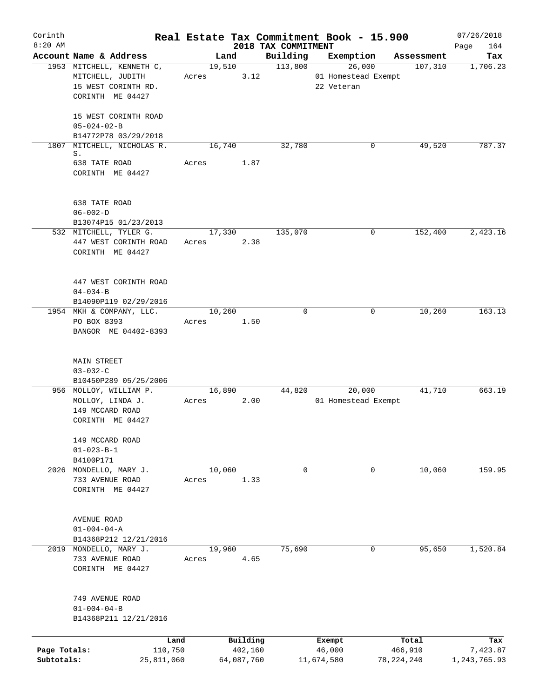| Corinth<br>$8:20$ AM       |                                                                                          |                 |                       |                                 | Real Estate Tax Commitment Book - 15.900    |                       | 07/26/2018               |
|----------------------------|------------------------------------------------------------------------------------------|-----------------|-----------------------|---------------------------------|---------------------------------------------|-----------------------|--------------------------|
|                            | Account Name & Address                                                                   |                 | Land                  | 2018 TAX COMMITMENT<br>Building | Exemption                                   | Assessment            | Page<br>164<br>Tax       |
|                            | 1953 MITCHELL, KENNETH C,<br>MITCHELL, JUDITH<br>15 WEST CORINTH RD.<br>CORINTH ME 04427 | Acres           | 19,510<br>3.12        | 113,800                         | 26,000<br>01 Homestead Exempt<br>22 Veteran | 107,310               | 1,706.23                 |
|                            | 15 WEST CORINTH ROAD<br>$05 - 024 - 02 - B$<br>B14772P78 03/29/2018                      |                 |                       |                                 |                                             |                       |                          |
| 1807                       | MITCHELL, NICHOLAS R.                                                                    | 16,740          |                       | 32,780                          |                                             | 49,520<br>0           | 787.37                   |
|                            | S.<br>638 TATE ROAD<br>CORINTH ME 04427                                                  | Acres           | 1.87                  |                                 |                                             |                       |                          |
|                            | 638 TATE ROAD<br>$06 - 002 - D$<br>B13074P15 01/23/2013                                  |                 |                       |                                 |                                             |                       |                          |
|                            | 532 MITCHELL, TYLER G.<br>447 WEST CORINTH ROAD<br>CORINTH ME 04427                      | 17,330<br>Acres | 2.38                  | 135,070                         |                                             | 0<br>152,400          | 2,423.16                 |
|                            | 447 WEST CORINTH ROAD<br>$04 - 034 - B$<br>B14090P119 02/29/2016                         |                 |                       |                                 |                                             |                       |                          |
|                            | 1954 MKH & COMPANY, LLC.<br>PO BOX 8393<br>BANGOR ME 04402-8393                          | 10,260<br>Acres | 1.50                  | $\Omega$                        |                                             | 10,260<br>0           | 163.13                   |
|                            | <b>MAIN STREET</b><br>$03 - 032 - C$<br>B10450P289 05/25/2006                            |                 |                       |                                 |                                             |                       |                          |
|                            | 956 MOLLOY, WILLIAM P.<br>MOLLOY, LINDA J.<br>149 MCCARD ROAD<br>CORINTH ME 04427        | 16,890<br>Acres | 2.00                  | 44,820                          | 20,000<br>01 Homestead Exempt               | 41,710                | 663.19                   |
|                            | 149 MCCARD ROAD<br>$01 - 023 - B - 1$<br>B4100P171                                       |                 |                       |                                 |                                             |                       |                          |
|                            | 2026 MONDELLO, MARY J.<br>733 AVENUE ROAD<br>CORINTH ME 04427                            | 10,060<br>Acres | 1.33                  | $\mathbf 0$                     |                                             | 10,060<br>$\mathbf 0$ | 159.95                   |
|                            | AVENUE ROAD<br>$01 - 004 - 04 - A$<br>B14368P212 12/21/2016                              |                 |                       |                                 |                                             |                       |                          |
|                            | 2019 MONDELLO, MARY J.<br>733 AVENUE ROAD<br>CORINTH ME 04427                            | 19,960<br>Acres | 4.65                  | 75,690                          |                                             | $\mathbf 0$<br>95,650 | 1,520.84                 |
|                            | 749 AVENUE ROAD<br>$01 - 004 - 04 - B$<br>B14368P211 12/21/2016                          |                 |                       |                                 |                                             |                       |                          |
|                            | Land                                                                                     |                 | Building              |                                 | Exempt                                      | Total                 | Tax                      |
| Page Totals:<br>Subtotals: | 110,750<br>25,811,060                                                                    |                 | 402,160<br>64,087,760 |                                 | 46,000<br>11,674,580                        | 466,910<br>78,224,240 | 7,423.87<br>1,243,765.93 |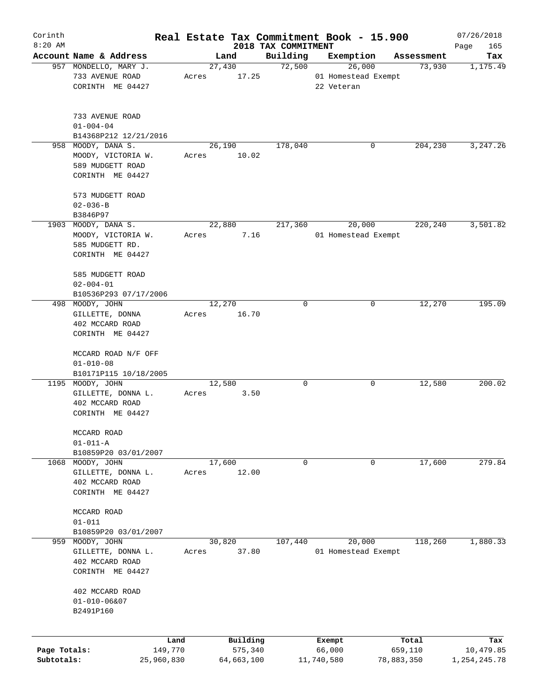|                                                                                  |                                                                                                     |                                                                                                                                                |                                                                                              |                                                                            |                                                                                                                      |                                                         |                                                       | 07/26/2018                                                                                                                                                                           |
|----------------------------------------------------------------------------------|-----------------------------------------------------------------------------------------------------|------------------------------------------------------------------------------------------------------------------------------------------------|----------------------------------------------------------------------------------------------|----------------------------------------------------------------------------|----------------------------------------------------------------------------------------------------------------------|---------------------------------------------------------|-------------------------------------------------------|--------------------------------------------------------------------------------------------------------------------------------------------------------------------------------------|
|                                                                                  |                                                                                                     |                                                                                                                                                |                                                                                              |                                                                            |                                                                                                                      |                                                         |                                                       | Page<br>165                                                                                                                                                                          |
|                                                                                  |                                                                                                     |                                                                                                                                                |                                                                                              |                                                                            |                                                                                                                      |                                                         |                                                       | Tax                                                                                                                                                                                  |
| 733 AVENUE ROAD<br>CORINTH ME 04427                                              |                                                                                                     |                                                                                                                                                |                                                                                              |                                                                            |                                                                                                                      |                                                         |                                                       | 1,175.49                                                                                                                                                                             |
| 733 AVENUE ROAD<br>$01 - 004 - 04$                                               |                                                                                                     |                                                                                                                                                |                                                                                              |                                                                            |                                                                                                                      |                                                         |                                                       |                                                                                                                                                                                      |
| 958<br>MOODY, DANA S.                                                            |                                                                                                     |                                                                                                                                                |                                                                                              | 178,040                                                                    |                                                                                                                      | 0                                                       | 204,230                                               | 3,247.26                                                                                                                                                                             |
| MOODY, VICTORIA W.<br>589 MUDGETT ROAD<br>CORINTH ME 04427                       |                                                                                                     |                                                                                                                                                |                                                                                              |                                                                            |                                                                                                                      |                                                         |                                                       |                                                                                                                                                                                      |
| 573 MUDGETT ROAD                                                                 |                                                                                                     |                                                                                                                                                |                                                                                              |                                                                            |                                                                                                                      |                                                         |                                                       |                                                                                                                                                                                      |
| $02 - 036 - B$                                                                   |                                                                                                     |                                                                                                                                                |                                                                                              |                                                                            |                                                                                                                      |                                                         |                                                       |                                                                                                                                                                                      |
| B3846P97                                                                         |                                                                                                     |                                                                                                                                                |                                                                                              |                                                                            |                                                                                                                      |                                                         |                                                       |                                                                                                                                                                                      |
| MOODY, VICTORIA W.<br>585 MUDGETT RD.<br>CORINTH ME 04427                        |                                                                                                     |                                                                                                                                                |                                                                                              |                                                                            |                                                                                                                      |                                                         |                                                       | 3,501.82                                                                                                                                                                             |
| 585 MUDGETT ROAD<br>$02 - 004 - 01$                                              |                                                                                                     |                                                                                                                                                |                                                                                              |                                                                            |                                                                                                                      |                                                         |                                                       |                                                                                                                                                                                      |
| MOODY, JOHN<br>498<br>GILLETTE, DONNA<br>402 MCCARD ROAD<br>CORINTH ME 04427     |                                                                                                     |                                                                                                                                                |                                                                                              | 0                                                                          |                                                                                                                      | 0                                                       | 12,270                                                | 195.09                                                                                                                                                                               |
| $01 - 010 - 08$                                                                  |                                                                                                     |                                                                                                                                                |                                                                                              |                                                                            |                                                                                                                      |                                                         |                                                       |                                                                                                                                                                                      |
| 1195<br>MOODY, JOHN<br>GILLETTE, DONNA L.<br>402 MCCARD ROAD<br>CORINTH ME 04427 |                                                                                                     |                                                                                                                                                |                                                                                              | 0                                                                          |                                                                                                                      | 0                                                       | 12,580                                                | 200.02                                                                                                                                                                               |
| MCCARD ROAD<br>$01 - 011 - A$                                                    |                                                                                                     |                                                                                                                                                |                                                                                              |                                                                            |                                                                                                                      |                                                         |                                                       |                                                                                                                                                                                      |
| 1068 MOODY, JOHN<br>GILLETTE, DONNA L.<br>402 MCCARD ROAD<br>CORINTH ME 04427    |                                                                                                     |                                                                                                                                                |                                                                                              | 0                                                                          |                                                                                                                      | 0                                                       | 17,600                                                | 279.84                                                                                                                                                                               |
| MCCARD ROAD<br>$01 - 011$                                                        |                                                                                                     |                                                                                                                                                |                                                                                              |                                                                            |                                                                                                                      |                                                         |                                                       |                                                                                                                                                                                      |
|                                                                                  |                                                                                                     |                                                                                                                                                |                                                                                              |                                                                            |                                                                                                                      |                                                         |                                                       |                                                                                                                                                                                      |
| 959<br>GILLETTE, DONNA L.<br>402 MCCARD ROAD<br>CORINTH ME 04427                 |                                                                                                     |                                                                                                                                                |                                                                                              |                                                                            |                                                                                                                      |                                                         |                                                       | 1,880.33                                                                                                                                                                             |
| 402 MCCARD ROAD<br>$01 - 010 - 06&07$<br>B2491P160                               |                                                                                                     |                                                                                                                                                |                                                                                              |                                                                            |                                                                                                                      |                                                         |                                                       |                                                                                                                                                                                      |
| Page Totals:                                                                     |                                                                                                     |                                                                                                                                                |                                                                                              |                                                                            | Exempt<br>66,000                                                                                                     |                                                         | Total                                                 | Tax<br>10,479.85<br>1, 254, 245.78                                                                                                                                                   |
|                                                                                  | Account Name & Address<br>957 MONDELLO, MARY J.<br>1903 MOODY, DANA S.<br>MOODY, JOHN<br>Subtotals: | B14368P212 12/21/2016<br>B10536P293 07/17/2006<br>MCCARD ROAD N/F OFF<br>B10171P115 10/18/2005<br>B10859P20 03/01/2007<br>B10859P20 03/01/2007 | Acres<br>Acres<br>Acres<br>Acres<br>Acres<br>Acres<br>Acres<br>Land<br>149,770<br>25,960,830 | Land<br>27,430<br>26,190<br>22,880<br>12,270<br>12,580<br>17,600<br>30,820 | 17.25<br>10.02<br>217,360<br>7.16<br>16.70<br>3.50<br>12.00<br>107,440<br>37.80<br>Building<br>575,340<br>64,663,100 | 2018 TAX COMMITMENT<br>Building<br>72,500<br>11,740,580 | Exemption<br>26,000<br>22 Veteran<br>20,000<br>20,000 | Real Estate Tax Commitment Book - 15.900<br>Assessment<br>73,930<br>01 Homestead Exempt<br>220,240<br>01 Homestead Exempt<br>118,260<br>01 Homestead Exempt<br>659,110<br>78,883,350 |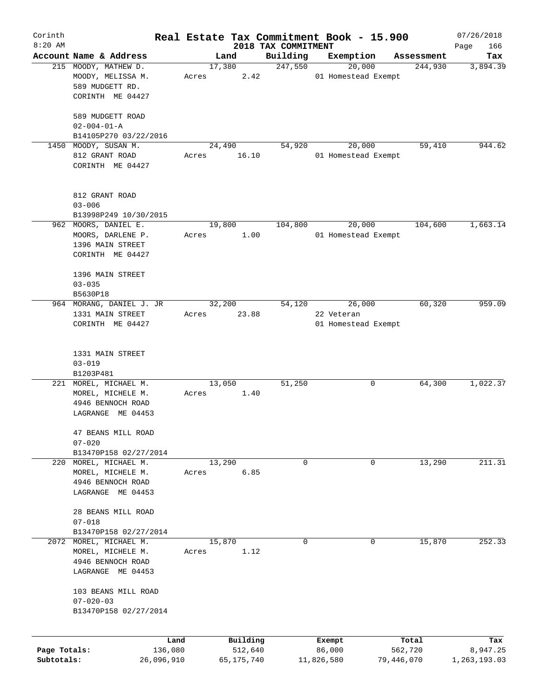| Corinth      |                          |            |       |        |            |                                 | Real Estate Tax Commitment Book - 15.900 |            |            | 07/26/2018         |
|--------------|--------------------------|------------|-------|--------|------------|---------------------------------|------------------------------------------|------------|------------|--------------------|
| $8:20$ AM    | Account Name & Address   |            |       | Land   |            | 2018 TAX COMMITMENT<br>Building | Exemption                                |            | Assessment | Page<br>166<br>Tax |
|              | 215 MOODY, MATHEW D.     |            |       | 17,380 |            | 247,550                         | 20,000                                   |            | 244,930    | 3,894.39           |
|              | MOODY, MELISSA M.        |            | Acres |        | 2.42       |                                 | 01 Homestead Exempt                      |            |            |                    |
|              | 589 MUDGETT RD.          |            |       |        |            |                                 |                                          |            |            |                    |
|              | CORINTH ME 04427         |            |       |        |            |                                 |                                          |            |            |                    |
|              |                          |            |       |        |            |                                 |                                          |            |            |                    |
|              | 589 MUDGETT ROAD         |            |       |        |            |                                 |                                          |            |            |                    |
|              | $02 - 004 - 01 - A$      |            |       |        |            |                                 |                                          |            |            |                    |
|              | B14105P270 03/22/2016    |            |       |        |            |                                 |                                          |            |            |                    |
| 1450         | MOODY, SUSAN M.          |            |       | 24,490 |            | 54,920                          | 20,000                                   |            | 59,410     | 944.62             |
|              | 812 GRANT ROAD           |            |       |        | 16.10      |                                 | 01 Homestead Exempt                      |            |            |                    |
|              |                          |            | Acres |        |            |                                 |                                          |            |            |                    |
|              | CORINTH ME 04427         |            |       |        |            |                                 |                                          |            |            |                    |
|              |                          |            |       |        |            |                                 |                                          |            |            |                    |
|              | 812 GRANT ROAD           |            |       |        |            |                                 |                                          |            |            |                    |
|              | $03 - 006$               |            |       |        |            |                                 |                                          |            |            |                    |
|              |                          |            |       |        |            |                                 |                                          |            |            |                    |
|              | B13998P249 10/30/2015    |            |       |        |            |                                 |                                          |            |            |                    |
|              | 962 MOORS, DANIEL E.     |            |       | 19,800 |            | 104,800                         | 20,000                                   |            | 104,600    | 1,663.14           |
|              | MOORS, DARLENE P.        |            | Acres |        | 1.00       |                                 | 01 Homestead Exempt                      |            |            |                    |
|              | 1396 MAIN STREET         |            |       |        |            |                                 |                                          |            |            |                    |
|              | CORINTH ME 04427         |            |       |        |            |                                 |                                          |            |            |                    |
|              |                          |            |       |        |            |                                 |                                          |            |            |                    |
|              | 1396 MAIN STREET         |            |       |        |            |                                 |                                          |            |            |                    |
|              | $03 - 035$               |            |       |        |            |                                 |                                          |            |            |                    |
|              | B5630P18                 |            |       |        |            |                                 |                                          |            |            |                    |
|              | 964 MORANG, DANIEL J. JR |            |       | 32,200 |            | 54,120                          | 26,000                                   |            | 60,320     | 959.09             |
|              | 1331 MAIN STREET         |            | Acres |        | 23.88      |                                 | 22 Veteran                               |            |            |                    |
|              | CORINTH ME 04427         |            |       |        |            |                                 | 01 Homestead Exempt                      |            |            |                    |
|              |                          |            |       |        |            |                                 |                                          |            |            |                    |
|              |                          |            |       |        |            |                                 |                                          |            |            |                    |
|              | 1331 MAIN STREET         |            |       |        |            |                                 |                                          |            |            |                    |
|              | $03 - 019$               |            |       |        |            |                                 |                                          |            |            |                    |
|              | B1203P481                |            |       |        |            |                                 |                                          |            |            |                    |
|              | 221 MOREL, MICHAEL M.    |            |       | 13,050 |            | 51,250                          | 0                                        |            | 64,300     | 1,022.37           |
|              | MOREL, MICHELE M.        |            | Acres |        | 1.40       |                                 |                                          |            |            |                    |
|              | 4946 BENNOCH ROAD        |            |       |        |            |                                 |                                          |            |            |                    |
|              | LAGRANGE ME 04453        |            |       |        |            |                                 |                                          |            |            |                    |
|              |                          |            |       |        |            |                                 |                                          |            |            |                    |
|              | 47 BEANS MILL ROAD       |            |       |        |            |                                 |                                          |            |            |                    |
|              | $07 - 020$               |            |       |        |            |                                 |                                          |            |            |                    |
|              | B13470P158 02/27/2014    |            |       |        |            |                                 |                                          |            |            |                    |
| 220          | MOREL, MICHAEL M.        |            |       | 13,290 |            | 0                               | 0                                        |            | 13,290     | 211.31             |
|              | MOREL, MICHELE M.        |            | Acres |        | 6.85       |                                 |                                          |            |            |                    |
|              | 4946 BENNOCH ROAD        |            |       |        |            |                                 |                                          |            |            |                    |
|              | LAGRANGE ME 04453        |            |       |        |            |                                 |                                          |            |            |                    |
|              |                          |            |       |        |            |                                 |                                          |            |            |                    |
|              | 28 BEANS MILL ROAD       |            |       |        |            |                                 |                                          |            |            |                    |
|              | $07 - 018$               |            |       |        |            |                                 |                                          |            |            |                    |
|              | B13470P158 02/27/2014    |            |       |        |            |                                 |                                          |            |            |                    |
| 2072         | MOREL, MICHAEL M.        |            |       | 15,870 |            | 0                               | 0                                        |            | 15,870     | 252.33             |
|              | MOREL, MICHELE M.        |            | Acres |        | 1.12       |                                 |                                          |            |            |                    |
|              | 4946 BENNOCH ROAD        |            |       |        |            |                                 |                                          |            |            |                    |
|              | LAGRANGE ME 04453        |            |       |        |            |                                 |                                          |            |            |                    |
|              |                          |            |       |        |            |                                 |                                          |            |            |                    |
|              | 103 BEANS MILL ROAD      |            |       |        |            |                                 |                                          |            |            |                    |
|              | $07 - 020 - 03$          |            |       |        |            |                                 |                                          |            |            |                    |
|              | B13470P158 02/27/2014    |            |       |        |            |                                 |                                          |            |            |                    |
|              |                          |            |       |        |            |                                 |                                          |            |            |                    |
|              |                          |            |       |        |            |                                 |                                          |            |            |                    |
|              |                          | Land       |       |        | Building   |                                 | Exempt                                   | Total      |            | Tax                |
| Page Totals: |                          | 136,080    |       |        | 512,640    |                                 | 86,000                                   | 562,720    |            | 8,947.25           |
| Subtotals:   |                          | 26,096,910 |       |        | 65,175,740 |                                 | 11,826,580                               | 79,446,070 |            | 1,263,193.03       |
|              |                          |            |       |        |            |                                 |                                          |            |            |                    |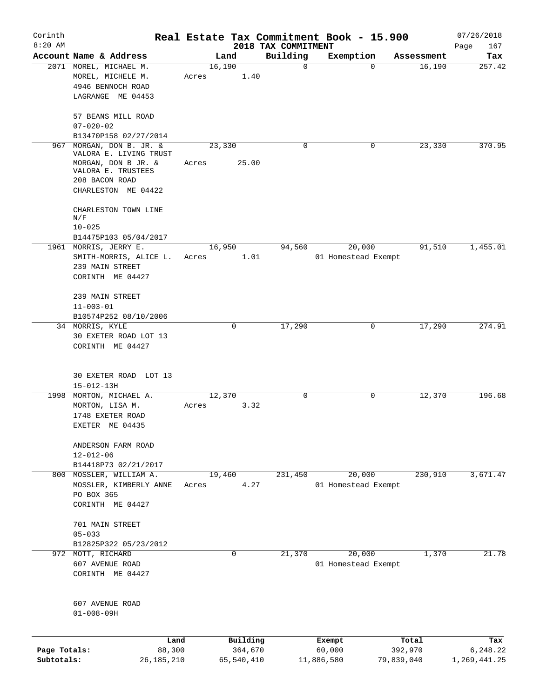| Corinth<br>$8:20$ AM |                                           |        |             |                                 | Real Estate Tax Commitment Book - 15.900 |            | 07/26/2018         |
|----------------------|-------------------------------------------|--------|-------------|---------------------------------|------------------------------------------|------------|--------------------|
|                      | Account Name & Address                    |        | Land        | 2018 TAX COMMITMENT<br>Building | Exemption                                | Assessment | Page<br>167<br>Tax |
|                      | 2071 MOREL, MICHAEL M.                    | 16,190 |             | $\mathbf 0$                     | 0                                        | 16,190     | 257.42             |
|                      | MOREL, MICHELE M.                         | Acres  | 1.40        |                                 |                                          |            |                    |
|                      | 4946 BENNOCH ROAD                         |        |             |                                 |                                          |            |                    |
|                      | LAGRANGE ME 04453                         |        |             |                                 |                                          |            |                    |
|                      |                                           |        |             |                                 |                                          |            |                    |
|                      | 57 BEANS MILL ROAD                        |        |             |                                 |                                          |            |                    |
|                      | $07 - 020 - 02$                           |        |             |                                 |                                          |            |                    |
|                      | B13470P158 02/27/2014                     |        |             |                                 |                                          |            |                    |
| 967                  | MORGAN, DON B. JR. &                      | 23,330 |             | $\Omega$                        | 0                                        | 23,330     | 370.95             |
|                      | VALORA E. LIVING TRUST                    |        |             |                                 |                                          |            |                    |
|                      | MORGAN, DON B JR. &                       | Acres  | 25.00       |                                 |                                          |            |                    |
|                      | VALORA E. TRUSTEES                        |        |             |                                 |                                          |            |                    |
|                      | 208 BACON ROAD                            |        |             |                                 |                                          |            |                    |
|                      | CHARLESTON ME 04422                       |        |             |                                 |                                          |            |                    |
|                      |                                           |        |             |                                 |                                          |            |                    |
|                      | CHARLESTON TOWN LINE<br>N/F               |        |             |                                 |                                          |            |                    |
|                      | $10 - 025$                                |        |             |                                 |                                          |            |                    |
|                      | B14475P103 05/04/2017                     |        |             |                                 |                                          |            |                    |
|                      | 1961 MORRIS, JERRY E.                     | 16,950 |             | 94,560                          | 20,000                                   | 91,510     | 1,455.01           |
|                      | SMITH-MORRIS, ALICE L.                    |        | 1.01        |                                 | 01 Homestead Exempt                      |            |                    |
|                      | 239 MAIN STREET                           | Acres  |             |                                 |                                          |            |                    |
|                      | CORINTH ME 04427                          |        |             |                                 |                                          |            |                    |
|                      |                                           |        |             |                                 |                                          |            |                    |
|                      | 239 MAIN STREET                           |        |             |                                 |                                          |            |                    |
|                      | $11 - 003 - 01$                           |        |             |                                 |                                          |            |                    |
|                      | B10574P252 08/10/2006                     |        |             |                                 |                                          |            |                    |
|                      |                                           |        | 0           | 17,290                          | 0                                        | 17,290     | 274.91             |
|                      | 34 MORRIS, KYLE                           |        |             |                                 |                                          |            |                    |
|                      | 30 EXETER ROAD LOT 13<br>CORINTH ME 04427 |        |             |                                 |                                          |            |                    |
|                      | 30 EXETER ROAD LOT 13                     |        |             |                                 |                                          |            |                    |
|                      | $15 - 012 - 13H$                          |        |             |                                 |                                          |            |                    |
| 1998                 | MORTON, MICHAEL A.                        | 12,370 |             | $\mathbf 0$                     | 0                                        | 12,370     | 196.68             |
|                      | MORTON, LISA M.                           | Acres  | 3.32        |                                 |                                          |            |                    |
|                      | 1748 EXETER ROAD                          |        |             |                                 |                                          |            |                    |
|                      | EXETER ME 04435                           |        |             |                                 |                                          |            |                    |
|                      | ANDERSON FARM ROAD                        |        |             |                                 |                                          |            |                    |
|                      | $12 - 012 - 06$                           |        |             |                                 |                                          |            |                    |
|                      | B14418P73 02/21/2017                      |        |             |                                 |                                          |            |                    |
|                      | 800 MOSSLER, WILLIAM A.                   | 19,460 |             | 231,450                         | 20,000                                   | 230,910    | 3,671.47           |
|                      | MOSSLER, KIMBERLY ANNE                    | Acres  | 4.27        |                                 | 01 Homestead Exempt                      |            |                    |
|                      | PO BOX 365                                |        |             |                                 |                                          |            |                    |
|                      | CORINTH ME 04427                          |        |             |                                 |                                          |            |                    |
|                      |                                           |        |             |                                 |                                          |            |                    |
|                      | 701 MAIN STREET                           |        |             |                                 |                                          |            |                    |
|                      | $05 - 033$                                |        |             |                                 |                                          |            |                    |
|                      | B12825P322 05/23/2012                     |        |             |                                 |                                          |            |                    |
| 972                  | MOTT, RICHARD                             |        | $\mathbf 0$ | 21,370                          | 20,000                                   | 1,370      | 21.78              |
|                      | 607 AVENUE ROAD                           |        |             |                                 | 01 Homestead Exempt                      |            |                    |
|                      | CORINTH ME 04427                          |        |             |                                 |                                          |            |                    |
|                      |                                           |        |             |                                 |                                          |            |                    |
|                      |                                           |        |             |                                 |                                          |            |                    |
|                      | 607 AVENUE ROAD                           |        |             |                                 |                                          |            |                    |
|                      | $01 - 008 - 09H$                          |        |             |                                 |                                          |            |                    |
|                      |                                           |        |             |                                 |                                          |            |                    |
|                      | Land                                      |        | Building    |                                 | Exempt                                   | Total      | Tax                |
| Page Totals:         | 88,300                                    |        | 364,670     |                                 | 60,000                                   | 392,970    | 6,248.22           |
| Subtotals:           | 26, 185, 210                              |        | 65,540,410  |                                 | 11,886,580                               | 79,839,040 | 1,269,441.25       |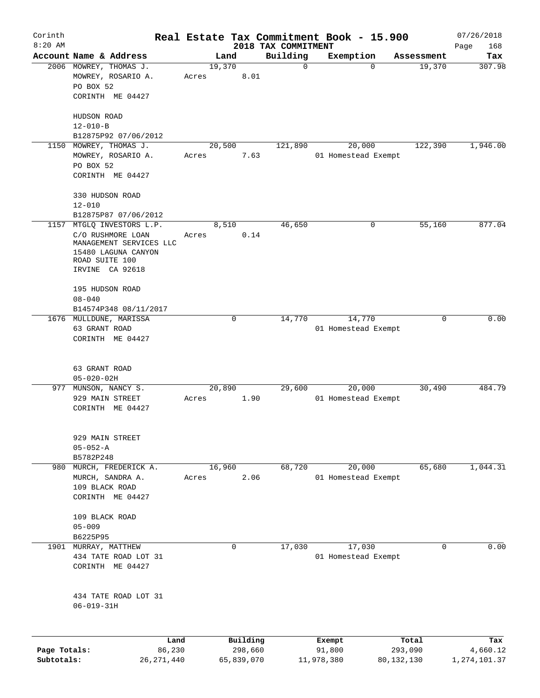| Corinth                    |                                                                                       |       |             |                       |                                 | Real Estate Tax Commitment Book - 15.900 |                         | 07/26/2018               |
|----------------------------|---------------------------------------------------------------------------------------|-------|-------------|-----------------------|---------------------------------|------------------------------------------|-------------------------|--------------------------|
| $8:20$ AM                  | Account Name & Address                                                                |       | Land        |                       | 2018 TAX COMMITMENT<br>Building |                                          | Assessment              | Page<br>168              |
|                            | 2006 MOWREY, THOMAS J.                                                                |       | 19,370      |                       | $\mathbf 0$                     | Exemption<br>$\mathbf 0$                 | 19,370                  | Tax<br>307.98            |
|                            | MOWREY, ROSARIO A.<br>PO BOX 52                                                       | Acres |             | 8.01                  |                                 |                                          |                         |                          |
|                            | CORINTH ME 04427                                                                      |       |             |                       |                                 |                                          |                         |                          |
|                            | HUDSON ROAD<br>$12 - 010 - B$                                                         |       |             |                       |                                 |                                          |                         |                          |
|                            | B12875P92 07/06/2012                                                                  |       |             |                       |                                 |                                          |                         |                          |
| 1150                       | MOWREY, THOMAS J.                                                                     |       | 20,500      |                       | 121,890                         | 20,000                                   | 122,390                 | 1,946.00                 |
|                            | MOWREY, ROSARIO A.<br>PO BOX 52                                                       | Acres |             | 7.63                  |                                 | 01 Homestead Exempt                      |                         |                          |
|                            | CORINTH ME 04427                                                                      |       |             |                       |                                 |                                          |                         |                          |
|                            | 330 HUDSON ROAD<br>$12 - 010$                                                         |       |             |                       |                                 |                                          |                         |                          |
|                            | B12875P87 07/06/2012                                                                  |       |             |                       |                                 |                                          |                         |                          |
| 1157                       | MTGLQ INVESTORS L.P.                                                                  |       | 8,510       |                       | 46,650                          | 0                                        | 55,160                  | 877.04                   |
|                            | C/O RUSHMORE LOAN<br>MANAGEMENT SERVICES LLC<br>15480 LAGUNA CANYON<br>ROAD SUITE 100 | Acres |             | 0.14                  |                                 |                                          |                         |                          |
|                            | IRVINE CA 92618                                                                       |       |             |                       |                                 |                                          |                         |                          |
|                            | 195 HUDSON ROAD<br>$08 - 040$                                                         |       |             |                       |                                 |                                          |                         |                          |
|                            | B14574P348 08/11/2017                                                                 |       |             |                       |                                 |                                          |                         |                          |
|                            | 1676 MULLDUNE, MARISSA                                                                |       | $\mathbf 0$ |                       | 14,770                          | 14,770                                   | 0                       | 0.00                     |
|                            | 63 GRANT ROAD                                                                         |       |             |                       |                                 | 01 Homestead Exempt                      |                         |                          |
|                            | CORINTH ME 04427                                                                      |       |             |                       |                                 |                                          |                         |                          |
|                            | 63 GRANT ROAD<br>$05 - 020 - 02H$                                                     |       |             |                       |                                 |                                          |                         |                          |
| 977                        | MUNSON, NANCY S.                                                                      |       | 20,890      |                       | 29,600                          | 20,000                                   | 30,490                  | 484.79                   |
|                            | 929 MAIN STREET<br>CORINTH ME 04427                                                   | Acres |             | 1.90                  |                                 | 01 Homestead Exempt                      |                         |                          |
|                            | 929 MAIN STREET                                                                       |       |             |                       |                                 |                                          |                         |                          |
|                            | $05 - 052 - A$<br>B5782P248                                                           |       |             |                       |                                 |                                          |                         |                          |
|                            | 980 MURCH, FREDERICK A.                                                               |       | 16,960      |                       | 68,720                          | 20,000                                   | 65,680                  | 1,044.31                 |
|                            | MURCH, SANDRA A.<br>109 BLACK ROAD<br>CORINTH ME 04427                                | Acres |             | 2.06                  |                                 | 01 Homestead Exempt                      |                         |                          |
|                            | 109 BLACK ROAD<br>$05 - 009$                                                          |       |             |                       |                                 |                                          |                         |                          |
|                            | B6225P95                                                                              |       |             |                       |                                 |                                          |                         |                          |
|                            | 1901 MURRAY, MATTHEW                                                                  |       | 0           |                       | 17,030                          | 17,030                                   | 0                       | 0.00                     |
|                            | 434 TATE ROAD LOT 31<br>CORINTH ME 04427                                              |       |             |                       |                                 | 01 Homestead Exempt                      |                         |                          |
|                            | 434 TATE ROAD LOT 31<br>$06 - 019 - 31H$                                              |       |             |                       |                                 |                                          |                         |                          |
|                            |                                                                                       |       |             |                       |                                 |                                          |                         |                          |
|                            | Land                                                                                  |       |             | Building              |                                 | Exempt                                   | Total                   | Tax                      |
| Page Totals:<br>Subtotals: | 86,230<br>26, 271, 440                                                                |       |             | 298,660<br>65,839,070 |                                 | 91,800<br>11,978,380                     | 293,090<br>80, 132, 130 | 4,660.12<br>1,274,101.37 |
|                            |                                                                                       |       |             |                       |                                 |                                          |                         |                          |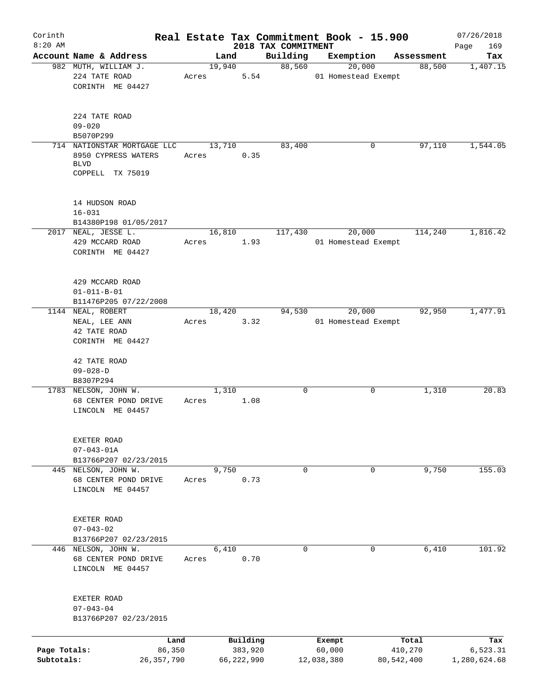| Corinth<br>$8:20$ AM       |                                                                                       |                 |                       |                                 | Real Estate Tax Commitment Book - 15.900 |                         | 07/26/2018               |
|----------------------------|---------------------------------------------------------------------------------------|-----------------|-----------------------|---------------------------------|------------------------------------------|-------------------------|--------------------------|
|                            | Account Name & Address                                                                | Land            |                       | 2018 TAX COMMITMENT<br>Building | Exemption                                | Assessment              | 169<br>Page<br>Tax       |
|                            | 982 MUTH, WILLIAM J.<br>224 TATE ROAD<br>CORINTH ME 04427                             | 19,940<br>Acres | 5.54                  | 88,560                          | 20,000<br>01 Homestead Exempt            | 88,500                  | 1,407.15                 |
|                            | 224 TATE ROAD<br>$09 - 020$<br>B5070P299                                              |                 |                       |                                 |                                          |                         |                          |
|                            | 714 NATIONSTAR MORTGAGE LLC<br>8950 CYPRESS WATERS<br><b>BLVD</b><br>COPPELL TX 75019 | 13,710<br>Acres | 0.35                  | 83,400                          | 0                                        | 97,110                  | 1,544.05                 |
|                            | 14 HUDSON ROAD<br>$16 - 031$<br>B14380P198 01/05/2017                                 |                 |                       |                                 |                                          |                         |                          |
|                            | 2017 NEAL, JESSE L.<br>429 MCCARD ROAD<br>CORINTH ME 04427                            | 16,810<br>Acres | 1.93                  | 117,430                         | 20,000<br>01 Homestead Exempt            | 114,240                 | 1,816.42                 |
|                            | 429 MCCARD ROAD<br>$01 - 011 - B - 01$<br>B11476P205 07/22/2008                       |                 |                       |                                 |                                          |                         |                          |
|                            | 1144 NEAL, ROBERT<br>NEAL, LEE ANN<br>42 TATE ROAD<br>CORINTH ME 04427                | 18,420<br>Acres | 3.32                  | 94,530                          | 20,000<br>01 Homestead Exempt            | 92,950                  | 1,477.91                 |
|                            | 42 TATE ROAD<br>$09 - 028 - D$<br>B8307P294                                           |                 |                       |                                 |                                          |                         |                          |
|                            | 1783 NELSON, JOHN W.<br>68 CENTER POND DRIVE<br>LINCOLN ME 04457                      | 1,310<br>Acres  | 1.08                  | $\mathbf 0$                     | 0                                        | 1,310                   | 20.83                    |
|                            | EXETER ROAD<br>$07 - 043 - 01A$<br>B13766P207 02/23/2015                              |                 |                       |                                 |                                          |                         |                          |
|                            | 445 NELSON, JOHN W.<br>68 CENTER POND DRIVE<br>LINCOLN ME 04457                       | 9,750<br>Acres  | 0.73                  | $\mathbf 0$                     | $\mathbf 0$                              | 9,750                   | 155.03                   |
|                            | EXETER ROAD<br>$07 - 043 - 02$<br>B13766P207 02/23/2015                               |                 |                       |                                 |                                          |                         |                          |
|                            | 446 NELSON, JOHN W.<br>68 CENTER POND DRIVE<br>LINCOLN ME 04457                       | 6,410<br>Acres  | 0.70                  | $\mathbf 0$                     | 0                                        | 6,410                   | 101.92                   |
|                            | EXETER ROAD<br>$07 - 043 - 04$<br>B13766P207 02/23/2015                               |                 |                       |                                 |                                          |                         |                          |
|                            | Land                                                                                  |                 | Building              |                                 | Exempt                                   | Total                   | Tax                      |
| Page Totals:<br>Subtotals: | 86,350<br>26,357,790                                                                  |                 | 383,920<br>66,222,990 |                                 | 60,000<br>12,038,380                     | 410,270<br>80, 542, 400 | 6,523.31<br>1,280,624.68 |
|                            |                                                                                       |                 |                       |                                 |                                          |                         |                          |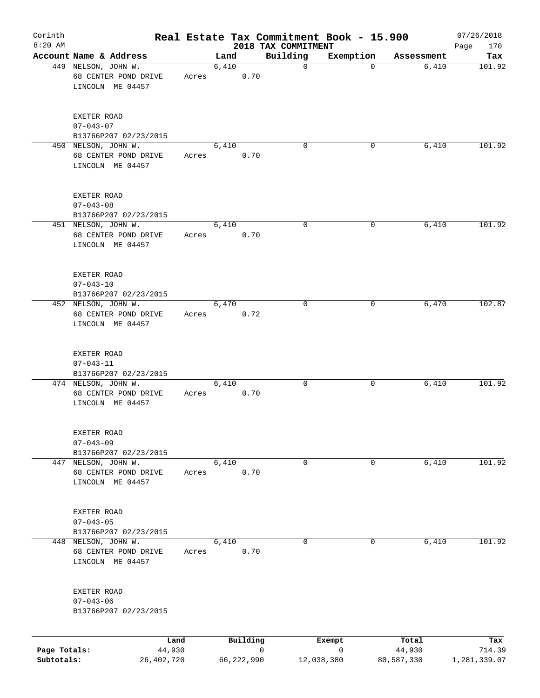| Corinth<br>$8:20$ AM       |                                                                 |       |       |            | Real Estate Tax Commitment Book - 15.900<br>2018 TAX COMMITMENT |           |                      | 07/26/2018<br>170<br>Page |
|----------------------------|-----------------------------------------------------------------|-------|-------|------------|-----------------------------------------------------------------|-----------|----------------------|---------------------------|
|                            | Account Name & Address                                          |       | Land  |            | Building                                                        | Exemption | Assessment           | Tax                       |
|                            | 449 NELSON, JOHN W.<br>68 CENTER POND DRIVE<br>LINCOLN ME 04457 | Acres | 6,410 | 0.70       | $\mathbf 0$                                                     | 0         | 6,410                | 101.92                    |
|                            | EXETER ROAD<br>$07 - 043 - 07$<br>B13766P207 02/23/2015         |       |       |            |                                                                 |           |                      |                           |
|                            | 450 NELSON, JOHN W.<br>68 CENTER POND DRIVE<br>LINCOLN ME 04457 | Acres | 6,410 | 0.70       | $\Omega$                                                        | 0         | 6,410                | 101.92                    |
|                            | EXETER ROAD<br>$07 - 043 - 08$<br>B13766P207 02/23/2015         |       |       |            |                                                                 |           |                      |                           |
|                            | 451 NELSON, JOHN W.<br>68 CENTER POND DRIVE<br>LINCOLN ME 04457 | Acres | 6,410 | 0.70       | 0                                                               | 0         | 6,410                | 101.92                    |
|                            | EXETER ROAD<br>$07 - 043 - 10$<br>B13766P207 02/23/2015         |       |       |            |                                                                 |           |                      |                           |
|                            | 452 NELSON, JOHN W.<br>68 CENTER POND DRIVE<br>LINCOLN ME 04457 | Acres | 6,470 | 0.72       | $\mathbf 0$                                                     | 0         | 6,470                | 102.87                    |
|                            | EXETER ROAD<br>$07 - 043 - 11$<br>B13766P207 02/23/2015         |       |       |            |                                                                 |           |                      |                           |
|                            | 474 NELSON, JOHN W.<br>68 CENTER POND DRIVE<br>LINCOLN ME 04457 | Acres | 6,410 | 0.70       | 0                                                               | 0         | 6,410                | 101.92                    |
|                            | EXETER ROAD<br>$07 - 043 - 09$<br>B13766P207 02/23/2015         |       |       |            |                                                                 |           |                      |                           |
|                            | 447 NELSON, JOHN W.<br>68 CENTER POND DRIVE<br>LINCOLN ME 04457 | Acres | 6,410 | 0.70       | 0                                                               | 0         | 6,410                | 101.92                    |
|                            | EXETER ROAD<br>$07 - 043 - 05$<br>B13766P207 02/23/2015         |       |       |            |                                                                 |           |                      |                           |
|                            | 448 NELSON, JOHN W.<br>68 CENTER POND DRIVE<br>LINCOLN ME 04457 | Acres | 6,410 | 0.70       | 0                                                               | 0         | 6,410                | 101.92                    |
|                            | EXETER ROAD<br>$07 - 043 - 06$<br>B13766P207 02/23/2015         |       |       |            |                                                                 |           |                      |                           |
|                            |                                                                 | Land  |       | Building   |                                                                 | Exempt    | Total                | Tax                       |
| Page Totals:<br>Subtotals: | 44,930<br>26,402,720                                            |       |       | 66,222,990 | 0<br>12,038,380                                                 | 0         | 44,930<br>80,587,330 | 714.39<br>1,281,339.07    |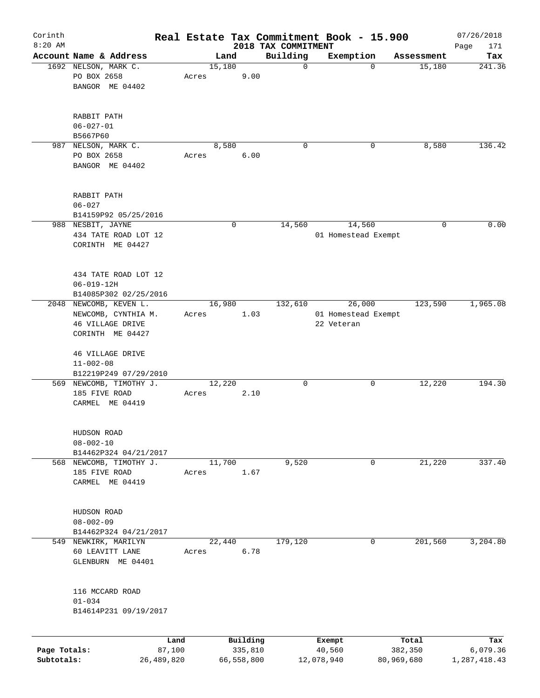| Corinth<br>$8:20$ AM       |                                                                                              |                      |       |        |                       | 2018 TAX COMMITMENT | Real Estate Tax Commitment Book - 15.900    |                       | 07/26/2018<br>171<br>Page |
|----------------------------|----------------------------------------------------------------------------------------------|----------------------|-------|--------|-----------------------|---------------------|---------------------------------------------|-----------------------|---------------------------|
|                            | Account Name & Address                                                                       |                      |       | Land   |                       | Building            | Exemption                                   | Assessment            | Tax                       |
|                            | 1692 NELSON, MARK C.<br>PO BOX 2658<br>BANGOR ME 04402                                       |                      | Acres | 15,180 | 9.00                  | 0                   | $\Omega$                                    | 15,180                | 241.36                    |
|                            | RABBIT PATH<br>$06 - 027 - 01$<br>B5667P60                                                   |                      |       |        |                       |                     |                                             |                       |                           |
| 987                        | NELSON, MARK C.<br>PO BOX 2658<br>BANGOR ME 04402                                            |                      | Acres | 8,580  | 6.00                  | 0                   | 0                                           | 8,580                 | 136.42                    |
|                            | RABBIT PATH<br>$06 - 027$<br>B14159P92 05/25/2016                                            |                      |       |        |                       |                     |                                             |                       |                           |
|                            | 988 NESBIT, JAYNE<br>434 TATE ROAD LOT 12<br>CORINTH ME 04427                                |                      |       | 0      |                       | 14,560              | 14,560<br>01 Homestead Exempt               | 0                     | 0.00                      |
|                            | 434 TATE ROAD LOT 12<br>$06 - 019 - 12H$<br>B14085P302 02/25/2016                            |                      |       |        |                       |                     |                                             |                       |                           |
|                            | 2048 NEWCOMB, KEVEN L.<br>NEWCOMB, CYNTHIA M.<br><b>46 VILLAGE DRIVE</b><br>CORINTH ME 04427 |                      | Acres | 16,980 | 1.03                  | 132,610             | 26,000<br>01 Homestead Exempt<br>22 Veteran | 123,590               | 1,965.08                  |
|                            | 46 VILLAGE DRIVE<br>$11 - 002 - 08$<br>B12219P249 07/29/2010                                 |                      |       |        |                       |                     |                                             |                       |                           |
|                            | 569 NEWCOMB, TIMOTHY J.<br>185 FIVE ROAD<br>CARMEL ME 04419                                  |                      | Acres | 12,220 | 2.10                  | 0                   | 0                                           | 12,220                | 194.30                    |
|                            | HUDSON ROAD<br>$08 - 002 - 10$<br>B14462P324 04/21/2017                                      |                      |       |        |                       |                     |                                             |                       |                           |
|                            | 568 NEWCOMB, TIMOTHY J.<br>185 FIVE ROAD<br>CARMEL ME 04419                                  |                      | Acres | 11,700 | 1.67                  | 9,520               | 0                                           | 21,220                | 337.40                    |
|                            | HUDSON ROAD<br>$08 - 002 - 09$<br>B14462P324 04/21/2017                                      |                      |       |        |                       |                     |                                             |                       |                           |
|                            | 549 NEWKIRK, MARILYN<br>60 LEAVITT LANE<br>GLENBURN ME 04401                                 |                      | Acres | 22,440 | 6.78                  | 179,120             | 0                                           | 201,560               | 3,204.80                  |
|                            | 116 MCCARD ROAD<br>$01 - 034$<br>B14614P231 09/19/2017                                       |                      |       |        |                       |                     |                                             |                       |                           |
|                            |                                                                                              | Land                 |       |        | Building              |                     | Exempt                                      | Total                 | Tax                       |
| Page Totals:<br>Subtotals: |                                                                                              | 87,100<br>26,489,820 |       |        | 335,810<br>66,558,800 |                     | 40,560<br>12,078,940                        | 382,350<br>80,969,680 | 6,079.36<br>1,287,418.43  |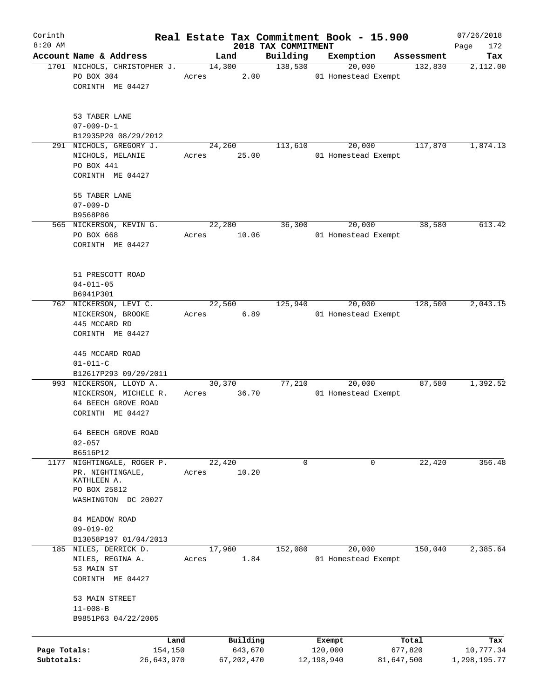| Corinth                    |                                                                                                 |       |                       |                                 | Real Estate Tax Commitment Book - 15.900 |                       | 07/26/2018                |
|----------------------------|-------------------------------------------------------------------------------------------------|-------|-----------------------|---------------------------------|------------------------------------------|-----------------------|---------------------------|
| $8:20$ AM                  | Account Name & Address                                                                          |       | Land                  | 2018 TAX COMMITMENT<br>Building | Exemption                                |                       | Page<br>172<br>Tax        |
|                            | 1701 NICHOLS, CHRISTOPHER J.                                                                    |       | 14,300                | 138,530                         | 20,000                                   | Assessment<br>132,830 | 2,112.00                  |
|                            | PO BOX 304<br>CORINTH ME 04427                                                                  | Acres | 2.00                  |                                 | 01 Homestead Exempt                      |                       |                           |
|                            | 53 TABER LANE<br>$07 - 009 - D - 1$                                                             |       |                       |                                 |                                          |                       |                           |
|                            | B12935P20 08/29/2012                                                                            |       |                       |                                 |                                          |                       |                           |
|                            | 291 NICHOLS, GREGORY J.                                                                         |       | 24,260                | 113,610                         | 20,000                                   | 117,870               | 1,874.13                  |
|                            | NICHOLS, MELANIE<br>PO BOX 441<br>CORINTH ME 04427                                              | Acres | 25.00                 |                                 | 01 Homestead Exempt                      |                       |                           |
|                            | 55 TABER LANE<br>$07 - 009 - D$                                                                 |       |                       |                                 |                                          |                       |                           |
|                            | B9568P86                                                                                        |       |                       |                                 |                                          |                       |                           |
|                            | 565 NICKERSON, KEVIN G.                                                                         |       | 22,280                | 36,300                          | 20,000                                   | 38,580                | 613.42                    |
|                            | PO BOX 668<br>CORINTH ME 04427                                                                  | Acres | 10.06                 |                                 | 01 Homestead Exempt                      |                       |                           |
|                            | 51 PRESCOTT ROAD<br>$04 - 011 - 05$                                                             |       |                       |                                 |                                          |                       |                           |
|                            | B6941P301<br>762 NICKERSON, LEVI C.                                                             |       | 22,560                | 125,940                         | 20,000                                   | 128,500               | 2,043.15                  |
|                            | NICKERSON, BROOKE<br>445 MCCARD RD                                                              | Acres | 6.89                  |                                 | 01 Homestead Exempt                      |                       |                           |
|                            | CORINTH ME 04427                                                                                |       |                       |                                 |                                          |                       |                           |
|                            | 445 MCCARD ROAD<br>$01 - 011 - C$                                                               |       |                       |                                 |                                          |                       |                           |
|                            | B12617P293 09/29/2011                                                                           |       |                       |                                 |                                          |                       |                           |
|                            | 993 NICKERSON, LLOYD A.<br>NICKERSON, MICHELE R.<br>64 BEECH GROVE ROAD<br>CORINTH ME 04427     | Acres | 30,370<br>36.70       | 77,210                          | 20,000<br>01 Homestead Exempt            | 87,580                | 1,392.52                  |
|                            | 64 BEECH GROVE ROAD<br>$02 - 057$                                                               |       |                       |                                 |                                          |                       |                           |
|                            | B6516P12                                                                                        |       |                       |                                 |                                          |                       |                           |
| 1177                       | NIGHTINGALE, ROGER P.<br>PR. NIGHTINGALE,<br>KATHLEEN A.<br>PO BOX 25812<br>WASHINGTON DC 20027 | Acres | 22,420<br>10.20       | 0                               | 0                                        | 22,420                | 356.48                    |
|                            | 84 MEADOW ROAD<br>$09 - 019 - 02$                                                               |       |                       |                                 |                                          |                       |                           |
|                            | B13058P197 01/04/2013                                                                           |       |                       |                                 |                                          |                       |                           |
|                            | 185 NILES, DERRICK D.<br>NILES, REGINA A.<br>53 MAIN ST                                         | Acres | 17,960<br>1.84        | 152,080                         | 20,000<br>01 Homestead Exempt            | 150,040               | 2,385.64                  |
|                            | CORINTH ME 04427<br>53 MAIN STREET<br>$11 - 008 - B$<br>B9851P63 04/22/2005                     |       |                       |                                 |                                          |                       |                           |
|                            | Land                                                                                            |       | Building              |                                 | Exempt                                   | Total                 | Tax                       |
| Page Totals:<br>Subtotals: | 154,150<br>26,643,970                                                                           |       | 643,670<br>67,202,470 |                                 | 120,000<br>12,198,940                    | 677,820<br>81,647,500 | 10,777.34<br>1,298,195.77 |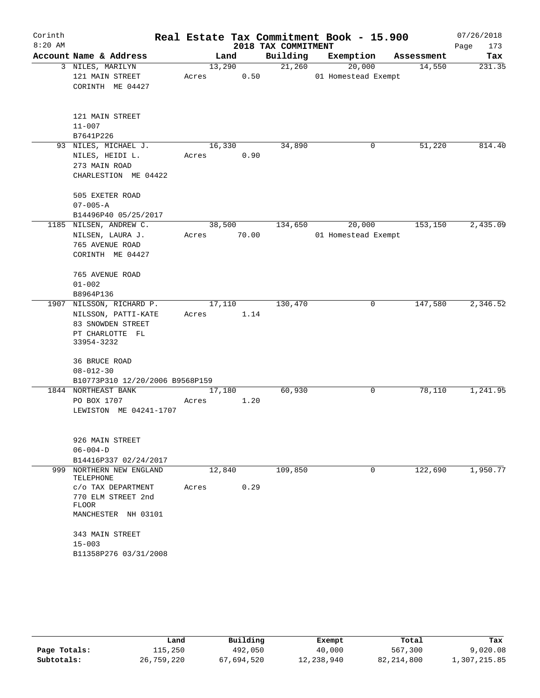| Corinth   |                                       |       |        |       |                     | Real Estate Tax Commitment Book - 15.900 |            | 07/26/2018  |
|-----------|---------------------------------------|-------|--------|-------|---------------------|------------------------------------------|------------|-------------|
| $8:20$ AM |                                       |       |        |       | 2018 TAX COMMITMENT |                                          |            | 173<br>Page |
|           | Account Name & Address                |       | Land   |       | Building            | Exemption                                | Assessment | Tax         |
|           | 3 NILES, MARILYN                      |       | 13,290 |       | 21,260              | 20,000                                   | 14,550     | 231.35      |
|           | 121 MAIN STREET                       | Acres |        | 0.50  |                     | 01 Homestead Exempt                      |            |             |
|           | CORINTH ME 04427                      |       |        |       |                     |                                          |            |             |
|           |                                       |       |        |       |                     |                                          |            |             |
|           | 121 MAIN STREET                       |       |        |       |                     |                                          |            |             |
|           | $11 - 007$                            |       |        |       |                     |                                          |            |             |
|           | B7641P226                             |       |        |       |                     |                                          |            |             |
|           | 93 NILES, MICHAEL J.                  |       | 16,330 |       | 34,890              | 0                                        | 51,220     | 814.40      |
|           | NILES, HEIDI L.                       | Acres |        | 0.90  |                     |                                          |            |             |
|           | 273 MAIN ROAD                         |       |        |       |                     |                                          |            |             |
|           | CHARLESTION ME 04422                  |       |        |       |                     |                                          |            |             |
|           | 505 EXETER ROAD                       |       |        |       |                     |                                          |            |             |
|           | $07 - 005 - A$                        |       |        |       |                     |                                          |            |             |
|           | B14496P40 05/25/2017                  |       |        |       |                     |                                          |            |             |
|           | 1185 NILSEN, ANDREW C.                |       | 38,500 |       | 134,650             | 20,000                                   | 153,150    | 2,435.09    |
|           | NILSEN, LAURA J.                      | Acres |        | 70.00 |                     | 01 Homestead Exempt                      |            |             |
|           | 765 AVENUE ROAD                       |       |        |       |                     |                                          |            |             |
|           | CORINTH ME 04427                      |       |        |       |                     |                                          |            |             |
|           | 765 AVENUE ROAD                       |       |        |       |                     |                                          |            |             |
|           | $01 - 002$                            |       |        |       |                     |                                          |            |             |
|           | B8964P136                             |       |        |       |                     |                                          |            |             |
| 1907      | NILSSON, RICHARD P.                   |       | 17,110 |       | 130,470             | 0                                        | 147,580    | 2,346.52    |
|           | NILSSON, PATTI-KATE                   | Acres |        | 1.14  |                     |                                          |            |             |
|           | 83 SNOWDEN STREET                     |       |        |       |                     |                                          |            |             |
|           | PT CHARLOTTE FL                       |       |        |       |                     |                                          |            |             |
|           | 33954-3232                            |       |        |       |                     |                                          |            |             |
|           | 36 BRUCE ROAD                         |       |        |       |                     |                                          |            |             |
|           | $08 - 012 - 30$                       |       |        |       |                     |                                          |            |             |
|           | B10773P310 12/20/2006 B9568P159       |       |        |       |                     |                                          |            |             |
|           | 1844 NORTHEAST BANK                   |       | 17,180 |       | 60,930              | 0                                        | 78,110     | 1,241.95    |
|           | PO BOX 1707                           | Acres |        | 1.20  |                     |                                          |            |             |
|           | LEWISTON ME 04241-1707                |       |        |       |                     |                                          |            |             |
|           |                                       |       |        |       |                     |                                          |            |             |
|           | 926 MAIN STREET                       |       |        |       |                     |                                          |            |             |
|           | $06 - 004 - D$                        |       |        |       |                     |                                          |            |             |
|           | B14416P337 02/24/2017                 |       |        |       |                     |                                          |            |             |
|           | 999 NORTHERN NEW ENGLAND<br>TELEPHONE |       | 12,840 |       | 109,850             | $\mathbf 0$                              | 122,690    | 1,950.77    |
|           | C/O TAX DEPARTMENT                    | Acres |        | 0.29  |                     |                                          |            |             |
|           | 770 ELM STREET 2nd                    |       |        |       |                     |                                          |            |             |
|           | FLOOR                                 |       |        |       |                     |                                          |            |             |
|           | MANCHESTER NH 03101                   |       |        |       |                     |                                          |            |             |
|           | 343 MAIN STREET                       |       |        |       |                     |                                          |            |             |
|           | $15 - 003$                            |       |        |       |                     |                                          |            |             |
|           | B11358P276 03/31/2008                 |       |        |       |                     |                                          |            |             |
|           |                                       |       |        |       |                     |                                          |            |             |

|              | Land       | Building   | Exempt     | Total        | Tax          |
|--------------|------------|------------|------------|--------------|--------------|
| Page Totals: | 115,250    | 492,050    | 40,000     | 567,300      | 9,020.08     |
| Subtotals:   | 26,759,220 | 67,694,520 | 12,238,940 | 82, 214, 800 | 1,307,215.85 |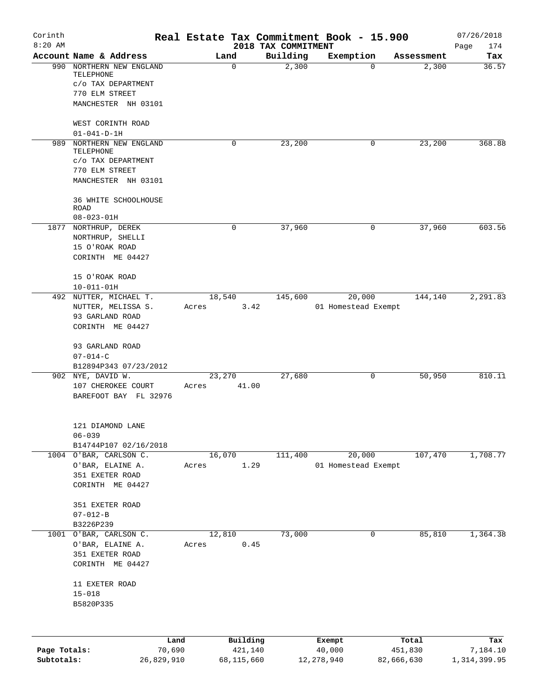| $8:20$ AM                  |                                              |                         | 2018 TAX COMMITMENT |                               |                       |                          |
|----------------------------|----------------------------------------------|-------------------------|---------------------|-------------------------------|-----------------------|--------------------------|
|                            | Account Name & Address                       | Land                    | Building            | Exemption                     | Assessment            | Page<br>174<br>Tax       |
|                            | 990 NORTHERN NEW ENGLAND                     | 0                       | 2,300               | 0                             | 2,300                 | 36.57                    |
|                            | TELEPHONE                                    |                         |                     |                               |                       |                          |
|                            | C/O TAX DEPARTMENT                           |                         |                     |                               |                       |                          |
|                            | 770 ELM STREET                               |                         |                     |                               |                       |                          |
|                            | MANCHESTER NH 03101                          |                         |                     |                               |                       |                          |
|                            | WEST CORINTH ROAD                            |                         |                     |                               |                       |                          |
|                            | $01 - 041 - D - 1H$                          |                         |                     |                               |                       |                          |
|                            | 989 NORTHERN NEW ENGLAND                     | 0                       | 23,200              | 0                             | 23,200                | 368.88                   |
|                            | TELEPHONE<br>C/O TAX DEPARTMENT              |                         |                     |                               |                       |                          |
|                            | 770 ELM STREET                               |                         |                     |                               |                       |                          |
|                            | MANCHESTER NH 03101                          |                         |                     |                               |                       |                          |
|                            | 36 WHITE SCHOOLHOUSE                         |                         |                     |                               |                       |                          |
|                            | <b>ROAD</b>                                  |                         |                     |                               |                       |                          |
|                            | $08 - 023 - 01H$<br>1877 NORTHRUP, DEREK     | 0                       | 37,960              | 0                             | 37,960                | 603.56                   |
|                            | NORTHRUP, SHELLI                             |                         |                     |                               |                       |                          |
|                            | 15 O'ROAK ROAD                               |                         |                     |                               |                       |                          |
|                            | CORINTH ME 04427                             |                         |                     |                               |                       |                          |
|                            |                                              |                         |                     |                               |                       |                          |
|                            | 15 O'ROAK ROAD                               |                         |                     |                               |                       |                          |
|                            | $10 - 011 - 01H$                             |                         |                     |                               |                       |                          |
|                            | 492 NUTTER, MICHAEL T.<br>NUTTER, MELISSA S. | 18,540<br>3.42<br>Acres | 145,600             | 20,000<br>01 Homestead Exempt | 144,140               | 2, 291.83                |
|                            | 93 GARLAND ROAD                              |                         |                     |                               |                       |                          |
|                            | CORINTH ME 04427                             |                         |                     |                               |                       |                          |
|                            | 93 GARLAND ROAD                              |                         |                     |                               |                       |                          |
|                            | $07 - 014 - C$                               |                         |                     |                               |                       |                          |
|                            | B12894P343 07/23/2012                        |                         |                     |                               |                       |                          |
|                            | 902 NYE, DAVID W.                            | 23,270                  | 27,680              | 0                             | 50,950                | 810.11                   |
|                            | 107 CHEROKEE COURT                           | 41.00<br>Acres          |                     |                               |                       |                          |
|                            | BAREFOOT BAY FL 32976                        |                         |                     |                               |                       |                          |
|                            | 121 DIAMOND LANE                             |                         |                     |                               |                       |                          |
|                            | $06 - 039$                                   |                         |                     |                               |                       |                          |
|                            | B14744P107 02/16/2018                        |                         |                     |                               |                       |                          |
|                            | 1004 O'BAR, CARLSON C.                       | 16,070                  | 111,400             | 20,000                        | 107,470               | 1,708.77                 |
|                            | O'BAR, ELAINE A.                             | 1.29<br>Acres           |                     | 01 Homestead Exempt           |                       |                          |
|                            | 351 EXETER ROAD<br>CORINTH ME 04427          |                         |                     |                               |                       |                          |
|                            |                                              |                         |                     |                               |                       |                          |
|                            | 351 EXETER ROAD                              |                         |                     |                               |                       |                          |
|                            | $07 - 012 - B$<br>B3226P239                  |                         |                     |                               |                       |                          |
|                            | 1001 O'BAR, CARLSON C.                       | 12,810                  | 73,000              | 0                             | 85,810                | 1,364.38                 |
|                            | O'BAR, ELAINE A.                             | 0.45<br>Acres           |                     |                               |                       |                          |
|                            | 351 EXETER ROAD                              |                         |                     |                               |                       |                          |
|                            | CORINTH ME 04427                             |                         |                     |                               |                       |                          |
|                            | 11 EXETER ROAD                               |                         |                     |                               |                       |                          |
|                            | $15 - 018$                                   |                         |                     |                               |                       |                          |
|                            | B5820P335                                    |                         |                     |                               |                       |                          |
|                            |                                              |                         |                     |                               |                       |                          |
|                            | Land                                         | Building                |                     | Exempt                        | Total                 | Tax                      |
| Page Totals:<br>Subtotals: | 70,690<br>26,829,910                         | 421,140<br>68,115,660   |                     | 40,000<br>12, 278, 940        | 451,830<br>82,666,630 | 7,184.10<br>1,314,399.95 |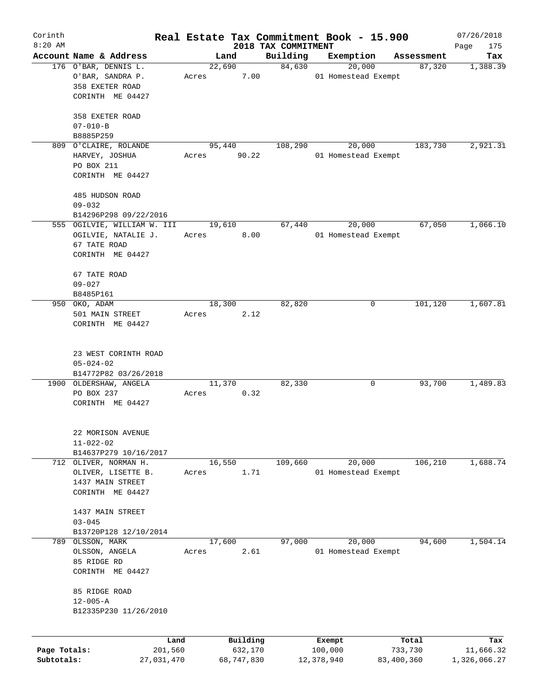| Corinth      |                               |       |                     |                                 | Real Estate Tax Commitment Book - 15.900 |                     |                      | 07/26/2018       |
|--------------|-------------------------------|-------|---------------------|---------------------------------|------------------------------------------|---------------------|----------------------|------------------|
| $8:20$ AM    | Account Name & Address        |       | Land                | 2018 TAX COMMITMENT<br>Building |                                          |                     |                      | Page<br>175      |
|              | 176 O'BAR, DENNIS L.          |       | 22,690              | 84,630                          | Exemption                                | 20,000              | Assessment<br>87,320 | Tax<br>1,388.39  |
|              | O'BAR, SANDRA P.              | Acres | 7.00                |                                 | 01 Homestead Exempt                      |                     |                      |                  |
|              | 358 EXETER ROAD               |       |                     |                                 |                                          |                     |                      |                  |
|              | CORINTH ME 04427              |       |                     |                                 |                                          |                     |                      |                  |
|              |                               |       |                     |                                 |                                          |                     |                      |                  |
|              | 358 EXETER ROAD               |       |                     |                                 |                                          |                     |                      |                  |
|              | $07 - 010 - B$                |       |                     |                                 |                                          |                     |                      |                  |
|              | B8885P259                     |       |                     |                                 |                                          |                     |                      |                  |
|              | 809 O'CLAIRE, ROLANDE         |       | 95,440              | 108,290                         |                                          | 20,000              | 183,730              | 2,921.31         |
|              | HARVEY, JOSHUA                | Acres | 90.22               |                                 | 01 Homestead Exempt                      |                     |                      |                  |
|              | PO BOX 211                    |       |                     |                                 |                                          |                     |                      |                  |
|              | CORINTH ME 04427              |       |                     |                                 |                                          |                     |                      |                  |
|              |                               |       |                     |                                 |                                          |                     |                      |                  |
|              | 485 HUDSON ROAD               |       |                     |                                 |                                          |                     |                      |                  |
|              | $09 - 032$                    |       |                     |                                 |                                          |                     |                      |                  |
|              | B14296P298 09/22/2016         |       |                     |                                 |                                          |                     |                      |                  |
|              | 555 OGILVIE, WILLIAM W. III   |       | 19,610              | 67,440                          |                                          | 20,000              | 67,050               | 1,066.10         |
|              | OGILVIE, NATALIE J.           | Acres | 8.00                |                                 | 01 Homestead Exempt                      |                     |                      |                  |
|              | 67 TATE ROAD                  |       |                     |                                 |                                          |                     |                      |                  |
|              | CORINTH ME 04427              |       |                     |                                 |                                          |                     |                      |                  |
|              | 67 TATE ROAD                  |       |                     |                                 |                                          |                     |                      |                  |
|              | $09 - 027$                    |       |                     |                                 |                                          |                     |                      |                  |
|              | B8485P161                     |       |                     |                                 |                                          |                     |                      |                  |
|              | 950 OKO, ADAM                 |       | 18,300              | 82,820                          |                                          | 0                   | 101,120              | 1,607.81         |
|              | 501 MAIN STREET               | Acres | 2.12                |                                 |                                          |                     |                      |                  |
|              | CORINTH ME 04427              |       |                     |                                 |                                          |                     |                      |                  |
|              |                               |       |                     |                                 |                                          |                     |                      |                  |
|              |                               |       |                     |                                 |                                          |                     |                      |                  |
|              | 23 WEST CORINTH ROAD          |       |                     |                                 |                                          |                     |                      |                  |
|              | $05 - 024 - 02$               |       |                     |                                 |                                          |                     |                      |                  |
|              | B14772P82 03/26/2018          |       |                     |                                 |                                          |                     |                      |                  |
|              | 1900 OLDERSHAW, ANGELA        |       | 11,370              | 82,330                          |                                          | 0                   | 93,700               | 1,489.83         |
|              | PO BOX 237                    | Acres | 0.32                |                                 |                                          |                     |                      |                  |
|              | CORINTH ME 04427              |       |                     |                                 |                                          |                     |                      |                  |
|              |                               |       |                     |                                 |                                          |                     |                      |                  |
|              | 22 MORISON AVENUE             |       |                     |                                 |                                          |                     |                      |                  |
|              | $11 - 022 - 02$               |       |                     |                                 |                                          |                     |                      |                  |
|              | B14637P279 10/16/2017         |       |                     |                                 |                                          |                     |                      |                  |
|              | 712 OLIVER, NORMAN H.         |       | 16,550              | 109,660                         |                                          | 20,000              | 106,210              | 1,688.74         |
|              | OLIVER, LISETTE B.            | Acres | 1.71                |                                 |                                          | 01 Homestead Exempt |                      |                  |
|              | 1437 MAIN STREET              |       |                     |                                 |                                          |                     |                      |                  |
|              | CORINTH ME 04427              |       |                     |                                 |                                          |                     |                      |                  |
|              |                               |       |                     |                                 |                                          |                     |                      |                  |
|              | 1437 MAIN STREET              |       |                     |                                 |                                          |                     |                      |                  |
|              | $03 - 045$                    |       |                     |                                 |                                          |                     |                      |                  |
|              | B13720P128 12/10/2014         |       |                     |                                 |                                          |                     |                      |                  |
| 789          | OLSSON, MARK                  |       | 17,600              | 97,000                          |                                          | 20,000              | 94,600               | 1,504.14         |
|              | OLSSON, ANGELA<br>85 RIDGE RD | Acres |                     | 2.61                            |                                          | 01 Homestead Exempt |                      |                  |
|              | CORINTH ME 04427              |       |                     |                                 |                                          |                     |                      |                  |
|              |                               |       |                     |                                 |                                          |                     |                      |                  |
|              | 85 RIDGE ROAD                 |       |                     |                                 |                                          |                     |                      |                  |
|              | $12 - 005 - A$                |       |                     |                                 |                                          |                     |                      |                  |
|              | B12335P230 11/26/2010         |       |                     |                                 |                                          |                     |                      |                  |
|              |                               |       |                     |                                 |                                          |                     |                      |                  |
|              |                               |       |                     |                                 |                                          |                     |                      |                  |
| Page Totals: | Land<br>201,560               |       | Building<br>632,170 |                                 | Exempt<br>100,000                        |                     | Total<br>733,730     | Tax<br>11,666.32 |
| Subtotals:   | 27,031,470                    |       | 68,747,830          |                                 | 12,378,940                               |                     | 83,400,360           | 1,326,066.27     |
|              |                               |       |                     |                                 |                                          |                     |                      |                  |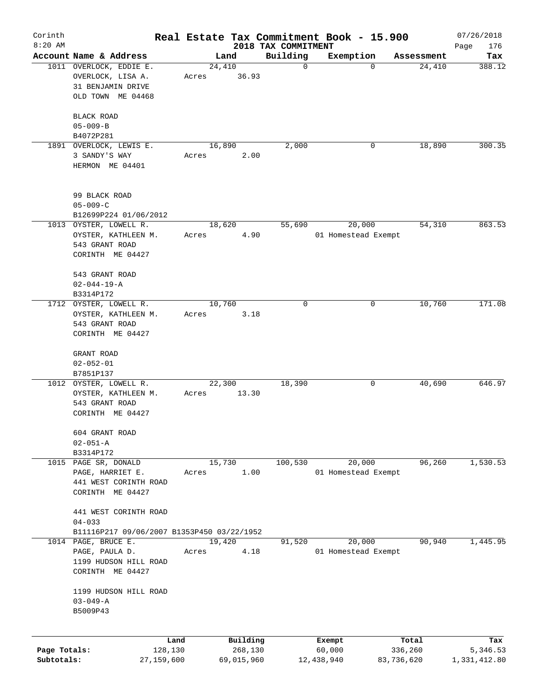| Corinth      |                                                                                        |       |                |                     |                     | Real Estate Tax Commitment Book - 15.900 |                  |                      | 07/26/2018      |
|--------------|----------------------------------------------------------------------------------------|-------|----------------|---------------------|---------------------|------------------------------------------|------------------|----------------------|-----------------|
| $8:20$ AM    |                                                                                        |       |                |                     | 2018 TAX COMMITMENT |                                          |                  |                      | Page<br>176     |
|              | Account Name & Address                                                                 |       | Land<br>24,410 |                     | Building<br>0       | Exemption<br>$\Omega$                    |                  | Assessment<br>24,410 | Tax<br>388.12   |
|              | 1011 OVERLOCK, EDDIE E.<br>OVERLOCK, LISA A.<br>31 BENJAMIN DRIVE<br>OLD TOWN ME 04468 | Acres |                | 36.93               |                     |                                          |                  |                      |                 |
|              |                                                                                        |       |                |                     |                     |                                          |                  |                      |                 |
|              | BLACK ROAD                                                                             |       |                |                     |                     |                                          |                  |                      |                 |
|              | $05 - 009 - B$                                                                         |       |                |                     |                     |                                          |                  |                      |                 |
|              | B4072P281                                                                              |       |                |                     |                     | 0                                        |                  |                      | 300.35          |
| 1891         | OVERLOCK, LEWIS E.<br>3 SANDY'S WAY                                                    | Acres | 16,890         | 2.00                | 2,000               |                                          |                  | 18,890               |                 |
|              | HERMON ME 04401                                                                        |       |                |                     |                     |                                          |                  |                      |                 |
|              | 99 BLACK ROAD                                                                          |       |                |                     |                     |                                          |                  |                      |                 |
|              | $05 - 009 - C$                                                                         |       |                |                     |                     |                                          |                  |                      |                 |
|              | B12699P224 01/06/2012                                                                  |       |                |                     |                     |                                          |                  |                      |                 |
|              | 1013 OYSTER, LOWELL R.                                                                 |       | 18,620         |                     | 55,690              | 20,000                                   |                  | 54,310               | 863.53          |
|              | OYSTER, KATHLEEN M.                                                                    | Acres |                | 4.90                |                     | 01 Homestead Exempt                      |                  |                      |                 |
|              | 543 GRANT ROAD                                                                         |       |                |                     |                     |                                          |                  |                      |                 |
|              | CORINTH ME 04427                                                                       |       |                |                     |                     |                                          |                  |                      |                 |
|              | 543 GRANT ROAD                                                                         |       |                |                     |                     |                                          |                  |                      |                 |
|              | $02 - 044 - 19 - A$                                                                    |       |                |                     |                     |                                          |                  |                      |                 |
|              | B3314P172                                                                              |       |                |                     |                     |                                          |                  |                      |                 |
| 1712         | OYSTER, LOWELL R.                                                                      |       | 10,760         |                     | 0                   | 0                                        |                  | 10,760               | 171.08          |
|              | OYSTER, KATHLEEN M.                                                                    | Acres |                | 3.18                |                     |                                          |                  |                      |                 |
|              | 543 GRANT ROAD                                                                         |       |                |                     |                     |                                          |                  |                      |                 |
|              | CORINTH ME 04427                                                                       |       |                |                     |                     |                                          |                  |                      |                 |
|              |                                                                                        |       |                |                     |                     |                                          |                  |                      |                 |
|              | GRANT ROAD<br>$02 - 052 - 01$                                                          |       |                |                     |                     |                                          |                  |                      |                 |
|              | B7851P137                                                                              |       |                |                     |                     |                                          |                  |                      |                 |
|              | 1012 OYSTER, LOWELL R.                                                                 |       | 22,300         |                     | 18,390              | 0                                        |                  | 40,690               | 646.97          |
|              | OYSTER, KATHLEEN M.                                                                    | Acres |                | 13.30               |                     |                                          |                  |                      |                 |
|              | 543 GRANT ROAD                                                                         |       |                |                     |                     |                                          |                  |                      |                 |
|              | CORINTH ME 04427                                                                       |       |                |                     |                     |                                          |                  |                      |                 |
|              |                                                                                        |       |                |                     |                     |                                          |                  |                      |                 |
|              | 604 GRANT ROAD                                                                         |       |                |                     |                     |                                          |                  |                      |                 |
|              | $02 - 051 - A$<br>B3314P172                                                            |       |                |                     |                     |                                          |                  |                      |                 |
|              | 1015 PAGE SR, DONALD                                                                   |       | 15,730         |                     | 100,530             | 20,000                                   |                  | 96,260               | 1,530.53        |
|              |                                                                                        | Acres |                | 1.00                |                     | 01 Homestead Exempt                      |                  |                      |                 |
|              | PAGE, HARRIET E.<br>441 WEST CORINTH ROAD                                              |       |                |                     |                     |                                          |                  |                      |                 |
|              | CORINTH ME 04427                                                                       |       |                |                     |                     |                                          |                  |                      |                 |
|              |                                                                                        |       |                |                     |                     |                                          |                  |                      |                 |
|              | 441 WEST CORINTH ROAD                                                                  |       |                |                     |                     |                                          |                  |                      |                 |
|              | $04 - 033$                                                                             |       |                |                     |                     |                                          |                  |                      |                 |
|              | B11116P217 09/06/2007 B1353P450 03/22/1952                                             |       |                |                     |                     |                                          |                  |                      |                 |
|              | 1014 PAGE, BRUCE E.                                                                    |       | 19,420         |                     | 91,520              | 20,000                                   |                  | 90,940               | 1,445.95        |
|              | PAGE, PAULA D.                                                                         | Acres |                | 4.18                |                     | 01 Homestead Exempt                      |                  |                      |                 |
|              | 1199 HUDSON HILL ROAD<br>CORINTH ME 04427                                              |       |                |                     |                     |                                          |                  |                      |                 |
|              |                                                                                        |       |                |                     |                     |                                          |                  |                      |                 |
|              | 1199 HUDSON HILL ROAD                                                                  |       |                |                     |                     |                                          |                  |                      |                 |
|              | $03 - 049 - A$                                                                         |       |                |                     |                     |                                          |                  |                      |                 |
|              | B5009P43                                                                               |       |                |                     |                     |                                          |                  |                      |                 |
|              |                                                                                        |       |                |                     |                     |                                          |                  |                      |                 |
| Page Totals: | Land<br>128,130                                                                        |       |                | Building<br>268,130 |                     | Exempt<br>60,000                         | Total<br>336,260 |                      | Tax<br>5,346.53 |
| Subtotals:   | 27,159,600                                                                             |       |                | 69,015,960          |                     | 12,438,940                               | 83,736,620       |                      | 1,331,412.80    |
|              |                                                                                        |       |                |                     |                     |                                          |                  |                      |                 |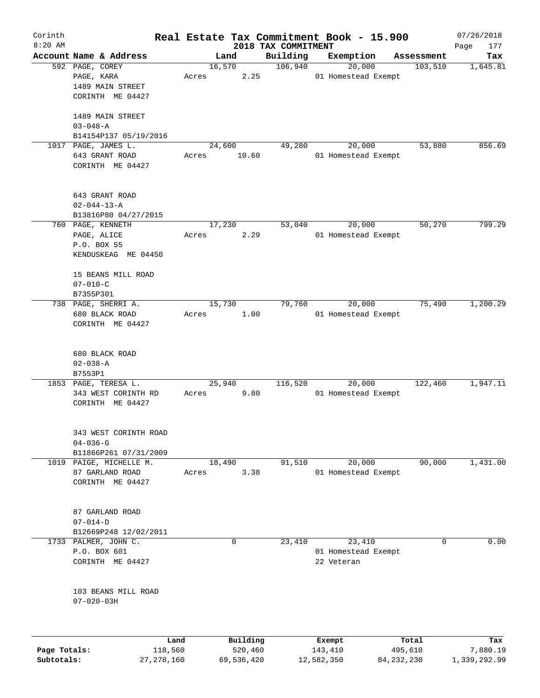| Corinth<br>$8:20$ AM |                                         |        |                     |                                 | Real Estate Tax Commitment Book - 15.900 |                  | 07/26/2018         |
|----------------------|-----------------------------------------|--------|---------------------|---------------------------------|------------------------------------------|------------------|--------------------|
|                      | Account Name & Address                  |        | Land                | 2018 TAX COMMITMENT<br>Building | Exemption                                | Assessment       | Page<br>177<br>Tax |
|                      | 592 PAGE, COREY                         | 16,570 |                     | 106,940                         | 20,000                                   | 103,510          | 1,645.81           |
|                      | PAGE, KARA                              | Acres  | 2.25                |                                 | 01 Homestead Exempt                      |                  |                    |
|                      | 1489 MAIN STREET                        |        |                     |                                 |                                          |                  |                    |
|                      | CORINTH ME 04427                        |        |                     |                                 |                                          |                  |                    |
|                      | 1489 MAIN STREET                        |        |                     |                                 |                                          |                  |                    |
|                      | $03 - 048 - A$                          |        |                     |                                 |                                          |                  |                    |
|                      | B14154P137 05/19/2016                   |        |                     |                                 |                                          |                  |                    |
|                      | 1017 PAGE, JAMES L.                     | 24,600 |                     | 49,280                          | 20,000                                   | 53,880           | 856.69             |
|                      | 643 GRANT ROAD                          | Acres  | 10.60               |                                 | 01 Homestead Exempt                      |                  |                    |
|                      | CORINTH ME 04427                        |        |                     |                                 |                                          |                  |                    |
|                      |                                         |        |                     |                                 |                                          |                  |                    |
|                      | 643 GRANT ROAD                          |        |                     |                                 |                                          |                  |                    |
|                      | $02 - 044 - 13 - A$                     |        |                     |                                 |                                          |                  |                    |
|                      | B13816P80 04/27/2015                    |        |                     |                                 |                                          |                  |                    |
|                      | 760 PAGE, KENNETH                       | 17,230 |                     | 53,040                          | 20,000                                   | 50,270           | 799.29             |
|                      | PAGE, ALICE                             | Acres  | 2.29                |                                 | 01 Homestead Exempt                      |                  |                    |
|                      | P.O. BOX 55                             |        |                     |                                 |                                          |                  |                    |
|                      | KENDUSKEAG ME 04450                     |        |                     |                                 |                                          |                  |                    |
|                      | 15 BEANS MILL ROAD                      |        |                     |                                 |                                          |                  |                    |
|                      | $07 - 010 - C$                          |        |                     |                                 |                                          |                  |                    |
|                      | B7355P301                               |        |                     |                                 |                                          |                  |                    |
|                      | 738 PAGE, SHERRI A.                     | 15,730 |                     | 79,760                          | 20,000                                   | 75,490           | 1,200.29           |
|                      | 680 BLACK ROAD                          | Acres  | 1.00                |                                 | 01 Homestead Exempt                      |                  |                    |
|                      | CORINTH ME 04427                        |        |                     |                                 |                                          |                  |                    |
|                      | 680 BLACK ROAD<br>$02 - 038 - A$        |        |                     |                                 |                                          |                  |                    |
|                      | B7553P1                                 |        |                     |                                 |                                          |                  |                    |
|                      | 1853 PAGE, TERESA L.                    | 25,940 | 9.80                | 116,520                         | 20,000                                   | 122,460          | 1,947.11           |
|                      | 343 WEST CORINTH RD<br>CORINTH ME 04427 | Acres  |                     |                                 | 01 Homestead Exempt                      |                  |                    |
|                      |                                         |        |                     |                                 |                                          |                  |                    |
|                      | 343 WEST CORINTH ROAD                   |        |                     |                                 |                                          |                  |                    |
|                      | $04 - 036 - G$                          |        |                     |                                 |                                          |                  |                    |
|                      | B11866P261 07/31/2009                   |        |                     |                                 |                                          |                  |                    |
|                      | 1019 PAIGE, MICHELLE M.                 | 18,490 |                     | 91,510                          | 20,000                                   | 90,000           | 1,431.00           |
|                      | 87 GARLAND ROAD                         | Acres  | 3.38                |                                 | 01 Homestead Exempt                      |                  |                    |
|                      | CORINTH ME 04427                        |        |                     |                                 |                                          |                  |                    |
|                      |                                         |        |                     |                                 |                                          |                  |                    |
|                      | 87 GARLAND ROAD                         |        |                     |                                 |                                          |                  |                    |
|                      | $07 - 014 - D$                          |        |                     |                                 |                                          |                  |                    |
|                      | B12669P248 12/02/2011                   |        |                     |                                 |                                          |                  |                    |
|                      | 1733 PALMER, JOHN C.                    |        | 0                   | 23,410                          | 23,410                                   | 0                | 0.00               |
|                      | P.O. BOX 601                            |        |                     |                                 | 01 Homestead Exempt                      |                  |                    |
|                      | CORINTH ME 04427                        |        |                     |                                 | 22 Veteran                               |                  |                    |
|                      |                                         |        |                     |                                 |                                          |                  |                    |
|                      | 103 BEANS MILL ROAD                     |        |                     |                                 |                                          |                  |                    |
|                      | $07 - 020 - 03H$                        |        |                     |                                 |                                          |                  |                    |
|                      |                                         |        |                     |                                 |                                          |                  |                    |
|                      |                                         |        |                     |                                 |                                          |                  |                    |
| Page Totals:         | Land<br>118,560                         |        | Building<br>520,460 |                                 | Exempt<br>143,410                        | Total<br>495,610 | Tax<br>7,880.19    |

**Subtotals:** 27,278,160 69,536,420 12,582,350 84,232,230 1,339,292.99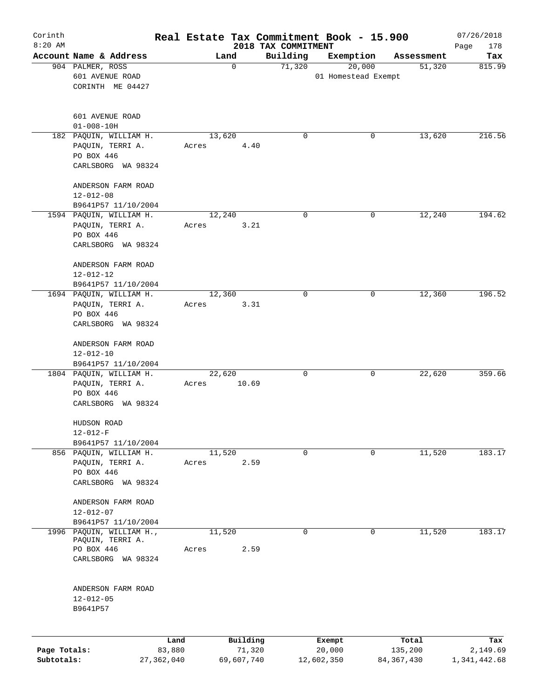| Corinth<br>$8:20$ AM |                                                |              | Real Estate Tax Commitment Book - 15.900 |                                 |             |                     |              | 07/26/2018         |
|----------------------|------------------------------------------------|--------------|------------------------------------------|---------------------------------|-------------|---------------------|--------------|--------------------|
|                      | Account Name & Address                         |              | Land                                     | 2018 TAX COMMITMENT<br>Building |             | Exemption           | Assessment   | Page<br>178<br>Tax |
|                      | 904 PALMER, ROSS                               |              | $\mathbf 0$                              | 71,320                          |             | 20,000              | 51,320       | 815.99             |
|                      | 601 AVENUE ROAD                                |              |                                          |                                 |             | 01 Homestead Exempt |              |                    |
|                      | CORINTH ME 04427                               |              |                                          |                                 |             |                     |              |                    |
|                      |                                                |              |                                          |                                 |             |                     |              |                    |
|                      |                                                |              |                                          |                                 |             |                     |              |                    |
|                      | 601 AVENUE ROAD<br>$01 - 008 - 10H$            |              |                                          |                                 |             |                     |              |                    |
|                      | 182 PAQUIN, WILLIAM H.                         |              | 13,620                                   |                                 | $\mathbf 0$ | 0                   | 13,620       | 216.56             |
|                      | PAQUIN, TERRI A.                               |              | Acres                                    | 4.40                            |             |                     |              |                    |
|                      | PO BOX 446                                     |              |                                          |                                 |             |                     |              |                    |
|                      | CARLSBORG WA 98324                             |              |                                          |                                 |             |                     |              |                    |
|                      |                                                |              |                                          |                                 |             |                     |              |                    |
|                      | ANDERSON FARM ROAD                             |              |                                          |                                 |             |                     |              |                    |
|                      | $12 - 012 - 08$                                |              |                                          |                                 |             |                     |              |                    |
|                      | B9641P57 11/10/2004<br>1594 PAQUIN, WILLIAM H. |              | 12,240                                   |                                 | $\mathbf 0$ | $\mathbf 0$         | 12,240       | 194.62             |
|                      | PAQUIN, TERRI A.                               |              | Acres                                    | 3.21                            |             |                     |              |                    |
|                      | PO BOX 446                                     |              |                                          |                                 |             |                     |              |                    |
|                      | CARLSBORG WA 98324                             |              |                                          |                                 |             |                     |              |                    |
|                      |                                                |              |                                          |                                 |             |                     |              |                    |
|                      | ANDERSON FARM ROAD                             |              |                                          |                                 |             |                     |              |                    |
|                      | $12 - 012 - 12$                                |              |                                          |                                 |             |                     |              |                    |
|                      | B9641P57 11/10/2004                            |              |                                          |                                 |             |                     |              |                    |
|                      | 1694 PAQUIN, WILLIAM H.                        |              | 12,360                                   |                                 | $\mathbf 0$ | 0                   | 12,360       | 196.52             |
|                      | PAQUIN, TERRI A.                               |              | Acres                                    | 3.31                            |             |                     |              |                    |
|                      | PO BOX 446                                     |              |                                          |                                 |             |                     |              |                    |
|                      | CARLSBORG WA 98324                             |              |                                          |                                 |             |                     |              |                    |
|                      |                                                |              |                                          |                                 |             |                     |              |                    |
|                      | ANDERSON FARM ROAD                             |              |                                          |                                 |             |                     |              |                    |
|                      | $12 - 012 - 10$<br>B9641P57 11/10/2004         |              |                                          |                                 |             |                     |              |                    |
|                      | 1804 PAQUIN, WILLIAM H.                        |              | 22,620                                   |                                 | $\mathbf 0$ | 0                   | 22,620       | 359.66             |
|                      | PAQUIN, TERRI A.                               |              | Acres                                    | 10.69                           |             |                     |              |                    |
|                      | PO BOX 446                                     |              |                                          |                                 |             |                     |              |                    |
|                      | CARLSBORG WA 98324                             |              |                                          |                                 |             |                     |              |                    |
|                      |                                                |              |                                          |                                 |             |                     |              |                    |
|                      | HUDSON ROAD                                    |              |                                          |                                 |             |                     |              |                    |
|                      | $12 - 012 - F$                                 |              |                                          |                                 |             |                     |              |                    |
|                      | B9641P57 11/10/2004                            |              |                                          |                                 | 0           | $\mathbf 0$         |              | 183.17             |
|                      | 856 PAQUIN, WILLIAM H.<br>PAQUIN, TERRI A.     |              | 11,520<br>Acres                          | 2.59                            |             |                     | 11,520       |                    |
|                      | PO BOX 446                                     |              |                                          |                                 |             |                     |              |                    |
|                      | CARLSBORG WA 98324                             |              |                                          |                                 |             |                     |              |                    |
|                      |                                                |              |                                          |                                 |             |                     |              |                    |
|                      | ANDERSON FARM ROAD                             |              |                                          |                                 |             |                     |              |                    |
|                      | 12-012-07                                      |              |                                          |                                 |             |                     |              |                    |
|                      | B9641P57 11/10/2004                            |              |                                          |                                 |             |                     |              |                    |
|                      | 1996 PAQUIN, WILLIAM H.,                       |              | 11,520                                   |                                 | $\mathbf 0$ | 0                   | 11,520       | 183.17             |
|                      | PAQUIN, TERRI A.<br>PO BOX 446                 |              | Acres                                    | 2.59                            |             |                     |              |                    |
|                      | CARLSBORG WA 98324                             |              |                                          |                                 |             |                     |              |                    |
|                      |                                                |              |                                          |                                 |             |                     |              |                    |
|                      |                                                |              |                                          |                                 |             |                     |              |                    |
|                      | ANDERSON FARM ROAD                             |              |                                          |                                 |             |                     |              |                    |
|                      | $12 - 012 - 05$                                |              |                                          |                                 |             |                     |              |                    |
|                      | B9641P57                                       |              |                                          |                                 |             |                     |              |                    |
|                      |                                                |              |                                          |                                 |             |                     |              |                    |
|                      |                                                | Land         |                                          | Building                        | Exempt      |                     | Total        | Tax                |
| Page Totals:         |                                                | 83,880       |                                          | 71,320                          | 20,000      |                     | 135,200      | 2,149.69           |
| Subtotals:           |                                                | 27, 362, 040 | 69,607,740                               |                                 | 12,602,350  |                     | 84, 367, 430 | 1,341,442.68       |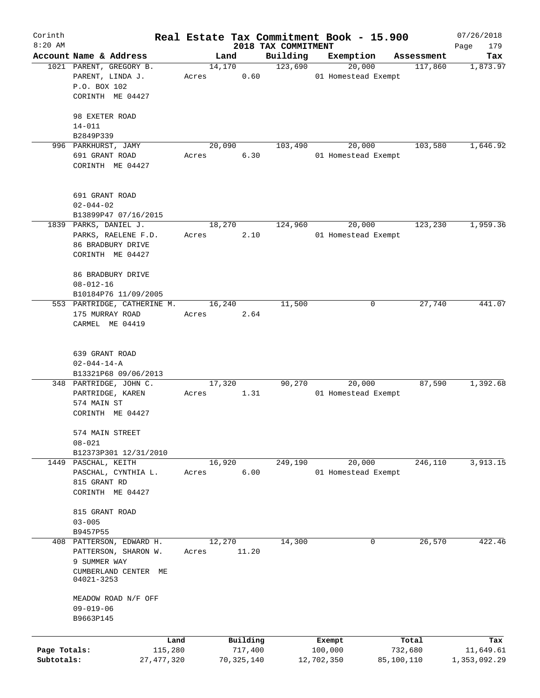| Corinth      |                                                     |       |            |                                 | Real Estate Tax Commitment Book - 15.900 |            | 07/26/2018         |
|--------------|-----------------------------------------------------|-------|------------|---------------------------------|------------------------------------------|------------|--------------------|
| $8:20$ AM    | Account Name & Address                              |       | Land       | 2018 TAX COMMITMENT<br>Building | Exemption                                | Assessment | 179<br>Page<br>Tax |
|              | 1021 PARENT, GREGORY B.                             |       | 14,170     | 123,690                         | 20,000                                   | 117,860    | 1,873.97           |
|              | PARENT, LINDA J.                                    | Acres | 0.60       |                                 | 01 Homestead Exempt                      |            |                    |
|              | P.O. BOX 102                                        |       |            |                                 |                                          |            |                    |
|              | CORINTH ME 04427                                    |       |            |                                 |                                          |            |                    |
|              |                                                     |       |            |                                 |                                          |            |                    |
|              | 98 EXETER ROAD                                      |       |            |                                 |                                          |            |                    |
|              | $14 - 011$                                          |       |            |                                 |                                          |            |                    |
|              | B2849P339                                           |       |            |                                 |                                          |            |                    |
|              | 996 PARKHURST, JAMY                                 |       | 20,090     | 103,490                         | 20,000                                   | 103,580    | 1,646.92           |
|              | 691 GRANT ROAD                                      | Acres | 6.30       |                                 | 01 Homestead Exempt                      |            |                    |
|              | CORINTH ME 04427                                    |       |            |                                 |                                          |            |                    |
|              |                                                     |       |            |                                 |                                          |            |                    |
|              |                                                     |       |            |                                 |                                          |            |                    |
|              | 691 GRANT ROAD                                      |       |            |                                 |                                          |            |                    |
|              | $02 - 044 - 02$                                     |       |            |                                 |                                          |            |                    |
|              | B13899P47 07/16/2015                                |       |            |                                 |                                          |            |                    |
|              | 1839 PARKS, DANIEL J.                               |       | 18,270     | 124,960                         | 20,000                                   | 123,230    | 1,959.36           |
|              | PARKS, RAELENE F.D.                                 | Acres | 2.10       |                                 | 01 Homestead Exempt                      |            |                    |
|              | 86 BRADBURY DRIVE                                   |       |            |                                 |                                          |            |                    |
|              | CORINTH ME 04427                                    |       |            |                                 |                                          |            |                    |
|              |                                                     |       |            |                                 |                                          |            |                    |
|              | 86 BRADBURY DRIVE                                   |       |            |                                 |                                          |            |                    |
|              | $08 - 012 - 16$                                     |       |            |                                 |                                          |            |                    |
|              | B10184P76 11/09/2005<br>553 PARTRIDGE, CATHERINE M. |       | 16,240     | 11,500                          | 0                                        | 27,740     | 441.07             |
|              | 175 MURRAY ROAD                                     | Acres | 2.64       |                                 |                                          |            |                    |
|              | CARMEL ME 04419                                     |       |            |                                 |                                          |            |                    |
|              |                                                     |       |            |                                 |                                          |            |                    |
|              |                                                     |       |            |                                 |                                          |            |                    |
|              | 639 GRANT ROAD                                      |       |            |                                 |                                          |            |                    |
|              | $02 - 044 - 14 - A$                                 |       |            |                                 |                                          |            |                    |
|              | B13321P68 09/06/2013                                |       |            |                                 |                                          |            |                    |
|              | 348 PARTRIDGE, JOHN C.                              |       | 17,320     | 90,270                          | 20,000                                   | 87,590     | 1,392.68           |
|              | PARTRIDGE, KAREN                                    | Acres | 1.31       |                                 | 01 Homestead Exempt                      |            |                    |
|              | 574 MAIN ST                                         |       |            |                                 |                                          |            |                    |
|              | CORINTH ME 04427                                    |       |            |                                 |                                          |            |                    |
|              |                                                     |       |            |                                 |                                          |            |                    |
|              | 574 MAIN STREET                                     |       |            |                                 |                                          |            |                    |
|              | $08 - 021$                                          |       |            |                                 |                                          |            |                    |
|              | B12373P301 12/31/2010                               |       |            |                                 |                                          |            |                    |
|              | 1449 PASCHAL, KEITH                                 |       | 16,920     | 249,190                         | 20,000                                   | 246,110    | 3,913.15           |
|              | PASCHAL, CYNTHIA L.                                 | Acres | 6.00       |                                 | 01 Homestead Exempt                      |            |                    |
|              | 815 GRANT RD                                        |       |            |                                 |                                          |            |                    |
|              | CORINTH ME 04427                                    |       |            |                                 |                                          |            |                    |
|              |                                                     |       |            |                                 |                                          |            |                    |
|              | 815 GRANT ROAD                                      |       |            |                                 |                                          |            |                    |
|              | $03 - 005$                                          |       |            |                                 |                                          |            |                    |
|              | B9457P55                                            |       |            |                                 |                                          |            |                    |
|              | 408 PATTERSON, EDWARD H.                            |       | 12,270     | 14,300                          | 0                                        | 26,570     | 422.46             |
|              | PATTERSON, SHARON W.<br>9 SUMMER WAY                | Acres | 11.20      |                                 |                                          |            |                    |
|              | CUMBERLAND CENTER ME                                |       |            |                                 |                                          |            |                    |
|              | 04021-3253                                          |       |            |                                 |                                          |            |                    |
|              |                                                     |       |            |                                 |                                          |            |                    |
|              | MEADOW ROAD N/F OFF                                 |       |            |                                 |                                          |            |                    |
|              | $09 - 019 - 06$                                     |       |            |                                 |                                          |            |                    |
|              | B9663P145                                           |       |            |                                 |                                          |            |                    |
|              |                                                     |       |            |                                 |                                          |            |                    |
|              | Land                                                |       | Building   |                                 | Exempt                                   | Total      | Tax                |
| Page Totals: | 115,280                                             |       | 717,400    |                                 | 100,000                                  | 732,680    | 11,649.61          |
| Subtotals:   | 27,477,320                                          |       | 70,325,140 |                                 | 12,702,350                               | 85,100,110 | 1,353,092.29       |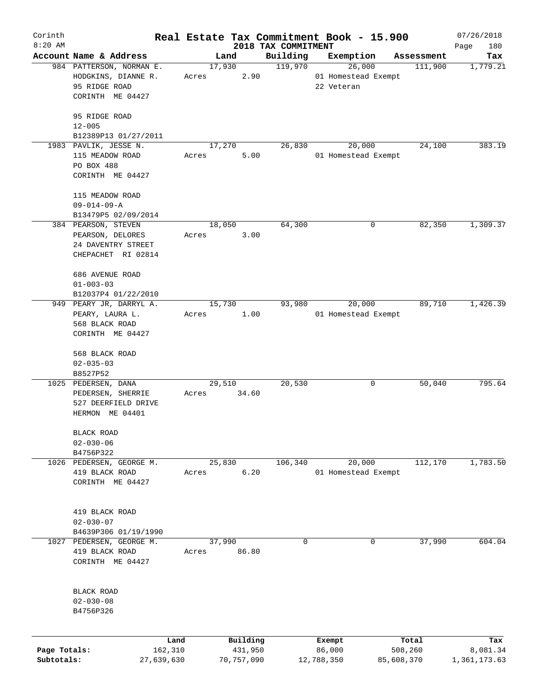| Corinth<br>$8:20$ AM |                                                                                      |       |                 |                                 | Real Estate Tax Commitment Book - 15.900    |            | 07/26/2018         |
|----------------------|--------------------------------------------------------------------------------------|-------|-----------------|---------------------------------|---------------------------------------------|------------|--------------------|
|                      | Account Name & Address                                                               |       | Land            | 2018 TAX COMMITMENT<br>Building | Exemption                                   | Assessment | Page<br>180<br>Tax |
|                      | 984 PATTERSON, NORMAN E.<br>HODGKINS, DIANNE R.<br>95 RIDGE ROAD<br>CORINTH ME 04427 | Acres | 17,930<br>2.90  | 119,970                         | 26,000<br>01 Homestead Exempt<br>22 Veteran | 111,900    | 1,779.21           |
|                      | 95 RIDGE ROAD<br>$12 - 005$<br>B12389P13 01/27/2011                                  |       |                 |                                 |                                             |            |                    |
|                      | 1983 PAVLIK, JESSE N.<br>115 MEADOW ROAD<br>PO BOX 488<br>CORINTH ME 04427           | Acres | 17,270<br>5.00  | 26,830                          | 20,000<br>01 Homestead Exempt               | 24,100     | 383.19             |
|                      | 115 MEADOW ROAD<br>$09 - 014 - 09 - A$<br>B13479P5 02/09/2014                        |       |                 |                                 |                                             |            |                    |
|                      | 384 PEARSON, STEVEN<br>PEARSON, DELORES<br>24 DAVENTRY STREET<br>CHEPACHET RI 02814  | Acres | 18,050<br>3.00  | 64,300                          | 0                                           | 82,350     | 1,309.37           |
|                      | 686 AVENUE ROAD<br>$01 - 003 - 03$<br>B12037P4 01/22/2010<br>949 PEARY JR, DARRYL A. |       | 15,730          | 93,980                          | 20,000                                      | 89,710     | 1,426.39           |
|                      | PEARY, LAURA L.<br>568 BLACK ROAD<br>CORINTH ME 04427                                | Acres | 1.00            |                                 | 01 Homestead Exempt                         |            |                    |
|                      | 568 BLACK ROAD<br>$02 - 035 - 03$<br>B8527P52                                        |       |                 |                                 |                                             |            |                    |
| 1025                 | PEDERSEN, DANA<br>PEDERSEN, SHERRIE<br>527 DEERFIELD DRIVE<br>HERMON ME 04401        | Acres | 29,510<br>34.60 | 20,530                          | 0                                           | 50,040     | 795.64             |
|                      | BLACK ROAD<br>$02 - 030 - 06$<br>B4756P322                                           |       |                 |                                 |                                             |            |                    |
| 1026                 | PEDERSEN, GEORGE M.<br>419 BLACK ROAD<br>CORINTH ME 04427                            | Acres | 25,830<br>6.20  | 106,340                         | 20,000<br>01 Homestead Exempt               | 112,170    | 1,783.50           |
|                      | 419 BLACK ROAD<br>$02 - 030 - 07$<br>B4639P306 01/19/1990                            |       |                 |                                 |                                             |            |                    |
| 1027                 | PEDERSEN, GEORGE M.<br>419 BLACK ROAD<br>CORINTH ME 04427                            | Acres | 37,990<br>86.80 | 0                               | 0                                           | 37,990     | 604.04             |
|                      | BLACK ROAD<br>$02 - 030 - 08$<br>B4756P326                                           |       |                 |                                 |                                             |            |                    |
|                      |                                                                                      | Land  | Building        |                                 | Exempt                                      | Total      | Tax                |
| Page Totals:         | 162,310                                                                              |       | 431,950         |                                 | 86,000                                      | 508,260    | 8,081.34           |
| Subtotals:           | 27,639,630                                                                           |       | 70,757,090      |                                 | 12,788,350                                  | 85,608,370 | 1,361,173.63       |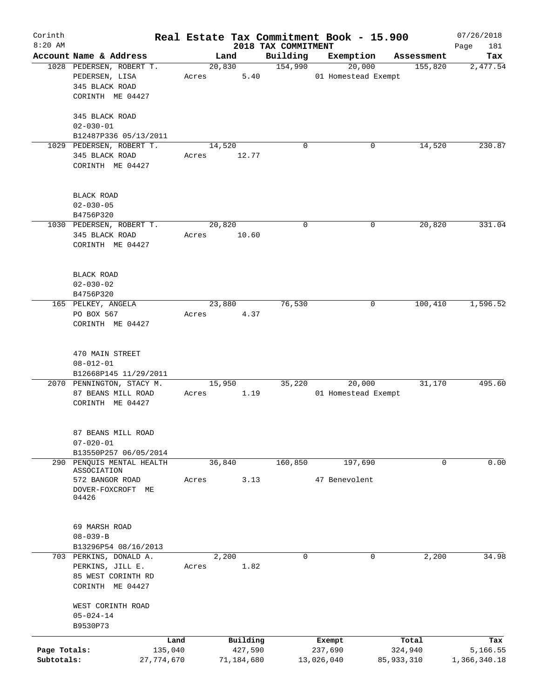| Corinth<br>$8:20$ AM |                                |              |       |            | 2018 TAX COMMITMENT | Real Estate Tax Commitment Book - 15.900 |            | 07/26/2018<br>Page<br>181 |
|----------------------|--------------------------------|--------------|-------|------------|---------------------|------------------------------------------|------------|---------------------------|
|                      | Account Name & Address         |              |       | Land       | Building            | Exemption                                | Assessment | Tax                       |
|                      | 1028 PEDERSEN, ROBERT T.       |              |       | 20,830     | 154,990             | 20,000                                   | 155,820    | 2,477.54                  |
|                      | PEDERSEN, LISA                 |              | Acres | 5.40       |                     | 01 Homestead Exempt                      |            |                           |
|                      | 345 BLACK ROAD                 |              |       |            |                     |                                          |            |                           |
|                      | CORINTH ME 04427               |              |       |            |                     |                                          |            |                           |
|                      |                                |              |       |            |                     |                                          |            |                           |
|                      | 345 BLACK ROAD                 |              |       |            |                     |                                          |            |                           |
|                      | $02 - 030 - 01$                |              |       |            |                     |                                          |            |                           |
|                      | B12487P336 05/13/2011          |              |       |            |                     |                                          |            |                           |
|                      | 1029 PEDERSEN, ROBERT T.       |              |       | 14,520     | 0                   | 0                                        | 14,520     | 230.87                    |
|                      | 345 BLACK ROAD                 |              | Acres | 12.77      |                     |                                          |            |                           |
|                      | CORINTH ME 04427               |              |       |            |                     |                                          |            |                           |
|                      |                                |              |       |            |                     |                                          |            |                           |
|                      |                                |              |       |            |                     |                                          |            |                           |
|                      | BLACK ROAD                     |              |       |            |                     |                                          |            |                           |
|                      | $02 - 030 - 05$                |              |       |            |                     |                                          |            |                           |
|                      | B4756P320                      |              |       |            |                     |                                          |            |                           |
|                      | 1030 PEDERSEN, ROBERT T.       |              |       | 20,820     | $\mathbf 0$         | 0                                        | 20,820     | 331.04                    |
|                      | 345 BLACK ROAD                 |              | Acres | 10.60      |                     |                                          |            |                           |
|                      | CORINTH ME 04427               |              |       |            |                     |                                          |            |                           |
|                      |                                |              |       |            |                     |                                          |            |                           |
|                      |                                |              |       |            |                     |                                          |            |                           |
|                      | BLACK ROAD                     |              |       |            |                     |                                          |            |                           |
|                      | $02 - 030 - 02$                |              |       |            |                     |                                          |            |                           |
|                      | B4756P320                      |              |       |            |                     |                                          |            |                           |
|                      | 165 PELKEY, ANGELA             |              |       | 23,880     | 76,530              | 0                                        | 100,410    | 1,596.52                  |
|                      | PO BOX 567                     |              | Acres | 4.37       |                     |                                          |            |                           |
|                      | CORINTH ME 04427               |              |       |            |                     |                                          |            |                           |
|                      |                                |              |       |            |                     |                                          |            |                           |
|                      |                                |              |       |            |                     |                                          |            |                           |
|                      | 470 MAIN STREET                |              |       |            |                     |                                          |            |                           |
|                      | $08 - 012 - 01$                |              |       |            |                     |                                          |            |                           |
|                      | B12668P145 11/29/2011          |              |       |            |                     |                                          |            |                           |
|                      | 2070 PENNINGTON, STACY M.      |              |       | 15,950     | 35,220              | 20,000                                   | 31,170     | 495.60                    |
|                      | 87 BEANS MILL ROAD             |              | Acres | 1.19       |                     | 01 Homestead Exempt                      |            |                           |
|                      | CORINTH ME 04427               |              |       |            |                     |                                          |            |                           |
|                      |                                |              |       |            |                     |                                          |            |                           |
|                      |                                |              |       |            |                     |                                          |            |                           |
|                      | 87 BEANS MILL ROAD             |              |       |            |                     |                                          |            |                           |
|                      | $07 - 020 - 01$                |              |       |            |                     |                                          |            |                           |
|                      | B13550P257 06/05/2014          |              |       |            |                     |                                          |            |                           |
|                      | 290 PENQUIS MENTAL HEALTH      |              |       | 36,840     | 160, 850            | 197,690                                  | 0          | 0.00                      |
|                      | ASSOCIATION<br>572 BANGOR ROAD |              | Acres | 3.13       |                     | 47 Benevolent                            |            |                           |
|                      | DOVER-FOXCROFT ME              |              |       |            |                     |                                          |            |                           |
|                      | 04426                          |              |       |            |                     |                                          |            |                           |
|                      |                                |              |       |            |                     |                                          |            |                           |
|                      |                                |              |       |            |                     |                                          |            |                           |
|                      | 69 MARSH ROAD                  |              |       |            |                     |                                          |            |                           |
|                      | $08 - 039 - B$                 |              |       |            |                     |                                          |            |                           |
|                      | B13296P54 08/16/2013           |              |       |            |                     |                                          |            |                           |
|                      | 703 PERKINS, DONALD A.         |              |       | 2,200      | $\mathbf 0$         | 0                                        | 2,200      | 34.98                     |
|                      | PERKINS, JILL E.               |              | Acres | 1.82       |                     |                                          |            |                           |
|                      | 85 WEST CORINTH RD             |              |       |            |                     |                                          |            |                           |
|                      | CORINTH ME 04427               |              |       |            |                     |                                          |            |                           |
|                      |                                |              |       |            |                     |                                          |            |                           |
|                      | WEST CORINTH ROAD              |              |       |            |                     |                                          |            |                           |
|                      | $05 - 024 - 14$                |              |       |            |                     |                                          |            |                           |
|                      | B9530P73                       |              |       |            |                     |                                          |            |                           |
|                      |                                | Land         |       | Building   |                     | Exempt                                   | Total      | Tax                       |
| Page Totals:         |                                | 135,040      |       | 427,590    |                     | 237,690                                  | 324,940    | 5,166.55                  |
| Subtotals:           |                                | 27, 774, 670 |       | 71,184,680 |                     | 13,026,040                               | 85,933,310 | 1,366,340.18              |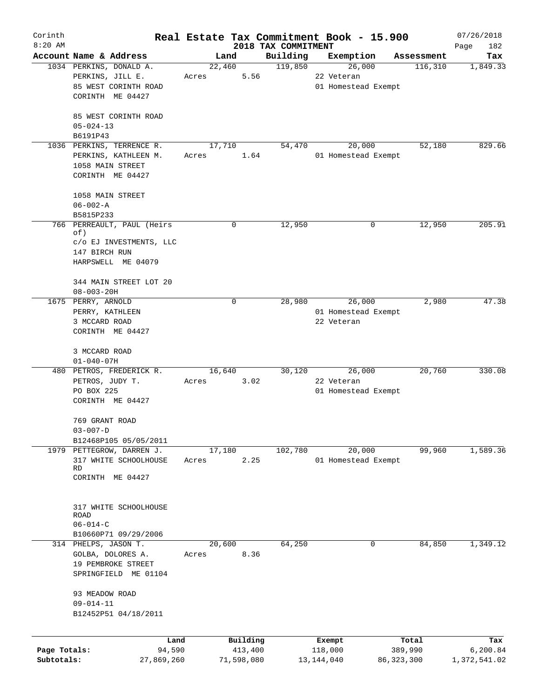| Corinth      |                                                   |        |                     |                     | Real Estate Tax Commitment Book - 15.900 |                       | 07/26/2018      |
|--------------|---------------------------------------------------|--------|---------------------|---------------------|------------------------------------------|-----------------------|-----------------|
| $8:20$ AM    |                                                   |        |                     | 2018 TAX COMMITMENT |                                          |                       | Page<br>182     |
|              | Account Name & Address<br>1034 PERKINS, DONALD A. | 22,460 | Land                | Building<br>119,850 | Exemption<br>26,000                      | Assessment<br>116,310 | Tax<br>1,849.33 |
|              | PERKINS, JILL E.                                  | Acres  | 5.56                |                     | 22 Veteran                               |                       |                 |
|              | 85 WEST CORINTH ROAD                              |        |                     |                     | 01 Homestead Exempt                      |                       |                 |
|              | CORINTH ME 04427                                  |        |                     |                     |                                          |                       |                 |
|              |                                                   |        |                     |                     |                                          |                       |                 |
|              | 85 WEST CORINTH ROAD                              |        |                     |                     |                                          |                       |                 |
|              | $05 - 024 - 13$                                   |        |                     |                     |                                          |                       |                 |
|              | B6191P43                                          |        |                     |                     |                                          |                       |                 |
|              | 1036 PERKINS, TERRENCE R.                         | 17,710 |                     | 54,470              | 20,000                                   | 52,180                | 829.66          |
|              | PERKINS, KATHLEEN M.                              | Acres  | 1.64                |                     | 01 Homestead Exempt                      |                       |                 |
|              | 1058 MAIN STREET                                  |        |                     |                     |                                          |                       |                 |
|              | CORINTH ME 04427                                  |        |                     |                     |                                          |                       |                 |
|              |                                                   |        |                     |                     |                                          |                       |                 |
|              | 1058 MAIN STREET                                  |        |                     |                     |                                          |                       |                 |
|              | $06 - 002 - A$                                    |        |                     |                     |                                          |                       |                 |
|              | B5815P233                                         |        |                     |                     |                                          |                       |                 |
|              | 766 PERREAULT, PAUL (Heirs<br>of)                 |        | 0                   | 12,950              | 0                                        | 12,950                | 205.91          |
|              | c/o EJ INVESTMENTS, LLC                           |        |                     |                     |                                          |                       |                 |
|              | 147 BIRCH RUN                                     |        |                     |                     |                                          |                       |                 |
|              | HARPSWELL ME 04079                                |        |                     |                     |                                          |                       |                 |
|              |                                                   |        |                     |                     |                                          |                       |                 |
|              | 344 MAIN STREET LOT 20                            |        |                     |                     |                                          |                       |                 |
|              | $08 - 003 - 20H$                                  |        |                     |                     |                                          |                       |                 |
|              | 1675 PERRY, ARNOLD                                |        | $\mathbf 0$         | 28,980              | 26,000                                   | 2,980                 | 47.38           |
|              | PERRY, KATHLEEN                                   |        |                     |                     | 01 Homestead Exempt                      |                       |                 |
|              | 3 MCCARD ROAD                                     |        |                     |                     | 22 Veteran                               |                       |                 |
|              | CORINTH ME 04427                                  |        |                     |                     |                                          |                       |                 |
|              |                                                   |        |                     |                     |                                          |                       |                 |
|              | 3 MCCARD ROAD                                     |        |                     |                     |                                          |                       |                 |
|              | $01 - 040 - 07H$<br>480 PETROS, FREDERICK R.      | 16,640 |                     | 30,120              | 26,000                                   | 20,760                | 330.08          |
|              | PETROS, JUDY T.                                   | Acres  | 3.02                |                     | 22 Veteran                               |                       |                 |
|              | PO BOX 225                                        |        |                     |                     | 01 Homestead Exempt                      |                       |                 |
|              | CORINTH ME 04427                                  |        |                     |                     |                                          |                       |                 |
|              |                                                   |        |                     |                     |                                          |                       |                 |
|              | 769 GRANT ROAD                                    |        |                     |                     |                                          |                       |                 |
|              | $03 - 007 - D$                                    |        |                     |                     |                                          |                       |                 |
|              | B12468P105 05/05/2011                             |        |                     |                     |                                          |                       |                 |
|              | 1979 PETTEGROW, DARREN J.                         | 17,180 |                     | 102,780             | 20,000                                   | 99,960                | 1,589.36        |
|              | 317 WHITE SCHOOLHOUSE                             | Acres  | 2.25                |                     | 01 Homestead Exempt                      |                       |                 |
|              | RD<br>CORINTH ME 04427                            |        |                     |                     |                                          |                       |                 |
|              |                                                   |        |                     |                     |                                          |                       |                 |
|              |                                                   |        |                     |                     |                                          |                       |                 |
|              | 317 WHITE SCHOOLHOUSE                             |        |                     |                     |                                          |                       |                 |
|              | ROAD                                              |        |                     |                     |                                          |                       |                 |
|              | $06 - 014 - C$                                    |        |                     |                     |                                          |                       |                 |
|              | B10660P71 09/29/2006                              |        |                     |                     |                                          |                       |                 |
|              | 314 PHELPS, JASON T.                              | 20,600 |                     | 64,250              | 0                                        | 84,850                | 1,349.12        |
|              | GOLBA, DOLORES A.                                 | Acres  | 8.36                |                     |                                          |                       |                 |
|              | 19 PEMBROKE STREET                                |        |                     |                     |                                          |                       |                 |
|              | SPRINGFIELD ME 01104                              |        |                     |                     |                                          |                       |                 |
|              |                                                   |        |                     |                     |                                          |                       |                 |
|              | 93 MEADOW ROAD                                    |        |                     |                     |                                          |                       |                 |
|              | $09 - 014 - 11$<br>B12452P51 04/18/2011           |        |                     |                     |                                          |                       |                 |
|              |                                                   |        |                     |                     |                                          |                       |                 |
|              |                                                   |        |                     |                     |                                          |                       |                 |
| Page Totals: | Land<br>94,590                                    |        | Building<br>413,400 |                     | Exempt<br>118,000                        | Total<br>389,990      | Tax<br>6,200.84 |
| Subtotals:   | 27,869,260                                        |        | 71,598,080          |                     | 13, 144, 040                             | 86, 323, 300          | 1,372,541.02    |
|              |                                                   |        |                     |                     |                                          |                       |                 |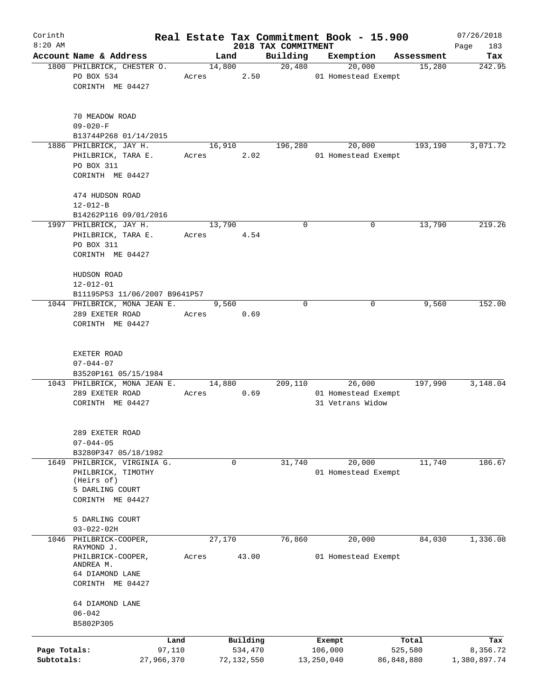| Corinth      |                                  |       |                |            |                     | Real Estate Tax Commitment Book - 15.900 |                      | 07/26/2018    |
|--------------|----------------------------------|-------|----------------|------------|---------------------|------------------------------------------|----------------------|---------------|
| $8:20$ AM    | Account Name & Address           |       |                |            | 2018 TAX COMMITMENT |                                          |                      | Page<br>183   |
|              | 1800 PHILBRICK, CHESTER O.       |       | Land<br>14,800 |            | Building<br>20,480  | Exemption<br>20,000                      | Assessment<br>15,280 | Tax<br>242.95 |
|              | PO BOX 534                       | Acres |                | 2.50       |                     | 01 Homestead Exempt                      |                      |               |
|              | CORINTH ME 04427                 |       |                |            |                     |                                          |                      |               |
|              |                                  |       |                |            |                     |                                          |                      |               |
|              | 70 MEADOW ROAD                   |       |                |            |                     |                                          |                      |               |
|              | $09 - 020 - F$                   |       |                |            |                     |                                          |                      |               |
|              | B13744P268 01/14/2015            |       |                |            |                     |                                          |                      |               |
|              | 1886 PHILBRICK, JAY H.           |       | 16,910         |            | 196,280             | 20,000                                   | 193,190              | 3,071.72      |
|              | PHILBRICK, TARA E.<br>PO BOX 311 | Acres |                | 2.02       |                     | 01 Homestead Exempt                      |                      |               |
|              | CORINTH ME 04427                 |       |                |            |                     |                                          |                      |               |
|              | 474 HUDSON ROAD                  |       |                |            |                     |                                          |                      |               |
|              | $12 - 012 - B$                   |       |                |            |                     |                                          |                      |               |
|              | B14262P116 09/01/2016            |       |                |            |                     |                                          |                      |               |
|              | 1997 PHILBRICK, JAY H.           |       | 13,790         |            | 0                   | 0                                        | 13,790               | 219.26        |
|              | PHILBRICK, TARA E.               | Acres |                | 4.54       |                     |                                          |                      |               |
|              | PO BOX 311                       |       |                |            |                     |                                          |                      |               |
|              | CORINTH ME 04427                 |       |                |            |                     |                                          |                      |               |
|              | HUDSON ROAD                      |       |                |            |                     |                                          |                      |               |
|              | $12 - 012 - 01$                  |       |                |            |                     |                                          |                      |               |
|              | B11195P53 11/06/2007 B9641P57    |       |                |            |                     |                                          |                      |               |
|              | 1044 PHILBRICK, MONA JEAN E.     |       | 9,560          |            | $\Omega$            | 0                                        | 9,560                | 152.00        |
|              | 289 EXETER ROAD                  | Acres |                | 0.69       |                     |                                          |                      |               |
|              | CORINTH ME 04427                 |       |                |            |                     |                                          |                      |               |
|              |                                  |       |                |            |                     |                                          |                      |               |
|              | EXETER ROAD                      |       |                |            |                     |                                          |                      |               |
|              | $07 - 044 - 07$                  |       |                |            |                     |                                          |                      |               |
|              | B3520P161 05/15/1984             |       |                |            |                     |                                          |                      |               |
|              | 1043 PHILBRICK, MONA JEAN E.     |       | 14,880         |            | 209,110             | 26,000                                   | 197,990              | 3,148.04      |
|              | 289 EXETER ROAD                  | Acres |                | 0.69       |                     | 01 Homestead Exempt                      |                      |               |
|              | CORINTH ME 04427                 |       |                |            |                     | 31 Vetrans Widow                         |                      |               |
|              |                                  |       |                |            |                     |                                          |                      |               |
|              | 289 EXETER ROAD                  |       |                |            |                     |                                          |                      |               |
|              | $07 - 044 - 05$                  |       |                |            |                     |                                          |                      |               |
|              | B3280P347 05/18/1982             |       |                |            |                     |                                          |                      |               |
|              | 1649 PHILBRICK, VIRGINIA G.      |       | 0              |            | 31,740              | 20,000                                   | 11,740               | 186.67        |
|              | PHILBRICK, TIMOTHY               |       |                |            |                     | 01 Homestead Exempt                      |                      |               |
|              | (Heirs of)                       |       |                |            |                     |                                          |                      |               |
|              | 5 DARLING COURT                  |       |                |            |                     |                                          |                      |               |
|              | CORINTH ME 04427                 |       |                |            |                     |                                          |                      |               |
|              | 5 DARLING COURT                  |       |                |            |                     |                                          |                      |               |
|              | $03 - 022 - 02H$                 |       |                |            |                     |                                          |                      |               |
| 1046         | PHILBRICK-COOPER,<br>RAYMOND J.  |       | 27,170         |            | 76,860              | 20,000                                   | 84,030               | 1,336.08      |
|              | PHILBRICK-COOPER,                | Acres |                | 43.00      |                     | 01 Homestead Exempt                      |                      |               |
|              | ANDREA M.                        |       |                |            |                     |                                          |                      |               |
|              | 64 DIAMOND LANE                  |       |                |            |                     |                                          |                      |               |
|              | CORINTH ME 04427                 |       |                |            |                     |                                          |                      |               |
|              | 64 DIAMOND LANE                  |       |                |            |                     |                                          |                      |               |
|              | $06 - 042$                       |       |                |            |                     |                                          |                      |               |
|              | B5802P305                        |       |                |            |                     |                                          |                      |               |
|              |                                  |       |                |            |                     |                                          |                      |               |
|              | Land                             |       |                | Building   |                     | Exempt                                   | Total                | Tax           |
| Page Totals: | 97,110                           |       |                | 534,470    |                     | 106,000                                  | 525,580              | 8,356.72      |
| Subtotals:   | 27,966,370                       |       |                | 72,132,550 |                     | 13,250,040                               | 86,848,880           | 1,380,897.74  |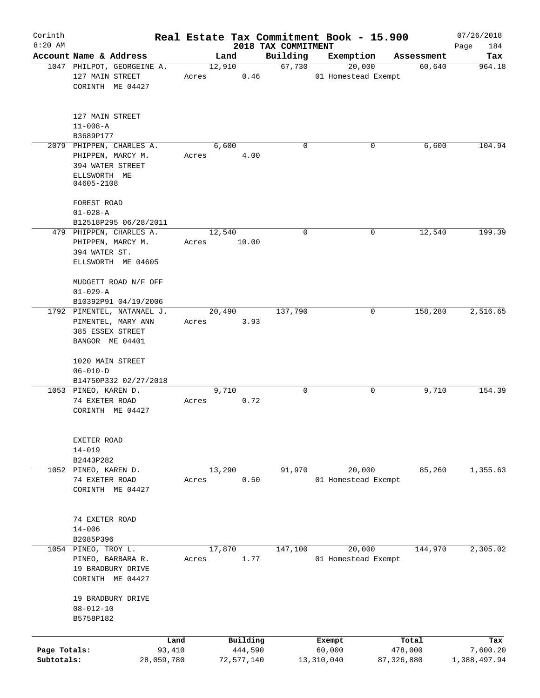| Corinth<br>$8:20$ AM |                            |        |                     | 2018 TAX COMMITMENT | Real Estate Tax Commitment Book - 15.900 |                  | 07/26/2018         |
|----------------------|----------------------------|--------|---------------------|---------------------|------------------------------------------|------------------|--------------------|
|                      | Account Name & Address     | Land   |                     | Building            | Exemption                                | Assessment       | Page<br>184<br>Tax |
|                      | 1047 PHILPOT, GEORGEINE A. | 12,910 |                     | 67,730              | 20,000                                   | 60,640           | 964.18             |
|                      | 127 MAIN STREET            | Acres  | 0.46                |                     | 01 Homestead Exempt                      |                  |                    |
|                      | CORINTH ME 04427           |        |                     |                     |                                          |                  |                    |
|                      | 127 MAIN STREET            |        |                     |                     |                                          |                  |                    |
|                      | $11 - 008 - A$             |        |                     |                     |                                          |                  |                    |
|                      | B3689P177                  |        |                     |                     |                                          |                  |                    |
|                      | 2079 PHIPPEN, CHARLES A.   | 6,600  |                     | $\Omega$            | 0                                        | 6,600            | 104.94             |
|                      | PHIPPEN, MARCY M.          | Acres  | 4.00                |                     |                                          |                  |                    |
|                      | 394 WATER STREET           |        |                     |                     |                                          |                  |                    |
|                      | ELLSWORTH ME               |        |                     |                     |                                          |                  |                    |
|                      | 04605-2108                 |        |                     |                     |                                          |                  |                    |
|                      | FOREST ROAD                |        |                     |                     |                                          |                  |                    |
|                      | $01 - 028 - A$             |        |                     |                     |                                          |                  |                    |
|                      | B12518P295 06/28/2011      |        |                     |                     |                                          |                  |                    |
|                      | 479 PHIPPEN, CHARLES A.    | 12,540 |                     | $\mathbf 0$         | 0                                        | 12,540           | 199.39             |
|                      | PHIPPEN, MARCY M.          | Acres  | 10.00               |                     |                                          |                  |                    |
|                      | 394 WATER ST.              |        |                     |                     |                                          |                  |                    |
|                      | ELLSWORTH ME 04605         |        |                     |                     |                                          |                  |                    |
|                      | MUDGETT ROAD N/F OFF       |        |                     |                     |                                          |                  |                    |
|                      | $01 - 029 - A$             |        |                     |                     |                                          |                  |                    |
|                      | B10392P91 04/19/2006       |        |                     |                     |                                          |                  |                    |
|                      | 1792 PIMENTEL, NATANAEL J. | 20,490 |                     | 137,790             | 0                                        | 158,280          | 2,516.65           |
|                      | PIMENTEL, MARY ANN         | Acres  | 3.93                |                     |                                          |                  |                    |
|                      | 385 ESSEX STREET           |        |                     |                     |                                          |                  |                    |
|                      | BANGOR ME 04401            |        |                     |                     |                                          |                  |                    |
|                      | 1020 MAIN STREET           |        |                     |                     |                                          |                  |                    |
|                      | $06 - 010 - D$             |        |                     |                     |                                          |                  |                    |
|                      | B14750P332 02/27/2018      |        |                     |                     |                                          |                  |                    |
|                      | 1053 PINEO, KAREN D.       | 9,710  |                     | 0                   | 0                                        | 9,710            | 154.39             |
|                      | 74 EXETER ROAD             | Acres  | 0.72                |                     |                                          |                  |                    |
|                      | CORINTH ME 04427           |        |                     |                     |                                          |                  |                    |
|                      |                            |        |                     |                     |                                          |                  |                    |
|                      | EXETER ROAD                |        |                     |                     |                                          |                  |                    |
|                      | $14 - 019$<br>B2443P282    |        |                     |                     |                                          |                  |                    |
|                      | 1052 PINEO, KAREN D.       | 13,290 |                     | 91,970              | 20,000                                   | 85,260           | 1,355.63           |
|                      | 74 EXETER ROAD             | Acres  | 0.50                |                     | 01 Homestead Exempt                      |                  |                    |
|                      | CORINTH ME 04427           |        |                     |                     |                                          |                  |                    |
|                      |                            |        |                     |                     |                                          |                  |                    |
|                      | 74 EXETER ROAD             |        |                     |                     |                                          |                  |                    |
|                      | $14 - 006$                 |        |                     |                     |                                          |                  |                    |
|                      | B2085P396                  |        |                     |                     |                                          |                  |                    |
|                      | 1054 PINEO, TROY L.        | 17,870 |                     | 147,100             | 20,000                                   | 144,970          | 2,305.02           |
|                      | PINEO, BARBARA R.          | Acres  | 1.77                |                     | 01 Homestead Exempt                      |                  |                    |
|                      | 19 BRADBURY DRIVE          |        |                     |                     |                                          |                  |                    |
|                      | CORINTH ME 04427           |        |                     |                     |                                          |                  |                    |
|                      | 19 BRADBURY DRIVE          |        |                     |                     |                                          |                  |                    |
|                      | $08 - 012 - 10$            |        |                     |                     |                                          |                  |                    |
|                      | B5758P182                  |        |                     |                     |                                          |                  |                    |
|                      |                            |        |                     |                     |                                          |                  |                    |
| Page Totals:         | Land<br>93,410             |        | Building<br>444,590 |                     | Exempt<br>60,000                         | Total<br>478,000 | Tax<br>7,600.20    |
| Subtotals:           | 28,059,780                 |        | 72,577,140          |                     | 13,310,040                               | 87, 326, 880     | 1,388,497.94       |
|                      |                            |        |                     |                     |                                          |                  |                    |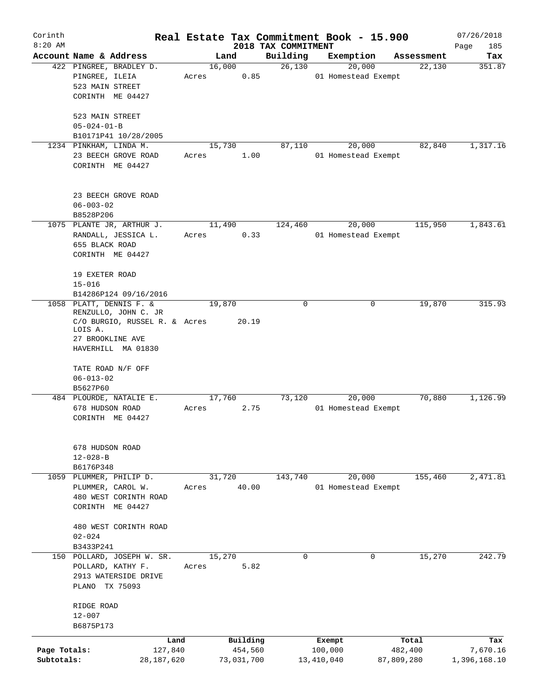| Corinth      |                                           |       |            |         |                     | Real Estate Tax Commitment Book - 15.900 |            |            | 07/26/2018   |
|--------------|-------------------------------------------|-------|------------|---------|---------------------|------------------------------------------|------------|------------|--------------|
| $8:20$ AM    |                                           |       |            |         | 2018 TAX COMMITMENT |                                          |            |            | Page<br>185  |
|              | Account Name & Address                    |       | Land       |         | Building            | Exemption                                |            | Assessment | Tax          |
|              | 422 PINGREE, BRADLEY D.                   |       | 16,000     |         | 26,130              | 20,000                                   |            | 22,130     | 351.87       |
|              | PINGREE, ILEIA<br>523 MAIN STREET         | Acres |            | 0.85    |                     | 01 Homestead Exempt                      |            |            |              |
|              | CORINTH ME 04427                          |       |            |         |                     |                                          |            |            |              |
|              |                                           |       |            |         |                     |                                          |            |            |              |
|              | 523 MAIN STREET                           |       |            |         |                     |                                          |            |            |              |
|              | $05 - 024 - 01 - B$                       |       |            |         |                     |                                          |            |            |              |
|              | B10171P41 10/28/2005                      |       |            |         |                     |                                          |            |            |              |
|              | 1234 PINKHAM, LINDA M.                    |       | 15,730     |         | 87,110              | 20,000                                   |            | 82,840     | 1,317.16     |
|              | 23 BEECH GROVE ROAD                       | Acres |            | 1.00    |                     | 01 Homestead Exempt                      |            |            |              |
|              | CORINTH ME 04427                          |       |            |         |                     |                                          |            |            |              |
|              |                                           |       |            |         |                     |                                          |            |            |              |
|              | 23 BEECH GROVE ROAD                       |       |            |         |                     |                                          |            |            |              |
|              | $06 - 003 - 02$                           |       |            |         |                     |                                          |            |            |              |
|              | B8528P206                                 |       |            |         |                     |                                          |            |            |              |
|              | 1075 PLANTE JR, ARTHUR J.                 |       | 11,490     |         | 124,460             | 20,000                                   |            | 115,950    | 1,843.61     |
|              | RANDALL, JESSICA L.                       | Acres |            | 0.33    |                     | 01 Homestead Exempt                      |            |            |              |
|              | 655 BLACK ROAD                            |       |            |         |                     |                                          |            |            |              |
|              | CORINTH ME 04427                          |       |            |         |                     |                                          |            |            |              |
|              |                                           |       |            |         |                     |                                          |            |            |              |
|              | 19 EXETER ROAD                            |       |            |         |                     |                                          |            |            |              |
|              | $15 - 016$                                |       |            |         |                     |                                          |            |            |              |
|              | B14286P124 09/16/2016                     |       |            |         |                     |                                          |            |            |              |
|              | 1058 PLATT, DENNIS F. &                   |       | 19,870     |         | $\mathbf 0$         |                                          | 0          | 19,870     | 315.93       |
|              | RENZULLO, JOHN C. JR                      |       |            |         |                     |                                          |            |            |              |
|              | C/O BURGIO, RUSSEL R. & Acres<br>LOIS A.  |       |            | 20.19   |                     |                                          |            |            |              |
|              | 27 BROOKLINE AVE                          |       |            |         |                     |                                          |            |            |              |
|              | HAVERHILL MA 01830                        |       |            |         |                     |                                          |            |            |              |
|              |                                           |       |            |         |                     |                                          |            |            |              |
|              | TATE ROAD N/F OFF                         |       |            |         |                     |                                          |            |            |              |
|              | $06 - 013 - 02$                           |       |            |         |                     |                                          |            |            |              |
|              | B5627P60                                  |       |            |         |                     |                                          |            |            |              |
|              | 484 PLOURDE, NATALIE E.                   |       | 17,760     |         | 73,120              | 20,000                                   |            | 70,880     | 1,126.99     |
|              | 678 HUDSON ROAD                           | Acres |            | 2.75    |                     | 01 Homestead Exempt                      |            |            |              |
|              | CORINTH ME 04427                          |       |            |         |                     |                                          |            |            |              |
|              |                                           |       |            |         |                     |                                          |            |            |              |
|              | 678 HUDSON ROAD                           |       |            |         |                     |                                          |            |            |              |
|              | $12 - 028 - B$                            |       |            |         |                     |                                          |            |            |              |
|              | B6176P348                                 |       |            |         |                     |                                          |            |            |              |
|              | 1059 PLUMMER, PHILIP D.                   |       | 31,720     |         | 143,740             | 20,000                                   |            | 155,460    | 2,471.81     |
|              | PLUMMER, CAROL W.                         | Acres |            | 40.00   |                     | 01 Homestead Exempt                      |            |            |              |
|              | 480 WEST CORINTH ROAD                     |       |            |         |                     |                                          |            |            |              |
|              | CORINTH ME 04427                          |       |            |         |                     |                                          |            |            |              |
|              |                                           |       |            |         |                     |                                          |            |            |              |
|              | 480 WEST CORINTH ROAD                     |       |            |         |                     |                                          |            |            |              |
|              | $02 - 024$                                |       |            |         |                     |                                          |            |            |              |
|              | B3433P241                                 |       | 15,270     |         | 0                   |                                          | 0          | 15,270     | 242.79       |
|              | 150 POLLARD, JOSEPH W. SR.                | Acres |            | 5.82    |                     |                                          |            |            |              |
|              | POLLARD, KATHY F.<br>2913 WATERSIDE DRIVE |       |            |         |                     |                                          |            |            |              |
|              | PLANO TX 75093                            |       |            |         |                     |                                          |            |            |              |
|              |                                           |       |            |         |                     |                                          |            |            |              |
|              | RIDGE ROAD                                |       |            |         |                     |                                          |            |            |              |
|              | $12 - 007$                                |       |            |         |                     |                                          |            |            |              |
|              | B6875P173                                 |       |            |         |                     |                                          |            |            |              |
|              |                                           | Land  | Building   |         |                     | Exempt                                   |            | Total      | Tax          |
| Page Totals: | 127,840                                   |       |            | 454,560 |                     | 100,000                                  |            | 482,400    | 7,670.16     |
| Subtotals:   | 28, 187, 620                              |       | 73,031,700 |         |                     | 13,410,040                               | 87,809,280 |            | 1,396,168.10 |
|              |                                           |       |            |         |                     |                                          |            |            |              |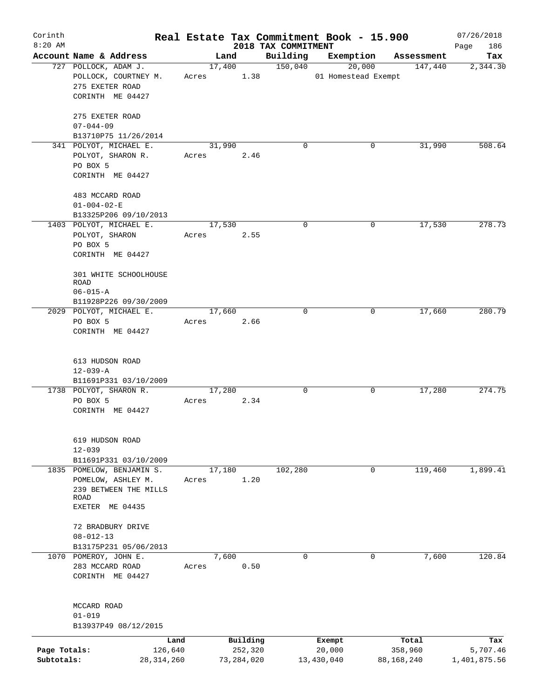| Corinth<br>$8:20$ AM |                                      |       |              |                                 | Real Estate Tax Commitment Book - 15.900 |                        | 07/26/2018         |
|----------------------|--------------------------------------|-------|--------------|---------------------------------|------------------------------------------|------------------------|--------------------|
|                      | Account Name & Address               |       | Land         | 2018 TAX COMMITMENT<br>Building | Exemption                                | Assessment             | 186<br>Page<br>Tax |
|                      | 727 POLLOCK, ADAM J.                 |       | 17,400       | 150,040                         | 20,000                                   | 147,440                | 2,344.30           |
|                      | POLLOCK, COURTNEY M.                 | Acres | 1.38         |                                 | 01 Homestead Exempt                      |                        |                    |
|                      | 275 EXETER ROAD                      |       |              |                                 |                                          |                        |                    |
|                      | CORINTH ME 04427                     |       |              |                                 |                                          |                        |                    |
|                      | 275 EXETER ROAD                      |       |              |                                 |                                          |                        |                    |
|                      | $07 - 044 - 09$                      |       |              |                                 |                                          |                        |                    |
|                      | B13710P75 11/26/2014                 |       |              |                                 |                                          |                        |                    |
|                      | 341 POLYOT, MICHAEL E.               |       | 31,990       | $\mathbf 0$                     |                                          | 0<br>31,990            | 508.64             |
|                      | POLYOT, SHARON R.                    | Acres | 2.46         |                                 |                                          |                        |                    |
|                      | PO BOX 5                             |       |              |                                 |                                          |                        |                    |
|                      | CORINTH ME 04427                     |       |              |                                 |                                          |                        |                    |
|                      | 483 MCCARD ROAD                      |       |              |                                 |                                          |                        |                    |
|                      | $01 - 004 - 02 - E$                  |       |              |                                 |                                          |                        |                    |
|                      | B13325P206 09/10/2013                |       |              |                                 |                                          |                        |                    |
|                      | 1403 POLYOT, MICHAEL E.              |       | 17,530       | $\mathbf 0$                     |                                          | 17,530<br>0            | 278.73             |
|                      | POLYOT, SHARON                       | Acres | 2.55         |                                 |                                          |                        |                    |
|                      | PO BOX 5                             |       |              |                                 |                                          |                        |                    |
|                      | CORINTH ME 04427                     |       |              |                                 |                                          |                        |                    |
|                      | 301 WHITE SCHOOLHOUSE<br><b>ROAD</b> |       |              |                                 |                                          |                        |                    |
|                      | $06 - 015 - A$                       |       |              |                                 |                                          |                        |                    |
|                      | B11928P226 09/30/2009                |       |              |                                 |                                          |                        |                    |
|                      | 2029 POLYOT, MICHAEL E.              |       | 17,660       | $\Omega$                        |                                          | 17,660<br>0            | 280.79             |
|                      | PO BOX 5                             | Acres | 2.66         |                                 |                                          |                        |                    |
|                      | CORINTH ME 04427                     |       |              |                                 |                                          |                        |                    |
|                      |                                      |       |              |                                 |                                          |                        |                    |
|                      | 613 HUDSON ROAD                      |       |              |                                 |                                          |                        |                    |
|                      | $12 - 039 - A$                       |       |              |                                 |                                          |                        |                    |
|                      | B11691P331 03/10/2009                |       |              |                                 |                                          |                        |                    |
|                      | 1738 POLYOT, SHARON R.               |       | 17,280       | $\mathbf 0$                     |                                          | 17,280<br>0            | 274.75             |
|                      | PO BOX 5<br>CORINTH ME 04427         | Acres | 2.34         |                                 |                                          |                        |                    |
|                      |                                      |       |              |                                 |                                          |                        |                    |
|                      | 619 HUDSON ROAD                      |       |              |                                 |                                          |                        |                    |
|                      | $12 - 039$                           |       |              |                                 |                                          |                        |                    |
|                      | B11691P331 03/10/2009                |       |              |                                 |                                          |                        |                    |
|                      | 1835 POMELOW, BENJAMIN S.            |       | 17,180       | 102,280                         |                                          | $\mathbf 0$<br>119,460 | 1,899.41           |
|                      | POMELOW, ASHLEY M.                   | Acres | 1.20         |                                 |                                          |                        |                    |
|                      | 239 BETWEEN THE MILLS                |       |              |                                 |                                          |                        |                    |
|                      | ROAD<br>EXETER ME 04435              |       |              |                                 |                                          |                        |                    |
|                      |                                      |       |              |                                 |                                          |                        |                    |
|                      | 72 BRADBURY DRIVE<br>$08 - 012 - 13$ |       |              |                                 |                                          |                        |                    |
|                      | B13175P231 05/06/2013                |       |              |                                 |                                          |                        |                    |
|                      | 1070 POMEROY, JOHN E.                |       | 7,600        | 0                               |                                          | 7,600<br>0             | 120.84             |
|                      | 283 MCCARD ROAD                      | Acres | 0.50         |                                 |                                          |                        |                    |
|                      | CORINTH ME 04427                     |       |              |                                 |                                          |                        |                    |
|                      |                                      |       |              |                                 |                                          |                        |                    |
|                      | MCCARD ROAD                          |       |              |                                 |                                          |                        |                    |
|                      | $01 - 019$<br>B13937P49 08/12/2015   |       |              |                                 |                                          |                        |                    |
|                      |                                      | Land  | Building     |                                 | Exempt                                   | Total                  | Tax                |
| Page Totals:         | 126,640                              |       | 252,320      |                                 | 20,000                                   | 358,960                | 5,707.46           |
| Subtotals:           | 28, 314, 260                         |       | 73, 284, 020 |                                 | 13,430,040                               | 88,168,240             | 1,401,875.56       |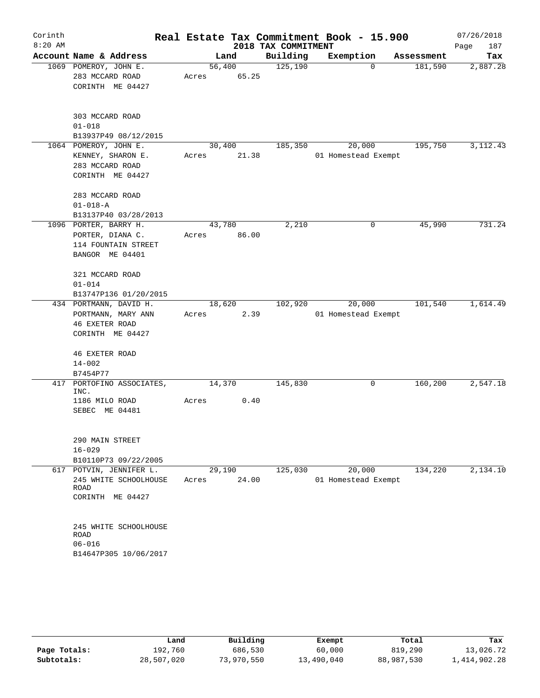| Corinth<br>$8:20$ AM |                         |        |       | 2018 TAX COMMITMENT | Real Estate Tax Commitment Book - 15.900 |            | 07/26/2018<br>Page<br>187 |
|----------------------|-------------------------|--------|-------|---------------------|------------------------------------------|------------|---------------------------|
|                      | Account Name & Address  |        | Land  | Building            | Exemption                                | Assessment | Tax                       |
|                      | 1069 POMEROY, JOHN E.   | 56,400 |       | 125,190             | 0                                        | 181,590    | 2,887.28                  |
|                      | 283 MCCARD ROAD         | Acres  | 65.25 |                     |                                          |            |                           |
|                      | CORINTH ME 04427        |        |       |                     |                                          |            |                           |
|                      |                         |        |       |                     |                                          |            |                           |
|                      | 303 MCCARD ROAD         |        |       |                     |                                          |            |                           |
|                      | $01 - 018$              |        |       |                     |                                          |            |                           |
|                      | B13937P49 08/12/2015    |        |       |                     |                                          |            |                           |
|                      | 1064 POMEROY, JOHN E.   | 30,400 |       | 185,350             | 20,000                                   | 195,750    | 3, 112. 43                |
|                      | KENNEY, SHARON E.       | Acres  | 21.38 |                     | 01 Homestead Exempt                      |            |                           |
|                      | 283 MCCARD ROAD         |        |       |                     |                                          |            |                           |
|                      | CORINTH ME 04427        |        |       |                     |                                          |            |                           |
|                      |                         |        |       |                     |                                          |            |                           |
|                      | 283 MCCARD ROAD         |        |       |                     |                                          |            |                           |
|                      | $01 - 018 - A$          |        |       |                     |                                          |            |                           |
|                      | B13137P40 03/28/2013    |        |       |                     |                                          |            |                           |
|                      | 1096 PORTER, BARRY H.   | 43,780 |       | 2,210               | 0                                        | 45,990     | 731.24                    |
|                      | PORTER, DIANA C.        | Acres  | 86.00 |                     |                                          |            |                           |
|                      | 114 FOUNTAIN STREET     |        |       |                     |                                          |            |                           |
|                      | BANGOR ME 04401         |        |       |                     |                                          |            |                           |
|                      | 321 MCCARD ROAD         |        |       |                     |                                          |            |                           |
|                      | $01 - 014$              |        |       |                     |                                          |            |                           |
|                      | B13747P136 01/20/2015   |        |       |                     |                                          |            |                           |
|                      | 434 PORTMANN, DAVID H.  | 18,620 |       | 102,920             | 20,000                                   | 101,540    | 1,614.49                  |
|                      | PORTMANN, MARY ANN      | Acres  | 2.39  |                     | 01 Homestead Exempt                      |            |                           |
|                      | <b>46 EXETER ROAD</b>   |        |       |                     |                                          |            |                           |
|                      | CORINTH ME 04427        |        |       |                     |                                          |            |                           |
|                      |                         |        |       |                     |                                          |            |                           |
|                      | <b>46 EXETER ROAD</b>   |        |       |                     |                                          |            |                           |
|                      | $14 - 002$              |        |       |                     |                                          |            |                           |
|                      | B7454P77                |        |       |                     |                                          |            |                           |
| 417                  | PORTOFINO ASSOCIATES,   | 14,370 |       | 145,830             | 0                                        | 160,200    | 2,547.18                  |
|                      | INC.                    |        |       |                     |                                          |            |                           |
|                      | 1186 MILO ROAD          | Acres  | 0.40  |                     |                                          |            |                           |
|                      | SEBEC ME 04481          |        |       |                     |                                          |            |                           |
|                      |                         |        |       |                     |                                          |            |                           |
|                      | 290 MAIN STREET         |        |       |                     |                                          |            |                           |
|                      | $16 - 029$              |        |       |                     |                                          |            |                           |
|                      | B10110P73 09/22/2005    |        |       |                     |                                          |            |                           |
|                      | 617 POTVIN, JENNIFER L. | 29,190 |       | 125,030             | 20,000                                   | 134,220    | 2,134.10                  |
|                      | 245 WHITE SCHOOLHOUSE   | Acres  | 24.00 |                     | 01 Homestead Exempt                      |            |                           |
|                      | ROAD                    |        |       |                     |                                          |            |                           |
|                      | CORINTH ME 04427        |        |       |                     |                                          |            |                           |
|                      |                         |        |       |                     |                                          |            |                           |
|                      | 245 WHITE SCHOOLHOUSE   |        |       |                     |                                          |            |                           |
|                      | <b>ROAD</b>             |        |       |                     |                                          |            |                           |
|                      | $06 - 016$              |        |       |                     |                                          |            |                           |
|                      | B14647P305 10/06/2017   |        |       |                     |                                          |            |                           |
|                      |                         |        |       |                     |                                          |            |                           |

|              | Land       | Building   | Exempt     | Total      | Tax          |
|--------------|------------|------------|------------|------------|--------------|
| Page Totals: | 192,760    | 686,530    | 60,000     | 819,290    | 13,026.72    |
| Subtotals:   | 28,507,020 | 73,970,550 | 13,490,040 | 88,987,530 | 1,414,902.28 |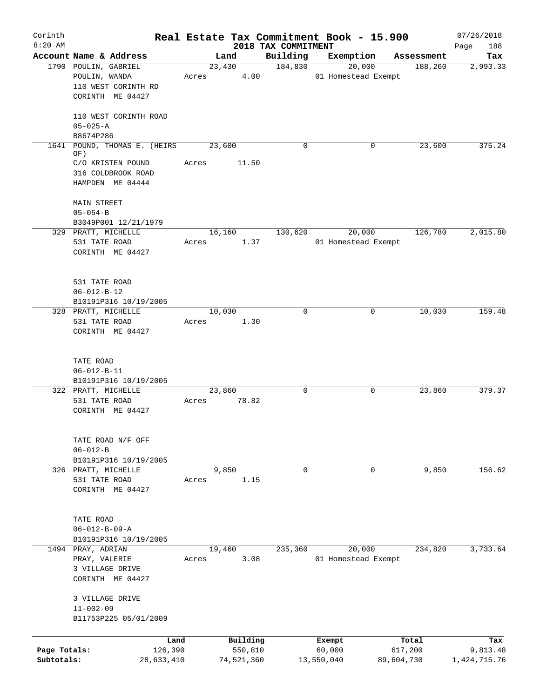| Corinth                    |                                                                                  | Real Estate Tax Commitment Book - 15.900 |                                 |                               |                       | 07/26/2018                  |
|----------------------------|----------------------------------------------------------------------------------|------------------------------------------|---------------------------------|-------------------------------|-----------------------|-----------------------------|
| $8:20$ AM                  | Account Name & Address                                                           | Land                                     | 2018 TAX COMMITMENT<br>Building | Exemption                     | Assessment            | 188<br>Page<br>Tax          |
|                            | 1790 POULIN, GABRIEL<br>POULIN, WANDA<br>110 WEST CORINTH RD<br>CORINTH ME 04427 | 23,430<br>4.00<br>Acres                  | 184,830                         | 20,000<br>01 Homestead Exempt | 188,260               | 2,993.33                    |
|                            | 110 WEST CORINTH ROAD<br>$05 - 025 - A$<br>B8674P286                             |                                          |                                 |                               |                       |                             |
|                            | 1641 POUND, THOMAS E. (HEIRS                                                     | 23,600                                   | $\mathbf 0$                     | 0                             | 23,600                | 375.24                      |
|                            | OF)<br>C/O KRISTEN POUND<br>316 COLDBROOK ROAD<br>HAMPDEN ME 04444               | 11.50<br>Acres                           |                                 |                               |                       |                             |
|                            | MAIN STREET<br>$05 - 054 - B$<br>B3049P001 12/21/1979                            |                                          |                                 |                               |                       |                             |
|                            | 329 PRATT, MICHELLE<br>531 TATE ROAD<br>CORINTH ME 04427                         | 16,160<br>1.37<br>Acres                  | 130,620                         | 20,000<br>01 Homestead Exempt | 126,780               | 2,015.80                    |
|                            | 531 TATE ROAD<br>$06 - 012 - B - 12$<br>B10191P316 10/19/2005                    |                                          |                                 |                               |                       |                             |
|                            | 328 PRATT, MICHELLE<br>531 TATE ROAD<br>CORINTH ME 04427                         | 10,030<br>1.30<br>Acres                  | $\Omega$                        | 0                             | 10,030                | 159.48                      |
|                            | TATE ROAD<br>$06 - 012 - B - 11$<br>B10191P316 10/19/2005                        |                                          |                                 |                               |                       |                             |
|                            | 322 PRATT, MICHELLE<br>531 TATE ROAD<br>CORINTH ME 04427                         | 23,860<br>78.82<br>Acres                 | $\mathbf 0$                     | 0                             | 23,860                | 379.37                      |
|                            | TATE ROAD N/F OFF<br>$06 - 012 - B$<br>B10191P316 10/19/2005                     |                                          |                                 |                               |                       |                             |
|                            | 326 PRATT, MICHELLE<br>531 TATE ROAD<br>CORINTH ME 04427                         | 9,850<br>1.15<br>Acres                   | $\mathbf 0$                     | $\mathbf 0$                   | 9,850                 | 156.62                      |
|                            | TATE ROAD<br>$06 - 012 - B - 09 - A$<br>B10191P316 10/19/2005                    |                                          |                                 |                               |                       |                             |
|                            | 1494 PRAY, ADRIAN<br>PRAY, VALERIE<br>3 VILLAGE DRIVE<br>CORINTH ME 04427        | 19,460<br>3.08<br>Acres                  | 235,360                         | 20,000<br>01 Homestead Exempt | 234,820               | 3,733.64                    |
|                            | 3 VILLAGE DRIVE<br>$11 - 002 - 09$<br>B11753P225 05/01/2009                      |                                          |                                 |                               |                       |                             |
|                            | Land                                                                             | Building                                 |                                 | Exempt                        | Total                 | Tax                         |
| Page Totals:<br>Subtotals: | 126,390<br>28,633,410                                                            | 550,810<br>74,521,360                    |                                 | 60,000<br>13,550,040          | 617,200<br>89,604,730 | 9,813.48<br>1, 424, 715. 76 |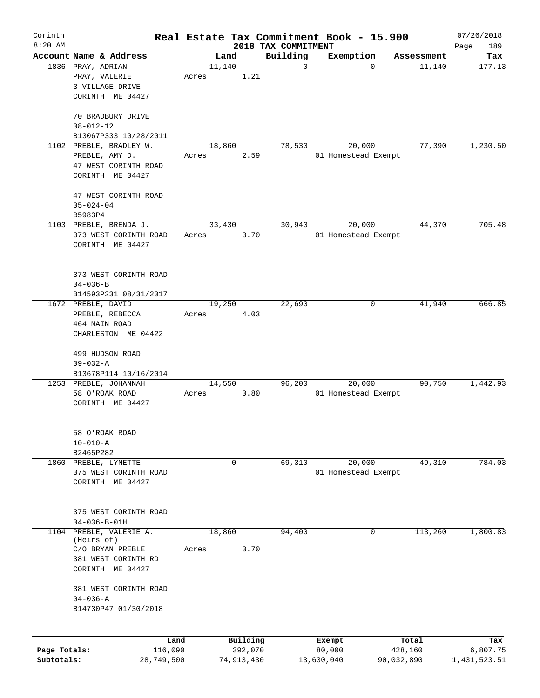| Corinth<br>$8:20$ AM       |                                                                 |                       |       |        |                       |                                 | Real Estate Tax Commitment Book - 15.900 |             |            | 07/26/2018               |
|----------------------------|-----------------------------------------------------------------|-----------------------|-------|--------|-----------------------|---------------------------------|------------------------------------------|-------------|------------|--------------------------|
|                            | Account Name & Address                                          |                       |       | Land   |                       | 2018 TAX COMMITMENT<br>Building | Exemption                                |             | Assessment | 189<br>Page<br>Tax       |
|                            | 1836 PRAY, ADRIAN                                               |                       |       | 11,140 |                       | $\mathbf 0$                     |                                          | $\mathbf 0$ | 11,140     | 177.13                   |
|                            | PRAY, VALERIE<br>3 VILLAGE DRIVE<br>CORINTH ME 04427            |                       | Acres |        | 1.21                  |                                 |                                          |             |            |                          |
|                            |                                                                 |                       |       |        |                       |                                 |                                          |             |            |                          |
|                            | 70 BRADBURY DRIVE<br>$08 - 012 - 12$<br>B13067P333 10/28/2011   |                       |       |        |                       |                                 |                                          |             |            |                          |
|                            | 1102 PREBLE, BRADLEY W.                                         |                       |       | 18,860 |                       | 78,530                          | 20,000                                   |             | 77,390     | 1,230.50                 |
|                            | PREBLE, AMY D.<br>47 WEST CORINTH ROAD<br>CORINTH ME 04427      |                       | Acres |        | 2.59                  |                                 | 01 Homestead Exempt                      |             |            |                          |
|                            | 47 WEST CORINTH ROAD<br>$05 - 024 - 04$<br>B5983P4              |                       |       |        |                       |                                 |                                          |             |            |                          |
|                            | 1103 PREBLE, BRENDA J.                                          |                       |       | 33,430 |                       | 30,940                          | 20,000                                   |             | 44,370     | 705.48                   |
|                            | 373 WEST CORINTH ROAD<br>CORINTH ME 04427                       |                       | Acres |        | 3.70                  |                                 | 01 Homestead Exempt                      |             |            |                          |
|                            | 373 WEST CORINTH ROAD<br>$04 - 036 - B$                         |                       |       |        |                       |                                 |                                          |             |            |                          |
|                            | B14593P231 08/31/2017                                           |                       |       |        |                       |                                 |                                          |             |            |                          |
|                            | 1672 PREBLE, DAVID<br>PREBLE, REBECCA<br>464 MAIN ROAD          |                       | Acres | 19,250 | 4.03                  | 22,690                          |                                          | 0           | 41,940     | 666.85                   |
|                            | CHARLESTON ME 04422                                             |                       |       |        |                       |                                 |                                          |             |            |                          |
|                            | 499 HUDSON ROAD<br>$09 - 032 - A$<br>B13678P114 10/16/2014      |                       |       |        |                       |                                 |                                          |             |            |                          |
|                            | 1253 PREBLE, JOHANNAH                                           |                       |       | 14,550 |                       | 96,200                          | 20,000                                   |             | 90,750     | 1,442.93                 |
|                            | 58 O'ROAK ROAD<br>CORINTH ME 04427                              |                       | Acres |        | 0.80                  |                                 | 01 Homestead Exempt                      |             |            |                          |
|                            | 58 O'ROAK ROAD<br>$10 - 010 - A$                                |                       |       |        |                       |                                 |                                          |             |            |                          |
|                            | B2465P282                                                       |                       |       |        |                       |                                 |                                          |             |            |                          |
|                            | 1860 PREBLE, LYNETTE                                            |                       |       |        | 0                     | 69,310                          | 20,000                                   |             | 49,310     | 784.03                   |
|                            | 375 WEST CORINTH ROAD<br>CORINTH ME 04427                       |                       |       |        |                       |                                 | 01 Homestead Exempt                      |             |            |                          |
|                            | 375 WEST CORINTH ROAD<br>$04 - 036 - B - 01H$                   |                       |       |        |                       |                                 |                                          |             |            |                          |
| 1104                       | PREBLE, VALERIE A.<br>(Heirs of)<br>C/O BRYAN PREBLE            |                       |       | 18,860 | 3.70                  | 94,400                          |                                          | 0           | 113,260    | 1,800.83                 |
|                            | 381 WEST CORINTH RD<br>CORINTH ME 04427                         |                       | Acres |        |                       |                                 |                                          |             |            |                          |
|                            | 381 WEST CORINTH ROAD<br>$04 - 036 - A$<br>B14730P47 01/30/2018 |                       |       |        |                       |                                 |                                          |             |            |                          |
|                            |                                                                 |                       |       |        |                       |                                 |                                          |             |            |                          |
|                            |                                                                 | Land                  |       |        | Building              |                                 | Exempt                                   |             | Total      | Tax                      |
| Page Totals:<br>Subtotals: |                                                                 | 116,090<br>28,749,500 |       |        | 392,070<br>74,913,430 |                                 | 80,000<br>13,630,040                     | 90,032,890  | 428,160    | 6,807.75<br>1,431,523.51 |
|                            |                                                                 |                       |       |        |                       |                                 |                                          |             |            |                          |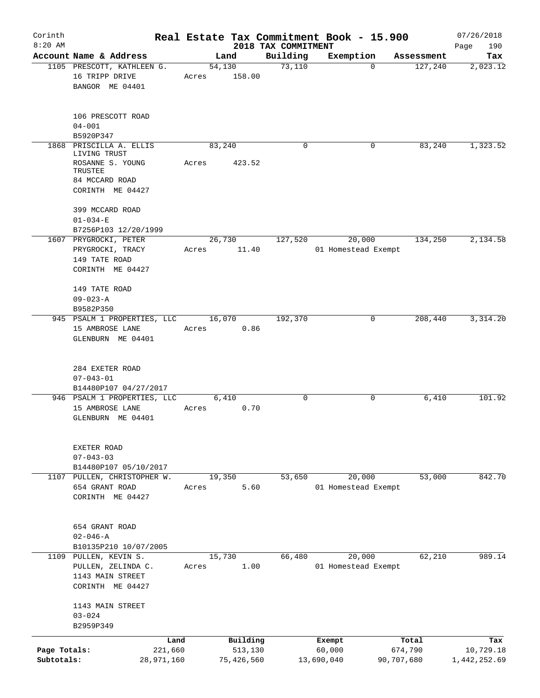| Corinth                    |                                                                                                              |       |                       |                     | Real Estate Tax Commitment Book - 15.900 |                       | 07/26/2018                |
|----------------------------|--------------------------------------------------------------------------------------------------------------|-------|-----------------------|---------------------|------------------------------------------|-----------------------|---------------------------|
| $8:20$ AM                  |                                                                                                              |       |                       | 2018 TAX COMMITMENT |                                          |                       | 190<br>Page               |
|                            | Account Name & Address                                                                                       |       | Land                  | Building<br>73,110  | Exemption<br>$\Omega$                    | Assessment            | Tax                       |
|                            | 1105 PRESCOTT, KATHLEEN G.<br>16 TRIPP DRIVE<br>BANGOR ME 04401                                              | Acres | 54,130<br>158.00      |                     |                                          | 127,240               | 2,023.12                  |
|                            | 106 PRESCOTT ROAD<br>$04 - 001$                                                                              |       |                       |                     |                                          |                       |                           |
|                            | B5920P347                                                                                                    |       |                       |                     |                                          |                       |                           |
|                            | 1868 PRISCILLA A. ELLIS<br>LIVING TRUST<br>ROSANNE S. YOUNG<br>TRUSTEE<br>84 MCCARD ROAD<br>CORINTH ME 04427 | Acres | 83,240<br>423.52      | $\Omega$            | 0                                        | 83,240                | 1,323.52                  |
|                            | 399 MCCARD ROAD<br>$01 - 034 - E$                                                                            |       |                       |                     |                                          |                       |                           |
|                            | B7256P103 12/20/1999                                                                                         |       |                       |                     |                                          |                       |                           |
|                            | 1607 PRYGROCKI, PETER<br>PRYGROCKI, TRACY<br>149 TATE ROAD<br>CORINTH ME 04427                               | Acres | 26,730<br>11.40       | 127,520             | 20,000<br>01 Homestead Exempt            | 134,250               | 2,134.58                  |
|                            | 149 TATE ROAD<br>$09 - 023 - A$<br>B9582P350                                                                 |       |                       |                     |                                          |                       |                           |
|                            | 945 PSALM 1 PROPERTIES, LLC                                                                                  |       | 16,070                | 192,370             | 0                                        | 208,440               | 3, 314.20                 |
|                            | 15 AMBROSE LANE<br>GLENBURN ME 04401                                                                         | Acres | 0.86                  |                     |                                          |                       |                           |
|                            | 284 EXETER ROAD<br>$07 - 043 - 01$<br>B14480P107 04/27/2017                                                  |       |                       |                     |                                          |                       |                           |
|                            | 946 PSALM 1 PROPERTIES, LLC                                                                                  |       | 6,410                 | $\Omega$            | $\mathbf 0$                              | 6,410                 | 101.92                    |
|                            | 15 AMBROSE LANE<br>GLENBURN ME 04401                                                                         | Acres | 0.70                  |                     |                                          |                       |                           |
|                            | EXETER ROAD<br>$07 - 043 - 03$<br>B14480P107 05/10/2017                                                      |       |                       |                     |                                          |                       |                           |
|                            | 1107 PULLEN, CHRISTOPHER W.                                                                                  |       | 19,350                | 53,650              | 20,000                                   | 53,000                | 842.70                    |
|                            | 654 GRANT ROAD<br>CORINTH ME 04427                                                                           | Acres | 5.60                  |                     | 01 Homestead Exempt                      |                       |                           |
|                            | 654 GRANT ROAD<br>$02 - 046 - A$                                                                             |       |                       |                     |                                          |                       |                           |
|                            | B10135P210 10/07/2005<br>1109 PULLEN, KEVIN S.                                                               |       | 15,730                | 66,480              | 20,000                                   | 62,210                | 989.14                    |
|                            | PULLEN, ZELINDA C.<br>1143 MAIN STREET<br>CORINTH ME 04427                                                   | Acres | 1.00                  |                     | 01 Homestead Exempt                      |                       |                           |
|                            | 1143 MAIN STREET<br>$03 - 024$<br>B2959P349                                                                  |       |                       |                     |                                          |                       |                           |
|                            | Land                                                                                                         |       | Building              |                     | Exempt                                   | Total                 | Tax                       |
| Page Totals:<br>Subtotals: | 221,660<br>28,971,160                                                                                        |       | 513,130<br>75,426,560 |                     | 60,000<br>13,690,040                     | 674,790<br>90,707,680 | 10,729.18<br>1,442,252.69 |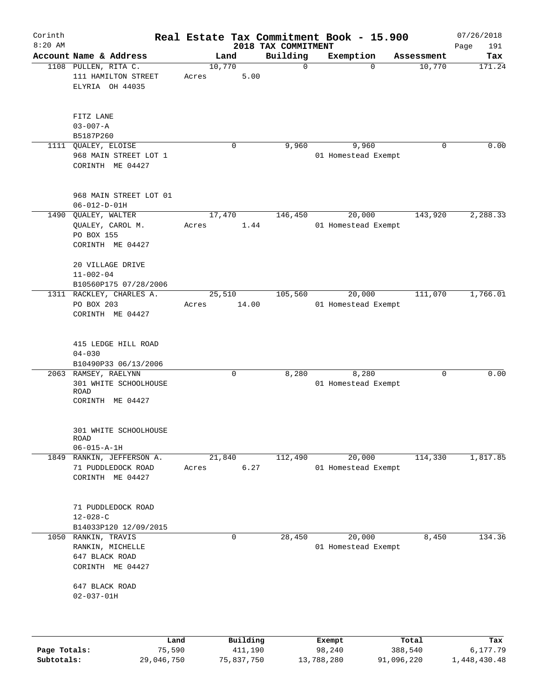| Corinth      |                                                                           |                |                 |                     |                                 | Real Estate Tax Commitment Book - 15.900 |            |             | 07/26/2018         |
|--------------|---------------------------------------------------------------------------|----------------|-----------------|---------------------|---------------------------------|------------------------------------------|------------|-------------|--------------------|
| $8:20$ AM    | Account Name & Address                                                    |                | Land            |                     | 2018 TAX COMMITMENT<br>Building | Exemption                                |            | Assessment  | 191<br>Page<br>Tax |
|              | 1108 PULLEN, RITA C.<br>111 HAMILTON STREET<br>ELYRIA OH 44035            |                | 10,770<br>Acres | 5.00                | 0                               |                                          | $\Omega$   | 10,770      | 171.24             |
|              | FITZ LANE<br>$03 - 007 - A$<br>B5187P260                                  |                |                 |                     |                                 |                                          |            |             |                    |
| 1111         | QUALEY, ELOISE<br>968 MAIN STREET LOT 1<br>CORINTH ME 04427               |                | 0               |                     | 9,960                           | 9,960<br>01 Homestead Exempt             |            | 0           | 0.00               |
|              | 968 MAIN STREET LOT 01<br>$06 - 012 - D - 01H$                            |                |                 |                     |                                 |                                          |            |             |                    |
|              | 1490 QUALEY, WALTER<br>QUALEY, CAROL M.<br>PO BOX 155<br>CORINTH ME 04427 |                | 17,470<br>Acres | 1.44                | 146,450                         | 20,000<br>01 Homestead Exempt            |            | 143,920     | 2,288.33           |
|              | 20 VILLAGE DRIVE<br>$11 - 002 - 04$<br>B10560P175 07/28/2006              |                |                 |                     |                                 |                                          |            |             |                    |
|              | 1311 RACKLEY, CHARLES A.<br>PO BOX 203<br>CORINTH ME 04427                |                | 25,510<br>Acres | 14.00               | 105,560                         | 20,000<br>01 Homestead Exempt            |            | 111,070     | 1,766.01           |
|              | 415 LEDGE HILL ROAD<br>$04 - 030$<br>B10490P33 06/13/2006                 |                |                 |                     |                                 |                                          |            |             |                    |
|              | 2063 RAMSEY, RAELYNN<br>301 WHITE SCHOOLHOUSE<br>ROAD<br>CORINTH ME 04427 |                | $\mathbf 0$     |                     | 8,280                           | 8,280<br>01 Homestead Exempt             |            | $\mathbf 0$ | 0.00               |
|              | 301 WHITE SCHOOLHOUSE<br>ROAD<br>$06 - 015 - A - 1H$                      |                |                 |                     |                                 |                                          |            |             |                    |
| 1849         | RANKIN, JEFFERSON A.<br>71 PUDDLEDOCK ROAD<br>CORINTH ME 04427            |                | 21,840<br>Acres | 6.27                | 112,490                         | 20,000<br>01 Homestead Exempt            |            | 114,330     | 1,817.85           |
|              | 71 PUDDLEDOCK ROAD<br>$12 - 028 - C$<br>B14033P120 12/09/2015             |                |                 |                     |                                 |                                          |            |             |                    |
| 1050         | RANKIN, TRAVIS<br>RANKIN, MICHELLE<br>647 BLACK ROAD<br>CORINTH ME 04427  |                | 0               |                     | 28,450                          | 20,000<br>01 Homestead Exempt            |            | 8,450       | 134.36             |
|              | 647 BLACK ROAD<br>$02 - 037 - 01H$                                        |                |                 |                     |                                 |                                          |            |             |                    |
| Page Totals: |                                                                           | Land<br>75,590 |                 | Building<br>411,190 |                                 | Exempt<br>98,240                         | 388,540    | Total       | Tax<br>6,177.79    |
| Subtotals:   |                                                                           | 29,046,750     |                 | 75,837,750          |                                 | 13,788,280                               | 91,096,220 |             | 1,448,430.48       |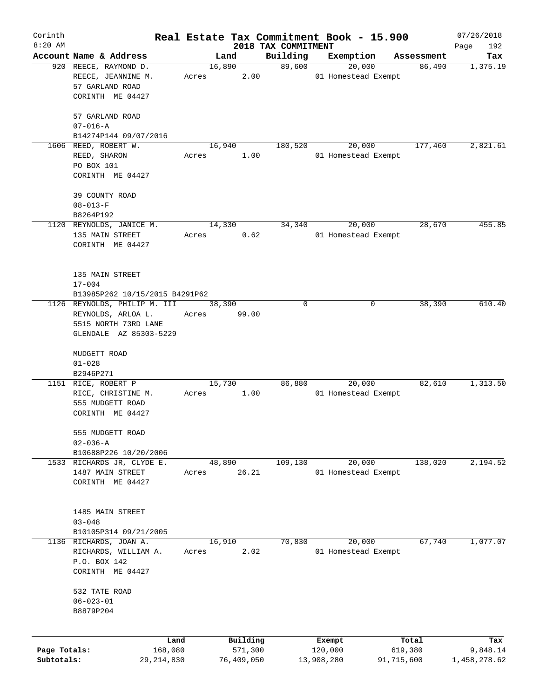| Corinth      |                                                                |       |        |            |                     | Real Estate Tax Commitment Book - 15.900 |            | 07/26/2018   |
|--------------|----------------------------------------------------------------|-------|--------|------------|---------------------|------------------------------------------|------------|--------------|
| $8:20$ AM    |                                                                |       |        |            | 2018 TAX COMMITMENT |                                          |            | Page<br>192  |
|              | Account Name & Address                                         |       | Land   |            | Building            | Exemption                                | Assessment | Tax          |
|              | 920 REECE, RAYMOND D.<br>REECE, JEANNINE M.<br>57 GARLAND ROAD | Acres | 16,890 | 2.00       | 89,600              | 20,000<br>01 Homestead Exempt            | 86,490     | 1,375.19     |
|              | CORINTH ME 04427                                               |       |        |            |                     |                                          |            |              |
|              | 57 GARLAND ROAD<br>$07 - 016 - A$                              |       |        |            |                     |                                          |            |              |
|              | B14274P144 09/07/2016                                          |       |        |            |                     |                                          |            |              |
|              | 1606 REED, ROBERT W.                                           |       | 16,940 |            | 180,520             | 20,000                                   | 177,460    | 2,821.61     |
|              | REED, SHARON                                                   | Acres |        | 1.00       |                     | 01 Homestead Exempt                      |            |              |
|              | PO BOX 101                                                     |       |        |            |                     |                                          |            |              |
|              | CORINTH ME 04427                                               |       |        |            |                     |                                          |            |              |
|              | 39 COUNTY ROAD                                                 |       |        |            |                     |                                          |            |              |
|              | $08 - 013 - F$                                                 |       |        |            |                     |                                          |            |              |
|              | B8264P192                                                      |       |        |            |                     |                                          |            |              |
|              | 1120 REYNOLDS, JANICE M.                                       |       | 14,330 |            | 34,340              | 20,000                                   | 28,670     | 455.85       |
|              | 135 MAIN STREET                                                | Acres |        | 0.62       |                     | 01 Homestead Exempt                      |            |              |
|              | CORINTH ME 04427                                               |       |        |            |                     |                                          |            |              |
|              | 135 MAIN STREET                                                |       |        |            |                     |                                          |            |              |
|              | $17 - 004$                                                     |       |        |            |                     |                                          |            |              |
|              | B13985P262 10/15/2015 B4291P62                                 |       |        |            |                     |                                          |            |              |
|              | 1126 REYNOLDS, PHILIP M. III                                   |       | 38,390 |            | $\Omega$            | 0                                        | 38,390     | 610.40       |
|              | REYNOLDS, ARLOA L.                                             | Acres |        | 99.00      |                     |                                          |            |              |
|              | 5515 NORTH 73RD LANE                                           |       |        |            |                     |                                          |            |              |
|              | GLENDALE AZ 85303-5229                                         |       |        |            |                     |                                          |            |              |
|              |                                                                |       |        |            |                     |                                          |            |              |
|              | MUDGETT ROAD                                                   |       |        |            |                     |                                          |            |              |
|              | $01 - 028$                                                     |       |        |            |                     |                                          |            |              |
|              | B2946P271                                                      |       |        |            |                     |                                          |            |              |
|              | 1151 RICE, ROBERT P                                            |       | 15,730 |            | 86,880              | 20,000                                   | 82,610     | 1,313.50     |
|              | RICE, CHRISTINE M.                                             | Acres |        | 1.00       |                     | 01 Homestead Exempt                      |            |              |
|              | 555 MUDGETT ROAD                                               |       |        |            |                     |                                          |            |              |
|              | CORINTH ME 04427                                               |       |        |            |                     |                                          |            |              |
|              | 555 MUDGETT ROAD                                               |       |        |            |                     |                                          |            |              |
|              | $02 - 036 - A$                                                 |       |        |            |                     |                                          |            |              |
|              | B10688P226 10/20/2006                                          |       |        |            |                     |                                          |            |              |
|              | 1533 RICHARDS JR, CLYDE E.                                     |       | 48,890 |            | 109,130             | 20,000                                   | 138,020    | 2,194.52     |
|              | 1487 MAIN STREET                                               | Acres |        | 26.21      |                     | 01 Homestead Exempt                      |            |              |
|              | CORINTH ME 04427                                               |       |        |            |                     |                                          |            |              |
|              | 1485 MAIN STREET                                               |       |        |            |                     |                                          |            |              |
|              | $03 - 048$                                                     |       |        |            |                     |                                          |            |              |
|              | B10105P314 09/21/2005                                          |       |        |            |                     |                                          |            |              |
| 1136         | RICHARDS, JOAN A.                                              |       | 16,910 |            | 70,830              | 20,000                                   | 67,740     | 1,077.07     |
|              | RICHARDS, WILLIAM A.                                           | Acres |        | 2.02       |                     | 01 Homestead Exempt                      |            |              |
|              | P.O. BOX 142                                                   |       |        |            |                     |                                          |            |              |
|              | CORINTH ME 04427                                               |       |        |            |                     |                                          |            |              |
|              |                                                                |       |        |            |                     |                                          |            |              |
|              | 532 TATE ROAD                                                  |       |        |            |                     |                                          |            |              |
|              | $06 - 023 - 01$                                                |       |        |            |                     |                                          |            |              |
|              | B8879P204                                                      |       |        |            |                     |                                          |            |              |
|              |                                                                |       |        |            |                     |                                          |            |              |
|              | Land                                                           |       |        | Building   |                     | Exempt                                   | Total      | Tax          |
| Page Totals: | 168,080                                                        |       |        | 571,300    |                     | 120,000                                  | 619,380    | 9,848.14     |
| Subtotals:   | 29, 214, 830                                                   |       |        | 76,409,050 |                     | 13,908,280                               | 91,715,600 | 1,458,278.62 |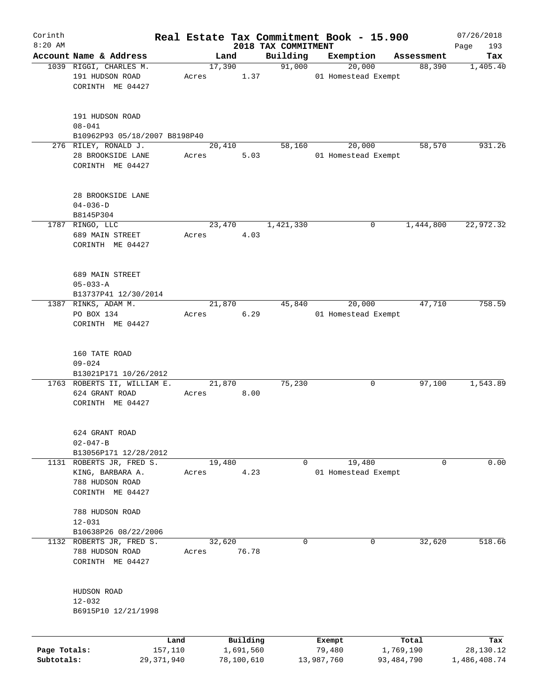| Corinth      |                                                      |            |       |                |            |                     | Real Estate Tax Commitment Book - 15.900 |   |                      | 07/26/2018      |
|--------------|------------------------------------------------------|------------|-------|----------------|------------|---------------------|------------------------------------------|---|----------------------|-----------------|
| $8:20$ AM    | Account Name & Address                               |            |       |                |            | 2018 TAX COMMITMENT |                                          |   |                      | 193<br>Page     |
|              | 1039 RIGGI, CHARLES M.                               |            |       | Land<br>17,390 |            | Building<br>91,000  | Exemption<br>20,000                      |   | Assessment<br>88,390 | Tax<br>1,405.40 |
|              | 191 HUDSON ROAD                                      |            | Acres |                | 1.37       |                     | 01 Homestead Exempt                      |   |                      |                 |
|              | CORINTH ME 04427                                     |            |       |                |            |                     |                                          |   |                      |                 |
|              |                                                      |            |       |                |            |                     |                                          |   |                      |                 |
|              |                                                      |            |       |                |            |                     |                                          |   |                      |                 |
|              | 191 HUDSON ROAD                                      |            |       |                |            |                     |                                          |   |                      |                 |
|              | $08 - 041$                                           |            |       |                |            |                     |                                          |   |                      |                 |
|              | B10962P93 05/18/2007 B8198P40                        |            |       |                |            |                     |                                          |   |                      |                 |
|              | 276 RILEY, RONALD J.<br>28 BROOKSIDE LANE            |            | Acres | 20,410         | 5.03       | 58,160              | 20,000<br>01 Homestead Exempt            |   | 58,570               | 931.26          |
|              | CORINTH ME 04427                                     |            |       |                |            |                     |                                          |   |                      |                 |
|              |                                                      |            |       |                |            |                     |                                          |   |                      |                 |
|              |                                                      |            |       |                |            |                     |                                          |   |                      |                 |
|              | 28 BROOKSIDE LANE                                    |            |       |                |            |                     |                                          |   |                      |                 |
|              | $04 - 036 - D$                                       |            |       |                |            |                     |                                          |   |                      |                 |
|              | B8145P304                                            |            |       |                |            |                     |                                          |   |                      |                 |
|              | 1787 RINGO, LLC                                      |            |       | 23,470         |            | 1,421,330           |                                          | 0 | 1,444,800            | 22,972.32       |
|              | 689 MAIN STREET                                      |            | Acres |                | 4.03       |                     |                                          |   |                      |                 |
|              | CORINTH ME 04427                                     |            |       |                |            |                     |                                          |   |                      |                 |
|              |                                                      |            |       |                |            |                     |                                          |   |                      |                 |
|              | 689 MAIN STREET                                      |            |       |                |            |                     |                                          |   |                      |                 |
|              | $05 - 033 - A$                                       |            |       |                |            |                     |                                          |   |                      |                 |
|              | B13737P41 12/30/2014                                 |            |       |                |            |                     |                                          |   |                      |                 |
|              | 1387 RINKS, ADAM M.                                  |            |       | 21,870         |            | 45,840              | 20,000                                   |   | 47,710               | 758.59          |
|              | PO BOX 134                                           |            | Acres |                | 6.29       |                     | 01 Homestead Exempt                      |   |                      |                 |
|              | CORINTH ME 04427                                     |            |       |                |            |                     |                                          |   |                      |                 |
|              |                                                      |            |       |                |            |                     |                                          |   |                      |                 |
|              |                                                      |            |       |                |            |                     |                                          |   |                      |                 |
|              | 160 TATE ROAD                                        |            |       |                |            |                     |                                          |   |                      |                 |
|              | $09 - 024$                                           |            |       |                |            |                     |                                          |   |                      |                 |
|              | B13021P171 10/26/2012<br>1763 ROBERTS II, WILLIAM E. |            |       | 21,870         |            | 75,230              |                                          | 0 | 97,100               | 1,543.89        |
|              | 624 GRANT ROAD                                       |            | Acres |                | 8.00       |                     |                                          |   |                      |                 |
|              | CORINTH ME 04427                                     |            |       |                |            |                     |                                          |   |                      |                 |
|              |                                                      |            |       |                |            |                     |                                          |   |                      |                 |
|              |                                                      |            |       |                |            |                     |                                          |   |                      |                 |
|              | 624 GRANT ROAD                                       |            |       |                |            |                     |                                          |   |                      |                 |
|              | $02 - 047 - B$                                       |            |       |                |            |                     |                                          |   |                      |                 |
|              | B13056P171 12/28/2012                                |            |       |                |            |                     |                                          |   |                      |                 |
|              | 1131 ROBERTS JR, FRED S.                             |            |       | 19,480         |            | 0                   | 19,480                                   |   | 0                    | 0.00            |
|              | KING, BARBARA A.                                     |            | Acres |                | 4.23       |                     | 01 Homestead Exempt                      |   |                      |                 |
|              | 788 HUDSON ROAD                                      |            |       |                |            |                     |                                          |   |                      |                 |
|              | CORINTH ME 04427                                     |            |       |                |            |                     |                                          |   |                      |                 |
|              | 788 HUDSON ROAD                                      |            |       |                |            |                     |                                          |   |                      |                 |
|              | $12 - 031$                                           |            |       |                |            |                     |                                          |   |                      |                 |
|              | B10638P26 08/22/2006                                 |            |       |                |            |                     |                                          |   |                      |                 |
| 1132         | ROBERTS JR, FRED S.                                  |            |       | 32,620         |            | 0                   |                                          | 0 | 32,620               | 518.66          |
|              | 788 HUDSON ROAD                                      |            | Acres |                | 76.78      |                     |                                          |   |                      |                 |
|              | CORINTH ME 04427                                     |            |       |                |            |                     |                                          |   |                      |                 |
|              |                                                      |            |       |                |            |                     |                                          |   |                      |                 |
|              |                                                      |            |       |                |            |                     |                                          |   |                      |                 |
|              | HUDSON ROAD                                          |            |       |                |            |                     |                                          |   |                      |                 |
|              | $12 - 032$                                           |            |       |                |            |                     |                                          |   |                      |                 |
|              | B6915P10 12/21/1998                                  |            |       |                |            |                     |                                          |   |                      |                 |
|              |                                                      |            |       |                |            |                     |                                          |   |                      |                 |
|              |                                                      | Land       |       |                | Building   |                     | Exempt                                   |   | Total                | Tax             |
| Page Totals: |                                                      | 157,110    |       |                | 1,691,560  |                     | 79,480                                   |   | 1,769,190            | 28,130.12       |
| Subtotals:   |                                                      | 29,371,940 |       |                | 78,100,610 |                     | 13,987,760                               |   | 93,484,790           | 1,486,408.74    |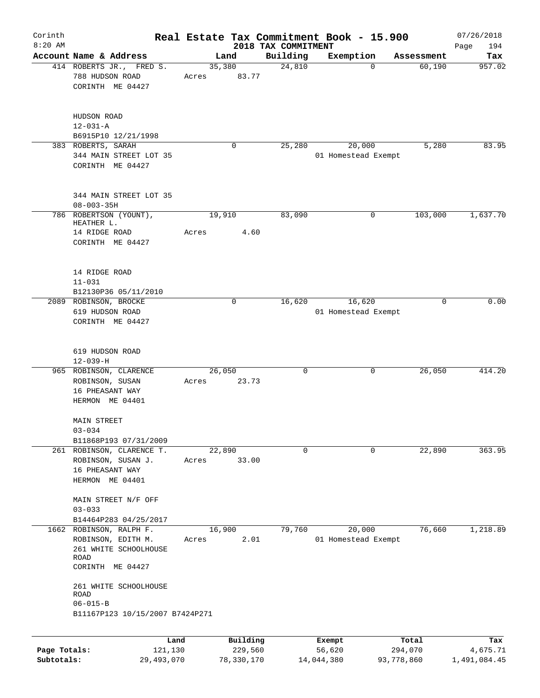| Corinth<br>$8:20$ AM |                                                                                                                             |                 |             |                                 | Real Estate Tax Commitment Book - 15.900 |            | 07/26/2018         |
|----------------------|-----------------------------------------------------------------------------------------------------------------------------|-----------------|-------------|---------------------------------|------------------------------------------|------------|--------------------|
|                      | Account Name & Address                                                                                                      | Land            |             | 2018 TAX COMMITMENT<br>Building | Exemption                                | Assessment | 194<br>Page<br>Tax |
|                      | 414 ROBERTS JR., FRED S.<br>788 HUDSON ROAD<br>CORINTH ME 04427                                                             | 35,380<br>Acres | 83.77       | 24,810                          | $\mathbf 0$                              | 60,190     | 957.02             |
|                      | HUDSON ROAD<br>$12 - 031 - A$<br>B6915P10 12/21/1998                                                                        |                 |             |                                 |                                          |            |                    |
|                      | 383 ROBERTS, SARAH<br>344 MAIN STREET LOT 35<br>CORINTH ME 04427                                                            |                 | $\mathbf 0$ | 25,280                          | 20,000<br>01 Homestead Exempt            | 5,280      | 83.95              |
|                      | 344 MAIN STREET LOT 35<br>$08 - 003 - 35H$                                                                                  |                 |             |                                 |                                          |            |                    |
|                      | 786 ROBERTSON (YOUNT),<br>HEATHER L.<br>14 RIDGE ROAD                                                                       | 19,910<br>Acres | 4.60        | 83,090                          | 0                                        | 103,000    | 1,637.70           |
|                      | CORINTH ME 04427                                                                                                            |                 |             |                                 |                                          |            |                    |
|                      | 14 RIDGE ROAD<br>$11 - 031$<br>B12130P36 05/11/2010                                                                         |                 |             |                                 |                                          |            |                    |
|                      | 2089 ROBINSON, BROCKE<br>619 HUDSON ROAD<br>CORINTH ME 04427                                                                |                 | $\mathbf 0$ | 16,620                          | 16,620<br>01 Homestead Exempt            | $\Omega$   | 0.00               |
|                      | 619 HUDSON ROAD<br>$12 - 039 - H$                                                                                           |                 |             |                                 |                                          |            |                    |
|                      | 965 ROBINSON, CLARENCE<br>ROBINSON, SUSAN<br>16 PHEASANT WAY<br>HERMON ME 04401                                             | 26,050<br>Acres | 23.73       | 0                               | 0                                        | 26,050     | 414.20             |
|                      | <b>MAIN STREET</b><br>$03 - 034$                                                                                            |                 |             |                                 |                                          |            |                    |
|                      | B11868P193 07/31/2009<br>261 ROBINSON, CLARENCE T.<br>ROBINSON, SUSAN J.<br>16 PHEASANT WAY<br>HERMON ME 04401              | 22,890<br>Acres | 33.00       | $\mathbf 0$                     | 0                                        | 22,890     | 363.95             |
|                      | MAIN STREET N/F OFF<br>$03 - 033$                                                                                           |                 |             |                                 |                                          |            |                    |
|                      | B14464P283 04/25/2017<br>1662 ROBINSON, RALPH F.<br>ROBINSON, EDITH M.<br>261 WHITE SCHOOLHOUSE<br>ROAD<br>CORINTH ME 04427 | 16,900<br>Acres | 2.01        | 79,760                          | 20,000<br>01 Homestead Exempt            | 76,660     | 1,218.89           |
|                      | 261 WHITE SCHOOLHOUSE<br>ROAD<br>$06 - 015 - B$<br>B11167P123 10/15/2007 B7424P271                                          |                 |             |                                 |                                          |            |                    |
|                      |                                                                                                                             |                 |             |                                 |                                          |            |                    |
|                      | Land                                                                                                                        |                 | Building    |                                 | Exempt                                   | Total      | Tax                |
| Page Totals:         | 121,130                                                                                                                     |                 | 229,560     |                                 | 56,620                                   | 294,070    | 4,675.71           |

**Subtotals:** 29,493,070 78,330,170 14,044,380 93,778,860 1,491,084.45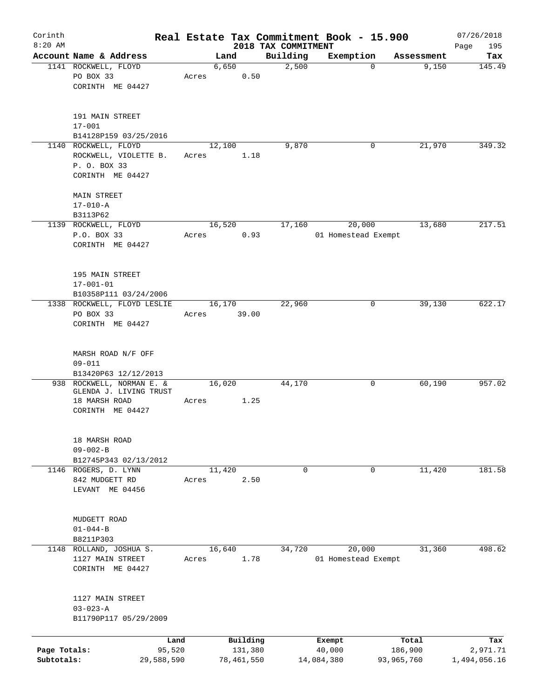| Corinth      |                               |       |               |                     | Real Estate Tax Commitment Book - 15.900 |                     | 07/26/2018    |
|--------------|-------------------------------|-------|---------------|---------------------|------------------------------------------|---------------------|---------------|
| $8:20$ AM    | Account Name & Address        |       |               | 2018 TAX COMMITMENT |                                          |                     | Page<br>195   |
|              | 1141 ROCKWELL, FLOYD          |       | Land<br>6,650 | Building<br>2,500   | Exemption<br>$\mathbf 0$                 | Assessment<br>9,150 | Tax<br>145.49 |
|              | PO BOX 33                     | Acres | 0.50          |                     |                                          |                     |               |
|              | CORINTH ME 04427              |       |               |                     |                                          |                     |               |
|              |                               |       |               |                     |                                          |                     |               |
|              | 191 MAIN STREET               |       |               |                     |                                          |                     |               |
|              | $17 - 001$                    |       |               |                     |                                          |                     |               |
|              | B14128P159 03/25/2016         |       |               |                     |                                          |                     |               |
|              | 1140 ROCKWELL, FLOYD          |       | 12,100        | 9,870               | 0                                        | 21,970              | 349.32        |
|              | ROCKWELL, VIOLETTE B.         | Acres | 1.18          |                     |                                          |                     |               |
|              | P. O. BOX 33                  |       |               |                     |                                          |                     |               |
|              | CORINTH ME 04427              |       |               |                     |                                          |                     |               |
|              |                               |       |               |                     |                                          |                     |               |
|              | MAIN STREET<br>$17 - 010 - A$ |       |               |                     |                                          |                     |               |
|              | B3113P62                      |       |               |                     |                                          |                     |               |
|              | 1139 ROCKWELL, FLOYD          |       | 16,520        | 17,160              | 20,000                                   | 13,680              | 217.51        |
|              | P.O. BOX 33                   | Acres | 0.93          |                     | 01 Homestead Exempt                      |                     |               |
|              | CORINTH ME 04427              |       |               |                     |                                          |                     |               |
|              |                               |       |               |                     |                                          |                     |               |
|              |                               |       |               |                     |                                          |                     |               |
|              | 195 MAIN STREET               |       |               |                     |                                          |                     |               |
|              | $17 - 001 - 01$               |       |               |                     |                                          |                     |               |
|              | B10358P111 03/24/2006         |       |               |                     |                                          |                     |               |
|              | 1338 ROCKWELL, FLOYD LESLIE   |       | 16,170        | 22,960              | 0                                        | 39,130              | 622.17        |
|              | PO BOX 33                     | Acres | 39.00         |                     |                                          |                     |               |
|              | CORINTH ME 04427              |       |               |                     |                                          |                     |               |
|              |                               |       |               |                     |                                          |                     |               |
|              | MARSH ROAD N/F OFF            |       |               |                     |                                          |                     |               |
|              | $09 - 011$                    |       |               |                     |                                          |                     |               |
|              | B13420P63 12/12/2013          |       |               |                     |                                          |                     |               |
|              | 938 ROCKWELL, NORMAN E. &     |       | 16,020        | 44,170              | 0                                        | 60,190              | 957.02        |
|              | GLENDA J. LIVING TRUST        |       |               |                     |                                          |                     |               |
|              | 18 MARSH ROAD                 | Acres | 1.25          |                     |                                          |                     |               |
|              | CORINTH ME 04427              |       |               |                     |                                          |                     |               |
|              |                               |       |               |                     |                                          |                     |               |
|              | 18 MARSH ROAD                 |       |               |                     |                                          |                     |               |
|              | $09 - 002 - B$                |       |               |                     |                                          |                     |               |
|              | B12745P343 02/13/2012         |       |               |                     |                                          |                     |               |
|              | 1146 ROGERS, D. LYNN          |       | 11,420        | $\mathbf 0$         | 0                                        | 11,420              | 181.58        |
|              | 842 MUDGETT RD                | Acres | 2.50          |                     |                                          |                     |               |
|              | LEVANT ME 04456               |       |               |                     |                                          |                     |               |
|              |                               |       |               |                     |                                          |                     |               |
|              | MUDGETT ROAD                  |       |               |                     |                                          |                     |               |
|              | $01 - 044 - B$                |       |               |                     |                                          |                     |               |
|              | B8211P303                     |       |               |                     |                                          |                     |               |
|              | 1148 ROLLAND, JOSHUA S.       |       | 16,640        | 34,720              | 20,000                                   | 31,360              | 498.62        |
|              | 1127 MAIN STREET              | Acres | 1.78          |                     | 01 Homestead Exempt                      |                     |               |
|              | CORINTH ME 04427              |       |               |                     |                                          |                     |               |
|              |                               |       |               |                     |                                          |                     |               |
|              |                               |       |               |                     |                                          |                     |               |
|              | 1127 MAIN STREET              |       |               |                     |                                          |                     |               |
|              | $03 - 023 - A$                |       |               |                     |                                          |                     |               |
|              | B11790P117 05/29/2009         |       |               |                     |                                          |                     |               |
|              | Land                          |       | Building      |                     | Exempt                                   | Total               | Tax           |
| Page Totals: | 95,520                        |       | 131,380       |                     | 40,000                                   | 186,900             | 2,971.71      |
| Subtotals:   | 29,588,590                    |       | 78,461,550    |                     | 14,084,380                               | 93,965,760          | 1,494,056.16  |
|              |                               |       |               |                     |                                          |                     |               |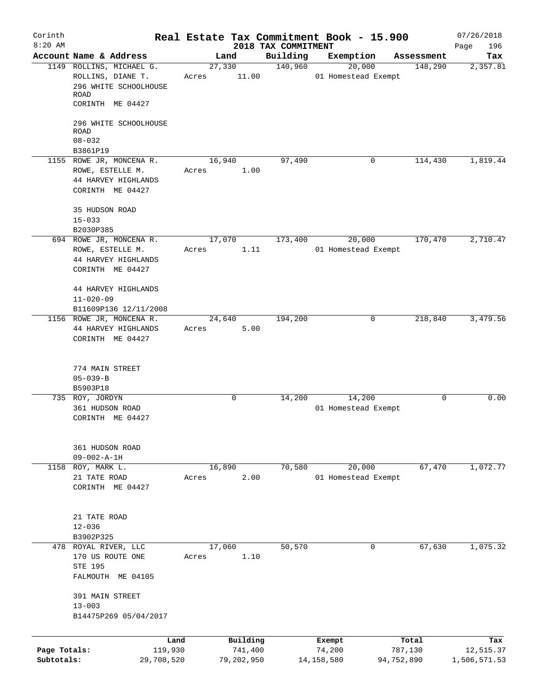| Corinth                    |                                                                                         |                 |                       |                                 | Real Estate Tax Commitment Book - 15.900 |                       | 07/26/2018                |
|----------------------------|-----------------------------------------------------------------------------------------|-----------------|-----------------------|---------------------------------|------------------------------------------|-----------------------|---------------------------|
| $8:20$ AM                  | Account Name & Address                                                                  |                 | Land                  | 2018 TAX COMMITMENT<br>Building | Exemption                                | Assessment            | Page<br>196<br>Tax        |
|                            | 1149 ROLLINS, MICHAEL G.                                                                |                 | 27,330                | 140,960                         | 20,000                                   | 148,290               | 2,357.81                  |
|                            | ROLLINS, DIANE T.<br>296 WHITE SCHOOLHOUSE<br>ROAD<br>CORINTH ME 04427                  | Acres           | 11.00                 |                                 | 01 Homestead Exempt                      |                       |                           |
|                            | 296 WHITE SCHOOLHOUSE<br>ROAD<br>$08 - 032$                                             |                 |                       |                                 |                                          |                       |                           |
|                            | B3861P19                                                                                |                 |                       |                                 |                                          |                       |                           |
|                            | 1155 ROWE JR, MONCENA R.<br>ROWE, ESTELLE M.<br>44 HARVEY HIGHLANDS<br>CORINTH ME 04427 | 16,940<br>Acres | 1.00                  | 97,490                          | 0                                        | 114,430               | 1,819.44                  |
|                            | 35 HUDSON ROAD<br>$15 - 033$                                                            |                 |                       |                                 |                                          |                       |                           |
|                            | B2030P385<br>694 ROWE JR, MONCENA R.                                                    |                 | 17,070                | 173,400                         | 20,000                                   | 170,470               | 2,710.47                  |
|                            | ROWE, ESTELLE M.<br>44 HARVEY HIGHLANDS<br>CORINTH ME 04427                             | Acres           | 1.11                  |                                 | 01 Homestead Exempt                      |                       |                           |
|                            | 44 HARVEY HIGHLANDS<br>$11 - 020 - 09$<br>B11609P136 12/11/2008                         |                 |                       |                                 |                                          |                       |                           |
|                            | 1156 ROWE JR, MONCENA R.<br>44 HARVEY HIGHLANDS<br>CORINTH ME 04427                     | 24,640<br>Acres | 5.00                  | 194,200                         | 0                                        | 218,840               | 3,479.56                  |
|                            | 774 MAIN STREET<br>$05 - 039 - B$<br>B5903P18                                           |                 |                       |                                 |                                          |                       |                           |
|                            | 735 ROY, JORDYN                                                                         |                 | 0                     | 14,200                          | 14,200                                   | 0                     | 0.00                      |
|                            | 361 HUDSON ROAD<br>CORINTH ME 04427                                                     |                 |                       |                                 | 01 Homestead Exempt                      |                       |                           |
|                            | 361 HUDSON ROAD<br>$09 - 002 - A - 1H$                                                  |                 |                       |                                 |                                          |                       |                           |
| 1158                       | ROY, MARK L.<br>21 TATE ROAD<br>CORINTH ME 04427                                        | 16,890<br>Acres | 2.00                  | 70,580                          | 20,000<br>01 Homestead Exempt            | 67,470                | 1,072.77                  |
|                            | 21 TATE ROAD<br>$12 - 036$<br>B3902P325                                                 |                 |                       |                                 |                                          |                       |                           |
|                            | 478 ROYAL RIVER, LLC<br>170 US ROUTE ONE<br>STE 195<br>FALMOUTH ME 04105                | 17,060<br>Acres | 1.10                  | 50,570                          | 0                                        | 67,630                | 1,075.32                  |
|                            | 391 MAIN STREET<br>$13 - 003$<br>B14475P269 05/04/2017                                  |                 |                       |                                 |                                          |                       |                           |
|                            | Land                                                                                    |                 | Building              |                                 | Exempt                                   | Total                 | Tax                       |
| Page Totals:<br>Subtotals: | 119,930<br>29,708,520                                                                   |                 | 741,400<br>79,202,950 |                                 | 74,200<br>14, 158, 580                   | 787,130<br>94,752,890 | 12,515.37<br>1,506,571.53 |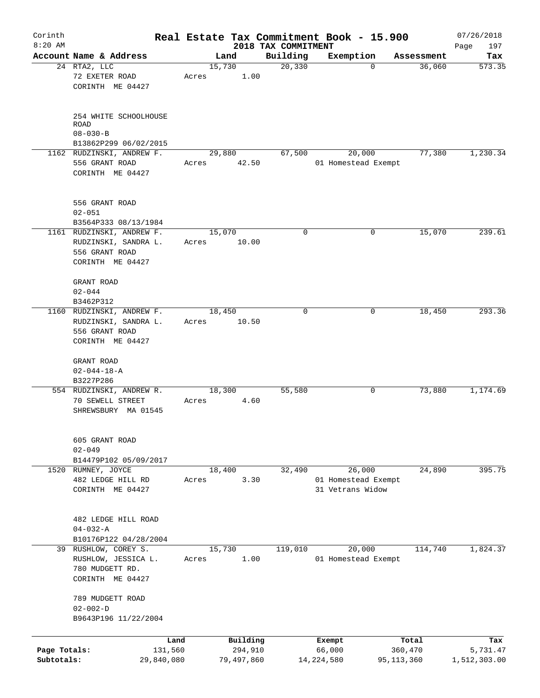| Corinth      |                                                                                         |       |                     |                                 | Real Estate Tax Commitment Book - 15.900          |            |                  | 07/26/2018         |
|--------------|-----------------------------------------------------------------------------------------|-------|---------------------|---------------------------------|---------------------------------------------------|------------|------------------|--------------------|
| $8:20$ AM    | Account Name & Address                                                                  |       | Land                | 2018 TAX COMMITMENT<br>Building | Exemption                                         |            | Assessment       | 197<br>Page<br>Tax |
|              | 24 RTA2, LLC                                                                            |       | 15,730              | 20,330                          |                                                   | $\Omega$   | 36,060           | 573.35             |
|              | 72 EXETER ROAD<br>CORINTH ME 04427                                                      | Acres | 1.00                |                                 |                                                   |            |                  |                    |
|              | 254 WHITE SCHOOLHOUSE<br>ROAD                                                           |       |                     |                                 |                                                   |            |                  |                    |
|              | $08 - 030 - B$<br>B13862P299 06/02/2015                                                 |       |                     |                                 |                                                   |            |                  |                    |
|              | 1162 RUDZINSKI, ANDREW F.                                                               |       | 29,880              | 67,500                          | 20,000                                            |            | 77,380           | 1,230.34           |
|              | 556 GRANT ROAD<br>CORINTH ME 04427                                                      | Acres | 42.50               |                                 | 01 Homestead Exempt                               |            |                  |                    |
|              | 556 GRANT ROAD<br>$02 - 051$                                                            |       |                     |                                 |                                                   |            |                  |                    |
|              | B3564P333 08/13/1984                                                                    |       |                     |                                 |                                                   |            |                  |                    |
|              | 1161 RUDZINSKI, ANDREW F.<br>RUDZINSKI, SANDRA L.<br>556 GRANT ROAD<br>CORINTH ME 04427 | Acres | 15,070<br>10.00     | $\mathbf 0$                     |                                                   | 0          | 15,070           | 239.61             |
|              | GRANT ROAD<br>$02 - 044$                                                                |       |                     |                                 |                                                   |            |                  |                    |
|              | B3462P312<br>1160 RUDZINSKI, ANDREW F.                                                  |       | 18,450              | $\Omega$                        |                                                   | 0          | 18,450           | 293.36             |
|              | RUDZINSKI, SANDRA L.                                                                    | Acres | 10.50               |                                 |                                                   |            |                  |                    |
|              | 556 GRANT ROAD<br>CORINTH ME 04427                                                      |       |                     |                                 |                                                   |            |                  |                    |
|              | GRANT ROAD<br>$02 - 044 - 18 - A$                                                       |       |                     |                                 |                                                   |            |                  |                    |
|              | B3227P286<br>554 RUDZINSKI, ANDREW R.                                                   |       | 18,300              | 55,580                          |                                                   | 0          | 73,880           | 1,174.69           |
|              | 70 SEWELL STREET<br>SHREWSBURY MA 01545                                                 | Acres | 4.60                |                                 |                                                   |            |                  |                    |
|              | 605 GRANT ROAD<br>$02 - 049$                                                            |       |                     |                                 |                                                   |            |                  |                    |
|              | B14479P102 05/09/2017<br>RUMNEY, JOYCE                                                  |       |                     |                                 |                                                   |            |                  |                    |
| 1520         | 482 LEDGE HILL RD<br>CORINTH ME 04427                                                   | Acres | 18,400<br>3.30      | 32,490                          | 26,000<br>01 Homestead Exempt<br>31 Vetrans Widow |            | 24,890           | 395.75             |
|              | 482 LEDGE HILL ROAD<br>$04 - 032 - A$                                                   |       |                     |                                 |                                                   |            |                  |                    |
|              | B10176P122 04/28/2004                                                                   |       |                     |                                 |                                                   |            |                  |                    |
|              | 39 RUSHLOW, COREY S.<br>RUSHLOW, JESSICA L.<br>780 MUDGETT RD.<br>CORINTH ME 04427      | Acres | 15,730<br>1.00      | 119,010                         | 20,000<br>01 Homestead Exempt                     |            | 114,740          | 1,824.37           |
|              | 789 MUDGETT ROAD<br>$02 - 002 - D$                                                      |       |                     |                                 |                                                   |            |                  |                    |
|              | B9643P196 11/22/2004                                                                    |       |                     |                                 |                                                   |            |                  |                    |
|              |                                                                                         |       |                     |                                 |                                                   |            |                  |                    |
| Page Totals: | 131,560                                                                                 | Land  | Building<br>294,910 |                                 | Exempt<br>66,000                                  |            | Total<br>360,470 | Tax<br>5,731.47    |
| Subtotals:   | 29,840,080                                                                              |       | 79,497,860          |                                 | 14, 224, 580                                      | 95,113,360 |                  | 1,512,303.00       |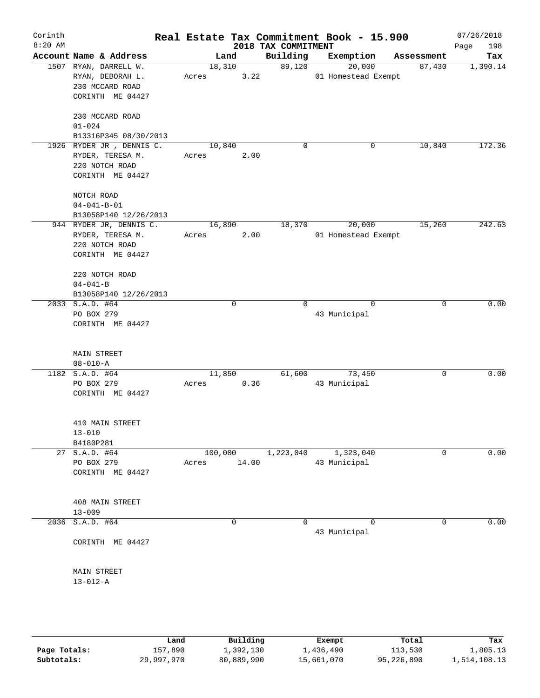| Corinth<br>$8:20$ AM |                                                                                     |                 |             | 2018 TAX COMMITMENT | Real Estate Tax Commitment Book - 15.900 |              | 07/26/2018<br>Page<br>198 |
|----------------------|-------------------------------------------------------------------------------------|-----------------|-------------|---------------------|------------------------------------------|--------------|---------------------------|
|                      | Account Name & Address                                                              | Land            |             | Building            | Exemption                                | Assessment   | Tax                       |
|                      | 1507 RYAN, DARRELL W.<br>RYAN, DEBORAH L.<br>230 MCCARD ROAD<br>CORINTH ME 04427    | 18,310<br>Acres | 3.22        | 89,120              | 20,000<br>01 Homestead Exempt            | 87,430       | 1,390.14                  |
|                      | 230 MCCARD ROAD<br>$01 - 024$                                                       |                 |             |                     |                                          |              |                           |
|                      | B13316P345 08/30/2013                                                               |                 |             |                     |                                          |              |                           |
|                      | 1926 RYDER JR , DENNIS C.<br>RYDER, TERESA M.<br>220 NOTCH ROAD<br>CORINTH ME 04427 | 10,840<br>Acres | 2.00        | $\mathbf 0$         | 0                                        | 10,840       | 172.36                    |
|                      | NOTCH ROAD<br>$04 - 041 - B - 01$                                                   |                 |             |                     |                                          |              |                           |
|                      | B13058P140 12/26/2013                                                               |                 |             |                     |                                          |              |                           |
|                      | 944 RYDER JR, DENNIS C.<br>RYDER, TERESA M.<br>220 NOTCH ROAD<br>CORINTH ME 04427   | 16,890<br>Acres | 2.00        | 18,370              | 20,000<br>01 Homestead Exempt            | 15,260       | 242.63                    |
|                      | 220 NOTCH ROAD<br>$04 - 041 - B$<br>B13058P140 12/26/2013                           |                 |             |                     |                                          |              |                           |
|                      | 2033 S.A.D. #64                                                                     |                 | $\mathbf 0$ | $\Omega$            | $\Omega$                                 | $\mathbf 0$  | 0.00                      |
|                      | PO BOX 279<br>CORINTH ME 04427                                                      |                 |             |                     | 43 Municipal                             |              |                           |
|                      | <b>MAIN STREET</b><br>$08 - 010 - A$                                                |                 |             |                     |                                          |              |                           |
|                      | 1182 S.A.D. #64                                                                     | 11,850          |             | 61,600              | 73,450                                   | $\mathbf 0$  | 0.00                      |
|                      | PO BOX 279<br>CORINTH ME 04427                                                      | Acres           | 0.36        |                     | 43 Municipal                             |              |                           |
|                      | 410 MAIN STREET<br>$13 - 010$<br>B4180P281                                          |                 |             |                     |                                          |              |                           |
|                      | 27 S.A.D. #64                                                                       | 100,000         |             | 1,223,040           | 1,323,040                                | $\mathbf{0}$ | 0.00                      |
|                      | PO BOX 279<br>CORINTH ME 04427                                                      | Acres           | 14.00       |                     | 43 Municipal                             |              |                           |
|                      | 408 MAIN STREET<br>$13 - 009$                                                       |                 |             |                     |                                          |              |                           |
|                      | 2036 S.A.D. #64                                                                     |                 | $\mathbf 0$ | $\Omega$            | $\Omega$                                 | 0            | 0.00                      |
|                      | CORINTH ME 04427                                                                    |                 |             |                     | 43 Municipal                             |              |                           |
|                      | MAIN STREET<br>$13 - 012 - A$                                                       |                 |             |                     |                                          |              |                           |
|                      |                                                                                     |                 |             |                     |                                          |              |                           |

|              | Land       | Building   | Exempt     | Total      | Tax          |
|--------------|------------|------------|------------|------------|--------------|
| Page Totals: | 157,890    | ⊥,392,130  | 1,436,490  | 113,530    | 1,805.13     |
| Subtotals:   | 29,997,970 | 80,889,990 | 15,661,070 | 95,226,890 | 1,514,108.13 |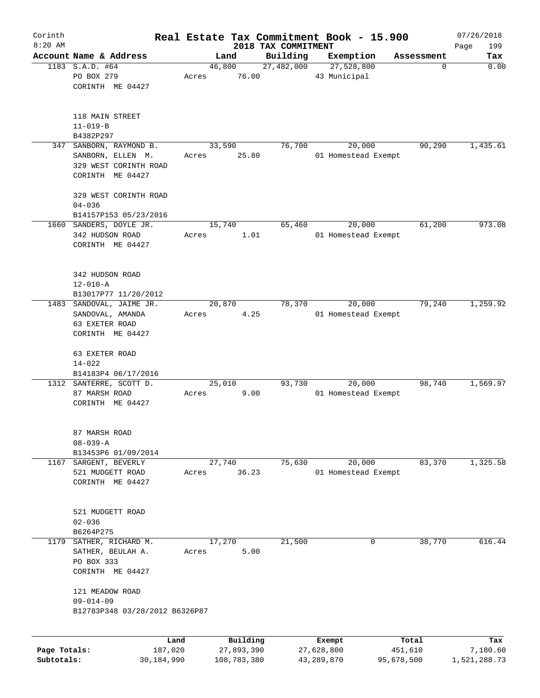| Corinth                    |                                                                                       |       |                           |                        | Real Estate Tax Commitment Book - 15.900 |                       | 07/26/2018               |
|----------------------------|---------------------------------------------------------------------------------------|-------|---------------------------|------------------------|------------------------------------------|-----------------------|--------------------------|
| $8:20$ AM                  |                                                                                       |       |                           | 2018 TAX COMMITMENT    |                                          |                       | 199<br>Page              |
|                            | Account Name & Address<br>1183 S.A.D. #64<br>PO BOX 279<br>CORINTH ME 04427           | Acres | Land<br>46,800<br>76.00   | Building<br>27,482,000 | Exemption<br>27,528,800<br>43 Municipal  | Assessment<br>0       | Tax<br>0.00              |
|                            | 118 MAIN STREET<br>$11 - 019 - B$<br>B4382P297                                        |       |                           |                        |                                          |                       |                          |
| 347                        | SANBORN, RAYMOND B.<br>SANBORN, ELLEN M.<br>329 WEST CORINTH ROAD<br>CORINTH ME 04427 | Acres | 33,590<br>25.80           | 76,700                 | 20,000<br>01 Homestead Exempt            | 90,290                | 1,435.61                 |
|                            | 329 WEST CORINTH ROAD<br>$04 - 036$<br>B14157P153 05/23/2016                          |       |                           |                        |                                          |                       |                          |
|                            | 1660 SANDERS, DOYLE JR.<br>342 HUDSON ROAD<br>CORINTH ME 04427                        | Acres | 15,740<br>1.01            | 65,460                 | 20,000<br>01 Homestead Exempt            | 61,200                | 973.08                   |
|                            | 342 HUDSON ROAD<br>$12 - 010 - A$<br>B13017P77 11/20/2012                             |       |                           |                        |                                          |                       |                          |
| 1483                       | SANDOVAL, JAIME JR.<br>SANDOVAL, AMANDA<br>63 EXETER ROAD<br>CORINTH ME 04427         | Acres | 20,870<br>4.25            | 78,370                 | 20,000<br>01 Homestead Exempt            | 79,240                | 1,259.92                 |
|                            | 63 EXETER ROAD<br>$14 - 022$<br>B14183P4 06/17/2016                                   |       |                           |                        |                                          |                       |                          |
|                            | 1312 SANTERRE, SCOTT D.<br>87 MARSH ROAD<br>CORINTH ME 04427                          | Acres | 25,010<br>9.00            | 93,730                 | 20,000<br>01 Homestead Exempt            | 98,740                | 1,569.97                 |
|                            | 87 MARSH ROAD<br>$08 - 039 - A$<br>B13453P6 01/09/2014                                |       |                           |                        |                                          |                       |                          |
| 1167                       | SARGENT, BEVERLY<br>521 MUDGETT ROAD<br>CORINTH ME 04427                              | Acres | 27,740<br>36.23           | 75,630                 | 20,000<br>01 Homestead Exempt            | 83,370                | 1,325.58                 |
|                            | 521 MUDGETT ROAD<br>$02 - 036$<br>B6264P275                                           |       |                           |                        |                                          |                       |                          |
| 1179                       | SATHER, RICHARD M.<br>SATHER, BEULAH A.<br>PO BOX 333<br>CORINTH ME 04427             | Acres | 17,270<br>5.00            | 21,500                 | 0                                        | 38,770                | 616.44                   |
|                            | 121 MEADOW ROAD<br>$09 - 014 - 09$<br>B12783P348 03/28/2012 B6326P87                  |       |                           |                        |                                          |                       |                          |
|                            | Land                                                                                  |       | Building                  |                        | Exempt                                   | Total                 | Tax                      |
| Page Totals:<br>Subtotals: | 187,020<br>30,184,990                                                                 |       | 27,893,390<br>108,783,380 |                        | 27,628,800<br>43,289,870                 | 451,610<br>95,678,500 | 7,180.60<br>1,521,288.73 |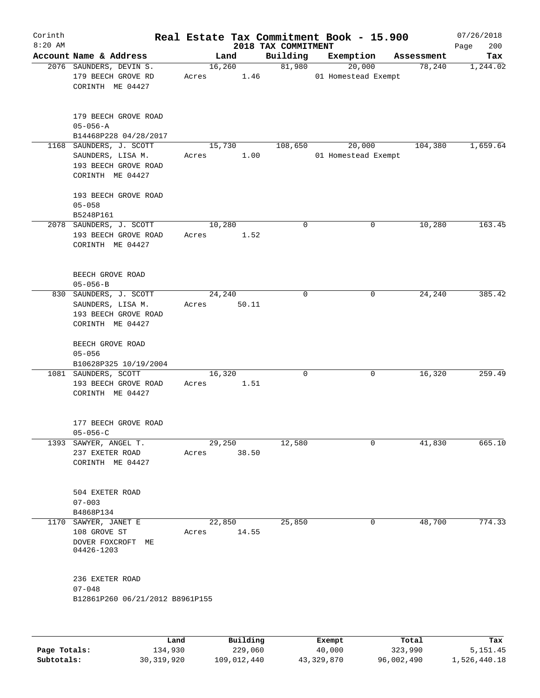| Corinth<br>$8:20$ AM |                                                                                          |                 |          | 2018 TAX COMMITMENT | Real Estate Tax Commitment Book - 15.900 |            | 07/26/2018<br>200 |
|----------------------|------------------------------------------------------------------------------------------|-----------------|----------|---------------------|------------------------------------------|------------|-------------------|
|                      | Account Name & Address                                                                   | Land            |          | Building            | Exemption                                | Assessment | Page<br>Tax       |
|                      | 2076 SAUNDERS, DEVIN S.<br>179 BEECH GROVE RD<br>CORINTH ME 04427                        | 16,260<br>Acres | 1.46     | 81,980              | 20,000<br>01 Homestead Exempt            | 78,240     | 1,244.02          |
|                      | 179 BEECH GROVE ROAD<br>$05 - 056 - A$<br>B14468P228 04/28/2017                          |                 |          |                     |                                          |            |                   |
|                      | 1168 SAUNDERS, J. SCOTT<br>SAUNDERS, LISA M.<br>193 BEECH GROVE ROAD<br>CORINTH ME 04427 | 15,730<br>Acres | 1.00     | 108,650             | 20,000<br>01 Homestead Exempt            | 104,380    | 1,659.64          |
|                      | 193 BEECH GROVE ROAD<br>$05 - 058$<br>B5248P161                                          | 10,280          |          |                     |                                          |            |                   |
|                      | 2078 SAUNDERS, J. SCOTT<br>193 BEECH GROVE ROAD<br>CORINTH ME 04427                      | Acres           | 1.52     | $\mathbf 0$         | 0                                        | 10,280     | 163.45            |
|                      | BEECH GROVE ROAD<br>$05 - 056 - B$                                                       |                 |          |                     |                                          |            |                   |
|                      | 830 SAUNDERS, J. SCOTT<br>SAUNDERS, LISA M.<br>193 BEECH GROVE ROAD<br>CORINTH ME 04427  | 24,240<br>Acres | 50.11    | $\mathbf 0$         | 0                                        | 24,240     | 385.42            |
|                      | BEECH GROVE ROAD<br>$05 - 056$<br>B10628P325 10/19/2004                                  |                 |          |                     |                                          |            |                   |
|                      | 1081 SAUNDERS, SCOTT<br>193 BEECH GROVE ROAD<br>CORINTH ME 04427                         | 16,320<br>Acres | 1.51     | 0                   | 0                                        | 16,320     | 259.49            |
|                      | 177 BEECH GROVE ROAD<br>$05 - 056 - C$                                                   |                 |          |                     |                                          |            |                   |
|                      | 1393 SAWYER, ANGEL T.<br>237 EXETER ROAD<br>CORINTH ME 04427                             | 29,250<br>Acres | 38.50    | 12,580              | 0                                        | 41,830     | 665.10            |
|                      | 504 EXETER ROAD<br>$07 - 003$<br>B4868P134                                               |                 |          |                     |                                          |            |                   |
| 1170                 | SAWYER, JANET E<br>108 GROVE ST<br>DOVER FOXCROFT ME<br>04426-1203                       | 22,850<br>Acres | 14.55    | 25,850              | 0                                        | 48,700     | 774.33            |
|                      | 236 EXETER ROAD<br>$07 - 048$                                                            |                 |          |                     |                                          |            |                   |
|                      | B12861P260 06/21/2012 B8961P155                                                          |                 |          |                     |                                          |            |                   |
|                      | Land                                                                                     |                 | Building |                     | Exempt                                   | Total      | Tax               |

|              | Land         | Building    | Exempt     | Total      | Tax          |
|--------------|--------------|-------------|------------|------------|--------------|
| Page Totals: | 134,930      | 229,060     | 40,000     | 323,990    | 5,151.45     |
| Subtotals:   | 30, 319, 920 | 109,012,440 | 43,329,870 | 96,002,490 | 1,526,440.18 |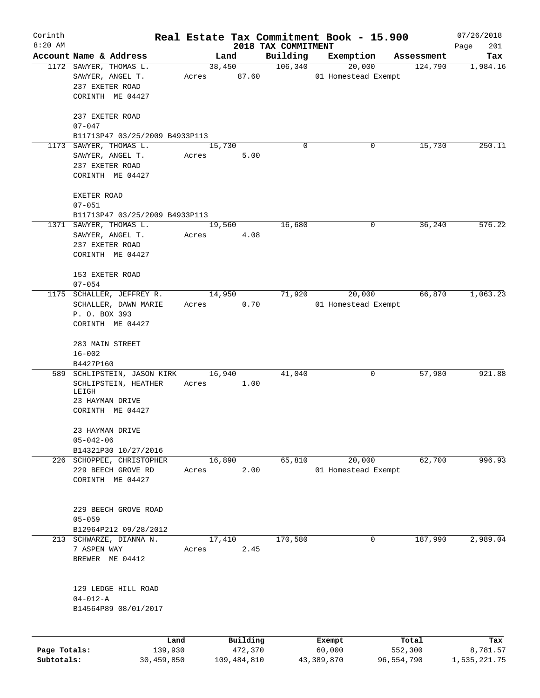| Corinth      |                                                          |                       |       |                        |                                 | Real Estate Tax Commitment Book - 15.900 |                       | 07/26/2018               |
|--------------|----------------------------------------------------------|-----------------------|-------|------------------------|---------------------------------|------------------------------------------|-----------------------|--------------------------|
| $8:20$ AM    | Account Name & Address                                   |                       |       |                        | 2018 TAX COMMITMENT<br>Building |                                          | Assessment            | 201<br>Page<br>Tax       |
|              | 1172 SAWYER, THOMAS L.                                   |                       |       | Land<br>38,450         | 106,340                         | Exemption<br>20,000                      | 124,790               | 1,984.16                 |
|              | SAWYER, ANGEL T.<br>237 EXETER ROAD                      |                       |       | Acres 87.60            |                                 | 01 Homestead Exempt                      |                       |                          |
|              | CORINTH ME 04427                                         |                       |       |                        |                                 |                                          |                       |                          |
|              | 237 EXETER ROAD<br>$07 - 047$                            |                       |       |                        |                                 |                                          |                       |                          |
|              | B11713P47 03/25/2009 B4933P113<br>1173 SAWYER, THOMAS L. |                       |       |                        | $\Omega$                        | 0                                        |                       | 250.11                   |
|              | SAWYER, ANGEL T.<br>237 EXETER ROAD                      |                       | Acres | 15,730<br>5.00         |                                 |                                          | 15,730                |                          |
|              | CORINTH ME 04427                                         |                       |       |                        |                                 |                                          |                       |                          |
|              | EXETER ROAD<br>$07 - 051$                                |                       |       |                        |                                 |                                          |                       |                          |
|              | B11713P47 03/25/2009 B4933P113                           |                       |       |                        |                                 |                                          |                       |                          |
|              | 1371 SAWYER, THOMAS L.                                   |                       |       | 19,560                 | 16,680                          | 0                                        | 36,240                | 576.22                   |
|              | SAWYER, ANGEL T.                                         |                       | Acres | 4.08                   |                                 |                                          |                       |                          |
|              | 237 EXETER ROAD                                          |                       |       |                        |                                 |                                          |                       |                          |
|              | CORINTH ME 04427                                         |                       |       |                        |                                 |                                          |                       |                          |
|              | 153 EXETER ROAD                                          |                       |       |                        |                                 |                                          |                       |                          |
|              | $07 - 054$                                               |                       |       |                        |                                 |                                          |                       |                          |
|              | 1175 SCHALLER, JEFFREY R.                                |                       |       | 14,950                 | 71,920                          | 20,000                                   | 66,870                | 1,063.23                 |
|              | SCHALLER, DAWN MARIE                                     |                       | Acres | 0.70                   |                                 | 01 Homestead Exempt                      |                       |                          |
|              | P. O. BOX 393<br>CORINTH ME 04427                        |                       |       |                        |                                 |                                          |                       |                          |
|              | 283 MAIN STREET                                          |                       |       |                        |                                 |                                          |                       |                          |
|              | $16 - 002$                                               |                       |       |                        |                                 |                                          |                       |                          |
|              | B4427P160                                                |                       |       |                        |                                 |                                          |                       |                          |
|              | 589 SCHLIPSTEIN, JASON KIRK                              |                       |       | 16,940                 | 41,040                          | 0                                        | 57,980                | 921.88                   |
|              | SCHLIPSTEIN, HEATHER                                     |                       | Acres | 1.00                   |                                 |                                          |                       |                          |
|              | LEIGH                                                    |                       |       |                        |                                 |                                          |                       |                          |
|              | 23 HAYMAN DRIVE<br>CORINTH ME 04427                      |                       |       |                        |                                 |                                          |                       |                          |
|              | 23 HAYMAN DRIVE                                          |                       |       |                        |                                 |                                          |                       |                          |
|              | $05 - 042 - 06$                                          |                       |       |                        |                                 |                                          |                       |                          |
|              | B14321P30 10/27/2016                                     |                       |       |                        |                                 |                                          |                       |                          |
|              | 226 SCHOPPEE, CHRISTOPHER                                |                       |       | 16,890                 | 65,810                          | 20,000                                   | 62,700                | 996.93                   |
|              | 229 BEECH GROVE RD                                       |                       | Acres | 2.00                   |                                 | 01 Homestead Exempt                      |                       |                          |
|              | CORINTH ME 04427                                         |                       |       |                        |                                 |                                          |                       |                          |
|              | 229 BEECH GROVE ROAD                                     |                       |       |                        |                                 |                                          |                       |                          |
|              | $05 - 059$                                               |                       |       |                        |                                 |                                          |                       |                          |
|              | B12964P212 09/28/2012                                    |                       |       |                        |                                 |                                          |                       |                          |
|              | 213 SCHWARZE, DIANNA N.                                  |                       |       | 17,410                 | 170,580                         | $\mathbf 0$                              | 187,990               | 2,989.04                 |
|              | 7 ASPEN WAY                                              |                       | Acres | 2.45                   |                                 |                                          |                       |                          |
|              | BREWER ME 04412                                          |                       |       |                        |                                 |                                          |                       |                          |
|              |                                                          |                       |       |                        |                                 |                                          |                       |                          |
|              | 129 LEDGE HILL ROAD<br>$04 - 012 - A$                    |                       |       |                        |                                 |                                          |                       |                          |
|              | B14564P89 08/01/2017                                     |                       |       |                        |                                 |                                          |                       |                          |
|              |                                                          |                       |       |                        |                                 |                                          |                       |                          |
| Page Totals: |                                                          | Land                  |       | Building               |                                 | Exempt                                   | Total                 | Tax                      |
| Subtotals:   |                                                          | 139,930<br>30,459,850 |       | 472,370<br>109,484,810 |                                 | 60,000<br>43,389,870                     | 552,300<br>96,554,790 | 8,781.57<br>1,535,221.75 |
|              |                                                          |                       |       |                        |                                 |                                          |                       |                          |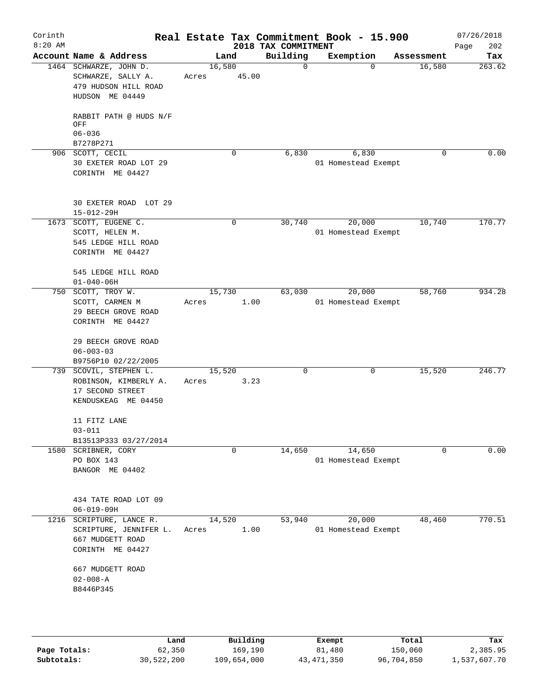| Corinth<br>$8:20$ AM |                                                                                            |                 |                | 2018 TAX COMMITMENT | Real Estate Tax Commitment Book - 15.900 |            | 07/26/2018<br>202<br>Page |
|----------------------|--------------------------------------------------------------------------------------------|-----------------|----------------|---------------------|------------------------------------------|------------|---------------------------|
|                      | Account Name & Address                                                                     |                 | Land           | Building            | Exemption                                | Assessment | Tax                       |
|                      | 1464 SCHWARZE, JOHN D.<br>SCHWARZE, SALLY A.<br>479 HUDSON HILL ROAD<br>HUDSON ME 04449    | 16,580<br>Acres | 45.00          | 0                   | $\Omega$                                 | 16,580     | 263.62                    |
|                      | RABBIT PATH @ HUDS N/F<br>OFF<br>$06 - 036$<br>B7278P271                                   |                 |                |                     |                                          |            |                           |
|                      | 906 SCOTT, CECIL                                                                           |                 | $\Omega$       | 6,830               | 6,830                                    | 0          | 0.00                      |
|                      | 30 EXETER ROAD LOT 29<br>CORINTH ME 04427                                                  |                 |                |                     | 01 Homestead Exempt                      |            |                           |
|                      | 30 EXETER ROAD LOT 29<br>$15 - 012 - 29H$                                                  |                 |                |                     |                                          |            |                           |
|                      | 1673 SCOTT, EUGENE C.<br>SCOTT, HELEN M.<br>545 LEDGE HILL ROAD<br>CORINTH ME 04427        |                 | 0              | 30,740              | 20,000<br>01 Homestead Exempt            | 10,740     | 170.77                    |
|                      | 545 LEDGE HILL ROAD<br>$01 - 040 - 06H$                                                    |                 |                |                     |                                          |            |                           |
|                      | 750 SCOTT, TROY W.<br>SCOTT, CARMEN M<br>29 BEECH GROVE ROAD<br>CORINTH ME 04427           | Acres           | 15,730<br>1.00 | 63,030              | 20,000<br>01 Homestead Exempt            | 58,760     | 934.28                    |
|                      | 29 BEECH GROVE ROAD<br>$06 - 003 - 03$<br>B9756P10 02/22/2005                              |                 |                |                     |                                          |            |                           |
|                      | 739 SCOVIL, STEPHEN L.<br>ROBINSON, KIMBERLY A.<br>17 SECOND STREET<br>KENDUSKEAG ME 04450 | 15,520<br>Acres | 3.23           | 0                   | 0                                        | 15,520     | 246.77                    |
|                      | 11 FITZ LANE<br>$03 - 011$                                                                 |                 |                |                     |                                          |            |                           |
|                      | B13513P333 03/27/2014<br>1580 SCRIBNER, CORY                                               |                 | 0              | 14,650              | 14,650                                   | 0          | 0.00                      |
|                      | PO BOX 143<br>BANGOR ME 04402                                                              |                 |                |                     | 01 Homestead Exempt                      |            |                           |
|                      | 434 TATE ROAD LOT 09<br>$06 - 019 - 09H$                                                   |                 |                |                     |                                          |            |                           |
| 1216                 | SCRIPTURE, LANCE R.<br>SCRIPTURE, JENNIFER L.<br>667 MUDGETT ROAD<br>CORINTH ME 04427      | Acres           | 14,520<br>1.00 | 53,940              | 20,000<br>01 Homestead Exempt            | 48,460     | 770.51                    |
|                      | 667 MUDGETT ROAD<br>$02 - 008 - A$<br>B8446P345                                            |                 |                |                     |                                          |            |                           |
|                      |                                                                                            |                 |                |                     |                                          |            |                           |

|              | úand       | Building    | Exempt       | Total      | Tax          |
|--------------|------------|-------------|--------------|------------|--------------|
| Page Totals: | 62,350     | 169,190     | 81,480       | 150,060    | 2,385.95     |
| Subtotals:   | 30,522,200 | 109,654,000 | 43, 471, 350 | 96,704,850 | 1,537,607.70 |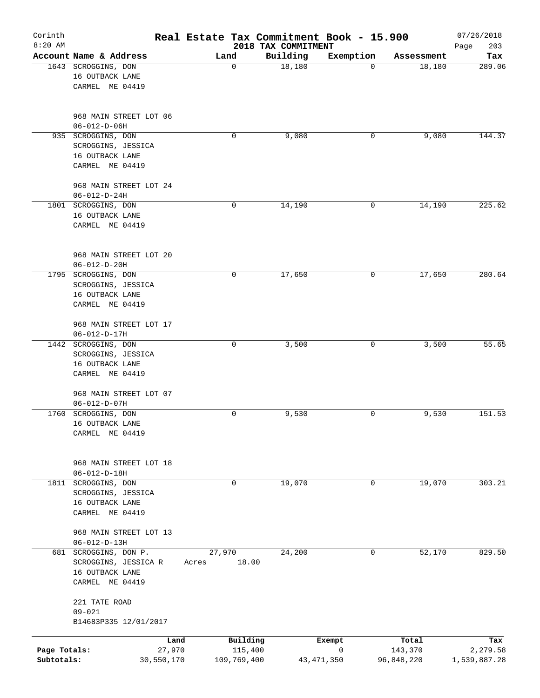| Corinth<br>$8:20$ AM       |                                                                                     | Real Estate Tax Commitment Book - 15.900 | 2018 TAX COMMITMENT |                   |                       | 07/26/2018<br>203<br>Page |
|----------------------------|-------------------------------------------------------------------------------------|------------------------------------------|---------------------|-------------------|-----------------------|---------------------------|
|                            | Account Name & Address                                                              | Land                                     | Building            | Exemption         | Assessment            | Tax                       |
|                            | 1643 SCROGGINS, DON<br>16 OUTBACK LANE<br>CARMEL ME 04419                           | $\mathbf 0$                              | 18,180              | $\Omega$          | 18,180                | 289.06                    |
|                            | 968 MAIN STREET LOT 06<br>$06 - 012 - D - 06H$                                      |                                          |                     |                   |                       |                           |
|                            | 935 SCROGGINS, DON<br>SCROGGINS, JESSICA<br>16 OUTBACK LANE<br>CARMEL ME 04419      | 0                                        | 9,080               | 0                 | 9,080                 | 144.37                    |
|                            | 968 MAIN STREET LOT 24<br>$06 - 012 - D - 24H$                                      |                                          |                     |                   |                       |                           |
|                            | 1801 SCROGGINS, DON<br>16 OUTBACK LANE<br>CARMEL ME 04419                           | $\mathbf 0$                              | 14,190              | 0                 | 14,190                | 225.62                    |
|                            | 968 MAIN STREET LOT 20<br>$06 - 012 - D - 20H$                                      |                                          |                     |                   |                       |                           |
|                            | 1795 SCROGGINS, DON<br>SCROGGINS, JESSICA<br>16 OUTBACK LANE<br>CARMEL ME 04419     | $\mathbf 0$                              | 17,650              | 0                 | 17,650                | 280.64                    |
|                            | 968 MAIN STREET LOT 17<br>$06 - 012 - D - 17H$                                      |                                          |                     |                   |                       |                           |
|                            | 1442 SCROGGINS, DON<br>SCROGGINS, JESSICA<br>16 OUTBACK LANE<br>CARMEL ME 04419     | $\mathbf 0$                              | 3,500               | 0                 | 3,500                 | 55.65                     |
|                            | 968 MAIN STREET LOT 07<br>$06 - 012 - D - 07H$                                      |                                          |                     |                   |                       |                           |
| 1760                       | SCROGGINS, DON<br>16 OUTBACK LANE<br>CARMEL ME 04419                                | 0                                        | 9,530               | 0                 | 9,530                 | 151.53                    |
|                            | 968 MAIN STREET LOT 18<br>$06 - 012 - D - 18H$                                      |                                          |                     |                   |                       |                           |
| 1811                       | SCROGGINS, DON<br>SCROGGINS, JESSICA<br>16 OUTBACK LANE<br>CARMEL ME 04419          | 0                                        | 19,070              | 0                 | 19,070                | 303.21                    |
|                            | 968 MAIN STREET LOT 13<br>$06 - 012 - D - 13H$                                      |                                          |                     |                   |                       |                           |
|                            | 681 SCROGGINS, DON P.<br>SCROGGINS, JESSICA R<br>16 OUTBACK LANE<br>CARMEL ME 04419 | 27,970<br>18.00<br>Acres                 | 24,200              | $\mathbf 0$       | 52,170                | 829.50                    |
|                            | 221 TATE ROAD<br>$09 - 021$<br>B14683P335 12/01/2017                                |                                          |                     |                   |                       |                           |
|                            | Land                                                                                | Building                                 |                     | Exempt            | Total                 | Tax                       |
| Page Totals:<br>Subtotals: | 27,970<br>30,550,170                                                                | 115,400<br>109,769,400                   |                     | 0<br>43, 471, 350 | 143,370<br>96,848,220 | 2,279.58<br>1,539,887.28  |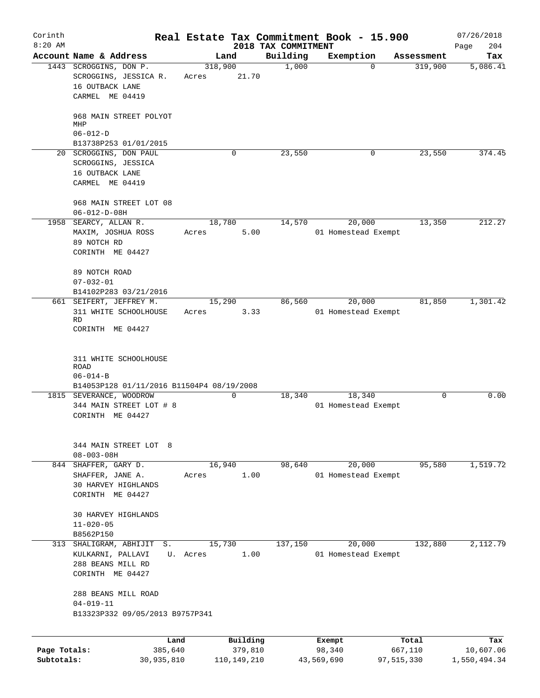| Corinth<br>$8:20$ AM       |                                                                                                       |                  |                          | 2018 TAX COMMITMENT | Real Estate Tax Commitment Book - 15.900 |                       | 07/26/2018<br>204<br>Page |
|----------------------------|-------------------------------------------------------------------------------------------------------|------------------|--------------------------|---------------------|------------------------------------------|-----------------------|---------------------------|
|                            | Account Name & Address                                                                                |                  | Land                     | Building            | Exemption                                | Assessment            | Tax                       |
|                            | 1443 SCROGGINS, DON P.<br>SCROGGINS, JESSICA R.<br>16 OUTBACK LANE                                    | 318,900<br>Acres | 21.70                    | 1,000               | 0                                        | 319,900               | 5,086.41                  |
|                            | CARMEL ME 04419                                                                                       |                  |                          |                     |                                          |                       |                           |
|                            | 968 MAIN STREET POLYOT<br>MHP                                                                         |                  |                          |                     |                                          |                       |                           |
|                            | $06 - 012 - D$<br>B13738P253 01/01/2015                                                               |                  |                          |                     |                                          |                       |                           |
|                            | 20 SCROGGINS, DON PAUL                                                                                |                  | 0                        | 23,550              | 0                                        | 23,550                | 374.45                    |
|                            | SCROGGINS, JESSICA<br>16 OUTBACK LANE                                                                 |                  |                          |                     |                                          |                       |                           |
|                            | CARMEL ME 04419                                                                                       |                  |                          |                     |                                          |                       |                           |
|                            | 968 MAIN STREET LOT 08<br>$06 - 012 - D - 08H$                                                        |                  |                          |                     |                                          |                       |                           |
|                            | 1958 SEARCY, ALLAN R.                                                                                 | 18,780           |                          | 14,570              | 20,000                                   | 13,350                | 212.27                    |
|                            | MAXIM, JOSHUA ROSS<br>89 NOTCH RD<br>CORINTH ME 04427                                                 | Acres            | 5.00                     |                     | 01 Homestead Exempt                      |                       |                           |
|                            | 89 NOTCH ROAD                                                                                         |                  |                          |                     |                                          |                       |                           |
|                            | $07 - 032 - 01$                                                                                       |                  |                          |                     |                                          |                       |                           |
|                            | B14102P283 03/21/2016                                                                                 |                  |                          |                     |                                          |                       |                           |
|                            | 661 SEIFERT, JEFFREY M.<br>311 WHITE SCHOOLHOUSE                                                      | 15,290<br>Acres  | 3.33                     | 86,560              | 20,000<br>01 Homestead Exempt            | 81,850                | 1,301.42                  |
|                            | <b>RD</b><br>CORINTH ME 04427                                                                         |                  |                          |                     |                                          |                       |                           |
|                            | <b>ROAD</b><br>$06 - 014 - B$<br>B14053P128 01/11/2016 B11504P4 08/19/2008<br>1815 SEVERANCE, WOODROW |                  | $\Omega$                 | 18,340              | 18,340                                   | $\Omega$              | 0.00                      |
|                            | 344 MAIN STREET LOT # 8<br>CORINTH ME 04427                                                           |                  |                          |                     | 01 Homestead Exempt                      |                       |                           |
|                            | 344 MAIN STREET LOT 8<br>$08 - 003 - 08H$                                                             |                  |                          |                     |                                          |                       |                           |
|                            | 844 SHAFFER, GARY D.                                                                                  | 16,940           |                          | 98,640              | 20,000                                   | 95,580                | 1,519.72                  |
|                            | SHAFFER, JANE A.<br><b>30 HARVEY HIGHLANDS</b>                                                        | Acres            | 1.00                     |                     | 01 Homestead Exempt                      |                       |                           |
|                            | CORINTH ME 04427                                                                                      |                  |                          |                     |                                          |                       |                           |
|                            | 30 HARVEY HIGHLANDS                                                                                   |                  |                          |                     |                                          |                       |                           |
|                            | $11 - 020 - 05$<br>B8562P150                                                                          |                  |                          |                     |                                          |                       |                           |
|                            | 313 SHALIGRAM, ABHIJIT<br>$S$ .                                                                       | 15,730           |                          | 137,150             | 20,000                                   | 132,880               | 2,112.79                  |
|                            | KULKARNI, PALLAVI                                                                                     | U. Acres         | 1.00                     |                     | 01 Homestead Exempt                      |                       |                           |
|                            | 288 BEANS MILL RD                                                                                     |                  |                          |                     |                                          |                       |                           |
|                            | CORINTH ME 04427                                                                                      |                  |                          |                     |                                          |                       |                           |
|                            | 288 BEANS MILL ROAD                                                                                   |                  |                          |                     |                                          |                       |                           |
|                            | $04 - 019 - 11$<br>B13323P332 09/05/2013 B9757P341                                                    |                  |                          |                     |                                          |                       |                           |
|                            |                                                                                                       |                  |                          |                     |                                          |                       |                           |
|                            | Land                                                                                                  |                  | Building                 |                     | Exempt                                   | Total                 | Tax                       |
| Page Totals:<br>Subtotals: | 385,640<br>30,935,810                                                                                 |                  | 379,810<br>110, 149, 210 |                     | 98,340<br>43,569,690                     | 667,110<br>97,515,330 | 10,607.06<br>1,550,494.34 |
|                            |                                                                                                       |                  |                          |                     |                                          |                       |                           |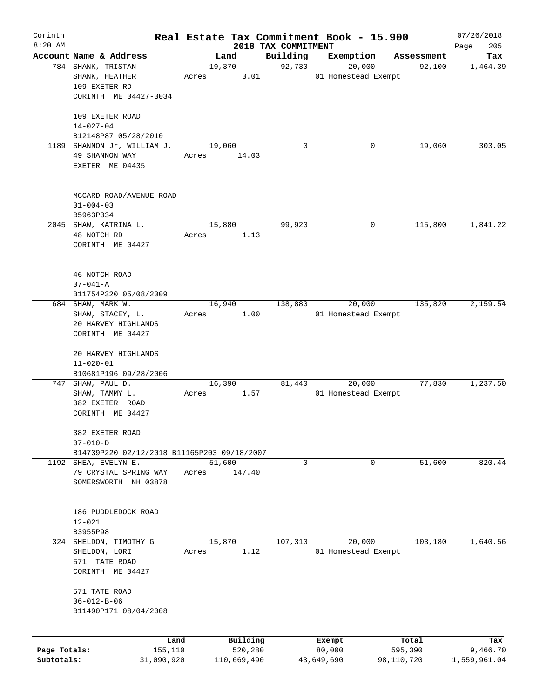| Corinth      |                                             |       |                |                     | Real Estate Tax Commitment Book - 15.900 |                      | 07/26/2018      |
|--------------|---------------------------------------------|-------|----------------|---------------------|------------------------------------------|----------------------|-----------------|
| $8:20$ AM    | Account Name & Address                      |       |                | 2018 TAX COMMITMENT |                                          |                      | 205<br>Page     |
|              | 784 SHANK, TRISTAN                          |       | Land<br>19,370 | Building<br>92,730  | Exemption<br>20,000                      | Assessment<br>92,100 | Tax<br>1,464.39 |
|              | SHANK, HEATHER                              | Acres | 3.01           |                     | 01 Homestead Exempt                      |                      |                 |
|              | 109 EXETER RD                               |       |                |                     |                                          |                      |                 |
|              | CORINTH ME 04427-3034                       |       |                |                     |                                          |                      |                 |
|              |                                             |       |                |                     |                                          |                      |                 |
|              | 109 EXETER ROAD                             |       |                |                     |                                          |                      |                 |
|              | $14 - 027 - 04$                             |       |                |                     |                                          |                      |                 |
|              | B12148P87 05/28/2010                        |       |                |                     |                                          |                      |                 |
|              | 1189 SHANNON Jr, WILLIAM J.                 |       | 19,060         | $\Omega$            | 0                                        | 19,060               | 303.05          |
|              | 49 SHANNON WAY                              | Acres | 14.03          |                     |                                          |                      |                 |
|              | EXETER ME 04435                             |       |                |                     |                                          |                      |                 |
|              |                                             |       |                |                     |                                          |                      |                 |
|              | MCCARD ROAD/AVENUE ROAD                     |       |                |                     |                                          |                      |                 |
|              | $01 - 004 - 03$                             |       |                |                     |                                          |                      |                 |
|              | B5963P334                                   |       |                |                     |                                          |                      |                 |
|              | 2045 SHAW, KATRINA L.                       |       | 15,880         | 99,920              | 0                                        | 115,800              | 1,841.22        |
|              | 48 NOTCH RD                                 | Acres | 1.13           |                     |                                          |                      |                 |
|              | CORINTH ME 04427                            |       |                |                     |                                          |                      |                 |
|              |                                             |       |                |                     |                                          |                      |                 |
|              | 46 NOTCH ROAD                               |       |                |                     |                                          |                      |                 |
|              | $07 - 041 - A$                              |       |                |                     |                                          |                      |                 |
|              | B11754P320 05/08/2009                       |       |                |                     |                                          |                      |                 |
|              | 684 SHAW, MARK W.                           |       | 16,940         | 138,880             | 20,000                                   | 135,820              | 2,159.54        |
|              | SHAW, STACEY, L.                            | Acres | 1.00           |                     | 01 Homestead Exempt                      |                      |                 |
|              | 20 HARVEY HIGHLANDS                         |       |                |                     |                                          |                      |                 |
|              | CORINTH ME 04427                            |       |                |                     |                                          |                      |                 |
|              |                                             |       |                |                     |                                          |                      |                 |
|              | 20 HARVEY HIGHLANDS                         |       |                |                     |                                          |                      |                 |
|              | $11 - 020 - 01$                             |       |                |                     |                                          |                      |                 |
|              | B10681P196 09/28/2006                       |       |                |                     |                                          | 77,830               | 1,237.50        |
|              | 747 SHAW, PAUL D.                           |       | 16,390         | 81,440              | 20,000                                   |                      |                 |
|              | SHAW, TAMMY L.                              | Acres | 1.57           |                     | 01 Homestead Exempt                      |                      |                 |
|              | 382 EXETER ROAD                             |       |                |                     |                                          |                      |                 |
|              | CORINTH ME 04427                            |       |                |                     |                                          |                      |                 |
|              | 382 EXETER ROAD                             |       |                |                     |                                          |                      |                 |
|              | $07 - 010 - D$                              |       |                |                     |                                          |                      |                 |
|              | B14739P220 02/12/2018 B11165P203 09/18/2007 |       |                |                     |                                          |                      |                 |
| 1192         | SHEA, EVELYN E.                             |       | 51,600         | 0                   | 0                                        | 51,600               | 820.44          |
|              | 79 CRYSTAL SPRING WAY                       | Acres | 147.40         |                     |                                          |                      |                 |
|              | SOMERSWORTH NH 03878                        |       |                |                     |                                          |                      |                 |
|              |                                             |       |                |                     |                                          |                      |                 |
|              | 186 PUDDLEDOCK ROAD                         |       |                |                     |                                          |                      |                 |
|              | $12 - 021$                                  |       |                |                     |                                          |                      |                 |
|              | B3955P98                                    |       |                |                     |                                          |                      |                 |
| 324          | SHELDON, TIMOTHY G                          |       | 15,870         | 107,310             | 20,000                                   | 103,180              | 1,640.56        |
|              | SHELDON, LORI                               | Acres | 1.12           |                     | 01 Homestead Exempt                      |                      |                 |
|              | 571 TATE ROAD                               |       |                |                     |                                          |                      |                 |
|              | CORINTH ME 04427                            |       |                |                     |                                          |                      |                 |
|              | 571 TATE ROAD                               |       |                |                     |                                          |                      |                 |
|              | $06 - 012 - B - 06$                         |       |                |                     |                                          |                      |                 |
|              | B11490P171 08/04/2008                       |       |                |                     |                                          |                      |                 |
|              |                                             |       |                |                     |                                          |                      |                 |
|              | Land                                        |       | Building       |                     | Exempt                                   | Total                | Tax             |
| Page Totals: | 155,110                                     |       | 520,280        |                     | 80,000                                   | 595,390              | 9,466.70        |
| Subtotals:   | 31,090,920                                  |       | 110,669,490    |                     | 43,649,690                               | 98,110,720           | 1,559,961.04    |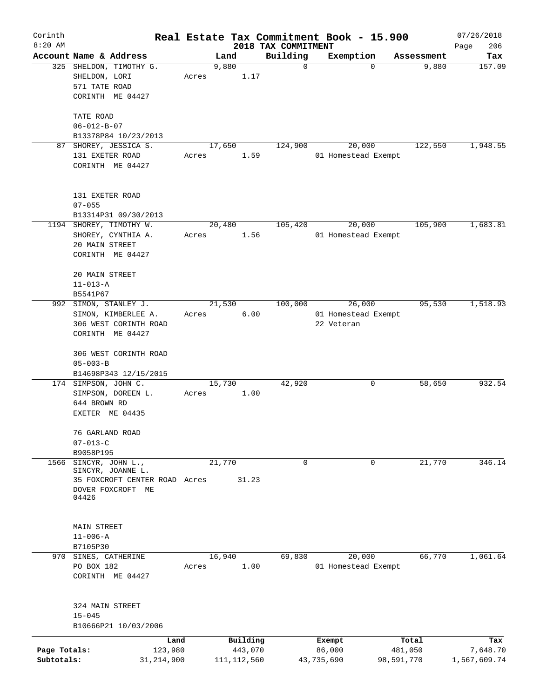| Corinth                    |                                                                                           |       |                          |                         | Real Estate Tax Commitment Book - 15.900    |                       | 07/26/2018               |
|----------------------------|-------------------------------------------------------------------------------------------|-------|--------------------------|-------------------------|---------------------------------------------|-----------------------|--------------------------|
| $8:20$ AM                  |                                                                                           |       |                          | 2018 TAX COMMITMENT     |                                             |                       | 206<br>Page              |
|                            | Account Name & Address<br>325 SHELDON, TIMOTHY G.<br>SHELDON, LORI<br>571 TATE ROAD       | Acres | Land<br>9,880<br>1.17    | Building<br>$\mathbf 0$ | Exemption<br>$\mathbf 0$                    | Assessment<br>9,880   | Tax<br>157.09            |
|                            | CORINTH ME 04427<br>TATE ROAD<br>$06 - 012 - B - 07$<br>B13378P84 10/23/2013              |       |                          |                         |                                             |                       |                          |
| 87                         | SHOREY, JESSICA S.<br>131 EXETER ROAD<br>CORINTH ME 04427                                 | Acres | 17,650<br>1.59           | 124,900                 | 20,000<br>01 Homestead Exempt               | 122,550               | 1,948.55                 |
|                            | 131 EXETER ROAD<br>$07 - 055$<br>B13314P31 09/30/2013                                     |       |                          |                         |                                             |                       |                          |
|                            | 1194 SHOREY, TIMOTHY W.<br>SHOREY, CYNTHIA A.<br>20 MAIN STREET<br>CORINTH ME 04427       | Acres | 20,480<br>1.56           | 105,420                 | 20,000<br>01 Homestead Exempt               | 105,900               | 1,683.81                 |
|                            | 20 MAIN STREET<br>$11 - 013 - A$<br>B5541P67                                              |       |                          |                         |                                             |                       |                          |
|                            | 992 SIMON, STANLEY J.<br>SIMON, KIMBERLEE A.<br>306 WEST CORINTH ROAD<br>CORINTH ME 04427 | Acres | 21,530<br>6.00           | 100,000                 | 26,000<br>01 Homestead Exempt<br>22 Veteran | 95,530                | 1,518.93                 |
|                            | 306 WEST CORINTH ROAD<br>$05 - 003 - B$                                                   |       |                          |                         |                                             |                       |                          |
|                            | B14698P343 12/15/2015<br>174 SIMPSON, JOHN C.                                             |       | 15,730                   | 42,920                  | 0                                           | 58,650                | 932.54                   |
|                            | SIMPSON, DOREEN L.<br>644 BROWN RD<br>EXETER ME 04435                                     | Acres | 1.00                     |                         |                                             |                       |                          |
|                            | 76 GARLAND ROAD<br>$07 - 013 - C$                                                         |       |                          |                         |                                             |                       |                          |
| 1566                       | B9058P195<br>SINCYR, JOHN L.,                                                             |       | 21,770                   | 0                       | 0                                           | 21,770                | 346.14                   |
|                            | SINCYR, JOANNE L.<br>35 FOXCROFT CENTER ROAD Acres<br>DOVER FOXCROFT ME<br>04426          |       | 31.23                    |                         |                                             |                       |                          |
|                            | MAIN STREET<br>$11 - 006 - A$<br>B7105P30                                                 |       |                          |                         |                                             |                       |                          |
|                            | 970 SINES, CATHERINE                                                                      |       | 16,940                   | 69,830                  | 20,000                                      | 66,770                | 1,061.64                 |
|                            | PO BOX 182<br>CORINTH ME 04427                                                            | Acres | 1.00                     |                         | 01 Homestead Exempt                         |                       |                          |
|                            | 324 MAIN STREET<br>$15 - 045$<br>B10666P21 10/03/2006                                     |       |                          |                         |                                             |                       |                          |
|                            | Land                                                                                      |       | Building                 |                         | Exempt                                      | Total                 | Tax                      |
| Page Totals:<br>Subtotals: | 123,980<br>31, 214, 900                                                                   |       | 443,070<br>111, 112, 560 |                         | 86,000<br>43,735,690                        | 481,050<br>98,591,770 | 7,648.70<br>1,567,609.74 |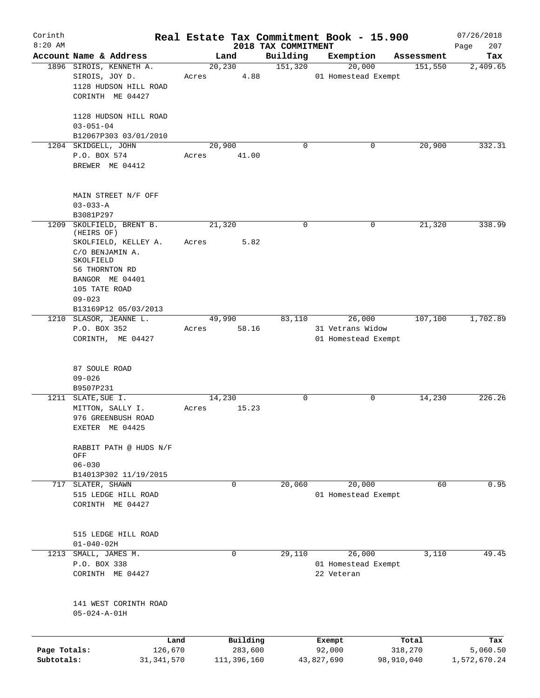| Corinth<br>$8:20$ AM       |                                                                                                                                                               |       |                        |                                 | Real Estate Tax Commitment Book - 15.900 |                       | 07/26/2018               |
|----------------------------|---------------------------------------------------------------------------------------------------------------------------------------------------------------|-------|------------------------|---------------------------------|------------------------------------------|-----------------------|--------------------------|
|                            | Account Name & Address                                                                                                                                        |       | Land                   | 2018 TAX COMMITMENT<br>Building | Exemption                                | Assessment            | 207<br>Page<br>Tax       |
|                            | 1896 SIROIS, KENNETH A.                                                                                                                                       |       | 20, 230                | 151,320                         | 20,000                                   | 151,550               | 2,409.65                 |
|                            | SIROIS, JOY D.<br>1128 HUDSON HILL ROAD<br>CORINTH ME 04427                                                                                                   | Acres | 4.88                   |                                 | 01 Homestead Exempt                      |                       |                          |
|                            | 1128 HUDSON HILL ROAD<br>$03 - 051 - 04$                                                                                                                      |       |                        |                                 |                                          |                       |                          |
|                            | B12067P303 03/01/2010<br>1204 SKIDGELL, JOHN                                                                                                                  |       | 20,900                 | $\mathbf 0$                     | 0                                        | 20,900                | 332.31                   |
|                            | P.O. BOX 574<br>BREWER ME 04412                                                                                                                               | Acres | 41.00                  |                                 |                                          |                       |                          |
|                            | MAIN STREET N/F OFF<br>$03 - 033 - A$                                                                                                                         |       |                        |                                 |                                          |                       |                          |
|                            | B3081P297                                                                                                                                                     |       |                        |                                 |                                          |                       |                          |
| 1209                       | SKOLFIELD, BRENT B.<br>(HEIRS OF)<br>SKOLFIELD, KELLEY A.<br>C/O BENJAMIN A.<br>SKOLFIELD<br>56 THORNTON RD<br>BANGOR ME 04401<br>105 TATE ROAD<br>$09 - 023$ | Acres | 21,320<br>5.82         | $\mathbf 0$                     | 0                                        | 21,320                | 338.99                   |
|                            | B13169P12 05/03/2013                                                                                                                                          |       |                        |                                 |                                          |                       |                          |
|                            | 1210 SLASOR, JEANNE L.                                                                                                                                        |       | 49,990                 | 83,110                          | 26,000                                   | 107,100               | 1,702.89                 |
|                            | P.O. BOX 352<br>CORINTH, ME 04427                                                                                                                             | Acres | 58.16                  |                                 | 31 Vetrans Widow<br>01 Homestead Exempt  |                       |                          |
|                            | 87 SOULE ROAD<br>$09 - 026$                                                                                                                                   |       |                        |                                 |                                          |                       |                          |
|                            | B9507P231                                                                                                                                                     |       |                        |                                 |                                          |                       |                          |
|                            | 1211 SLATE, SUE I.<br>MITTON, SALLY I.<br>976 GREENBUSH ROAD<br>EXETER ME 04425                                                                               | Acres | 14,230<br>15.23        | 0                               | 0                                        | 14,230                | 226.26                   |
|                            | RABBIT PATH @ HUDS N/F<br>OFF<br>$06 - 030$                                                                                                                   |       |                        |                                 |                                          |                       |                          |
|                            | B14013P302 11/19/2015                                                                                                                                         |       |                        |                                 |                                          |                       |                          |
| 717                        | SLATER, SHAWN<br>515 LEDGE HILL ROAD<br>CORINTH ME 04427                                                                                                      |       | $\mathbf 0$            | 20,060                          | 20,000<br>01 Homestead Exempt            | 60                    | 0.95                     |
|                            | 515 LEDGE HILL ROAD<br>$01 - 040 - 02H$                                                                                                                       |       |                        |                                 |                                          |                       |                          |
| 1213                       | SMALL, JAMES M.                                                                                                                                               |       | 0                      | 29,110                          | 26,000                                   | 3,110                 | 49.45                    |
|                            | P.O. BOX 338<br>CORINTH ME 04427                                                                                                                              |       |                        |                                 | 01 Homestead Exempt<br>22 Veteran        |                       |                          |
|                            | 141 WEST CORINTH ROAD<br>$05 - 024 - A - 01H$                                                                                                                 |       |                        |                                 |                                          |                       |                          |
|                            | Land                                                                                                                                                          |       | Building               |                                 | Exempt                                   | Total                 | Tax                      |
| Page Totals:<br>Subtotals: | 126,670<br>31, 341, 570                                                                                                                                       |       | 283,600<br>111,396,160 |                                 | 92,000<br>43,827,690                     | 318,270<br>98,910,040 | 5,060.50<br>1,572,670.24 |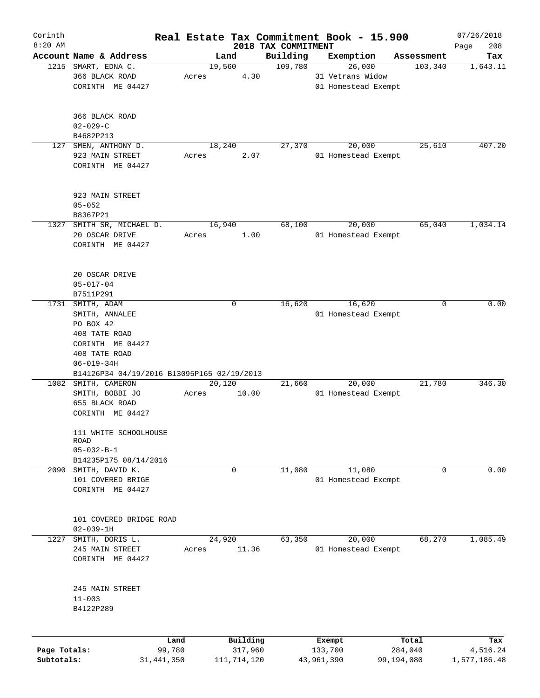| Corinth      |                                            |                |       |             |                     |                                 | Real Estate Tax Commitment Book - 15.900 |            |                       | 07/26/2018         |
|--------------|--------------------------------------------|----------------|-------|-------------|---------------------|---------------------------------|------------------------------------------|------------|-----------------------|--------------------|
| $8:20$ AM    | Account Name & Address                     |                |       | Land        |                     | 2018 TAX COMMITMENT<br>Building |                                          |            |                       | 208<br>Page<br>Tax |
| 1215         | SMART, EDNA C.                             |                |       | 19,560      |                     | 109,780                         | Exemption<br>26,000                      |            | Assessment<br>103,340 | 1,643.11           |
|              | 366 BLACK ROAD                             |                | Acres |             | 4.30                |                                 | 31 Vetrans Widow                         |            |                       |                    |
|              | CORINTH ME 04427                           |                |       |             |                     |                                 | 01 Homestead Exempt                      |            |                       |                    |
|              |                                            |                |       |             |                     |                                 |                                          |            |                       |                    |
|              |                                            |                |       |             |                     |                                 |                                          |            |                       |                    |
|              | 366 BLACK ROAD                             |                |       |             |                     |                                 |                                          |            |                       |                    |
|              | $02 - 029 - C$                             |                |       |             |                     |                                 |                                          |            |                       |                    |
|              | B4682P213                                  |                |       |             |                     |                                 |                                          |            |                       |                    |
| 127          | SMEN, ANTHONY $D$ .                        |                |       | 18,240      |                     | 27,370                          | 20,000                                   |            | 25,610                | 407.20             |
|              | 923 MAIN STREET                            |                | Acres |             | 2.07                |                                 | 01 Homestead Exempt                      |            |                       |                    |
|              | CORINTH ME 04427                           |                |       |             |                     |                                 |                                          |            |                       |                    |
|              |                                            |                |       |             |                     |                                 |                                          |            |                       |                    |
|              | 923 MAIN STREET                            |                |       |             |                     |                                 |                                          |            |                       |                    |
|              | $05 - 052$                                 |                |       |             |                     |                                 |                                          |            |                       |                    |
|              | B8367P21                                   |                |       |             |                     |                                 |                                          |            |                       |                    |
|              |                                            |                |       |             |                     |                                 |                                          |            |                       |                    |
| 1327         | SMITH SR, MICHAEL D.                       |                |       | 16,940      |                     | 68,100                          | 20,000                                   |            | 65,040                | 1,034.14           |
|              | 20 OSCAR DRIVE                             |                | Acres |             | 1.00                |                                 | 01 Homestead Exempt                      |            |                       |                    |
|              | CORINTH ME 04427                           |                |       |             |                     |                                 |                                          |            |                       |                    |
|              |                                            |                |       |             |                     |                                 |                                          |            |                       |                    |
|              |                                            |                |       |             |                     |                                 |                                          |            |                       |                    |
|              | 20 OSCAR DRIVE                             |                |       |             |                     |                                 |                                          |            |                       |                    |
|              | $05 - 017 - 04$                            |                |       |             |                     |                                 |                                          |            |                       |                    |
|              | B7511P291                                  |                |       |             |                     |                                 |                                          |            |                       |                    |
| 1731         | SMITH, ADAM                                |                |       | $\mathbf 0$ |                     | 16,620                          | 16,620                                   |            | 0                     | 0.00               |
|              | SMITH, ANNALEE                             |                |       |             |                     |                                 | 01 Homestead Exempt                      |            |                       |                    |
|              | PO BOX 42                                  |                |       |             |                     |                                 |                                          |            |                       |                    |
|              | 408 TATE ROAD                              |                |       |             |                     |                                 |                                          |            |                       |                    |
|              | CORINTH ME 04427                           |                |       |             |                     |                                 |                                          |            |                       |                    |
|              | 408 TATE ROAD                              |                |       |             |                     |                                 |                                          |            |                       |                    |
|              |                                            |                |       |             |                     |                                 |                                          |            |                       |                    |
|              | $06 - 019 - 34H$                           |                |       |             |                     |                                 |                                          |            |                       |                    |
|              | B14126P34 04/19/2016 B13095P165 02/19/2013 |                |       |             |                     |                                 |                                          |            |                       |                    |
|              | 1082 SMITH, CAMERON                        |                |       | 20,120      |                     | 21,660                          | 20,000                                   |            | 21,780                | 346.30             |
|              | SMITH, BOBBI JO                            |                | Acres |             | 10.00               |                                 | 01 Homestead Exempt                      |            |                       |                    |
|              | 655 BLACK ROAD                             |                |       |             |                     |                                 |                                          |            |                       |                    |
|              | CORINTH ME 04427                           |                |       |             |                     |                                 |                                          |            |                       |                    |
|              | 111 WHITE SCHOOLHOUSE                      |                |       |             |                     |                                 |                                          |            |                       |                    |
|              | ROAD                                       |                |       |             |                     |                                 |                                          |            |                       |                    |
|              | $05 - 032 - B - 1$                         |                |       |             |                     |                                 |                                          |            |                       |                    |
|              | B14235P175 08/14/2016                      |                |       |             |                     |                                 |                                          |            |                       |                    |
| 2090         | SMITH, DAVID K.                            |                |       | $\mathbf 0$ |                     | 11,080                          | 11,080                                   |            | $\Omega$              | 0.00               |
|              |                                            |                |       |             |                     |                                 |                                          |            |                       |                    |
|              | 101 COVERED BRIGE                          |                |       |             |                     |                                 | 01 Homestead Exempt                      |            |                       |                    |
|              | CORINTH ME 04427                           |                |       |             |                     |                                 |                                          |            |                       |                    |
|              |                                            |                |       |             |                     |                                 |                                          |            |                       |                    |
|              | 101 COVERED BRIDGE ROAD                    |                |       |             |                     |                                 |                                          |            |                       |                    |
|              | $02 - 039 - 1H$                            |                |       |             |                     |                                 |                                          |            |                       |                    |
| 1227         | SMITH, DORIS L.                            |                |       | 24,920      |                     | 63,350                          | 20,000                                   |            | 68,270                | 1,085.49           |
|              | 245 MAIN STREET                            |                | Acres |             | 11.36               |                                 | 01 Homestead Exempt                      |            |                       |                    |
|              |                                            |                |       |             |                     |                                 |                                          |            |                       |                    |
|              | CORINTH ME 04427                           |                |       |             |                     |                                 |                                          |            |                       |                    |
|              |                                            |                |       |             |                     |                                 |                                          |            |                       |                    |
|              | 245 MAIN STREET                            |                |       |             |                     |                                 |                                          |            |                       |                    |
|              | $11 - 003$                                 |                |       |             |                     |                                 |                                          |            |                       |                    |
|              | B4122P289                                  |                |       |             |                     |                                 |                                          |            |                       |                    |
|              |                                            |                |       |             |                     |                                 |                                          |            |                       |                    |
|              |                                            |                |       |             |                     |                                 |                                          |            |                       |                    |
| Page Totals: |                                            | Land<br>99,780 |       |             | Building<br>317,960 |                                 | Exempt<br>133,700                        |            | Total<br>284,040      | Tax<br>4,516.24    |
|              |                                            |                |       |             |                     |                                 |                                          |            |                       |                    |
| Subtotals:   |                                            | 31, 441, 350   |       | 111,714,120 |                     |                                 | 43,961,390                               | 99,194,080 |                       | 1,577,186.48       |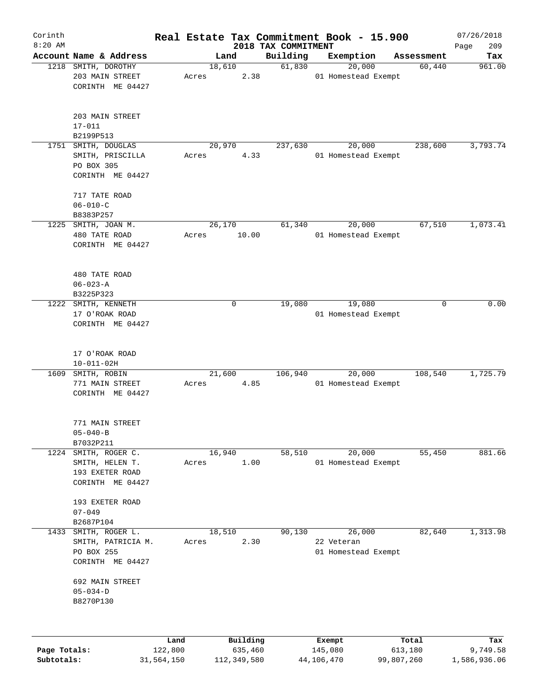| Corinth      |                                                                           |                 |       |                     |                                 |                   | Real Estate Tax Commitment Book - 15.900    |                  | 07/26/2018         |
|--------------|---------------------------------------------------------------------------|-----------------|-------|---------------------|---------------------------------|-------------------|---------------------------------------------|------------------|--------------------|
| $8:20$ AM    | Account Name & Address                                                    |                 |       | Land                | 2018 TAX COMMITMENT<br>Building |                   | Exemption                                   | Assessment       | 209<br>Page<br>Tax |
|              | 1218 SMITH, DOROTHY                                                       |                 |       | 18,610              | 61,830                          |                   | 20,000                                      | 60,440           | 961.00             |
|              | 203 MAIN STREET<br>CORINTH ME 04427                                       |                 | Acres |                     | 2.38                            |                   | 01 Homestead Exempt                         |                  |                    |
|              | 203 MAIN STREET<br>$17 - 011$<br>B2199P513                                |                 |       |                     |                                 |                   |                                             |                  |                    |
| 1751         | SMITH, DOUGLAS                                                            |                 |       | 20,970              | 237,630                         |                   | 20,000                                      | 238,600          | 3,793.74           |
|              | SMITH, PRISCILLA<br>PO BOX 305<br>CORINTH ME 04427                        |                 | Acres |                     | 4.33                            |                   | 01 Homestead Exempt                         |                  |                    |
|              | 717 TATE ROAD<br>$06 - 010 - C$                                           |                 |       |                     |                                 |                   |                                             |                  |                    |
|              | B8383P257                                                                 |                 |       |                     |                                 |                   |                                             |                  |                    |
| 1225         | SMITH, JOAN M.<br>480 TATE ROAD<br>CORINTH ME 04427                       |                 | Acres | 26,170<br>10.00     | 61,340                          |                   | 20,000<br>01 Homestead Exempt               | 67,510           | 1,073.41           |
|              | 480 TATE ROAD<br>$06 - 023 - A$<br>B3225P323                              |                 |       |                     |                                 |                   |                                             |                  |                    |
| 1222         | SMITH, KENNETH<br>17 O'ROAK ROAD<br>CORINTH ME 04427                      |                 |       | 0                   | 19,080                          |                   | 19,080<br>01 Homestead Exempt               | 0                | 0.00               |
|              | 17 O'ROAK ROAD<br>$10 - 011 - 02H$                                        |                 |       |                     |                                 |                   |                                             |                  |                    |
| 1609         | SMITH, ROBIN<br>771 MAIN STREET<br>CORINTH ME 04427                       |                 | Acres | 21,600              | 106,940<br>4.85                 |                   | 20,000<br>01 Homestead Exempt               | 108,540          | 1,725.79           |
|              | 771 MAIN STREET<br>$05 - 040 - B$<br>B7032P211                            |                 |       |                     |                                 |                   |                                             |                  |                    |
| 1224         | SMITH, ROGER C.<br>SMITH, HELEN T.<br>193 EXETER ROAD<br>CORINTH ME 04427 |                 | Acres | 16,940<br>1.00      | 58,510                          |                   | 20,000<br>01 Homestead Exempt               | 55,450           | 881.66             |
|              | 193 EXETER ROAD<br>$07 - 049$<br>B2687P104                                |                 |       |                     |                                 |                   |                                             |                  |                    |
| 1433         | SMITH, ROGER L.<br>SMITH, PATRICIA M.<br>PO BOX 255<br>CORINTH ME 04427   |                 | Acres | 18,510              | 90,130<br>2.30                  |                   | 26,000<br>22 Veteran<br>01 Homestead Exempt | 82,640           | 1,313.98           |
|              | 692 MAIN STREET<br>$05 - 034 - D$<br>B8270P130                            |                 |       |                     |                                 |                   |                                             |                  |                    |
| Page Totals: |                                                                           | Land<br>122,800 |       | Building<br>635,460 |                                 | Exempt<br>145,080 |                                             | Total<br>613,180 | Tax<br>9,749.58    |
| Subtotals:   |                                                                           | 31,564,150      |       | 112,349,580         |                                 | 44,106,470        |                                             | 99,807,260       | 1,586,936.06       |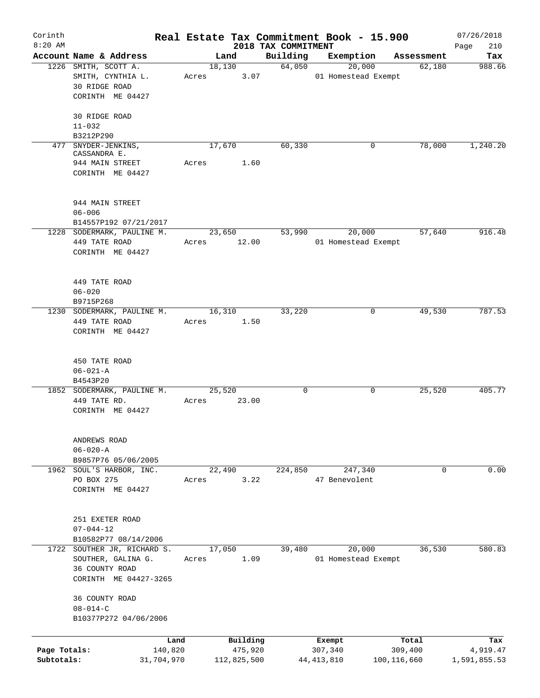| Corinth      |                                                 |                 |                     |                                 | Real Estate Tax Commitment Book - 15.900 |                  | 07/26/2018         |
|--------------|-------------------------------------------------|-----------------|---------------------|---------------------------------|------------------------------------------|------------------|--------------------|
| $8:20$ AM    | Account Name & Address                          |                 | Land                | 2018 TAX COMMITMENT<br>Building | Exemption                                | Assessment       | 210<br>Page<br>Tax |
|              | 1226 SMITH, SCOTT A.                            |                 | 18,130              | 64,050                          | 20,000                                   | 62,180           | 988.66             |
|              | SMITH, CYNTHIA L.                               | Acres           | 3.07                |                                 | 01 Homestead Exempt                      |                  |                    |
|              | <b>30 RIDGE ROAD</b>                            |                 |                     |                                 |                                          |                  |                    |
|              | CORINTH ME 04427                                |                 |                     |                                 |                                          |                  |                    |
|              | 30 RIDGE ROAD                                   |                 |                     |                                 |                                          |                  |                    |
|              | $11 - 032$                                      |                 |                     |                                 |                                          |                  |                    |
|              | B3212P290                                       |                 |                     |                                 |                                          |                  |                    |
|              | 477 SNYDER-JENKINS,                             |                 | 17,670              | 60,330                          | 0                                        | 78,000           | 1,240.20           |
|              | CASSANDRA E.                                    |                 |                     |                                 |                                          |                  |                    |
|              | 944 MAIN STREET                                 | Acres           | 1.60                |                                 |                                          |                  |                    |
|              | CORINTH ME 04427                                |                 |                     |                                 |                                          |                  |                    |
|              | 944 MAIN STREET                                 |                 |                     |                                 |                                          |                  |                    |
|              | $06 - 006$                                      |                 |                     |                                 |                                          |                  |                    |
|              | B14557P192 07/21/2017                           |                 |                     |                                 |                                          |                  |                    |
|              | 1228 SODERMARK, PAULINE M.                      |                 | 23,650              | 53,990                          | 20,000                                   | 57,640           | 916.48             |
|              | 449 TATE ROAD                                   |                 | Acres 12.00         |                                 | 01 Homestead Exempt                      |                  |                    |
|              | CORINTH ME 04427                                |                 |                     |                                 |                                          |                  |                    |
|              |                                                 |                 |                     |                                 |                                          |                  |                    |
|              | 449 TATE ROAD                                   |                 |                     |                                 |                                          |                  |                    |
|              | $06 - 020$                                      |                 |                     |                                 |                                          |                  |                    |
|              | B9715P268                                       |                 |                     |                                 |                                          |                  |                    |
|              | 1230 SODERMARK, PAULINE M.                      |                 | 16,310              | 33,220                          | 0                                        | 49,530           | 787.53             |
|              | 449 TATE ROAD                                   | Acres           | 1.50                |                                 |                                          |                  |                    |
|              | CORINTH ME 04427                                |                 |                     |                                 |                                          |                  |                    |
|              | 450 TATE ROAD                                   |                 |                     |                                 |                                          |                  |                    |
|              | $06 - 021 - A$                                  |                 |                     |                                 |                                          |                  |                    |
|              | B4543P20                                        |                 |                     |                                 |                                          |                  |                    |
|              | 1852 SODERMARK, PAULINE M.                      |                 | 25,520              | $\mathbf 0$                     | 0                                        | 25,520           | 405.77             |
|              | 449 TATE RD.                                    | Acres           | 23.00               |                                 |                                          |                  |                    |
|              | CORINTH ME 04427                                |                 |                     |                                 |                                          |                  |                    |
|              |                                                 |                 |                     |                                 |                                          |                  |                    |
|              | ANDREWS ROAD                                    |                 |                     |                                 |                                          |                  |                    |
|              | $06 - 020 - A$                                  |                 |                     |                                 |                                          |                  |                    |
|              | B9857P76 05/06/2005<br>1962 SOUL'S HARBOR, INC. |                 |                     |                                 |                                          | 0                | 0.00               |
|              | PO BOX 275                                      |                 | 22,490<br>3.22      | 224,850                         | 247,340<br>47 Benevolent                 |                  |                    |
|              | CORINTH ME 04427                                | Acres           |                     |                                 |                                          |                  |                    |
|              |                                                 |                 |                     |                                 |                                          |                  |                    |
|              | 251 EXETER ROAD                                 |                 |                     |                                 |                                          |                  |                    |
|              | $07 - 044 - 12$                                 |                 |                     |                                 |                                          |                  |                    |
|              | B10582P77 08/14/2006                            |                 |                     |                                 |                                          |                  |                    |
|              | 1722 SOUTHER JR, RICHARD S.                     |                 | 17,050              | 39,480                          | 20,000                                   | 36,530           | 580.83             |
|              | SOUTHER, GALINA G.                              | Acres           | 1.09                |                                 | 01 Homestead Exempt                      |                  |                    |
|              | 36 COUNTY ROAD                                  |                 |                     |                                 |                                          |                  |                    |
|              | CORINTH ME 04427-3265                           |                 |                     |                                 |                                          |                  |                    |
|              | 36 COUNTY ROAD                                  |                 |                     |                                 |                                          |                  |                    |
|              | $08 - 014 - C$                                  |                 |                     |                                 |                                          |                  |                    |
|              | B10377P272 04/06/2006                           |                 |                     |                                 |                                          |                  |                    |
|              |                                                 |                 |                     |                                 |                                          |                  |                    |
| Page Totals: |                                                 | Land<br>140,820 | Building<br>475,920 |                                 | Exempt<br>307,340                        | Total<br>309,400 | Tax<br>4,919.47    |
| Subtotals:   | 31,704,970                                      |                 | 112,825,500         |                                 | 44, 413, 810                             | 100, 116, 660    | 1,591,855.53       |
|              |                                                 |                 |                     |                                 |                                          |                  |                    |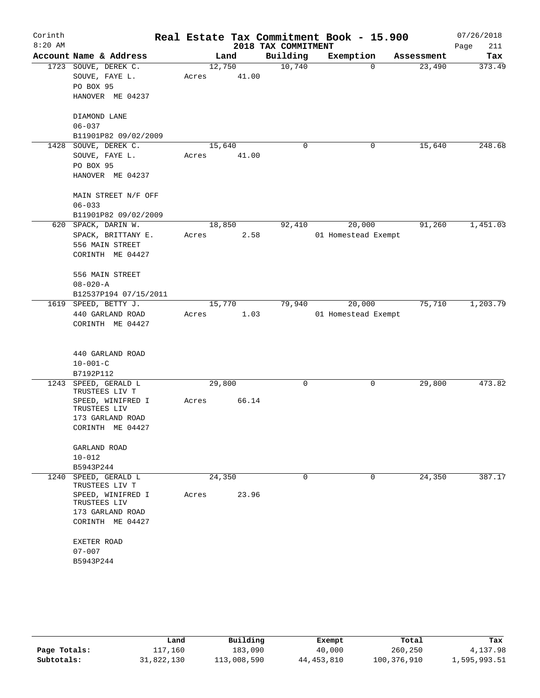| Corinth<br>$8:20$ AM |                                                                                                                                                               |                 |       | 2018 TAX COMMITMENT | Real Estate Tax Commitment Book - 15.900 |                    | 07/26/2018<br>Page<br>211 |
|----------------------|---------------------------------------------------------------------------------------------------------------------------------------------------------------|-----------------|-------|---------------------|------------------------------------------|--------------------|---------------------------|
|                      | Account Name & Address                                                                                                                                        |                 | Land  | Building            | Exemption                                | Assessment         | Tax                       |
|                      | 1723 SOUVE, DEREK C.<br>SOUVE, FAYE L.<br>PO BOX 95<br>HANOVER ME 04237                                                                                       | 12,750<br>Acres | 41.00 | 10,740              |                                          | 23,490<br>0        | 373.49                    |
|                      | DIAMOND LANE<br>$06 - 037$<br>B11901P82 09/02/2009                                                                                                            |                 |       |                     |                                          |                    |                           |
| 1428                 | SOUVE, DEREK C.<br>SOUVE, FAYE L.<br>PO BOX 95<br>HANOVER ME 04237                                                                                            | 15,640<br>Acres | 41.00 | 0                   |                                          | 15,640<br>0        | 248.68                    |
|                      | MAIN STREET N/F OFF<br>$06 - 033$<br>B11901P82 09/02/2009                                                                                                     |                 |       |                     |                                          |                    |                           |
|                      | 620 SPACK, DARIN W.<br>SPACK, BRITTANY E.<br>556 MAIN STREET<br>CORINTH ME 04427                                                                              | 18,850<br>Acres | 2.58  | 92,410              | 20,000<br>01 Homestead Exempt            | 91,260             | 1,451.03                  |
|                      | 556 MAIN STREET<br>$08 - 020 - A$<br>B12537P194 07/15/2011                                                                                                    |                 |       |                     |                                          |                    |                           |
|                      | 1619 SPEED, BETTY J.<br>440 GARLAND ROAD<br>CORINTH ME 04427                                                                                                  | 15,770<br>Acres | 1.03  | 79,940              | 20,000<br>01 Homestead Exempt            | 75,710             | 1,203.79                  |
|                      | 440 GARLAND ROAD<br>$10 - 001 - C$<br>B7192P112                                                                                                               |                 |       |                     |                                          |                    |                           |
| 1243                 | SPEED, GERALD L<br>TRUSTEES LIV T<br>SPEED, WINIFRED I<br>TRUSTEES LIV<br>173 GARLAND ROAD<br>CORINTH ME 04427                                                | 29,800<br>Acres | 66.14 | 0                   |                                          | 0<br>29,800        | 473.82                    |
|                      | GARLAND ROAD<br>$10 - 012$<br>B5943P244                                                                                                                       |                 |       |                     |                                          |                    |                           |
|                      | 1240 SPEED, GERALD L<br>TRUSTEES LIV T<br>SPEED, WINIFRED I<br>TRUSTEES LIV<br>173 GARLAND ROAD<br>CORINTH ME 04427<br>EXETER ROAD<br>$07 - 007$<br>B5943P244 | 24,350<br>Acres | 23.96 | $\Omega$            |                                          | $\Omega$<br>24,350 | 387.17                    |

|              | Land       | Building    | Exempt       | Total       | Tax          |
|--------------|------------|-------------|--------------|-------------|--------------|
| Page Totals: | 117,160    | 183,090     | 40,000       | 260,250     | 4,137.98     |
| Subtotals:   | 31,822,130 | 113,008,590 | 44, 453, 810 | 100,376,910 | 1,595,993.51 |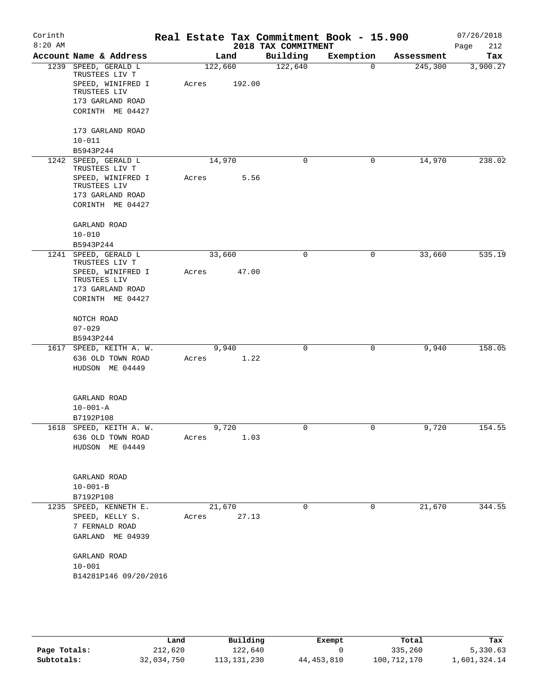| Corinth   |                                        |         |        |                     | Real Estate Tax Commitment Book - 15.900 |            | 07/26/2018  |
|-----------|----------------------------------------|---------|--------|---------------------|------------------------------------------|------------|-------------|
| $8:20$ AM |                                        |         |        | 2018 TAX COMMITMENT |                                          |            | 212<br>Page |
|           | Account Name & Address                 |         | Land   | Building            | Exemption                                | Assessment | Tax         |
|           | 1239 SPEED, GERALD L<br>TRUSTEES LIV T | 122,660 |        | 122,640             | $\Omega$                                 | 245,300    | 3,900.27    |
|           | SPEED, WINIFRED I<br>TRUSTEES LIV      | Acres   | 192.00 |                     |                                          |            |             |
|           | 173 GARLAND ROAD                       |         |        |                     |                                          |            |             |
|           | CORINTH ME 04427                       |         |        |                     |                                          |            |             |
|           | 173 GARLAND ROAD                       |         |        |                     |                                          |            |             |
|           | $10 - 011$<br>B5943P244                |         |        |                     |                                          |            |             |
|           | 1242 SPEED, GERALD L                   | 14,970  |        | $\mathbf 0$         | 0                                        | 14,970     | 238.02      |
|           | TRUSTEES LIV T                         |         |        |                     |                                          |            |             |
|           | SPEED, WINIFRED I<br>TRUSTEES LIV      | Acres   | 5.56   |                     |                                          |            |             |
|           | 173 GARLAND ROAD                       |         |        |                     |                                          |            |             |
|           | CORINTH ME 04427                       |         |        |                     |                                          |            |             |
|           | GARLAND ROAD                           |         |        |                     |                                          |            |             |
|           | $10 - 010$                             |         |        |                     |                                          |            |             |
|           | B5943P244                              |         |        |                     |                                          |            |             |
|           | 1241 SPEED, GERALD L<br>TRUSTEES LIV T | 33,660  |        | 0                   | 0                                        | 33,660     | 535.19      |
|           | SPEED, WINIFRED I<br>TRUSTEES LIV      | Acres   | 47.00  |                     |                                          |            |             |
|           | 173 GARLAND ROAD                       |         |        |                     |                                          |            |             |
|           | CORINTH ME 04427                       |         |        |                     |                                          |            |             |
|           | NOTCH ROAD                             |         |        |                     |                                          |            |             |
|           | $07 - 029$                             |         |        |                     |                                          |            |             |
|           | B5943P244                              |         |        |                     |                                          |            |             |
|           | 1617 SPEED, KEITH A. W.                | 9,940   | 1.22   | 0                   | 0                                        | 9,940      | 158.05      |
|           | 636 OLD TOWN ROAD<br>HUDSON ME 04449   | Acres   |        |                     |                                          |            |             |
|           |                                        |         |        |                     |                                          |            |             |
|           | GARLAND ROAD                           |         |        |                     |                                          |            |             |
|           | $10 - 001 - A$                         |         |        |                     |                                          |            |             |
|           | B7192P108                              |         |        |                     |                                          |            |             |
|           | 1618 SPEED, KEITH A. W.                | 9,720   |        | 0                   | 0                                        | 9,720      | 154.55      |
|           | 636 OLD TOWN ROAD                      | Acres   | 1.03   |                     |                                          |            |             |
|           | HUDSON ME 04449                        |         |        |                     |                                          |            |             |
|           | GARLAND ROAD                           |         |        |                     |                                          |            |             |
|           | $10 - 001 - B$                         |         |        |                     |                                          |            |             |
|           | B7192P108                              |         |        |                     |                                          |            |             |
|           | 1235 SPEED, KENNETH E.                 | 21,670  |        | $\mathbf 0$         | $\mathbf 0$                              | 21,670     | 344.55      |
|           | SPEED, KELLY S.                        | Acres   | 27.13  |                     |                                          |            |             |
|           | 7 FERNALD ROAD                         |         |        |                     |                                          |            |             |
|           | GARLAND ME 04939                       |         |        |                     |                                          |            |             |
|           | GARLAND ROAD                           |         |        |                     |                                          |            |             |
|           | $10 - 001$                             |         |        |                     |                                          |            |             |
|           | B14281P146 09/20/2016                  |         |        |                     |                                          |            |             |
|           |                                        |         |        |                     |                                          |            |             |

|              | Land       | Building      | Exempt       | Total       | Tax          |
|--------------|------------|---------------|--------------|-------------|--------------|
| Page Totals: | 212,620    | 122,640       |              | 335,260     | 5,330.63     |
| Subtotals:   | 32,034,750 | 113, 131, 230 | 44, 453, 810 | 100,712,170 | 1,601,324.14 |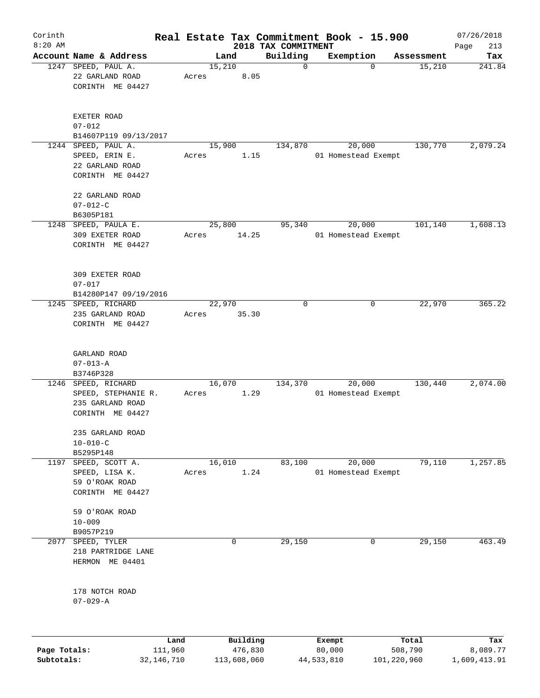| Corinth<br>$8:20$ AM |                                                                               |                 |                     |                                 | Real Estate Tax Commitment Book - 15.900 |                  | 07/26/2018         |
|----------------------|-------------------------------------------------------------------------------|-----------------|---------------------|---------------------------------|------------------------------------------|------------------|--------------------|
|                      | Account Name & Address                                                        |                 | Land                | 2018 TAX COMMITMENT<br>Building | Exemption                                | Assessment       | 213<br>Page<br>Tax |
|                      | 1247 SPEED, PAUL A.<br>22 GARLAND ROAD<br>CORINTH ME 04427                    | 15,210<br>Acres | 8.05                | $\mathbf 0$                     | 0                                        | 15,210           | 241.84             |
|                      | EXETER ROAD<br>$07 - 012$<br>B14607P119 09/13/2017                            |                 |                     |                                 |                                          |                  |                    |
|                      | 1244 SPEED, PAUL A.<br>SPEED, ERIN E.<br>22 GARLAND ROAD<br>CORINTH ME 04427  | 15,900<br>Acres | 1.15                | 134,870                         | 20,000<br>01 Homestead Exempt            | 130,770          | 2,079.24           |
|                      | 22 GARLAND ROAD<br>$07 - 012 - C$<br>B6305P181                                |                 |                     |                                 |                                          |                  |                    |
|                      | 1248 SPEED, PAULA E.<br>309 EXETER ROAD<br>CORINTH ME 04427                   | 25,800<br>Acres | 14.25               | 95,340                          | 20,000<br>01 Homestead Exempt            | 101,140          | 1,608.13           |
|                      | 309 EXETER ROAD<br>$07 - 017$<br>B14280P147 09/19/2016                        |                 |                     |                                 |                                          |                  |                    |
|                      | 1245 SPEED, RICHARD<br>235 GARLAND ROAD<br>CORINTH ME 04427                   | 22,970<br>Acres | 35.30               | 0                               | 0                                        | 22,970           | 365.22             |
|                      | GARLAND ROAD<br>$07 - 013 - A$<br>B3746P328                                   |                 |                     |                                 |                                          |                  |                    |
| 1246                 | SPEED, RICHARD<br>SPEED, STEPHANIE R.<br>235 GARLAND ROAD<br>CORINTH ME 04427 | 16,070<br>Acres | 1.29                | 134,370                         | 20,000<br>01 Homestead Exempt            | 130,440          | 2,074.00           |
|                      | 235 GARLAND ROAD<br>$10 - 010 - C$<br>B5295P148                               |                 |                     |                                 |                                          |                  |                    |
| 1197                 | SPEED, SCOTT A.<br>SPEED, LISA K.<br>59 O'ROAK ROAD<br>CORINTH ME 04427       | 16,010<br>Acres | 1.24                | 83,100                          | 20,000<br>01 Homestead Exempt            | 79,110           | 1,257.85           |
|                      | 59 O'ROAK ROAD<br>$10 - 009$<br>B9057P219                                     |                 |                     |                                 |                                          |                  |                    |
| 2077                 | SPEED, TYLER<br>218 PARTRIDGE LANE<br>HERMON ME 04401                         |                 | 0                   | 29,150                          | 0                                        | 29,150           | 463.49             |
|                      | 178 NOTCH ROAD<br>$07 - 029 - A$                                              |                 |                     |                                 |                                          |                  |                    |
| Page Totals:         | Land<br>111,960                                                               |                 | Building<br>476,830 |                                 | Exempt<br>80,000                         | Total<br>508,790 | Tax<br>8,089.77    |

**Subtotals:** 32,146,710 113,608,060 44,533,810 101,220,960 1,609,413.91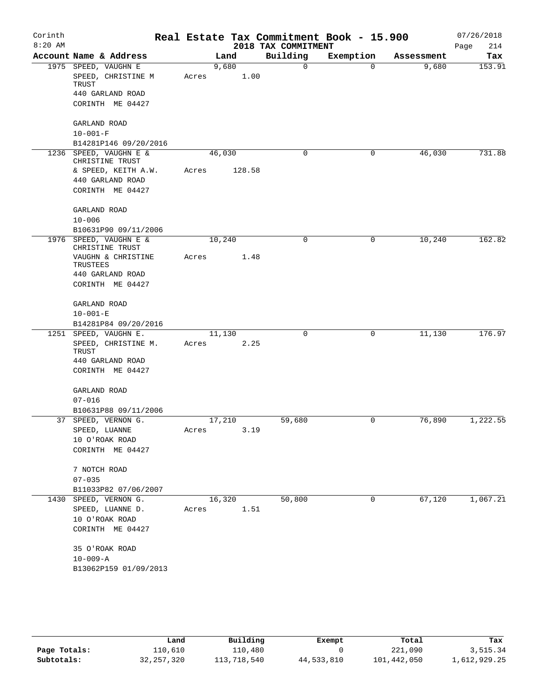| Corinth   |                                           |       |        |                     | Real Estate Tax Commitment Book - 15.900 |            | 07/26/2018  |
|-----------|-------------------------------------------|-------|--------|---------------------|------------------------------------------|------------|-------------|
| $8:20$ AM |                                           |       |        | 2018 TAX COMMITMENT |                                          |            | 214<br>Page |
|           | Account Name & Address                    |       | Land   | Building            | Exemption                                | Assessment | Tax         |
|           | 1975 SPEED, VAUGHN E                      |       | 9,680  | 0                   | $\Omega$                                 | 9,680      | 153.91      |
|           | SPEED, CHRISTINE M<br>TRUST               | Acres | 1.00   |                     |                                          |            |             |
|           | 440 GARLAND ROAD                          |       |        |                     |                                          |            |             |
|           | CORINTH ME 04427                          |       |        |                     |                                          |            |             |
|           | GARLAND ROAD                              |       |        |                     |                                          |            |             |
|           | $10 - 001 - F$                            |       |        |                     |                                          |            |             |
|           | B14281P146 09/20/2016                     |       |        |                     |                                          |            |             |
|           | 1236 SPEED, VAUGHN E &<br>CHRISTINE TRUST |       | 46,030 | 0                   | 0                                        | 46,030     | 731.88      |
|           | & SPEED, KEITH A.W.                       | Acres | 128.58 |                     |                                          |            |             |
|           | 440 GARLAND ROAD                          |       |        |                     |                                          |            |             |
|           | CORINTH ME 04427                          |       |        |                     |                                          |            |             |
|           | GARLAND ROAD                              |       |        |                     |                                          |            |             |
|           | $10 - 006$                                |       |        |                     |                                          |            |             |
|           | B10631P90 09/11/2006                      |       |        |                     |                                          |            |             |
|           | 1976 SPEED, VAUGHN E &<br>CHRISTINE TRUST |       | 10,240 | 0                   | 0                                        | 10,240     | 162.82      |
|           | VAUGHN & CHRISTINE<br>TRUSTEES            | Acres | 1.48   |                     |                                          |            |             |
|           | 440 GARLAND ROAD                          |       |        |                     |                                          |            |             |
|           | CORINTH ME 04427                          |       |        |                     |                                          |            |             |
|           | GARLAND ROAD                              |       |        |                     |                                          |            |             |
|           | $10 - 001 - E$                            |       |        |                     |                                          |            |             |
|           | B14281P84 09/20/2016                      |       |        |                     |                                          |            |             |
|           | 1251 SPEED, VAUGHN E.                     |       | 11,130 | 0                   | 0                                        | 11,130     | 176.97      |
|           | SPEED, CHRISTINE M.<br>TRUST              | Acres | 2.25   |                     |                                          |            |             |
|           | 440 GARLAND ROAD                          |       |        |                     |                                          |            |             |
|           | CORINTH ME 04427                          |       |        |                     |                                          |            |             |
|           | GARLAND ROAD                              |       |        |                     |                                          |            |             |
|           | $07 - 016$                                |       |        |                     |                                          |            |             |
|           | B10631P88 09/11/2006                      |       |        |                     |                                          |            |             |
|           | 37 SPEED, VERNON G.                       |       | 17,210 | 59,680              | 0                                        | 76,890     | 1,222.55    |
|           | ${\tt SPEED}$ , ${\tt LUANNE}$            | Acres | 3.19   |                     |                                          |            |             |
|           | 10 O'ROAK ROAD                            |       |        |                     |                                          |            |             |
|           | CORINTH ME 04427                          |       |        |                     |                                          |            |             |
|           | 7 NOTCH ROAD                              |       |        |                     |                                          |            |             |
|           | $07 - 035$                                |       |        |                     |                                          |            |             |
|           | B11033P82 07/06/2007                      |       |        |                     |                                          |            |             |
| 1430      | SPEED, VERNON G.                          |       | 16,320 | 50,800              | 0                                        | 67,120     | 1,067.21    |
|           | SPEED, LUANNE D.                          | Acres | 1.51   |                     |                                          |            |             |
|           | 10 O'ROAK ROAD                            |       |        |                     |                                          |            |             |
|           | CORINTH ME 04427                          |       |        |                     |                                          |            |             |
|           | 35 O'ROAK ROAD                            |       |        |                     |                                          |            |             |
|           | $10 - 009 - A$                            |       |        |                     |                                          |            |             |
|           | B13062P159 01/09/2013                     |       |        |                     |                                          |            |             |
|           |                                           |       |        |                     |                                          |            |             |

|              | Land         | Building    | Exempt     | Total       | Tax          |
|--------------|--------------|-------------|------------|-------------|--------------|
| Page Totals: | 110,610      | 110,480     |            | 221,090     | 3,515.34     |
| Subtotals:   | 32, 257, 320 | 113,718,540 | 44,533,810 | 101,442,050 | 1,612,929.25 |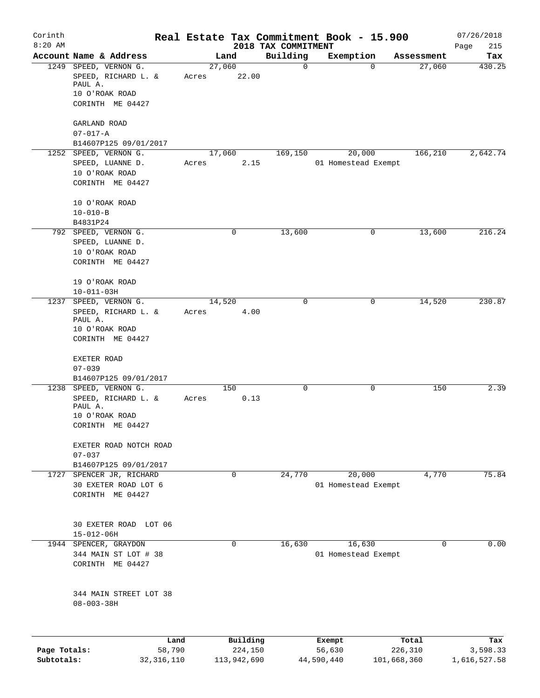| Corinth      |                                              |                |       |        |                     |                                 | Real Estate Tax Commitment Book - 15.900 |             |                  | 07/26/2018         |
|--------------|----------------------------------------------|----------------|-------|--------|---------------------|---------------------------------|------------------------------------------|-------------|------------------|--------------------|
| $8:20$ AM    | Account Name & Address                       |                |       | Land   |                     | 2018 TAX COMMITMENT<br>Building | Exemption                                |             | Assessment       | Page<br>215<br>Tax |
|              | 1249 SPEED, VERNON G.                        |                |       | 27,060 |                     | $\mathbf 0$                     |                                          | 0           | 27,060           | 430.25             |
|              | SPEED, RICHARD L. &<br>PAUL A.               |                | Acres |        | 22.00               |                                 |                                          |             |                  |                    |
|              | 10 O'ROAK ROAD<br>CORINTH ME 04427           |                |       |        |                     |                                 |                                          |             |                  |                    |
|              |                                              |                |       |        |                     |                                 |                                          |             |                  |                    |
|              | GARLAND ROAD<br>$07 - 017 - A$               |                |       |        |                     |                                 |                                          |             |                  |                    |
|              | B14607P125 09/01/2017                        |                |       |        |                     |                                 |                                          |             |                  |                    |
|              | 1252 SPEED, VERNON G.                        |                |       | 17,060 |                     | 169,150                         | 20,000                                   |             | 166,210          | 2,642.74           |
|              | SPEED, LUANNE D.                             |                | Acres |        | 2.15                |                                 | 01 Homestead Exempt                      |             |                  |                    |
|              | 10 O'ROAK ROAD                               |                |       |        |                     |                                 |                                          |             |                  |                    |
|              | CORINTH ME 04427                             |                |       |        |                     |                                 |                                          |             |                  |                    |
|              | 10 O'ROAK ROAD                               |                |       |        |                     |                                 |                                          |             |                  |                    |
|              | $10 - 010 - B$                               |                |       |        |                     |                                 |                                          |             |                  |                    |
|              | B4831P24<br>792 SPEED, VERNON G.             |                |       |        | 0                   | 13,600                          |                                          | 0           | 13,600           | 216.24             |
|              | SPEED, LUANNE D.                             |                |       |        |                     |                                 |                                          |             |                  |                    |
|              | 10 O'ROAK ROAD                               |                |       |        |                     |                                 |                                          |             |                  |                    |
|              | CORINTH ME 04427                             |                |       |        |                     |                                 |                                          |             |                  |                    |
|              | 19 O'ROAK ROAD                               |                |       |        |                     |                                 |                                          |             |                  |                    |
|              | $10 - 011 - 03H$                             |                |       |        |                     |                                 |                                          |             |                  |                    |
|              | 1237 SPEED, VERNON G.                        |                |       | 14,520 |                     | $\Omega$                        |                                          | 0           | 14,520           | 230.87             |
|              | SPEED, RICHARD L. &<br>PAUL A.               |                | Acres |        | 4.00                |                                 |                                          |             |                  |                    |
|              | 10 O'ROAK ROAD                               |                |       |        |                     |                                 |                                          |             |                  |                    |
|              | CORINTH ME 04427                             |                |       |        |                     |                                 |                                          |             |                  |                    |
|              | EXETER ROAD                                  |                |       |        |                     |                                 |                                          |             |                  |                    |
|              | $07 - 039$                                   |                |       |        |                     |                                 |                                          |             |                  |                    |
|              | B14607P125 09/01/2017                        |                |       |        |                     |                                 |                                          |             |                  |                    |
|              | 1238 SPEED, VERNON G.<br>SPEED, RICHARD L. & |                | Acres | 150    | 0.13                | 0                               |                                          | 0           | 150              | 2.39               |
|              | PAUL A.                                      |                |       |        |                     |                                 |                                          |             |                  |                    |
|              | 10 O'ROAK ROAD                               |                |       |        |                     |                                 |                                          |             |                  |                    |
|              | CORINTH ME 04427                             |                |       |        |                     |                                 |                                          |             |                  |                    |
|              | EXETER ROAD NOTCH ROAD                       |                |       |        |                     |                                 |                                          |             |                  |                    |
|              | $07 - 037$                                   |                |       |        |                     |                                 |                                          |             |                  |                    |
|              | B14607P125 09/01/2017                        |                |       |        |                     |                                 |                                          |             |                  | 75.84              |
| 1727         | SPENCER JR, RICHARD<br>30 EXETER ROAD LOT 6  |                |       |        | $\mathbf 0$         | 24,770                          | 20,000<br>01 Homestead Exempt            |             | 4,770            |                    |
|              | CORINTH ME 04427                             |                |       |        |                     |                                 |                                          |             |                  |                    |
|              |                                              |                |       |        |                     |                                 |                                          |             |                  |                    |
|              | 30 EXETER ROAD LOT 06                        |                |       |        |                     |                                 |                                          |             |                  |                    |
|              | $15 - 012 - 06H$                             |                |       |        |                     |                                 |                                          |             |                  |                    |
|              | 1944 SPENCER, GRAYDON                        |                |       |        | 0                   | 16,630                          | 16,630                                   |             | 0                | 0.00               |
|              | 344 MAIN ST LOT # 38                         |                |       |        |                     |                                 | 01 Homestead Exempt                      |             |                  |                    |
|              | CORINTH ME 04427                             |                |       |        |                     |                                 |                                          |             |                  |                    |
|              |                                              |                |       |        |                     |                                 |                                          |             |                  |                    |
|              | 344 MAIN STREET LOT 38<br>$08 - 003 - 38H$   |                |       |        |                     |                                 |                                          |             |                  |                    |
|              |                                              |                |       |        |                     |                                 |                                          |             |                  |                    |
|              |                                              |                |       |        |                     |                                 |                                          |             |                  |                    |
| Page Totals: |                                              | Land<br>58,790 |       |        | Building<br>224,150 |                                 | Exempt<br>56,630                         |             | Total<br>226,310 | Tax<br>3,598.33    |
| Subtotals:   |                                              | 32, 316, 110   |       |        | 113,942,690         |                                 | 44,590,440                               | 101,668,360 |                  | 1,616,527.58       |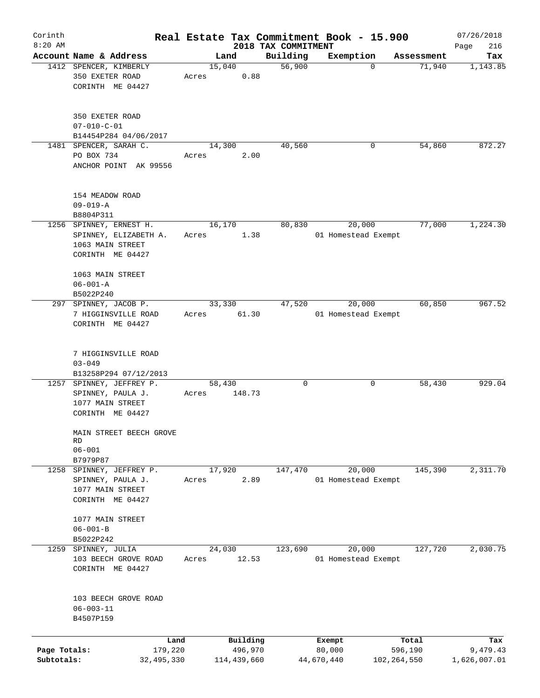| Corinth      |                                 |       |                |                     | Real Estate Tax Commitment Book - 15.900 |                      | 07/26/2018      |
|--------------|---------------------------------|-------|----------------|---------------------|------------------------------------------|----------------------|-----------------|
| $8:20$ AM    | Account Name & Address          |       |                | 2018 TAX COMMITMENT |                                          |                      | Page<br>216     |
|              | 1412 SPENCER, KIMBERLY          |       | Land<br>15,040 | Building<br>56,900  | Exemption<br>$\Omega$                    | Assessment<br>71,940 | Tax<br>1,143.85 |
|              | 350 EXETER ROAD                 | Acres | 0.88           |                     |                                          |                      |                 |
|              | CORINTH ME 04427                |       |                |                     |                                          |                      |                 |
|              |                                 |       |                |                     |                                          |                      |                 |
|              |                                 |       |                |                     |                                          |                      |                 |
|              | 350 EXETER ROAD                 |       |                |                     |                                          |                      |                 |
|              | $07 - 010 - C - 01$             |       |                |                     |                                          |                      |                 |
|              | B14454P284 04/06/2017           |       |                |                     |                                          |                      |                 |
|              | 1481 SPENCER, SARAH C.          |       | 14,300         | 40,560              | 0                                        | 54,860               | 872.27          |
|              | PO BOX 734                      | Acres | 2.00           |                     |                                          |                      |                 |
|              | ANCHOR POINT AK 99556           |       |                |                     |                                          |                      |                 |
|              |                                 |       |                |                     |                                          |                      |                 |
|              | 154 MEADOW ROAD                 |       |                |                     |                                          |                      |                 |
|              | $09 - 019 - A$                  |       |                |                     |                                          |                      |                 |
|              | B8804P311                       |       |                |                     |                                          |                      |                 |
|              | 1256 SPINNEY, ERNEST H.         |       | 16, 170        | 80,830              | 20,000                                   | 77,000               | 1,224.30        |
|              | SPINNEY, ELIZABETH A.           | Acres | 1.38           |                     | 01 Homestead Exempt                      |                      |                 |
|              | 1063 MAIN STREET                |       |                |                     |                                          |                      |                 |
|              | CORINTH ME 04427                |       |                |                     |                                          |                      |                 |
|              | 1063 MAIN STREET                |       |                |                     |                                          |                      |                 |
|              | $06 - 001 - A$                  |       |                |                     |                                          |                      |                 |
|              | B5022P240                       |       |                |                     |                                          |                      |                 |
|              | 297 SPINNEY, JACOB P.           |       | 33,330         | 47,520              | 20,000                                   | 60,850               | 967.52          |
|              | 7 HIGGINSVILLE ROAD             | Acres | 61.30          |                     | 01 Homestead Exempt                      |                      |                 |
|              | CORINTH ME 04427                |       |                |                     |                                          |                      |                 |
|              |                                 |       |                |                     |                                          |                      |                 |
|              |                                 |       |                |                     |                                          |                      |                 |
|              | 7 HIGGINSVILLE ROAD             |       |                |                     |                                          |                      |                 |
|              | $03 - 049$                      |       |                |                     |                                          |                      |                 |
|              | B13258P294 07/12/2013           |       |                |                     |                                          |                      |                 |
|              | 1257 SPINNEY, JEFFREY P.        |       | 58,430         | 0                   | 0                                        | 58,430               | 929.04          |
|              | SPINNEY, PAULA J.               | Acres | 148.73         |                     |                                          |                      |                 |
|              | 1077 MAIN STREET                |       |                |                     |                                          |                      |                 |
|              | CORINTH ME 04427                |       |                |                     |                                          |                      |                 |
|              | MAIN STREET BEECH GROVE         |       |                |                     |                                          |                      |                 |
|              | RD                              |       |                |                     |                                          |                      |                 |
|              | $06 - 001$                      |       |                |                     |                                          |                      |                 |
| 1258         | B7979P87<br>SPINNEY, JEFFREY P. |       | 17,920         | 147,470             | 20,000                                   | 145,390              | 2,311.70        |
|              | SPINNEY, PAULA J.               | Acres | 2.89           |                     | 01 Homestead Exempt                      |                      |                 |
|              | 1077 MAIN STREET                |       |                |                     |                                          |                      |                 |
|              | CORINTH ME 04427                |       |                |                     |                                          |                      |                 |
|              |                                 |       |                |                     |                                          |                      |                 |
|              | 1077 MAIN STREET                |       |                |                     |                                          |                      |                 |
|              | $06 - 001 - B$                  |       |                |                     |                                          |                      |                 |
|              | B5022P242                       |       |                |                     |                                          |                      |                 |
|              | 1259 SPINNEY, JULIA             |       | 24,030         | 123,690             | 20,000                                   | 127,720              | 2,030.75        |
|              | 103 BEECH GROVE ROAD            | Acres | 12.53          |                     | 01 Homestead Exempt                      |                      |                 |
|              | CORINTH ME 04427                |       |                |                     |                                          |                      |                 |
|              |                                 |       |                |                     |                                          |                      |                 |
|              | 103 BEECH GROVE ROAD            |       |                |                     |                                          |                      |                 |
|              | $06 - 003 - 11$                 |       |                |                     |                                          |                      |                 |
|              | B4507P159                       |       |                |                     |                                          |                      |                 |
|              |                                 |       |                |                     |                                          |                      |                 |
|              |                                 | Land  | Building       |                     | Exempt                                   | Total                | Tax             |
| Page Totals: | 179,220                         |       | 496,970        |                     | 80,000                                   | 596,190              | 9,479.43        |
| Subtotals:   | 32,495,330                      |       | 114,439,660    |                     | 44,670,440                               | 102, 264, 550        | 1,626,007.01    |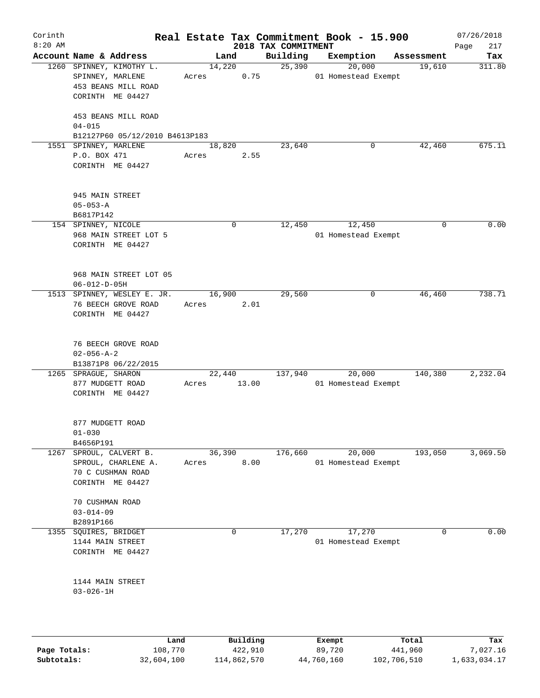| Corinth   |                                              |       |             |                                 | Real Estate Tax Commitment Book - 15.900 |                      | 07/26/2018    |
|-----------|----------------------------------------------|-------|-------------|---------------------------------|------------------------------------------|----------------------|---------------|
| $8:20$ AM | Account Name & Address                       |       | Land        | 2018 TAX COMMITMENT<br>Building | Exemption                                |                      | 217<br>Page   |
|           | 1260 SPINNEY, KIMOTHY L.                     |       | 14,220      | 25,390                          | 20,000                                   | Assessment<br>19,610 | Tax<br>311.80 |
|           | SPINNEY, MARLENE                             | Acres | 0.75        |                                 | 01 Homestead Exempt                      |                      |               |
|           | 453 BEANS MILL ROAD                          |       |             |                                 |                                          |                      |               |
|           | CORINTH ME 04427                             |       |             |                                 |                                          |                      |               |
|           | 453 BEANS MILL ROAD                          |       |             |                                 |                                          |                      |               |
|           | $04 - 015$<br>B12127P60 05/12/2010 B4613P183 |       |             |                                 |                                          |                      |               |
|           | 1551 SPINNEY, MARLENE                        |       | 18,820      | 23,640                          | 0                                        | 42,460               | 675.11        |
|           | P.O. BOX 471                                 | Acres | 2.55        |                                 |                                          |                      |               |
|           | CORINTH ME 04427                             |       |             |                                 |                                          |                      |               |
|           | 945 MAIN STREET                              |       |             |                                 |                                          |                      |               |
|           | $05 - 053 - A$                               |       |             |                                 |                                          |                      |               |
|           | B6817P142                                    |       |             |                                 |                                          |                      |               |
|           | 154 SPINNEY, NICOLE                          |       | 0           | 12,450                          | 12,450                                   | 0                    | 0.00          |
|           | 968 MAIN STREET LOT 5                        |       |             |                                 | 01 Homestead Exempt                      |                      |               |
|           | CORINTH ME 04427                             |       |             |                                 |                                          |                      |               |
|           | 968 MAIN STREET LOT 05                       |       |             |                                 |                                          |                      |               |
|           | $06 - 012 - D - 05H$                         |       |             |                                 |                                          |                      |               |
|           | 1513 SPINNEY, WESLEY E. JR.                  |       | 16,900      | 29,560                          | 0                                        | 46,460               | 738.71        |
|           | 76 BEECH GROVE ROAD                          | Acres | 2.01        |                                 |                                          |                      |               |
|           | CORINTH ME 04427                             |       |             |                                 |                                          |                      |               |
|           | 76 BEECH GROVE ROAD                          |       |             |                                 |                                          |                      |               |
|           | $02 - 056 - A - 2$                           |       |             |                                 |                                          |                      |               |
|           | B13871P8 06/22/2015                          |       |             |                                 |                                          |                      |               |
|           | 1265 SPRAGUE, SHARON                         |       | 22,440      | 137,940                         | 20,000                                   | 140,380              | 2,232.04      |
|           | 877 MUDGETT ROAD                             | Acres | 13.00       |                                 | 01 Homestead Exempt                      |                      |               |
|           | CORINTH ME 04427                             |       |             |                                 |                                          |                      |               |
|           | 877 MUDGETT ROAD                             |       |             |                                 |                                          |                      |               |
|           | $01 - 030$                                   |       |             |                                 |                                          |                      |               |
|           | B4656P191                                    |       |             |                                 |                                          |                      |               |
| 1267      | SPROUL, CALVERT B.                           |       | 36,390      | 176,660                         | 20,000                                   | 193,050              | 3,069.50      |
|           | SPROUL, CHARLENE A.                          | Acres | 8.00        |                                 | 01 Homestead Exempt                      |                      |               |
|           | 70 C CUSHMAN ROAD                            |       |             |                                 |                                          |                      |               |
|           | CORINTH ME 04427                             |       |             |                                 |                                          |                      |               |
|           | 70 CUSHMAN ROAD                              |       |             |                                 |                                          |                      |               |
|           | $03 - 014 - 09$                              |       |             |                                 |                                          |                      |               |
|           | B2891P166                                    |       |             |                                 |                                          |                      |               |
| 1355      | SQUIRES, BRIDGET                             |       | $\mathbf 0$ | 17,270                          | 17,270                                   | $\mathbf 0$          | 0.00          |
|           | 1144 MAIN STREET                             |       |             |                                 | 01 Homestead Exempt                      |                      |               |
|           | CORINTH ME 04427                             |       |             |                                 |                                          |                      |               |
|           |                                              |       |             |                                 |                                          |                      |               |
|           | 1144 MAIN STREET<br>$03 - 026 - 1H$          |       |             |                                 |                                          |                      |               |
|           |                                              |       |             |                                 |                                          |                      |               |
|           |                                              |       |             |                                 |                                          |                      |               |
|           |                                              | Land  | Building    |                                 | Exempt                                   | Total                | Tax           |

|              | Land.      | Building    | Exempt     | тосат       | rax.         |
|--------------|------------|-------------|------------|-------------|--------------|
| Page Totals: | 108,770    | 422,910     | 89,720     | 441,960     | 7,027.16     |
| Subtotals:   | 32,604,100 | 114,862,570 | 44,760,160 | 102,706,510 | 1,633,034.17 |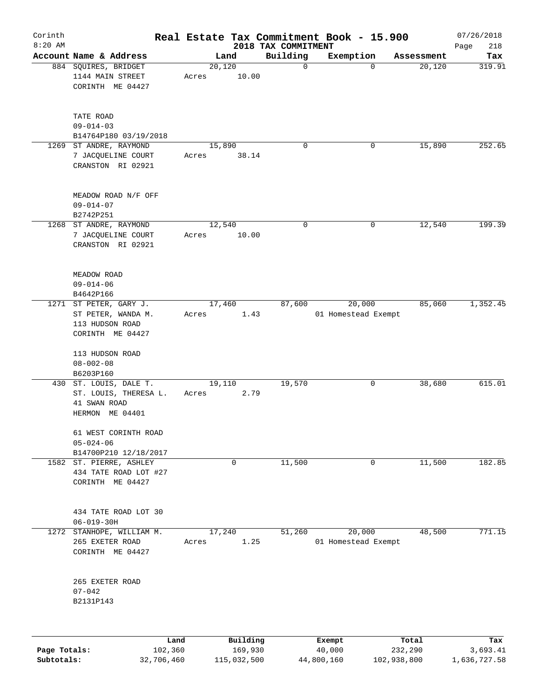| Corinth      |                                                                                    |                 |          |                     | Real Estate Tax Commitment Book - 15.900 |            | 07/26/2018  |
|--------------|------------------------------------------------------------------------------------|-----------------|----------|---------------------|------------------------------------------|------------|-------------|
| $8:20$ AM    |                                                                                    |                 |          | 2018 TAX COMMITMENT |                                          |            | 218<br>Page |
|              | Account Name & Address                                                             |                 | Land     | Building            | Exemption                                | Assessment | Tax         |
|              | 884 SQUIRES, BRIDGET<br>1144 MAIN STREET<br>CORINTH ME 04427                       | 20,120<br>Acres | 10.00    | $\mathbf 0$         | $\mathbf 0$                              | 20,120     | 319.91      |
|              | TATE ROAD<br>$09 - 014 - 03$<br>B14764P180 03/19/2018                              |                 |          |                     |                                          |            |             |
| 1269         | ST ANDRE, RAYMOND<br>7 JACQUELINE COURT<br>CRANSTON RI 02921                       | 15,890<br>Acres | 38.14    | 0                   | 0                                        | 15,890     | 252.65      |
|              | MEADOW ROAD N/F OFF<br>$09 - 014 - 07$<br>B2742P251<br>1268 ST ANDRE, RAYMOND      | 12,540          |          | $\mathbf 0$         | 0                                        | 12,540     | 199.39      |
|              | 7 JACQUELINE COURT<br>CRANSTON RI 02921                                            | Acres           | 10.00    |                     |                                          |            |             |
|              | MEADOW ROAD<br>$09 - 014 - 06$<br>B4642P166                                        |                 |          |                     |                                          |            |             |
| 1271         | ST PETER, GARY J.<br>ST PETER, WANDA M.<br>113 HUDSON ROAD<br>CORINTH ME 04427     | 17,460<br>Acres | 1.43     | 87,600              | 20,000<br>01 Homestead Exempt            | 85,060     | 1,352.45    |
|              | 113 HUDSON ROAD<br>$08 - 002 - 08$<br>B6203P160                                    |                 |          |                     |                                          |            |             |
|              | 430 ST. LOUIS, DALE T.<br>ST. LOUIS, THERESA L.<br>41 SWAN ROAD<br>HERMON ME 04401 | 19,110<br>Acres | 2.79     | 19,570              | 0                                        | 38,680     | 615.01      |
|              | 61 WEST CORINTH ROAD<br>$05 - 024 - 06$<br>B14700P210 12/18/2017                   |                 |          |                     |                                          |            |             |
| 1582         | ST. PIERRE, ASHLEY<br>434 TATE ROAD LOT #27<br>CORINTH ME 04427                    |                 | 0        | 11,500              | 0                                        | 11,500     | 182.85      |
|              | 434 TATE ROAD LOT 30<br>$06 - 019 - 30H$                                           |                 |          |                     |                                          |            |             |
| 1272         | STANHOPE, WILLIAM M.<br>265 EXETER ROAD<br>CORINTH ME 04427                        | 17,240<br>Acres | 1.25     | 51,260              | 20,000<br>01 Homestead Exempt            | 48,500     | 771.15      |
|              | 265 EXETER ROAD<br>$07 - 042$<br>B2131P143                                         |                 |          |                     |                                          |            |             |
|              | Land                                                                               |                 | Building |                     | Exempt                                   | Total      | Tax         |
| Page Totals: | 102,360                                                                            |                 | 169,930  |                     | 40,000                                   | 232,290    | 3,693.41    |

**Subtotals:** 32,706,460 115,032,500 44,800,160 102,938,800 1,636,727.58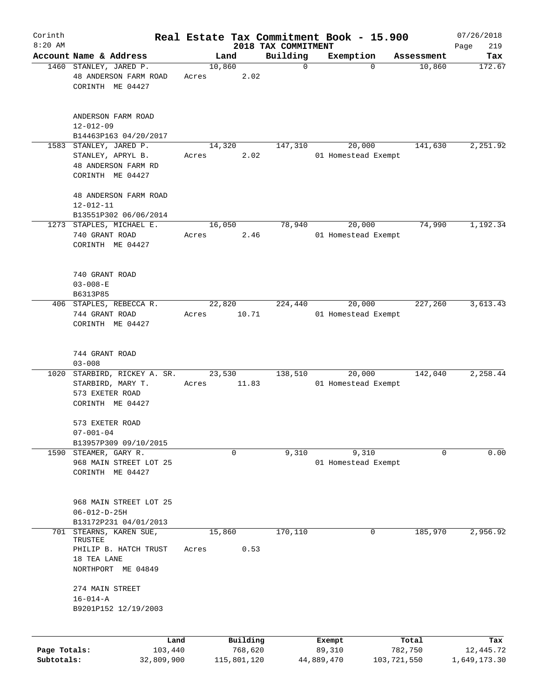| Corinth      |                                                                                        |                 |        |                     |                                 | Real Estate Tax Commitment Book - 15.900 |             |                  | 07/26/2018         |
|--------------|----------------------------------------------------------------------------------------|-----------------|--------|---------------------|---------------------------------|------------------------------------------|-------------|------------------|--------------------|
| $8:20$ AM    | Account Name & Address                                                                 |                 | Land   |                     | 2018 TAX COMMITMENT<br>Building | Exemption                                |             | Assessment       | 219<br>Page<br>Tax |
|              | 1460 STANLEY, JARED P.<br>48 ANDERSON FARM ROAD<br>CORINTH ME 04427                    | Acres           | 10,860 | 2.02                | $\mathbf 0$                     |                                          | $\mathbf 0$ | 10,860           | 172.67             |
|              | ANDERSON FARM ROAD<br>$12 - 012 - 09$<br>B14463P163 04/20/2017                         |                 |        |                     |                                 |                                          |             |                  |                    |
|              | 1583 STANLEY, JARED P.<br>STANLEY, APRYL B.<br>48 ANDERSON FARM RD<br>CORINTH ME 04427 | Acres           | 14,320 | 2.02                | 147,310                         | 20,000<br>01 Homestead Exempt            |             | 141,630          | 2,251.92           |
|              | 48 ANDERSON FARM ROAD<br>$12 - 012 - 11$<br>B13551P302 06/06/2014                      |                 |        |                     |                                 |                                          |             |                  |                    |
|              | 1273 STAPLES, MICHAEL E.<br>740 GRANT ROAD<br>CORINTH ME 04427                         | Acres           | 16,050 | 2.46                | 78,940                          | 20,000<br>01 Homestead Exempt            |             | 74,990           | 1,192.34           |
|              | 740 GRANT ROAD<br>$03 - 008 - E$<br>B6313P85                                           |                 |        |                     |                                 |                                          |             |                  |                    |
|              | 406 STAPLES, REBECCA R.<br>744 GRANT ROAD<br>CORINTH ME 04427                          | Acres           | 22,820 | 10.71               | 224,440                         | 20,000<br>01 Homestead Exempt            |             | 227,260          | 3,613.43           |
|              | 744 GRANT ROAD<br>$03 - 008$                                                           |                 |        |                     |                                 |                                          |             |                  |                    |
| 1020         | STARBIRD, RICKEY A. SR.<br>STARBIRD, MARY T.<br>573 EXETER ROAD<br>CORINTH ME 04427    | Acres           | 23,530 | 11.83               | 138,510                         | 20,000<br>01 Homestead Exempt            |             | 142,040          | 2,258.44           |
|              | 573 EXETER ROAD<br>$07 - 001 - 04$                                                     |                 |        |                     |                                 |                                          |             |                  |                    |
|              | B13957P309 09/10/2015<br>1590 STEAMER, GARY R.                                         |                 |        | $\mathbf 0$         | 9,310                           |                                          | 9,310       | 0                | 0.00               |
|              | 968 MAIN STREET LOT 25<br>CORINTH ME 04427                                             |                 |        |                     |                                 | 01 Homestead Exempt                      |             |                  |                    |
|              | 968 MAIN STREET LOT 25<br>$06 - 012 - D - 25H$<br>B13172P231 04/01/2013                |                 |        |                     |                                 |                                          |             |                  |                    |
| 701          | STEARNS, KAREN SUE,                                                                    |                 | 15,860 |                     | 170,110                         |                                          | 0           | 185,970          | 2,956.92           |
|              | TRUSTEE<br>PHILIP B. HATCH TRUST<br>18 TEA LANE                                        | Acres           |        | 0.53                |                                 |                                          |             |                  |                    |
|              | NORTHPORT ME 04849                                                                     |                 |        |                     |                                 |                                          |             |                  |                    |
|              | 274 MAIN STREET<br>$16 - 014 - A$<br>B9201P152 12/19/2003                              |                 |        |                     |                                 |                                          |             |                  |                    |
| Page Totals: |                                                                                        | Land<br>103,440 |        | Building<br>768,620 |                                 | Exempt<br>89,310                         |             | Total<br>782,750 | Tax<br>12,445.72   |
| Subtotals:   | 32,809,900                                                                             |                 |        | 115,801,120         |                                 | 44,889,470                               |             | 103,721,550      | 1,649,173.30       |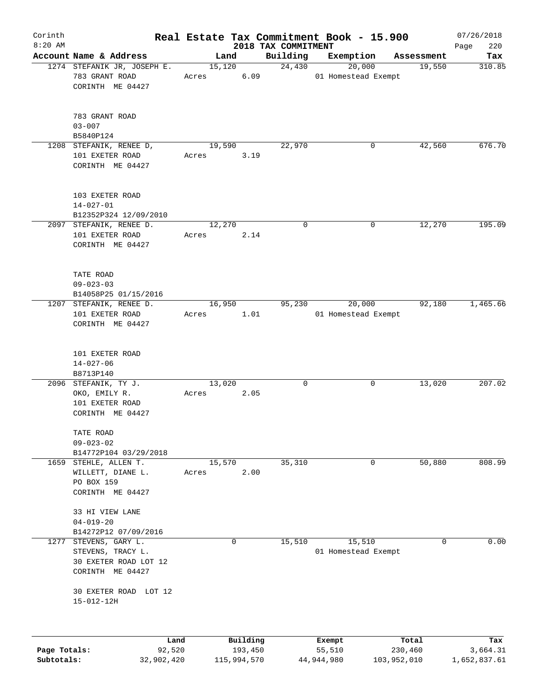| Corinth<br>$8:20$ AM |                                                                |       |                     |                                 | Real Estate Tax Commitment Book - 15.900 |                      | 07/26/2018         |
|----------------------|----------------------------------------------------------------|-------|---------------------|---------------------------------|------------------------------------------|----------------------|--------------------|
|                      | Account Name & Address                                         |       | Land                | 2018 TAX COMMITMENT<br>Building | Exemption                                |                      | 220<br>Page<br>Tax |
|                      | 1274 STEFANIK JR, JOSEPH E.                                    |       | 15,120              | 24,430                          | 20,000                                   | Assessment<br>19,550 | 310.85             |
|                      | 783 GRANT ROAD<br>CORINTH ME 04427                             | Acres | 6.09                |                                 | 01 Homestead Exempt                      |                      |                    |
|                      | 783 GRANT ROAD<br>$03 - 007$<br>B5840P124                      |       |                     |                                 |                                          |                      |                    |
|                      | 1208 STEFANIK, RENEE D,                                        |       | 19,590              | 22,970                          | 0                                        | 42,560               | 676.70             |
|                      | 101 EXETER ROAD<br>CORINTH ME 04427                            | Acres | 3.19                |                                 |                                          |                      |                    |
|                      | 103 EXETER ROAD<br>$14 - 027 - 01$<br>B12352P324 12/09/2010    |       |                     |                                 |                                          |                      |                    |
|                      | 2097 STEFANIK, RENEE D.                                        |       | 12,270              | $\mathbf 0$                     | 0                                        | 12,270               | 195.09             |
|                      | 101 EXETER ROAD<br>CORINTH ME 04427                            | Acres | 2.14                |                                 |                                          |                      |                    |
|                      | TATE ROAD<br>$09 - 023 - 03$                                   |       |                     |                                 |                                          |                      |                    |
|                      | B14058P25 01/15/2016                                           |       | 16,950              | 95,230                          | 20,000                                   | 92,180               | 1,465.66           |
|                      | 1207 STEFANIK, RENEE D.<br>101 EXETER ROAD<br>CORINTH ME 04427 | Acres | 1.01                |                                 | 01 Homestead Exempt                      |                      |                    |
|                      | 101 EXETER ROAD<br>$14 - 027 - 06$<br>B8713P140                |       |                     |                                 |                                          |                      |                    |
|                      | 2096 STEFANIK, TY J.                                           |       | 13,020              | 0                               | 0                                        | 13,020               | 207.02             |
|                      | OKO, EMILY R.<br>101 EXETER ROAD<br>CORINTH ME 04427           | Acres | 2.05                |                                 |                                          |                      |                    |
|                      | TATE ROAD<br>$09 - 023 - 02$                                   |       |                     |                                 |                                          |                      |                    |
|                      | B14772P104 03/29/2018<br>1659 STEHLE, ALLEN T.                 |       | 15,570              | 35,310                          | 0                                        | 50,880               | 808.99             |
|                      | WILLETT, DIANE L.<br>PO BOX 159<br>CORINTH ME 04427            | Acres | 2.00                |                                 |                                          |                      |                    |
|                      | 33 HI VIEW LANE<br>$04 - 019 - 20$                             |       |                     |                                 |                                          |                      |                    |
|                      | B14272P12 07/09/2016                                           |       |                     |                                 |                                          |                      |                    |
| 1277                 | STEVENS, GARY L.<br>STEVENS, TRACY L.<br>30 EXETER ROAD LOT 12 |       | 0                   | 15,510                          | 15,510<br>01 Homestead Exempt            | 0                    | 0.00               |
|                      | CORINTH ME 04427                                               |       |                     |                                 |                                          |                      |                    |
|                      | 30 EXETER ROAD LOT 12<br>$15 - 012 - 12H$                      |       |                     |                                 |                                          |                      |                    |
|                      |                                                                |       |                     |                                 |                                          |                      |                    |
| Page Totals:         | Land<br>92,520                                                 |       | Building<br>193,450 |                                 | Exempt<br>55,510                         | Total<br>230,460     | Tax<br>3,664.31    |

**Subtotals:** 32,902,420 115,994,570 44,944,980 103,952,010 1,652,837.61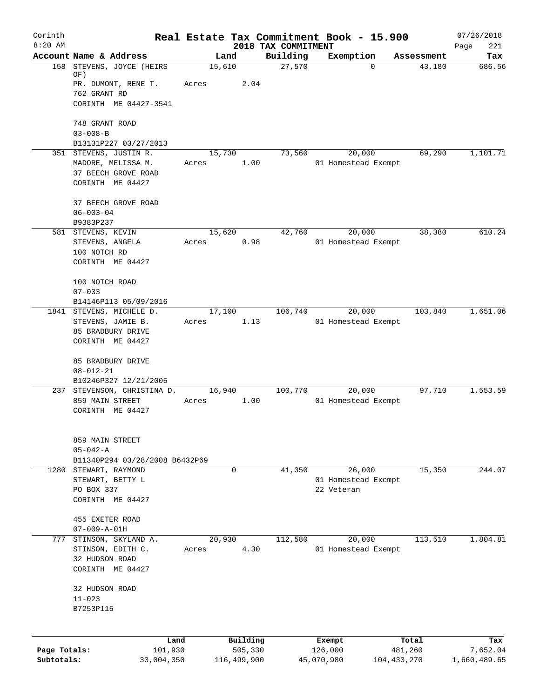| Corinth      |                                                   |                 |                     | Real Estate Tax Commitment Book - 15.900 |                   |                               |                  | 07/26/2018         |
|--------------|---------------------------------------------------|-----------------|---------------------|------------------------------------------|-------------------|-------------------------------|------------------|--------------------|
| $8:20$ AM    | Account Name & Address                            | Land            |                     | 2018 TAX COMMITMENT<br>Building          |                   | Exemption                     | Assessment       | Page<br>221<br>Tax |
| 158          | STEVENS, JOYCE (HEIRS                             | 15,610          |                     | 27,570                                   |                   | $\Omega$                      | 43,180           | 686.56             |
|              | OF)                                               |                 |                     |                                          |                   |                               |                  |                    |
|              | PR. DUMONT, RENE T.<br>762 GRANT RD               | Acres           | 2.04                |                                          |                   |                               |                  |                    |
|              | CORINTH ME 04427-3541                             |                 |                     |                                          |                   |                               |                  |                    |
|              |                                                   |                 |                     |                                          |                   |                               |                  |                    |
|              | 748 GRANT ROAD                                    |                 |                     |                                          |                   |                               |                  |                    |
|              | $03 - 008 - B$                                    |                 |                     |                                          |                   |                               |                  |                    |
|              | B13131P227 03/27/2013                             |                 |                     |                                          |                   |                               |                  |                    |
|              | 351 STEVENS, JUSTIN R.                            | 15,730          |                     | 73,560                                   |                   | 20,000                        | 69,290           | 1,101.71           |
|              | MADORE, MELISSA M.<br>37 BEECH GROVE ROAD         | Acres           | 1.00                |                                          |                   | 01 Homestead Exempt           |                  |                    |
|              | CORINTH ME 04427                                  |                 |                     |                                          |                   |                               |                  |                    |
|              |                                                   |                 |                     |                                          |                   |                               |                  |                    |
|              | 37 BEECH GROVE ROAD                               |                 |                     |                                          |                   |                               |                  |                    |
|              | $06 - 003 - 04$                                   |                 |                     |                                          |                   |                               |                  |                    |
|              | B9383P237                                         |                 |                     |                                          |                   |                               |                  |                    |
|              | 581 STEVENS, KEVIN<br>STEVENS, ANGELA             | 15,620<br>Acres | 0.98                | 42,760                                   |                   | 20,000<br>01 Homestead Exempt | 38,380           | 610.24             |
|              | 100 NOTCH RD                                      |                 |                     |                                          |                   |                               |                  |                    |
|              | CORINTH ME 04427                                  |                 |                     |                                          |                   |                               |                  |                    |
|              |                                                   |                 |                     |                                          |                   |                               |                  |                    |
|              | 100 NOTCH ROAD                                    |                 |                     |                                          |                   |                               |                  |                    |
|              | $07 - 033$                                        |                 |                     |                                          |                   |                               |                  |                    |
|              | B14146P113 05/09/2016<br>1841 STEVENS, MICHELE D. | 17,100          |                     | 106,740                                  |                   | 20,000                        | 103,840          | 1,651.06           |
|              | STEVENS, JAMIE B.                                 | Acres           | 1.13                |                                          |                   | 01 Homestead Exempt           |                  |                    |
|              | 85 BRADBURY DRIVE                                 |                 |                     |                                          |                   |                               |                  |                    |
|              | CORINTH ME 04427                                  |                 |                     |                                          |                   |                               |                  |                    |
|              |                                                   |                 |                     |                                          |                   |                               |                  |                    |
|              | 85 BRADBURY DRIVE                                 |                 |                     |                                          |                   |                               |                  |                    |
|              | $08 - 012 - 21$<br>B10246P327 12/21/2005          |                 |                     |                                          |                   |                               |                  |                    |
|              | 237 STEVENSON, CHRISTINA D.                       | 16,940          |                     | 100,770                                  |                   | 20,000                        | 97,710           | 1,553.59           |
|              | 859 MAIN STREET                                   | Acres           | 1.00                |                                          |                   | 01 Homestead Exempt           |                  |                    |
|              | CORINTH ME 04427                                  |                 |                     |                                          |                   |                               |                  |                    |
|              |                                                   |                 |                     |                                          |                   |                               |                  |                    |
|              |                                                   |                 |                     |                                          |                   |                               |                  |                    |
|              | 859 MAIN STREET<br>$05 - 042 - A$                 |                 |                     |                                          |                   |                               |                  |                    |
|              | B11340P294 03/28/2008 B6432P69                    |                 |                     |                                          |                   |                               |                  |                    |
|              | 1280 STEWART, RAYMOND                             |                 | $\Omega$            | 41,350                                   |                   | 26,000                        | 15,350           | 244.07             |
|              | STEWART, BETTY L                                  |                 |                     |                                          |                   | 01 Homestead Exempt           |                  |                    |
|              | PO BOX 337                                        |                 |                     |                                          | 22 Veteran        |                               |                  |                    |
|              | CORINTH ME 04427                                  |                 |                     |                                          |                   |                               |                  |                    |
|              | 455 EXETER ROAD                                   |                 |                     |                                          |                   |                               |                  |                    |
|              | $07 - 009 - A - 01H$                              |                 |                     |                                          |                   |                               |                  |                    |
|              | 777 STINSON, SKYLAND A.                           | 20,930          |                     | 112,580                                  |                   | 20,000                        | 113,510          | 1,804.81           |
|              | STINSON, EDITH C.                                 | Acres           | 4.30                |                                          |                   | 01 Homestead Exempt           |                  |                    |
|              | 32 HUDSON ROAD                                    |                 |                     |                                          |                   |                               |                  |                    |
|              | CORINTH ME 04427                                  |                 |                     |                                          |                   |                               |                  |                    |
|              | 32 HUDSON ROAD                                    |                 |                     |                                          |                   |                               |                  |                    |
|              | $11 - 023$                                        |                 |                     |                                          |                   |                               |                  |                    |
|              | B7253P115                                         |                 |                     |                                          |                   |                               |                  |                    |
|              |                                                   |                 |                     |                                          |                   |                               |                  |                    |
|              |                                                   |                 |                     |                                          |                   |                               |                  |                    |
| Page Totals: | Land<br>101,930                                   |                 | Building<br>505,330 |                                          | Exempt<br>126,000 |                               | Total<br>481,260 | Tax<br>7,652.04    |
| Subtotals:   | 33,004,350                                        |                 | 116,499,900         |                                          | 45,070,980        |                               | 104, 433, 270    | 1,660,489.65       |
|              |                                                   |                 |                     |                                          |                   |                               |                  |                    |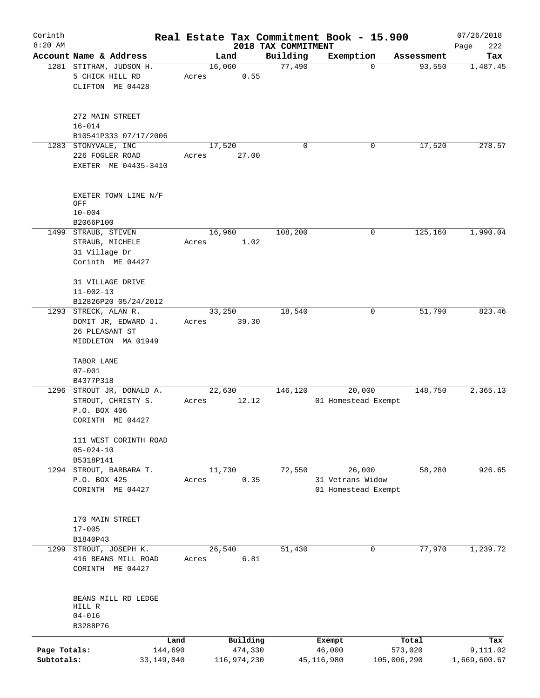| Corinth                    |                                                                |                         |       |                        |                     | Real Estate Tax Commitment Book - 15.900 |             |                      | 07/26/2018               |
|----------------------------|----------------------------------------------------------------|-------------------------|-------|------------------------|---------------------|------------------------------------------|-------------|----------------------|--------------------------|
| $8:20$ AM                  | Account Name & Address                                         |                         |       |                        | 2018 TAX COMMITMENT |                                          |             |                      | Page<br>222              |
|                            | 1281 STITHAM, JUDSON H.<br>5 CHICK HILL RD                     |                         | Acres | Land<br>16,060<br>0.55 | Building<br>77,490  | Exemption                                | 0           | Assessment<br>93,550 | Tax<br>1,487.45          |
|                            | CLIFTON ME 04428                                               |                         |       |                        |                     |                                          |             |                      |                          |
|                            | 272 MAIN STREET<br>$16 - 014$                                  |                         |       |                        |                     |                                          |             |                      |                          |
|                            | B10541P333 07/17/2006                                          |                         |       |                        |                     |                                          |             |                      |                          |
|                            | 1283 STONYVALE, INC<br>226 FOGLER ROAD<br>EXETER ME 04435-3410 |                         | Acres | 17,520<br>27.00        | 0                   |                                          | 0           | 17,520               | 278.57                   |
|                            | EXETER TOWN LINE N/F<br>OFF                                    |                         |       |                        |                     |                                          |             |                      |                          |
|                            | $10 - 004$                                                     |                         |       |                        |                     |                                          |             |                      |                          |
|                            | B2066P100                                                      |                         |       |                        |                     |                                          |             |                      |                          |
|                            | 1499 STRAUB, STEVEN                                            |                         |       | 16,960                 | 108,200             |                                          | 0           | 125,160              | 1,990.04                 |
|                            | STRAUB, MICHELE<br>31 Village Dr                               |                         | Acres | 1.02                   |                     |                                          |             |                      |                          |
|                            | Corinth ME 04427                                               |                         |       |                        |                     |                                          |             |                      |                          |
|                            | 31 VILLAGE DRIVE<br>$11 - 002 - 13$                            |                         |       |                        |                     |                                          |             |                      |                          |
|                            | B12826P20 05/24/2012                                           |                         |       |                        |                     |                                          |             |                      |                          |
|                            | 1293 STRECK, ALAN R.                                           |                         |       | 33,250                 | 18,540              |                                          | 0           | 51,790               | 823.46                   |
|                            | DOMIT JR, EDWARD J.                                            |                         | Acres | 39.30                  |                     |                                          |             |                      |                          |
|                            | 26 PLEASANT ST                                                 |                         |       |                        |                     |                                          |             |                      |                          |
|                            | MIDDLETON MA 01949                                             |                         |       |                        |                     |                                          |             |                      |                          |
|                            | TABOR LANE                                                     |                         |       |                        |                     |                                          |             |                      |                          |
|                            | $07 - 001$                                                     |                         |       |                        |                     |                                          |             |                      |                          |
|                            | B4377P318<br>1296 STROUT JR, DONALD A.                         |                         |       | 22,630                 | 146,120             | 20,000                                   |             | 148,750              | 2,365.13                 |
|                            | STROUT, CHRISTY S.                                             |                         | Acres | 12.12                  |                     | 01 Homestead Exempt                      |             |                      |                          |
|                            | P.O. BOX 406                                                   |                         |       |                        |                     |                                          |             |                      |                          |
|                            | CORINTH ME 04427                                               |                         |       |                        |                     |                                          |             |                      |                          |
|                            | 111 WEST CORINTH ROAD                                          |                         |       |                        |                     |                                          |             |                      |                          |
|                            | $05 - 024 - 10$<br>B5318P141                                   |                         |       |                        |                     |                                          |             |                      |                          |
|                            | 1294 STROUT, BARBARA T.                                        |                         |       | 11,730                 | 72,550              | 26,000                                   |             | 58,280               | 926.65                   |
|                            | P.O. BOX 425                                                   |                         | Acres | 0.35                   |                     | 31 Vetrans Widow                         |             |                      |                          |
|                            | CORINTH ME 04427                                               |                         |       |                        |                     | 01 Homestead Exempt                      |             |                      |                          |
|                            | 170 MAIN STREET                                                |                         |       |                        |                     |                                          |             |                      |                          |
|                            | $17 - 005$                                                     |                         |       |                        |                     |                                          |             |                      |                          |
|                            | B1840P43                                                       |                         |       |                        |                     |                                          |             |                      |                          |
|                            | 1299 STROUT, JOSEPH K.                                         |                         |       | 26,540                 | 51,430              |                                          | 0           | 77,970               | 1,239.72                 |
|                            | 416 BEANS MILL ROAD<br>CORINTH ME 04427                        |                         | Acres | 6.81                   |                     |                                          |             |                      |                          |
|                            | BEANS MILL RD LEDGE                                            |                         |       |                        |                     |                                          |             |                      |                          |
|                            | HILL R                                                         |                         |       |                        |                     |                                          |             |                      |                          |
|                            | $04 - 016$                                                     |                         |       |                        |                     |                                          |             |                      |                          |
|                            | B3288P76                                                       |                         |       |                        |                     |                                          |             |                      |                          |
|                            |                                                                | Land                    |       | Building               |                     | Exempt                                   |             | Total                | Tax                      |
| Page Totals:<br>Subtotals: |                                                                | 144,690<br>33, 149, 040 |       | 474,330<br>116,974,230 |                     | 46,000<br>45,116,980                     | 105,006,290 | 573,020              | 9,111.02<br>1,669,600.67 |
|                            |                                                                |                         |       |                        |                     |                                          |             |                      |                          |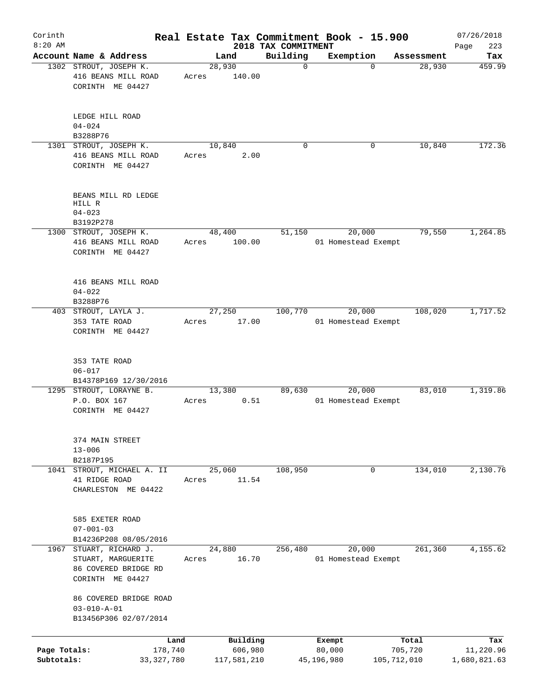| Corinth<br>$8:20$ AM       |                                                                                      |                 |                                 | Real Estate Tax Commitment Book - 15.900 |                        | 07/26/2018                |
|----------------------------|--------------------------------------------------------------------------------------|-----------------|---------------------------------|------------------------------------------|------------------------|---------------------------|
|                            | Account Name & Address                                                               | Land            | 2018 TAX COMMITMENT<br>Building | Exemption                                | Assessment             | 223<br>Page<br>Tax        |
|                            | 1302 STROUT, JOSEPH K.<br>416 BEANS MILL ROAD<br>CORINTH ME 04427                    | 28,930<br>Acres | $\mathbf 0$<br>140.00           | $\Omega$                                 | 28,930                 | 459.99                    |
|                            | LEDGE HILL ROAD<br>$04 - 024$<br>B3288P76                                            |                 |                                 |                                          |                        |                           |
|                            | 1301 STROUT, JOSEPH K.<br>416 BEANS MILL ROAD<br>CORINTH ME 04427                    | 10,840<br>Acres | $\mathbf 0$<br>2.00             | 0                                        | 10,840                 | 172.36                    |
|                            | BEANS MILL RD LEDGE<br>HILL R<br>$04 - 023$<br>B3192P278                             |                 |                                 |                                          |                        |                           |
|                            | 1300 STROUT, JOSEPH K.                                                               | 48,400          | 51,150                          | 20,000                                   | 79,550                 | 1,264.85                  |
|                            | 416 BEANS MILL ROAD<br>CORINTH ME 04427                                              | Acres           | 100.00                          | 01 Homestead Exempt                      |                        |                           |
|                            | 416 BEANS MILL ROAD<br>$04 - 022$<br>B3288P76                                        |                 |                                 |                                          |                        |                           |
|                            | 403 STROUT, LAYLA J.<br>353 TATE ROAD<br>CORINTH ME 04427                            | 27,250<br>Acres | 100,770<br>17.00                | 20,000<br>01 Homestead Exempt            | 108,020                | 1,717.52                  |
|                            | 353 TATE ROAD<br>$06 - 017$<br>B14378P169 12/30/2016                                 |                 |                                 |                                          |                        |                           |
|                            | 1295 STROUT, LORAYNE B.<br>P.O. BOX 167<br>CORINTH ME 04427                          | 13,380<br>Acres | 89,630<br>0.51                  | 20,000<br>01 Homestead Exempt            | 83,010                 | 1,319.86                  |
|                            | 374 MAIN STREET<br>$13 - 006$<br>B2187P195                                           |                 |                                 |                                          |                        |                           |
| 1041                       | STROUT, MICHAEL A. II<br>41 RIDGE ROAD<br>CHARLESTON ME 04422                        | 25,060<br>Acres | 108,950<br>11.54                | 0                                        | 134,010                | 2,130.76                  |
|                            | 585 EXETER ROAD<br>$07 - 001 - 03$<br>B14236P208 08/05/2016                          |                 |                                 |                                          |                        |                           |
| 1967                       | STUART, RICHARD J.<br>STUART, MARGUERITE<br>86 COVERED BRIDGE RD<br>CORINTH ME 04427 | 24,880<br>Acres | 256,480<br>16.70                | 20,000<br>01 Homestead Exempt            | 261,360                | 4,155.62                  |
|                            | 86 COVERED BRIDGE ROAD<br>$03 - 010 - A - 01$<br>B13456P306 02/07/2014               |                 |                                 |                                          |                        |                           |
|                            | Land                                                                                 |                 | Building                        | Exempt                                   | Total                  | Tax                       |
| Page Totals:<br>Subtotals: | 178,740<br>33, 327, 780                                                              | 117,581,210     | 606,980                         | 80,000<br>45,196,980                     | 705,720<br>105,712,010 | 11,220.96<br>1,680,821.63 |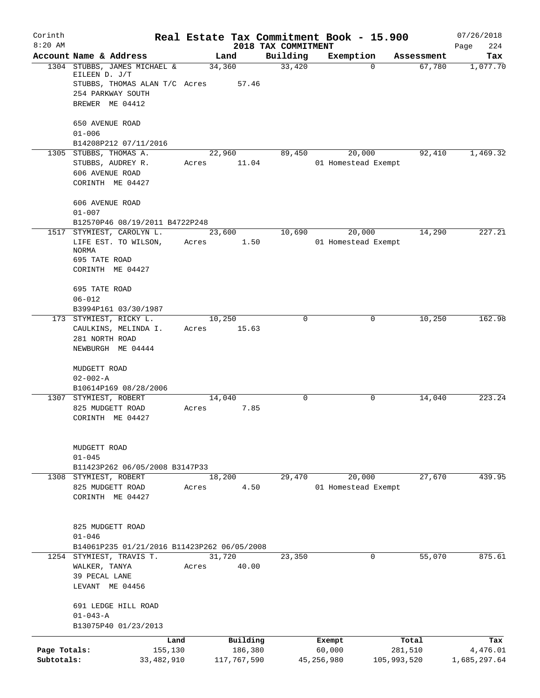| Corinth                    |                                                                                                                              | Real Estate Tax Commitment Book - 15.900 |                        |                                 |                               |             |            | 07/26/2018               |
|----------------------------|------------------------------------------------------------------------------------------------------------------------------|------------------------------------------|------------------------|---------------------------------|-------------------------------|-------------|------------|--------------------------|
| $8:20$ AM                  | Account Name & Address                                                                                                       | Land                                     |                        | 2018 TAX COMMITMENT<br>Building | Exemption                     |             | Assessment | 224<br>Page<br>Tax       |
|                            | 1304 STUBBS, JAMES MICHAEL &<br>EILEEN D. J/T<br>STUBBS, THOMAS ALAN T/C Acres 57.46<br>254 PARKWAY SOUTH<br>BREWER ME 04412 | 34,360                                   |                        | 33,420                          |                               | $\Omega$    | 67,780     | 1,077.70                 |
|                            | 650 AVENUE ROAD<br>$01 - 006$                                                                                                |                                          |                        |                                 |                               |             |            |                          |
|                            | B14208P212 07/11/2016<br>1305 STUBBS, THOMAS A.<br>STUBBS, AUDREY R.<br>606 AVENUE ROAD<br>CORINTH ME 04427                  | 22,960<br>Acres                          | 11.04                  | 89,450                          | 20,000<br>01 Homestead Exempt |             | 92,410     | 1,469.32                 |
|                            | 606 AVENUE ROAD<br>$01 - 007$<br>B12570P46 08/19/2011 B4722P248                                                              |                                          |                        |                                 |                               |             |            |                          |
|                            | 1517 STYMIEST, CAROLYN L.<br>LIFE EST. TO WILSON,<br><b>NORMA</b><br>695 TATE ROAD<br>CORINTH ME 04427                       | 23,600<br>Acres                          | 1.50                   | 10,690                          | 20,000<br>01 Homestead Exempt |             | 14,290     | 227.21                   |
|                            | 695 TATE ROAD<br>$06 - 012$<br>B3994P161 03/30/1987                                                                          |                                          |                        |                                 |                               |             |            |                          |
|                            | 173 STYMIEST, RICKY L.<br>CAULKINS, MELINDA I.<br>281 NORTH ROAD<br>NEWBURGH ME 04444                                        | 10,250<br>Acres                          | 15.63                  | $\mathbf 0$                     |                               | 0           | 10,250     | 162.98                   |
|                            | MUDGETT ROAD<br>$02 - 002 - A$<br>B10614P169 08/28/2006                                                                      |                                          |                        |                                 |                               |             |            |                          |
|                            | 1307 STYMIEST, ROBERT<br>825 MUDGETT ROAD<br>CORINTH ME 04427                                                                | 14,040<br>Acres                          | 7.85                   | $\mathbf 0$                     |                               | 0           | 14,040     | 223.24                   |
|                            | MUDGETT ROAD<br>$01 - 045$<br>B11423P262 06/05/2008 B3147P33                                                                 |                                          |                        |                                 |                               |             |            |                          |
|                            | 1308 STYMIEST, ROBERT<br>825 MUDGETT ROAD<br>CORINTH ME 04427                                                                | 18,200<br>Acres                          | 4.50                   | 29,470                          | 20,000<br>01 Homestead Exempt |             | 27,670     | 439.95                   |
|                            | 825 MUDGETT ROAD<br>$01 - 046$<br>B14061P235 01/21/2016 B11423P262 06/05/2008                                                |                                          |                        |                                 |                               |             |            |                          |
|                            | 1254 STYMIEST, TRAVIS T.<br>WALKER, TANYA<br>39 PECAL LANE<br>LEVANT ME 04456                                                | 31,720<br>Acres                          | 40.00                  | 23,350                          |                               | 0           | 55,070     | 875.61                   |
|                            | 691 LEDGE HILL ROAD<br>$01 - 043 - A$<br>B13075P40 01/23/2013                                                                |                                          |                        |                                 |                               |             |            |                          |
|                            |                                                                                                                              | Land                                     | Building               |                                 | Exempt                        |             | Total      | Tax                      |
| Page Totals:<br>Subtotals: | 155,130<br>33,482,910                                                                                                        |                                          | 186,380<br>117,767,590 |                                 | 60,000<br>45,256,980          | 105,993,520 | 281,510    | 4,476.01<br>1,685,297.64 |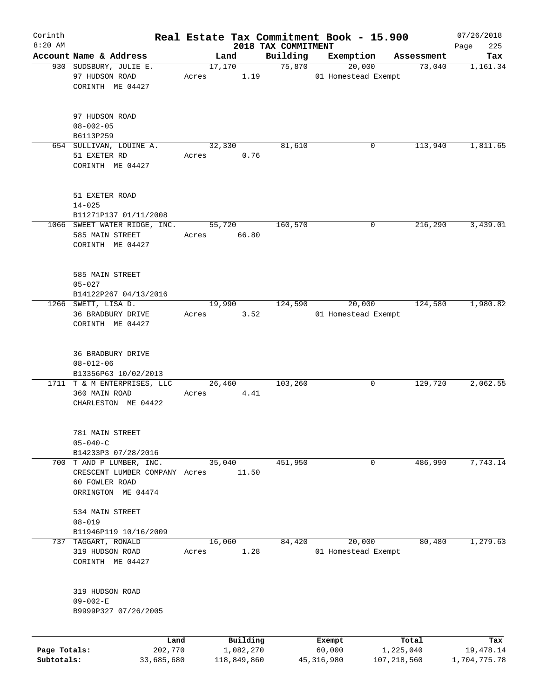| Corinth      |                                                                       |       |                 |                     | Real Estate Tax Commitment Book - 15.900 |                      | 07/26/2018   |
|--------------|-----------------------------------------------------------------------|-------|-----------------|---------------------|------------------------------------------|----------------------|--------------|
| $8:20$ AM    |                                                                       |       |                 | 2018 TAX COMMITMENT |                                          |                      | 225<br>Page  |
|              | Account Name & Address<br>930 SUDSBURY, JULIE E.                      |       | Land<br>17,170  | Building<br>75,870  | Exemption<br>20,000                      | Assessment<br>73,040 | Tax          |
|              | 97 HUDSON ROAD<br>CORINTH ME 04427                                    | Acres | 1.19            |                     | 01 Homestead Exempt                      |                      | 1,161.34     |
|              | 97 HUDSON ROAD<br>$08 - 002 - 05$<br>B6113P259                        |       |                 |                     |                                          |                      |              |
|              | 654 SULLIVAN, LOUINE A.                                               |       | 32,330          | 81,610              | 0                                        | 113,940              | 1,811.65     |
|              | 51 EXETER RD<br>CORINTH ME 04427                                      | Acres | 0.76            |                     |                                          |                      |              |
|              | 51 EXETER ROAD<br>$14 - 025$                                          |       |                 |                     |                                          |                      |              |
|              | B11271P137 01/11/2008                                                 |       |                 |                     |                                          |                      |              |
|              | 1066 SWEET WATER RIDGE, INC.<br>585 MAIN STREET<br>CORINTH ME 04427   | Acres | 55,720<br>66.80 | 160,570             | 0                                        | $2\overline{16,290}$ | 3,439.01     |
|              | 585 MAIN STREET<br>$05 - 027$                                         |       |                 |                     |                                          |                      |              |
|              | B14122P267 04/13/2016                                                 |       |                 |                     |                                          |                      |              |
|              | 1266 SWETT, LISA D.<br>36 BRADBURY DRIVE<br>CORINTH ME 04427          | Acres | 19,990<br>3.52  | 124,590             | 20,000<br>01 Homestead Exempt            | 124,580              | 1,980.82     |
|              | 36 BRADBURY DRIVE<br>$08 - 012 - 06$<br>B13356P63 10/02/2013          |       |                 |                     |                                          |                      |              |
|              | 1711 T & M ENTERPRISES, LLC<br>360 MAIN ROAD<br>CHARLESTON ME 04422   | Acres | 26,460<br>4.41  | 103,260             | 0                                        | 129,720              | 2,062.55     |
|              | 781 MAIN STREET<br>$05 - 040 - C$<br>B14233P3 07/28/2016              |       |                 |                     |                                          |                      |              |
|              | 700 T AND P LUMBER, INC.                                              |       | 35,040          | 451,950             | 0                                        | 486,990              | 7,743.14     |
|              | CRESCENT LUMBER COMPANY Acres<br>60 FOWLER ROAD<br>ORRINGTON ME 04474 |       | 11.50           |                     |                                          |                      |              |
|              | 534 MAIN STREET<br>$08 - 019$                                         |       |                 |                     |                                          |                      |              |
|              | B11946P119 10/16/2009                                                 |       |                 |                     |                                          |                      |              |
| 737          | TAGGART, RONALD                                                       |       | 16,060          | 84,420              | 20,000                                   | 80,480               | 1,279.63     |
|              | 319 HUDSON ROAD<br>CORINTH ME 04427                                   | Acres | 1.28            |                     | 01 Homestead Exempt                      |                      |              |
|              | 319 HUDSON ROAD<br>$09 - 002 - E$<br>B9999P327 07/26/2005             |       |                 |                     |                                          |                      |              |
|              | Land                                                                  |       | Building        |                     | Exempt                                   | Total                | Tax          |
| Page Totals: | 202,770                                                               |       | 1,082,270       |                     | 60,000                                   | 1,225,040            | 19,478.14    |
| Subtotals:   | 33,685,680                                                            |       | 118,849,860     |                     | 45, 316, 980                             | 107, 218, 560        | 1,704,775.78 |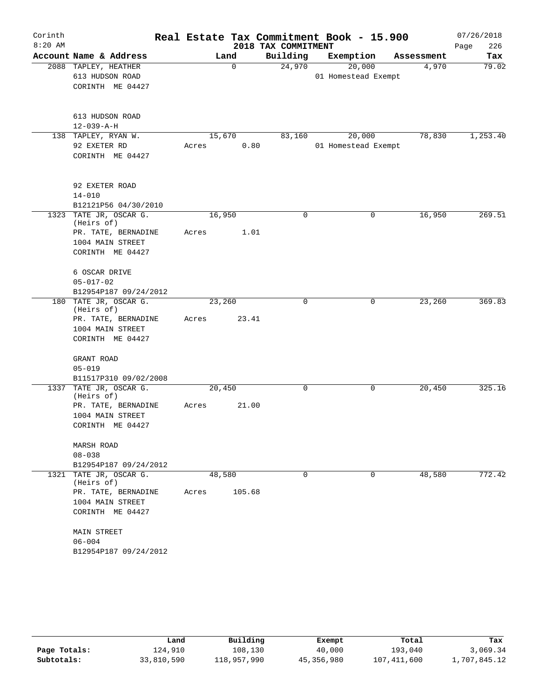| Corinth   |                                      |       |        |          | Real Estate Tax Commitment Book - 15.900 |                     |             |            | 07/26/2018  |
|-----------|--------------------------------------|-------|--------|----------|------------------------------------------|---------------------|-------------|------------|-------------|
| $8:20$ AM |                                      |       |        |          | 2018 TAX COMMITMENT                      |                     |             |            | 226<br>Page |
|           | Account Name & Address               |       | Land   |          | Building                                 | Exemption           |             | Assessment | Tax         |
|           | 2088 TAPLEY, HEATHER                 |       |        | $\Omega$ | 24,970                                   | 20,000              |             | 4,970      | 79.02       |
|           | 613 HUDSON ROAD                      |       |        |          |                                          | 01 Homestead Exempt |             |            |             |
|           | CORINTH ME 04427                     |       |        |          |                                          |                     |             |            |             |
|           |                                      |       |        |          |                                          |                     |             |            |             |
|           |                                      |       |        |          |                                          |                     |             |            |             |
|           | 613 HUDSON ROAD                      |       |        |          |                                          |                     |             |            |             |
|           | $12 - 039 - A - H$                   |       |        |          |                                          |                     |             |            |             |
|           | 138 TAPLEY, RYAN W.<br>92 EXETER RD  | Acres | 15,670 | 0.80     | 83,160                                   | 20,000              |             | 78,830     | 1,253.40    |
|           | CORINTH ME 04427                     |       |        |          |                                          | 01 Homestead Exempt |             |            |             |
|           |                                      |       |        |          |                                          |                     |             |            |             |
|           |                                      |       |        |          |                                          |                     |             |            |             |
|           | 92 EXETER ROAD                       |       |        |          |                                          |                     |             |            |             |
|           | $14 - 010$                           |       |        |          |                                          |                     |             |            |             |
|           | B12121P56 04/30/2010                 |       |        |          |                                          |                     |             |            |             |
|           | 1323 TATE JR, OSCAR G.               |       | 16,950 |          | $\Omega$                                 |                     | 0           | 16,950     | 269.51      |
|           | (Heirs of)                           |       |        |          |                                          |                     |             |            |             |
|           | PR. TATE, BERNADINE                  | Acres |        | 1.01     |                                          |                     |             |            |             |
|           | 1004 MAIN STREET                     |       |        |          |                                          |                     |             |            |             |
|           | CORINTH ME 04427                     |       |        |          |                                          |                     |             |            |             |
|           | 6 OSCAR DRIVE                        |       |        |          |                                          |                     |             |            |             |
|           | $05 - 017 - 02$                      |       |        |          |                                          |                     |             |            |             |
|           | B12954P187 09/24/2012                |       |        |          |                                          |                     |             |            |             |
|           | 180 TATE JR, OSCAR G.                |       | 23,260 |          | 0                                        |                     | 0           | 23,260     | 369.83      |
|           | (Heirs of)                           |       |        |          |                                          |                     |             |            |             |
|           | PR. TATE, BERNADINE                  | Acres |        | 23.41    |                                          |                     |             |            |             |
|           | 1004 MAIN STREET                     |       |        |          |                                          |                     |             |            |             |
|           | CORINTH ME 04427                     |       |        |          |                                          |                     |             |            |             |
|           |                                      |       |        |          |                                          |                     |             |            |             |
|           | GRANT ROAD                           |       |        |          |                                          |                     |             |            |             |
|           | $05 - 019$<br>B11517P310 09/02/2008  |       |        |          |                                          |                     |             |            |             |
|           | 1337 TATE JR, OSCAR G.               |       | 20,450 |          | 0                                        |                     | 0           | 20,450     | 325.16      |
|           | (Heirs of)                           |       |        |          |                                          |                     |             |            |             |
|           | PR. TATE, BERNADINE                  | Acres |        | 21.00    |                                          |                     |             |            |             |
|           | 1004 MAIN STREET                     |       |        |          |                                          |                     |             |            |             |
|           | CORINTH ME 04427                     |       |        |          |                                          |                     |             |            |             |
|           |                                      |       |        |          |                                          |                     |             |            |             |
|           | MARSH ROAD                           |       |        |          |                                          |                     |             |            |             |
|           | $08 - 038$                           |       |        |          |                                          |                     |             |            |             |
|           | B12954P187 09/24/2012                |       |        |          |                                          |                     |             |            |             |
|           | 1321 TATE JR, OSCAR G.<br>(Heirs of) |       | 48,580 |          | $\Omega$                                 |                     | $\mathbf 0$ | 48,580     | 772.42      |
|           | PR. TATE, BERNADINE                  | Acres |        | 105.68   |                                          |                     |             |            |             |
|           | 1004 MAIN STREET                     |       |        |          |                                          |                     |             |            |             |
|           | CORINTH ME 04427                     |       |        |          |                                          |                     |             |            |             |
|           |                                      |       |        |          |                                          |                     |             |            |             |
|           | MAIN STREET                          |       |        |          |                                          |                     |             |            |             |
|           | $06 - 004$                           |       |        |          |                                          |                     |             |            |             |
|           | B12954P187 09/24/2012                |       |        |          |                                          |                     |             |            |             |

|              | Land       | Building    | Exempt     | Total         | Tax          |
|--------------|------------|-------------|------------|---------------|--------------|
| Page Totals: | 124,910    | 108,130     | 40,000     | 193,040       | 3,069.34     |
| Subtotals:   | 33,810,590 | 118,957,990 | 45,356,980 | 107, 411, 600 | 1,707,845.12 |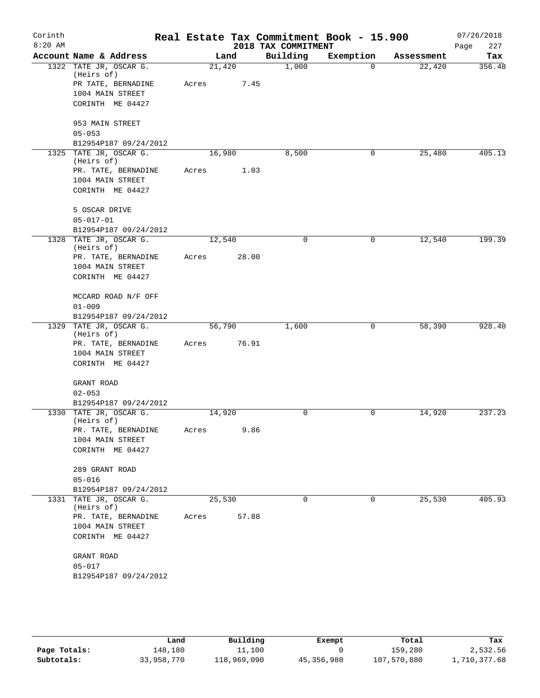| Corinth   |                                         |        |       |                     | Real Estate Tax Commitment Book - 15.900 |            | 07/26/2018    |
|-----------|-----------------------------------------|--------|-------|---------------------|------------------------------------------|------------|---------------|
| $8:20$ AM |                                         |        |       | 2018 TAX COMMITMENT |                                          |            | 227<br>Page   |
|           | Account Name & Address                  |        | Land  | Building            | Exemption                                | Assessment | Tax<br>356.48 |
|           | 1322 TATE JR, OSCAR G.<br>(Heirs of)    | 21,420 |       | 1,000               | $\Omega$                                 | 22,420     |               |
|           | PR TATE, BERNADINE                      | Acres  | 7.45  |                     |                                          |            |               |
|           | 1004 MAIN STREET                        |        |       |                     |                                          |            |               |
|           | CORINTH ME 04427                        |        |       |                     |                                          |            |               |
|           | 953 MAIN STREET                         |        |       |                     |                                          |            |               |
|           | $05 - 053$                              |        |       |                     |                                          |            |               |
|           | B12954P187 09/24/2012                   |        |       |                     |                                          |            |               |
|           | 1325 TATE JR, OSCAR G.                  | 16,980 |       | 8,500               | 0                                        | 25,480     | 405.13        |
|           | (Heirs of)                              |        |       |                     |                                          |            |               |
|           | PR. TATE, BERNADINE<br>1004 MAIN STREET | Acres  | 1.03  |                     |                                          |            |               |
|           | CORINTH ME 04427                        |        |       |                     |                                          |            |               |
|           | 5 OSCAR DRIVE                           |        |       |                     |                                          |            |               |
|           | $05 - 017 - 01$                         |        |       |                     |                                          |            |               |
|           | B12954P187 09/24/2012                   |        |       |                     |                                          |            |               |
|           | 1328 TATE JR, OSCAR G.                  | 12,540 |       | $\mathbf 0$         | 0                                        | 12,540     | 199.39        |
|           | (Heirs of)                              |        |       |                     |                                          |            |               |
|           | PR. TATE, BERNADINE                     | Acres  | 28.00 |                     |                                          |            |               |
|           | 1004 MAIN STREET<br>CORINTH ME 04427    |        |       |                     |                                          |            |               |
|           |                                         |        |       |                     |                                          |            |               |
|           | MCCARD ROAD N/F OFF                     |        |       |                     |                                          |            |               |
|           | $01 - 009$                              |        |       |                     |                                          |            |               |
|           | B12954P187 09/24/2012                   |        |       |                     |                                          |            |               |
|           | 1329 TATE JR, OSCAR G.                  | 56,790 |       | 1,600               | 0                                        | 58,390     | 928.40        |
|           | (Heirs of)<br>PR. TATE, BERNADINE       | Acres  | 76.91 |                     |                                          |            |               |
|           | 1004 MAIN STREET                        |        |       |                     |                                          |            |               |
|           | CORINTH ME 04427                        |        |       |                     |                                          |            |               |
|           |                                         |        |       |                     |                                          |            |               |
|           | GRANT ROAD                              |        |       |                     |                                          |            |               |
|           | $02 - 053$                              |        |       |                     |                                          |            |               |
|           | B12954P187 09/24/2012                   |        |       |                     |                                          |            |               |
|           | 1330 TATE JR, OSCAR G.<br>(Heirs of)    | 14,920 |       | 0                   | 0                                        | 14,920     | 237.23        |
|           | PR. TATE, BERNADINE                     | Acres  | 9.86  |                     |                                          |            |               |
|           | 1004 MAIN STREET                        |        |       |                     |                                          |            |               |
|           | CORINTH ME 04427                        |        |       |                     |                                          |            |               |
|           | 289 GRANT ROAD                          |        |       |                     |                                          |            |               |
|           | $05 - 016$                              |        |       |                     |                                          |            |               |
|           | B12954P187 09/24/2012                   |        |       |                     |                                          |            |               |
|           | 1331 TATE JR, OSCAR G.                  | 25,530 |       | $\Omega$            | 0                                        | 25,530     | 405.93        |
|           | (Heirs of)                              |        |       |                     |                                          |            |               |
|           | PR. TATE, BERNADINE                     | Acres  | 57.88 |                     |                                          |            |               |
|           | 1004 MAIN STREET                        |        |       |                     |                                          |            |               |
|           | CORINTH ME 04427                        |        |       |                     |                                          |            |               |
|           | GRANT ROAD                              |        |       |                     |                                          |            |               |
|           | $05 - 017$                              |        |       |                     |                                          |            |               |
|           | B12954P187 09/24/2012                   |        |       |                     |                                          |            |               |
|           |                                         |        |       |                     |                                          |            |               |

|              | Land       | Building    | Exempt     | Total       | Tax          |
|--------------|------------|-------------|------------|-------------|--------------|
| Page Totals: | 148,180    | 11,100      |            | 159,280     | 2,532.56     |
| Subtotals:   | 33,958,770 | 118,969,090 | 45,356,980 | 107,570,880 | 1,710,377.68 |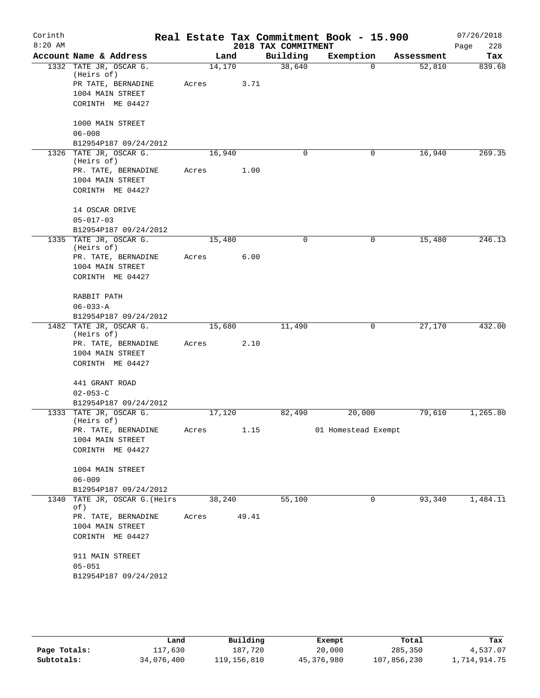| Corinth   |                                      |        |       |                     | Real Estate Tax Commitment Book - 15.900 |            | 07/26/2018  |
|-----------|--------------------------------------|--------|-------|---------------------|------------------------------------------|------------|-------------|
| $8:20$ AM |                                      |        |       | 2018 TAX COMMITMENT |                                          |            | 228<br>Page |
|           | Account Name & Address               |        | Land  | Building            | Exemption                                | Assessment | Tax         |
|           | 1332 TATE JR, OSCAR G.<br>(Heirs of) | 14,170 |       | 38,640              | $\Omega$                                 | 52,810     | 839.68      |
|           | PR TATE, BERNADINE                   | Acres  | 3.71  |                     |                                          |            |             |
|           | 1004 MAIN STREET                     |        |       |                     |                                          |            |             |
|           | CORINTH ME 04427                     |        |       |                     |                                          |            |             |
|           | 1000 MAIN STREET                     |        |       |                     |                                          |            |             |
|           | $06 - 008$                           |        |       |                     |                                          |            |             |
|           | B12954P187 09/24/2012                |        |       |                     |                                          |            |             |
|           | 1326 TATE JR, OSCAR G.               | 16,940 |       | 0                   | 0                                        | 16,940     | 269.35      |
|           | (Heirs of)                           |        |       |                     |                                          |            |             |
|           | PR. TATE, BERNADINE                  | Acres  | 1.00  |                     |                                          |            |             |
|           | 1004 MAIN STREET                     |        |       |                     |                                          |            |             |
|           | CORINTH ME 04427                     |        |       |                     |                                          |            |             |
|           | 14 OSCAR DRIVE                       |        |       |                     |                                          |            |             |
|           | $05 - 017 - 03$                      |        |       |                     |                                          |            |             |
|           | B12954P187 09/24/2012                |        |       |                     |                                          |            |             |
|           | 1335 TATE JR, OSCAR G.               | 15,480 |       | 0                   | 0                                        | 15,480     | 246.13      |
|           | (Heirs of)                           |        |       |                     |                                          |            |             |
|           | PR. TATE, BERNADINE                  | Acres  | 6.00  |                     |                                          |            |             |
|           | 1004 MAIN STREET                     |        |       |                     |                                          |            |             |
|           | CORINTH ME 04427                     |        |       |                     |                                          |            |             |
|           | RABBIT PATH                          |        |       |                     |                                          |            |             |
|           | $06 - 033 - A$                       |        |       |                     |                                          |            |             |
|           | B12954P187 09/24/2012                |        |       |                     |                                          |            |             |
|           | 1482 TATE JR, OSCAR G.<br>(Heirs of) | 15,680 |       | 11,490              | 0                                        | 27,170     | 432.00      |
|           | PR. TATE, BERNADINE                  | Acres  | 2.10  |                     |                                          |            |             |
|           | 1004 MAIN STREET                     |        |       |                     |                                          |            |             |
|           | CORINTH ME 04427                     |        |       |                     |                                          |            |             |
|           | 441 GRANT ROAD                       |        |       |                     |                                          |            |             |
|           | $02 - 053 - C$                       |        |       |                     |                                          |            |             |
|           | B12954P187 09/24/2012                |        |       |                     |                                          |            |             |
|           | 1333 TATE JR, OSCAR G.               | 17,120 |       | 82,490              | 20,000                                   | 79,610     | 1,265.80    |
|           | (Heirs of)                           |        |       |                     |                                          |            |             |
|           | PR. TATE, BERNADINE                  | Acres  | 1.15  |                     | 01 Homestead Exempt                      |            |             |
|           | 1004 MAIN STREET                     |        |       |                     |                                          |            |             |
|           | CORINTH ME 04427                     |        |       |                     |                                          |            |             |
|           | 1004 MAIN STREET                     |        |       |                     |                                          |            |             |
|           | $06 - 009$                           |        |       |                     |                                          |            |             |
|           | B12954P187 09/24/2012                |        |       |                     |                                          |            |             |
| 1340      | TATE JR, OSCAR G. (Heirs             | 38,240 |       | 55,100              | 0                                        | 93,340     | 1,484.11    |
|           | of)                                  |        |       |                     |                                          |            |             |
|           | PR. TATE, BERNADINE                  | Acres  | 49.41 |                     |                                          |            |             |
|           | 1004 MAIN STREET                     |        |       |                     |                                          |            |             |
|           | CORINTH ME 04427                     |        |       |                     |                                          |            |             |
|           | 911 MAIN STREET                      |        |       |                     |                                          |            |             |
|           | $05 - 051$                           |        |       |                     |                                          |            |             |
|           | B12954P187 09/24/2012                |        |       |                     |                                          |            |             |
|           |                                      |        |       |                     |                                          |            |             |
|           |                                      |        |       |                     |                                          |            |             |
|           |                                      |        |       |                     |                                          |            |             |

|              | Land       | Building    | Exempt     | Total       | Tax          |
|--------------|------------|-------------|------------|-------------|--------------|
| Page Totals: | 117,630    | 187,720     | 20,000     | 285,350     | 4,537.07     |
| Subtotals:   | 34,076,400 | 119,156,810 | 45,376,980 | 107,856,230 | 1,714,914.75 |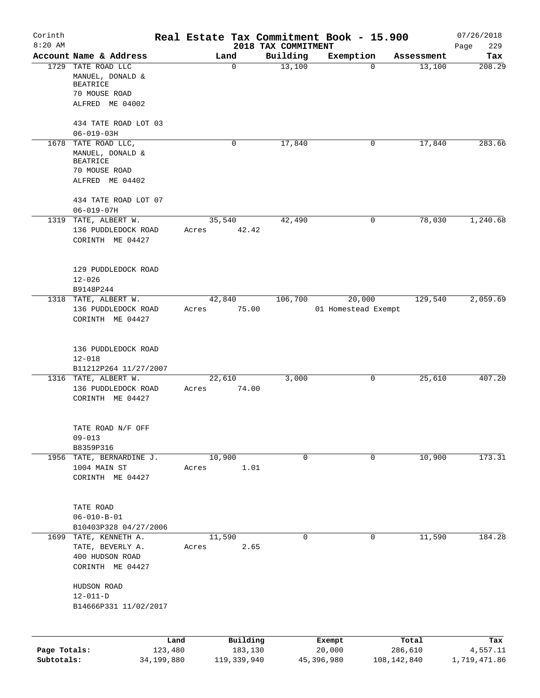| Corinth                    |                                                              |                 |                        |                                 | Real Estate Tax Commitment Book - 15.900 |                          | 07/26/2018               |
|----------------------------|--------------------------------------------------------------|-----------------|------------------------|---------------------------------|------------------------------------------|--------------------------|--------------------------|
| $8:20$ AM                  | Account Name & Address                                       | Land            |                        | 2018 TAX COMMITMENT<br>Building |                                          | Assessment               | 229<br>Page              |
|                            | 1729 TATE ROAD LLC                                           | $\mathbf 0$     |                        | 13,100                          | Exemption<br>0                           | 13,100                   | Tax<br>208.29            |
|                            | MANUEL, DONALD &<br><b>BEATRICE</b>                          |                 |                        |                                 |                                          |                          |                          |
|                            | 70 MOUSE ROAD                                                |                 |                        |                                 |                                          |                          |                          |
|                            | ALFRED ME 04002                                              |                 |                        |                                 |                                          |                          |                          |
|                            | 434 TATE ROAD LOT 03                                         |                 |                        |                                 |                                          |                          |                          |
|                            | $06 - 019 - 03H$                                             |                 |                        |                                 |                                          |                          |                          |
|                            | 1678 TATE ROAD LLC,                                          | 0               |                        | 17,840                          | 0                                        | 17,840                   | 283.66                   |
|                            | MANUEL, DONALD &<br><b>BEATRICE</b>                          |                 |                        |                                 |                                          |                          |                          |
|                            | 70 MOUSE ROAD                                                |                 |                        |                                 |                                          |                          |                          |
|                            | ALFRED ME 04402                                              |                 |                        |                                 |                                          |                          |                          |
|                            | 434 TATE ROAD LOT 07<br>$06 - 019 - 07H$                     |                 |                        |                                 |                                          |                          |                          |
| 1319                       | TATE, ALBERT W.                                              | 35,540          |                        | 42,490                          | 0                                        | 78,030                   | 1,240.68                 |
|                            | 136 PUDDLEDOCK ROAD                                          | Acres           | 42.42                  |                                 |                                          |                          |                          |
|                            | CORINTH ME 04427                                             |                 |                        |                                 |                                          |                          |                          |
|                            | 129 PUDDLEDOCK ROAD                                          |                 |                        |                                 |                                          |                          |                          |
|                            | $12 - 026$                                                   |                 |                        |                                 |                                          |                          |                          |
|                            | B9148P244                                                    |                 |                        |                                 |                                          |                          |                          |
|                            | 1318 TATE, ALBERT W.                                         | 42,840          |                        | 106,700                         | 20,000                                   | 129,540                  | 2,059.69                 |
|                            | 136 PUDDLEDOCK ROAD<br>CORINTH ME 04427                      | Acres           | 75.00                  |                                 | 01 Homestead Exempt                      |                          |                          |
|                            | 136 PUDDLEDOCK ROAD                                          |                 |                        |                                 |                                          |                          |                          |
|                            | $12 - 018$                                                   |                 |                        |                                 |                                          |                          |                          |
|                            | B11212P264 11/27/2007                                        |                 |                        |                                 |                                          |                          |                          |
|                            | 1316 TATE, ALBERT W.                                         | 22,610          |                        | 3,000                           | 0                                        | 25,610                   | 407.20                   |
|                            | 136 PUDDLEDOCK ROAD<br>CORINTH ME 04427                      | Acres           | 74.00                  |                                 |                                          |                          |                          |
|                            | TATE ROAD N/F OFF                                            |                 |                        |                                 |                                          |                          |                          |
|                            | $09 - 013$                                                   |                 |                        |                                 |                                          |                          |                          |
|                            | B8359P316                                                    |                 |                        |                                 |                                          |                          | 173.31                   |
|                            | 1956 TATE, BERNARDINE J.<br>1004 MAIN ST<br>CORINTH ME 04427 | 10,900<br>Acres | 1.01                   | 0                               | 0                                        | 10,900                   |                          |
|                            | TATE ROAD                                                    |                 |                        |                                 |                                          |                          |                          |
|                            | $06 - 010 - B - 01$                                          |                 |                        |                                 |                                          |                          |                          |
|                            | B10403P328 04/27/2006                                        |                 |                        |                                 |                                          |                          |                          |
|                            | 1699 TATE, KENNETH A.                                        | 11,590          |                        | $\mathbf 0$                     | 0                                        | 11,590                   | 184.28                   |
|                            | TATE, BEVERLY A.                                             | Acres           | 2.65                   |                                 |                                          |                          |                          |
|                            | 400 HUDSON ROAD<br>CORINTH ME 04427                          |                 |                        |                                 |                                          |                          |                          |
|                            | HUDSON ROAD                                                  |                 |                        |                                 |                                          |                          |                          |
|                            | $12 - 011 - D$<br>B14666P331 11/02/2017                      |                 |                        |                                 |                                          |                          |                          |
|                            |                                                              |                 |                        |                                 |                                          |                          |                          |
|                            |                                                              | Land            | Building               |                                 | Exempt                                   | Total                    | Tax                      |
| Page Totals:<br>Subtotals: | 123,480<br>34,199,880                                        |                 | 183,130<br>119,339,940 |                                 | 20,000<br>45,396,980                     | 286,610<br>108, 142, 840 | 4,557.11<br>1,719,471.86 |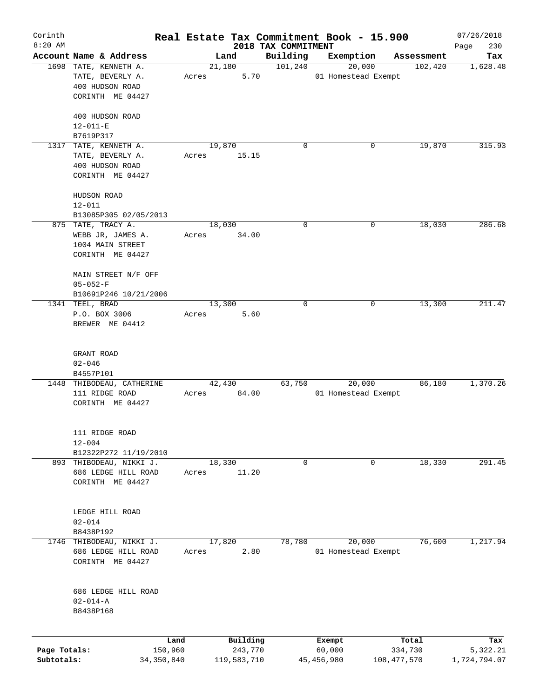| Corinth      |                                                 |       |                |                     | Real Estate Tax Commitment Book - 15.900 |                       | 07/26/2018      |
|--------------|-------------------------------------------------|-------|----------------|---------------------|------------------------------------------|-----------------------|-----------------|
| $8:20$ AM    |                                                 |       |                | 2018 TAX COMMITMENT |                                          |                       | 230<br>Page     |
|              | Account Name & Address<br>1698 TATE, KENNETH A. |       | Land<br>21,180 | Building<br>101,240 | Exemption<br>20,000                      | Assessment<br>102,420 | Tax<br>1,628.48 |
|              | TATE, BEVERLY A.                                |       | 5.70           |                     | 01 Homestead Exempt                      |                       |                 |
|              |                                                 | Acres |                |                     |                                          |                       |                 |
|              | 400 HUDSON ROAD                                 |       |                |                     |                                          |                       |                 |
|              | CORINTH ME 04427                                |       |                |                     |                                          |                       |                 |
|              | 400 HUDSON ROAD                                 |       |                |                     |                                          |                       |                 |
|              | $12 - 011 - E$                                  |       |                |                     |                                          |                       |                 |
|              | B7619P317                                       |       |                |                     |                                          |                       |                 |
|              | 1317 TATE, KENNETH A.                           |       | 19,870         | 0                   | 0                                        | 19,870                | 315.93          |
|              | TATE, BEVERLY A.                                | Acres | 15.15          |                     |                                          |                       |                 |
|              | 400 HUDSON ROAD                                 |       |                |                     |                                          |                       |                 |
|              | CORINTH ME 04427                                |       |                |                     |                                          |                       |                 |
|              |                                                 |       |                |                     |                                          |                       |                 |
|              | HUDSON ROAD                                     |       |                |                     |                                          |                       |                 |
|              | $12 - 011$                                      |       |                |                     |                                          |                       |                 |
|              | B13085P305 02/05/2013                           |       |                |                     |                                          |                       |                 |
|              | 875 TATE, TRACY A.                              |       | 18,030         | 0                   | 0                                        | 18,030                | 286.68          |
|              | WEBB JR, JAMES A.                               | Acres | 34.00          |                     |                                          |                       |                 |
|              | 1004 MAIN STREET                                |       |                |                     |                                          |                       |                 |
|              | CORINTH ME 04427                                |       |                |                     |                                          |                       |                 |
|              |                                                 |       |                |                     |                                          |                       |                 |
|              | MAIN STREET N/F OFF                             |       |                |                     |                                          |                       |                 |
|              | $05 - 052 - F$                                  |       |                |                     |                                          |                       |                 |
|              | B10691P246 10/21/2006                           |       |                |                     |                                          |                       |                 |
|              | 1341 TEEL, BRAD                                 |       | 13,300         | 0                   | 0                                        | 13,300                | 211.47          |
|              | P.O. BOX 3006                                   | Acres | 5.60           |                     |                                          |                       |                 |
|              | BREWER ME 04412                                 |       |                |                     |                                          |                       |                 |
|              |                                                 |       |                |                     |                                          |                       |                 |
|              |                                                 |       |                |                     |                                          |                       |                 |
|              | GRANT ROAD                                      |       |                |                     |                                          |                       |                 |
|              | $02 - 046$                                      |       |                |                     |                                          |                       |                 |
|              | B4557P101                                       |       |                |                     |                                          |                       |                 |
|              | 1448 THIBODEAU, CATHERINE                       |       | 42,430         | 63,750              | 20,000                                   | 86,180                | 1,370.26        |
|              | 111 RIDGE ROAD                                  | Acres | 84.00          |                     | 01 Homestead Exempt                      |                       |                 |
|              | CORINTH ME 04427                                |       |                |                     |                                          |                       |                 |
|              |                                                 |       |                |                     |                                          |                       |                 |
|              |                                                 |       |                |                     |                                          |                       |                 |
|              | 111 RIDGE ROAD                                  |       |                |                     |                                          |                       |                 |
|              | $12 - 004$                                      |       |                |                     |                                          |                       |                 |
|              | B12322P272 11/19/2010                           |       |                |                     |                                          |                       |                 |
|              | 893 THIBODEAU, NIKKI J.                         |       | 18,330         | 0                   | 0                                        | 18,330                | 291.45          |
|              | 686 LEDGE HILL ROAD                             | Acres | 11.20          |                     |                                          |                       |                 |
|              | CORINTH ME 04427                                |       |                |                     |                                          |                       |                 |
|              |                                                 |       |                |                     |                                          |                       |                 |
|              |                                                 |       |                |                     |                                          |                       |                 |
|              | LEDGE HILL ROAD                                 |       |                |                     |                                          |                       |                 |
|              | $02 - 014$                                      |       |                |                     |                                          |                       |                 |
|              | B8438P192                                       |       |                |                     |                                          |                       |                 |
| 1746         | THIBODEAU, NIKKI J.                             |       | 17,820         | 78,780              | 20,000                                   | 76,600                | 1,217.94        |
|              | 686 LEDGE HILL ROAD                             | Acres | 2.80           |                     | 01 Homestead Exempt                      |                       |                 |
|              | CORINTH ME 04427                                |       |                |                     |                                          |                       |                 |
|              |                                                 |       |                |                     |                                          |                       |                 |
|              |                                                 |       |                |                     |                                          |                       |                 |
|              | 686 LEDGE HILL ROAD                             |       |                |                     |                                          |                       |                 |
|              | $02 - 014 - A$                                  |       |                |                     |                                          |                       |                 |
|              | B8438P168                                       |       |                |                     |                                          |                       |                 |
|              |                                                 |       |                |                     |                                          |                       |                 |
|              | Land                                            |       | Building       |                     | Exempt                                   | Total                 | Tax             |
| Page Totals: | 150,960                                         |       | 243,770        |                     | 60,000                                   | 334,730               | 5,322.21        |
| Subtotals:   | 34,350,840                                      |       | 119,583,710    |                     | 45,456,980                               | 108, 477, 570         | 1,724,794.07    |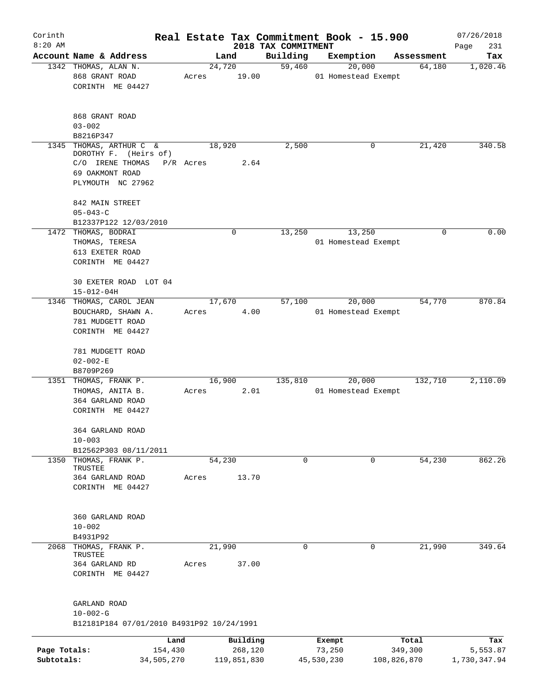| Corinth                    |                                                                                   |           |                        |                     | Real Estate Tax Commitment Book - 15.900 |                        | 07/26/2018               |
|----------------------------|-----------------------------------------------------------------------------------|-----------|------------------------|---------------------|------------------------------------------|------------------------|--------------------------|
| $8:20$ AM                  |                                                                                   |           |                        | 2018 TAX COMMITMENT |                                          |                        | Page<br>231              |
|                            | Account Name & Address                                                            |           | Land                   | Building            | Exemption                                | Assessment             | Tax                      |
|                            | 1342 THOMAS, ALAN N.<br>868 GRANT ROAD<br>CORINTH ME 04427                        | Acres     | 24,720<br>19.00        | 59,460              | 20,000<br>01 Homestead Exempt            | 64,180                 | 1,020.46                 |
|                            | 868 GRANT ROAD<br>$03 - 002$<br>B8216P347                                         |           |                        |                     |                                          |                        |                          |
| 1345                       | THOMAS, ARTHUR C &                                                                |           | 18,920                 | 2,500               | 0                                        | 21,420                 | 340.58                   |
|                            | DOROTHY F. (Heirs of)<br>C/O IRENE THOMAS<br>69 OAKMONT ROAD<br>PLYMOUTH NC 27962 | P/R Acres | 2.64                   |                     |                                          |                        |                          |
|                            | 842 MAIN STREET                                                                   |           |                        |                     |                                          |                        |                          |
|                            | $05 - 043 - C$                                                                    |           |                        |                     |                                          |                        |                          |
|                            | B12337P122 12/03/2010                                                             |           |                        |                     |                                          |                        |                          |
|                            | 1472 THOMAS, BODRAI                                                               |           | 0                      | 13,250              | 13,250                                   | $\mathbf 0$            | 0.00                     |
|                            | THOMAS, TERESA                                                                    |           |                        |                     | 01 Homestead Exempt                      |                        |                          |
|                            | 613 EXETER ROAD<br>CORINTH ME 04427                                               |           |                        |                     |                                          |                        |                          |
|                            | 30 EXETER ROAD LOT 04<br>$15 - 012 - 04H$                                         |           |                        |                     |                                          |                        |                          |
|                            | 1346 THOMAS, CAROL JEAN                                                           |           | 17,670                 | 57,100              | 20,000                                   | 54,770                 | 870.84                   |
|                            | BOUCHARD, SHAWN A.<br>781 MUDGETT ROAD                                            | Acres     | 4.00                   |                     | 01 Homestead Exempt                      |                        |                          |
|                            | CORINTH ME 04427                                                                  |           |                        |                     |                                          |                        |                          |
|                            | 781 MUDGETT ROAD<br>$02 - 002 - E$                                                |           |                        |                     |                                          |                        |                          |
|                            | B8709P269                                                                         |           |                        |                     |                                          |                        |                          |
|                            | 1351 THOMAS, FRANK P.                                                             |           | 16,900                 | 135,810             | 20,000                                   | 132,710                | 2,110.09                 |
|                            | THOMAS, ANITA B.<br>364 GARLAND ROAD<br>CORINTH ME 04427                          | Acres     | 2.01                   |                     | 01 Homestead Exempt                      |                        |                          |
|                            |                                                                                   |           |                        |                     |                                          |                        |                          |
|                            | 364 GARLAND ROAD<br>$10 - 003$                                                    |           |                        |                     |                                          |                        |                          |
|                            | B12562P303 08/11/2011                                                             |           |                        |                     |                                          |                        |                          |
|                            | 1350 THOMAS, FRANK P.<br>TRUSTEE                                                  |           | 54,230                 | 0                   | 0                                        | 54,230                 | 862.26                   |
|                            | 364 GARLAND ROAD<br>CORINTH ME 04427                                              | Acres     | 13.70                  |                     |                                          |                        |                          |
|                            | 360 GARLAND ROAD<br>$10 - 002$                                                    |           |                        |                     |                                          |                        |                          |
|                            | B4931P92                                                                          |           |                        |                     |                                          |                        |                          |
| 2068                       | THOMAS, FRANK P.<br>TRUSTEE                                                       |           | 21,990                 | 0                   | 0                                        | 21,990                 | 349.64                   |
|                            | 364 GARLAND RD<br>CORINTH ME 04427                                                | Acres     | 37.00                  |                     |                                          |                        |                          |
|                            | GARLAND ROAD<br>$10 - 002 - G$                                                    |           |                        |                     |                                          |                        |                          |
|                            | B12181P184 07/01/2010 B4931P92 10/24/1991                                         |           |                        |                     |                                          |                        |                          |
|                            |                                                                                   | Land      | Building               |                     | Exempt                                   | Total                  | Tax                      |
| Page Totals:<br>Subtotals: | 154,430<br>34,505,270                                                             |           | 268,120<br>119,851,830 |                     | 73,250<br>45,530,230                     | 349,300<br>108,826,870 | 5,553.87<br>1,730,347.94 |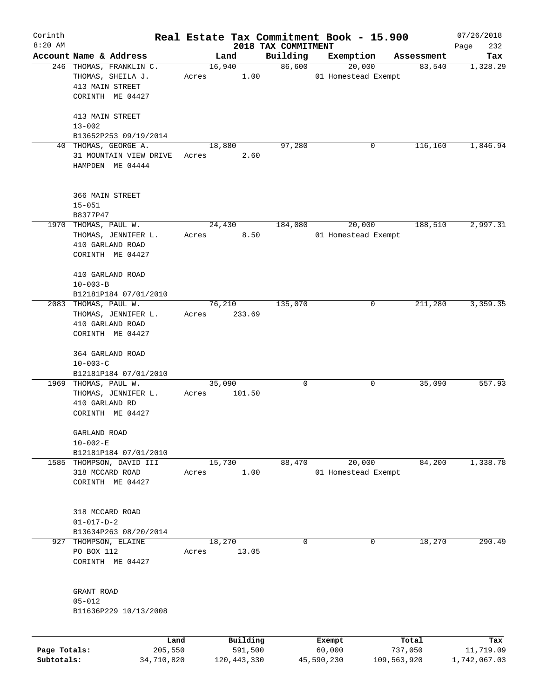| Corinth      |                                                   |       |                     |       |                     | Real Estate Tax Commitment Book - 15.900 |                      | 07/26/2018       |
|--------------|---------------------------------------------------|-------|---------------------|-------|---------------------|------------------------------------------|----------------------|------------------|
| $8:20$ AM    |                                                   |       |                     |       | 2018 TAX COMMITMENT |                                          |                      | 232<br>Page      |
|              | Account Name & Address<br>246 THOMAS, FRANKLIN C. |       | Land<br>16,940      |       | Building<br>86,600  | Exemption<br>20,000                      | Assessment<br>83,540 | Tax              |
|              | THOMAS, SHEILA J.<br>413 MAIN STREET              | Acres |                     | 1.00  |                     | 01 Homestead Exempt                      |                      | 1,328.29         |
|              | CORINTH ME 04427                                  |       |                     |       |                     |                                          |                      |                  |
|              | 413 MAIN STREET<br>$13 - 002$                     |       |                     |       |                     |                                          |                      |                  |
|              | B13652P253 09/19/2014                             |       |                     |       |                     |                                          |                      |                  |
|              | 40 THOMAS, GEORGE A.                              |       | 18,880              |       | 97,280              | 0                                        | 116,160              | 1,846.94         |
|              | 31 MOUNTAIN VIEW DRIVE<br>HAMPDEN ME 04444        | Acres |                     | 2.60  |                     |                                          |                      |                  |
|              | 366 MAIN STREET                                   |       |                     |       |                     |                                          |                      |                  |
|              | $15 - 051$                                        |       |                     |       |                     |                                          |                      |                  |
|              | B8377P47                                          |       |                     |       |                     |                                          |                      |                  |
|              | 1970 THOMAS, PAUL W.                              |       | 24,430              |       | 184,080             | 20,000                                   | 188,510              | 2,997.31         |
|              | THOMAS, JENNIFER L.                               | Acres |                     | 8.50  |                     | 01 Homestead Exempt                      |                      |                  |
|              | 410 GARLAND ROAD                                  |       |                     |       |                     |                                          |                      |                  |
|              | CORINTH ME 04427                                  |       |                     |       |                     |                                          |                      |                  |
|              |                                                   |       |                     |       |                     |                                          |                      |                  |
|              | 410 GARLAND ROAD                                  |       |                     |       |                     |                                          |                      |                  |
|              | $10 - 003 - B$                                    |       |                     |       |                     |                                          |                      |                  |
|              | B12181P184 07/01/2010                             |       |                     |       |                     |                                          |                      |                  |
|              | 2083 THOMAS, PAUL W.                              |       | 76,210              |       | 135,070             | 0                                        | 211,280              | 3,359.35         |
|              | THOMAS, JENNIFER L.                               | Acres | 233.69              |       |                     |                                          |                      |                  |
|              | 410 GARLAND ROAD                                  |       |                     |       |                     |                                          |                      |                  |
|              | CORINTH ME 04427                                  |       |                     |       |                     |                                          |                      |                  |
|              |                                                   |       |                     |       |                     |                                          |                      |                  |
|              | 364 GARLAND ROAD                                  |       |                     |       |                     |                                          |                      |                  |
|              | $10 - 003 - C$                                    |       |                     |       |                     |                                          |                      |                  |
|              | B12181P184 07/01/2010                             |       |                     |       |                     |                                          |                      |                  |
|              | 1969 THOMAS, PAUL W.                              |       | 35,090              |       | 0                   | 0                                        | 35,090               | 557.93           |
|              | THOMAS, JENNIFER L.                               | Acres | 101.50              |       |                     |                                          |                      |                  |
|              | 410 GARLAND RD<br>CORINTH ME 04427                |       |                     |       |                     |                                          |                      |                  |
|              |                                                   |       |                     |       |                     |                                          |                      |                  |
|              | GARLAND ROAD                                      |       |                     |       |                     |                                          |                      |                  |
|              | $10 - 002 - E$                                    |       |                     |       |                     |                                          |                      |                  |
|              | B12181P184 07/01/2010                             |       |                     |       |                     |                                          |                      |                  |
| 1585         | THOMPSON, DAVID III                               |       | 15,730              |       | 88,470              | 20,000                                   | 84,200               | 1,338.78         |
|              | 318 MCCARD ROAD                                   | Acres |                     | 1.00  |                     | 01 Homestead Exempt                      |                      |                  |
|              | CORINTH ME 04427                                  |       |                     |       |                     |                                          |                      |                  |
|              |                                                   |       |                     |       |                     |                                          |                      |                  |
|              |                                                   |       |                     |       |                     |                                          |                      |                  |
|              | 318 MCCARD ROAD                                   |       |                     |       |                     |                                          |                      |                  |
|              | $01 - 017 - D - 2$                                |       |                     |       |                     |                                          |                      |                  |
|              | B13634P263 08/20/2014                             |       |                     |       |                     |                                          |                      |                  |
| 927          | THOMPSON, ELAINE                                  |       | 18,270              |       | 0                   | 0                                        | 18,270               | 290.49           |
|              | PO BOX 112                                        | Acres |                     | 13.05 |                     |                                          |                      |                  |
|              | CORINTH ME 04427                                  |       |                     |       |                     |                                          |                      |                  |
|              |                                                   |       |                     |       |                     |                                          |                      |                  |
|              |                                                   |       |                     |       |                     |                                          |                      |                  |
|              | GRANT ROAD                                        |       |                     |       |                     |                                          |                      |                  |
|              | $05 - 012$                                        |       |                     |       |                     |                                          |                      |                  |
|              | B11636P229 10/13/2008                             |       |                     |       |                     |                                          |                      |                  |
|              |                                                   |       |                     |       |                     |                                          |                      |                  |
| Page Totals: | Land<br>205,550                                   |       | Building<br>591,500 |       |                     | Exempt<br>60,000                         | Total<br>737,050     | Tax<br>11,719.09 |
| Subtotals:   | 34,710,820                                        |       | 120, 443, 330       |       |                     | 45,590,230                               | 109,563,920          | 1,742,067.03     |
|              |                                                   |       |                     |       |                     |                                          |                      |                  |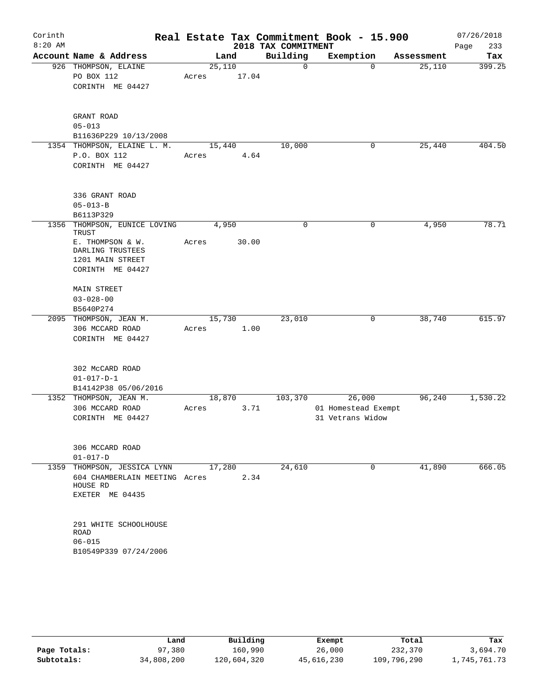| Corinth<br>$8:20$ AM |                                                                          |                 |       | 2018 TAX COMMITMENT | Real Estate Tax Commitment Book - 15.900 |            | 07/26/2018<br>233<br>Page |
|----------------------|--------------------------------------------------------------------------|-----------------|-------|---------------------|------------------------------------------|------------|---------------------------|
|                      | Account Name & Address                                                   | Land            |       | Building            | Exemption                                | Assessment | Tax                       |
|                      | 926 THOMPSON, ELAINE<br>PO BOX 112                                       | 25,110<br>Acres | 17.04 | 0                   | $\Omega$                                 | 25,110     | 399.25                    |
|                      | CORINTH ME 04427                                                         |                 |       |                     |                                          |            |                           |
|                      | GRANT ROAD                                                               |                 |       |                     |                                          |            |                           |
|                      | $05 - 013$<br>B11636P229 10/13/2008                                      |                 |       |                     |                                          |            |                           |
|                      | 1354 THOMPSON, ELAINE L. M.                                              | 15,440          |       | 10,000              | 0                                        | 25,440     | 404.50                    |
|                      | P.O. BOX 112                                                             | Acres           | 4.64  |                     |                                          |            |                           |
|                      | CORINTH ME 04427                                                         |                 |       |                     |                                          |            |                           |
|                      | 336 GRANT ROAD                                                           |                 |       |                     |                                          |            |                           |
|                      | $05 - 013 - B$                                                           |                 |       |                     |                                          |            |                           |
|                      | B6113P329                                                                |                 |       |                     |                                          |            |                           |
| 1356                 | THOMPSON, EUNICE LOVING<br>TRUST                                         | 4,950           |       | 0                   | 0                                        | 4,950      | 78.71                     |
|                      | E. THOMPSON & W.<br>DARLING TRUSTEES                                     | Acres           | 30.00 |                     |                                          |            |                           |
|                      | 1201 MAIN STREET<br>CORINTH ME 04427                                     |                 |       |                     |                                          |            |                           |
|                      | MAIN STREET                                                              |                 |       |                     |                                          |            |                           |
|                      | $03 - 028 - 00$                                                          |                 |       |                     |                                          |            |                           |
|                      | B5640P274                                                                |                 |       |                     |                                          |            |                           |
|                      | 2095 THOMPSON, JEAN M.<br>306 MCCARD ROAD                                | 15,730<br>Acres | 1.00  | 23,010              | 0                                        | 38,740     | 615.97                    |
|                      | CORINTH ME 04427                                                         |                 |       |                     |                                          |            |                           |
|                      | 302 McCARD ROAD                                                          |                 |       |                     |                                          |            |                           |
|                      | $01 - 017 - D - 1$                                                       |                 |       |                     |                                          |            |                           |
|                      | B14142P38 05/06/2016                                                     |                 |       |                     |                                          |            |                           |
|                      | 1352 THOMPSON, JEAN M.                                                   | 18,870          |       | 103,370             | 26,000                                   | 96,240     | 1,530.22                  |
|                      | 306 MCCARD ROAD<br>CORINTH ME 04427                                      | Acres           | 3.71  |                     | 01 Homestead Exempt<br>31 Vetrans Widow  |            |                           |
|                      |                                                                          |                 |       |                     |                                          |            |                           |
|                      | 306 MCCARD ROAD                                                          |                 |       |                     |                                          |            |                           |
|                      | $01 - 017 - D$                                                           |                 |       |                     |                                          |            |                           |
|                      | 1359 THOMPSON, JESSICA LYNN<br>604 CHAMBERLAIN MEETING Acres<br>HOUSE RD | 17,280          | 2.34  | 24,610              | 0                                        | 41,890     | 666.05                    |
|                      | EXETER ME 04435                                                          |                 |       |                     |                                          |            |                           |
|                      | 291 WHITE SCHOOLHOUSE                                                    |                 |       |                     |                                          |            |                           |
|                      | ROAD                                                                     |                 |       |                     |                                          |            |                           |
|                      | $06 - 015$                                                               |                 |       |                     |                                          |            |                           |
|                      | B10549P339 07/24/2006                                                    |                 |       |                     |                                          |            |                           |
|                      |                                                                          |                 |       |                     |                                          |            |                           |

|              | Land       | Building    | Exempt     | Total       | Tax          |
|--------------|------------|-------------|------------|-------------|--------------|
| Page Totals: | 97,380     | 160,990     | 26,000     | 232,370     | 3,694.70     |
| Subtotals:   | 34,808,200 | 120,604,320 | 45,616,230 | 109,796,290 | .,745,761.73 |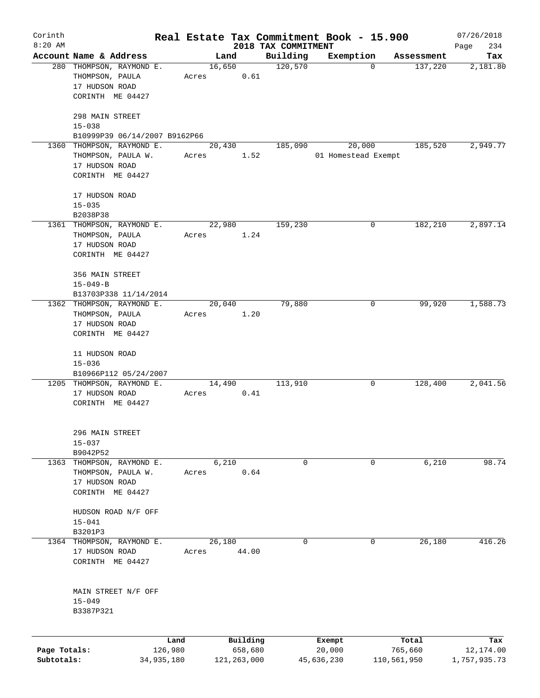| Corinth      |                                                    |            |       |                |               |                     | Real Estate Tax Commitment Book - 15.900 |                       | 07/26/2018      |
|--------------|----------------------------------------------------|------------|-------|----------------|---------------|---------------------|------------------------------------------|-----------------------|-----------------|
| $8:20$ AM    |                                                    |            |       |                |               | 2018 TAX COMMITMENT |                                          |                       | 234<br>Page     |
|              | Account Name & Address<br>280 THOMPSON, RAYMOND E. |            |       | Land<br>16,650 |               | Building<br>120,570 | Exemption<br>$\mathbf 0$                 | Assessment<br>137,220 | Tax<br>2,181.80 |
|              | THOMPSON, PAULA                                    |            | Acres |                | 0.61          |                     |                                          |                       |                 |
|              | 17 HUDSON ROAD                                     |            |       |                |               |                     |                                          |                       |                 |
|              | CORINTH ME 04427                                   |            |       |                |               |                     |                                          |                       |                 |
|              |                                                    |            |       |                |               |                     |                                          |                       |                 |
|              | 298 MAIN STREET                                    |            |       |                |               |                     |                                          |                       |                 |
|              | $15 - 038$                                         |            |       |                |               |                     |                                          |                       |                 |
|              | B10999P39 06/14/2007 B9162P66                      |            |       |                |               |                     |                                          |                       |                 |
|              | 1360 THOMPSON, RAYMOND E.                          |            |       | 20,430         |               | 185,090             | 20,000                                   | 185,520               | 2,949.77        |
|              | THOMPSON, PAULA W.                                 |            | Acres |                | 1.52          |                     | 01 Homestead Exempt                      |                       |                 |
|              | 17 HUDSON ROAD<br>CORINTH ME 04427                 |            |       |                |               |                     |                                          |                       |                 |
|              |                                                    |            |       |                |               |                     |                                          |                       |                 |
|              | 17 HUDSON ROAD                                     |            |       |                |               |                     |                                          |                       |                 |
|              | $15 - 035$                                         |            |       |                |               |                     |                                          |                       |                 |
|              | B2038P38                                           |            |       |                |               |                     |                                          |                       |                 |
|              | 1361 THOMPSON, RAYMOND E.                          |            |       | 22,980         |               | 159,230             | 0                                        | 182,210               | 2,897.14        |
|              | THOMPSON, PAULA                                    |            | Acres |                | 1.24          |                     |                                          |                       |                 |
|              | 17 HUDSON ROAD<br>CORINTH ME 04427                 |            |       |                |               |                     |                                          |                       |                 |
|              |                                                    |            |       |                |               |                     |                                          |                       |                 |
|              | 356 MAIN STREET                                    |            |       |                |               |                     |                                          |                       |                 |
|              | $15 - 049 - B$                                     |            |       |                |               |                     |                                          |                       |                 |
|              | B13703P338 11/14/2014                              |            |       |                |               |                     |                                          |                       |                 |
|              | 1362 THOMPSON, RAYMOND E.                          |            |       | 20,040         |               | 79,880              | 0                                        | 99,920                | 1,588.73        |
|              | THOMPSON, PAULA                                    |            | Acres |                | 1.20          |                     |                                          |                       |                 |
|              | 17 HUDSON ROAD                                     |            |       |                |               |                     |                                          |                       |                 |
|              | CORINTH ME 04427                                   |            |       |                |               |                     |                                          |                       |                 |
|              | 11 HUDSON ROAD                                     |            |       |                |               |                     |                                          |                       |                 |
|              | $15 - 036$                                         |            |       |                |               |                     |                                          |                       |                 |
|              | B10966P112 05/24/2007                              |            |       |                |               |                     |                                          |                       |                 |
|              | 1205 THOMPSON, RAYMOND E.                          |            |       | 14,490         |               | 113,910             | 0                                        | 128,400               | 2,041.56        |
|              | 17 HUDSON ROAD                                     |            | Acres |                | 0.41          |                     |                                          |                       |                 |
|              | CORINTH ME 04427                                   |            |       |                |               |                     |                                          |                       |                 |
|              |                                                    |            |       |                |               |                     |                                          |                       |                 |
|              | 296 MAIN STREET                                    |            |       |                |               |                     |                                          |                       |                 |
|              | $15 - 037$                                         |            |       |                |               |                     |                                          |                       |                 |
|              | B9042P52                                           |            |       |                |               |                     |                                          |                       |                 |
| 1363         | THOMPSON, RAYMOND E.                               |            |       | 6,210          |               | 0                   | 0                                        | 6,210                 | 98.74           |
|              | THOMPSON, PAULA W.                                 |            | Acres |                | 0.64          |                     |                                          |                       |                 |
|              | 17 HUDSON ROAD                                     |            |       |                |               |                     |                                          |                       |                 |
|              | CORINTH ME 04427                                   |            |       |                |               |                     |                                          |                       |                 |
|              | HUDSON ROAD N/F OFF                                |            |       |                |               |                     |                                          |                       |                 |
|              | $15 - 041$                                         |            |       |                |               |                     |                                          |                       |                 |
|              | B3201P3                                            |            |       |                |               |                     |                                          |                       |                 |
| 1364         | THOMPSON, RAYMOND E.                               |            |       | 26,180         |               | 0                   | 0                                        | 26,180                | 416.26          |
|              | 17 HUDSON ROAD                                     |            | Acres |                | 44.00         |                     |                                          |                       |                 |
|              | CORINTH ME 04427                                   |            |       |                |               |                     |                                          |                       |                 |
|              |                                                    |            |       |                |               |                     |                                          |                       |                 |
|              | MAIN STREET N/F OFF                                |            |       |                |               |                     |                                          |                       |                 |
|              | $15 - 049$                                         |            |       |                |               |                     |                                          |                       |                 |
|              | B3387P321                                          |            |       |                |               |                     |                                          |                       |                 |
|              |                                                    |            |       |                |               |                     |                                          |                       |                 |
|              |                                                    | Land       |       |                | Building      |                     | Exempt                                   | Total                 | Tax             |
| Page Totals: |                                                    | 126,980    |       |                | 658,680       |                     | 20,000                                   | 765,660               | 12,174.00       |
| Subtotals:   |                                                    | 34,935,180 |       |                | 121, 263, 000 |                     | 45,636,230                               | 110,561,950           | 1,757,935.73    |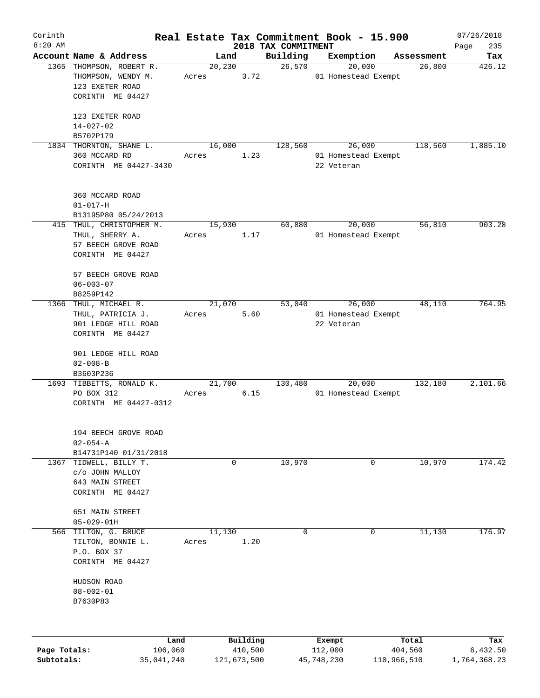| Corinth      |                                                                             |                 |             |                     | Real Estate Tax Commitment Book - 15.900 |                      | 07/26/2018    |
|--------------|-----------------------------------------------------------------------------|-----------------|-------------|---------------------|------------------------------------------|----------------------|---------------|
| $8:20$ AM    | Account Name & Address                                                      |                 |             | 2018 TAX COMMITMENT |                                          |                      | 235<br>Page   |
|              | 1365 THOMPSON, ROBERT R.                                                    | 20, 230         | Land        | Building<br>26,570  | Exemption<br>20,000                      | Assessment<br>26,800 | Tax<br>426.12 |
|              | THOMPSON, WENDY M.<br>123 EXETER ROAD<br>CORINTH ME 04427                   | Acres           | 3.72        |                     | 01 Homestead Exempt                      |                      |               |
|              | 123 EXETER ROAD<br>$14 - 027 - 02$<br>B5702P179                             |                 |             |                     |                                          |                      |               |
|              | 1834 THORNTON, SHANE L.                                                     | 16,000          |             | 128,560             | 26,000                                   | 118,560              | 1,885.10      |
|              | 360 MCCARD RD<br>CORINTH ME 04427-3430                                      | Acres           | 1.23        |                     | 01 Homestead Exempt<br>22 Veteran        |                      |               |
|              | 360 MCCARD ROAD<br>$01 - 017 - H$<br>B13195P80 05/24/2013                   |                 |             |                     |                                          |                      |               |
|              | 415 THUL, CHRISTOPHER M.                                                    | 15,930          |             | 60,880              | 20,000                                   | 56,810               | 903.28        |
|              | THUL, SHERRY A.<br>57 BEECH GROVE ROAD<br>CORINTH ME 04427                  | Acres           | 1.17        |                     | 01 Homestead Exempt                      |                      |               |
|              | 57 BEECH GROVE ROAD<br>$06 - 003 - 07$<br>B8259P142                         |                 |             |                     |                                          |                      |               |
|              | 1366 THUL, MICHAEL R.                                                       | 21,070          |             | 53,040              | 26,000                                   | 48,110               | 764.95        |
|              | THUL, PATRICIA J.<br>901 LEDGE HILL ROAD<br>CORINTH ME 04427                | Acres           | 5.60        |                     | 01 Homestead Exempt<br>22 Veteran        |                      |               |
|              | 901 LEDGE HILL ROAD<br>$02 - 008 - B$<br>B3603P236                          |                 |             |                     |                                          |                      |               |
|              | 1693 TIBBETTS, RONALD K.<br>PO BOX 312<br>CORINTH ME 04427-0312             | 21,700<br>Acres | 6.15        | 130,480             | 20,000<br>01 Homestead Exempt            | 132,180              | 2,101.66      |
|              | 194 BEECH GROVE ROAD<br>$02 - 054 - A$<br>B14731P140 01/31/2018             |                 |             |                     |                                          |                      |               |
| 1367         | TIDWELL, BILLY T.<br>c/o JOHN MALLOY<br>643 MAIN STREET<br>CORINTH ME 04427 |                 | $\mathbf 0$ | 10,970              | 0                                        | 10,970               | 174.42        |
|              | 651 MAIN STREET                                                             |                 |             |                     |                                          |                      |               |
|              | $05 - 029 - 01H$                                                            |                 |             |                     |                                          |                      |               |
| 566          | TILTON, G. BRUCE<br>TILTON, BONNIE L.<br>P.O. BOX 37<br>CORINTH ME 04427    | 11,130<br>Acres | 1.20        | $\mathbf 0$         | 0                                        | 11,130               | 176.97        |
|              | HUDSON ROAD<br>$08 - 002 - 01$<br>B7630P83                                  |                 |             |                     |                                          |                      |               |
|              | Land                                                                        |                 | Building    |                     | Exempt                                   | Total                | Tax           |
| Page Totals: | 106,060                                                                     |                 | 410,500     |                     | 112,000                                  | 404,560              | 6,432.50      |

**Subtotals:** 35,041,240 121,673,500 45,748,230 110,966,510 1,764,368.23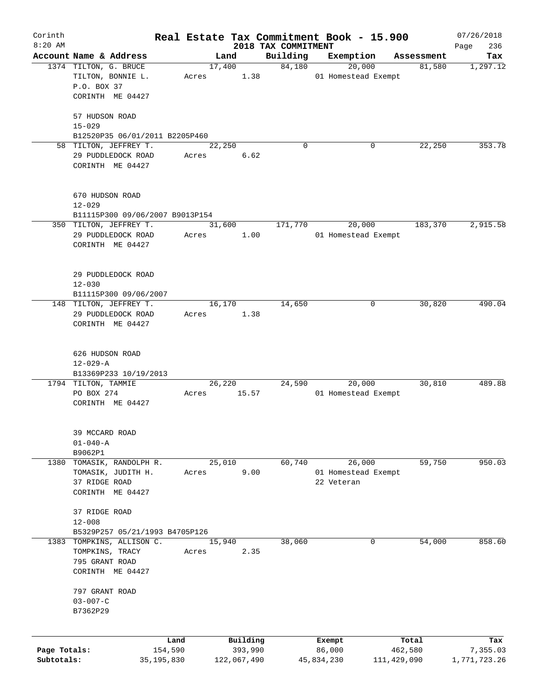| Corinth      |                                                           |                 |                     |                                 | Real Estate Tax Commitment Book - 15.900 |                      | 07/26/2018      |
|--------------|-----------------------------------------------------------|-----------------|---------------------|---------------------------------|------------------------------------------|----------------------|-----------------|
| $8:20$ AM    | Account Name & Address                                    |                 | Land                | 2018 TAX COMMITMENT<br>Building |                                          |                      | 236<br>Page     |
|              | 1374 TILTON, G. BRUCE                                     |                 | 17,400              | 84,180                          | Exemption<br>20,000                      | Assessment<br>81,580 | Tax<br>1,297.12 |
|              | TILTON, BONNIE L.                                         | Acres           | 1.38                |                                 | 01 Homestead Exempt                      |                      |                 |
|              | P.O. BOX 37                                               |                 |                     |                                 |                                          |                      |                 |
|              | CORINTH ME 04427                                          |                 |                     |                                 |                                          |                      |                 |
|              |                                                           |                 |                     |                                 |                                          |                      |                 |
|              | 57 HUDSON ROAD                                            |                 |                     |                                 |                                          |                      |                 |
|              | $15 - 029$                                                |                 |                     |                                 |                                          |                      |                 |
|              | B12520P35 06/01/2011 B2205P460                            |                 |                     |                                 |                                          |                      |                 |
|              | 58 TILTON, JEFFREY T.                                     |                 | 22,250              | $\Omega$                        | 0                                        | 22,250               | 353.78          |
|              | 29 PUDDLEDOCK ROAD                                        | Acres           | 6.62                |                                 |                                          |                      |                 |
|              | CORINTH ME 04427                                          |                 |                     |                                 |                                          |                      |                 |
|              |                                                           |                 |                     |                                 |                                          |                      |                 |
|              |                                                           |                 |                     |                                 |                                          |                      |                 |
|              | 670 HUDSON ROAD                                           |                 |                     |                                 |                                          |                      |                 |
|              | $12 - 029$                                                |                 |                     |                                 |                                          |                      |                 |
|              | B11115P300 09/06/2007 B9013P154<br>350 TILTON, JEFFREY T. |                 | 31,600              | 171,770                         | 20,000                                   | 183,370              | 2,915.58        |
|              | 29 PUDDLEDOCK ROAD                                        | Acres           | 1.00                |                                 | 01 Homestead Exempt                      |                      |                 |
|              | CORINTH ME 04427                                          |                 |                     |                                 |                                          |                      |                 |
|              |                                                           |                 |                     |                                 |                                          |                      |                 |
|              |                                                           |                 |                     |                                 |                                          |                      |                 |
|              | 29 PUDDLEDOCK ROAD                                        |                 |                     |                                 |                                          |                      |                 |
|              | $12 - 030$                                                |                 |                     |                                 |                                          |                      |                 |
|              | B11115P300 09/06/2007                                     |                 |                     |                                 |                                          |                      |                 |
|              | 148 TILTON, JEFFREY T.                                    |                 | 16,170              | 14,650                          | 0                                        | 30,820               | 490.04          |
|              | 29 PUDDLEDOCK ROAD                                        | Acres           | 1.38                |                                 |                                          |                      |                 |
|              | CORINTH ME 04427                                          |                 |                     |                                 |                                          |                      |                 |
|              |                                                           |                 |                     |                                 |                                          |                      |                 |
|              | 626 HUDSON ROAD                                           |                 |                     |                                 |                                          |                      |                 |
|              | $12 - 029 - A$                                            |                 |                     |                                 |                                          |                      |                 |
|              | B13369P233 10/19/2013                                     |                 |                     |                                 |                                          |                      |                 |
|              | 1794 TILTON, TAMMIE                                       |                 | 26,220              | 24,590                          | 20,000                                   | 30,810               | 489.88          |
|              | PO BOX 274                                                | Acres           | 15.57               |                                 | 01 Homestead Exempt                      |                      |                 |
|              | CORINTH ME 04427                                          |                 |                     |                                 |                                          |                      |                 |
|              |                                                           |                 |                     |                                 |                                          |                      |                 |
|              | 39 MCCARD ROAD                                            |                 |                     |                                 |                                          |                      |                 |
|              | $01 - 040 - A$                                            |                 |                     |                                 |                                          |                      |                 |
|              | B9062P1                                                   |                 |                     |                                 |                                          |                      |                 |
| 1380         | TOMASIK, RANDOLPH R.                                      |                 | 25,010              | 60,740                          | 26,000                                   | 59,750               | 950.03          |
|              | TOMASIK, JUDITH H.                                        | Acres           | 9.00                |                                 | 01 Homestead Exempt                      |                      |                 |
|              | 37 RIDGE ROAD                                             |                 |                     |                                 | 22 Veteran                               |                      |                 |
|              | CORINTH ME 04427                                          |                 |                     |                                 |                                          |                      |                 |
|              |                                                           |                 |                     |                                 |                                          |                      |                 |
|              | 37 RIDGE ROAD                                             |                 |                     |                                 |                                          |                      |                 |
|              | $12 - 008$                                                |                 |                     |                                 |                                          |                      |                 |
|              | B5329P257 05/21/1993 B4705P126                            |                 |                     |                                 |                                          |                      |                 |
| 1383         | TOMPKINS, ALLISON C.                                      |                 | 15,940              | 38,060                          | 0                                        | 54,000               | 858.60          |
|              | TOMPKINS, TRACY                                           | Acres           | 2.35                |                                 |                                          |                      |                 |
|              | 795 GRANT ROAD                                            |                 |                     |                                 |                                          |                      |                 |
|              | CORINTH ME 04427                                          |                 |                     |                                 |                                          |                      |                 |
|              | 797 GRANT ROAD                                            |                 |                     |                                 |                                          |                      |                 |
|              | $03 - 007 - C$                                            |                 |                     |                                 |                                          |                      |                 |
|              | B7362P29                                                  |                 |                     |                                 |                                          |                      |                 |
|              |                                                           |                 |                     |                                 |                                          |                      |                 |
|              |                                                           |                 |                     |                                 |                                          |                      |                 |
| Page Totals: |                                                           | Land<br>154,590 | Building<br>393,990 |                                 | Exempt<br>86,000                         | Total<br>462,580     | Tax<br>7,355.03 |
| Subtotals:   | 35,195,830                                                |                 | 122,067,490         |                                 | 45,834,230                               | 111,429,090          | 1,771,723.26    |
|              |                                                           |                 |                     |                                 |                                          |                      |                 |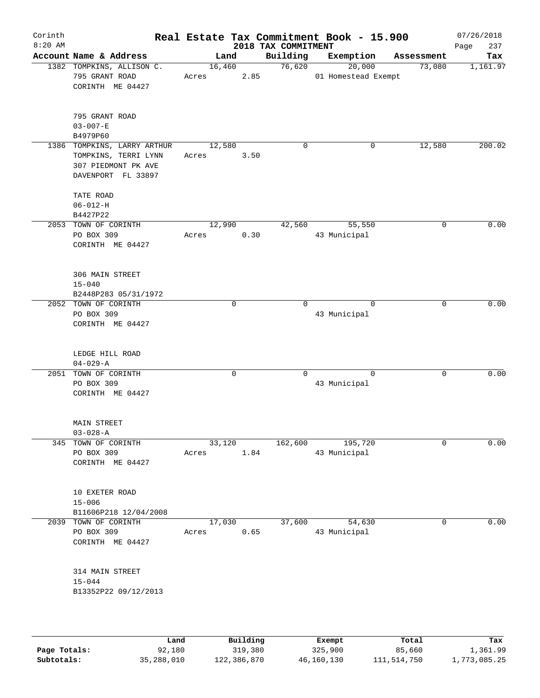| Corinth<br>$8:20$ AM |                                                                                                  |       |                 |      | Real Estate Tax Commitment Book - 15.900<br>2018 TAX COMMITMENT |              |                               |             | 07/26/2018<br>237<br>Page |
|----------------------|--------------------------------------------------------------------------------------------------|-------|-----------------|------|-----------------------------------------------------------------|--------------|-------------------------------|-------------|---------------------------|
|                      | Account Name & Address                                                                           |       | Land            |      | Building                                                        |              | Exemption                     | Assessment  | Tax                       |
|                      | 1382 TOMPKINS, ALLISON C.<br>795 GRANT ROAD<br>CORINTH ME 04427                                  |       | 16,460<br>Acres | 2.85 | 76,620                                                          |              | 20,000<br>01 Homestead Exempt | 73,080      | 1,161.97                  |
|                      | 795 GRANT ROAD<br>$03 - 007 - E$<br>B4979P60                                                     |       |                 |      |                                                                 |              |                               |             |                           |
|                      | 1386 TOMPKINS, LARRY ARTHUR<br>TOMPKINS, TERRI LYNN<br>307 PIEDMONT PK AVE<br>DAVENPORT FL 33897 | Acres | 12,580          | 3.50 | $\mathbf 0$                                                     |              | 0                             | 12,580      | 200.02                    |
|                      | TATE ROAD<br>$06 - 012 - H$<br>B4427P22                                                          |       |                 |      |                                                                 |              |                               |             |                           |
|                      | 2053 TOWN OF CORINTH                                                                             |       | 12,990          |      | 42,560                                                          |              | 55,550                        | 0           | 0.00                      |
|                      | PO BOX 309<br>CORINTH ME 04427                                                                   | Acres |                 | 0.30 |                                                                 | 43 Municipal |                               |             |                           |
|                      | 306 MAIN STREET<br>$15 - 040$<br>B2448P283 05/31/1972                                            |       |                 |      |                                                                 |              |                               |             |                           |
|                      | 2052 TOWN OF CORINTH<br>PO BOX 309<br>CORINTH ME 04427                                           |       | $\mathbf 0$     |      | $\Omega$                                                        | 43 Municipal | $\Omega$                      | 0           | 0.00                      |
|                      | LEDGE HILL ROAD<br>$04 - 029 - A$                                                                |       |                 |      |                                                                 |              |                               |             |                           |
|                      | 2051 TOWN OF CORINTH<br>PO BOX 309<br>CORINTH ME 04427                                           |       | $\mathbf 0$     |      | $\Omega$                                                        | 43 Municipal | $\mathbf 0$                   | $\mathbf 0$ | 0.00                      |
|                      | MAIN STREET<br>$03 - 028 - A$                                                                    |       |                 |      |                                                                 |              |                               |             |                           |
| 345                  | TOWN OF CORINTH<br>PO BOX 309<br>CORINTH ME 04427                                                | Acres | 33,120          | 1.84 | 162,600                                                         | 43 Municipal | 195,720                       | 0           | 0.00                      |
|                      | 10 EXETER ROAD<br>$15 - 006$<br>B11606P218 12/04/2008                                            |       |                 |      |                                                                 |              |                               |             |                           |
|                      | 2039 TOWN OF CORINTH                                                                             |       | 17,030          |      | 37,600                                                          |              | 54,630                        | 0           | 0.00                      |
|                      | PO BOX 309<br>CORINTH ME 04427                                                                   | Acres |                 | 0.65 |                                                                 | 43 Municipal |                               |             |                           |
|                      | 314 MAIN STREET<br>$15 - 044$<br>B13352P22 09/12/2013                                            |       |                 |      |                                                                 |              |                               |             |                           |
|                      |                                                                                                  |       |                 |      |                                                                 |              |                               |             |                           |

|              | Land       | Building    | Exempt     | Total       | Tax          |
|--------------|------------|-------------|------------|-------------|--------------|
| Page Totals: | 92,180     | 319,380     | 325,900    | 85,660      | 1,361.99     |
| Subtotals:   | 35,288,010 | 122,386,870 | 46,160,130 | 111,514,750 | 1,773,085.25 |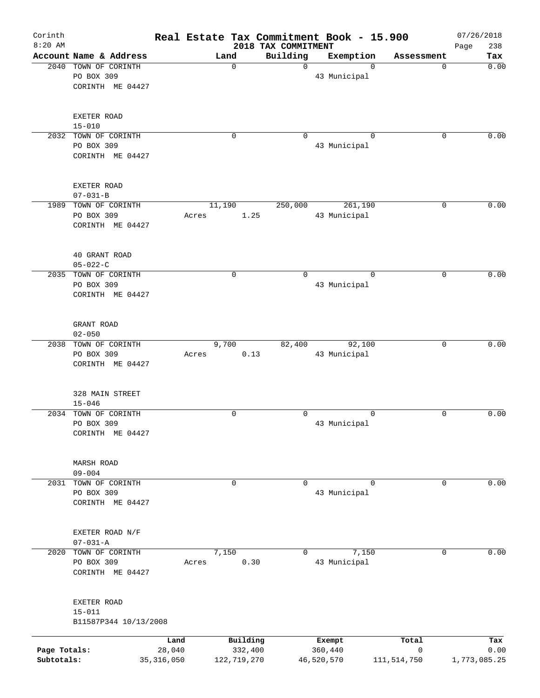| Corinth<br>$8:20$ AM |                        | Real Estate Tax Commitment Book - 15.900 |             | 2018 TAX COMMITMENT |              |               | 07/26/2018<br>238<br>Page |
|----------------------|------------------------|------------------------------------------|-------------|---------------------|--------------|---------------|---------------------------|
|                      | Account Name & Address |                                          | Land        | Building            | Exemption    | Assessment    | Tax                       |
|                      | 2040 TOWN OF CORINTH   |                                          | 0           | $\Omega$            |              | $\Omega$      | 0.00<br>0                 |
|                      | PO BOX 309             |                                          |             |                     | 43 Municipal |               |                           |
|                      | CORINTH ME 04427       |                                          |             |                     |              |               |                           |
|                      |                        |                                          |             |                     |              |               |                           |
|                      |                        |                                          |             |                     |              |               |                           |
|                      | <b>EXETER ROAD</b>     |                                          |             |                     |              |               |                           |
|                      | $15 - 010$             |                                          |             |                     |              |               |                           |
|                      | 2032 TOWN OF CORINTH   |                                          | 0           | $\Omega$            |              | $\Omega$      | $\Omega$<br>0.00          |
|                      | PO BOX 309             |                                          |             |                     | 43 Municipal |               |                           |
|                      | CORINTH ME 04427       |                                          |             |                     |              |               |                           |
|                      |                        |                                          |             |                     |              |               |                           |
|                      |                        |                                          |             |                     |              |               |                           |
|                      | EXETER ROAD            |                                          |             |                     |              |               |                           |
|                      | $07 - 031 - B$         |                                          |             |                     |              |               |                           |
|                      | 1989 TOWN OF CORINTH   |                                          | 11,190      | 250,000             | 261,190      |               | 0.00<br>0                 |
|                      | PO BOX 309             | Acres                                    | 1.25        |                     | 43 Municipal |               |                           |
|                      | CORINTH ME 04427       |                                          |             |                     |              |               |                           |
|                      |                        |                                          |             |                     |              |               |                           |
|                      |                        |                                          |             |                     |              |               |                           |
|                      | 40 GRANT ROAD          |                                          |             |                     |              |               |                           |
|                      | $05 - 022 - C$         |                                          |             |                     |              |               |                           |
|                      | 2035 TOWN OF CORINTH   |                                          | $\mathbf 0$ | $\mathbf 0$         |              | $\Omega$      | 0.00<br>0                 |
|                      | PO BOX 309             |                                          |             |                     | 43 Municipal |               |                           |
|                      | CORINTH ME 04427       |                                          |             |                     |              |               |                           |
|                      |                        |                                          |             |                     |              |               |                           |
|                      | GRANT ROAD             |                                          |             |                     |              |               |                           |
|                      | $02 - 050$             |                                          |             |                     |              |               |                           |
|                      | 2038 TOWN OF CORINTH   |                                          | 9,700       | 82,400              | 92,100       |               | 0.00<br>0                 |
|                      | PO BOX 309             | Acres                                    | 0.13        |                     | 43 Municipal |               |                           |
|                      | CORINTH ME 04427       |                                          |             |                     |              |               |                           |
|                      |                        |                                          |             |                     |              |               |                           |
|                      |                        |                                          |             |                     |              |               |                           |
|                      | 328 MAIN STREET        |                                          |             |                     |              |               |                           |
|                      | $15 - 046$             |                                          |             |                     |              |               |                           |
| 2034                 | TOWN OF CORINTH        |                                          | 0           | $\Omega$            |              | 0             | 0.00<br>0                 |
|                      | PO BOX 309             |                                          |             |                     | 43 Municipal |               |                           |
|                      | CORINTH ME 04427       |                                          |             |                     |              |               |                           |
|                      |                        |                                          |             |                     |              |               |                           |
|                      |                        |                                          |             |                     |              |               |                           |
|                      | <b>MARSH ROAD</b>      |                                          |             |                     |              |               |                           |
|                      | $09 - 004$             |                                          |             |                     |              |               |                           |
| 2031                 | TOWN OF CORINTH        |                                          | 0           | $\mathbf 0$         |              | $\mathbf 0$   | 0.00<br>0                 |
|                      | PO BOX 309             |                                          |             |                     | 43 Municipal |               |                           |
|                      | CORINTH ME 04427       |                                          |             |                     |              |               |                           |
|                      |                        |                                          |             |                     |              |               |                           |
|                      |                        |                                          |             |                     |              |               |                           |
|                      | EXETER ROAD N/F        |                                          |             |                     |              |               |                           |
|                      | $07 - 031 - A$         |                                          |             |                     |              |               |                           |
| 2020                 | TOWN OF CORINTH        |                                          | 7,150       | $\mathbf 0$         | 7,150        |               | 0.00<br>0                 |
|                      | PO BOX 309             | Acres                                    | 0.30        |                     | 43 Municipal |               |                           |
|                      | CORINTH ME 04427       |                                          |             |                     |              |               |                           |
|                      |                        |                                          |             |                     |              |               |                           |
|                      | EXETER ROAD            |                                          |             |                     |              |               |                           |
|                      | $15 - 011$             |                                          |             |                     |              |               |                           |
|                      | B11587P344 10/13/2008  |                                          |             |                     |              |               |                           |
|                      |                        |                                          |             |                     |              |               |                           |
|                      |                        | Land                                     | Building    |                     | Exempt       | Total         | Tax                       |
| Page Totals:         |                        | 28,040                                   | 332,400     |                     | 360,440      | 0             | 0.00                      |
| Subtotals:           |                        | 35, 316, 050                             | 122,719,270 |                     | 46,520,570   | 111, 514, 750 | 1,773,085.25              |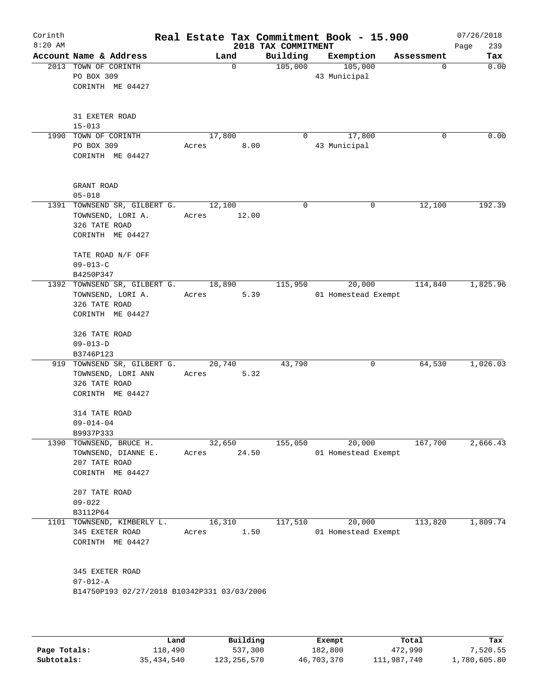| Corinth<br>$8:20$ AM |                                                                                                     |                          | 2018 TAX COMMITMENT | Real Estate Tax Commitment Book - 15.900 | 07/26/2018<br>239<br>Page |
|----------------------|-----------------------------------------------------------------------------------------------------|--------------------------|---------------------|------------------------------------------|---------------------------|
|                      | Account Name & Address                                                                              | Land                     | Building            | Exemption                                | Assessment<br>Tax         |
|                      | 2013 TOWN OF CORINTH<br>PO BOX 309<br>CORINTH ME 04427                                              | $\Omega$                 | 105,000             | 105,000<br>43 Municipal                  | 0.00<br>$\Omega$          |
|                      | 31 EXETER ROAD<br>$15 - 013$<br>1990 TOWN OF CORINTH                                                | 17,800                   | $\overline{0}$      | 17,800                                   | 0.00<br>$\Omega$          |
|                      | PO BOX 309<br>CORINTH ME 04427                                                                      | Acres 8.00               |                     | 43 Municipal                             |                           |
|                      | GRANT ROAD<br>$05 - 018$                                                                            |                          |                     |                                          |                           |
|                      | 1391 TOWNSEND SR, GILBERT G. 12,100<br>TOWNSEND, LORI A.<br>326 TATE ROAD<br>CORINTH ME 04427       | Acres 12.00              | $\Omega$            | 0                                        | 192.39<br>12,100          |
|                      | TATE ROAD N/F OFF<br>$09 - 013 - C$<br>B4250P347                                                    |                          |                     |                                          |                           |
|                      | 1392 TOWNSEND SR, GILBERT G. 18,890<br>TOWNSEND, LORI A. Acres<br>326 TATE ROAD<br>CORINTH ME 04427 | 5.39                     | 115,950             | 20,000<br>01 Homestead Exempt            | 114,840<br>1,825.96       |
|                      | 326 TATE ROAD<br>$09 - 013 - D$<br>B3746P123                                                        |                          |                     |                                          |                           |
|                      | 919 TOWNSEND SR, GILBERT G. 20,740<br>TOWNSEND, LORI ANN<br>326 TATE ROAD<br>CORINTH ME 04427       | 5.32<br>Acres            | 43,790              | 0                                        | 64,530<br>1,026.03        |
|                      | 314 TATE ROAD<br>$09 - 014 - 04$<br>B9937P333                                                       |                          |                     |                                          |                           |
|                      | 1390 TOWNSEND, BRUCE H.<br>TOWNSEND, DIANNE E.<br>207 TATE ROAD<br>CORINTH ME 04427                 | 32,650<br>24.50<br>Acres | 155,050             | 20,000<br>01 Homestead Exempt            | 167,700<br>2,666.43       |
|                      | 207 TATE ROAD<br>$09 - 022$<br>B3112P64                                                             |                          |                     |                                          |                           |
|                      | 1101 TOWNSEND, KIMBERLY L.<br>345 EXETER ROAD<br>CORINTH ME 04427                                   | 16,310<br>1.50<br>Acres  | 117,510             | 20,000<br>01 Homestead Exempt            | 113,820<br>1,809.74       |
|                      | 345 EXETER ROAD<br>$07 - 012 - A$<br>B14750P193 02/27/2018 B10342P331 03/03/2006                    |                          |                     |                                          |                           |
|                      |                                                                                                     |                          |                     |                                          |                           |

|              | Land       | Building    | Exempt     | Total       | Tax          |
|--------------|------------|-------------|------------|-------------|--------------|
| Page Totals: | 118,490    | 537,300     | 182,800    | 472,990     | 7,520.55     |
| Subtotals:   | 35,434,540 | 123,256,570 | 46,703,370 | 111,987,740 | 1,780,605.80 |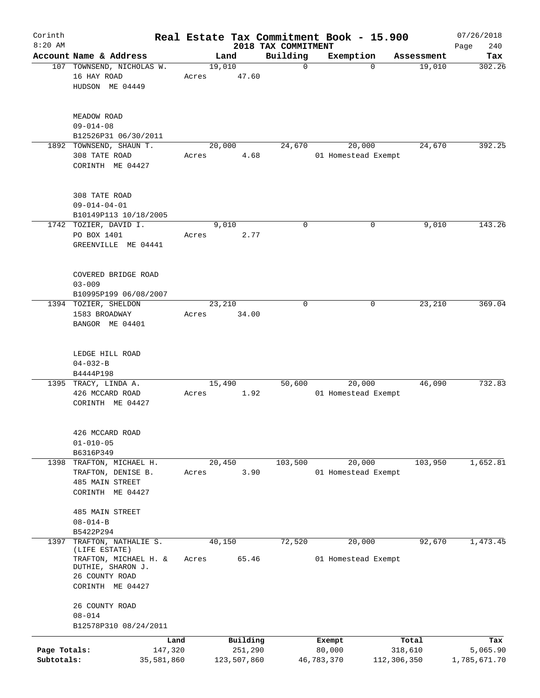| Corinth<br>$8:20$ AM       |                                                                                                   |       |                                    | 2018 TAX COMMITMENT | Real Estate Tax Commitment Book - 15.900 |                                 | 07/26/2018<br>240<br>Page       |
|----------------------------|---------------------------------------------------------------------------------------------------|-------|------------------------------------|---------------------|------------------------------------------|---------------------------------|---------------------------------|
|                            | Account Name & Address                                                                            |       | Land                               | Building            | Exemption                                | Assessment                      | Tax                             |
|                            | 107 TOWNSEND, NICHOLAS W.<br>16 HAY ROAD<br>HUDSON ME 04449                                       | Acres | 19,010<br>47.60                    | $\mathbf 0$         | $\Omega$                                 | 19,010                          | 302.26                          |
|                            | MEADOW ROAD<br>$09 - 014 - 08$<br>B12526P31 06/30/2011                                            |       |                                    |                     |                                          |                                 |                                 |
|                            | 1892 TOWNSEND, SHAUN T.<br>308 TATE ROAD<br>CORINTH ME 04427                                      | Acres | 20,000<br>4.68                     | 24,670              | 20,000<br>01 Homestead Exempt            | 24,670                          | 392.25                          |
|                            | 308 TATE ROAD<br>$09 - 014 - 04 - 01$<br>B10149P113 10/18/2005                                    |       |                                    |                     |                                          |                                 |                                 |
|                            | 1742 TOZIER, DAVID I.<br>PO BOX 1401<br>GREENVILLE ME 04441                                       | Acres | 9,010<br>2.77                      | 0                   | 0                                        | 9,010                           | 143.26                          |
|                            | COVERED BRIDGE ROAD<br>$03 - 009$<br>B10995P199 06/08/2007                                        |       |                                    |                     |                                          |                                 |                                 |
|                            | 1394 TOZIER, SHELDON<br>1583 BROADWAY<br>BANGOR ME 04401                                          | Acres | 23,210<br>34.00                    | $\mathbf 0$         | 0                                        | 23,210                          | 369.04                          |
|                            | LEDGE HILL ROAD<br>$04 - 032 - B$<br>B4444P198                                                    |       |                                    |                     |                                          |                                 |                                 |
|                            | 1395 TRACY, LINDA A.<br>426 MCCARD ROAD<br>CORINTH ME 04427                                       | Acres | 15,490<br>1.92                     | 50,600              | 20,000<br>01 Homestead Exempt            | 46,090                          | 732.83                          |
|                            | 426 MCCARD ROAD<br>$01 - 010 - 05$<br>B6316P349                                                   |       |                                    |                     |                                          |                                 |                                 |
| 1398                       | TRAFTON, MICHAEL H.<br>TRAFTON, DENISE B.<br>485 MAIN STREET<br>CORINTH ME 04427                  | Acres | 20,450<br>3.90                     | 103,500             | 20,000<br>01 Homestead Exempt            | 103,950                         | 1,652.81                        |
|                            | 485 MAIN STREET<br>$08 - 014 - B$<br>B5422P294                                                    |       |                                    |                     |                                          |                                 |                                 |
| 1397                       | TRAFTON, NATHALIE S.                                                                              |       | 40,150                             | 72,520              | 20,000                                   | 92,670                          | 1,473.45                        |
|                            | (LIFE ESTATE)<br>TRAFTON, MICHAEL H. &<br>DUTHIE, SHARON J.<br>26 COUNTY ROAD<br>CORINTH ME 04427 | Acres | 65.46                              |                     | 01 Homestead Exempt                      |                                 |                                 |
|                            | 26 COUNTY ROAD<br>$08 - 014$<br>B12578P310 08/24/2011                                             |       |                                    |                     |                                          |                                 |                                 |
|                            |                                                                                                   |       |                                    |                     |                                          |                                 |                                 |
| Page Totals:<br>Subtotals: | 147,320<br>35,581,860                                                                             | Land  | Building<br>251,290<br>123,507,860 |                     | Exempt<br>80,000<br>46,783,370           | Total<br>318,610<br>112,306,350 | Tax<br>5,065.90<br>1,785,671.70 |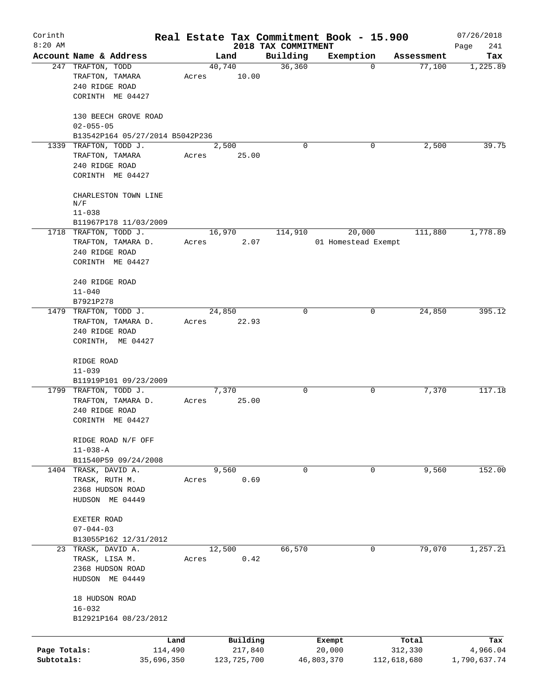| Corinth      |                                        |            |       |             |                                 | Real Estate Tax Commitment Book - 15.900 |                      | 07/26/2018         |
|--------------|----------------------------------------|------------|-------|-------------|---------------------------------|------------------------------------------|----------------------|--------------------|
| $8:20$ AM    | Account Name & Address                 |            |       | Land        | 2018 TAX COMMITMENT<br>Building |                                          |                      | 241<br>Page<br>Tax |
|              | 247 TRAFTON, TODD                      |            |       | 40,740      | 36,360                          | Exemption<br>0                           | Assessment<br>77,100 | 1,225.89           |
|              | TRAFTON, TAMARA                        |            | Acres | 10.00       |                                 |                                          |                      |                    |
|              | 240 RIDGE ROAD                         |            |       |             |                                 |                                          |                      |                    |
|              | CORINTH ME 04427                       |            |       |             |                                 |                                          |                      |                    |
|              |                                        |            |       |             |                                 |                                          |                      |                    |
|              | 130 BEECH GROVE ROAD                   |            |       |             |                                 |                                          |                      |                    |
|              | $02 - 055 - 05$                        |            |       |             |                                 |                                          |                      |                    |
|              | B13542P164 05/27/2014 B5042P236        |            |       |             |                                 |                                          |                      |                    |
|              | 1339 TRAFTON, TODD J.                  |            |       | 2,500       | $\Omega$                        | 0                                        | 2,500                | 39.75              |
|              | TRAFTON, TAMARA                        |            | Acres | 25.00       |                                 |                                          |                      |                    |
|              | 240 RIDGE ROAD                         |            |       |             |                                 |                                          |                      |                    |
|              | CORINTH ME 04427                       |            |       |             |                                 |                                          |                      |                    |
|              | CHARLESTON TOWN LINE                   |            |       |             |                                 |                                          |                      |                    |
|              | N/F                                    |            |       |             |                                 |                                          |                      |                    |
|              | $11 - 038$                             |            |       |             |                                 |                                          |                      |                    |
|              | B11967P178 11/03/2009                  |            |       |             |                                 |                                          |                      |                    |
|              | 1718 TRAFTON, TODD J.                  |            |       | 16,970      | 114,910                         | 20,000                                   | 111,880              | 1,778.89           |
|              | TRAFTON, TAMARA D.                     |            | Acres | 2.07        |                                 | 01 Homestead Exempt                      |                      |                    |
|              | 240 RIDGE ROAD                         |            |       |             |                                 |                                          |                      |                    |
|              | CORINTH ME 04427                       |            |       |             |                                 |                                          |                      |                    |
|              | 240 RIDGE ROAD                         |            |       |             |                                 |                                          |                      |                    |
|              | $11 - 040$                             |            |       |             |                                 |                                          |                      |                    |
|              | B7921P278                              |            |       |             |                                 |                                          |                      |                    |
|              | 1479 TRAFTON, TODD J.                  |            |       | 24,850      | $\Omega$                        | 0                                        | 24,850               | 395.12             |
|              | TRAFTON, TAMARA D.                     |            | Acres | 22.93       |                                 |                                          |                      |                    |
|              | 240 RIDGE ROAD                         |            |       |             |                                 |                                          |                      |                    |
|              | CORINTH, ME 04427                      |            |       |             |                                 |                                          |                      |                    |
|              |                                        |            |       |             |                                 |                                          |                      |                    |
|              | RIDGE ROAD                             |            |       |             |                                 |                                          |                      |                    |
|              | $11 - 039$                             |            |       |             |                                 |                                          |                      |                    |
|              | B11919P101 09/23/2009                  |            |       |             |                                 |                                          |                      |                    |
|              | 1799 TRAFTON, TODD J.                  |            |       | 7,370       | 0                               | 0                                        | 7,370                | 117.18             |
|              | TRAFTON, TAMARA D.                     |            | Acres | 25.00       |                                 |                                          |                      |                    |
|              | 240 RIDGE ROAD                         |            |       |             |                                 |                                          |                      |                    |
|              | CORINTH ME 04427                       |            |       |             |                                 |                                          |                      |                    |
|              |                                        |            |       |             |                                 |                                          |                      |                    |
|              | RIDGE ROAD N/F OFF                     |            |       |             |                                 |                                          |                      |                    |
|              | $11 - 038 - A$<br>B11540P59 09/24/2008 |            |       |             |                                 |                                          |                      |                    |
|              | 1404 TRASK, DAVID A.                   |            |       | 9,560       | 0                               | $\mathbf 0$                              | 9,560                | 152.00             |
|              | TRASK, RUTH M.                         |            | Acres | 0.69        |                                 |                                          |                      |                    |
|              | 2368 HUDSON ROAD                       |            |       |             |                                 |                                          |                      |                    |
|              | HUDSON ME 04449                        |            |       |             |                                 |                                          |                      |                    |
|              |                                        |            |       |             |                                 |                                          |                      |                    |
|              | EXETER ROAD                            |            |       |             |                                 |                                          |                      |                    |
|              | $07 - 044 - 03$                        |            |       |             |                                 |                                          |                      |                    |
|              | B13055P162 12/31/2012                  |            |       |             |                                 |                                          |                      |                    |
|              | 23 TRASK, DAVID A.                     |            |       | 12,500      | 66,570                          | $\mathbf 0$                              | 79,070               | 1,257.21           |
|              | TRASK, LISA M.                         |            | Acres | 0.42        |                                 |                                          |                      |                    |
|              | 2368 HUDSON ROAD                       |            |       |             |                                 |                                          |                      |                    |
|              | HUDSON ME 04449                        |            |       |             |                                 |                                          |                      |                    |
|              |                                        |            |       |             |                                 |                                          |                      |                    |
|              | 18 HUDSON ROAD                         |            |       |             |                                 |                                          |                      |                    |
|              | $16 - 032$<br>B12921P164 08/23/2012    |            |       |             |                                 |                                          |                      |                    |
|              |                                        |            |       |             |                                 |                                          |                      |                    |
|              |                                        | Land       |       | Building    |                                 | Exempt                                   | Total                | Tax                |
| Page Totals: |                                        | 114,490    |       | 217,840     |                                 | 20,000                                   | 312,330              | 4,966.04           |
| Subtotals:   |                                        | 35,696,350 |       | 123,725,700 |                                 | 46,803,370                               | 112,618,680          | 1,790,637.74       |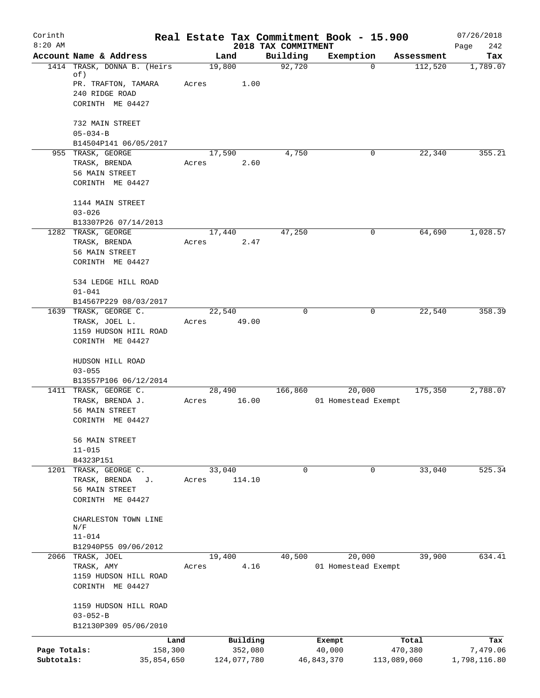| Corinth      |                                                 | Real Estate Tax Commitment Book - 15.900 |          |                                 |                               |             |            | 07/26/2018         |
|--------------|-------------------------------------------------|------------------------------------------|----------|---------------------------------|-------------------------------|-------------|------------|--------------------|
| $8:20$ AM    | Account Name & Address                          | Land                                     |          | 2018 TAX COMMITMENT<br>Building | Exemption                     |             | Assessment | Page<br>242<br>Tax |
|              | 1414 TRASK, DONNA B. (Heirs                     | 19,800                                   |          | 92,720                          |                               | 0           | 112,520    | 1,789.07           |
|              | of)                                             |                                          |          |                                 |                               |             |            |                    |
|              | PR. TRAFTON, TAMARA<br>240 RIDGE ROAD           | Acres                                    | 1.00     |                                 |                               |             |            |                    |
|              | CORINTH ME 04427                                |                                          |          |                                 |                               |             |            |                    |
|              |                                                 |                                          |          |                                 |                               |             |            |                    |
|              | 732 MAIN STREET                                 |                                          |          |                                 |                               |             |            |                    |
|              | $05 - 034 - B$<br>B14504P141 06/05/2017         |                                          |          |                                 |                               |             |            |                    |
|              | 955 TRASK, GEORGE                               | 17,590                                   |          | 4,750                           |                               | 0           | 22,340     | 355.21             |
|              | TRASK, BRENDA                                   | Acres                                    | 2.60     |                                 |                               |             |            |                    |
|              | 56 MAIN STREET                                  |                                          |          |                                 |                               |             |            |                    |
|              | CORINTH ME 04427                                |                                          |          |                                 |                               |             |            |                    |
|              | 1144 MAIN STREET                                |                                          |          |                                 |                               |             |            |                    |
|              | $03 - 026$                                      |                                          |          |                                 |                               |             |            |                    |
|              | B13307P26 07/14/2013                            |                                          |          |                                 |                               |             |            |                    |
|              | 1282 TRASK, GEORGE                              | 17,440                                   |          | 47,250                          |                               | 0           | 64,690     | 1,028.57           |
|              | TRASK, BRENDA<br>56 MAIN STREET                 | Acres                                    | 2.47     |                                 |                               |             |            |                    |
|              | CORINTH ME 04427                                |                                          |          |                                 |                               |             |            |                    |
|              |                                                 |                                          |          |                                 |                               |             |            |                    |
|              | 534 LEDGE HILL ROAD                             |                                          |          |                                 |                               |             |            |                    |
|              | $01 - 041$<br>B14567P229 08/03/2017             |                                          |          |                                 |                               |             |            |                    |
|              | 1639 TRASK, GEORGE C.                           | 22,540                                   |          | $\Omega$                        |                               | 0           | 22,540     | 358.39             |
|              | TRASK, JOEL L.                                  | Acres                                    | 49.00    |                                 |                               |             |            |                    |
|              | 1159 HUDSON HIIL ROAD                           |                                          |          |                                 |                               |             |            |                    |
|              | CORINTH ME 04427                                |                                          |          |                                 |                               |             |            |                    |
|              | HUDSON HILL ROAD                                |                                          |          |                                 |                               |             |            |                    |
|              | $03 - 055$                                      |                                          |          |                                 |                               |             |            |                    |
|              | B13557P106 06/12/2014                           |                                          |          |                                 |                               |             |            |                    |
|              | 1411 TRASK, GEORGE C.<br>TRASK, BRENDA J.       | 28,490<br>Acres                          | 16.00    | 166,860                         | 20,000<br>01 Homestead Exempt |             | 175,350    | 2,788.07           |
|              | 56 MAIN STREET                                  |                                          |          |                                 |                               |             |            |                    |
|              | CORINTH ME 04427                                |                                          |          |                                 |                               |             |            |                    |
|              | 56 MAIN STREET                                  |                                          |          |                                 |                               |             |            |                    |
|              | $11 - 015$                                      |                                          |          |                                 |                               |             |            |                    |
|              | B4323P151                                       |                                          |          |                                 |                               |             |            |                    |
|              | 1201 TRASK, GEORGE C.                           | 33,040                                   |          | $\mathbf 0$                     |                               | $\mathbf 0$ | 33,040     | 525.34             |
|              | TRASK, BRENDA<br>J.<br>56 MAIN STREET           | Acres                                    | 114.10   |                                 |                               |             |            |                    |
|              | CORINTH ME 04427                                |                                          |          |                                 |                               |             |            |                    |
|              |                                                 |                                          |          |                                 |                               |             |            |                    |
|              | CHARLESTON TOWN LINE<br>$\mathrm{N}/\mathrm{F}$ |                                          |          |                                 |                               |             |            |                    |
|              | $11 - 014$                                      |                                          |          |                                 |                               |             |            |                    |
|              | B12940P55 09/06/2012                            |                                          |          |                                 |                               |             |            |                    |
|              | 2066 TRASK, JOEL                                | 19,400                                   | 4.16     | 40,500                          | 20,000                        |             | 39,900     | 634.41             |
|              | TRASK, AMY<br>1159 HUDSON HILL ROAD             | Acres                                    |          |                                 | 01 Homestead Exempt           |             |            |                    |
|              | CORINTH ME 04427                                |                                          |          |                                 |                               |             |            |                    |
|              |                                                 |                                          |          |                                 |                               |             |            |                    |
|              | 1159 HUDSON HILL ROAD<br>$03 - 052 - B$         |                                          |          |                                 |                               |             |            |                    |
|              | B12130P309 05/06/2010                           |                                          |          |                                 |                               |             |            |                    |
|              | Land                                            |                                          | Building |                                 | Exempt                        |             | Total      | Tax                |
| Page Totals: | 158,300                                         |                                          | 352,080  |                                 | 40,000                        |             | 470,380    | 7,479.06           |
| Subtotals:   | 35,854,650                                      | 124,077,780                              |          |                                 | 46,843,370                    | 113,089,060 |            | 1,798,116.80       |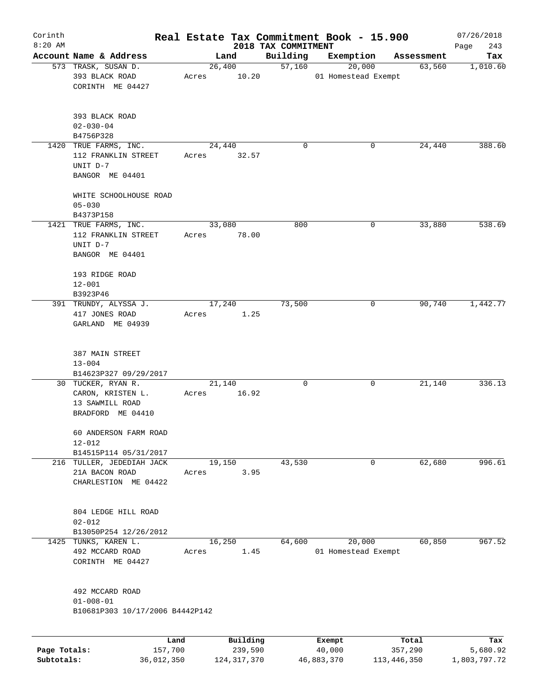| Corinth      |                                                                                 |                 |          |                                 | Real Estate Tax Commitment Book - 15.900 |            | 07/26/2018         |
|--------------|---------------------------------------------------------------------------------|-----------------|----------|---------------------------------|------------------------------------------|------------|--------------------|
| $8:20$ AM    | Account Name & Address                                                          |                 | Land     | 2018 TAX COMMITMENT<br>Building | Exemption                                | Assessment | 243<br>Page<br>Tax |
|              | 573 TRASK, SUSAN D.                                                             |                 | 26,400   | 57,160                          | 20,000                                   | 63,560     | 1,010.60           |
|              | 393 BLACK ROAD<br>CORINTH ME 04427                                              | Acres           | 10.20    |                                 | 01 Homestead Exempt                      |            |                    |
|              | 393 BLACK ROAD<br>$02 - 030 - 04$<br>B4756P328                                  |                 |          |                                 |                                          |            |                    |
|              | 1420 TRUE FARMS, INC.                                                           | 24,440          |          | 0                               | 0                                        | 24,440     | 388.60             |
|              | 112 FRANKLIN STREET<br>UNIT D-7<br>BANGOR ME 04401                              | Acres           | 32.57    |                                 |                                          |            |                    |
|              | WHITE SCHOOLHOUSE ROAD<br>$05 - 030$                                            |                 |          |                                 |                                          |            |                    |
|              | B4373P158                                                                       |                 |          |                                 |                                          |            |                    |
|              | 1421 TRUE FARMS, INC.<br>112 FRANKLIN STREET<br>UNIT D-7<br>BANGOR ME 04401     | 33,080<br>Acres | 78.00    | 800                             | 0                                        | 33,880     | 538.69             |
|              | 193 RIDGE ROAD<br>$12 - 001$                                                    |                 |          |                                 |                                          |            |                    |
|              | B3923P46<br>391 TRUNDY, ALYSSA J.                                               | 17,240          |          | 73,500                          | 0                                        | 90,740     | 1,442.77           |
|              | 417 JONES ROAD<br>GARLAND ME 04939                                              | Acres           | 1.25     |                                 |                                          |            |                    |
|              | 387 MAIN STREET<br>$13 - 004$<br>B14623P327 09/29/2017                          |                 |          |                                 |                                          |            |                    |
|              | 30 TUCKER, RYAN R.<br>CARON, KRISTEN L.<br>13 SAWMILL ROAD<br>BRADFORD ME 04410 | 21,140<br>Acres | 16.92    | 0                               | 0                                        | 21,140     | 336.13             |
|              | 60 ANDERSON FARM ROAD<br>$12 - 012$                                             |                 |          |                                 |                                          |            |                    |
|              | B14515P114 05/31/2017<br>216 TULLER, JEDEDIAH JACK                              | 19,150          |          | 43,530                          | 0                                        | 62,680     | 996.61             |
|              | 21A BACON ROAD<br>CHARLESTION ME 04422                                          | Acres           | 3.95     |                                 |                                          |            |                    |
|              | 804 LEDGE HILL ROAD<br>$02 - 012$                                               |                 |          |                                 |                                          |            |                    |
|              | B13050P254 12/26/2012                                                           |                 |          |                                 |                                          |            |                    |
| 1425         | TUNKS, KAREN L.<br>492 MCCARD ROAD<br>CORINTH ME 04427                          | 16,250<br>Acres | 1.45     | 64,600                          | 20,000<br>01 Homestead Exempt            | 60,850     | 967.52             |
|              | 492 MCCARD ROAD<br>$01 - 008 - 01$                                              |                 |          |                                 |                                          |            |                    |
|              | B10681P303 10/17/2006 B4442P142                                                 |                 |          |                                 |                                          |            |                    |
|              |                                                                                 |                 |          |                                 |                                          |            |                    |
|              | Land                                                                            |                 | Building |                                 | Exempt                                   | Total      | Tax                |
| Page Totals: | 157,700                                                                         |                 | 239,590  |                                 | 40,000                                   | 357,290    | 5,680.92           |

**Subtotals:** 36,012,350 124,317,370 46,883,370 113,446,350 1,803,797.72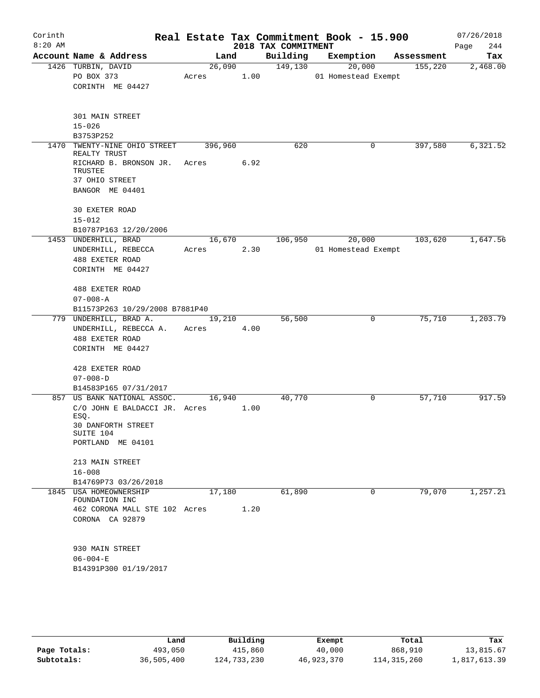| Corinth<br>$8:20$ AM |                                                      |                 |      | Real Estate Tax Commitment Book - 15.900<br>2018 TAX COMMITMENT |                     |        |            | 07/26/2018<br>244<br>Page |
|----------------------|------------------------------------------------------|-----------------|------|-----------------------------------------------------------------|---------------------|--------|------------|---------------------------|
|                      | Account Name & Address                               | Land            |      | Building                                                        | Exemption           |        | Assessment | Tax                       |
|                      | 1426 TURBIN, DAVID<br>PO BOX 373<br>CORINTH ME 04427 | 26,090<br>Acres | 1.00 | 149,130                                                         | 01 Homestead Exempt | 20,000 | 155,220    | 2,468.00                  |
|                      | 301 MAIN STREET<br>$15 - 026$<br>B3753P252           |                 |      |                                                                 |                     |        |            |                           |
| 1470                 | TWENTY-NINE OHIO STREET<br>REALTY TRUST              | 396,960         |      | 620                                                             |                     | 0      | 397,580    | 6,321.52                  |
|                      | RICHARD B. BRONSON JR.<br>TRUSTEE<br>37 OHIO STREET  | Acres           | 6.92 |                                                                 |                     |        |            |                           |
|                      | BANGOR ME 04401                                      |                 |      |                                                                 |                     |        |            |                           |
|                      | 30 EXETER ROAD<br>$15 - 012$                         |                 |      |                                                                 |                     |        |            |                           |
|                      | B10787P163 12/20/2006<br>1453 UNDERHILL, BRAD        | 16,670          |      | 106,950                                                         |                     | 20,000 | 103,620    | 1,647.56                  |
|                      | UNDERHILL, REBECCA                                   | Acres           | 2.30 |                                                                 | 01 Homestead Exempt |        |            |                           |
|                      | 488 EXETER ROAD                                      |                 |      |                                                                 |                     |        |            |                           |
|                      | CORINTH ME 04427                                     |                 |      |                                                                 |                     |        |            |                           |
|                      | 488 EXETER ROAD                                      |                 |      |                                                                 |                     |        |            |                           |
|                      | $07 - 008 - A$                                       |                 |      |                                                                 |                     |        |            |                           |
|                      | B11573P263 10/29/2008 B7881P40                       |                 |      | 56,500                                                          |                     | 0      | 75,710     | 1,203.79                  |
|                      | 779 UNDERHILL, BRAD A.<br>UNDERHILL, REBECCA A.      | 19,210<br>Acres | 4.00 |                                                                 |                     |        |            |                           |
|                      | 488 EXETER ROAD                                      |                 |      |                                                                 |                     |        |            |                           |
|                      | CORINTH ME 04427                                     |                 |      |                                                                 |                     |        |            |                           |
|                      | 428 EXETER ROAD                                      |                 |      |                                                                 |                     |        |            |                           |
|                      | $07 - 008 - D$                                       |                 |      |                                                                 |                     |        |            |                           |
|                      | B14583P165 07/31/2017                                |                 |      |                                                                 |                     |        |            |                           |
|                      | 857 US BANK NATIONAL ASSOC.                          | 16,940          |      | 40,770                                                          |                     | 0      | 57,710     | 917.59                    |
|                      | C/O JOHN E BALDACCI JR. Acres                        |                 | 1.00 |                                                                 |                     |        |            |                           |
|                      | ESQ.<br>30 DANFORTH STREET<br>SUITE 104              |                 |      |                                                                 |                     |        |            |                           |
|                      | PORTLAND ME 04101                                    |                 |      |                                                                 |                     |        |            |                           |
|                      | 213 MAIN STREET                                      |                 |      |                                                                 |                     |        |            |                           |
|                      | $16 - 008$                                           |                 |      |                                                                 |                     |        |            |                           |
|                      | B14769P73 03/26/2018                                 |                 |      |                                                                 |                     |        |            |                           |
|                      | 1845 USA HOMEOWNERSHIP                               | 17,180          |      | 61,890                                                          |                     | 0      | 79,070     | 1,257.21                  |
|                      | FOUNDATION INC<br>462 CORONA MALL STE 102 Acres      |                 | 1.20 |                                                                 |                     |        |            |                           |
|                      | CORONA CA 92879                                      |                 |      |                                                                 |                     |        |            |                           |
|                      |                                                      |                 |      |                                                                 |                     |        |            |                           |
|                      | 930 MAIN STREET                                      |                 |      |                                                                 |                     |        |            |                           |
|                      | $06 - 004 - E$                                       |                 |      |                                                                 |                     |        |            |                           |
|                      | B14391P300 01/19/2017                                |                 |      |                                                                 |                     |        |            |                           |
|                      |                                                      |                 |      |                                                                 |                     |        |            |                           |
|                      |                                                      |                 |      |                                                                 |                     |        |            |                           |
|                      |                                                      |                 |      |                                                                 |                     |        |            |                           |

|              | Land       | Building    | Exempt     | Total         | Tax          |
|--------------|------------|-------------|------------|---------------|--------------|
| Page Totals: | 493,050    | 415,860     | 40,000     | 868,910       | 13,815.67    |
| Subtotals:   | 36,505,400 | 124,733,230 | 46,923,370 | 114, 315, 260 | 1,817,613.39 |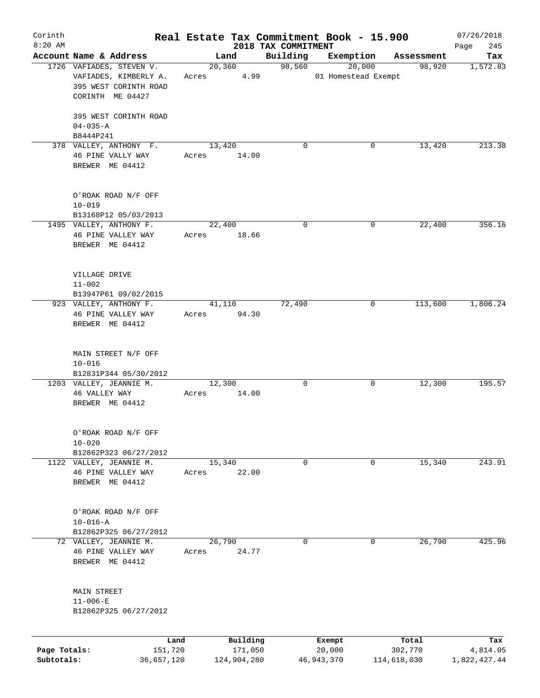| Corinth                    |                                                                    |       |                        |                     | Real Estate Tax Commitment Book - 15.900 |                        | 07/26/2018               |
|----------------------------|--------------------------------------------------------------------|-------|------------------------|---------------------|------------------------------------------|------------------------|--------------------------|
| $8:20$ AM                  |                                                                    |       |                        | 2018 TAX COMMITMENT |                                          |                        | 245<br>Page              |
|                            | Account Name & Address<br>1726 VAFIADES, STEVEN V.                 |       | Land                   | Building            | Exemption                                | Assessment             | Tax                      |
|                            | VAFIADES, KIMBERLY A.<br>395 WEST CORINTH ROAD<br>CORINTH ME 04427 | Acres | 20, 360<br>4.99        | 98,560              | 20,000<br>01 Homestead Exempt            | 98,920                 | 1,572.83                 |
|                            | 395 WEST CORINTH ROAD<br>$04 - 035 - A$<br>B8444P241               |       |                        |                     |                                          |                        |                          |
|                            | 378 VALLEY, ANTHONY F.                                             |       | 13,420                 | $\Omega$            | 0                                        | 13,420                 | 213.38                   |
|                            | 46 PINE VALLY WAY<br>BREWER ME 04412                               | Acres | 14.00                  |                     |                                          |                        |                          |
|                            | O'ROAK ROAD N/F OFF<br>$10 - 019$                                  |       |                        |                     |                                          |                        |                          |
|                            | B13168P12 05/03/2013                                               |       |                        |                     |                                          |                        |                          |
|                            | 1495 VALLEY, ANTHONY F.<br>46 PINE VALLEY WAY<br>BREWER ME 04412   | Acres | 22,400<br>18.66        | 0                   | 0                                        | 22,400                 | 356.16                   |
|                            | VILLAGE DRIVE<br>$11 - 002$<br>B13947P61 09/02/2015                |       |                        |                     |                                          |                        |                          |
|                            | 923 VALLEY, ANTHONY F.                                             |       | 41,110                 | 72,490              | 0                                        | 113,600                | 1,806.24                 |
|                            | 46 PINE VALLEY WAY<br>BREWER ME 04412                              | Acres | 94.30                  |                     |                                          |                        |                          |
|                            | MAIN STREET N/F OFF<br>$10 - 016$                                  |       |                        |                     |                                          |                        |                          |
|                            | B12831P344 05/30/2012<br>1203 VALLEY, JEANNIE M.                   |       | 12,300                 | 0                   | 0                                        | 12,300                 | 195.57                   |
|                            | 46 VALLEY WAY<br>BREWER ME 04412                                   | Acres | 14.00                  |                     |                                          |                        |                          |
|                            | O'ROAK ROAD N/F OFF<br>$10 - 020$                                  |       |                        |                     |                                          |                        |                          |
|                            | B12862P323 06/27/2012                                              |       |                        |                     |                                          |                        |                          |
|                            | 1122 VALLEY, JEANNIE M.<br>46 PINE VALLEY WAY<br>BREWER ME 04412   | Acres | 15,340<br>22.00        | 0                   | 0                                        | 15,340                 | 243.91                   |
|                            | O'ROAK ROAD N/F OFF<br>$10 - 016 - A$                              |       |                        |                     |                                          |                        |                          |
|                            | B12862P325 06/27/2012                                              |       |                        |                     |                                          |                        |                          |
|                            | 72 VALLEY, JEANNIE M.<br>46 PINE VALLEY WAY<br>BREWER ME 04412     | Acres | 26,790<br>24.77        | 0                   | 0                                        | 26,790                 | 425.96                   |
|                            | <b>MAIN STREET</b><br>$11 - 006 - E$<br>B12862P325 06/27/2012      |       |                        |                     |                                          |                        |                          |
|                            |                                                                    | Land  | Building               |                     | Exempt                                   | Total                  | Tax                      |
| Page Totals:<br>Subtotals: | 151,720<br>36,657,120                                              |       | 171,050<br>124,904,280 |                     | 20,000<br>46, 943, 370                   | 302,770<br>114,618,030 | 4,814.05<br>1,822,427.44 |
|                            |                                                                    |       |                        |                     |                                          |                        |                          |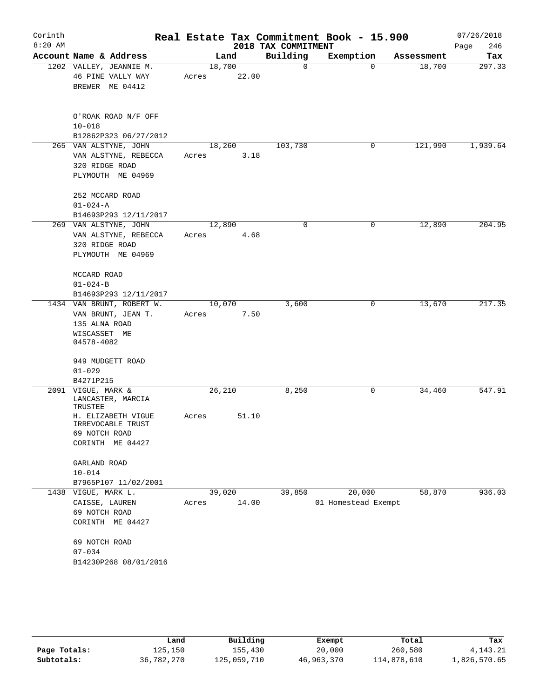| Corinth<br>$8:20$ AM |                                                                                                                                    |                 |       | 2018 TAX COMMITMENT | Real Estate Tax Commitment Book - 15.900 |            | 07/26/2018<br>Page<br>246 |
|----------------------|------------------------------------------------------------------------------------------------------------------------------------|-----------------|-------|---------------------|------------------------------------------|------------|---------------------------|
|                      | Account Name & Address                                                                                                             |                 | Land  | Building            | Exemption                                | Assessment | Tax                       |
|                      | 1202 VALLEY, JEANNIE M.<br>46 PINE VALLY WAY<br>BREWER ME 04412                                                                    | 18,700<br>Acres | 22.00 | $\mathbf 0$         | $\Omega$                                 | 18,700     | 297.33                    |
|                      | O'ROAK ROAD N/F OFF<br>$10 - 018$<br>B12862P323 06/27/2012                                                                         |                 |       |                     |                                          |            |                           |
|                      | 265 VAN ALSTYNE, JOHN<br>VAN ALSTYNE, REBECCA<br>320 RIDGE ROAD<br>PLYMOUTH ME 04969                                               | 18,260<br>Acres | 3.18  | 103,730             | 0                                        | 121,990    | 1,939.64                  |
|                      | 252 MCCARD ROAD<br>$01 - 024 - A$<br>B14693P293 12/11/2017                                                                         |                 |       |                     |                                          |            |                           |
|                      | 269 VAN ALSTYNE, JOHN<br>VAN ALSTYNE, REBECCA<br>320 RIDGE ROAD<br>PLYMOUTH ME 04969                                               | 12,890<br>Acres | 4.68  | $\mathbf 0$         | 0                                        | 12,890     | 204.95                    |
|                      | MCCARD ROAD<br>$01 - 024 - B$                                                                                                      |                 |       |                     |                                          |            |                           |
|                      | B14693P293 12/11/2017<br>1434 VAN BRUNT, ROBERT W.                                                                                 | 10,070          |       | 3,600               | 0                                        | 13,670     | 217.35                    |
|                      | VAN BRUNT, JEAN T.<br>135 ALNA ROAD<br>WISCASSET ME<br>04578-4082                                                                  | Acres           | 7.50  |                     |                                          |            |                           |
|                      | 949 MUDGETT ROAD<br>$01 - 029$<br>B4271P215                                                                                        |                 |       |                     |                                          |            |                           |
|                      | 2091 VIGUE, MARK &<br>LANCASTER, MARCIA<br>TRUSTEE                                                                                 | 26,210          |       | 8,250               | 0                                        | 34,460     | 547.91                    |
|                      | H. ELIZABETH VIGUE<br>IRREVOCABLE TRUST<br>69 NOTCH ROAD<br>CORINTH ME 04427                                                       | 51.10<br>Acres  |       |                     |                                          |            |                           |
|                      | GARLAND ROAD<br>$10 - 014$<br>B7965P107 11/02/2001                                                                                 |                 |       |                     |                                          |            |                           |
|                      | 1438 VIGUE, MARK L.<br>CAISSE, LAUREN<br>69 NOTCH ROAD<br>CORINTH ME 04427<br>69 NOTCH ROAD<br>$07 - 034$<br>B14230P268 08/01/2016 | 39,020<br>Acres | 14.00 | 39,850              | 20,000<br>01 Homestead Exempt            | 58,870     | 936.03                    |
|                      |                                                                                                                                    |                 |       |                     |                                          |            |                           |

|              | Land       | Building    | Exempt     | Total       | Tax          |
|--------------|------------|-------------|------------|-------------|--------------|
| Page Totals: | 125,150    | 155,430     | 20,000     | 260,580     | 4, 143, 21   |
| Subtotals:   | 36,782,270 | 125,059,710 | 46,963,370 | 114,878,610 | 1,826,570.65 |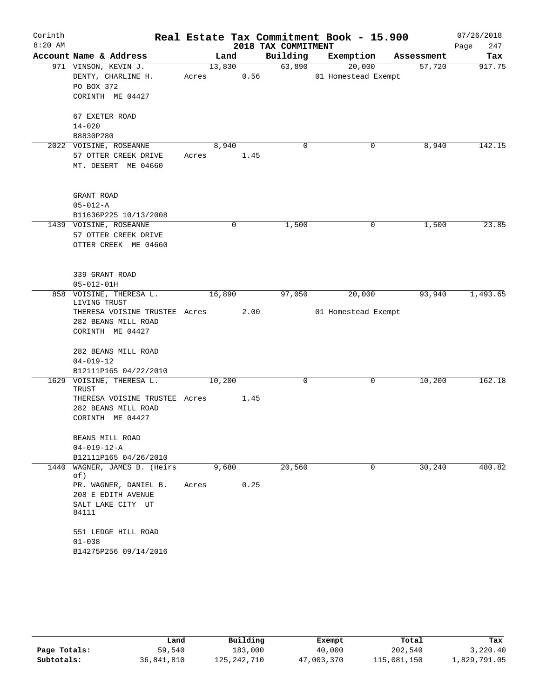| Corinth   |                                              |       |        |      |                     | Real Estate Tax Commitment Book - 15.900 |            | 07/26/2018  |
|-----------|----------------------------------------------|-------|--------|------|---------------------|------------------------------------------|------------|-------------|
| $8:20$ AM |                                              |       |        |      | 2018 TAX COMMITMENT |                                          |            | 247<br>Page |
|           | Account Name & Address                       |       | Land   |      | Building            | Exemption                                | Assessment | Tax         |
|           | 971 VINSON, KEVIN J.                         |       | 13,830 |      | 63,890              | 20,000                                   | 57,720     | 917.75      |
|           | DENTY, CHARLINE H.                           | Acres |        | 0.56 |                     | 01 Homestead Exempt                      |            |             |
|           | PO BOX 372                                   |       |        |      |                     |                                          |            |             |
|           | CORINTH ME 04427                             |       |        |      |                     |                                          |            |             |
|           | 67 EXETER ROAD                               |       |        |      |                     |                                          |            |             |
|           | $14 - 020$                                   |       |        |      |                     |                                          |            |             |
|           | B8830P280                                    |       |        |      |                     |                                          |            |             |
|           | 2022 VOISINE, ROSEANNE                       |       | 8,940  |      | 0                   | 0                                        | 8,940      | 142.15      |
|           | 57 OTTER CREEK DRIVE                         | Acres |        | 1.45 |                     |                                          |            |             |
|           | MT. DESERT ME 04660                          |       |        |      |                     |                                          |            |             |
|           |                                              |       |        |      |                     |                                          |            |             |
|           | GRANT ROAD                                   |       |        |      |                     |                                          |            |             |
|           | $05 - 012 - A$                               |       |        |      |                     |                                          |            |             |
|           | B11636P225 10/13/2008                        |       |        |      |                     |                                          |            |             |
|           | 1439 VOISINE, ROSEANNE                       |       | 0      |      | 1,500               | 0                                        | 1,500      | 23.85       |
|           | 57 OTTER CREEK DRIVE                         |       |        |      |                     |                                          |            |             |
|           | OTTER CREEK ME 04660                         |       |        |      |                     |                                          |            |             |
|           |                                              |       |        |      |                     |                                          |            |             |
|           | 339 GRANT ROAD                               |       |        |      |                     |                                          |            |             |
|           | $05 - 012 - 01H$                             |       |        |      |                     |                                          |            |             |
| 858       | VOISINE, THERESA L.                          |       | 16,890 |      | 97,050              | 20,000                                   | 93,940     | 1,493.65    |
|           | LIVING TRUST                                 |       |        |      |                     |                                          |            |             |
|           | THERESA VOISINE TRUSTEE Acres                |       |        | 2.00 |                     | 01 Homestead Exempt                      |            |             |
|           | 282 BEANS MILL ROAD<br>CORINTH ME 04427      |       |        |      |                     |                                          |            |             |
|           |                                              |       |        |      |                     |                                          |            |             |
|           | 282 BEANS MILL ROAD                          |       |        |      |                     |                                          |            |             |
|           | $04 - 019 - 12$                              |       |        |      |                     |                                          |            |             |
|           | B12111P165 04/22/2010                        |       |        |      |                     |                                          |            |             |
|           | 1629 VOISINE, THERESA L.<br>TRUST            |       | 10,200 |      | 0                   | 0                                        | 10,200     | 162.18      |
|           | THERESA VOISINE TRUSTEE Acres                |       |        | 1.45 |                     |                                          |            |             |
|           | 282 BEANS MILL ROAD                          |       |        |      |                     |                                          |            |             |
|           | CORINTH ME 04427                             |       |        |      |                     |                                          |            |             |
|           |                                              |       |        |      |                     |                                          |            |             |
|           | BEANS MILL ROAD                              |       |        |      |                     |                                          |            |             |
|           | $04 - 019 - 12 - A$<br>B12111P165 04/26/2010 |       |        |      |                     |                                          |            |             |
| 1440      | WAGNER, JAMES B. (Heirs                      |       | 9,680  |      | 20,560              | 0                                        | 30, 240    | 480.82      |
|           | of)                                          |       |        |      |                     |                                          |            |             |
|           | PR. WAGNER, DANIEL B.                        | Acres |        | 0.25 |                     |                                          |            |             |
|           | 208 E EDITH AVENUE                           |       |        |      |                     |                                          |            |             |
|           | SALT LAKE CITY UT                            |       |        |      |                     |                                          |            |             |
|           | 84111                                        |       |        |      |                     |                                          |            |             |
|           | 551 LEDGE HILL ROAD                          |       |        |      |                     |                                          |            |             |
|           | $01 - 038$                                   |       |        |      |                     |                                          |            |             |
|           | B14275P256 09/14/2016                        |       |        |      |                     |                                          |            |             |
|           |                                              |       |        |      |                     |                                          |            |             |

|              | Land       | Building    | Exempt     | Total       | Tax          |
|--------------|------------|-------------|------------|-------------|--------------|
| Page Totals: | 59,540     | 183,000     | 40,000     | 202,540     | 3,220.40     |
| Subtotals:   | 36,841,810 | 125,242,710 | 47,003,370 | 115,081,150 | 1,829,791.05 |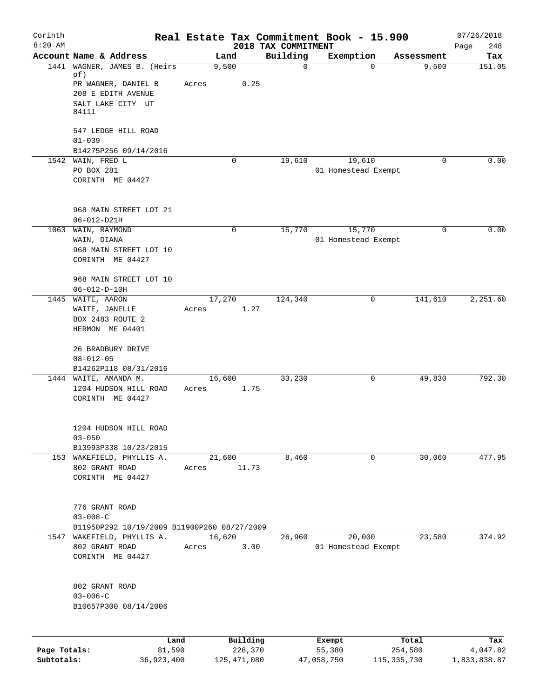| Corinth<br>$8:20$ AM |                                                               |        |             | 2018 TAX COMMITMENT | Real Estate Tax Commitment Book - 15.900 |                   | 07/26/2018<br>Page<br>248 |
|----------------------|---------------------------------------------------------------|--------|-------------|---------------------|------------------------------------------|-------------------|---------------------------|
|                      | Account Name & Address                                        |        | Land        | Building            | Exemption                                | Assessment        | Tax                       |
| 1441                 | WAGNER, JAMES B. (Heirs<br>of)                                |        | 9,500       | $\mathbf 0$         |                                          | 9,500<br>$\Omega$ | 151.05                    |
|                      | PR WAGNER, DANIEL B                                           | Acres  | 0.25        |                     |                                          |                   |                           |
|                      | 208 E EDITH AVENUE                                            |        |             |                     |                                          |                   |                           |
|                      | SALT LAKE CITY UT                                             |        |             |                     |                                          |                   |                           |
|                      | 84111                                                         |        |             |                     |                                          |                   |                           |
|                      | 547 LEDGE HILL ROAD                                           |        |             |                     |                                          |                   |                           |
|                      | $01 - 039$                                                    |        |             |                     |                                          |                   |                           |
|                      | B14275P256 09/14/2016<br>1542 WAIN, FRED L                    |        | 0           | 19,610              | 19,610                                   | 0                 | 0.00                      |
|                      | PO BOX 281                                                    |        |             |                     | 01 Homestead Exempt                      |                   |                           |
|                      | CORINTH ME 04427                                              |        |             |                     |                                          |                   |                           |
|                      |                                                               |        |             |                     |                                          |                   |                           |
|                      | 968 MAIN STREET LOT 21<br>$06 - 012 - D21H$                   |        |             |                     |                                          |                   |                           |
| 1063                 | WAIN, RAYMOND                                                 |        | 0           | 15,770              | 15,770                                   | 0                 | 0.00                      |
|                      | WAIN, DIANA                                                   |        |             |                     | 01 Homestead Exempt                      |                   |                           |
|                      | 968 MAIN STREET LOT 10<br>CORINTH ME 04427                    |        |             |                     |                                          |                   |                           |
|                      |                                                               |        |             |                     |                                          |                   |                           |
|                      | 968 MAIN STREET LOT 10                                        |        |             |                     |                                          |                   |                           |
|                      | $06 - 012 - D - 10H$<br>WAITE, AARON                          | 17,270 |             | 124,340             |                                          | 0                 | 2,251.60                  |
| 1445                 | WAITE, JANELLE                                                | Acres  | 1.27        |                     |                                          | 141,610           |                           |
|                      | BOX 2483 ROUTE 2                                              |        |             |                     |                                          |                   |                           |
|                      | HERMON ME 04401                                               |        |             |                     |                                          |                   |                           |
|                      | 26 BRADBURY DRIVE                                             |        |             |                     |                                          |                   |                           |
|                      | $08 - 012 - 05$                                               |        |             |                     |                                          |                   |                           |
|                      | B14262P118 08/31/2016                                         | 16,600 |             | 33,230              |                                          | 49,830            | 792.30                    |
|                      | 1444 WAITE, AMANDA M.<br>1204 HUDSON HILL ROAD                | Acres  | 1.75        |                     |                                          | 0                 |                           |
|                      | CORINTH ME 04427                                              |        |             |                     |                                          |                   |                           |
|                      |                                                               |        |             |                     |                                          |                   |                           |
|                      | 1204 HUDSON HILL ROAD                                         |        |             |                     |                                          |                   |                           |
|                      | $03 - 050$                                                    |        |             |                     |                                          |                   |                           |
|                      | B13993P338 10/23/2015<br>153 WAKEFIELD, PHYLLIS A.            |        | 21,600      | 8,460               |                                          | 30,060<br>0       | 477.95                    |
|                      | 802 GRANT ROAD                                                | Acres  | 11.73       |                     |                                          |                   |                           |
|                      | CORINTH ME 04427                                              |        |             |                     |                                          |                   |                           |
|                      |                                                               |        |             |                     |                                          |                   |                           |
|                      | 776 GRANT ROAD                                                |        |             |                     |                                          |                   |                           |
|                      | $03 - 008 - C$<br>B11950P292 10/19/2009 B11900P260 08/27/2009 |        |             |                     |                                          |                   |                           |
| 1547                 | WAKEFIELD, PHYLLIS A.                                         | 16,620 |             | 26,960              | 20,000                                   | 23,580            | 374.92                    |
|                      | 802 GRANT ROAD                                                | Acres  | 3.00        |                     | 01 Homestead Exempt                      |                   |                           |
|                      | CORINTH ME 04427                                              |        |             |                     |                                          |                   |                           |
|                      |                                                               |        |             |                     |                                          |                   |                           |
|                      | 802 GRANT ROAD<br>$03 - 006 - C$                              |        |             |                     |                                          |                   |                           |
|                      | B10657P300 08/14/2006                                         |        |             |                     |                                          |                   |                           |
|                      |                                                               |        |             |                     |                                          |                   |                           |
|                      | Land                                                          |        | Building    |                     | Exempt                                   | Total             | Tax                       |
| Page Totals:         | 81,590                                                        |        | 228,370     |                     | 55,380                                   | 254,580           | 4,047.82                  |
| Subtotals:           | 36,923,400                                                    |        | 125,471,080 |                     | 47,058,750                               | 115,335,730       | 1,833,838.87              |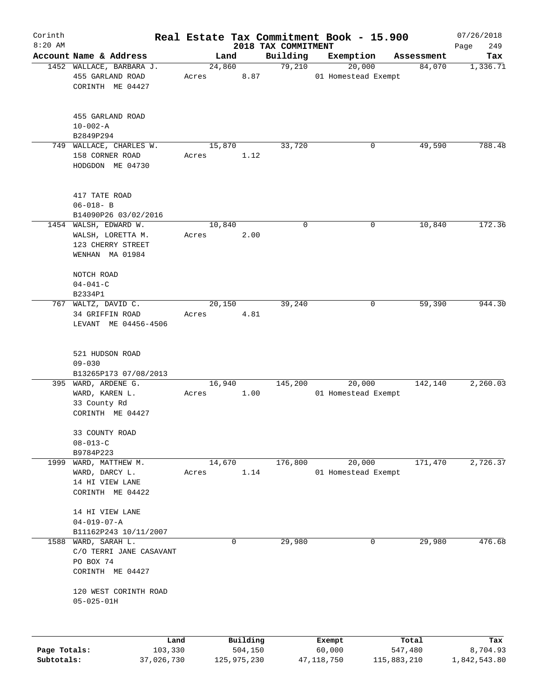| 2018 TAX COMMITMENT<br>Account Name & Address<br>Building<br>Exemption<br>Land<br>Assessment<br>Tax<br>1452 WALLACE, BARBARA J.<br>24,860<br>79,210<br>20,000<br>84,070<br>1,336.71<br>455 GARLAND ROAD<br>8.87<br>01 Homestead Exempt<br>Acres<br>CORINTH ME 04427<br>455 GARLAND ROAD<br>$10 - 002 - A$<br>B2849P294<br>749 WALLACE, CHARLES W.<br>33,720<br>49,590<br>15,870<br>0<br>158 CORNER ROAD<br>1.12<br>Acres<br>HODGDON ME 04730<br>417 TATE ROAD<br>$06 - 018 - B$<br>B14090P26 03/02/2016<br>172.36<br>10,840<br>$\mathbf 0$<br>10,840<br>1454 WALSH, EDWARD W.<br>0<br>WALSH, LORETTA M.<br>Acres<br>2.00<br>123 CHERRY STREET<br>WENHAN MA 01984<br>NOTCH ROAD<br>$04 - 041 - C$<br>B2334P1<br>767 WALTZ, DAVID C.<br>20,150<br>39,240<br>59,390<br>0<br>34 GRIFFIN ROAD<br>4.81<br>Acres<br>LEVANT ME 04456-4506<br>521 HUDSON ROAD<br>$09 - 030$<br>B13265P173 07/08/2013<br>395 WARD, ARDENE G.<br>145,200<br>20,000<br>142,140<br>16,940<br>WARD, KAREN L.<br>1.00<br>01 Homestead Exempt<br>Acres<br>33 County Rd<br>CORINTH ME 04427<br>33 COUNTY ROAD<br>$08 - 013 - C$<br>B9784P223<br>14,670<br>176,800<br>20,000<br>171,470<br>1999<br>WARD, MATTHEW M.<br>1.14<br>01 Homestead Exempt<br>WARD, DARCY L.<br>Acres<br>14 HI VIEW LANE<br>CORINTH ME 04422<br>14 HI VIEW LANE<br>$04 - 019 - 07 - A$<br>B11162P243 10/11/2007<br>WARD, SARAH L.<br>29,980<br>29,980<br>1588<br>0<br>0<br>C/O TERRI JANE CASAVANT<br>PO BOX 74<br>CORINTH ME 04427<br>120 WEST CORINTH ROAD<br>$05 - 025 - 01H$<br>Building<br>Land<br>Exempt<br>Total<br>103,330<br>504,150<br>Page Totals:<br>60,000<br>547,480 | Corinth   |  |  | Real Estate Tax Commitment Book - 15.900 | 07/26/2018      |
|--------------------------------------------------------------------------------------------------------------------------------------------------------------------------------------------------------------------------------------------------------------------------------------------------------------------------------------------------------------------------------------------------------------------------------------------------------------------------------------------------------------------------------------------------------------------------------------------------------------------------------------------------------------------------------------------------------------------------------------------------------------------------------------------------------------------------------------------------------------------------------------------------------------------------------------------------------------------------------------------------------------------------------------------------------------------------------------------------------------------------------------------------------------------------------------------------------------------------------------------------------------------------------------------------------------------------------------------------------------------------------------------------------------------------------------------------------------------------------------------------------------------------------------------------------------------------------------------------------------------------|-----------|--|--|------------------------------------------|-----------------|
|                                                                                                                                                                                                                                                                                                                                                                                                                                                                                                                                                                                                                                                                                                                                                                                                                                                                                                                                                                                                                                                                                                                                                                                                                                                                                                                                                                                                                                                                                                                                                                                                                          | $8:20$ AM |  |  |                                          | 249<br>Page     |
|                                                                                                                                                                                                                                                                                                                                                                                                                                                                                                                                                                                                                                                                                                                                                                                                                                                                                                                                                                                                                                                                                                                                                                                                                                                                                                                                                                                                                                                                                                                                                                                                                          |           |  |  |                                          |                 |
|                                                                                                                                                                                                                                                                                                                                                                                                                                                                                                                                                                                                                                                                                                                                                                                                                                                                                                                                                                                                                                                                                                                                                                                                                                                                                                                                                                                                                                                                                                                                                                                                                          |           |  |  |                                          |                 |
|                                                                                                                                                                                                                                                                                                                                                                                                                                                                                                                                                                                                                                                                                                                                                                                                                                                                                                                                                                                                                                                                                                                                                                                                                                                                                                                                                                                                                                                                                                                                                                                                                          |           |  |  |                                          |                 |
|                                                                                                                                                                                                                                                                                                                                                                                                                                                                                                                                                                                                                                                                                                                                                                                                                                                                                                                                                                                                                                                                                                                                                                                                                                                                                                                                                                                                                                                                                                                                                                                                                          |           |  |  |                                          | 788.48          |
|                                                                                                                                                                                                                                                                                                                                                                                                                                                                                                                                                                                                                                                                                                                                                                                                                                                                                                                                                                                                                                                                                                                                                                                                                                                                                                                                                                                                                                                                                                                                                                                                                          |           |  |  |                                          |                 |
|                                                                                                                                                                                                                                                                                                                                                                                                                                                                                                                                                                                                                                                                                                                                                                                                                                                                                                                                                                                                                                                                                                                                                                                                                                                                                                                                                                                                                                                                                                                                                                                                                          |           |  |  |                                          |                 |
|                                                                                                                                                                                                                                                                                                                                                                                                                                                                                                                                                                                                                                                                                                                                                                                                                                                                                                                                                                                                                                                                                                                                                                                                                                                                                                                                                                                                                                                                                                                                                                                                                          |           |  |  |                                          |                 |
|                                                                                                                                                                                                                                                                                                                                                                                                                                                                                                                                                                                                                                                                                                                                                                                                                                                                                                                                                                                                                                                                                                                                                                                                                                                                                                                                                                                                                                                                                                                                                                                                                          |           |  |  |                                          |                 |
|                                                                                                                                                                                                                                                                                                                                                                                                                                                                                                                                                                                                                                                                                                                                                                                                                                                                                                                                                                                                                                                                                                                                                                                                                                                                                                                                                                                                                                                                                                                                                                                                                          |           |  |  |                                          |                 |
|                                                                                                                                                                                                                                                                                                                                                                                                                                                                                                                                                                                                                                                                                                                                                                                                                                                                                                                                                                                                                                                                                                                                                                                                                                                                                                                                                                                                                                                                                                                                                                                                                          |           |  |  |                                          |                 |
|                                                                                                                                                                                                                                                                                                                                                                                                                                                                                                                                                                                                                                                                                                                                                                                                                                                                                                                                                                                                                                                                                                                                                                                                                                                                                                                                                                                                                                                                                                                                                                                                                          |           |  |  |                                          |                 |
|                                                                                                                                                                                                                                                                                                                                                                                                                                                                                                                                                                                                                                                                                                                                                                                                                                                                                                                                                                                                                                                                                                                                                                                                                                                                                                                                                                                                                                                                                                                                                                                                                          |           |  |  |                                          |                 |
|                                                                                                                                                                                                                                                                                                                                                                                                                                                                                                                                                                                                                                                                                                                                                                                                                                                                                                                                                                                                                                                                                                                                                                                                                                                                                                                                                                                                                                                                                                                                                                                                                          |           |  |  |                                          | 944.30          |
|                                                                                                                                                                                                                                                                                                                                                                                                                                                                                                                                                                                                                                                                                                                                                                                                                                                                                                                                                                                                                                                                                                                                                                                                                                                                                                                                                                                                                                                                                                                                                                                                                          |           |  |  |                                          |                 |
|                                                                                                                                                                                                                                                                                                                                                                                                                                                                                                                                                                                                                                                                                                                                                                                                                                                                                                                                                                                                                                                                                                                                                                                                                                                                                                                                                                                                                                                                                                                                                                                                                          |           |  |  |                                          |                 |
|                                                                                                                                                                                                                                                                                                                                                                                                                                                                                                                                                                                                                                                                                                                                                                                                                                                                                                                                                                                                                                                                                                                                                                                                                                                                                                                                                                                                                                                                                                                                                                                                                          |           |  |  |                                          |                 |
|                                                                                                                                                                                                                                                                                                                                                                                                                                                                                                                                                                                                                                                                                                                                                                                                                                                                                                                                                                                                                                                                                                                                                                                                                                                                                                                                                                                                                                                                                                                                                                                                                          |           |  |  |                                          |                 |
|                                                                                                                                                                                                                                                                                                                                                                                                                                                                                                                                                                                                                                                                                                                                                                                                                                                                                                                                                                                                                                                                                                                                                                                                                                                                                                                                                                                                                                                                                                                                                                                                                          |           |  |  |                                          | 2,260.03        |
|                                                                                                                                                                                                                                                                                                                                                                                                                                                                                                                                                                                                                                                                                                                                                                                                                                                                                                                                                                                                                                                                                                                                                                                                                                                                                                                                                                                                                                                                                                                                                                                                                          |           |  |  |                                          |                 |
|                                                                                                                                                                                                                                                                                                                                                                                                                                                                                                                                                                                                                                                                                                                                                                                                                                                                                                                                                                                                                                                                                                                                                                                                                                                                                                                                                                                                                                                                                                                                                                                                                          |           |  |  |                                          |                 |
|                                                                                                                                                                                                                                                                                                                                                                                                                                                                                                                                                                                                                                                                                                                                                                                                                                                                                                                                                                                                                                                                                                                                                                                                                                                                                                                                                                                                                                                                                                                                                                                                                          |           |  |  |                                          |                 |
|                                                                                                                                                                                                                                                                                                                                                                                                                                                                                                                                                                                                                                                                                                                                                                                                                                                                                                                                                                                                                                                                                                                                                                                                                                                                                                                                                                                                                                                                                                                                                                                                                          |           |  |  |                                          |                 |
|                                                                                                                                                                                                                                                                                                                                                                                                                                                                                                                                                                                                                                                                                                                                                                                                                                                                                                                                                                                                                                                                                                                                                                                                                                                                                                                                                                                                                                                                                                                                                                                                                          |           |  |  |                                          | 2,726.37        |
|                                                                                                                                                                                                                                                                                                                                                                                                                                                                                                                                                                                                                                                                                                                                                                                                                                                                                                                                                                                                                                                                                                                                                                                                                                                                                                                                                                                                                                                                                                                                                                                                                          |           |  |  |                                          |                 |
|                                                                                                                                                                                                                                                                                                                                                                                                                                                                                                                                                                                                                                                                                                                                                                                                                                                                                                                                                                                                                                                                                                                                                                                                                                                                                                                                                                                                                                                                                                                                                                                                                          |           |  |  |                                          |                 |
|                                                                                                                                                                                                                                                                                                                                                                                                                                                                                                                                                                                                                                                                                                                                                                                                                                                                                                                                                                                                                                                                                                                                                                                                                                                                                                                                                                                                                                                                                                                                                                                                                          |           |  |  |                                          |                 |
|                                                                                                                                                                                                                                                                                                                                                                                                                                                                                                                                                                                                                                                                                                                                                                                                                                                                                                                                                                                                                                                                                                                                                                                                                                                                                                                                                                                                                                                                                                                                                                                                                          |           |  |  |                                          |                 |
|                                                                                                                                                                                                                                                                                                                                                                                                                                                                                                                                                                                                                                                                                                                                                                                                                                                                                                                                                                                                                                                                                                                                                                                                                                                                                                                                                                                                                                                                                                                                                                                                                          |           |  |  |                                          |                 |
|                                                                                                                                                                                                                                                                                                                                                                                                                                                                                                                                                                                                                                                                                                                                                                                                                                                                                                                                                                                                                                                                                                                                                                                                                                                                                                                                                                                                                                                                                                                                                                                                                          |           |  |  |                                          | 476.68          |
|                                                                                                                                                                                                                                                                                                                                                                                                                                                                                                                                                                                                                                                                                                                                                                                                                                                                                                                                                                                                                                                                                                                                                                                                                                                                                                                                                                                                                                                                                                                                                                                                                          |           |  |  |                                          |                 |
|                                                                                                                                                                                                                                                                                                                                                                                                                                                                                                                                                                                                                                                                                                                                                                                                                                                                                                                                                                                                                                                                                                                                                                                                                                                                                                                                                                                                                                                                                                                                                                                                                          |           |  |  |                                          |                 |
|                                                                                                                                                                                                                                                                                                                                                                                                                                                                                                                                                                                                                                                                                                                                                                                                                                                                                                                                                                                                                                                                                                                                                                                                                                                                                                                                                                                                                                                                                                                                                                                                                          |           |  |  |                                          |                 |
|                                                                                                                                                                                                                                                                                                                                                                                                                                                                                                                                                                                                                                                                                                                                                                                                                                                                                                                                                                                                                                                                                                                                                                                                                                                                                                                                                                                                                                                                                                                                                                                                                          |           |  |  |                                          |                 |
|                                                                                                                                                                                                                                                                                                                                                                                                                                                                                                                                                                                                                                                                                                                                                                                                                                                                                                                                                                                                                                                                                                                                                                                                                                                                                                                                                                                                                                                                                                                                                                                                                          |           |  |  |                                          | Tax<br>8,704.93 |

**Subtotals:** 37,026,730 125,975,230 47,118,750 115,883,210 1,842,543.80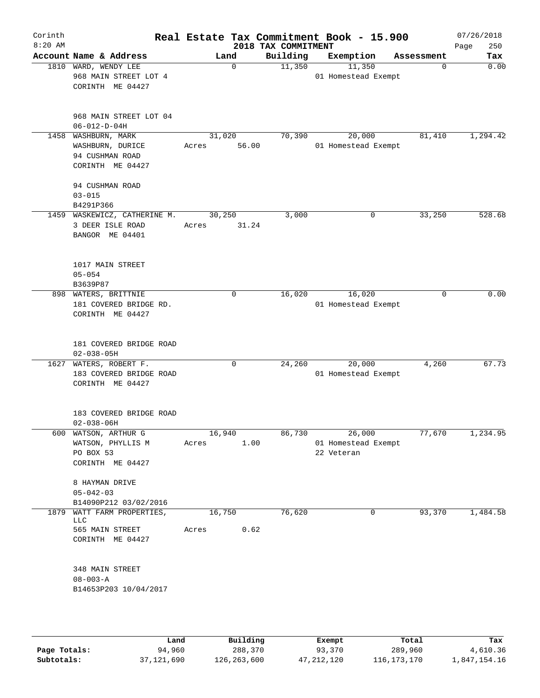| Corinth<br>$8:20$ AM |                                                                       |            |             | 2018 TAX COMMITMENT | Real Estate Tax Commitment Book - 15.900 |            | 07/26/2018<br>250<br>Page |
|----------------------|-----------------------------------------------------------------------|------------|-------------|---------------------|------------------------------------------|------------|---------------------------|
|                      | Account Name & Address                                                | Land       |             | Building            | Exemption                                | Assessment | Tax                       |
|                      | 1810 WARD, WENDY LEE<br>968 MAIN STREET LOT 4<br>CORINTH ME 04427     |            | $\mathbf 0$ | 11,350              | 11,350<br>01 Homestead Exempt            |            | 0.00<br>0                 |
|                      | 968 MAIN STREET LOT 04<br>$06 - 012 - D - 04H$                        |            |             |                     |                                          |            |                           |
|                      | 1458 WASHBURN, MARK                                                   | 31,020     |             | 70,390              | 20,000                                   | 81,410     | 1,294.42                  |
|                      | WASHBURN, DURICE<br>94 CUSHMAN ROAD<br>CORINTH ME 04427               | Acres      | 56.00       |                     | 01 Homestead Exempt                      |            |                           |
|                      | 94 CUSHMAN ROAD                                                       |            |             |                     |                                          |            |                           |
|                      | $03 - 015$                                                            |            |             |                     |                                          |            |                           |
|                      | B4291P366                                                             |            |             |                     |                                          |            |                           |
|                      | 1459 WASKEWICZ, CATHERINE M.                                          | 30,250     |             | 3,000               | 0                                        | 33,250     | 528.68                    |
|                      | 3 DEER ISLE ROAD<br>BANGOR ME 04401                                   | Acres      | 31.24       |                     |                                          |            |                           |
|                      | 1017 MAIN STREET<br>$05 - 054$                                        |            |             |                     |                                          |            |                           |
|                      | B3639P87                                                              |            |             |                     |                                          |            |                           |
|                      | 898 WATERS, BRITTNIE                                                  |            | 0           | 16,020              | 16,020                                   |            | 0.00<br>$\mathbf 0$       |
|                      | 181 COVERED BRIDGE RD.<br>CORINTH ME 04427                            |            |             |                     | 01 Homestead Exempt                      |            |                           |
|                      | 181 COVERED BRIDGE ROAD<br>$02 - 038 - 05H$                           |            |             |                     |                                          |            |                           |
|                      | 1627 WATERS, ROBERT F.<br>183 COVERED BRIDGE ROAD<br>CORINTH ME 04427 |            | $\Omega$    | 24,260              | 20,000<br>01 Homestead Exempt            | 4,260      | 67.73                     |
|                      | 183 COVERED BRIDGE ROAD<br>$02 - 038 - 06H$                           |            |             |                     |                                          |            |                           |
|                      | 600 WATSON, ARTHUR G                                                  |            | 16,940      | 86,730              | $\frac{1}{26,000}$                       | 77,670     | 1,234.95                  |
|                      | WATSON, PHYLLIS M<br>PO BOX 53<br>CORINTH ME 04427                    | Acres 1.00 |             |                     | 01 Homestead Exempt<br>22 Veteran        |            |                           |
|                      | 8 HAYMAN DRIVE<br>$05 - 042 - 03$                                     |            |             |                     |                                          |            |                           |
|                      | B14090P212 03/02/2016                                                 |            |             |                     |                                          |            |                           |
|                      | 1879 WATT FARM PROPERTIES,                                            | 16,750     |             | 76,620              | 0                                        | 93,370     | 1,484.58                  |
|                      | LLC<br>565 MAIN STREET<br>CORINTH ME 04427                            | Acres      | 0.62        |                     |                                          |            |                           |
|                      | 348 MAIN STREET<br>$08 - 003 - A$<br>B14653P203 10/04/2017            |            |             |                     |                                          |            |                           |
|                      |                                                                       |            |             |                     |                                          |            |                           |

|              | Land       | Building    | Exempt       | Total         | Tax          |
|--------------|------------|-------------|--------------|---------------|--------------|
| Page Totals: | 94,960     | 288,370     | 93,370       | 289,960       | 4,610.36     |
| Subtotals:   | 37,121,690 | 126,263,600 | 47, 212, 120 | 116, 173, 170 | 1,847,154.16 |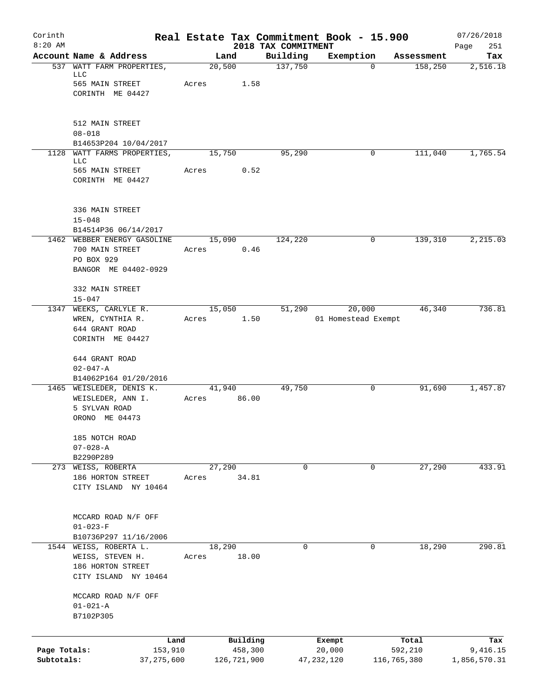| Corinth                    |                                                                                      |        |                        |                                 | Real Estate Tax Commitment Book - 15.900 |                        | 07/26/2018               |
|----------------------------|--------------------------------------------------------------------------------------|--------|------------------------|---------------------------------|------------------------------------------|------------------------|--------------------------|
| $8:20$ AM                  | Account Name & Address                                                               |        | Land                   | 2018 TAX COMMITMENT<br>Building | Exemption                                |                        | 251<br>Page<br>Tax       |
|                            | 537 WATT FARM PROPERTIES,<br>LLC                                                     |        | 20,500                 | 137,750                         | $\mathbf 0$                              | Assessment<br>158,250  | 2,516.18                 |
|                            | 565 MAIN STREET<br>CORINTH ME 04427                                                  | Acres  | 1.58                   |                                 |                                          |                        |                          |
|                            | 512 MAIN STREET                                                                      |        |                        |                                 |                                          |                        |                          |
|                            | $08 - 018$<br>B14653P204 10/04/2017                                                  |        |                        |                                 |                                          |                        |                          |
| 1128                       | WATT FARMS PROPERTIES,<br>LLC                                                        |        | 15,750                 | 95,290                          | 0                                        | 111,040                | 1,765.54                 |
|                            | 565 MAIN STREET<br>CORINTH ME 04427                                                  | Acres  | 0.52                   |                                 |                                          |                        |                          |
|                            | 336 MAIN STREET<br>$15 - 048$                                                        |        |                        |                                 |                                          |                        |                          |
|                            | B14514P36 06/14/2017                                                                 |        |                        |                                 |                                          |                        |                          |
|                            | 1462 WEBBER ENERGY GASOLINE<br>700 MAIN STREET<br>PO BOX 929<br>BANGOR ME 04402-0929 | Acres  | 15,090<br>0.46         | 124,220                         | 0                                        | 139,310                | 2,215.03                 |
|                            | 332 MAIN STREET<br>$15 - 047$                                                        |        |                        |                                 |                                          |                        |                          |
|                            | 1347 WEEKS, CARLYLE R.                                                               |        | 15,050                 | 51,290                          | 20,000                                   | 46,340                 | 736.81                   |
|                            | WREN, CYNTHIA R.<br>644 GRANT ROAD                                                   | Acres  | 1.50                   |                                 | 01 Homestead Exempt                      |                        |                          |
|                            | CORINTH ME 04427                                                                     |        |                        |                                 |                                          |                        |                          |
|                            | 644 GRANT ROAD<br>$02 - 047 - A$                                                     |        |                        |                                 |                                          |                        |                          |
|                            | B14062P164 01/20/2016<br>1465 WEISLEDER, DENIS K.                                    |        | 41,940                 | 49,750                          | 0                                        | 91,690                 | 1,457.87                 |
|                            | WEISLEDER, ANN I.<br>5 SYLVAN ROAD<br>ORONO ME 04473                                 | Acres  | 86.00                  |                                 |                                          |                        |                          |
|                            | 185 NOTCH ROAD<br>$07 - 028 - A$                                                     |        |                        |                                 |                                          |                        |                          |
|                            | B2290P289<br>273 WEISS, ROBERTA                                                      |        | 27,290                 | 0                               | 0                                        | 27,290                 | 433.91                   |
|                            | 186 HORTON STREET<br>CITY ISLAND NY 10464                                            | Acres  | 34.81                  |                                 |                                          |                        |                          |
|                            | MCCARD ROAD N/F OFF<br>$01 - 023 - F$                                                |        |                        |                                 |                                          |                        |                          |
|                            | B10736P297 11/16/2006<br>1544 WEISS, ROBERTA L.                                      | 18,290 |                        | 0                               | 0                                        | 18,290                 | 290.81                   |
|                            | WEISS, STEVEN H.<br>186 HORTON STREET<br>CITY ISLAND NY 10464                        | Acres  | 18.00                  |                                 |                                          |                        |                          |
|                            | MCCARD ROAD N/F OFF<br>$01 - 021 - A$                                                |        |                        |                                 |                                          |                        |                          |
|                            | B7102P305                                                                            |        |                        |                                 |                                          |                        |                          |
|                            | Land                                                                                 |        | Building               |                                 | Exempt                                   | Total                  | Tax                      |
| Page Totals:<br>Subtotals: | 153,910<br>37,275,600                                                                |        | 458,300<br>126,721,900 |                                 | 20,000<br>47, 232, 120                   | 592,210<br>116,765,380 | 9,416.15<br>1,856,570.31 |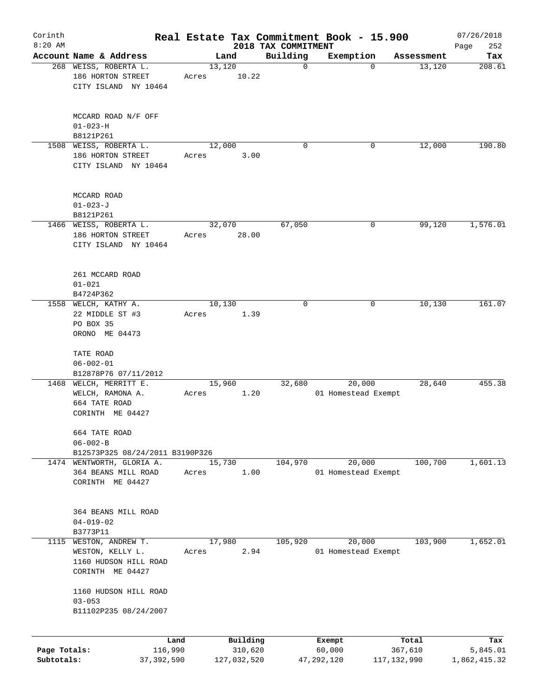| Corinth<br>$8:20$ AM |                                     |       |             | 2018 TAX COMMITMENT | Real Estate Tax Commitment Book - 15.900 |             | 07/26/2018         |
|----------------------|-------------------------------------|-------|-------------|---------------------|------------------------------------------|-------------|--------------------|
|                      | Account Name & Address              |       | Land        | Building            | Exemption                                | Assessment  | 252<br>Page<br>Tax |
|                      | 268 WEISS, ROBERTA L.               |       | 13,120      | $\mathbf 0$         | $\Omega$                                 | 13,120      | 208.61             |
|                      | 186 HORTON STREET                   | Acres | 10.22       |                     |                                          |             |                    |
|                      | CITY ISLAND NY 10464                |       |             |                     |                                          |             |                    |
|                      |                                     |       |             |                     |                                          |             |                    |
|                      | MCCARD ROAD N/F OFF                 |       |             |                     |                                          |             |                    |
|                      | $01 - 023 - H$                      |       |             |                     |                                          |             |                    |
|                      | B8121P261                           |       |             |                     |                                          |             |                    |
|                      | 1508 WEISS, ROBERTA L.              |       | 12,000      | $\Omega$            | 0                                        | 12,000      | 190.80             |
|                      | 186 HORTON STREET                   | Acres | 3.00        |                     |                                          |             |                    |
|                      | CITY ISLAND NY 10464                |       |             |                     |                                          |             |                    |
|                      | MCCARD ROAD                         |       |             |                     |                                          |             |                    |
|                      | $01 - 023 - J$                      |       |             |                     |                                          |             |                    |
|                      | B8121P261                           |       |             |                     |                                          |             |                    |
|                      | 1466 WEISS, ROBERTA L.              |       | 32,070      | 67,050              | 0                                        | 99,120      | 1,576.01           |
|                      | 186 HORTON STREET                   | Acres | 28.00       |                     |                                          |             |                    |
|                      | CITY ISLAND NY 10464                |       |             |                     |                                          |             |                    |
|                      |                                     |       |             |                     |                                          |             |                    |
|                      | 261 MCCARD ROAD<br>$01 - 021$       |       |             |                     |                                          |             |                    |
|                      |                                     |       |             |                     |                                          |             |                    |
|                      | B4724P362<br>1558 WELCH, KATHY A.   |       | 10,130      | $\mathbf 0$         | 0                                        | 10,130      | 161.07             |
|                      |                                     |       |             |                     |                                          |             |                    |
|                      | 22 MIDDLE ST #3<br>PO BOX 35        | Acres | 1.39        |                     |                                          |             |                    |
|                      |                                     |       |             |                     |                                          |             |                    |
|                      | ORONO ME 04473                      |       |             |                     |                                          |             |                    |
|                      | TATE ROAD                           |       |             |                     |                                          |             |                    |
|                      | $06 - 002 - 01$                     |       |             |                     |                                          |             |                    |
|                      | B12878P76 07/11/2012                |       |             |                     |                                          |             |                    |
|                      | 1468 WELCH, MERRITT E.              |       | 15,960      | 32,680              | 20,000                                   | 28,640      | 455.38             |
|                      | WELCH, RAMONA A.                    | Acres | 1.20        |                     | 01 Homestead Exempt                      |             |                    |
|                      | 664 TATE ROAD                       |       |             |                     |                                          |             |                    |
|                      | CORINTH ME 04427                    |       |             |                     |                                          |             |                    |
|                      | 664 TATE ROAD<br>$06 - 002 - B$     |       |             |                     |                                          |             |                    |
|                      | B12573P325 08/24/2011 B3190P326     |       |             |                     |                                          |             |                    |
|                      | 1474 WENTWORTH, GLORIA A.           |       | 15,730      | 104,970             | 20,000                                   | 100,700     | 1,601.13           |
|                      | 364 BEANS MILL ROAD                 | Acres | 1.00        |                     | 01 Homestead Exempt                      |             |                    |
|                      | CORINTH ME 04427                    |       |             |                     |                                          |             |                    |
|                      |                                     |       |             |                     |                                          |             |                    |
|                      | 364 BEANS MILL ROAD                 |       |             |                     |                                          |             |                    |
|                      | $04 - 019 - 02$                     |       |             |                     |                                          |             |                    |
|                      | B3773P11                            |       |             |                     |                                          |             |                    |
| 1115                 | WESTON, ANDREW T.                   |       | 17,980      | 105,920             | 20,000                                   | 103,900     | 1,652.01           |
|                      | WESTON, KELLY L.                    | Acres | 2.94        |                     | 01 Homestead Exempt                      |             |                    |
|                      | 1160 HUDSON HILL ROAD               |       |             |                     |                                          |             |                    |
|                      | CORINTH ME 04427                    |       |             |                     |                                          |             |                    |
|                      | 1160 HUDSON HILL ROAD               |       |             |                     |                                          |             |                    |
|                      | $03 - 053$<br>B11102P235 08/24/2007 |       |             |                     |                                          |             |                    |
|                      |                                     |       |             |                     |                                          |             |                    |
|                      | Land                                |       | Building    |                     | Exempt                                   | Total       | Tax                |
| Page Totals:         | 116,990                             |       | 310,620     |                     | 60,000                                   | 367,610     | 5,845.01           |
| Subtotals:           | 37,392,590                          |       | 127,032,520 |                     | 47,292,120                               | 117,132,990 | 1,862,415.32       |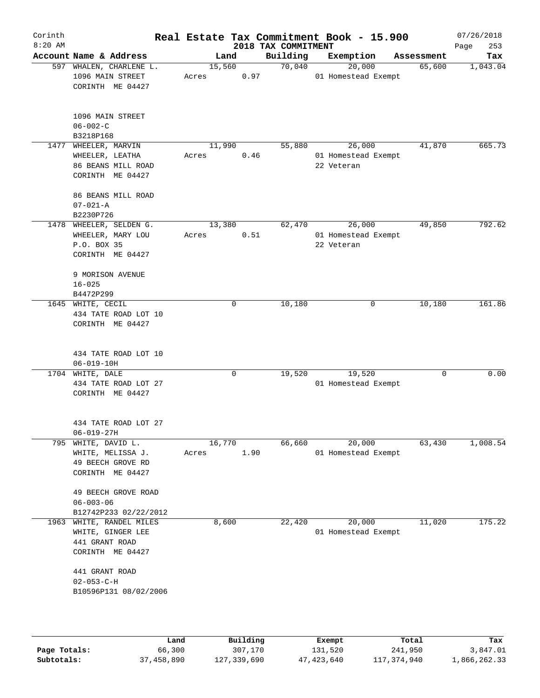|      | Account Name & Address<br>597 WHALEN, CHARLENE L.                                   |       | Land   |             | Building | Exemption                                   | Assessment | Tax      |
|------|-------------------------------------------------------------------------------------|-------|--------|-------------|----------|---------------------------------------------|------------|----------|
|      |                                                                                     |       |        |             |          |                                             |            |          |
|      | 1096 MAIN STREET<br>CORINTH ME 04427                                                | Acres | 15,560 | 0.97        | 70,040   | 20,000<br>01 Homestead Exempt               | 65,600     | 1,043.04 |
|      | 1096 MAIN STREET<br>$06 - 002 - C$<br>B3218P168                                     |       |        |             |          |                                             |            |          |
| 1477 | WHEELER, MARVIN<br>WHEELER, LEATHA<br>86 BEANS MILL ROAD<br>CORINTH ME 04427        | Acres | 11,990 | 0.46        | 55,880   | 26,000<br>01 Homestead Exempt<br>22 Veteran | 41,870     | 665.73   |
|      | 86 BEANS MILL ROAD<br>$07 - 021 - A$<br>B2230P726                                   |       |        |             |          |                                             |            |          |
|      | 1478 WHEELER, SELDEN G.<br>WHEELER, MARY LOU<br>P.O. BOX 35<br>CORINTH ME 04427     | Acres | 13,380 | 0.51        | 62,470   | 26,000<br>01 Homestead Exempt<br>22 Veteran | 49,850     | 792.62   |
|      | 9 MORISON AVENUE<br>$16 - 025$<br>B4472P299                                         |       |        |             |          |                                             |            |          |
|      | 1645 WHITE, CECIL<br>434 TATE ROAD LOT 10<br>CORINTH ME 04427                       |       |        | $\mathbf 0$ | 10,180   | 0                                           | 10,180     | 161.86   |
|      | 434 TATE ROAD LOT 10<br>$06 - 019 - 10H$                                            |       |        |             |          |                                             |            |          |
|      | 1704 WHITE, DALE<br>434 TATE ROAD LOT 27<br>CORINTH ME 04427                        |       |        | $\mathbf 0$ | 19,520   | 19,520<br>01 Homestead Exempt               | $\Omega$   | 0.00     |
|      | 434 TATE ROAD LOT 27<br>$06 - 019 - 27H$                                            |       |        |             |          |                                             |            |          |
|      | 795 WHITE, DAVID L.<br>WHITE, MELISSA J.<br>49 BEECH GROVE RD<br>CORINTH ME 04427   | Acres | 16,770 | 1.90        | 66,660   | 20,000<br>01 Homestead Exempt               | 63,430     | 1,008.54 |
|      | 49 BEECH GROVE ROAD<br>$06 - 003 - 06$<br>B12742P233 02/22/2012                     |       |        |             |          |                                             |            |          |
|      | 1963 WHITE, RANDEL MILES<br>WHITE, GINGER LEE<br>441 GRANT ROAD<br>CORINTH ME 04427 |       | 8,600  |             | 22,420   | 20,000<br>01 Homestead Exempt               | 11,020     | 175.22   |
|      | 441 GRANT ROAD<br>$02 - 053 - C - H$<br>B10596P131 08/02/2006                       |       |        |             |          |                                             |            |          |

|              | Land       | Building    | Exempt     | Total       | Tax          |
|--------------|------------|-------------|------------|-------------|--------------|
| Page Totals: | 66,300     | 307,170     | 131,520    | 241,950     | 3,847.01     |
| Subtotals:   | 37,458,890 | 127,339,690 | 47,423,640 | 117,374,940 | 1,866,262.33 |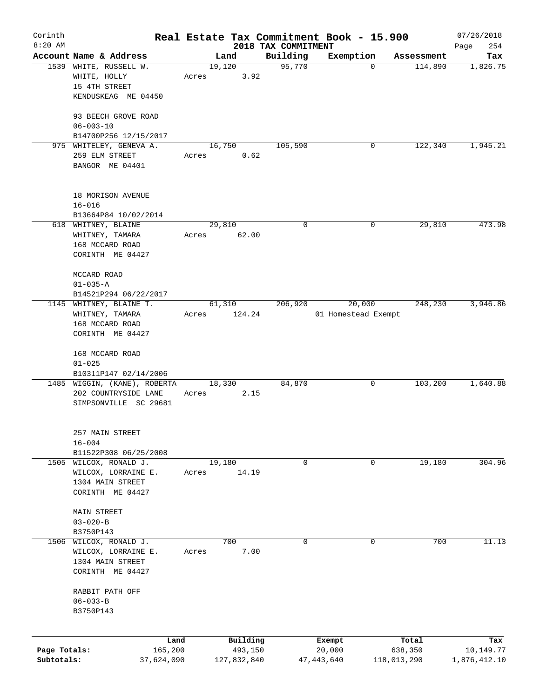| Corinth      |                                                  |       |                |                     | Real Estate Tax Commitment Book - 15.900 |                       | 07/26/2018      |
|--------------|--------------------------------------------------|-------|----------------|---------------------|------------------------------------------|-----------------------|-----------------|
| $8:20$ AM    |                                                  |       |                | 2018 TAX COMMITMENT |                                          |                       | 254<br>Page     |
|              | Account Name & Address<br>1539 WHITE, RUSSELL W. |       | Land<br>19,120 | Building<br>95,770  | Exemption<br>$\mathbf 0$                 | Assessment<br>114,890 | Tax<br>1,826.75 |
|              | WHITE, HOLLY                                     | Acres |                | 3.92                |                                          |                       |                 |
|              | 15 4TH STREET                                    |       |                |                     |                                          |                       |                 |
|              | KENDUSKEAG ME 04450                              |       |                |                     |                                          |                       |                 |
|              |                                                  |       |                |                     |                                          |                       |                 |
|              | 93 BEECH GROVE ROAD                              |       |                |                     |                                          |                       |                 |
|              | $06 - 003 - 10$                                  |       |                |                     |                                          |                       |                 |
|              | B14700P256 12/15/2017                            |       |                |                     |                                          |                       |                 |
|              | 975 WHITELEY, GENEVA A.                          |       | 16,750         | 105,590             | 0                                        | 122,340               | 1,945.21        |
|              | 259 ELM STREET                                   | Acres | 0.62           |                     |                                          |                       |                 |
|              | BANGOR ME 04401                                  |       |                |                     |                                          |                       |                 |
|              |                                                  |       |                |                     |                                          |                       |                 |
|              | 18 MORISON AVENUE                                |       |                |                     |                                          |                       |                 |
|              | $16 - 016$                                       |       |                |                     |                                          |                       |                 |
|              | B13664P84 10/02/2014                             |       |                |                     |                                          |                       |                 |
|              | 618 WHITNEY, BLAINE                              |       | 29,810         | $\mathbf 0$         | 0                                        | 29,810                | 473.98          |
|              | WHITNEY, TAMARA                                  | Acres | 62.00          |                     |                                          |                       |                 |
|              | 168 MCCARD ROAD                                  |       |                |                     |                                          |                       |                 |
|              | CORINTH ME 04427                                 |       |                |                     |                                          |                       |                 |
|              |                                                  |       |                |                     |                                          |                       |                 |
|              | MCCARD ROAD                                      |       |                |                     |                                          |                       |                 |
|              | $01 - 035 - A$                                   |       |                |                     |                                          |                       |                 |
|              | B14521P294 06/22/2017                            |       |                |                     |                                          |                       |                 |
|              | 1145 WHITNEY, BLAINE T.                          |       | 61,310         | 206,920             | 20,000                                   | 248,230               | 3,946.86        |
|              | WHITNEY, TAMARA                                  | Acres | 124.24         |                     | 01 Homestead Exempt                      |                       |                 |
|              | 168 MCCARD ROAD                                  |       |                |                     |                                          |                       |                 |
|              | CORINTH ME 04427                                 |       |                |                     |                                          |                       |                 |
|              | 168 MCCARD ROAD                                  |       |                |                     |                                          |                       |                 |
|              | $01 - 025$                                       |       |                |                     |                                          |                       |                 |
|              | B10311P147 02/14/2006                            |       |                |                     |                                          |                       |                 |
|              | 1485 WIGGIN, (KANE), ROBERTA                     |       | 18,330         | 84,870              | 0                                        | 103,200               | 1,640.88        |
|              | 202 COUNTRYSIDE LANE                             | Acres | 2.15           |                     |                                          |                       |                 |
|              | SIMPSONVILLE SC 29681                            |       |                |                     |                                          |                       |                 |
|              |                                                  |       |                |                     |                                          |                       |                 |
|              | 257 MAIN STREET                                  |       |                |                     |                                          |                       |                 |
|              | $16 - 004$                                       |       |                |                     |                                          |                       |                 |
|              | B11522P308 06/25/2008                            |       |                |                     |                                          |                       |                 |
|              | 1505 WILCOX, RONALD J.                           |       | 19,180         | 0                   | 0                                        | 19,180                | 304.96          |
|              | WILCOX, LORRAINE E.                              | Acres | 14.19          |                     |                                          |                       |                 |
|              | 1304 MAIN STREET                                 |       |                |                     |                                          |                       |                 |
|              | CORINTH ME 04427                                 |       |                |                     |                                          |                       |                 |
|              |                                                  |       |                |                     |                                          |                       |                 |
|              | MAIN STREET                                      |       |                |                     |                                          |                       |                 |
|              | $03 - 020 - B$                                   |       |                |                     |                                          |                       |                 |
|              | B3750P143                                        |       |                |                     |                                          |                       |                 |
| 1506         | WILCOX, RONALD J.                                |       | 700            | 0                   | $\mathbf 0$                              | 700                   | 11.13           |
|              | WILCOX, LORRAINE E.                              | Acres | 7.00           |                     |                                          |                       |                 |
|              | 1304 MAIN STREET                                 |       |                |                     |                                          |                       |                 |
|              | CORINTH ME 04427                                 |       |                |                     |                                          |                       |                 |
|              | RABBIT PATH OFF                                  |       |                |                     |                                          |                       |                 |
|              | $06 - 033 - B$                                   |       |                |                     |                                          |                       |                 |
|              | B3750P143                                        |       |                |                     |                                          |                       |                 |
|              |                                                  |       |                |                     |                                          |                       |                 |
|              | Land                                             |       | Building       |                     | Exempt                                   | Total                 | Tax             |
| Page Totals: | 165,200                                          |       | 493,150        |                     | 20,000                                   | 638,350               | 10,149.77       |
| Subtotals:   | 37,624,090                                       |       | 127,832,840    |                     | 47,443,640                               | 118,013,290           | 1,876,412.10    |
|              |                                                  |       |                |                     |                                          |                       |                 |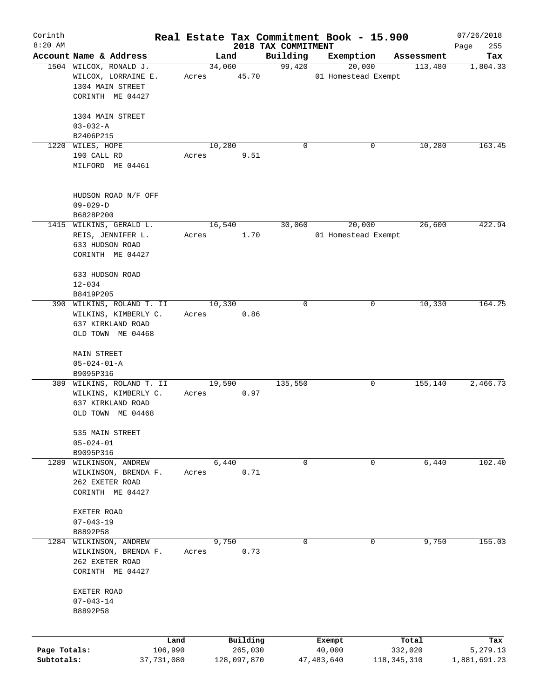| Corinth      |                                                                                     |       |                |                     | Real Estate Tax Commitment Book - 15.900 |                       | 07/26/2018      |
|--------------|-------------------------------------------------------------------------------------|-------|----------------|---------------------|------------------------------------------|-----------------------|-----------------|
| $8:20$ AM    | Account Name & Address                                                              |       |                | 2018 TAX COMMITMENT |                                          |                       | 255<br>Page     |
|              | 1504 WILCOX, RONALD J.                                                              |       | Land<br>34,060 | Building<br>99,420  | Exemption<br>20,000                      | Assessment<br>113,480 | Tax<br>1,804.33 |
|              | WILCOX, LORRAINE E.<br>1304 MAIN STREET<br>CORINTH ME 04427                         | Acres | 45.70          |                     | 01 Homestead Exempt                      |                       |                 |
|              | 1304 MAIN STREET                                                                    |       |                |                     |                                          |                       |                 |
|              | $03 - 032 - A$                                                                      |       |                |                     |                                          |                       |                 |
|              | B2406P215                                                                           |       |                |                     |                                          |                       |                 |
|              | 1220 WILES, HOPE                                                                    |       | 10,280         | 0                   | 0                                        | 10,280                | 163.45          |
|              | 190 CALL RD<br>MILFORD ME 04461                                                     | Acres | 9.51           |                     |                                          |                       |                 |
|              | HUDSON ROAD N/F OFF                                                                 |       |                |                     |                                          |                       |                 |
|              | $09 - 029 - D$                                                                      |       |                |                     |                                          |                       |                 |
|              | B6828P200                                                                           |       |                |                     |                                          |                       |                 |
|              | 1415 WILKINS, GERALD L.<br>REIS, JENNIFER L.<br>633 HUDSON ROAD<br>CORINTH ME 04427 | Acres | 16,540<br>1.70 | 30,060              | 20,000<br>01 Homestead Exempt            | 26,600                | 422.94          |
|              | 633 HUDSON ROAD                                                                     |       |                |                     |                                          |                       |                 |
|              | $12 - 034$                                                                          |       |                |                     |                                          |                       |                 |
|              | B8419P205                                                                           |       |                |                     |                                          |                       |                 |
|              | 390 WILKINS, ROLAND T. II                                                           |       | 10,330         | 0                   |                                          | 10,330<br>0           | 164.25          |
|              | WILKINS, KIMBERLY C.                                                                | Acres | 0.86           |                     |                                          |                       |                 |
|              | 637 KIRKLAND ROAD                                                                   |       |                |                     |                                          |                       |                 |
|              | OLD TOWN ME 04468                                                                   |       |                |                     |                                          |                       |                 |
|              | MAIN STREET                                                                         |       |                |                     |                                          |                       |                 |
|              | $05 - 024 - 01 - A$                                                                 |       |                |                     |                                          |                       |                 |
|              | B9095P316                                                                           |       |                |                     |                                          |                       |                 |
|              | 389 WILKINS, ROLAND T. II                                                           |       | 19,590         | 135,550             | 0                                        | 155,140               | 2,466.73        |
|              | WILKINS, KIMBERLY C.                                                                | Acres | 0.97           |                     |                                          |                       |                 |
|              | 637 KIRKLAND ROAD<br>OLD TOWN ME 04468                                              |       |                |                     |                                          |                       |                 |
|              |                                                                                     |       |                |                     |                                          |                       |                 |
|              | 535 MAIN STREET                                                                     |       |                |                     |                                          |                       |                 |
|              | $05 - 024 - 01$                                                                     |       |                |                     |                                          |                       |                 |
|              | B9095P316                                                                           |       |                |                     |                                          |                       |                 |
| 1289         | WILKINSON, ANDREW                                                                   |       | 6,440          | 0                   | 0                                        | 6,440                 | 102.40          |
|              | WILKINSON, BRENDA F.                                                                | Acres | 0.71           |                     |                                          |                       |                 |
|              | 262 EXETER ROAD<br>CORINTH ME 04427                                                 |       |                |                     |                                          |                       |                 |
|              |                                                                                     |       |                |                     |                                          |                       |                 |
|              | EXETER ROAD                                                                         |       |                |                     |                                          |                       |                 |
|              | $07 - 043 - 19$                                                                     |       |                |                     |                                          |                       |                 |
|              | B8892P58                                                                            |       |                |                     |                                          |                       |                 |
| 1284         | WILKINSON, ANDREW<br>WILKINSON, BRENDA F.                                           | Acres | 9,750<br>0.73  | 0                   | 0                                        | 9,750                 | 155.03          |
|              | 262 EXETER ROAD                                                                     |       |                |                     |                                          |                       |                 |
|              | CORINTH ME 04427                                                                    |       |                |                     |                                          |                       |                 |
|              |                                                                                     |       |                |                     |                                          |                       |                 |
|              | EXETER ROAD                                                                         |       |                |                     |                                          |                       |                 |
|              | $07 - 043 - 14$<br>B8892P58                                                         |       |                |                     |                                          |                       |                 |
|              |                                                                                     |       |                |                     |                                          |                       |                 |
|              | Land                                                                                |       | Building       |                     | Exempt                                   | Total                 | Tax             |
| Page Totals: | 106,990                                                                             |       | 265,030        |                     | 40,000                                   | 332,020               | 5,279.13        |
| Subtotals:   | 37,731,080                                                                          |       | 128,097,870    |                     | 47,483,640                               | 118,345,310           | 1,881,691.23    |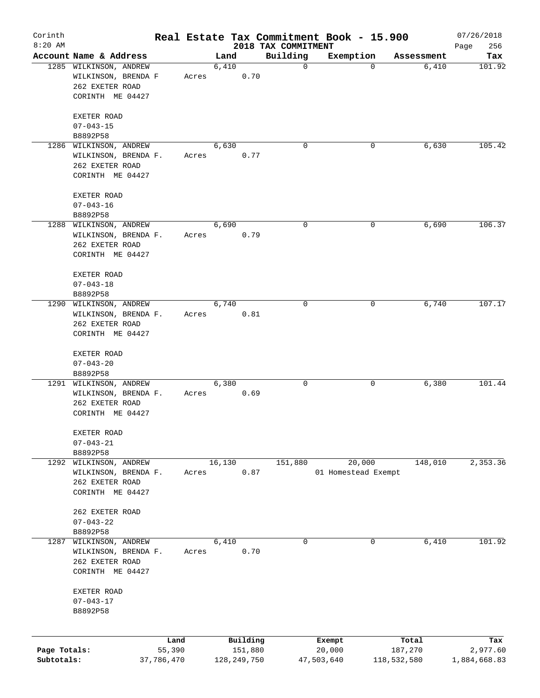| Corinth<br>$8:20$ AM |                                         |                |       |        |                     |                                 | Real Estate Tax Commitment Book - 15.900 |             |            | 07/26/2018         |
|----------------------|-----------------------------------------|----------------|-------|--------|---------------------|---------------------------------|------------------------------------------|-------------|------------|--------------------|
|                      | Account Name & Address                  |                |       | Land   |                     | 2018 TAX COMMITMENT<br>Building | Exemption                                |             | Assessment | 256<br>Page<br>Tax |
|                      | 1285 WILKINSON, ANDREW                  |                |       | 6,410  |                     | $\mathbf 0$                     |                                          | $\mathbf 0$ | 6,410      | 101.92             |
|                      | WILKINSON, BRENDA F                     |                | Acres |        | 0.70                |                                 |                                          |             |            |                    |
|                      | 262 EXETER ROAD                         |                |       |        |                     |                                 |                                          |             |            |                    |
|                      | CORINTH ME 04427                        |                |       |        |                     |                                 |                                          |             |            |                    |
|                      | EXETER ROAD                             |                |       |        |                     |                                 |                                          |             |            |                    |
|                      | $07 - 043 - 15$                         |                |       |        |                     |                                 |                                          |             |            |                    |
|                      | B8892P58                                |                |       |        |                     |                                 |                                          |             |            |                    |
|                      | 1286 WILKINSON, ANDREW                  |                |       | 6,630  |                     | $\Omega$                        |                                          | 0           | 6,630      | 105.42             |
|                      | WILKINSON, BRENDA F.                    |                | Acres |        | 0.77                |                                 |                                          |             |            |                    |
|                      | 262 EXETER ROAD                         |                |       |        |                     |                                 |                                          |             |            |                    |
|                      | CORINTH ME 04427                        |                |       |        |                     |                                 |                                          |             |            |                    |
|                      | EXETER ROAD                             |                |       |        |                     |                                 |                                          |             |            |                    |
|                      | $07 - 043 - 16$                         |                |       |        |                     |                                 |                                          |             |            |                    |
|                      | B8892P58                                |                |       |        |                     |                                 |                                          |             |            |                    |
|                      | 1288 WILKINSON, ANDREW                  |                |       | 6,690  |                     | 0                               |                                          | 0           | 6,690      | 106.37             |
|                      | WILKINSON, BRENDA F.                    |                | Acres |        | 0.79                |                                 |                                          |             |            |                    |
|                      | 262 EXETER ROAD                         |                |       |        |                     |                                 |                                          |             |            |                    |
|                      | CORINTH ME 04427                        |                |       |        |                     |                                 |                                          |             |            |                    |
|                      | EXETER ROAD                             |                |       |        |                     |                                 |                                          |             |            |                    |
|                      | $07 - 043 - 18$                         |                |       |        |                     |                                 |                                          |             |            |                    |
|                      | B8892P58                                |                |       |        |                     |                                 |                                          |             |            |                    |
|                      | 1290 WILKINSON, ANDREW                  |                |       | 6,740  |                     | 0                               |                                          | 0           | 6,740      | 107.17             |
|                      | WILKINSON, BRENDA F.                    |                | Acres |        | 0.81                |                                 |                                          |             |            |                    |
|                      | 262 EXETER ROAD                         |                |       |        |                     |                                 |                                          |             |            |                    |
|                      | CORINTH ME 04427                        |                |       |        |                     |                                 |                                          |             |            |                    |
|                      | EXETER ROAD                             |                |       |        |                     |                                 |                                          |             |            |                    |
|                      | $07 - 043 - 20$                         |                |       |        |                     |                                 |                                          |             |            |                    |
|                      | B8892P58                                |                |       |        |                     |                                 |                                          |             |            |                    |
|                      | 1291 WILKINSON, ANDREW                  |                |       | 6,380  |                     | 0                               |                                          | 0           | 6,380      | 101.44             |
|                      | WILKINSON, BRENDA F.<br>262 EXETER ROAD |                | Acres |        | 0.69                |                                 |                                          |             |            |                    |
|                      | CORINTH ME 04427                        |                |       |        |                     |                                 |                                          |             |            |                    |
|                      |                                         |                |       |        |                     |                                 |                                          |             |            |                    |
|                      | EXETER ROAD<br>$07 - 043 - 21$          |                |       |        |                     |                                 |                                          |             |            |                    |
|                      | B8892P58                                |                |       |        |                     |                                 |                                          |             |            |                    |
| 1292                 | WILKINSON, ANDREW                       |                |       | 16,130 |                     | 151,880                         | 20,000                                   |             | 148,010    | 2,353.36           |
|                      | WILKINSON, BRENDA F.                    |                | Acres |        | 0.87                |                                 | 01 Homestead Exempt                      |             |            |                    |
|                      | 262 EXETER ROAD                         |                |       |        |                     |                                 |                                          |             |            |                    |
|                      | CORINTH ME 04427                        |                |       |        |                     |                                 |                                          |             |            |                    |
|                      | 262 EXETER ROAD                         |                |       |        |                     |                                 |                                          |             |            |                    |
|                      | $07 - 043 - 22$                         |                |       |        |                     |                                 |                                          |             |            |                    |
|                      | B8892P58                                |                |       |        |                     |                                 |                                          |             |            |                    |
| 1287                 | WILKINSON, ANDREW                       |                |       | 6,410  |                     | 0                               |                                          | 0           | 6,410      | 101.92             |
|                      | WILKINSON, BRENDA F.                    |                | Acres |        | 0.70                |                                 |                                          |             |            |                    |
|                      | 262 EXETER ROAD                         |                |       |        |                     |                                 |                                          |             |            |                    |
|                      | CORINTH ME 04427                        |                |       |        |                     |                                 |                                          |             |            |                    |
|                      | EXETER ROAD                             |                |       |        |                     |                                 |                                          |             |            |                    |
|                      | $07 - 043 - 17$                         |                |       |        |                     |                                 |                                          |             |            |                    |
|                      | B8892P58                                |                |       |        |                     |                                 |                                          |             |            |                    |
|                      |                                         |                |       |        |                     |                                 |                                          |             |            |                    |
| Page Totals:         |                                         | Land<br>55,390 |       |        | Building<br>151,880 |                                 | Exempt<br>20,000                         |             | Total      | Tax<br>2,977.60    |
| Subtotals:           |                                         | 37,786,470     |       |        | 128, 249, 750       |                                 | 47,503,640                               | 118,532,580 | 187,270    | 1,884,668.83       |
|                      |                                         |                |       |        |                     |                                 |                                          |             |            |                    |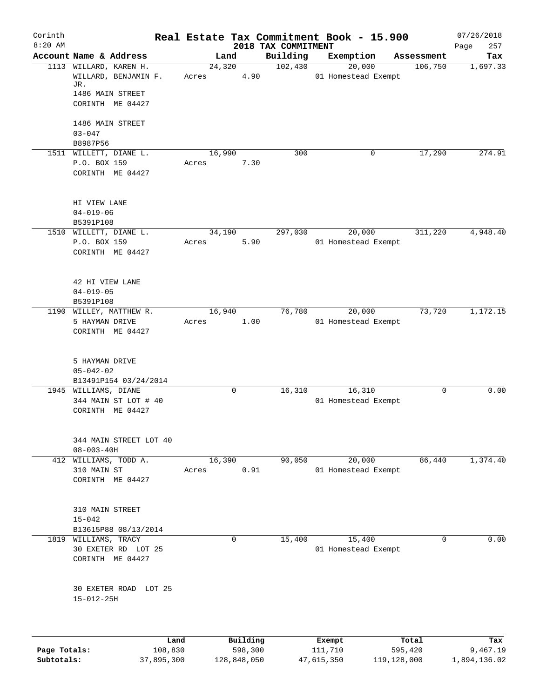| Corinth      |                                           |         |       |        |             |                                 | Real Estate Tax Commitment Book - 15.900 |                       | 07/26/2018         |
|--------------|-------------------------------------------|---------|-------|--------|-------------|---------------------------------|------------------------------------------|-----------------------|--------------------|
| $8:20$ AM    | Account Name & Address                    |         |       | Land   |             | 2018 TAX COMMITMENT<br>Building | Exemption                                |                       | 257<br>Page<br>Tax |
|              | 1113 WILLARD, KAREN H.                    |         |       | 24,320 |             | 102,430                         | 20,000                                   | Assessment<br>106,750 | 1,697.33           |
|              | WILLARD, BENJAMIN F.<br>JR.               |         | Acres |        | 4.90        |                                 | 01 Homestead Exempt                      |                       |                    |
|              | 1486 MAIN STREET                          |         |       |        |             |                                 |                                          |                       |                    |
|              | CORINTH ME 04427                          |         |       |        |             |                                 |                                          |                       |                    |
|              | 1486 MAIN STREET                          |         |       |        |             |                                 |                                          |                       |                    |
|              | $03 - 047$                                |         |       |        |             |                                 |                                          |                       |                    |
|              | B8987P56<br>1511 WILLETT, DIANE L.        |         |       | 16,990 |             | 300                             | 0                                        | 17,290                | 274.91             |
|              | P.O. BOX 159                              |         | Acres |        | 7.30        |                                 |                                          |                       |                    |
|              | CORINTH ME 04427                          |         |       |        |             |                                 |                                          |                       |                    |
|              | HI VIEW LANE                              |         |       |        |             |                                 |                                          |                       |                    |
|              | $04 - 019 - 06$                           |         |       |        |             |                                 |                                          |                       |                    |
|              | B5391P108                                 |         |       |        |             |                                 |                                          |                       |                    |
|              | 1510 WILLETT, DIANE L.                    |         |       | 34,190 |             | 297,030                         | 20,000                                   | 311,220               | 4,948.40           |
|              | P.O. BOX 159                              |         | Acres |        | 5.90        |                                 | 01 Homestead Exempt                      |                       |                    |
|              | CORINTH ME 04427                          |         |       |        |             |                                 |                                          |                       |                    |
|              | 42 HI VIEW LANE                           |         |       |        |             |                                 |                                          |                       |                    |
|              | $04 - 019 - 05$                           |         |       |        |             |                                 |                                          |                       |                    |
|              | B5391P108                                 |         |       |        |             |                                 |                                          |                       |                    |
|              | 1190 WILLEY, MATTHEW R.                   |         |       | 16,940 |             | 76,780                          | 20,000                                   | 73,720                | 1,172.15           |
|              | 5 HAYMAN DRIVE<br>CORINTH ME 04427        |         | Acres |        | 1.00        |                                 | 01 Homestead Exempt                      |                       |                    |
|              | 5 HAYMAN DRIVE<br>$05 - 042 - 02$         |         |       |        |             |                                 |                                          |                       |                    |
|              | B13491P154 03/24/2014                     |         |       |        |             |                                 |                                          |                       |                    |
|              | 1945 WILLIAMS, DIANE                      |         |       |        | 0           | 16,310                          | 16,310                                   | $\mathbf 0$           | 0.00               |
|              | 344 MAIN ST LOT # 40                      |         |       |        |             |                                 | 01 Homestead Exempt                      |                       |                    |
|              | CORINTH ME 04427                          |         |       |        |             |                                 |                                          |                       |                    |
|              | 344 MAIN STREET LOT 40                    |         |       |        |             |                                 |                                          |                       |                    |
|              | $08 - 003 - 40H$<br>412 WILLIAMS, TODD A. |         |       | 16,390 |             | 90,050                          | 20,000                                   | 86,440                | 1,374.40           |
|              | 310 MAIN ST                               |         | Acres |        | 0.91        |                                 | 01 Homestead Exempt                      |                       |                    |
|              | CORINTH ME 04427                          |         |       |        |             |                                 |                                          |                       |                    |
|              |                                           |         |       |        |             |                                 |                                          |                       |                    |
|              | 310 MAIN STREET<br>$15 - 042$             |         |       |        |             |                                 |                                          |                       |                    |
|              | B13615P88 08/13/2014                      |         |       |        |             |                                 |                                          |                       |                    |
|              | 1819 WILLIAMS, TRACY                      |         |       |        | $\mathbf 0$ | 15,400                          | 15,400                                   | $\Omega$              | 0.00               |
|              | 30 EXETER RD LOT 25                       |         |       |        |             |                                 | 01 Homestead Exempt                      |                       |                    |
|              | CORINTH ME 04427                          |         |       |        |             |                                 |                                          |                       |                    |
|              | 30 EXETER ROAD LOT 25                     |         |       |        |             |                                 |                                          |                       |                    |
|              | $15 - 012 - 25H$                          |         |       |        |             |                                 |                                          |                       |                    |
|              |                                           |         |       |        |             |                                 |                                          |                       |                    |
|              |                                           | Land    |       |        | Building    |                                 | Exempt                                   | Total                 | Tax                |
| Page Totals: |                                           | 108,830 |       |        | 598,300     |                                 | 111,710                                  | 595,420               | 9,467.19           |

**Subtotals:** 37,895,300 128,848,050 47,615,350 119,128,000 1,894,136.02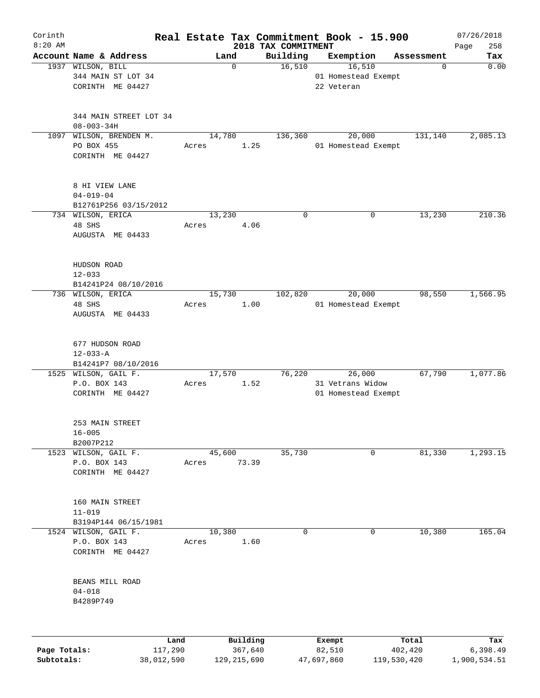| Corinth      |                                             |            | Real Estate Tax Commitment Book - 15.900 |                                 |                               |             |            | 07/26/2018         |
|--------------|---------------------------------------------|------------|------------------------------------------|---------------------------------|-------------------------------|-------------|------------|--------------------|
| $8:20$ AM    | Account Name & Address                      |            | Land                                     | 2018 TAX COMMITMENT<br>Building | Exemption                     |             | Assessment | 258<br>Page<br>Tax |
|              | 1937 WILSON, BILL                           |            | $\mathbf 0$                              | 16,510                          | 16,510                        |             | 0          | 0.00               |
|              | 344 MAIN ST LOT 34                          |            |                                          |                                 | 01 Homestead Exempt           |             |            |                    |
|              | CORINTH ME 04427                            |            |                                          |                                 | 22 Veteran                    |             |            |                    |
|              |                                             |            |                                          |                                 |                               |             |            |                    |
|              |                                             |            |                                          |                                 |                               |             |            |                    |
|              | 344 MAIN STREET LOT 34                      |            |                                          |                                 |                               |             |            |                    |
|              | $08 - 003 - 34H$                            |            |                                          |                                 |                               |             |            |                    |
| 1097         | WILSON, BRENDEN M.<br>PO BOX 455            |            | 14,780<br>Acres                          | 136,360<br>1.25                 | 20,000<br>01 Homestead Exempt |             | 131,140    | 2,085.13           |
|              | CORINTH ME 04427                            |            |                                          |                                 |                               |             |            |                    |
|              |                                             |            |                                          |                                 |                               |             |            |                    |
|              | 8 HI VIEW LANE                              |            |                                          |                                 |                               |             |            |                    |
|              | $04 - 019 - 04$                             |            |                                          |                                 |                               |             |            |                    |
|              | B12761P256 03/15/2012                       |            |                                          |                                 |                               |             |            |                    |
|              | 734 WILSON, ERICA                           |            | 13,230                                   | $\mathbf 0$                     |                               | $\mathbf 0$ | 13,230     | 210.36             |
|              | 48 SHS                                      |            | Acres                                    | 4.06                            |                               |             |            |                    |
|              | AUGUSTA ME 04433                            |            |                                          |                                 |                               |             |            |                    |
|              |                                             |            |                                          |                                 |                               |             |            |                    |
|              | HUDSON ROAD                                 |            |                                          |                                 |                               |             |            |                    |
|              | $12 - 033$                                  |            |                                          |                                 |                               |             |            |                    |
|              | B14241P24 08/10/2016                        |            |                                          |                                 |                               |             |            |                    |
|              | 736 WILSON, ERICA                           |            | 15,730                                   | 102,820                         | 20,000                        |             | 98,550     | 1,566.95           |
|              | 48 SHS                                      |            | Acres                                    | 1.00                            | 01 Homestead Exempt           |             |            |                    |
|              | AUGUSTA ME 04433                            |            |                                          |                                 |                               |             |            |                    |
|              |                                             |            |                                          |                                 |                               |             |            |                    |
|              |                                             |            |                                          |                                 |                               |             |            |                    |
|              | 677 HUDSON ROAD                             |            |                                          |                                 |                               |             |            |                    |
|              | $12 - 033 - A$                              |            |                                          |                                 |                               |             |            |                    |
|              | B14241P7 08/10/2016<br>1525 WILSON, GAIL F. |            | 17,570                                   | 76,220                          | 26,000                        |             | 67,790     | 1,077.86           |
|              | P.O. BOX 143                                |            | Acres                                    | 1.52                            | 31 Vetrans Widow              |             |            |                    |
|              | CORINTH ME 04427                            |            |                                          |                                 | 01 Homestead Exempt           |             |            |                    |
|              |                                             |            |                                          |                                 |                               |             |            |                    |
|              | 253 MAIN STREET                             |            |                                          |                                 |                               |             |            |                    |
|              | $16 - 005$                                  |            |                                          |                                 |                               |             |            |                    |
|              | B2007P212                                   |            |                                          |                                 |                               |             |            |                    |
|              | 1523 WILSON, GAIL F.                        |            | 45,600                                   | 35,730                          |                               | $\mathbf 0$ | 81,330     | 1, 293.15          |
|              | P.O. BOX 143                                |            | 73.39<br>Acres                           |                                 |                               |             |            |                    |
|              | CORINTH ME 04427                            |            |                                          |                                 |                               |             |            |                    |
|              |                                             |            |                                          |                                 |                               |             |            |                    |
|              | 160 MAIN STREET                             |            |                                          |                                 |                               |             |            |                    |
|              | $11 - 019$                                  |            |                                          |                                 |                               |             |            |                    |
|              | B3194P144 06/15/1981                        |            |                                          |                                 |                               |             |            |                    |
|              | 1524 WILSON, GAIL F.                        |            | 10,380                                   | 0                               |                               | 0           | 10,380     | 165.04             |
|              | P.O. BOX 143                                |            | Acres                                    | 1.60                            |                               |             |            |                    |
|              | CORINTH ME 04427                            |            |                                          |                                 |                               |             |            |                    |
|              |                                             |            |                                          |                                 |                               |             |            |                    |
|              |                                             |            |                                          |                                 |                               |             |            |                    |
|              | BEANS MILL ROAD                             |            |                                          |                                 |                               |             |            |                    |
|              | $04 - 018$                                  |            |                                          |                                 |                               |             |            |                    |
|              | B4289P749                                   |            |                                          |                                 |                               |             |            |                    |
|              |                                             |            |                                          |                                 |                               |             |            |                    |
|              |                                             | Land       | Building                                 |                                 | Exempt                        |             | Total      | Tax                |
| Page Totals: |                                             | 117,290    | 367,640                                  |                                 | 82,510                        |             | 402,420    | 6,398.49           |
| Subtotals:   |                                             | 38,012,590 | 129, 215, 690                            |                                 | 47,697,860                    | 119,530,420 |            | 1,900,534.51       |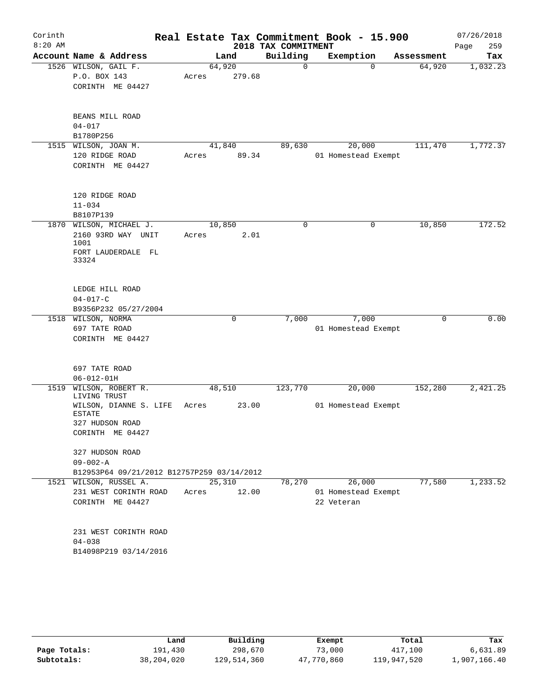| Corinth   |                                                              |        |        |                     | Real Estate Tax Commitment Book - 15.900 |            | 07/26/2018  |
|-----------|--------------------------------------------------------------|--------|--------|---------------------|------------------------------------------|------------|-------------|
| $8:20$ AM |                                                              |        |        | 2018 TAX COMMITMENT |                                          |            | 259<br>Page |
|           | Account Name & Address                                       | Land   |        | Building            | Exemption                                | Assessment | Tax         |
|           | 1526 WILSON, GAIL F.                                         | 64,920 |        | 0                   | $\Omega$                                 | 64,920     | 1,032.23    |
|           | P.O. BOX 143                                                 | Acres  | 279.68 |                     |                                          |            |             |
|           | CORINTH ME 04427                                             |        |        |                     |                                          |            |             |
|           | BEANS MILL ROAD                                              |        |        |                     |                                          |            |             |
|           | $04 - 017$                                                   |        |        |                     |                                          |            |             |
|           | B1780P256                                                    |        |        |                     |                                          |            |             |
| 1515      | WILSON, JOAN M.                                              | 41,840 |        | 89,630              | 20,000                                   | 111,470    | 1,772.37    |
|           | 120 RIDGE ROAD                                               | Acres  | 89.34  |                     | 01 Homestead Exempt                      |            |             |
|           | CORINTH ME 04427                                             |        |        |                     |                                          |            |             |
|           | 120 RIDGE ROAD                                               |        |        |                     |                                          |            |             |
|           | $11 - 034$                                                   |        |        |                     |                                          |            |             |
|           | B8107P139                                                    |        |        |                     |                                          |            |             |
| 1870      | WILSON, MICHAEL J.                                           | 10,850 |        | 0                   | 0                                        | 10,850     | 172.52      |
|           | 2160 93RD WAY UNIT<br>1001                                   | Acres  | 2.01   |                     |                                          |            |             |
|           | FORT LAUDERDALE FL<br>33324                                  |        |        |                     |                                          |            |             |
|           |                                                              |        |        |                     |                                          |            |             |
|           | LEDGE HILL ROAD<br>$04 - 017 - C$                            |        |        |                     |                                          |            |             |
|           | B9356P232 05/27/2004                                         |        |        |                     |                                          |            |             |
|           | 1518 WILSON, NORMA                                           |        | 0      | 7,000               | 7,000                                    | 0          | 0.00        |
|           | 697 TATE ROAD                                                |        |        |                     | 01 Homestead Exempt                      |            |             |
|           | CORINTH ME 04427                                             |        |        |                     |                                          |            |             |
|           | 697 TATE ROAD                                                |        |        |                     |                                          |            |             |
|           | $06 - 012 - 01H$                                             |        |        |                     |                                          |            |             |
| 1519      | WILSON, ROBERT R.<br>LIVING TRUST                            | 48,510 |        | 123,770             | 20,000                                   | 152,280    | 2,421.25    |
|           | WILSON, DIANNE S. LIFE<br><b>ESTATE</b>                      | Acres  | 23.00  |                     | 01 Homestead Exempt                      |            |             |
|           | 327 HUDSON ROAD                                              |        |        |                     |                                          |            |             |
|           | CORINTH ME 04427                                             |        |        |                     |                                          |            |             |
|           | 327 HUDSON ROAD                                              |        |        |                     |                                          |            |             |
|           | $09 - 002 - A$<br>B12953P64 09/21/2012 B12757P259 03/14/2012 |        |        |                     |                                          |            |             |
|           | 1521 WILSON, RUSSEL A.                                       | 25,310 |        | 78,270              | 26,000                                   | 77,580     | 1,233.52    |
|           | 231 WEST CORINTH ROAD                                        | Acres  | 12.00  |                     | 01 Homestead Exempt                      |            |             |
|           | CORINTH ME 04427                                             |        |        |                     | 22 Veteran                               |            |             |
|           | 231 WEST CORINTH ROAD                                        |        |        |                     |                                          |            |             |
|           | $04 - 038$                                                   |        |        |                     |                                          |            |             |
|           | B14098P219 03/14/2016                                        |        |        |                     |                                          |            |             |
|           |                                                              |        |        |                     |                                          |            |             |

|              | Land         | Building    | Exempt     | Total       | Tax          |
|--------------|--------------|-------------|------------|-------------|--------------|
| Page Totals: | 191,430      | 298,670     | 73,000     | 417,100     | 6,631.89     |
| Subtotals:   | 38, 204, 020 | 129,514,360 | 47,770,860 | 119,947,520 | 1,907,166.40 |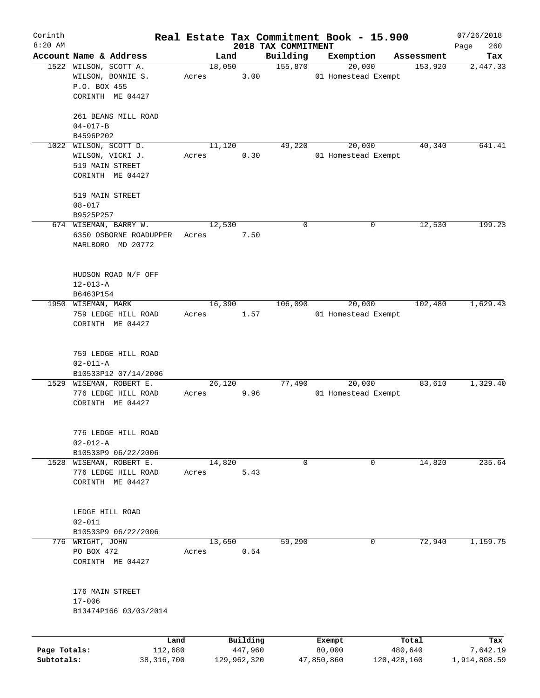| Corinth      |                         |       |        |             |                                 | Real Estate Tax Commitment Book - 15.900 |               | 07/26/2018         |
|--------------|-------------------------|-------|--------|-------------|---------------------------------|------------------------------------------|---------------|--------------------|
| $8:20$ AM    | Account Name & Address  |       | Land   |             | 2018 TAX COMMITMENT<br>Building | Exemption                                | Assessment    | 260<br>Page<br>Tax |
|              | 1522 WILSON, SCOTT A.   |       | 18,050 |             | 155,870                         | 20,000                                   | 153,920       | 2,447.33           |
|              | WILSON, BONNIE S.       | Acres |        | 3.00        |                                 | 01 Homestead Exempt                      |               |                    |
|              | P.O. BOX 455            |       |        |             |                                 |                                          |               |                    |
|              | CORINTH ME 04427        |       |        |             |                                 |                                          |               |                    |
|              |                         |       |        |             |                                 |                                          |               |                    |
|              | 261 BEANS MILL ROAD     |       |        |             |                                 |                                          |               |                    |
|              | $04 - 017 - B$          |       |        |             |                                 |                                          |               |                    |
|              | B4596P202               |       |        |             |                                 |                                          |               |                    |
|              | 1022 WILSON, SCOTT D.   |       | 11,120 |             | 49,220                          | 20,000                                   | 40,340        | 641.41             |
|              | WILSON, VICKI J.        | Acres |        | 0.30        |                                 | 01 Homestead Exempt                      |               |                    |
|              | 519 MAIN STREET         |       |        |             |                                 |                                          |               |                    |
|              | CORINTH ME 04427        |       |        |             |                                 |                                          |               |                    |
|              |                         |       |        |             |                                 |                                          |               |                    |
|              | 519 MAIN STREET         |       |        |             |                                 |                                          |               |                    |
|              | $08 - 017$              |       |        |             |                                 |                                          |               |                    |
|              | B9525P257               |       |        |             |                                 |                                          |               |                    |
|              | 674 WISEMAN, BARRY W.   |       | 12,530 |             | 0                               | 0                                        | 12,530        | 199.23             |
|              | 6350 OSBORNE ROADUPPER  | Acres |        | 7.50        |                                 |                                          |               |                    |
|              | MARLBORO MD 20772       |       |        |             |                                 |                                          |               |                    |
|              |                         |       |        |             |                                 |                                          |               |                    |
|              | HUDSON ROAD N/F OFF     |       |        |             |                                 |                                          |               |                    |
|              | $12 - 013 - A$          |       |        |             |                                 |                                          |               |                    |
|              | B6463P154               |       |        |             |                                 |                                          |               |                    |
|              | 1950 WISEMAN, MARK      |       | 16,390 |             | 106,090                         | 20,000                                   | 102,480       | 1,629.43           |
|              | 759 LEDGE HILL ROAD     | Acres |        | 1.57        |                                 | 01 Homestead Exempt                      |               |                    |
|              | CORINTH ME 04427        |       |        |             |                                 |                                          |               |                    |
|              |                         |       |        |             |                                 |                                          |               |                    |
|              |                         |       |        |             |                                 |                                          |               |                    |
|              | 759 LEDGE HILL ROAD     |       |        |             |                                 |                                          |               |                    |
|              | $02 - 011 - A$          |       |        |             |                                 |                                          |               |                    |
|              | B10533P12 07/14/2006    |       |        |             |                                 |                                          |               |                    |
|              | 1529 WISEMAN, ROBERT E. |       | 26,120 |             | 77,490                          | 20,000                                   | 83,610        | 1,329.40           |
|              | 776 LEDGE HILL ROAD     | Acres |        | 9.96        |                                 | 01 Homestead Exempt                      |               |                    |
|              | CORINTH ME 04427        |       |        |             |                                 |                                          |               |                    |
|              |                         |       |        |             |                                 |                                          |               |                    |
|              | 776 LEDGE HILL ROAD     |       |        |             |                                 |                                          |               |                    |
|              | $02 - 012 - A$          |       |        |             |                                 |                                          |               |                    |
|              | B10533P9 06/22/2006     |       |        |             |                                 |                                          |               |                    |
|              | 1528 WISEMAN, ROBERT E. |       | 14,820 |             | 0                               | 0                                        | 14,820        | 235.64             |
|              | 776 LEDGE HILL ROAD     | Acres |        | 5.43        |                                 |                                          |               |                    |
|              | CORINTH ME 04427        |       |        |             |                                 |                                          |               |                    |
|              |                         |       |        |             |                                 |                                          |               |                    |
|              |                         |       |        |             |                                 |                                          |               |                    |
|              | LEDGE HILL ROAD         |       |        |             |                                 |                                          |               |                    |
|              | $02 - 011$              |       |        |             |                                 |                                          |               |                    |
|              | B10533P9 06/22/2006     |       |        |             |                                 |                                          |               |                    |
|              | 776 WRIGHT, JOHN        |       | 13,650 |             | 59,290                          | 0                                        | 72,940        | 1,159.75           |
|              | PO BOX 472              | Acres |        | 0.54        |                                 |                                          |               |                    |
|              | CORINTH ME 04427        |       |        |             |                                 |                                          |               |                    |
|              |                         |       |        |             |                                 |                                          |               |                    |
|              | 176 MAIN STREET         |       |        |             |                                 |                                          |               |                    |
|              | $17 - 006$              |       |        |             |                                 |                                          |               |                    |
|              | B13474P166 03/03/2014   |       |        |             |                                 |                                          |               |                    |
|              |                         |       |        |             |                                 |                                          |               |                    |
|              |                         |       |        |             |                                 |                                          |               |                    |
|              |                         | Land  |        | Building    |                                 | Exempt                                   | Total         | Tax                |
| Page Totals: | 112,680                 |       |        | 447,960     |                                 | 80,000                                   | 480,640       | 7,642.19           |
| Subtotals:   | 38, 316, 700            |       |        | 129,962,320 |                                 | 47,850,860                               | 120, 428, 160 | 1,914,808.59       |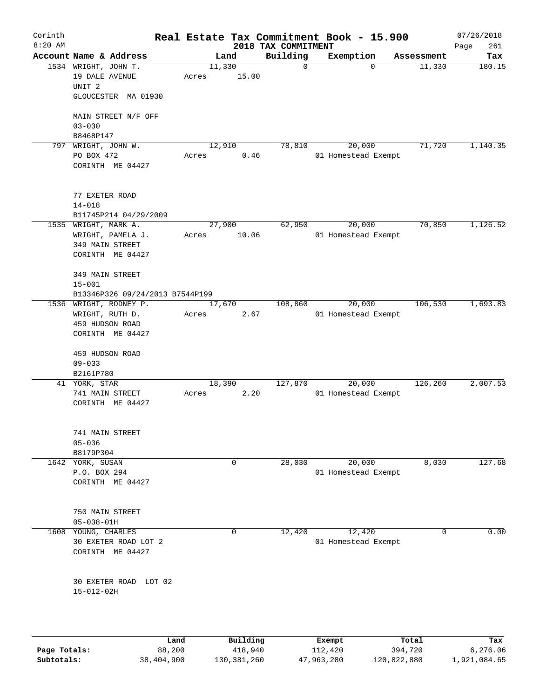| Corinth<br>$8:20$ AM |                                           |                 |          | 2018 TAX COMMITMENT | Real Estate Tax Commitment Book - 15.900 |            | 07/26/2018<br>261<br>Page |
|----------------------|-------------------------------------------|-----------------|----------|---------------------|------------------------------------------|------------|---------------------------|
|                      | Account Name & Address                    | Land            |          | Building            | Exemption                                | Assessment | Tax                       |
|                      | 1534 WRIGHT, JOHN T.<br>19 DALE AVENUE    | 11,330<br>Acres | 15.00    | $\mathbf 0$         | $\Omega$                                 | 11,330     | 180.15                    |
|                      | UNIT <sub>2</sub><br>GLOUCESTER MA 01930  |                 |          |                     |                                          |            |                           |
|                      | MAIN STREET N/F OFF<br>$03 - 030$         |                 |          |                     |                                          |            |                           |
|                      | B8468P147                                 |                 |          |                     |                                          |            |                           |
| 797                  | WRIGHT, JOHN W.                           | 12,910          |          | 78,810              | 20,000                                   | 71,720     | 1,140.35                  |
|                      | PO BOX 472<br>CORINTH ME 04427            | Acres           | 0.46     |                     | 01 Homestead Exempt                      |            |                           |
|                      |                                           |                 |          |                     |                                          |            |                           |
|                      | 77 EXETER ROAD<br>$14 - 018$              |                 |          |                     |                                          |            |                           |
|                      | B11745P214 04/29/2009                     |                 |          |                     |                                          |            |                           |
|                      | 1535 WRIGHT, MARK A.                      | 27,900          |          | 62,950              | 20,000                                   | 70,850     | 1,126.52                  |
|                      | WRIGHT, PAMELA J.                         | Acres           | 10.06    |                     | 01 Homestead Exempt                      |            |                           |
|                      | 349 MAIN STREET                           |                 |          |                     |                                          |            |                           |
|                      | CORINTH ME 04427                          |                 |          |                     |                                          |            |                           |
|                      | 349 MAIN STREET                           |                 |          |                     |                                          |            |                           |
|                      | $15 - 001$                                |                 |          |                     |                                          |            |                           |
|                      | B13346P326 09/24/2013 B7544P199           |                 |          |                     |                                          |            |                           |
|                      | 1536 WRIGHT, RODNEY P.<br>WRIGHT, RUTH D. | 17,670<br>Acres | 2.67     | 108,860             | 20,000<br>01 Homestead Exempt            | 106,530    | 1,693.83                  |
|                      | 459 HUDSON ROAD                           |                 |          |                     |                                          |            |                           |
|                      | CORINTH ME 04427                          |                 |          |                     |                                          |            |                           |
|                      | 459 HUDSON ROAD                           |                 |          |                     |                                          |            |                           |
|                      | $09 - 033$                                |                 |          |                     |                                          |            |                           |
|                      | B2161P780                                 |                 |          |                     |                                          |            |                           |
|                      | 41 YORK, STAR                             | 18,390          |          | 127,870             | 20,000                                   | 126,260    | 2,007.53                  |
|                      | 741 MAIN STREET<br>CORINTH ME 04427       | Acres           | 2.20     |                     | 01 Homestead Exempt                      |            |                           |
|                      |                                           |                 |          |                     |                                          |            |                           |
|                      | 741 MAIN STREET                           |                 |          |                     |                                          |            |                           |
|                      | $05 - 036$<br>B8179P304                   |                 |          |                     |                                          |            |                           |
|                      | 1642 YORK, SUSAN                          |                 | 0        | 28,030              | 20,000                                   | 8,030      | 127.68                    |
|                      | P.O. BOX 294                              |                 |          |                     | 01 Homestead Exempt                      |            |                           |
|                      | CORINTH ME 04427                          |                 |          |                     |                                          |            |                           |
|                      |                                           |                 |          |                     |                                          |            |                           |
|                      | 750 MAIN STREET<br>$05 - 038 - 01H$       |                 |          |                     |                                          |            |                           |
| 1608                 | YOUNG, CHARLES                            |                 | 0        | 12,420              | 12,420                                   | 0          | 0.00                      |
|                      | 30 EXETER ROAD LOT 2                      |                 |          |                     | 01 Homestead Exempt                      |            |                           |
|                      | CORINTH ME 04427                          |                 |          |                     |                                          |            |                           |
|                      | 30 EXETER ROAD LOT 02<br>$15 - 012 - 02H$ |                 |          |                     |                                          |            |                           |
|                      |                                           |                 |          |                     |                                          |            |                           |
|                      | Land                                      |                 | Building |                     | Exempt                                   | Total      | Tax                       |

|              | Land       | Building    | Exempt     | Total       | Tax          |
|--------------|------------|-------------|------------|-------------|--------------|
| Page Totals: | 88,200     | 418,940     | 112,420    | 394,720     | 6,276.06     |
| Subtotals:   | 38,404,900 | 130,381,260 | 47,963,280 | 120,822,880 | 1,921,084.65 |